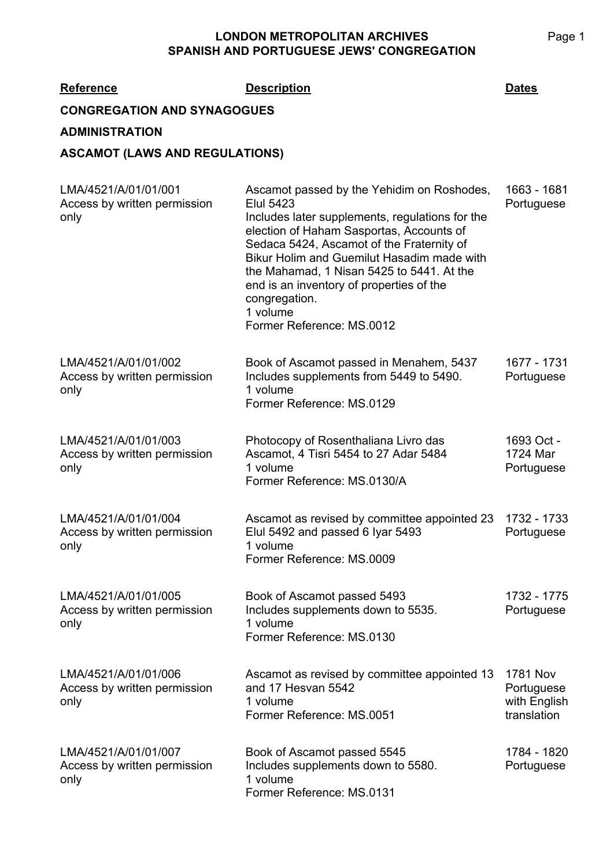| <b>Reference</b>                                             | <b>Description</b>                                                                                                                                                                                                                                                                                                                                                                                          | Dates                                                        |
|--------------------------------------------------------------|-------------------------------------------------------------------------------------------------------------------------------------------------------------------------------------------------------------------------------------------------------------------------------------------------------------------------------------------------------------------------------------------------------------|--------------------------------------------------------------|
| <b>CONGREGATION AND SYNAGOGUES</b>                           |                                                                                                                                                                                                                                                                                                                                                                                                             |                                                              |
| <b>ADMINISTRATION</b>                                        |                                                                                                                                                                                                                                                                                                                                                                                                             |                                                              |
| <b>ASCAMOT (LAWS AND REGULATIONS)</b>                        |                                                                                                                                                                                                                                                                                                                                                                                                             |                                                              |
| LMA/4521/A/01/01/001<br>Access by written permission<br>only | Ascamot passed by the Yehidim on Roshodes,<br><b>Elul 5423</b><br>Includes later supplements, regulations for the<br>election of Haham Sasportas, Accounts of<br>Sedaca 5424, Ascamot of the Fraternity of<br>Bikur Holim and Guemilut Hasadim made with<br>the Mahamad, 1 Nisan 5425 to 5441. At the<br>end is an inventory of properties of the<br>congregation.<br>1 volume<br>Former Reference: MS.0012 | 1663 - 1681<br>Portuguese                                    |
| LMA/4521/A/01/01/002<br>Access by written permission<br>only | Book of Ascamot passed in Menahem, 5437<br>Includes supplements from 5449 to 5490.<br>1 volume<br>Former Reference: MS.0129                                                                                                                                                                                                                                                                                 | 1677 - 1731<br>Portuguese                                    |
| LMA/4521/A/01/01/003<br>Access by written permission<br>only | Photocopy of Rosenthaliana Livro das<br>Ascamot, 4 Tisri 5454 to 27 Adar 5484<br>1 volume<br>Former Reference: MS.0130/A                                                                                                                                                                                                                                                                                    | 1693 Oct -<br>1724 Mar<br>Portuguese                         |
| LMA/4521/A/01/01/004<br>Access by written permission<br>only | Ascamot as revised by committee appointed 23<br>Elul 5492 and passed 6 Iyar 5493<br>1 volume<br>Former Reference: MS.0009                                                                                                                                                                                                                                                                                   | 1732 - 1733<br>Portuguese                                    |
| LMA/4521/A/01/01/005<br>Access by written permission<br>only | Book of Ascamot passed 5493<br>Includes supplements down to 5535.<br>1 volume<br>Former Reference: MS.0130                                                                                                                                                                                                                                                                                                  | 1732 - 1775<br>Portuguese                                    |
| LMA/4521/A/01/01/006<br>Access by written permission<br>only | Ascamot as revised by committee appointed 13<br>and 17 Hesvan 5542<br>1 volume<br>Former Reference: MS.0051                                                                                                                                                                                                                                                                                                 | <b>1781 Nov</b><br>Portuguese<br>with English<br>translation |
| LMA/4521/A/01/01/007<br>Access by written permission<br>only | Book of Ascamot passed 5545<br>Includes supplements down to 5580.<br>1 volume<br>Former Reference: MS.0131                                                                                                                                                                                                                                                                                                  | 1784 - 1820<br>Portuguese                                    |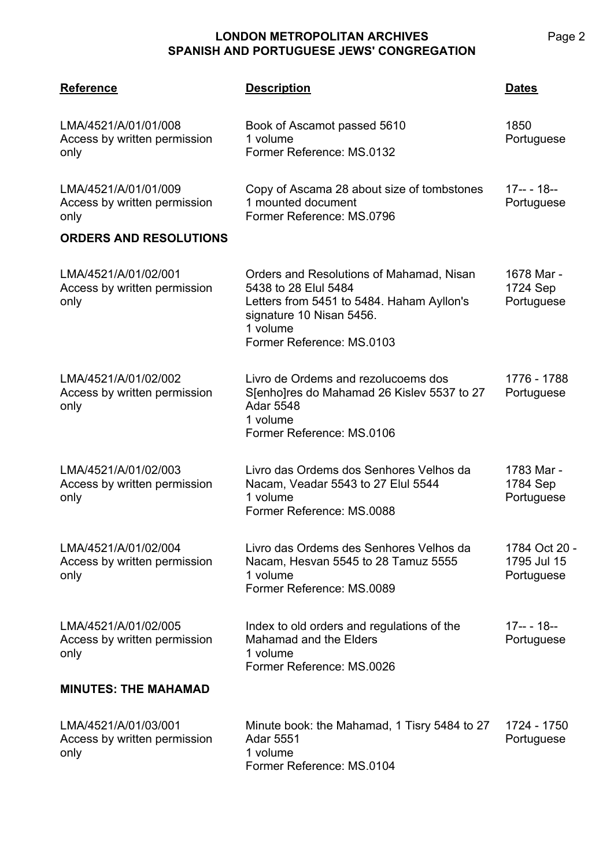| <b>Reference</b>                                             | <b>Description</b>                                                                                                                                                                 | <b>Dates</b>                               |
|--------------------------------------------------------------|------------------------------------------------------------------------------------------------------------------------------------------------------------------------------------|--------------------------------------------|
| LMA/4521/A/01/01/008<br>Access by written permission<br>only | Book of Ascamot passed 5610<br>1 volume<br>Former Reference: MS.0132                                                                                                               | 1850<br>Portuguese                         |
| LMA/4521/A/01/01/009<br>Access by written permission<br>only | Copy of Ascama 28 about size of tombstones<br>1 mounted document<br>Former Reference: MS.0796                                                                                      | $17--18--$<br>Portuguese                   |
| <b>ORDERS AND RESOLUTIONS</b>                                |                                                                                                                                                                                    |                                            |
| LMA/4521/A/01/02/001<br>Access by written permission<br>only | Orders and Resolutions of Mahamad, Nisan<br>5438 to 28 Elul 5484<br>Letters from 5451 to 5484. Haham Ayllon's<br>signature 10 Nisan 5456.<br>1 volume<br>Former Reference: MS.0103 | 1678 Mar -<br>1724 Sep<br>Portuguese       |
| LMA/4521/A/01/02/002<br>Access by written permission<br>only | Livro de Ordems and rezolucoems dos<br>S[enho]res do Mahamad 26 Kislev 5537 to 27<br><b>Adar 5548</b><br>1 volume<br>Former Reference: MS.0106                                     | 1776 - 1788<br>Portuguese                  |
| LMA/4521/A/01/02/003<br>Access by written permission<br>only | Livro das Ordems dos Senhores Velhos da<br>Nacam, Veadar 5543 to 27 Elul 5544<br>1 volume<br>Former Reference: MS.0088                                                             | 1783 Mar -<br>1784 Sep<br>Portuguese       |
| LMA/4521/A/01/02/004<br>Access by written permission<br>only | Livro das Ordems des Senhores Velhos da<br>Nacam, Hesvan 5545 to 28 Tamuz 5555<br>1 volume<br>Former Reference: MS.0089                                                            | 1784 Oct 20 -<br>1795 Jul 15<br>Portuguese |
| LMA/4521/A/01/02/005<br>Access by written permission<br>only | Index to old orders and regulations of the<br>Mahamad and the Elders<br>1 volume<br>Former Reference: MS.0026                                                                      | $17-- 18--$<br>Portuguese                  |
| <b>MINUTES: THE MAHAMAD</b>                                  |                                                                                                                                                                                    |                                            |
| LMA/4521/A/01/03/001<br>Access by written permission<br>only | Minute book: the Mahamad, 1 Tisry 5484 to 27<br><b>Adar 5551</b><br>1 volume<br>Former Reference: MS.0104                                                                          | 1724 - 1750<br>Portuguese                  |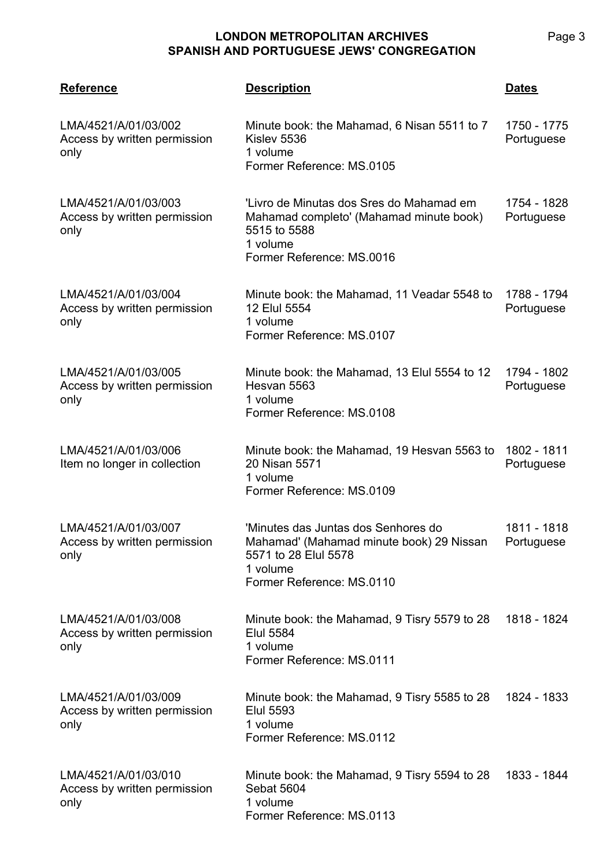| <b>Reference</b>                                             | <b>Description</b>                                                                                                                               | <b>Dates</b>              |
|--------------------------------------------------------------|--------------------------------------------------------------------------------------------------------------------------------------------------|---------------------------|
| LMA/4521/A/01/03/002<br>Access by written permission<br>only | Minute book: the Mahamad, 6 Nisan 5511 to 7<br>Kislev 5536<br>1 volume<br>Former Reference: MS.0105                                              | 1750 - 1775<br>Portuguese |
| LMA/4521/A/01/03/003<br>Access by written permission<br>only | 'Livro de Minutas dos Sres do Mahamad em<br>Mahamad completo' (Mahamad minute book)<br>5515 to 5588<br>1 volume<br>Former Reference: MS.0016     | 1754 - 1828<br>Portuguese |
| LMA/4521/A/01/03/004<br>Access by written permission<br>only | Minute book: the Mahamad, 11 Veadar 5548 to<br>12 Elul 5554<br>1 volume<br>Former Reference: MS.0107                                             | 1788 - 1794<br>Portuguese |
| LMA/4521/A/01/03/005<br>Access by written permission<br>only | Minute book: the Mahamad, 13 Elul 5554 to 12<br>Hesvan 5563<br>1 volume<br>Former Reference: MS.0108                                             | 1794 - 1802<br>Portuguese |
| LMA/4521/A/01/03/006<br>Item no longer in collection         | Minute book: the Mahamad, 19 Hesvan 5563 to<br>20 Nisan 5571<br>1 volume<br>Former Reference: MS.0109                                            | 1802 - 1811<br>Portuguese |
| LMA/4521/A/01/03/007<br>Access by written permission<br>only | 'Minutes das Juntas dos Senhores do<br>Mahamad' (Mahamad minute book) 29 Nissan<br>5571 to 28 Elul 5578<br>1 volume<br>Former Reference: MS.0110 | 1811 - 1818<br>Portuguese |
| LMA/4521/A/01/03/008<br>Access by written permission<br>only | Minute book: the Mahamad, 9 Tisry 5579 to 28<br><b>Elul 5584</b><br>1 volume<br>Former Reference: MS.0111                                        | 1818 - 1824               |
| LMA/4521/A/01/03/009<br>Access by written permission<br>only | Minute book: the Mahamad, 9 Tisry 5585 to 28<br><b>Elul 5593</b><br>1 volume<br>Former Reference: MS.0112                                        | 1824 - 1833               |
| LMA/4521/A/01/03/010<br>Access by written permission<br>only | Minute book: the Mahamad, 9 Tisry 5594 to 28<br><b>Sebat 5604</b><br>1 volume<br>Former Reference: MS.0113                                       | 1833 - 1844               |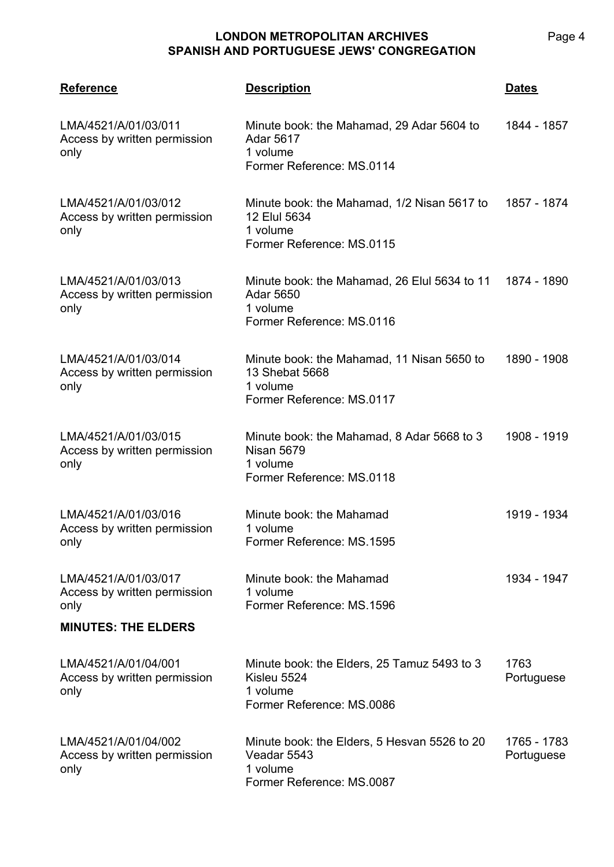| <b>Reference</b>                                             | <b>Description</b>                                                                                        | <b>Dates</b>              |
|--------------------------------------------------------------|-----------------------------------------------------------------------------------------------------------|---------------------------|
| LMA/4521/A/01/03/011<br>Access by written permission<br>only | Minute book: the Mahamad, 29 Adar 5604 to<br><b>Adar 5617</b><br>1 volume<br>Former Reference: MS.0114    | 1844 - 1857               |
| LMA/4521/A/01/03/012<br>Access by written permission<br>only | Minute book: the Mahamad, 1/2 Nisan 5617 to<br>12 Elul 5634<br>1 volume<br>Former Reference: MS.0115      | 1857 - 1874               |
| LMA/4521/A/01/03/013<br>Access by written permission<br>only | Minute book: the Mahamad, 26 Elul 5634 to 11<br><b>Adar 5650</b><br>1 volume<br>Former Reference: MS.0116 | 1874 - 1890               |
| LMA/4521/A/01/03/014<br>Access by written permission<br>only | Minute book: the Mahamad, 11 Nisan 5650 to<br>13 Shebat 5668<br>1 volume<br>Former Reference: MS.0117     | 1890 - 1908               |
| LMA/4521/A/01/03/015<br>Access by written permission<br>only | Minute book: the Mahamad, 8 Adar 5668 to 3<br><b>Nisan 5679</b><br>1 volume<br>Former Reference: MS.0118  | 1908 - 1919               |
| LMA/4521/A/01/03/016<br>Access by written permission<br>only | Minute book: the Mahamad<br>1 volume<br>Former Reference: MS.1595                                         | 1919 - 1934               |
| LMA/4521/A/01/03/017<br>Access by written permission<br>only | Minute book: the Mahamad<br>1 volume<br>Former Reference: MS.1596                                         | 1934 - 1947               |
| <b>MINUTES: THE ELDERS</b>                                   |                                                                                                           |                           |
| LMA/4521/A/01/04/001<br>Access by written permission<br>only | Minute book: the Elders, 25 Tamuz 5493 to 3<br>Kisleu 5524<br>1 volume<br>Former Reference: MS.0086       | 1763<br>Portuguese        |
| LMA/4521/A/01/04/002<br>Access by written permission<br>only | Minute book: the Elders, 5 Hesvan 5526 to 20<br>Veadar 5543<br>1 volume<br>Former Reference: MS.0087      | 1765 - 1783<br>Portuguese |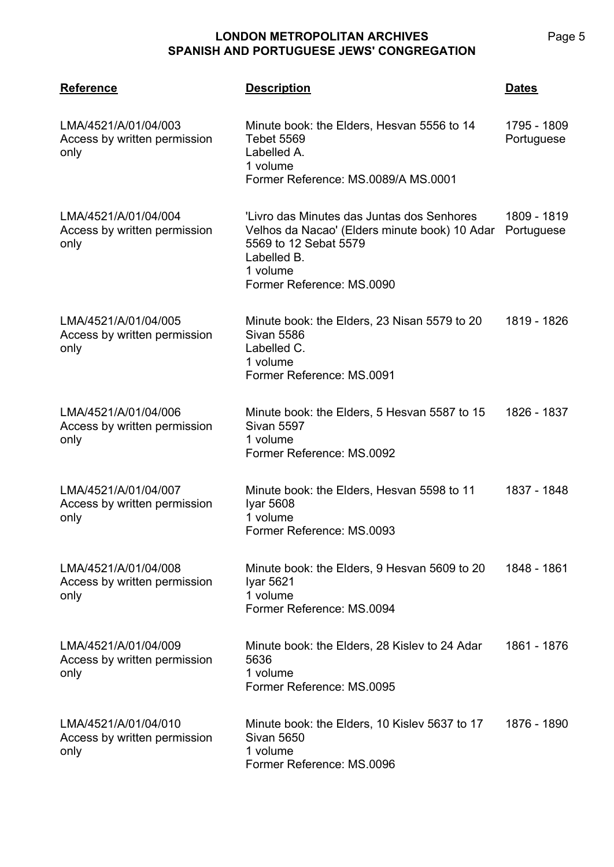| <b>Reference</b>                                             | <b>Description</b>                                                                                                                                                           | <b>Dates</b>              |
|--------------------------------------------------------------|------------------------------------------------------------------------------------------------------------------------------------------------------------------------------|---------------------------|
| LMA/4521/A/01/04/003<br>Access by written permission<br>only | Minute book: the Elders, Hesvan 5556 to 14<br><b>Tebet 5569</b><br>Labelled A.<br>1 volume<br>Former Reference: MS.0089/A MS.0001                                            | 1795 - 1809<br>Portuguese |
| LMA/4521/A/01/04/004<br>Access by written permission<br>only | 'Livro das Minutes das Juntas dos Senhores<br>Velhos da Nacao' (Elders minute book) 10 Adar<br>5569 to 12 Sebat 5579<br>Labelled B.<br>1 volume<br>Former Reference: MS.0090 | 1809 - 1819<br>Portuguese |
| LMA/4521/A/01/04/005<br>Access by written permission<br>only | Minute book: the Elders, 23 Nisan 5579 to 20<br><b>Sivan 5586</b><br>Labelled C.<br>1 volume<br>Former Reference: MS.0091                                                    | 1819 - 1826               |
| LMA/4521/A/01/04/006<br>Access by written permission<br>only | Minute book: the Elders, 5 Hesvan 5587 to 15<br><b>Sivan 5597</b><br>1 volume<br>Former Reference: MS.0092                                                                   | 1826 - 1837               |
| LMA/4521/A/01/04/007<br>Access by written permission<br>only | Minute book: the Elders, Hesvan 5598 to 11<br>Iyar 5608<br>1 volume<br>Former Reference: MS.0093                                                                             | 1837 - 1848               |
| LMA/4521/A/01/04/008<br>Access by written permission<br>only | Minute book: the Elders, 9 Hesvan 5609 to 20<br>Iyar 5621<br>1 volume<br>Former Reference: MS.0094                                                                           | 1848 - 1861               |
| LMA/4521/A/01/04/009<br>Access by written permission<br>only | Minute book: the Elders, 28 Kislev to 24 Adar<br>5636<br>1 volume<br>Former Reference: MS.0095                                                                               | 1861 - 1876               |
| LMA/4521/A/01/04/010<br>Access by written permission<br>only | Minute book: the Elders, 10 Kislev 5637 to 17<br><b>Sivan 5650</b><br>1 volume<br>Former Reference: MS.0096                                                                  | 1876 - 1890               |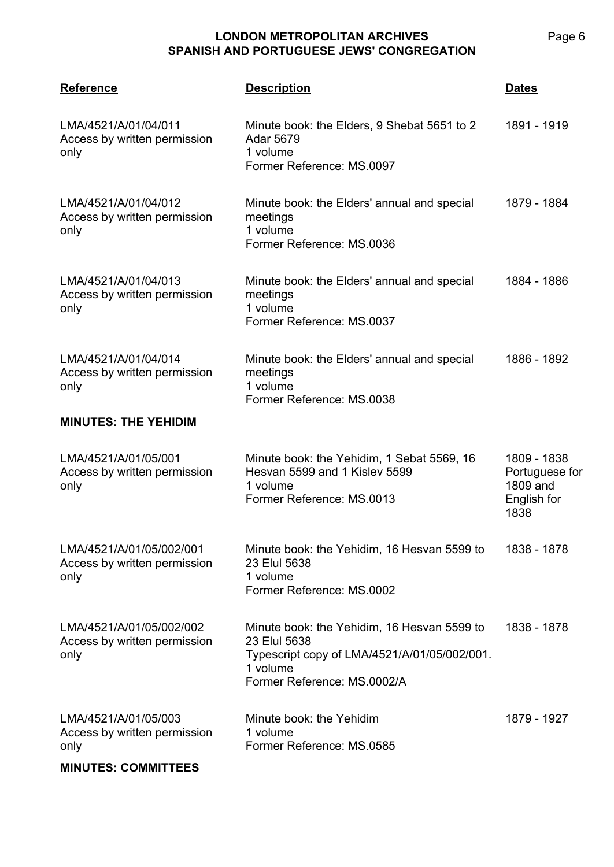| <b>Reference</b>                                                 | <b>Description</b>                                                                                                                                     | <b>Dates</b>                                                     |
|------------------------------------------------------------------|--------------------------------------------------------------------------------------------------------------------------------------------------------|------------------------------------------------------------------|
| LMA/4521/A/01/04/011<br>Access by written permission<br>only     | Minute book: the Elders, 9 Shebat 5651 to 2<br><b>Adar 5679</b><br>1 volume<br>Former Reference: MS.0097                                               | 1891 - 1919                                                      |
| LMA/4521/A/01/04/012<br>Access by written permission<br>only     | Minute book: the Elders' annual and special<br>meetings<br>1 volume<br>Former Reference: MS.0036                                                       | 1879 - 1884                                                      |
| LMA/4521/A/01/04/013<br>Access by written permission<br>only     | Minute book: the Elders' annual and special<br>meetings<br>1 volume<br>Former Reference: MS.0037                                                       | 1884 - 1886                                                      |
| LMA/4521/A/01/04/014<br>Access by written permission<br>only     | Minute book: the Elders' annual and special<br>meetings<br>1 volume<br>Former Reference: MS.0038                                                       | 1886 - 1892                                                      |
| <b>MINUTES: THE YEHIDIM</b>                                      |                                                                                                                                                        |                                                                  |
| LMA/4521/A/01/05/001<br>Access by written permission<br>only     | Minute book: the Yehidim, 1 Sebat 5569, 16<br>Hesvan 5599 and 1 Kisley 5599<br>1 volume<br>Former Reference: MS.0013                                   | 1809 - 1838<br>Portuguese for<br>1809 and<br>English for<br>1838 |
| LMA/4521/A/01/05/002/001<br>Access by written permission<br>only | Minute book: the Yehidim, 16 Hesvan 5599 to<br>23 Elul 5638<br>1 volume<br>Former Reference: MS.0002                                                   | 1838 - 1878                                                      |
| LMA/4521/A/01/05/002/002<br>Access by written permission<br>only | Minute book: the Yehidim, 16 Hesvan 5599 to<br>23 Elul 5638<br>Typescript copy of LMA/4521/A/01/05/002/001.<br>1 volume<br>Former Reference: MS.0002/A | 1838 - 1878                                                      |
| LMA/4521/A/01/05/003<br>Access by written permission<br>only     | Minute book: the Yehidim<br>1 volume<br>Former Reference: MS.0585                                                                                      | 1879 - 1927                                                      |

#### **MINUTES: COMMITTEES**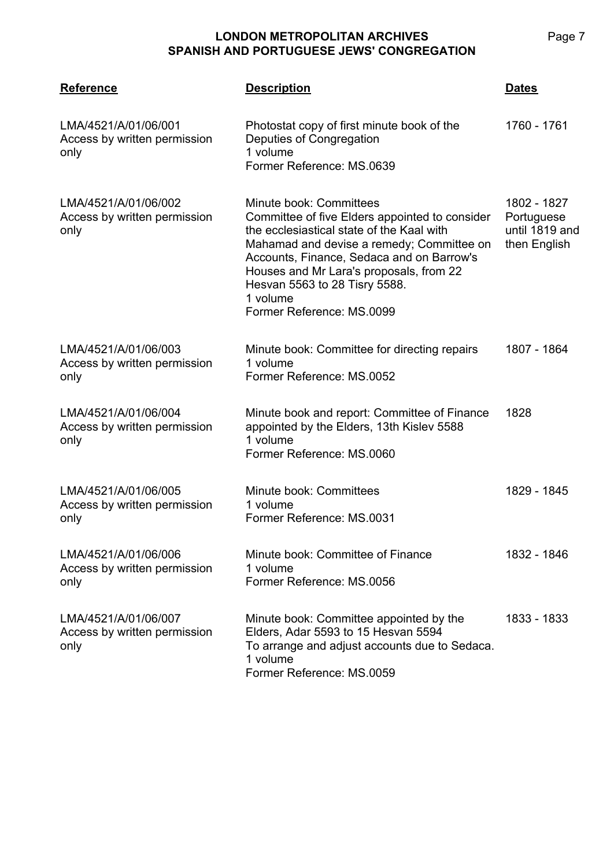| <b>Reference</b>                                             | <b>Description</b>                                                                                                                                                                                                                                                                                                                    | <b>Dates</b>                                                |
|--------------------------------------------------------------|---------------------------------------------------------------------------------------------------------------------------------------------------------------------------------------------------------------------------------------------------------------------------------------------------------------------------------------|-------------------------------------------------------------|
| LMA/4521/A/01/06/001<br>Access by written permission<br>only | Photostat copy of first minute book of the<br>Deputies of Congregation<br>1 volume<br>Former Reference: MS.0639                                                                                                                                                                                                                       | 1760 - 1761                                                 |
| LMA/4521/A/01/06/002<br>Access by written permission<br>only | Minute book: Committees<br>Committee of five Elders appointed to consider<br>the ecclesiastical state of the Kaal with<br>Mahamad and devise a remedy; Committee on<br>Accounts, Finance, Sedaca and on Barrow's<br>Houses and Mr Lara's proposals, from 22<br>Hesvan 5563 to 28 Tisry 5588.<br>1 volume<br>Former Reference: MS.0099 | 1802 - 1827<br>Portuguese<br>until 1819 and<br>then English |
| LMA/4521/A/01/06/003<br>Access by written permission<br>only | Minute book: Committee for directing repairs<br>1 volume<br>Former Reference: MS.0052                                                                                                                                                                                                                                                 | 1807 - 1864                                                 |
| LMA/4521/A/01/06/004<br>Access by written permission<br>only | Minute book and report: Committee of Finance<br>appointed by the Elders, 13th Kislev 5588<br>1 volume<br>Former Reference: MS.0060                                                                                                                                                                                                    | 1828                                                        |
| LMA/4521/A/01/06/005<br>Access by written permission<br>only | Minute book: Committees<br>1 volume<br>Former Reference: MS.0031                                                                                                                                                                                                                                                                      | 1829 - 1845                                                 |
| LMA/4521/A/01/06/006<br>Access by written permission<br>only | Minute book: Committee of Finance<br>1 volume<br>Former Reference: MS.0056                                                                                                                                                                                                                                                            | 1832 - 1846                                                 |
| LMA/4521/A/01/06/007<br>Access by written permission<br>only | Minute book: Committee appointed by the<br>Elders, Adar 5593 to 15 Hesvan 5594<br>To arrange and adjust accounts due to Sedaca.<br>1 volume<br>Former Reference: MS.0059                                                                                                                                                              | 1833 - 1833                                                 |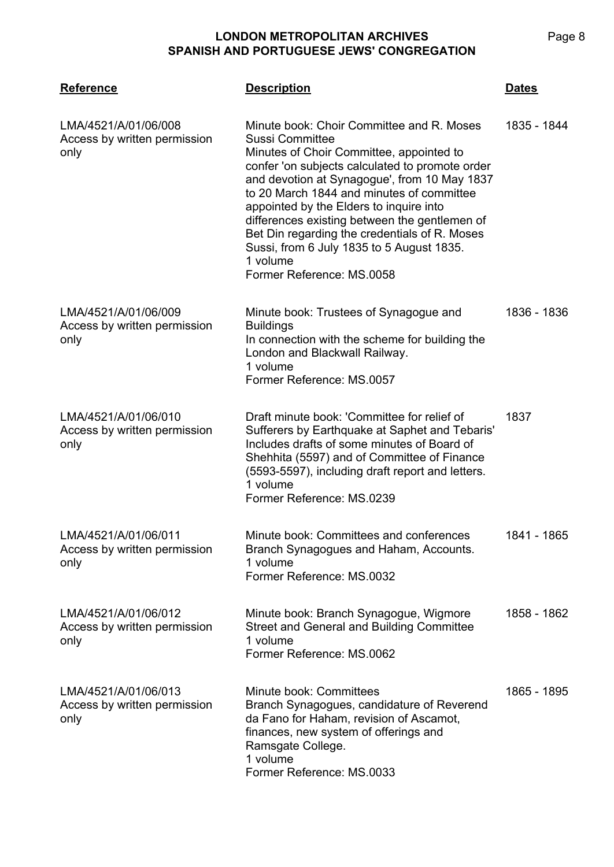| <b>Reference</b>                                             | <b>Description</b>                                                                                                                                                                                                                                                                                                                                                                                                                                                                          | <b>Dates</b> |
|--------------------------------------------------------------|---------------------------------------------------------------------------------------------------------------------------------------------------------------------------------------------------------------------------------------------------------------------------------------------------------------------------------------------------------------------------------------------------------------------------------------------------------------------------------------------|--------------|
| LMA/4521/A/01/06/008<br>Access by written permission<br>only | Minute book: Choir Committee and R. Moses<br>Sussi Committee<br>Minutes of Choir Committee, appointed to<br>confer 'on subjects calculated to promote order<br>and devotion at Synagogue', from 10 May 1837<br>to 20 March 1844 and minutes of committee<br>appointed by the Elders to inquire into<br>differences existing between the gentlemen of<br>Bet Din regarding the credentials of R. Moses<br>Sussi, from 6 July 1835 to 5 August 1835.<br>1 volume<br>Former Reference: MS.0058 | 1835 - 1844  |
| LMA/4521/A/01/06/009<br>Access by written permission<br>only | Minute book: Trustees of Synagogue and<br><b>Buildings</b><br>In connection with the scheme for building the<br>London and Blackwall Railway.<br>1 volume<br>Former Reference: MS.0057                                                                                                                                                                                                                                                                                                      | 1836 - 1836  |
| LMA/4521/A/01/06/010<br>Access by written permission<br>only | Draft minute book: 'Committee for relief of<br>Sufferers by Earthquake at Saphet and Tebaris'<br>Includes drafts of some minutes of Board of<br>Shehhita (5597) and of Committee of Finance<br>(5593-5597), including draft report and letters.<br>1 volume<br>Former Reference: MS.0239                                                                                                                                                                                                    | 1837         |
| LMA/4521/A/01/06/011<br>Access by written permission<br>only | Minute book: Committees and conferences<br>Branch Synagogues and Haham, Accounts.<br>1 volume<br>Former Reference: MS.0032                                                                                                                                                                                                                                                                                                                                                                  | 1841 - 1865  |
| LMA/4521/A/01/06/012<br>Access by written permission<br>only | Minute book: Branch Synagogue, Wigmore<br><b>Street and General and Building Committee</b><br>1 volume<br>Former Reference: MS.0062                                                                                                                                                                                                                                                                                                                                                         | 1858 - 1862  |
| LMA/4521/A/01/06/013<br>Access by written permission<br>only | Minute book: Committees<br>Branch Synagogues, candidature of Reverend<br>da Fano for Haham, revision of Ascamot,<br>finances, new system of offerings and<br>Ramsgate College.<br>1 volume<br>Former Reference: MS.0033                                                                                                                                                                                                                                                                     | 1865 - 1895  |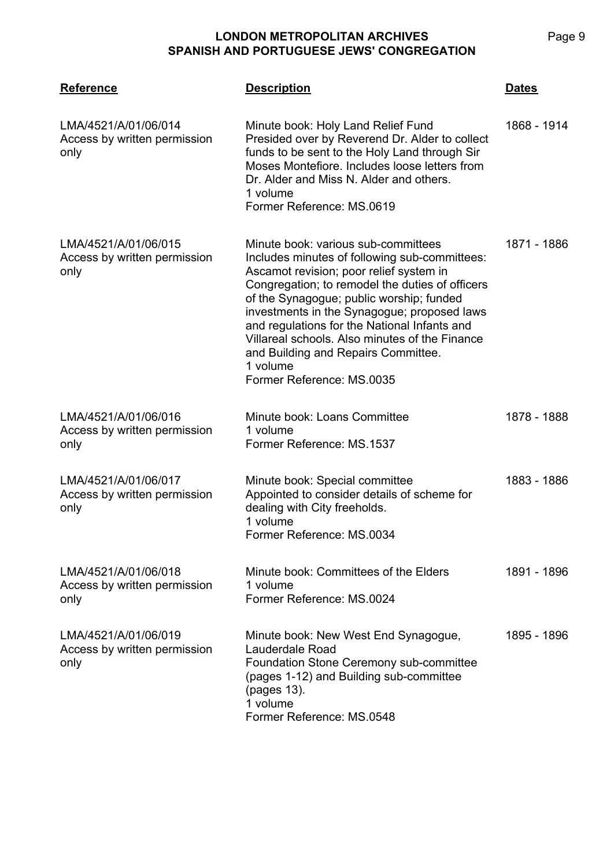| <b>Reference</b>                                             | <b>Description</b>                                                                                                                                                                                                                                                                                                                                                                                                                                              | <u>Dates</u> |
|--------------------------------------------------------------|-----------------------------------------------------------------------------------------------------------------------------------------------------------------------------------------------------------------------------------------------------------------------------------------------------------------------------------------------------------------------------------------------------------------------------------------------------------------|--------------|
| LMA/4521/A/01/06/014<br>Access by written permission<br>only | Minute book: Holy Land Relief Fund<br>Presided over by Reverend Dr. Alder to collect<br>funds to be sent to the Holy Land through Sir<br>Moses Montefiore. Includes loose letters from<br>Dr. Alder and Miss N. Alder and others.<br>1 volume<br>Former Reference: MS.0619                                                                                                                                                                                      | 1868 - 1914  |
| LMA/4521/A/01/06/015<br>Access by written permission<br>only | Minute book: various sub-committees<br>Includes minutes of following sub-committees:<br>Ascamot revision; poor relief system in<br>Congregation; to remodel the duties of officers<br>of the Synagogue; public worship; funded<br>investments in the Synagogue; proposed laws<br>and regulations for the National Infants and<br>Villareal schools. Also minutes of the Finance<br>and Building and Repairs Committee.<br>1 volume<br>Former Reference: MS.0035 | 1871 - 1886  |
| LMA/4521/A/01/06/016<br>Access by written permission<br>only | Minute book: Loans Committee<br>1 volume<br>Former Reference: MS.1537                                                                                                                                                                                                                                                                                                                                                                                           | 1878 - 1888  |
| LMA/4521/A/01/06/017<br>Access by written permission<br>only | Minute book: Special committee<br>Appointed to consider details of scheme for<br>dealing with City freeholds.<br>1 volume<br>Former Reference: MS.0034                                                                                                                                                                                                                                                                                                          | 1883 - 1886  |
| LMA/4521/A/01/06/018<br>Access by written permission<br>only | Minute book: Committees of the Elders<br>1 volume<br>Former Reference: MS.0024                                                                                                                                                                                                                                                                                                                                                                                  | 1891 - 1896  |
| LMA/4521/A/01/06/019<br>Access by written permission<br>only | Minute book: New West End Synagogue,<br>Lauderdale Road<br><b>Foundation Stone Ceremony sub-committee</b><br>(pages 1-12) and Building sub-committee<br>(pages 13).<br>1 volume<br>Former Reference: MS.0548                                                                                                                                                                                                                                                    | 1895 - 1896  |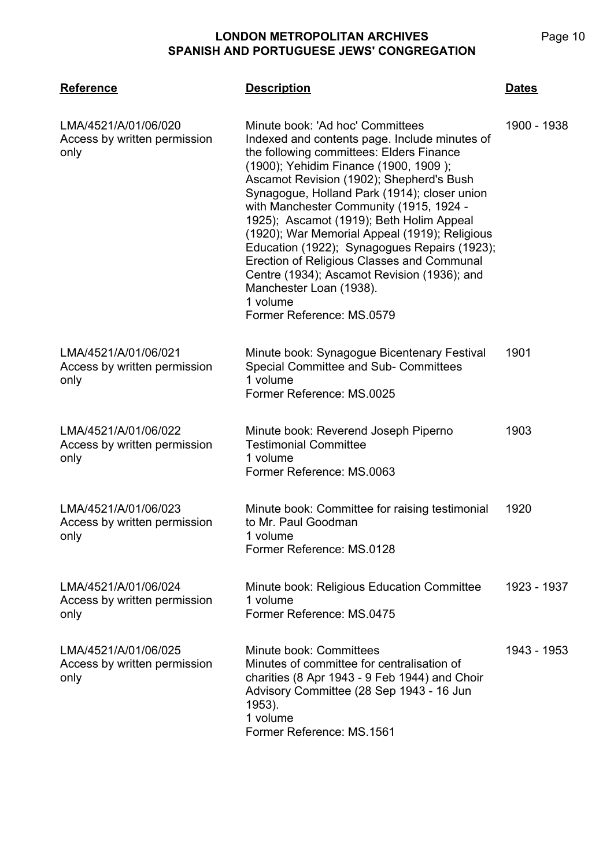| <b>Reference</b>                                             | <b>Description</b>                                                                                                                                                                                                                                                                                                                                                                                                                                                                                                                                                                                                          | <b>Dates</b> |
|--------------------------------------------------------------|-----------------------------------------------------------------------------------------------------------------------------------------------------------------------------------------------------------------------------------------------------------------------------------------------------------------------------------------------------------------------------------------------------------------------------------------------------------------------------------------------------------------------------------------------------------------------------------------------------------------------------|--------------|
| LMA/4521/A/01/06/020<br>Access by written permission<br>only | Minute book: 'Ad hoc' Committees<br>Indexed and contents page. Include minutes of<br>the following committees: Elders Finance<br>(1900); Yehidim Finance (1900, 1909);<br>Ascamot Revision (1902); Shepherd's Bush<br>Synagogue, Holland Park (1914); closer union<br>with Manchester Community (1915, 1924 -<br>1925); Ascamot (1919); Beth Holim Appeal<br>(1920); War Memorial Appeal (1919); Religious<br>Education (1922); Synagogues Repairs (1923);<br>Erection of Religious Classes and Communal<br>Centre (1934); Ascamot Revision (1936); and<br>Manchester Loan (1938).<br>1 volume<br>Former Reference: MS.0579 | 1900 - 1938  |
| LMA/4521/A/01/06/021<br>Access by written permission<br>only | Minute book: Synagogue Bicentenary Festival<br>Special Committee and Sub- Committees<br>1 volume<br>Former Reference: MS.0025                                                                                                                                                                                                                                                                                                                                                                                                                                                                                               | 1901         |
| LMA/4521/A/01/06/022<br>Access by written permission<br>only | Minute book: Reverend Joseph Piperno<br><b>Testimonial Committee</b><br>1 volume<br>Former Reference: MS.0063                                                                                                                                                                                                                                                                                                                                                                                                                                                                                                               | 1903         |
| LMA/4521/A/01/06/023<br>Access by written permission<br>only | Minute book: Committee for raising testimonial<br>to Mr. Paul Goodman<br>1 volume<br>Former Reference: MS.0128                                                                                                                                                                                                                                                                                                                                                                                                                                                                                                              | 1920         |
| LMA/4521/A/01/06/024<br>Access by written permission<br>only | Minute book: Religious Education Committee<br>1 volume<br>Former Reference: MS.0475                                                                                                                                                                                                                                                                                                                                                                                                                                                                                                                                         | 1923 - 1937  |
| LMA/4521/A/01/06/025<br>Access by written permission<br>only | Minute book: Committees<br>Minutes of committee for centralisation of<br>charities (8 Apr 1943 - 9 Feb 1944) and Choir<br>Advisory Committee (28 Sep 1943 - 16 Jun<br>1953).<br>1 volume<br>Former Reference: MS.1561                                                                                                                                                                                                                                                                                                                                                                                                       | 1943 - 1953  |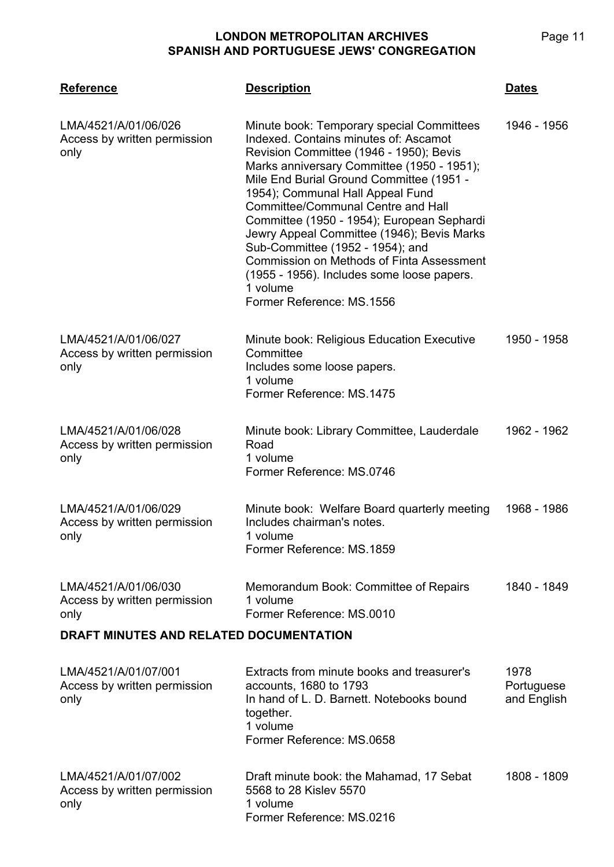| <b>Reference</b>                                                                                        | <b>Description</b>                                                                                                                                                                                                                                                                                                                                                                                                                                                                                                                                                                  | <u>Dates</u>              |
|---------------------------------------------------------------------------------------------------------|-------------------------------------------------------------------------------------------------------------------------------------------------------------------------------------------------------------------------------------------------------------------------------------------------------------------------------------------------------------------------------------------------------------------------------------------------------------------------------------------------------------------------------------------------------------------------------------|---------------------------|
| LMA/4521/A/01/06/026<br>Access by written permission<br>only                                            | Minute book: Temporary special Committees<br>Indexed. Contains minutes of: Ascamot<br>Revision Committee (1946 - 1950); Bevis<br>Marks anniversary Committee (1950 - 1951);<br>Mile End Burial Ground Committee (1951 -<br>1954); Communal Hall Appeal Fund<br><b>Committee/Communal Centre and Hall</b><br>Committee (1950 - 1954); European Sephardi<br>Jewry Appeal Committee (1946); Bevis Marks<br>Sub-Committee (1952 - 1954); and<br><b>Commission on Methods of Finta Assessment</b><br>(1955 - 1956). Includes some loose papers.<br>1 volume<br>Former Reference: MS.1556 | 1946 - 1956               |
| LMA/4521/A/01/06/027<br>Access by written permission<br>only                                            | Minute book: Religious Education Executive<br>Committee<br>Includes some loose papers.<br>1 volume<br>Former Reference: MS.1475                                                                                                                                                                                                                                                                                                                                                                                                                                                     | 1950 - 1958               |
| LMA/4521/A/01/06/028<br>Access by written permission<br>only                                            | Minute book: Library Committee, Lauderdale<br>Road<br>1 volume<br>Former Reference: MS.0746                                                                                                                                                                                                                                                                                                                                                                                                                                                                                         | 1962 - 1962               |
| LMA/4521/A/01/06/029<br>Access by written permission<br>only                                            | Minute book: Welfare Board quarterly meeting<br>Includes chairman's notes.<br>1 volume<br>Former Reference: MS.1859                                                                                                                                                                                                                                                                                                                                                                                                                                                                 | 1968 - 1986               |
| LMA/4521/A/01/06/030<br>Access by written permission<br>only<br>DRAFT MINUTES AND RELATED DOCUMENTATION | Memorandum Book: Committee of Repairs<br>1 volume<br>Former Reference: MS.0010                                                                                                                                                                                                                                                                                                                                                                                                                                                                                                      | 1840 - 1849               |
| LMA/4521/A/01/07/001                                                                                    | Extracts from minute books and treasurer's                                                                                                                                                                                                                                                                                                                                                                                                                                                                                                                                          | 1978                      |
| Access by written permission<br>only                                                                    | accounts, 1680 to 1793<br>In hand of L. D. Barnett. Notebooks bound<br>together.<br>1 volume<br>Former Reference: MS.0658                                                                                                                                                                                                                                                                                                                                                                                                                                                           | Portuguese<br>and English |
| LMA/4521/A/01/07/002<br>Access by written permission<br>only                                            | Draft minute book: the Mahamad, 17 Sebat<br>5568 to 28 Kislev 5570<br>1 volume<br>Former Reference: MS.0216                                                                                                                                                                                                                                                                                                                                                                                                                                                                         | 1808 - 1809               |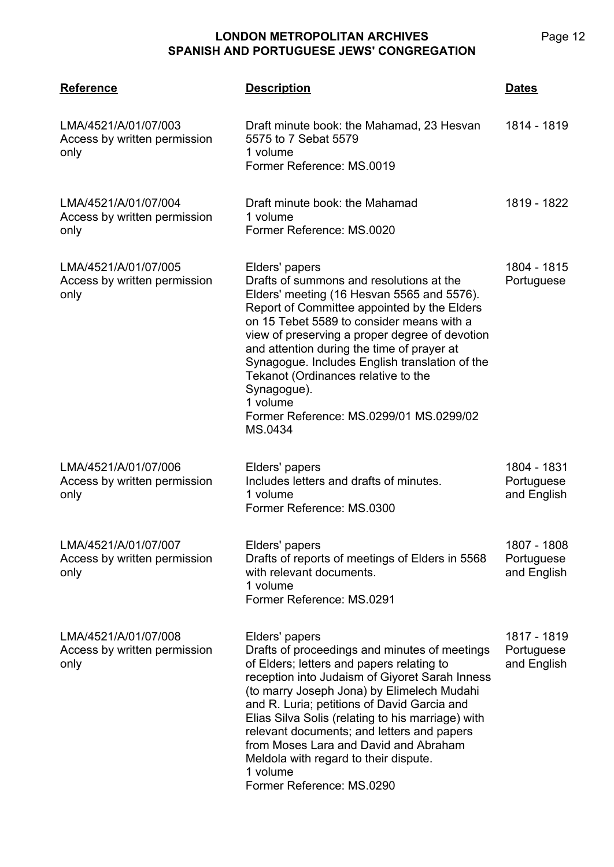| <b>Reference</b>                                             | <b>Description</b>                                                                                                                                                                                                                                                                                                                                                                                                                                                                        | <b>Dates</b>                             |
|--------------------------------------------------------------|-------------------------------------------------------------------------------------------------------------------------------------------------------------------------------------------------------------------------------------------------------------------------------------------------------------------------------------------------------------------------------------------------------------------------------------------------------------------------------------------|------------------------------------------|
| LMA/4521/A/01/07/003<br>Access by written permission<br>only | Draft minute book: the Mahamad, 23 Hesvan<br>5575 to 7 Sebat 5579<br>1 volume<br>Former Reference: MS.0019                                                                                                                                                                                                                                                                                                                                                                                | 1814 - 1819                              |
| LMA/4521/A/01/07/004<br>Access by written permission<br>only | Draft minute book: the Mahamad<br>1 volume<br>Former Reference: MS.0020                                                                                                                                                                                                                                                                                                                                                                                                                   | 1819 - 1822                              |
| LMA/4521/A/01/07/005<br>Access by written permission<br>only | Elders' papers<br>Drafts of summons and resolutions at the<br>Elders' meeting (16 Hesvan 5565 and 5576).<br>Report of Committee appointed by the Elders<br>on 15 Tebet 5589 to consider means with a<br>view of preserving a proper degree of devotion<br>and attention during the time of prayer at<br>Synagogue. Includes English translation of the<br>Tekanot (Ordinances relative to the<br>Synagogue).<br>1 volume<br>Former Reference: MS.0299/01 MS.0299/02<br>MS.0434            | 1804 - 1815<br>Portuguese                |
| LMA/4521/A/01/07/006<br>Access by written permission<br>only | Elders' papers<br>Includes letters and drafts of minutes.<br>1 volume<br>Former Reference: MS.0300                                                                                                                                                                                                                                                                                                                                                                                        | 1804 - 1831<br>Portuguese<br>and English |
| LMA/4521/A/01/07/007<br>Access by written permission<br>only | Elders' papers<br>Drafts of reports of meetings of Elders in 5568<br>with relevant documents.<br>1 volume<br>Former Reference: MS.0291                                                                                                                                                                                                                                                                                                                                                    | 1807 - 1808<br>Portuguese<br>and English |
| LMA/4521/A/01/07/008<br>Access by written permission<br>only | Elders' papers<br>Drafts of proceedings and minutes of meetings<br>of Elders; letters and papers relating to<br>reception into Judaism of Giyoret Sarah Inness<br>(to marry Joseph Jona) by Elimelech Mudahi<br>and R. Luria; petitions of David Garcia and<br>Elias Silva Solis (relating to his marriage) with<br>relevant documents; and letters and papers<br>from Moses Lara and David and Abraham<br>Meldola with regard to their dispute.<br>1 volume<br>Former Reference: MS.0290 | 1817 - 1819<br>Portuguese<br>and English |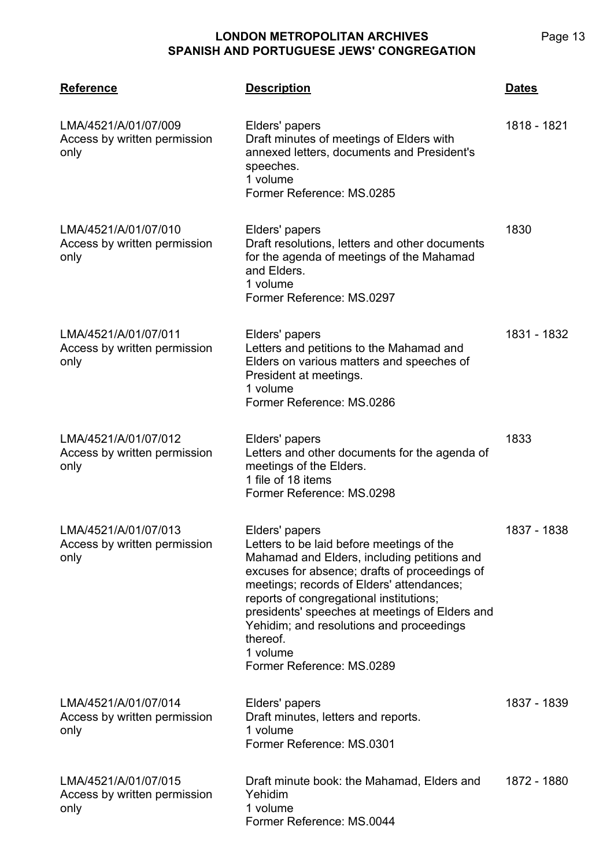| <b>Reference</b>                                             | <b>Description</b>                                                                                                                                                                                                                                                                                                                                                                                     | <b>Dates</b> |
|--------------------------------------------------------------|--------------------------------------------------------------------------------------------------------------------------------------------------------------------------------------------------------------------------------------------------------------------------------------------------------------------------------------------------------------------------------------------------------|--------------|
| LMA/4521/A/01/07/009<br>Access by written permission<br>only | Elders' papers<br>Draft minutes of meetings of Elders with<br>annexed letters, documents and President's<br>speeches.<br>1 volume<br>Former Reference: MS.0285                                                                                                                                                                                                                                         | 1818 - 1821  |
| LMA/4521/A/01/07/010<br>Access by written permission<br>only | Elders' papers<br>Draft resolutions, letters and other documents<br>for the agenda of meetings of the Mahamad<br>and Elders.<br>1 volume<br>Former Reference: MS.0297                                                                                                                                                                                                                                  | 1830         |
| LMA/4521/A/01/07/011<br>Access by written permission<br>only | Elders' papers<br>Letters and petitions to the Mahamad and<br>Elders on various matters and speeches of<br>President at meetings.<br>1 volume<br>Former Reference: MS.0286                                                                                                                                                                                                                             | 1831 - 1832  |
| LMA/4521/A/01/07/012<br>Access by written permission<br>only | Elders' papers<br>Letters and other documents for the agenda of<br>meetings of the Elders.<br>1 file of 18 items<br>Former Reference: MS.0298                                                                                                                                                                                                                                                          | 1833         |
| LMA/4521/A/01/07/013<br>Access by written permission<br>only | Elders' papers<br>Letters to be laid before meetings of the<br>Mahamad and Elders, including petitions and<br>excuses for absence; drafts of proceedings of<br>meetings; records of Elders' attendances;<br>reports of congregational institutions;<br>presidents' speeches at meetings of Elders and<br>Yehidim; and resolutions and proceedings<br>thereof.<br>1 volume<br>Former Reference: MS.0289 | 1837 - 1838  |
| LMA/4521/A/01/07/014<br>Access by written permission<br>only | Elders' papers<br>Draft minutes, letters and reports.<br>1 volume<br>Former Reference: MS.0301                                                                                                                                                                                                                                                                                                         | 1837 - 1839  |
| LMA/4521/A/01/07/015<br>Access by written permission<br>only | Draft minute book: the Mahamad, Elders and<br>Yehidim<br>1 volume<br>Former Reference: MS.0044                                                                                                                                                                                                                                                                                                         | 1872 - 1880  |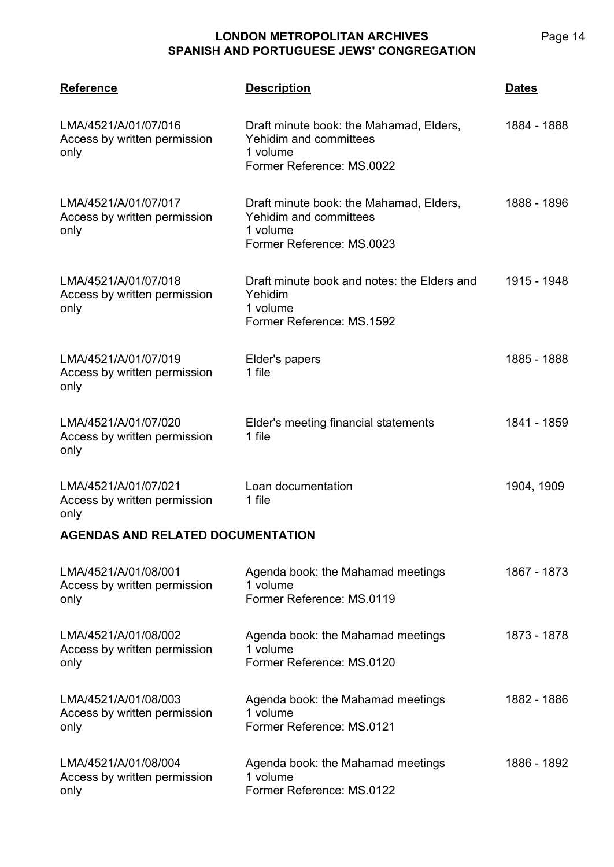**LMA/4521 Reference Description Dates** LMA/4521/A/01/07/016 Access by written permission only Draft minute book: the Mahamad, Elders, Yehidim and committees 1 volume Former Reference: MS.0022 1884 - 1888 LMA/4521/A/01/07/017 Access by written permission only Draft minute book: the Mahamad, Elders, Yehidim and committees 1 volume Former Reference: MS.0023 1888 - 1896 LMA/4521/A/01/07/018 Access by written permission only Draft minute book and notes: the Elders and Yehidim 1 volume Former Reference: MS.1592 1915 - 1948 LMA/4521/A/01/07/019 Access by written permission only Elder's papers 1 file 1885 - 1888 LMA/4521/A/01/07/020 Access by written permission only Elder's meeting financial statements 1 file 1841 - 1859 LMA/4521/A/01/07/021 Access by written permission only Loan documentation 1 file 1904, 1909 **AGENDAS AND RELATED DOCUMENTATION**

| LMA/4521/A/01/08/001<br>Access by written permission<br>only | Agenda book: the Mahamad meetings<br>1 volume<br>Former Reference: MS.0119 | 1867 - 1873 |
|--------------------------------------------------------------|----------------------------------------------------------------------------|-------------|
| LMA/4521/A/01/08/002<br>Access by written permission<br>only | Agenda book: the Mahamad meetings<br>1 volume<br>Former Reference: MS.0120 | 1873 - 1878 |
| LMA/4521/A/01/08/003<br>Access by written permission<br>only | Agenda book: the Mahamad meetings<br>1 volume<br>Former Reference: MS.0121 | 1882 - 1886 |
| LMA/4521/A/01/08/004<br>Access by written permission<br>only | Agenda book: the Mahamad meetings<br>1 volume<br>Former Reference: MS.0122 | 1886 - 1892 |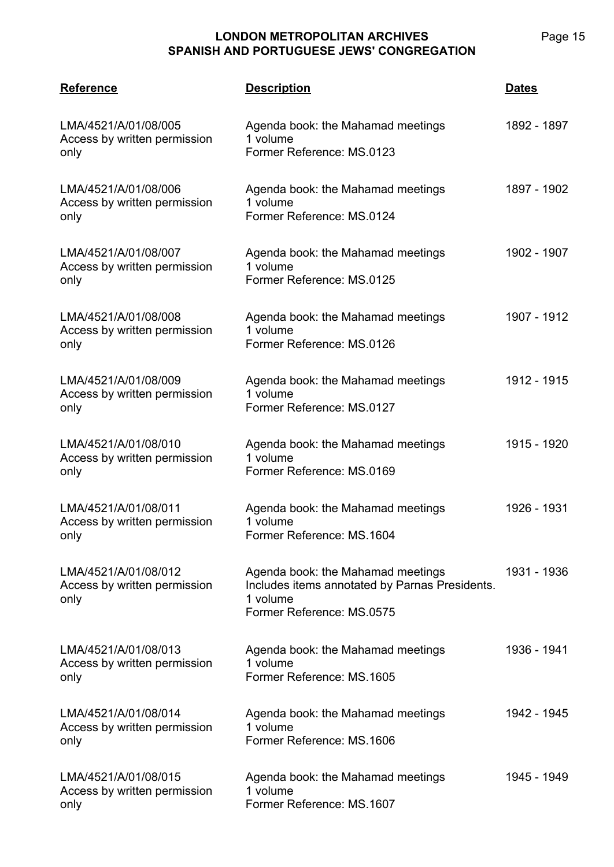**LMA/4521 Reference Description Dates** LMA/4521/A/01/08/005 Access by written permission only Agenda book: the Mahamad meetings 1 volume Former Reference: MS.0123 1892 - 1897 LMA/4521/A/01/08/006 Access by written permission only Agenda book: the Mahamad meetings 1 volume Former Reference: MS.0124 1897 - 1902 LMA/4521/A/01/08/007 Access by written permission only Agenda book: the Mahamad meetings 1 volume Former Reference: MS.0125 1902 - 1907 LMA/4521/A/01/08/008 Access by written permission only Agenda book: the Mahamad meetings 1 volume Former Reference: MS.0126 1907 - 1912 LMA/4521/A/01/08/009 Access by written permission only Agenda book: the Mahamad meetings 1 volume Former Reference: MS.0127 1912 - 1915 LMA/4521/A/01/08/010 Access by written permission only Agenda book: the Mahamad meetings 1 volume Former Reference: MS.0169 1915 - 1920 LMA/4521/A/01/08/011 Access by written permission only Agenda book: the Mahamad meetings 1 volume Former Reference: MS.1604 1926 - 1931 LMA/4521/A/01/08/012 Access by written permission only Agenda book: the Mahamad meetings Includes items annotated by Parnas Presidents. 1 volume Former Reference: MS.0575 1931 - 1936 LMA/4521/A/01/08/013 Access by written permission only Agenda book: the Mahamad meetings 1 volume Former Reference: MS.1605 1936 - 1941 LMA/4521/A/01/08/014 Access by written permission only Agenda book: the Mahamad meetings 1 volume Former Reference: MS.1606 1942 - 1945 LMA/4521/A/01/08/015 Access by written permission only Agenda book: the Mahamad meetings 1 volume Former Reference: MS.1607 1945 - 1949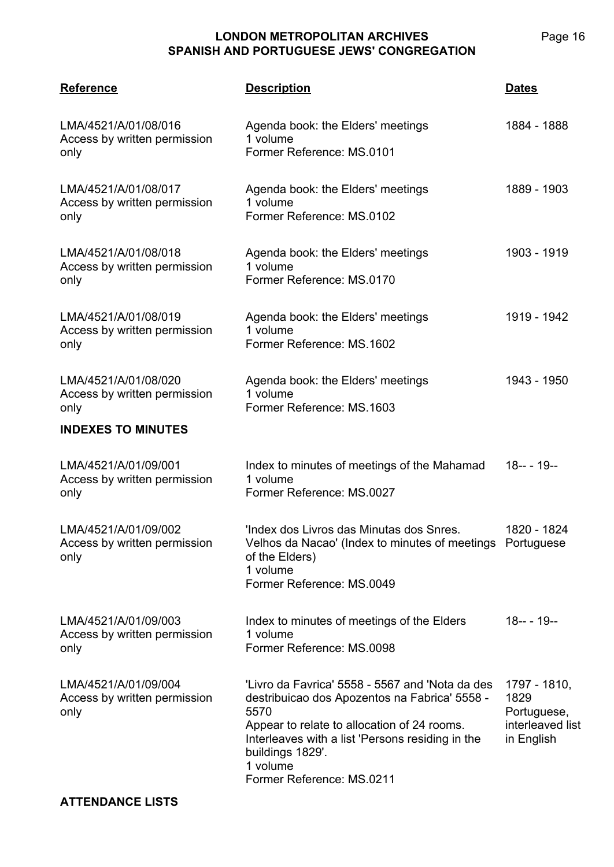**LMA/4521 Reference Description Dates** LMA/4521/A/01/08/016 Access by written permission only Agenda book: the Elders' meetings 1 volume Former Reference: MS.0101 1884 - 1888 LMA/4521/A/01/08/017 Access by written permission only Agenda book: the Elders' meetings 1 volume Former Reference: MS.0102 1889 - 1903 LMA/4521/A/01/08/018 Access by written permission only Agenda book: the Elders' meetings 1 volume Former Reference: MS.0170 1903 - 1919 LMA/4521/A/01/08/019 Access by written permission only Agenda book: the Elders' meetings 1 volume Former Reference: MS.1602 1919 - 1942 LMA/4521/A/01/08/020 Access by written permission only Agenda book: the Elders' meetings 1 volume Former Reference: MS.1603 1943 - 1950 **INDEXES TO MINUTES** LMA/4521/A/01/09/001 Access by written permission only Index to minutes of meetings of the Mahamad 1 volume Former Reference: MS.0027 18-- - 19-- LMA/4521/A/01/09/002 Access by written permission only 'Index dos Livros das Minutas dos Snres. Velhos da Nacao' (Index to minutes of meetings Portuguese of the Elders) 1 volume Former Reference: MS.0049 1820 - 1824 LMA/4521/A/01/09/003 Access by written permission only Index to minutes of meetings of the Elders 1 volume Former Reference: MS.0098 18-- - 19-- LMA/4521/A/01/09/004 Access by written permission only 'Livro da Favrica' 5558 - 5567 and 'Nota da des destribuicao dos Apozentos na Fabrica' 5558 - 5570 Appear to relate to allocation of 24 rooms. Interleaves with a list 'Persons residing in the buildings 1829'. 1 volume Former Reference: MS.0211 1797 - 1810, 1829 Portuguese, interleaved list in English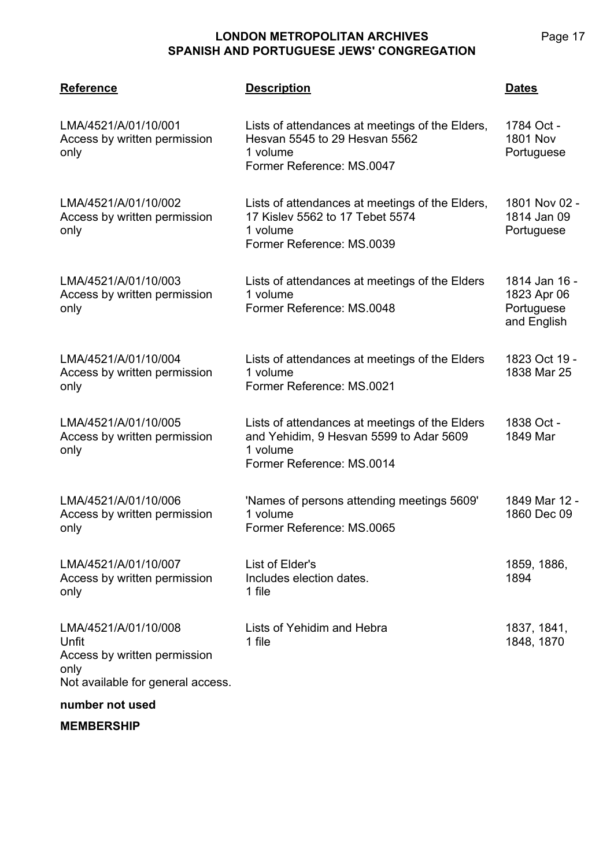| <b>Reference</b>                                                                                                              | <b>Description</b>                                                                                                                 | <b>Dates</b>                                              |
|-------------------------------------------------------------------------------------------------------------------------------|------------------------------------------------------------------------------------------------------------------------------------|-----------------------------------------------------------|
| LMA/4521/A/01/10/001<br>Access by written permission<br>only                                                                  | Lists of attendances at meetings of the Elders,<br>Hesvan 5545 to 29 Hesvan 5562<br>1 volume<br>Former Reference: MS.0047          | 1784 Oct -<br><b>1801 Nov</b><br>Portuguese               |
| LMA/4521/A/01/10/002<br>Access by written permission<br>only                                                                  | Lists of attendances at meetings of the Elders,<br>17 Kislev 5562 to 17 Tebet 5574<br>1 volume<br>Former Reference: MS.0039        | 1801 Nov 02 -<br>1814 Jan 09<br>Portuguese                |
| LMA/4521/A/01/10/003<br>Access by written permission<br>only                                                                  | Lists of attendances at meetings of the Elders<br>1 volume<br>Former Reference: MS.0048                                            | 1814 Jan 16 -<br>1823 Apr 06<br>Portuguese<br>and English |
| LMA/4521/A/01/10/004<br>Access by written permission<br>only                                                                  | Lists of attendances at meetings of the Elders<br>1 volume<br>Former Reference: MS.0021                                            | 1823 Oct 19 -<br>1838 Mar 25                              |
| LMA/4521/A/01/10/005<br>Access by written permission<br>only                                                                  | Lists of attendances at meetings of the Elders<br>and Yehidim, 9 Hesvan 5599 to Adar 5609<br>1 volume<br>Former Reference: MS.0014 | 1838 Oct -<br>1849 Mar                                    |
| LMA/4521/A/01/10/006<br>Access by written permission<br>only                                                                  | 'Names of persons attending meetings 5609'<br>1 volume<br>Former Reference: MS.0065                                                | 1849 Mar 12 -<br>1860 Dec 09                              |
| LMA/4521/A/01/10/007<br>Access by written permission<br>only                                                                  | List of Elder's<br>Includes election dates.<br>1 file                                                                              | 1859, 1886,<br>1894                                       |
| LMA/4521/A/01/10/008<br>Unfit<br>Access by written permission<br>only<br>Not available for general access.<br>mumbar not used | Lists of Yehidim and Hebra<br>1 file                                                                                               | 1837, 1841,<br>1848, 1870                                 |

#### **number not used**

**MEMBERSHIP**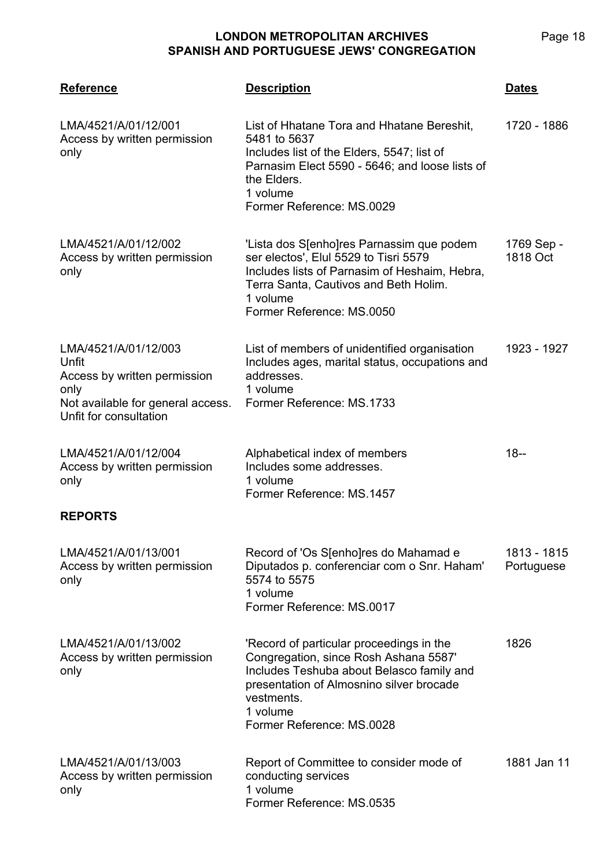| <b>Reference</b>                                                                                                                     | <b>Description</b>                                                                                                                                                                                                                | <b>Dates</b>              |
|--------------------------------------------------------------------------------------------------------------------------------------|-----------------------------------------------------------------------------------------------------------------------------------------------------------------------------------------------------------------------------------|---------------------------|
| LMA/4521/A/01/12/001<br>Access by written permission<br>only                                                                         | List of Hhatane Tora and Hhatane Bereshit,<br>5481 to 5637<br>Includes list of the Elders, 5547; list of<br>Parnasim Elect 5590 - 5646; and loose lists of<br>the Elders.<br>1 volume<br>Former Reference: MS.0029                | 1720 - 1886               |
| LMA/4521/A/01/12/002<br>Access by written permission<br>only                                                                         | 'Lista dos S[enho]res Parnassim que podem<br>ser electos', Elul 5529 to Tisri 5579<br>Includes lists of Parnasim of Heshaim, Hebra,<br>Terra Santa, Cautivos and Beth Holim.<br>1 volume<br>Former Reference: MS.0050             | 1769 Sep -<br>1818 Oct    |
| LMA/4521/A/01/12/003<br>Unfit<br>Access by written permission<br>only<br>Not available for general access.<br>Unfit for consultation | List of members of unidentified organisation<br>Includes ages, marital status, occupations and<br>addresses.<br>1 volume<br>Former Reference: MS.1733                                                                             | 1923 - 1927               |
| LMA/4521/A/01/12/004<br>Access by written permission<br>only                                                                         | Alphabetical index of members<br>Includes some addresses.<br>1 volume<br>Former Reference: MS.1457                                                                                                                                | $18 -$                    |
| <b>REPORTS</b>                                                                                                                       |                                                                                                                                                                                                                                   |                           |
| LMA/4521/A/01/13/001<br>Access by written permission<br>only                                                                         | Record of 'Os S[enho]res do Mahamad e<br>Diputados p. conferenciar com o Snr. Haham'<br>5574 to 5575<br>1 volume<br>Former Reference: MS.0017                                                                                     | 1813 - 1815<br>Portuguese |
| LMA/4521/A/01/13/002<br>Access by written permission<br>only                                                                         | 'Record of particular proceedings in the<br>Congregation, since Rosh Ashana 5587'<br>Includes Teshuba about Belasco family and<br>presentation of Almosnino silver brocade<br>vestments.<br>1 volume<br>Former Reference: MS.0028 | 1826                      |
| LMA/4521/A/01/13/003<br>Access by written permission<br>only                                                                         | Report of Committee to consider mode of<br>conducting services<br>1 volume<br>Former Reference: MS.0535                                                                                                                           | 1881 Jan 11               |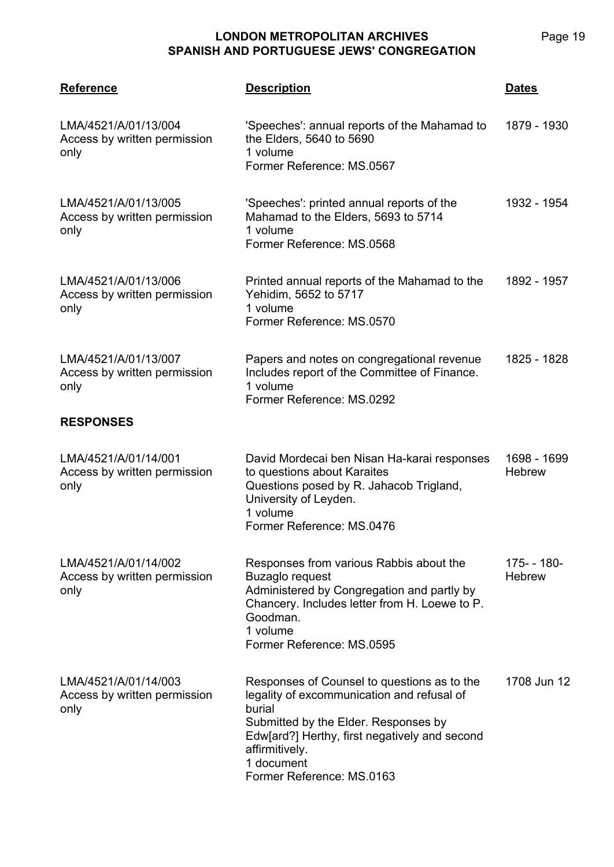**LMA/4521 Reference Description Dates** 'Speeches': annual reports of the Mahamad to the Elders, 5640 to 5690 1 volume Former Reference: MS.0567 1879 - 1930 'Speeches': printed annual reports of the Mahamad to the Elders, 5693 to 5714 1 volume Former Reference: MS.0568 1932 - 1954

| LMA/4521/A/01/13/006<br>Access by written permission<br>only | Printed annual reports of the Mahamad to the<br>Yehidim, 5652 to 5717<br>1 volume<br>Former Reference: MS.0570 | 1892 - 1957 |
|--------------------------------------------------------------|----------------------------------------------------------------------------------------------------------------|-------------|
| LMA/4521/A/01/13/007                                         | Paners and notes on congregational revenue                                                                     | 1825 - 1828 |

| LMA/4521/A/01/13/007         | Papers and notes on congregational revenue   | 1825 - 1828 |
|------------------------------|----------------------------------------------|-------------|
| Access by written permission | Includes report of the Committee of Finance. |             |
| only                         | 1 volume                                     |             |
|                              | Former Reference: MS.0292                    |             |

#### **RESPONSES**

LMA/4521/A/01/13/004

LMA/4521/A/01/13/005

only

only

Access by written permission

Access by written permission

| LMA/4521/A/01/14/001<br>Access by written permission<br>only | David Mordecai ben Nisan Ha-karai responses<br>to questions about Karaites<br>Questions posed by R. Jahacob Trigland,<br>University of Leyden.<br>1 volume<br>Former Reference: MS.0476 | 1698 - 1699<br><b>Hebrew</b> |
|--------------------------------------------------------------|-----------------------------------------------------------------------------------------------------------------------------------------------------------------------------------------|------------------------------|
|--------------------------------------------------------------|-----------------------------------------------------------------------------------------------------------------------------------------------------------------------------------------|------------------------------|

LMA/4521/A/01/14/002 Access by written permission only Responses from various Rabbis about the Buzaglo request Administered by Congregation and partly by Chancery. Includes letter from H. Loewe to P. Goodman. 1 volume Former Reference: MS.0595 175- - 180- **Hebrew** 

| LMA/4521/A/01/14/003<br>Access by written permission<br>only | Responses of Counsel to questions as to the<br>legality of excommunication and refusal of<br>burial<br>Submitted by the Elder. Responses by<br>Edw[ard?] Herthy, first negatively and second<br>affirmitively. | 1708 Jun 12 |
|--------------------------------------------------------------|----------------------------------------------------------------------------------------------------------------------------------------------------------------------------------------------------------------|-------------|
|                                                              | 1 document                                                                                                                                                                                                     |             |
|                                                              | Former Reference: MS.0163                                                                                                                                                                                      |             |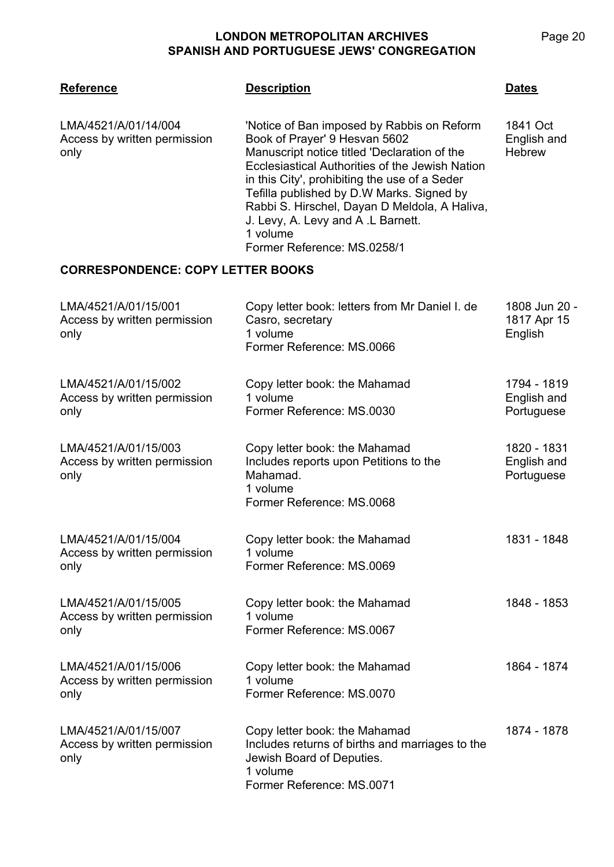| <b>Reference</b>                                             | <b>Description</b>                                                                                                                                                                                                                                                                                                                                                                                            | <b>Dates</b>                             |
|--------------------------------------------------------------|---------------------------------------------------------------------------------------------------------------------------------------------------------------------------------------------------------------------------------------------------------------------------------------------------------------------------------------------------------------------------------------------------------------|------------------------------------------|
| LMA/4521/A/01/14/004<br>Access by written permission<br>only | 'Notice of Ban imposed by Rabbis on Reform<br>Book of Prayer' 9 Hesvan 5602<br>Manuscript notice titled 'Declaration of the<br>Ecclesiastical Authorities of the Jewish Nation<br>in this City', prohibiting the use of a Seder<br>Tefilla published by D.W Marks. Signed by<br>Rabbi S. Hirschel, Dayan D Meldola, A Haliva,<br>J. Levy, A. Levy and A.L Barnett.<br>1 volume<br>Former Reference: MS.0258/1 | 1841 Oct<br>English and<br><b>Hebrew</b> |
| <b>CORRESPONDENCE: COPY LETTER BOOKS</b>                     |                                                                                                                                                                                                                                                                                                                                                                                                               |                                          |
| LMA/4521/A/01/15/001<br>Access by written permission<br>only | Copy letter book: letters from Mr Daniel I. de<br>Casro, secretary<br>1 volume<br>Former Reference: MS.0066                                                                                                                                                                                                                                                                                                   | 1808 Jun 20 -<br>1817 Apr 15<br>English  |
| LMA/4521/A/01/15/002<br>Access by written permission<br>only | Copy letter book: the Mahamad<br>1 volume<br>Former Reference: MS.0030                                                                                                                                                                                                                                                                                                                                        | 1794 - 1819<br>English and<br>Portuguese |
| LMA/4521/A/01/15/003<br>Access by written permission<br>only | Copy letter book: the Mahamad<br>Includes reports upon Petitions to the<br>Mahamad.<br>1 volume<br>Former Reference: MS.0068                                                                                                                                                                                                                                                                                  | 1820 - 1831<br>English and<br>Portuguese |
| LMA/4521/A/01/15/004<br>Access by written permission<br>only | Copy letter book: the Mahamad<br>1 volume<br>Former Reference: MS.0069                                                                                                                                                                                                                                                                                                                                        | 1831 - 1848                              |
| LMA/4521/A/01/15/005<br>Access by written permission<br>only | Copy letter book: the Mahamad<br>1 volume<br>Former Reference: MS.0067                                                                                                                                                                                                                                                                                                                                        | 1848 - 1853                              |
| LMA/4521/A/01/15/006<br>Access by written permission<br>only | Copy letter book: the Mahamad<br>1 volume<br>Former Reference: MS.0070                                                                                                                                                                                                                                                                                                                                        | 1864 - 1874                              |
| LMA/4521/A/01/15/007<br>Access by written permission<br>only | Copy letter book: the Mahamad<br>Includes returns of births and marriages to the<br>Jewish Board of Deputies.<br>1 volume<br>Former Reference: MS.0071                                                                                                                                                                                                                                                        | 1874 - 1878                              |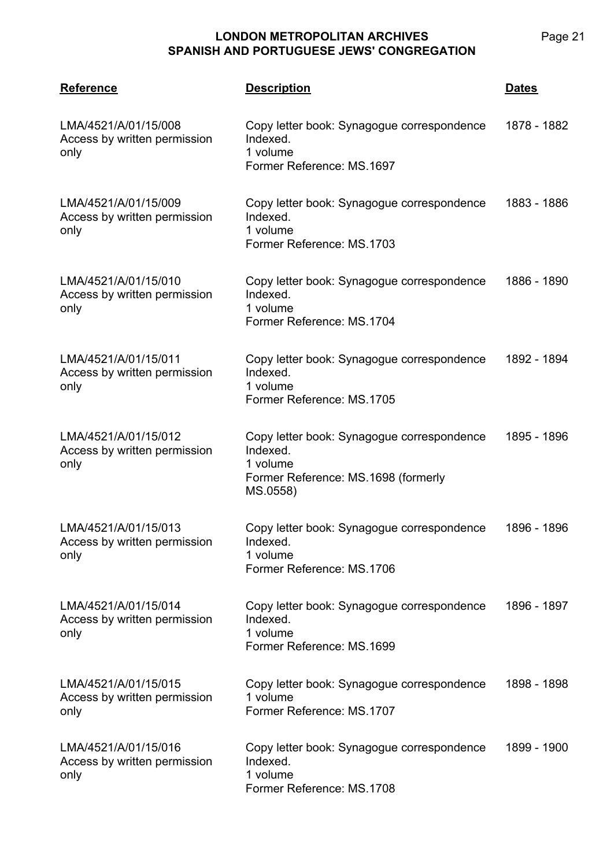**LMA/4521 Reference Description Dates** LMA/4521/A/01/15/008 Access by written permission only Copy letter book: Synagogue correspondence Indexed. 1 volume Former Reference: MS.1697 1878 - 1882 LMA/4521/A/01/15/009 Access by written permission only Copy letter book: Synagogue correspondence Indexed. 1 volume Former Reference: MS.1703 1883 - 1886 LMA/4521/A/01/15/010 Access by written permission only Copy letter book: Synagogue correspondence Indexed. 1 volume Former Reference: MS.1704 1886 - 1890 LMA/4521/A/01/15/011 Access by written permission only Copy letter book: Synagogue correspondence Indexed. 1 volume Former Reference: MS.1705 1892 - 1894 LMA/4521/A/01/15/012 Access by written permission only Copy letter book: Synagogue correspondence Indexed. 1 volume Former Reference: MS.1698 (formerly MS.0558) 1895 - 1896 LMA/4521/A/01/15/013 Access by written permission only Copy letter book: Synagogue correspondence Indexed. 1 volume Former Reference: MS.1706 1896 - 1896 LMA/4521/A/01/15/014 Access by written permission only Copy letter book: Synagogue correspondence Indexed. 1 volume Former Reference: MS.1699 1896 - 1897 LMA/4521/A/01/15/015 Access by written permission only Copy letter book: Synagogue correspondence 1 volume Former Reference: MS.1707 1898 - 1898

LMA/4521/A/01/15/016 Access by written permission only Copy letter book: Synagogue correspondence Indexed. 1 volume Former Reference: MS.1708 1899 - 1900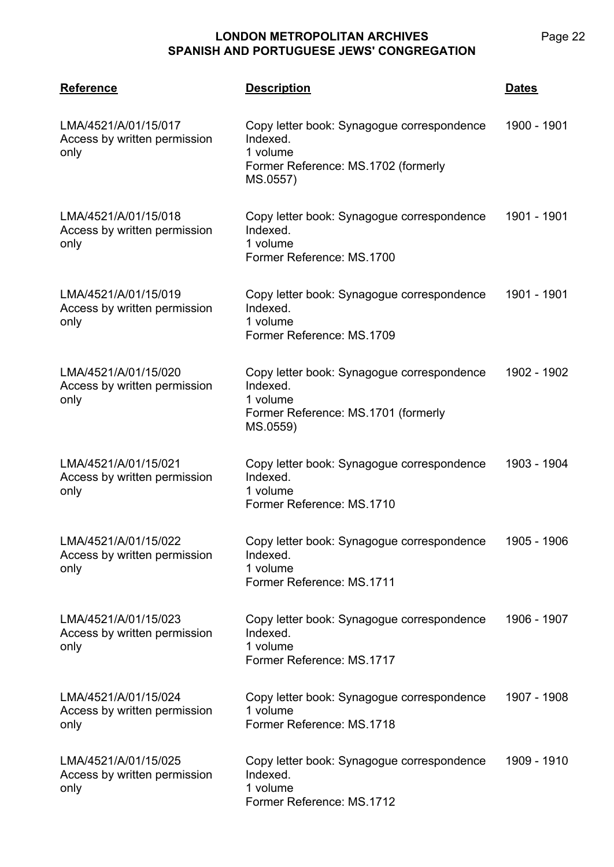| <b>Reference</b>                                             | <b>Description</b>                                                                                                    | <b>Dates</b> |
|--------------------------------------------------------------|-----------------------------------------------------------------------------------------------------------------------|--------------|
| LMA/4521/A/01/15/017<br>Access by written permission<br>only | Copy letter book: Synagogue correspondence<br>Indexed.<br>1 volume<br>Former Reference: MS.1702 (formerly<br>MS.0557) | 1900 - 1901  |
| LMA/4521/A/01/15/018<br>Access by written permission<br>only | Copy letter book: Synagogue correspondence<br>Indexed.<br>1 volume<br>Former Reference: MS.1700                       | 1901 - 1901  |
| LMA/4521/A/01/15/019<br>Access by written permission<br>only | Copy letter book: Synagogue correspondence<br>Indexed.<br>1 volume<br>Former Reference: MS.1709                       | 1901 - 1901  |
| LMA/4521/A/01/15/020<br>Access by written permission<br>only | Copy letter book: Synagogue correspondence<br>Indexed.<br>1 volume<br>Former Reference: MS.1701 (formerly<br>MS.0559) | 1902 - 1902  |
| LMA/4521/A/01/15/021<br>Access by written permission<br>only | Copy letter book: Synagogue correspondence<br>Indexed.<br>1 volume<br>Former Reference: MS.1710                       | 1903 - 1904  |
| LMA/4521/A/01/15/022<br>Access by written permission<br>only | Copy letter book: Synagogue correspondence<br>Indexed.<br>1 volume<br>Former Reference: MS.1711                       | 1905 - 1906  |
| LMA/4521/A/01/15/023<br>Access by written permission<br>only | Copy letter book: Synagogue correspondence<br>Indexed.<br>1 volume<br>Former Reference: MS.1717                       | 1906 - 1907  |
| LMA/4521/A/01/15/024<br>Access by written permission<br>only | Copy letter book: Synagogue correspondence<br>1 volume<br>Former Reference: MS.1718                                   | 1907 - 1908  |
| LMA/4521/A/01/15/025<br>Access by written permission<br>only | Copy letter book: Synagogue correspondence<br>Indexed.<br>1 volume<br>Former Reference: MS.1712                       | 1909 - 1910  |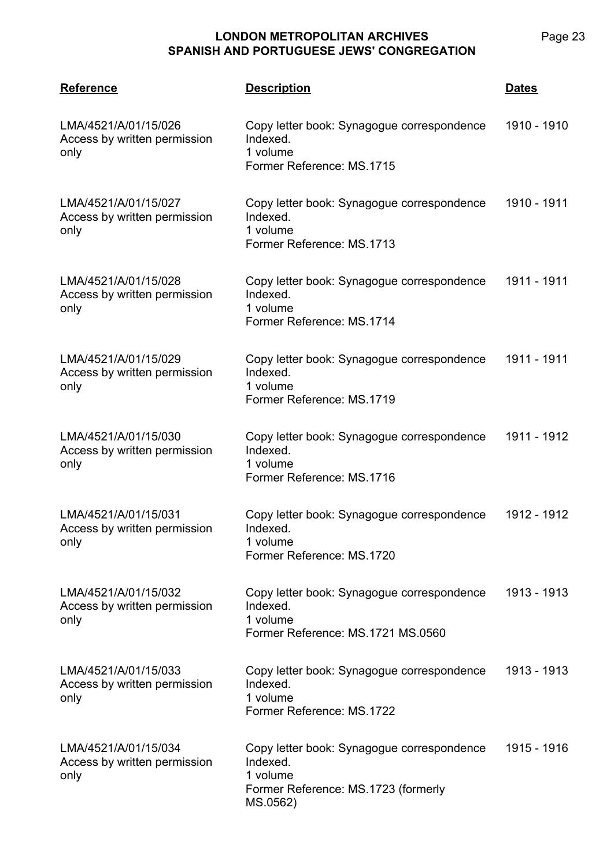| <b>Reference</b>                                             | <b>Description</b>                                                                                                    | <b>Dates</b> |
|--------------------------------------------------------------|-----------------------------------------------------------------------------------------------------------------------|--------------|
| LMA/4521/A/01/15/026<br>Access by written permission<br>only | Copy letter book: Synagogue correspondence<br>Indexed.<br>1 volume<br>Former Reference: MS.1715                       | 1910 - 1910  |
| LMA/4521/A/01/15/027<br>Access by written permission<br>only | Copy letter book: Synagogue correspondence<br>Indexed.<br>1 volume<br>Former Reference: MS.1713                       | 1910 - 1911  |
| LMA/4521/A/01/15/028<br>Access by written permission<br>only | Copy letter book: Synagogue correspondence<br>Indexed.<br>1 volume<br>Former Reference: MS.1714                       | 1911 - 1911  |
| LMA/4521/A/01/15/029<br>Access by written permission<br>only | Copy letter book: Synagogue correspondence<br>Indexed.<br>1 volume<br>Former Reference: MS.1719                       | 1911 - 1911  |
| LMA/4521/A/01/15/030<br>Access by written permission<br>only | Copy letter book: Synagogue correspondence<br>Indexed.<br>1 volume<br>Former Reference: MS.1716                       | 1911 - 1912  |
| LMA/4521/A/01/15/031<br>Access by written permission<br>only | Copy letter book: Synagogue correspondence<br>Indexed.<br>1 volume<br>Former Reference: MS.1720                       | 1912 - 1912  |
| LMA/4521/A/01/15/032<br>Access by written permission<br>only | Copy letter book: Synagogue correspondence<br>Indexed.<br>1 volume<br>Former Reference: MS.1721 MS.0560               | 1913 - 1913  |
| LMA/4521/A/01/15/033<br>Access by written permission<br>only | Copy letter book: Synagogue correspondence<br>Indexed.<br>1 volume<br>Former Reference: MS.1722                       | 1913 - 1913  |
| LMA/4521/A/01/15/034<br>Access by written permission<br>only | Copy letter book: Synagogue correspondence<br>Indexed.<br>1 volume<br>Former Reference: MS.1723 (formerly<br>MS.0562) | 1915 - 1916  |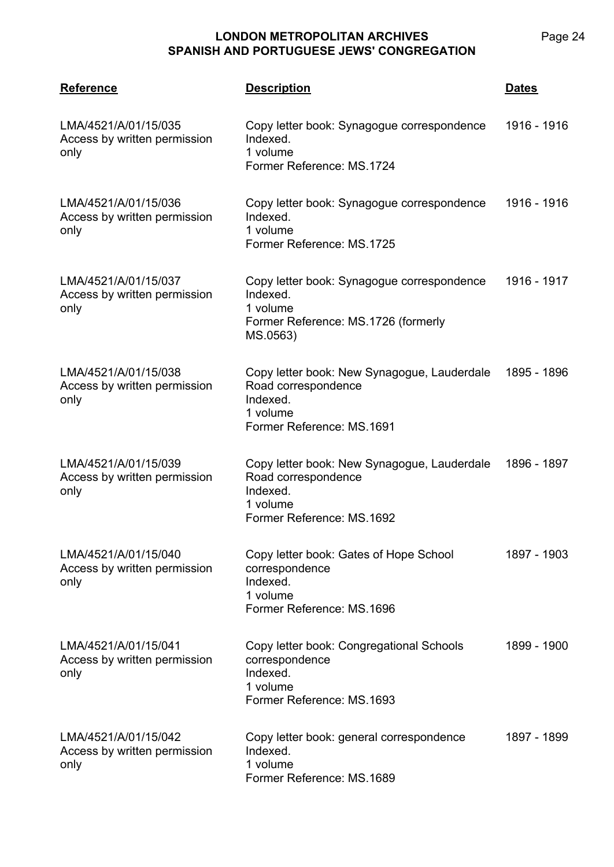**LMA/4521 Reference Description Dates** LMA/4521/A/01/15/035 Access by written permission only Copy letter book: Synagogue correspondence Indexed. 1 volume Former Reference: MS.1724 1916 - 1916 LMA/4521/A/01/15/036 Access by written permission only Copy letter book: Synagogue correspondence Indexed. 1 volume Former Reference: MS.1725 1916 - 1916 LMA/4521/A/01/15/037 Access by written permission only Copy letter book: Synagogue correspondence Indexed. 1 volume Former Reference: MS.1726 (formerly MS.0563) 1916 - 1917 LMA/4521/A/01/15/038 Access by written permission only Copy letter book: New Synagogue, Lauderdale Road correspondence Indexed. 1 volume Former Reference: MS.1691 1895 - 1896 LMA/4521/A/01/15/039 Access by written permission only Copy letter book: New Synagogue, Lauderdale Road correspondence Indexed. 1 volume Former Reference: MS.1692 1896 - 1897 LMA/4521/A/01/15/040 Access by written permission only Copy letter book: Gates of Hope School correspondence Indexed. 1 volume Former Reference: MS.1696 1897 - 1903 LMA/4521/A/01/15/041 Access by written permission only Copy letter book: Congregational Schools correspondence Indexed. 1 volume Former Reference: MS.1693 1899 - 1900 LMA/4521/A/01/15/042 Access by written permission only Copy letter book: general correspondence Indexed. 1 volume 1897 - 1899

Page 24

Former Reference: MS.1689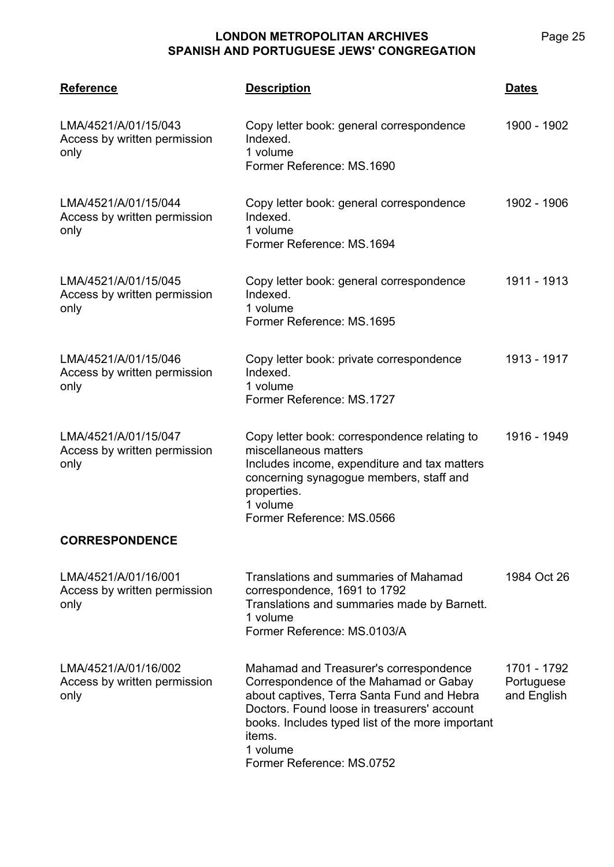| <b>Reference</b>                                             | <b>Description</b>                                                                                                                                                                                                                                                                   | <b>Dates</b>                             |
|--------------------------------------------------------------|--------------------------------------------------------------------------------------------------------------------------------------------------------------------------------------------------------------------------------------------------------------------------------------|------------------------------------------|
| LMA/4521/A/01/15/043<br>Access by written permission<br>only | Copy letter book: general correspondence<br>Indexed.<br>1 volume<br>Former Reference: MS.1690                                                                                                                                                                                        | 1900 - 1902                              |
| LMA/4521/A/01/15/044<br>Access by written permission<br>only | Copy letter book: general correspondence<br>Indexed.<br>1 volume<br>Former Reference: MS.1694                                                                                                                                                                                        | 1902 - 1906                              |
| LMA/4521/A/01/15/045<br>Access by written permission<br>only | Copy letter book: general correspondence<br>Indexed.<br>1 volume<br>Former Reference: MS.1695                                                                                                                                                                                        | 1911 - 1913                              |
| LMA/4521/A/01/15/046<br>Access by written permission<br>only | Copy letter book: private correspondence<br>Indexed.<br>1 volume<br>Former Reference: MS.1727                                                                                                                                                                                        | 1913 - 1917                              |
| LMA/4521/A/01/15/047<br>Access by written permission<br>only | Copy letter book: correspondence relating to<br>miscellaneous matters<br>Includes income, expenditure and tax matters<br>concerning synagogue members, staff and<br>properties.<br>1 volume<br>Former Reference: MS.0566                                                             | 1916 - 1949                              |
| <b>CORRESPONDENCE</b>                                        |                                                                                                                                                                                                                                                                                      |                                          |
| LMA/4521/A/01/16/001<br>Access by written permission<br>only | Translations and summaries of Mahamad<br>correspondence, 1691 to 1792<br>Translations and summaries made by Barnett.<br>1 volume<br>Former Reference: MS.0103/A                                                                                                                      | 1984 Oct 26                              |
| LMA/4521/A/01/16/002<br>Access by written permission<br>only | Mahamad and Treasurer's correspondence<br>Correspondence of the Mahamad or Gabay<br>about captives, Terra Santa Fund and Hebra<br>Doctors. Found loose in treasurers' account<br>books. Includes typed list of the more important<br>items.<br>1 volume<br>Former Reference: MS.0752 | 1701 - 1792<br>Portuguese<br>and English |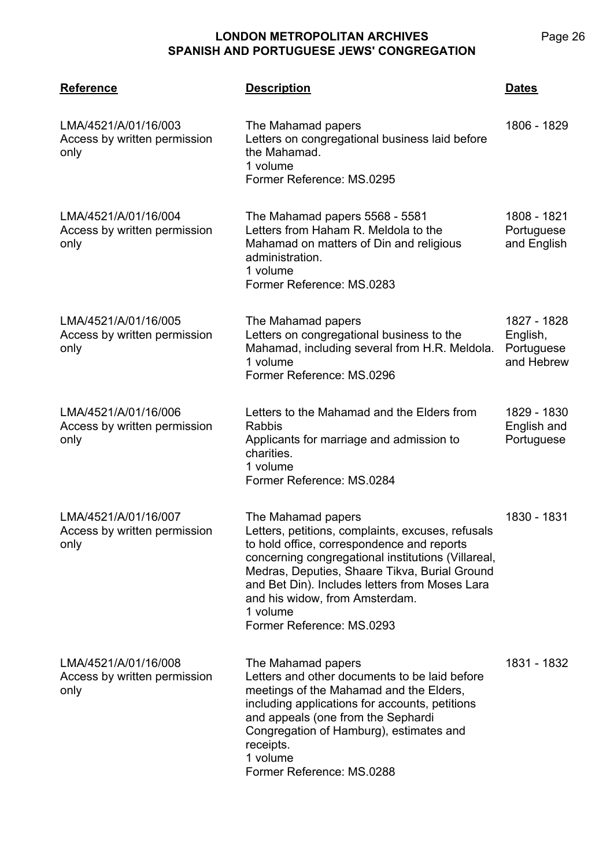**LMA/4521 Reference Description Dates** LMA/4521/A/01/16/003 Access by written permission only The Mahamad papers Letters on congregational business laid before the Mahamad. 1 volume Former Reference: MS.0295 1806 - 1829 LMA/4521/A/01/16/004 Access by written permission only The Mahamad papers 5568 - 5581 Letters from Haham R. Meldola to the Mahamad on matters of Din and religious administration. 1 volume Former Reference: MS.0283 1808 - 1821 **Portuguese** and English LMA/4521/A/01/16/005 Access by written permission only The Mahamad papers Letters on congregational business to the Mahamad, including several from H.R. Meldola. 1 volume Former Reference: MS.0296 1827 - 1828 English, **Portuguese** and Hebrew LMA/4521/A/01/16/006 Access by written permission only Letters to the Mahamad and the Elders from **Rahhis** Applicants for marriage and admission to charities. 1 volume Former Reference: MS.0284 1829 - 1830 English and Portuguese LMA/4521/A/01/16/007 Access by written permission only The Mahamad papers Letters, petitions, complaints, excuses, refusals to hold office, correspondence and reports concerning congregational institutions (Villareal, Medras, Deputies, Shaare Tikva, Burial Ground and Bet Din). Includes letters from Moses Lara and his widow, from Amsterdam. 1 volume Former Reference: MS.0293 1830 - 1831 LMA/4521/A/01/16/008 Access by written permission only The Mahamad papers Letters and other documents to be laid before meetings of the Mahamad and the Elders, 1831 - 1832

including applications for accounts, petitions

and appeals (one from the Sephardi Congregation of Hamburg), estimates and

Former Reference: MS.0288

receipts. 1 volume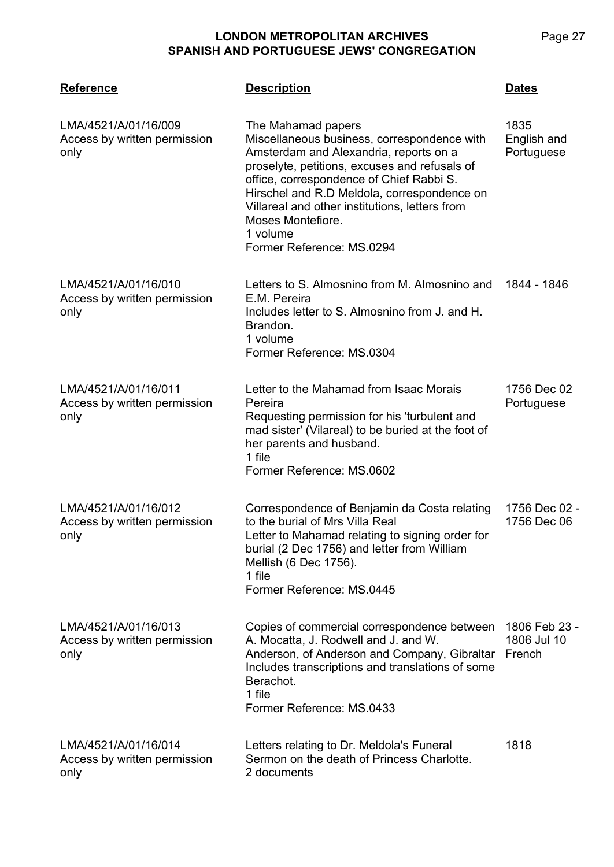| <b>Reference</b>                                             | <b>Description</b>                                                                                                                                                                                                                                                                                                                                                      | <b>Dates</b>                           |
|--------------------------------------------------------------|-------------------------------------------------------------------------------------------------------------------------------------------------------------------------------------------------------------------------------------------------------------------------------------------------------------------------------------------------------------------------|----------------------------------------|
| LMA/4521/A/01/16/009<br>Access by written permission<br>only | The Mahamad papers<br>Miscellaneous business, correspondence with<br>Amsterdam and Alexandria, reports on a<br>proselyte, petitions, excuses and refusals of<br>office, correspondence of Chief Rabbi S.<br>Hirschel and R.D Meldola, correspondence on<br>Villareal and other institutions, letters from<br>Moses Montefiore.<br>1 volume<br>Former Reference: MS.0294 | 1835<br>English and<br>Portuguese      |
| LMA/4521/A/01/16/010<br>Access by written permission<br>only | Letters to S. Almosnino from M. Almosnino and<br>E.M. Pereira<br>Includes letter to S. Almosnino from J. and H.<br>Brandon.<br>1 volume<br>Former Reference: MS.0304                                                                                                                                                                                                    | 1844 - 1846                            |
| LMA/4521/A/01/16/011<br>Access by written permission<br>only | Letter to the Mahamad from Isaac Morais<br>Pereira<br>Requesting permission for his 'turbulent and<br>mad sister' (Vilareal) to be buried at the foot of<br>her parents and husband.<br>1 file<br>Former Reference: MS.0602                                                                                                                                             | 1756 Dec 02<br>Portuguese              |
| LMA/4521/A/01/16/012<br>Access by written permission<br>only | Correspondence of Benjamin da Costa relating<br>to the burial of Mrs Villa Real<br>Letter to Mahamad relating to signing order for<br>burial (2 Dec 1756) and letter from William<br>Mellish (6 Dec 1756).<br>1 file<br>Former Reference: MS.0445                                                                                                                       | 1756 Dec 02 -<br>1756 Dec 06           |
| LMA/4521/A/01/16/013<br>Access by written permission<br>only | Copies of commercial correspondence between<br>A. Mocatta, J. Rodwell and J. and W.<br>Anderson, of Anderson and Company, Gibraltar<br>Includes transcriptions and translations of some<br>Berachot.<br>1 file<br>Former Reference: MS.0433                                                                                                                             | 1806 Feb 23 -<br>1806 Jul 10<br>French |
| LMA/4521/A/01/16/014<br>Access by written permission<br>only | Letters relating to Dr. Meldola's Funeral<br>Sermon on the death of Princess Charlotte.<br>2 documents                                                                                                                                                                                                                                                                  | 1818                                   |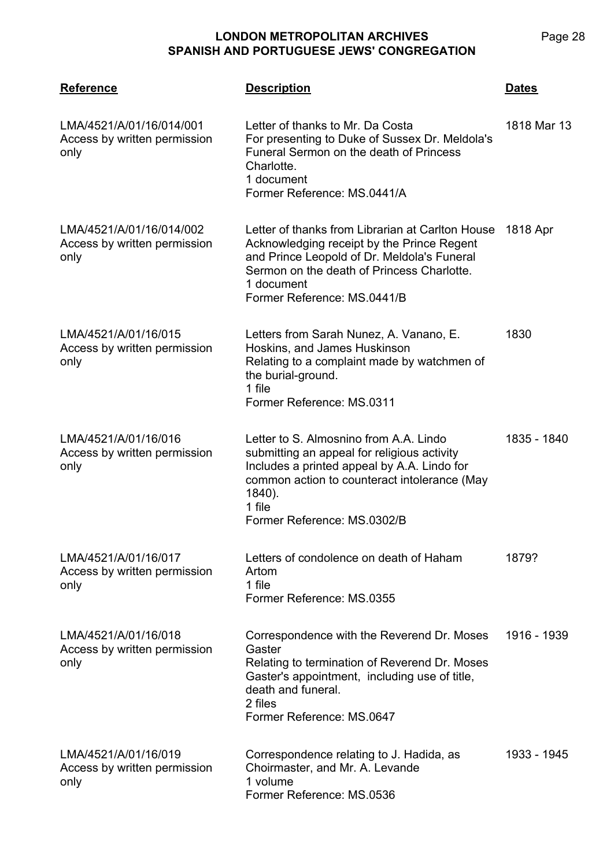**LMA/4521 Reference Description Dates** LMA/4521/A/01/16/014/001 Access by written permission only Letter of thanks to Mr. Da Costa For presenting to Duke of Sussex Dr. Meldola's Funeral Sermon on the death of Princess Charlotte. 1 document Former Reference: MS.0441/A 1818 Mar 13 LMA/4521/A/01/16/014/002 Access by written permission only Letter of thanks from Librarian at Carlton House 1818 Apr Acknowledging receipt by the Prince Regent and Prince Leopold of Dr. Meldola's Funeral Sermon on the death of Princess Charlotte. 1 document Former Reference: MS.0441/B LMA/4521/A/01/16/015 Access by written permission only Letters from Sarah Nunez, A. Vanano, E. Hoskins, and James Huskinson Relating to a complaint made by watchmen of the burial-ground. 1 file Former Reference: MS.0311 1830 LMA/4521/A/01/16/016 Access by written permission only Letter to S. Almosnino from A.A. Lindo submitting an appeal for religious activity Includes a printed appeal by A.A. Lindo for common action to counteract intolerance (May 1840). 1 file Former Reference: MS.0302/B 1835 - 1840 LMA/4521/A/01/16/017 Access by written permission only Letters of condolence on death of Haham Artom 1 file Former Reference: MS.0355 1879? LMA/4521/A/01/16/018 Access by written permission only Correspondence with the Reverend Dr. Moses **Gaster** Relating to termination of Reverend Dr. Moses Gaster's appointment, including use of title, death and funeral. 2 files Former Reference: MS.0647 1916 - 1939 LMA/4521/A/01/16/019 Access by written permission only Correspondence relating to J. Hadida, as Choirmaster, and Mr. A. Levande 1 volume Former Reference: MS.0536 1933 - 1945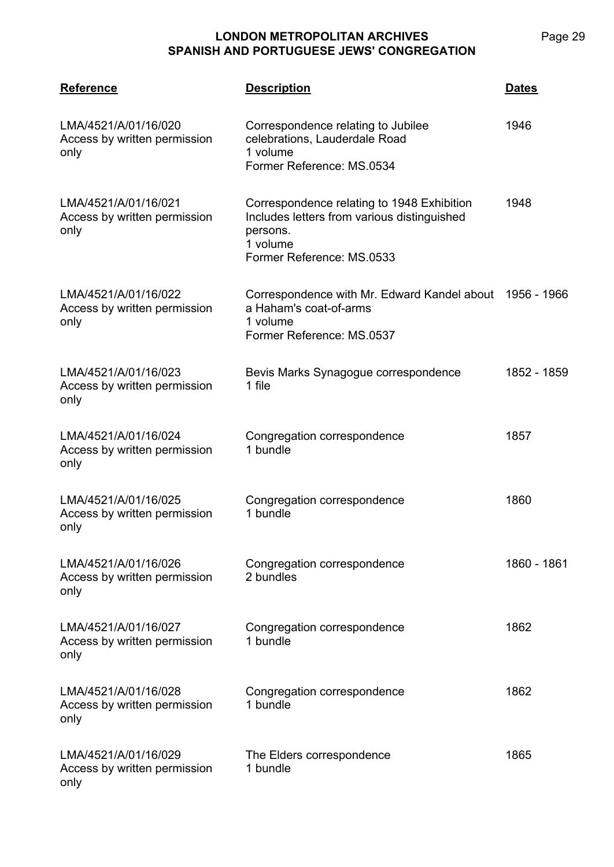| <b>Reference</b>                                             | <b>Description</b>                                                                                                                             | <b>Dates</b> |
|--------------------------------------------------------------|------------------------------------------------------------------------------------------------------------------------------------------------|--------------|
| LMA/4521/A/01/16/020<br>Access by written permission<br>only | Correspondence relating to Jubilee<br>celebrations, Lauderdale Road<br>1 volume<br>Former Reference: MS.0534                                   | 1946         |
| LMA/4521/A/01/16/021<br>Access by written permission<br>only | Correspondence relating to 1948 Exhibition<br>Includes letters from various distinguished<br>persons.<br>1 volume<br>Former Reference: MS.0533 | 1948         |
| LMA/4521/A/01/16/022<br>Access by written permission<br>only | Correspondence with Mr. Edward Kandel about 1956 - 1966<br>a Haham's coat-of-arms<br>1 volume<br>Former Reference: MS.0537                     |              |
| LMA/4521/A/01/16/023<br>Access by written permission<br>only | Bevis Marks Synagogue correspondence<br>1 file                                                                                                 | 1852 - 1859  |
| LMA/4521/A/01/16/024<br>Access by written permission<br>only | Congregation correspondence<br>1 bundle                                                                                                        | 1857         |
| LMA/4521/A/01/16/025<br>Access by written permission<br>only | Congregation correspondence<br>1 bundle                                                                                                        | 1860         |
| LMA/4521/A/01/16/026<br>Access by written permission<br>only | Congregation correspondence<br>2 bundles                                                                                                       | 1860 - 1861  |
| LMA/4521/A/01/16/027<br>Access by written permission<br>only | Congregation correspondence<br>1 bundle                                                                                                        | 1862         |
| LMA/4521/A/01/16/028<br>Access by written permission<br>only | Congregation correspondence<br>1 bundle                                                                                                        | 1862         |
| LMA/4521/A/01/16/029<br>Access by written permission<br>only | The Elders correspondence<br>1 bundle                                                                                                          | 1865         |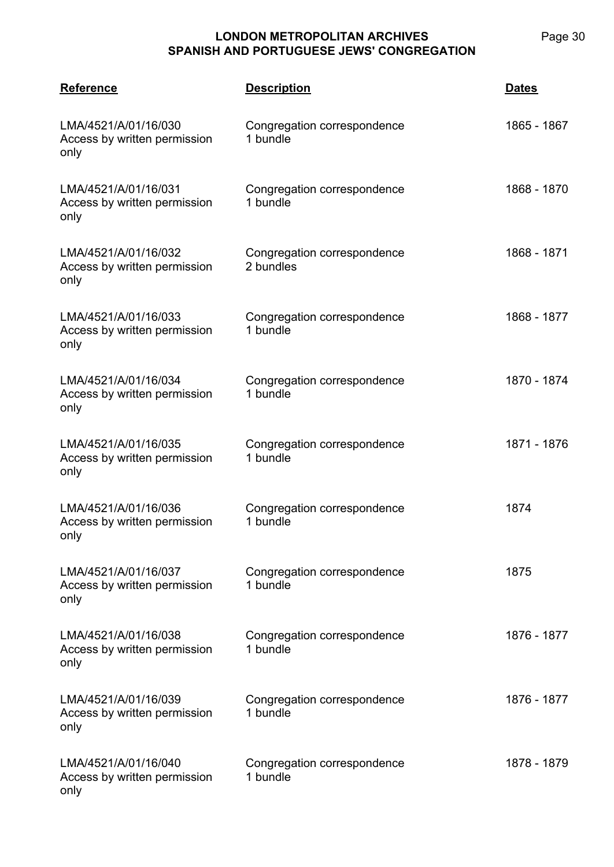| <b>Reference</b>                                             | <b>Description</b>                       | <b>Dates</b> |
|--------------------------------------------------------------|------------------------------------------|--------------|
| LMA/4521/A/01/16/030<br>Access by written permission<br>only | Congregation correspondence<br>1 bundle  | 1865 - 1867  |
| LMA/4521/A/01/16/031<br>Access by written permission<br>only | Congregation correspondence<br>1 bundle  | 1868 - 1870  |
| LMA/4521/A/01/16/032<br>Access by written permission<br>only | Congregation correspondence<br>2 bundles | 1868 - 1871  |
| LMA/4521/A/01/16/033<br>Access by written permission<br>only | Congregation correspondence<br>1 bundle  | 1868 - 1877  |
| LMA/4521/A/01/16/034<br>Access by written permission<br>only | Congregation correspondence<br>1 bundle  | 1870 - 1874  |
| LMA/4521/A/01/16/035<br>Access by written permission<br>only | Congregation correspondence<br>1 bundle  | 1871 - 1876  |
| LMA/4521/A/01/16/036<br>Access by written permission<br>only | Congregation correspondence<br>1 bundle  | 1874         |
| LMA/4521/A/01/16/037<br>Access by written permission<br>only | Congregation correspondence<br>1 bundle  | 1875         |
| LMA/4521/A/01/16/038<br>Access by written permission<br>only | Congregation correspondence<br>1 bundle  | 1876 - 1877  |
| LMA/4521/A/01/16/039<br>Access by written permission<br>only | Congregation correspondence<br>1 bundle  | 1876 - 1877  |
| LMA/4521/A/01/16/040<br>Access by written permission<br>only | Congregation correspondence<br>1 bundle  | 1878 - 1879  |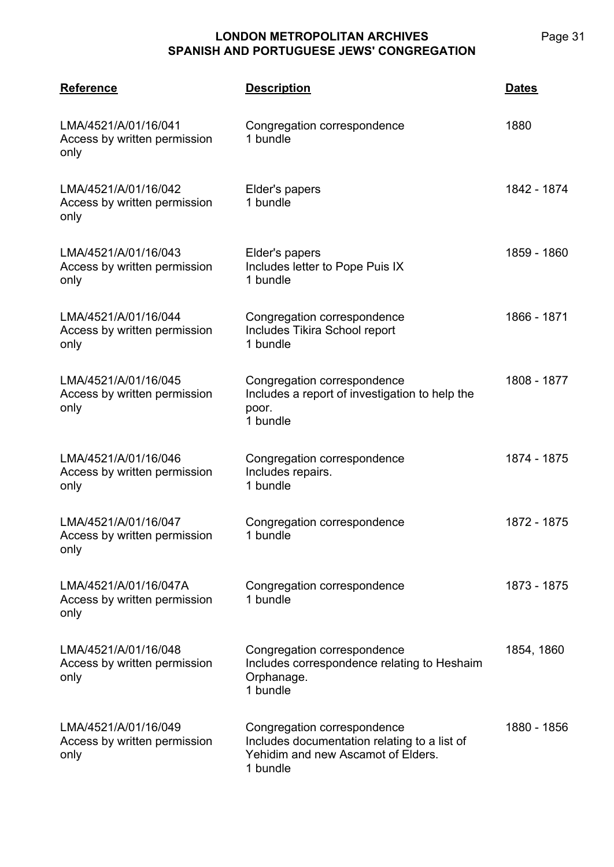| <b>Reference</b>                                              | <b>Description</b>                                                                                                            | <b>Dates</b> |
|---------------------------------------------------------------|-------------------------------------------------------------------------------------------------------------------------------|--------------|
| LMA/4521/A/01/16/041<br>Access by written permission<br>only  | Congregation correspondence<br>1 bundle                                                                                       | 1880         |
| LMA/4521/A/01/16/042<br>Access by written permission<br>only  | Elder's papers<br>1 bundle                                                                                                    | 1842 - 1874  |
| LMA/4521/A/01/16/043<br>Access by written permission<br>only  | Elder's papers<br>Includes letter to Pope Puis IX<br>1 bundle                                                                 | 1859 - 1860  |
| LMA/4521/A/01/16/044<br>Access by written permission<br>only  | Congregation correspondence<br>Includes Tikira School report<br>1 bundle                                                      | 1866 - 1871  |
| LMA/4521/A/01/16/045<br>Access by written permission<br>only  | Congregation correspondence<br>Includes a report of investigation to help the<br>poor.<br>1 bundle                            | 1808 - 1877  |
| LMA/4521/A/01/16/046<br>Access by written permission<br>only  | Congregation correspondence<br>Includes repairs.<br>1 bundle                                                                  | 1874 - 1875  |
| LMA/4521/A/01/16/047<br>Access by written permission<br>only  | Congregation correspondence<br>1 bundle                                                                                       | 1872 - 1875  |
| LMA/4521/A/01/16/047A<br>Access by written permission<br>only | Congregation correspondence<br>1 bundle                                                                                       | 1873 - 1875  |
| LMA/4521/A/01/16/048<br>Access by written permission<br>only  | Congregation correspondence<br>Includes correspondence relating to Heshaim<br>Orphanage.<br>1 bundle                          | 1854, 1860   |
| LMA/4521/A/01/16/049<br>Access by written permission<br>only  | Congregation correspondence<br>Includes documentation relating to a list of<br>Yehidim and new Ascamot of Elders.<br>1 bundle | 1880 - 1856  |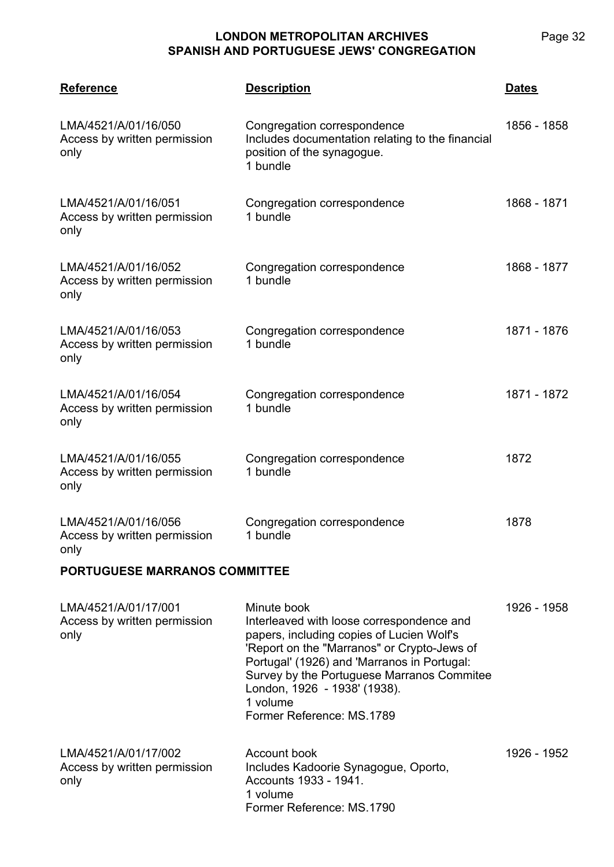**LMA/4521 Reference Description Dates** LMA/4521/A/01/16/050 Access by written permission only Congregation correspondence Includes documentation relating to the financial position of the synagogue. 1 bundle 1856 - 1858 LMA/4521/A/01/16/051 Access by written permission only Congregation correspondence 1 bundle 1868 - 1871 LMA/4521/A/01/16/052 Access by written permission only Congregation correspondence 1 bundle 1868 - 1877 LMA/4521/A/01/16/053 Access by written permission only Congregation correspondence 1 bundle 1871 - 1876 LMA/4521/A/01/16/054 Access by written permission only Congregation correspondence 1 bundle 1871 - 1872 LMA/4521/A/01/16/055 Access by written permission only Congregation correspondence 1 bundle 1872 LMA/4521/A/01/16/056 Access by written permission only Congregation correspondence 1 bundle 1878

# **PORTUGUESE MARRANOS COMMITTEE**

| LMA/4521/A/01/17/001<br>Access by written permission<br>only | Minute book<br>Interleaved with loose correspondence and<br>papers, including copies of Lucien Wolf's<br>'Report on the "Marranos" or Crypto-Jews of<br>Portugal' (1926) and 'Marranos in Portugal:<br>Survey by the Portuguese Marranos Commitee<br>London, 1926 - 1938' (1938).<br>1 volume<br>Former Reference: MS.1789 | 1926 - 1958 |
|--------------------------------------------------------------|----------------------------------------------------------------------------------------------------------------------------------------------------------------------------------------------------------------------------------------------------------------------------------------------------------------------------|-------------|
| LMA/4521/A/01/17/002<br>Access by written permission<br>only | Account book<br>Includes Kadoorie Synagogue, Oporto,<br>Accounts 1933 - 1941.<br>1 volume<br>Former Reference: MS.1790                                                                                                                                                                                                     | 1926 - 1952 |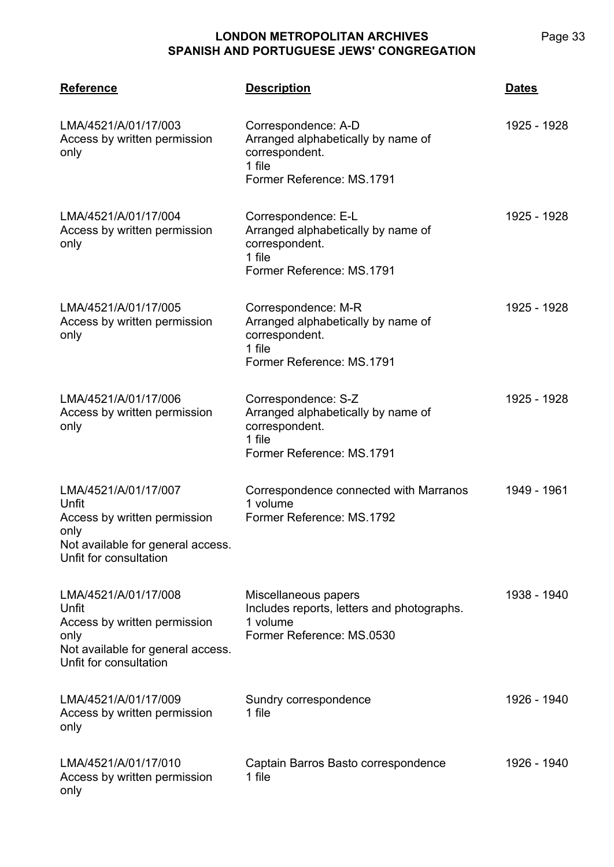| <b>Reference</b>                                                                                                                     | <b>Description</b>                                                                                                 | <b>Dates</b> |
|--------------------------------------------------------------------------------------------------------------------------------------|--------------------------------------------------------------------------------------------------------------------|--------------|
| LMA/4521/A/01/17/003<br>Access by written permission<br>only                                                                         | Correspondence: A-D<br>Arranged alphabetically by name of<br>correspondent.<br>1 file<br>Former Reference: MS.1791 | 1925 - 1928  |
| LMA/4521/A/01/17/004<br>Access by written permission<br>only                                                                         | Correspondence: E-L<br>Arranged alphabetically by name of<br>correspondent.<br>1 file<br>Former Reference: MS.1791 | 1925 - 1928  |
| LMA/4521/A/01/17/005<br>Access by written permission<br>only                                                                         | Correspondence: M-R<br>Arranged alphabetically by name of<br>correspondent.<br>1 file<br>Former Reference: MS.1791 | 1925 - 1928  |
| LMA/4521/A/01/17/006<br>Access by written permission<br>only                                                                         | Correspondence: S-Z<br>Arranged alphabetically by name of<br>correspondent.<br>1 file<br>Former Reference: MS.1791 | 1925 - 1928  |
| LMA/4521/A/01/17/007<br>Unfit<br>Access by written permission<br>only<br>Not available for general access.<br>Unfit for consultation | Correspondence connected with Marranos<br>1 volume<br>Former Reference: MS.1792                                    | 1949 - 1961  |
| LMA/4521/A/01/17/008<br>Unfit<br>Access by written permission<br>only<br>Not available for general access.<br>Unfit for consultation | Miscellaneous papers<br>Includes reports, letters and photographs.<br>1 volume<br>Former Reference: MS.0530        | 1938 - 1940  |
| LMA/4521/A/01/17/009<br>Access by written permission<br>only                                                                         | Sundry correspondence<br>1 file                                                                                    | 1926 - 1940  |
| LMA/4521/A/01/17/010<br>Access by written permission<br>only                                                                         | Captain Barros Basto correspondence<br>1 file                                                                      | 1926 - 1940  |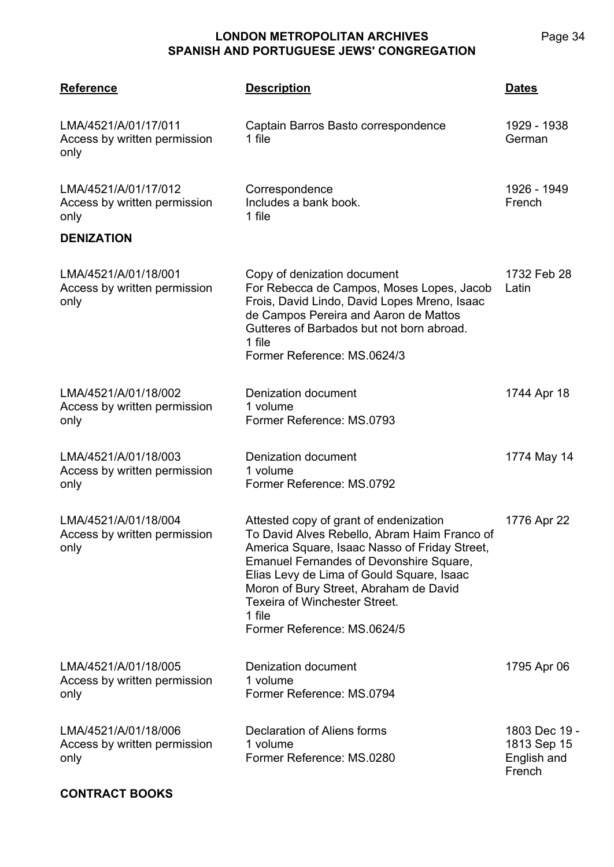**LMA/4521 Reference Description Dates** LMA/4521/A/01/17/011 Access by written permission only Captain Barros Basto correspondence 1 file 1929 - 1938 German LMA/4521/A/01/17/012 Access by written permission only **Correspondence** Includes a bank book. 1 file 1926 - 1949 French **DENIZATION** LMA/4521/A/01/18/001 Access by written permission only Copy of denization document For Rebecca de Campos, Moses Lopes, Jacob Frois, David Lindo, David Lopes Mreno, Isaac de Campos Pereira and Aaron de Mattos Gutteres of Barbados but not born abroad. 1 file Former Reference: MS.0624/3 1732 Feb 28 Latin LMA/4521/A/01/18/002 Access by written permission only Denization document 1 volume Former Reference: MS.0793 1744 Apr 18 LMA/4521/A/01/18/003 Access by written permission only Denization document 1 volume Former Reference: MS.0792 1774 May 14 LMA/4521/A/01/18/004 Access by written permission only Attested copy of grant of endenization To David Alves Rebello, Abram Haim Franco of America Square, Isaac Nasso of Friday Street, Emanuel Fernandes of Devonshire Square, Elias Levy de Lima of Gould Square, Isaac Moron of Bury Street, Abraham de David Texeira of Winchester Street. 1 file Former Reference: MS.0624/5 1776 Apr 22 LMA/4521/A/01/18/005 Access by written permission only Denization document 1 volume Former Reference: MS.0794 1795 Apr 06 LMA/4521/A/01/18/006 Access by written permission only Declaration of Aliens forms 1 volume Former Reference: MS.0280 1803 Dec 19 - 1813 Sep 15 English and French

#### **CONTRACT BOOKS**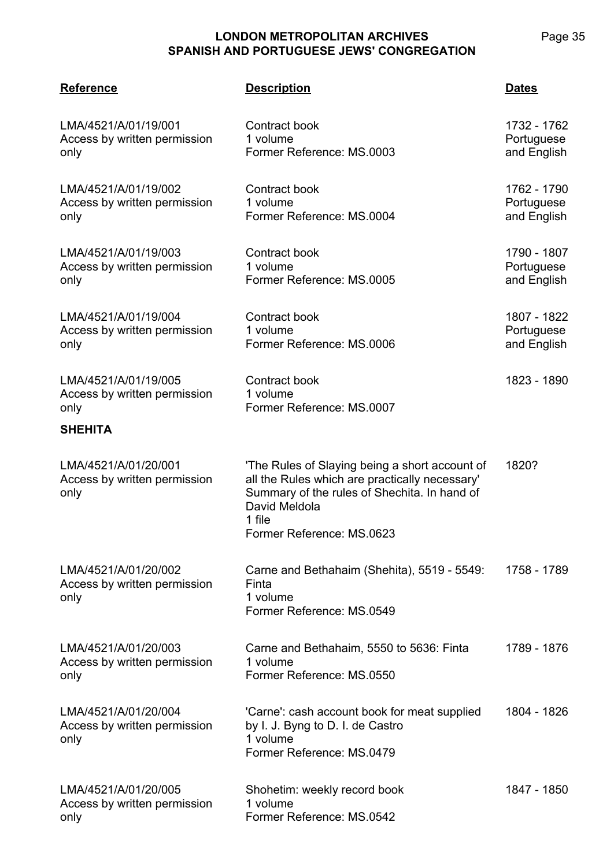| <b>Reference</b>                                             | <b>Description</b>                                                                                                                                                                                       | <b>Dates</b>                             |
|--------------------------------------------------------------|----------------------------------------------------------------------------------------------------------------------------------------------------------------------------------------------------------|------------------------------------------|
| LMA/4521/A/01/19/001<br>Access by written permission<br>only | Contract book<br>1 volume<br>Former Reference: MS.0003                                                                                                                                                   | 1732 - 1762<br>Portuguese<br>and English |
| LMA/4521/A/01/19/002<br>Access by written permission<br>only | Contract book<br>1 volume<br>Former Reference: MS.0004                                                                                                                                                   | 1762 - 1790<br>Portuguese<br>and English |
| LMA/4521/A/01/19/003<br>Access by written permission<br>only | Contract book<br>1 volume<br>Former Reference: MS.0005                                                                                                                                                   | 1790 - 1807<br>Portuguese<br>and English |
| LMA/4521/A/01/19/004<br>Access by written permission<br>only | Contract book<br>1 volume<br>Former Reference: MS.0006                                                                                                                                                   | 1807 - 1822<br>Portuguese<br>and English |
| LMA/4521/A/01/19/005<br>Access by written permission<br>only | Contract book<br>1 volume<br>Former Reference: MS.0007                                                                                                                                                   | 1823 - 1890                              |
| <b>SHEHITA</b>                                               |                                                                                                                                                                                                          |                                          |
| LMA/4521/A/01/20/001<br>Access by written permission<br>only | 'The Rules of Slaying being a short account of<br>all the Rules which are practically necessary'<br>Summary of the rules of Shechita. In hand of<br>David Meldola<br>1 file<br>Former Reference: MS.0623 | 1820?                                    |
| LMA/4521/A/01/20/002<br>Access by written permission<br>only | Carne and Bethahaim (Shehita), 5519 - 5549:<br>Finta<br>1 volume<br>Former Reference: MS.0549                                                                                                            | 1758 - 1789                              |
| LMA/4521/A/01/20/003<br>Access by written permission<br>only | Carne and Bethahaim, 5550 to 5636: Finta<br>1 volume<br>Former Reference: MS.0550                                                                                                                        | 1789 - 1876                              |
| LMA/4521/A/01/20/004<br>Access by written permission<br>only | 'Carne': cash account book for meat supplied<br>by I. J. Byng to D. I. de Castro<br>1 volume<br>Former Reference: MS.0479                                                                                | 1804 - 1826                              |
| LMA/4521/A/01/20/005<br>Access by written permission<br>only | Shohetim: weekly record book<br>1 volume<br>Former Reference: MS.0542                                                                                                                                    | 1847 - 1850                              |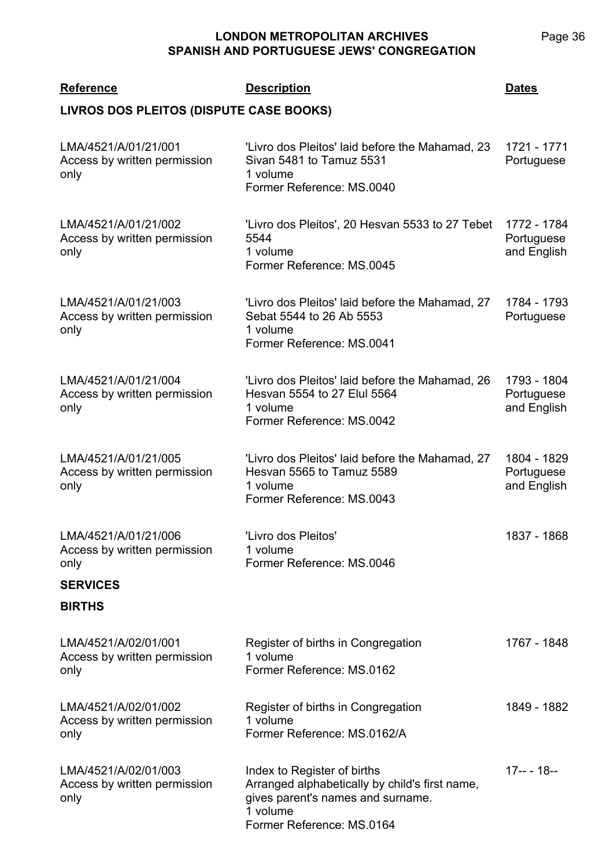| <b>Reference</b>                                                                                 | <b>Description</b>                                                                                                                                          | <b>Dates</b>                             |
|--------------------------------------------------------------------------------------------------|-------------------------------------------------------------------------------------------------------------------------------------------------------------|------------------------------------------|
| LIVROS DOS PLEITOS (DISPUTE CASE BOOKS)                                                          |                                                                                                                                                             |                                          |
| LMA/4521/A/01/21/001<br>Access by written permission<br>only                                     | 'Livro dos Pleitos' laid before the Mahamad, 23<br>Sivan 5481 to Tamuz 5531<br>1 volume<br>Former Reference: MS.0040                                        | 1721 - 1771<br>Portuguese                |
| LMA/4521/A/01/21/002<br>Access by written permission<br>only                                     | 'Livro dos Pleitos', 20 Hesvan 5533 to 27 Tebet<br>5544<br>1 volume<br>Former Reference: MS.0045                                                            | 1772 - 1784<br>Portuguese<br>and English |
| LMA/4521/A/01/21/003<br>Access by written permission<br>only                                     | 'Livro dos Pleitos' laid before the Mahamad, 27<br>Sebat 5544 to 26 Ab 5553<br>1 volume<br>Former Reference: MS.0041                                        | 1784 - 1793<br>Portuguese                |
| LMA/4521/A/01/21/004<br>Access by written permission<br>only                                     | 'Livro dos Pleitos' laid before the Mahamad, 26<br>Hesvan 5554 to 27 Elul 5564<br>1 volume<br>Former Reference: MS.0042                                     | 1793 - 1804<br>Portuguese<br>and English |
| LMA/4521/A/01/21/005<br>Access by written permission<br>only                                     | 'Livro dos Pleitos' laid before the Mahamad, 27<br>Hesvan 5565 to Tamuz 5589<br>1 volume<br>Former Reference: MS.0043                                       | 1804 - 1829<br>Portuguese<br>and English |
| LMA/4521/A/01/21/006<br>Access by written permission<br>only<br><b>SERVICES</b><br><b>BIRTHS</b> | 'Livro dos Pleitos'<br>1 volume<br>Former Reference: MS.0046                                                                                                | 1837 - 1868                              |
| LMA/4521/A/02/01/001<br>Access by written permission<br>only                                     | Register of births in Congregation<br>1 volume<br>Former Reference: MS.0162                                                                                 | 1767 - 1848                              |
| LMA/4521/A/02/01/002<br>Access by written permission<br>only                                     | Register of births in Congregation<br>1 volume<br>Former Reference: MS.0162/A                                                                               | 1849 - 1882                              |
| LMA/4521/A/02/01/003<br>Access by written permission<br>only                                     | Index to Register of births<br>Arranged alphabetically by child's first name,<br>gives parent's names and surname.<br>1 volume<br>Former Reference: MS.0164 | $17-- 18--$                              |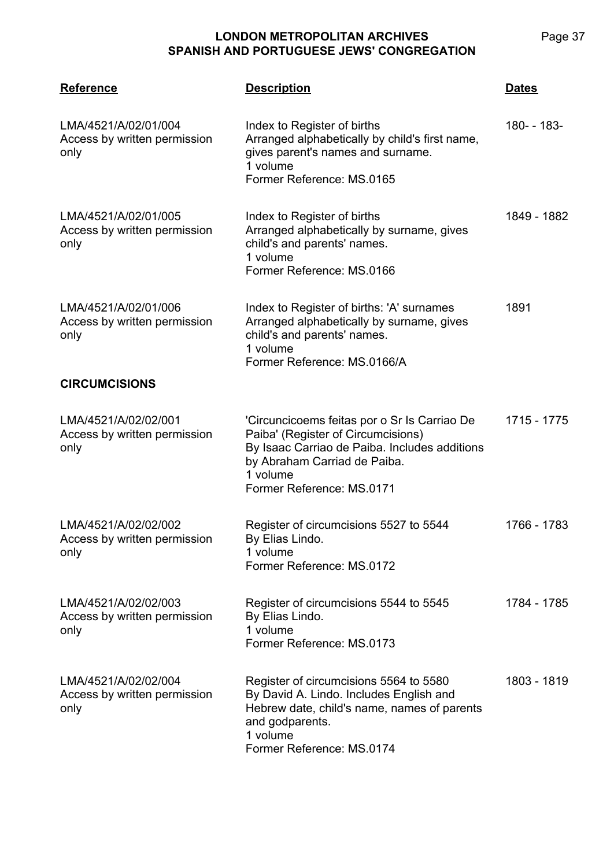| <b>Reference</b>                                             | <b>Description</b>                                                                                                                                                                                           | <u>Dates</u> |
|--------------------------------------------------------------|--------------------------------------------------------------------------------------------------------------------------------------------------------------------------------------------------------------|--------------|
| LMA/4521/A/02/01/004<br>Access by written permission<br>only | Index to Register of births<br>Arranged alphabetically by child's first name,<br>gives parent's names and surname.<br>1 volume<br>Former Reference: MS.0165                                                  | 180- - 183-  |
| LMA/4521/A/02/01/005<br>Access by written permission<br>only | Index to Register of births<br>Arranged alphabetically by surname, gives<br>child's and parents' names.<br>1 volume<br>Former Reference: MS.0166                                                             | 1849 - 1882  |
| LMA/4521/A/02/01/006<br>Access by written permission<br>only | Index to Register of births: 'A' surnames<br>Arranged alphabetically by surname, gives<br>child's and parents' names.<br>1 volume<br>Former Reference: MS.0166/A                                             | 1891         |
| <b>CIRCUMCISIONS</b>                                         |                                                                                                                                                                                                              |              |
| LMA/4521/A/02/02/001<br>Access by written permission<br>only | 'Circuncicoems feitas por o Sr Is Carriao De<br>Paiba' (Register of Circumcisions)<br>By Isaac Carriao de Paiba. Includes additions<br>by Abraham Carriad de Paiba.<br>1 volume<br>Former Reference: MS.0171 | 1715 - 1775  |
| LMA/4521/A/02/02/002<br>Access by written permission<br>only | Register of circumcisions 5527 to 5544<br>By Elias Lindo.<br>1 volume<br>Former Reference: MS.0172                                                                                                           | 1766 - 1783  |
| LMA/4521/A/02/02/003<br>Access by written permission<br>only | Register of circumcisions 5544 to 5545<br>By Elias Lindo.<br>1 volume<br>Former Reference: MS.0173                                                                                                           | 1784 - 1785  |
| LMA/4521/A/02/02/004<br>Access by written permission<br>only | Register of circumcisions 5564 to 5580<br>By David A. Lindo. Includes English and<br>Hebrew date, child's name, names of parents<br>and godparents.<br>1 volume<br>Former Reference: MS.0174                 | 1803 - 1819  |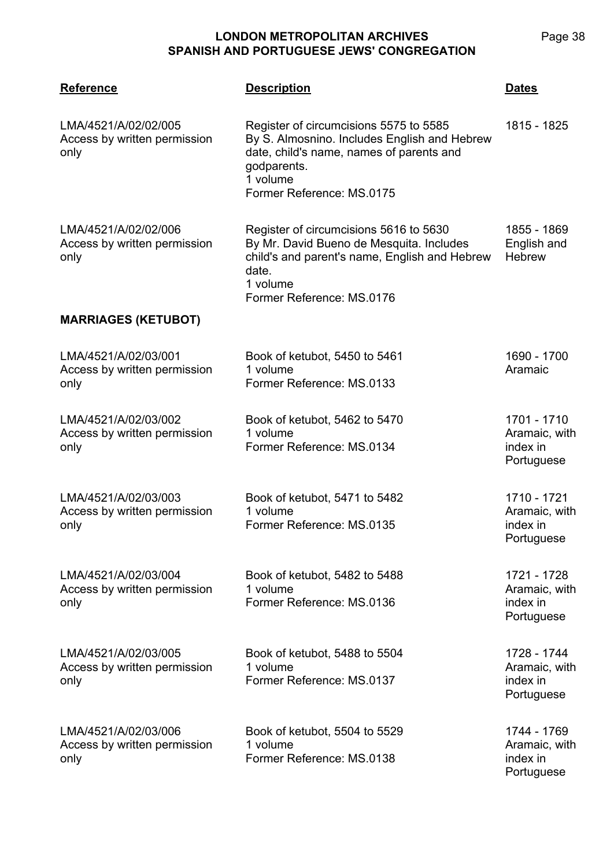**LMA/4521 Reference Description Dates** LMA/4521/A/02/02/005 Access by written permission only Register of circumcisions 5575 to 5585 By S. Almosnino. Includes English and Hebrew date, child's name, names of parents and godparents. 1 volume Former Reference: MS.0175 1815 - 1825 LMA/4521/A/02/02/006 Access by written permission only Register of circumcisions 5616 to 5630 By Mr. David Bueno de Mesquita. Includes child's and parent's name, English and Hebrew date. 1 volume Former Reference: MS.0176 1855 - 1869 English and **Hebrew MARRIAGES (KETUBOT)** LMA/4521/A/02/03/001 Access by written permission only Book of ketubot, 5450 to 5461 1 volume Former Reference: MS.0133 1690 - 1700 Aramaic LMA/4521/A/02/03/002 Access by written permission only Book of ketubot, 5462 to 5470 1 volume Former Reference: MS.0134 1701 - 1710 Aramaic, with index in **Portuguese** LMA/4521/A/02/03/003 Access by written permission only Book of ketubot, 5471 to 5482 1 volume Former Reference: MS.0135 1710 - 1721 Aramaic, with index in **Portuguese** LMA/4521/A/02/03/004 Access by written permission only Book of ketubot, 5482 to 5488 1 volume Former Reference: MS.0136 1721 - 1728 Aramaic, with index in Portuguese LMA/4521/A/02/03/005 Access by written permission only Book of ketubot, 5488 to 5504 1 volume Former Reference: MS.0137 1728 - 1744 Aramaic, with index in Portuguese LMA/4521/A/02/03/006 Access by written permission only Book of ketubot, 5504 to 5529 1 volume Former Reference: MS.0138 1744 - 1769 Aramaic, with index in Portuguese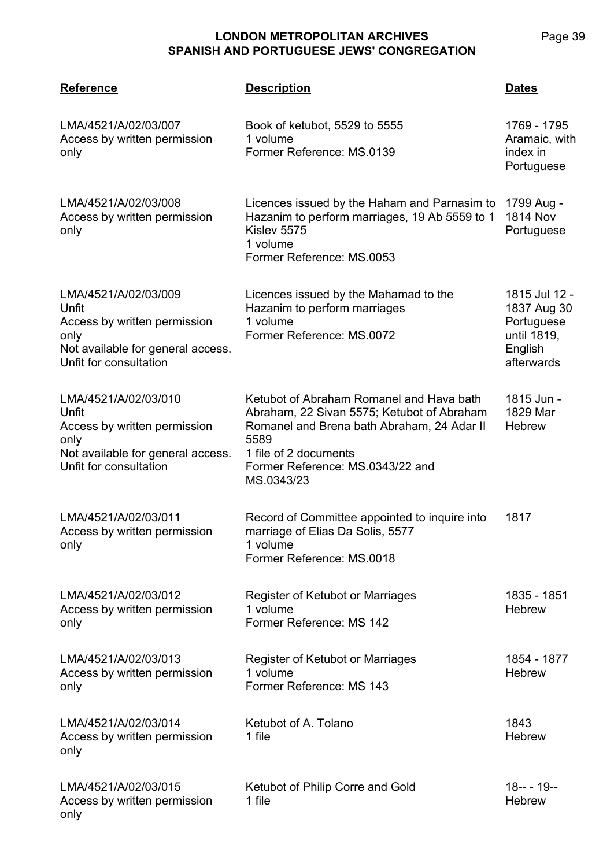**LMA/4521 Reference Description Dates** LMA/4521/A/02/03/007 Access by written permission only Book of ketubot, 5529 to 5555 1 volume Former Reference: MS.0139 1769 - 1795 Aramaic, with index in **Portuguese** LMA/4521/A/02/03/008 Access by written permission only Licences issued by the Haham and Parnasim to Hazanim to perform marriages, 19 Ab 5559 to 1 Kislev 5575 1 volume Former Reference: MS.0053 1799 Aug - 1814 Nov **Portuguese** LMA/4521/A/02/03/009 Unfit Access by written permission only Not available for general access. Unfit for consultation Licences issued by the Mahamad to the Hazanim to perform marriages 1 volume Former Reference: MS.0072 1815 Jul 12 - 1837 Aug 30 **Portuguese** until 1819, English afterwards LMA/4521/A/02/03/010 Unfit Access by written permission only Not available for general access. Unfit for consultation Ketubot of Abraham Romanel and Hava bath Abraham, 22 Sivan 5575; Ketubot of Abraham Romanel and Brena bath Abraham, 24 Adar II 5589 1 file of 2 documents Former Reference: MS.0343/22 and MS.0343/23 1815 Jun - 1829 Mar **Hebrew** LMA/4521/A/02/03/011 Access by written permission only Record of Committee appointed to inquire into marriage of Elias Da Solis, 5577 1 volume Former Reference: MS.0018 1817 LMA/4521/A/02/03/012 Access by written permission only Register of Ketubot or Marriages 1 volume Former Reference: MS 142 1835 - 1851 **Hebrew** LMA/4521/A/02/03/013 Access by written permission only Register of Ketubot or Marriages 1 volume Former Reference: MS 143 1854 - 1877 **Hebrew** LMA/4521/A/02/03/014 Access by written permission only Ketubot of A. Tolano 1 file 1843 **Hebrew** LMA/4521/A/02/03/015 Access by written permission only Ketubot of Philip Corre and Gold 1 file 18-- - 19-- **Hebrew**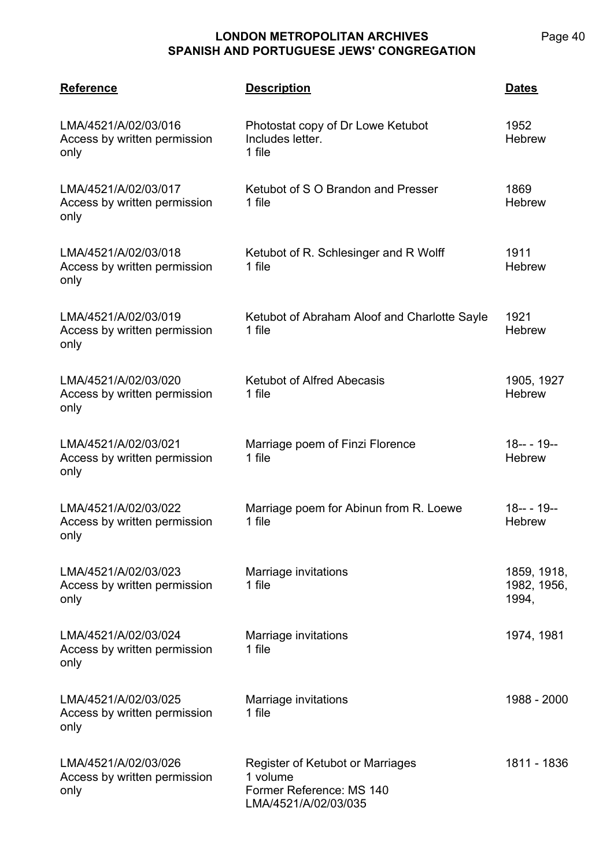| <b>Reference</b>                                             | <b>Description</b>                                                                               | <b>Dates</b>                        |
|--------------------------------------------------------------|--------------------------------------------------------------------------------------------------|-------------------------------------|
| LMA/4521/A/02/03/016<br>Access by written permission<br>only | Photostat copy of Dr Lowe Ketubot<br>Includes letter.<br>1 file                                  | 1952<br><b>Hebrew</b>               |
| LMA/4521/A/02/03/017<br>Access by written permission<br>only | Ketubot of S O Brandon and Presser<br>1 file                                                     | 1869<br><b>Hebrew</b>               |
| LMA/4521/A/02/03/018<br>Access by written permission<br>only | Ketubot of R. Schlesinger and R Wolff<br>1 file                                                  | 1911<br><b>Hebrew</b>               |
| LMA/4521/A/02/03/019<br>Access by written permission<br>only | Ketubot of Abraham Aloof and Charlotte Sayle<br>1 file                                           | 1921<br><b>Hebrew</b>               |
| LMA/4521/A/02/03/020<br>Access by written permission<br>only | <b>Ketubot of Alfred Abecasis</b><br>1 file                                                      | 1905, 1927<br><b>Hebrew</b>         |
| LMA/4521/A/02/03/021<br>Access by written permission<br>only | Marriage poem of Finzi Florence<br>1 file                                                        | $18--19--$<br>Hebrew                |
| LMA/4521/A/02/03/022<br>Access by written permission<br>only | Marriage poem for Abinun from R. Loewe<br>1 file                                                 | $18--19--$<br>Hebrew                |
| LMA/4521/A/02/03/023<br>Access by written permission<br>only | Marriage invitations<br>1 file                                                                   | 1859, 1918,<br>1982, 1956,<br>1994, |
| LMA/4521/A/02/03/024<br>Access by written permission<br>only | Marriage invitations<br>1 file                                                                   | 1974, 1981                          |
| LMA/4521/A/02/03/025<br>Access by written permission<br>only | Marriage invitations<br>1 file                                                                   | 1988 - 2000                         |
| LMA/4521/A/02/03/026<br>Access by written permission<br>only | Register of Ketubot or Marriages<br>1 volume<br>Former Reference: MS 140<br>LMA/4521/A/02/03/035 | 1811 - 1836                         |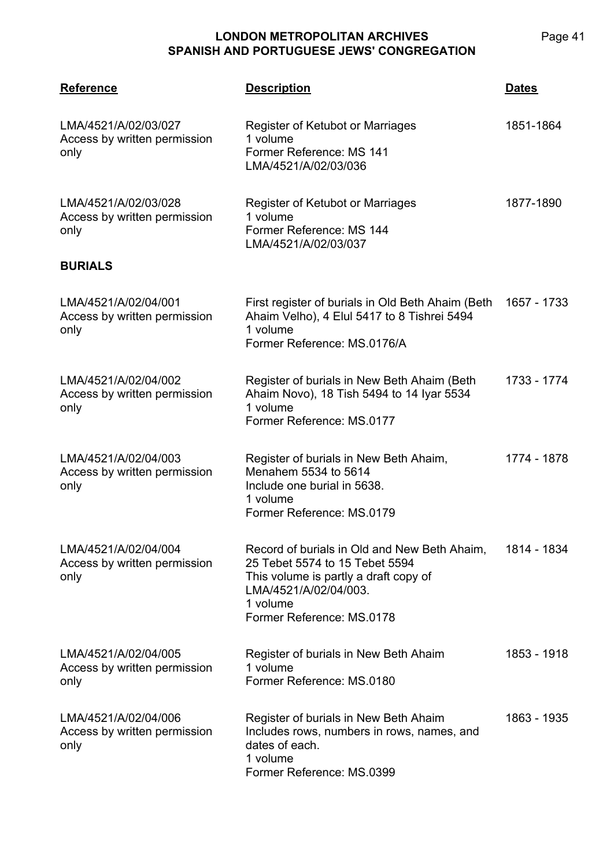| <b>Reference</b>                                             | <b>Description</b>                                                                                                                                                                        | <b>Dates</b> |
|--------------------------------------------------------------|-------------------------------------------------------------------------------------------------------------------------------------------------------------------------------------------|--------------|
| LMA/4521/A/02/03/027<br>Access by written permission<br>only | Register of Ketubot or Marriages<br>1 volume<br>Former Reference: MS 141<br>LMA/4521/A/02/03/036                                                                                          | 1851-1864    |
| LMA/4521/A/02/03/028<br>Access by written permission<br>only | Register of Ketubot or Marriages<br>1 volume<br>Former Reference: MS 144<br>LMA/4521/A/02/03/037                                                                                          | 1877-1890    |
| <b>BURIALS</b>                                               |                                                                                                                                                                                           |              |
| LMA/4521/A/02/04/001<br>Access by written permission<br>only | First register of burials in Old Beth Ahaim (Beth<br>Ahaim Velho), 4 Elul 5417 to 8 Tishrei 5494<br>1 volume<br>Former Reference: MS.0176/A                                               | 1657 - 1733  |
| LMA/4521/A/02/04/002<br>Access by written permission<br>only | Register of burials in New Beth Ahaim (Beth<br>Ahaim Novo), 18 Tish 5494 to 14 Iyar 5534<br>1 volume<br>Former Reference: MS.0177                                                         | 1733 - 1774  |
| LMA/4521/A/02/04/003<br>Access by written permission<br>only | Register of burials in New Beth Ahaim,<br>Menahem 5534 to 5614<br>Include one burial in 5638.<br>1 volume<br>Former Reference: MS.0179                                                    | 1774 - 1878  |
| LMA/4521/A/02/04/004<br>Access by written permission<br>only | Record of burials in Old and New Beth Ahaim,<br>25 Tebet 5574 to 15 Tebet 5594<br>This volume is partly a draft copy of<br>LMA/4521/A/02/04/003.<br>1 volume<br>Former Reference: MS.0178 | 1814 - 1834  |
| LMA/4521/A/02/04/005<br>Access by written permission<br>only | Register of burials in New Beth Ahaim<br>1 volume<br>Former Reference: MS.0180                                                                                                            | 1853 - 1918  |
| LMA/4521/A/02/04/006<br>Access by written permission<br>only | Register of burials in New Beth Ahaim<br>Includes rows, numbers in rows, names, and<br>dates of each.<br>1 volume<br>Former Reference: MS.0399                                            | 1863 - 1935  |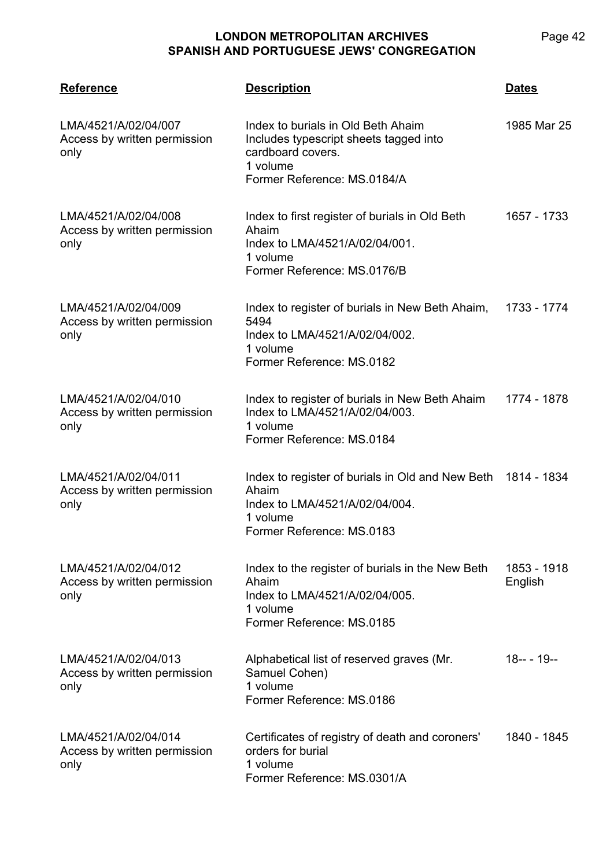| <b>Reference</b>                                             | <b>Description</b>                                                                                                                               | <b>Dates</b>           |
|--------------------------------------------------------------|--------------------------------------------------------------------------------------------------------------------------------------------------|------------------------|
| LMA/4521/A/02/04/007<br>Access by written permission<br>only | Index to burials in Old Beth Ahaim<br>Includes typescript sheets tagged into<br>cardboard covers.<br>1 volume<br>Former Reference: MS.0184/A     | 1985 Mar 25            |
| LMA/4521/A/02/04/008<br>Access by written permission<br>only | Index to first register of burials in Old Beth<br>Ahaim<br>Index to LMA/4521/A/02/04/001.<br>1 volume<br>Former Reference: MS.0176/B             | 1657 - 1733            |
| LMA/4521/A/02/04/009<br>Access by written permission<br>only | Index to register of burials in New Beth Ahaim,<br>5494<br>Index to LMA/4521/A/02/04/002.<br>1 volume<br>Former Reference: MS.0182               | 1733 - 1774            |
| LMA/4521/A/02/04/010<br>Access by written permission<br>only | Index to register of burials in New Beth Ahaim<br>Index to LMA/4521/A/02/04/003.<br>1 volume<br>Former Reference: MS.0184                        | 1774 - 1878            |
| LMA/4521/A/02/04/011<br>Access by written permission<br>only | Index to register of burials in Old and New Beth 1814 - 1834<br>Ahaim<br>Index to LMA/4521/A/02/04/004.<br>1 volume<br>Former Reference: MS.0183 |                        |
| LMA/4521/A/02/04/012<br>Access by written permission<br>only | Index to the register of burials in the New Beth<br>Ahaim<br>Index to LMA/4521/A/02/04/005.<br>1 volume<br>Former Reference: MS.0185             | 1853 - 1918<br>English |
| LMA/4521/A/02/04/013<br>Access by written permission<br>only | Alphabetical list of reserved graves (Mr.<br>Samuel Cohen)<br>1 volume<br>Former Reference: MS.0186                                              | $18--19--$             |
| LMA/4521/A/02/04/014<br>Access by written permission<br>only | Certificates of registry of death and coroners'<br>orders for burial<br>1 volume<br>Former Reference: MS.0301/A                                  | 1840 - 1845            |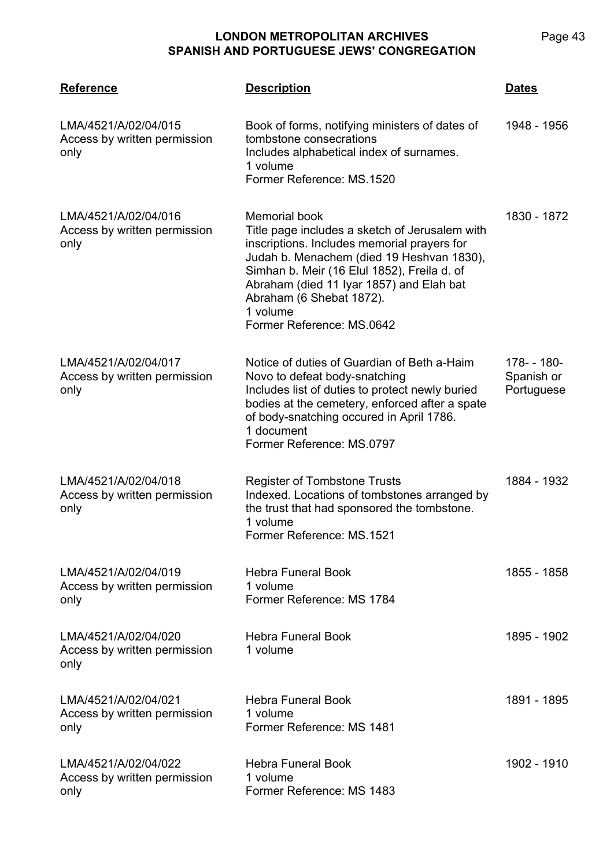| <b>Reference</b>                                             | <b>Description</b>                                                                                                                                                                                                                                                                                                                 | <b>Dates</b>                            |
|--------------------------------------------------------------|------------------------------------------------------------------------------------------------------------------------------------------------------------------------------------------------------------------------------------------------------------------------------------------------------------------------------------|-----------------------------------------|
| LMA/4521/A/02/04/015<br>Access by written permission<br>only | Book of forms, notifying ministers of dates of<br>tombstone consecrations<br>Includes alphabetical index of surnames.<br>1 volume<br>Former Reference: MS.1520                                                                                                                                                                     | 1948 - 1956                             |
| LMA/4521/A/02/04/016<br>Access by written permission<br>only | <b>Memorial book</b><br>Title page includes a sketch of Jerusalem with<br>inscriptions. Includes memorial prayers for<br>Judah b. Menachem (died 19 Heshvan 1830),<br>Simhan b. Meir (16 Elul 1852), Freila d. of<br>Abraham (died 11 Iyar 1857) and Elah bat<br>Abraham (6 Shebat 1872).<br>1 volume<br>Former Reference: MS.0642 | 1830 - 1872                             |
| LMA/4521/A/02/04/017<br>Access by written permission<br>only | Notice of duties of Guardian of Beth a-Haim<br>Novo to defeat body-snatching<br>Includes list of duties to protect newly buried<br>bodies at the cemetery, enforced after a spate<br>of body-snatching occured in April 1786.<br>1 document<br>Former Reference: MS.0797                                                           | 178- - 180-<br>Spanish or<br>Portuguese |
| LMA/4521/A/02/04/018<br>Access by written permission<br>only | <b>Register of Tombstone Trusts</b><br>Indexed. Locations of tombstones arranged by<br>the trust that had sponsored the tombstone.<br>1 volume<br>Former Reference: MS.1521                                                                                                                                                        | 1884 - 1932                             |
| LMA/4521/A/02/04/019<br>Access by written permission<br>only | <b>Hebra Funeral Book</b><br>1 volume<br>Former Reference: MS 1784                                                                                                                                                                                                                                                                 | 1855 - 1858                             |
| LMA/4521/A/02/04/020<br>Access by written permission<br>only | <b>Hebra Funeral Book</b><br>1 volume                                                                                                                                                                                                                                                                                              | 1895 - 1902                             |
| LMA/4521/A/02/04/021<br>Access by written permission<br>only | <b>Hebra Funeral Book</b><br>1 volume<br>Former Reference: MS 1481                                                                                                                                                                                                                                                                 | 1891 - 1895                             |
| LMA/4521/A/02/04/022<br>Access by written permission<br>only | <b>Hebra Funeral Book</b><br>1 volume<br>Former Reference: MS 1483                                                                                                                                                                                                                                                                 | 1902 - 1910                             |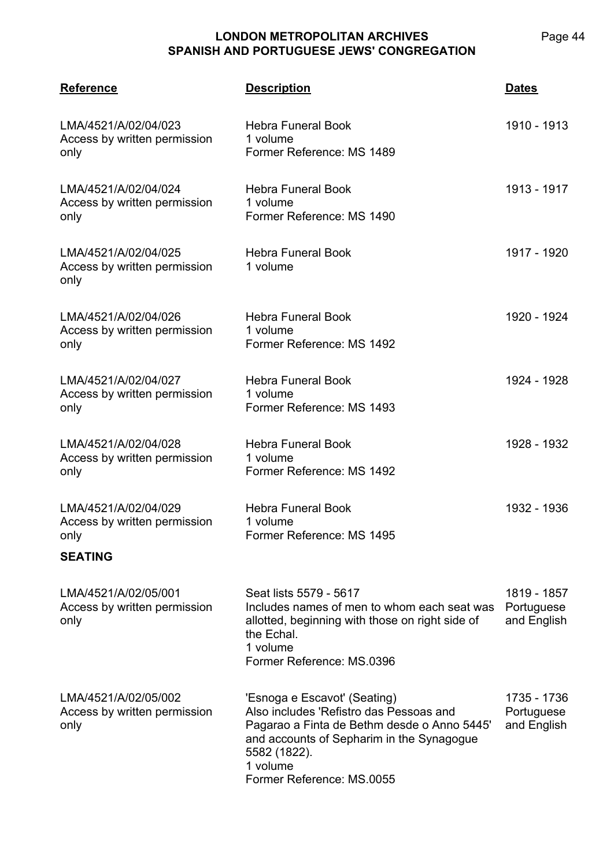**LMA/4521 Reference Description Dates** 1910 - 1913

| LMA/4521/A/02/04/023<br>Access by written permission<br>only                   | <b>Hebra Funeral Book</b><br>1 volume<br>Former Reference: MS 1489                                                                                                                                                           | 1910 - 1913                              |
|--------------------------------------------------------------------------------|------------------------------------------------------------------------------------------------------------------------------------------------------------------------------------------------------------------------------|------------------------------------------|
| LMA/4521/A/02/04/024<br>Access by written permission<br>only                   | <b>Hebra Funeral Book</b><br>1 volume<br>Former Reference: MS 1490                                                                                                                                                           | 1913 - 1917                              |
| LMA/4521/A/02/04/025<br>Access by written permission<br>only                   | <b>Hebra Funeral Book</b><br>1 volume                                                                                                                                                                                        | 1917 - 1920                              |
| LMA/4521/A/02/04/026<br>Access by written permission<br>only                   | <b>Hebra Funeral Book</b><br>1 volume<br>Former Reference: MS 1492                                                                                                                                                           | 1920 - 1924                              |
| LMA/4521/A/02/04/027<br>Access by written permission<br>only                   | <b>Hebra Funeral Book</b><br>1 volume<br>Former Reference: MS 1493                                                                                                                                                           | 1924 - 1928                              |
| LMA/4521/A/02/04/028<br>Access by written permission<br>only                   | <b>Hebra Funeral Book</b><br>1 volume<br>Former Reference: MS 1492                                                                                                                                                           | 1928 - 1932                              |
| LMA/4521/A/02/04/029<br>Access by written permission<br>only<br><b>SEATING</b> | <b>Hebra Funeral Book</b><br>1 volume<br>Former Reference: MS 1495                                                                                                                                                           | 1932 - 1936                              |
| LMA/4521/A/02/05/001<br>Access by written permission<br>only                   | Seat lists 5579 - 5617<br>Includes names of men to whom each seat was<br>allotted, beginning with those on right side of<br>the Echal.<br>1 volume<br>Former Reference: MS.0396                                              | 1819 - 1857<br>Portuguese<br>and English |
| LMA/4521/A/02/05/002<br>Access by written permission<br>only                   | 'Esnoga e Escavot' (Seating)<br>Also includes 'Refistro das Pessoas and<br>Pagarao a Finta de Bethm desde o Anno 5445'<br>and accounts of Sepharim in the Synagogue<br>5582 (1822).<br>1 volume<br>Former Reference: MS.0055 | 1735 - 1736<br>Portuguese<br>and English |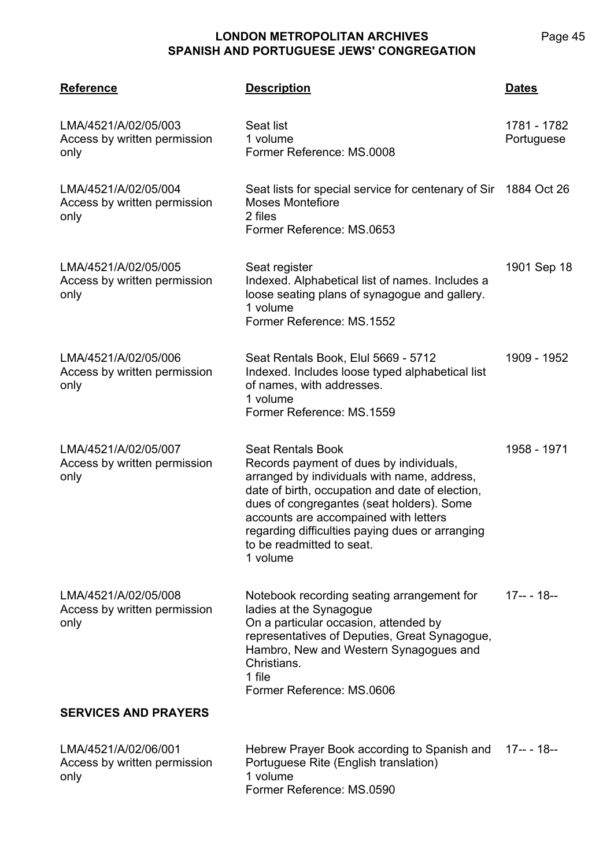| <b>Reference</b>                                             | <b>Description</b>                                                                                                                                                                                                                                                                                                                                      | <b>Dates</b>              |
|--------------------------------------------------------------|---------------------------------------------------------------------------------------------------------------------------------------------------------------------------------------------------------------------------------------------------------------------------------------------------------------------------------------------------------|---------------------------|
| LMA/4521/A/02/05/003<br>Access by written permission<br>only | Seat list<br>1 volume<br>Former Reference: MS.0008                                                                                                                                                                                                                                                                                                      | 1781 - 1782<br>Portuguese |
| LMA/4521/A/02/05/004<br>Access by written permission<br>only | Seat lists for special service for centenary of Sir 1884 Oct 26<br><b>Moses Montefiore</b><br>2 files<br>Former Reference: MS.0653                                                                                                                                                                                                                      |                           |
| LMA/4521/A/02/05/005<br>Access by written permission<br>only | Seat register<br>Indexed. Alphabetical list of names. Includes a<br>loose seating plans of synagogue and gallery.<br>1 volume<br>Former Reference: MS.1552                                                                                                                                                                                              | 1901 Sep 18               |
| LMA/4521/A/02/05/006<br>Access by written permission<br>only | Seat Rentals Book, Elul 5669 - 5712<br>Indexed. Includes loose typed alphabetical list<br>of names, with addresses.<br>1 volume<br>Former Reference: MS.1559                                                                                                                                                                                            | 1909 - 1952               |
| LMA/4521/A/02/05/007<br>Access by written permission<br>only | <b>Seat Rentals Book</b><br>Records payment of dues by individuals,<br>arranged by individuals with name, address,<br>date of birth, occupation and date of election,<br>dues of congregantes (seat holders). Some<br>accounts are accompained with letters<br>regarding difficulties paying dues or arranging<br>to be readmitted to seat.<br>1 volume | 1958 - 1971               |
| LMA/4521/A/02/05/008<br>Access by written permission<br>only | Notebook recording seating arrangement for<br>ladies at the Synagogue<br>On a particular occasion, attended by<br>representatives of Deputies, Great Synagogue,<br>Hambro, New and Western Synagogues and<br>Christians.<br>1 file<br>Former Reference: MS.0606                                                                                         | 17-- - 18--               |
| <b>SERVICES AND PRAYERS</b>                                  |                                                                                                                                                                                                                                                                                                                                                         |                           |
| LMA/4521/A/02/06/001<br>Access by written permission<br>only | Hebrew Prayer Book according to Spanish and<br>Portuguese Rite (English translation)<br>1 volume<br>Former Reference: MS.0590                                                                                                                                                                                                                           | 17-- - 18--               |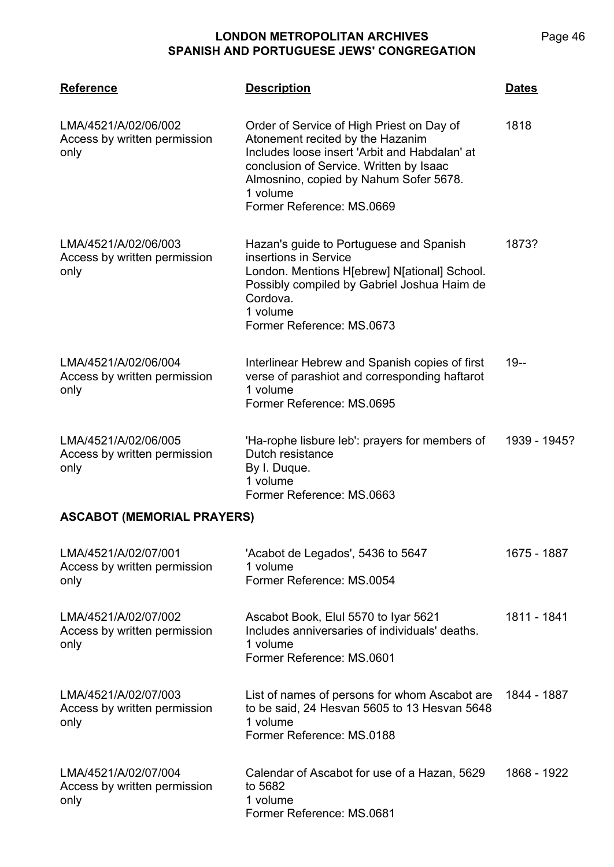| <b>Reference</b>                                             | <b>Description</b>                                                                                                                                                                                                                                           | <u>Dates</u> |  |
|--------------------------------------------------------------|--------------------------------------------------------------------------------------------------------------------------------------------------------------------------------------------------------------------------------------------------------------|--------------|--|
| LMA/4521/A/02/06/002<br>Access by written permission<br>only | Order of Service of High Priest on Day of<br>Atonement recited by the Hazanim<br>Includes loose insert 'Arbit and Habdalan' at<br>conclusion of Service. Written by Isaac<br>Almosnino, copied by Nahum Sofer 5678.<br>1 volume<br>Former Reference: MS.0669 | 1818         |  |
| LMA/4521/A/02/06/003<br>Access by written permission<br>only | Hazan's guide to Portuguese and Spanish<br>insertions in Service<br>London. Mentions H[ebrew] N[ational] School.<br>Possibly compiled by Gabriel Joshua Haim de<br>Cordova.<br>1 volume<br>Former Reference: MS.0673                                         | 1873?        |  |
| LMA/4521/A/02/06/004<br>Access by written permission<br>only | Interlinear Hebrew and Spanish copies of first<br>verse of parashiot and corresponding haftarot<br>1 volume<br>Former Reference: MS.0695                                                                                                                     | $19 -$       |  |
| LMA/4521/A/02/06/005<br>Access by written permission<br>only | 'Ha-rophe lisbure leb': prayers for members of<br>Dutch resistance<br>By I. Duque.<br>1 volume<br>Former Reference: MS.0663                                                                                                                                  | 1939 - 1945? |  |
| <b>ASCABOT (MEMORIAL PRAYERS)</b>                            |                                                                                                                                                                                                                                                              |              |  |
| LMA/4521/A/02/07/001<br>Access by written permission<br>only | 'Acabot de Legados', 5436 to 5647<br>1 volume<br>Former Reference: MS.0054                                                                                                                                                                                   | 1675 - 1887  |  |
| LMA/4521/A/02/07/002<br>Access by written permission<br>only | Ascabot Book, Elul 5570 to Iyar 5621<br>Includes anniversaries of individuals' deaths.<br>1 volume<br>Former Reference: MS.0601                                                                                                                              | 1811 - 1841  |  |
| LMA/4521/A/02/07/003<br>Access by written permission<br>only | List of names of persons for whom Ascabot are<br>to be said, 24 Hesvan 5605 to 13 Hesvan 5648<br>1 volume<br>Former Reference: MS.0188                                                                                                                       | 1844 - 1887  |  |
| LMA/4521/A/02/07/004<br>Access by written permission<br>only | Calendar of Ascabot for use of a Hazan, 5629<br>to 5682<br>1 volume<br>Former Reference: MS.0681                                                                                                                                                             | 1868 - 1922  |  |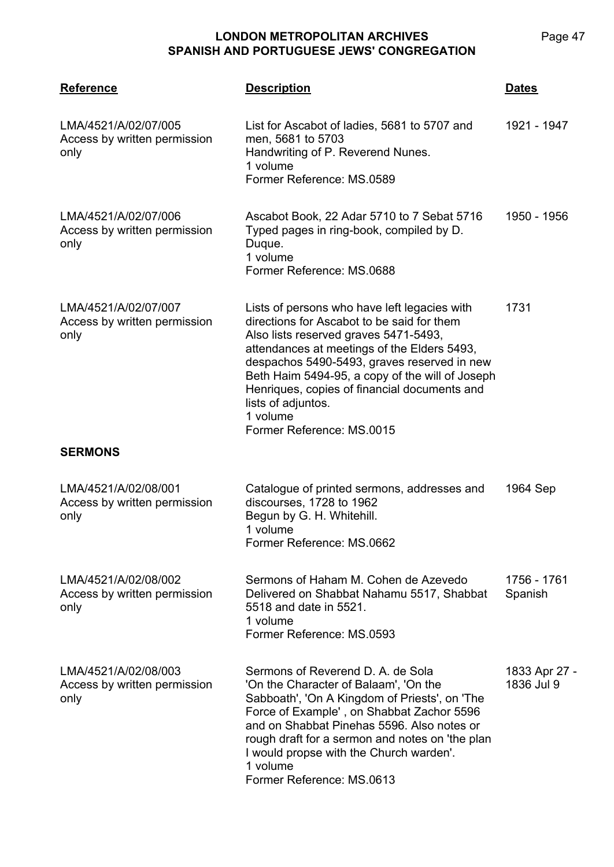| <b>Reference</b>                                             | <b>Description</b>                                                                                                                                                                                                                                                                                                                                                                                  | <b>Dates</b>                |
|--------------------------------------------------------------|-----------------------------------------------------------------------------------------------------------------------------------------------------------------------------------------------------------------------------------------------------------------------------------------------------------------------------------------------------------------------------------------------------|-----------------------------|
| LMA/4521/A/02/07/005<br>Access by written permission<br>only | List for Ascabot of ladies, 5681 to 5707 and<br>men, 5681 to 5703<br>Handwriting of P. Reverend Nunes.<br>1 volume<br>Former Reference: MS.0589                                                                                                                                                                                                                                                     | 1921 - 1947                 |
| LMA/4521/A/02/07/006<br>Access by written permission<br>only | Ascabot Book, 22 Adar 5710 to 7 Sebat 5716<br>Typed pages in ring-book, compiled by D.<br>Duque.<br>1 volume<br>Former Reference: MS.0688                                                                                                                                                                                                                                                           | 1950 - 1956                 |
| LMA/4521/A/02/07/007<br>Access by written permission<br>only | Lists of persons who have left legacies with<br>directions for Ascabot to be said for them<br>Also lists reserved graves 5471-5493,<br>attendances at meetings of the Elders 5493,<br>despachos 5490-5493, graves reserved in new<br>Beth Haim 5494-95, a copy of the will of Joseph<br>Henriques, copies of financial documents and<br>lists of adjuntos.<br>1 volume<br>Former Reference: MS.0015 | 1731                        |
| <b>SERMONS</b>                                               |                                                                                                                                                                                                                                                                                                                                                                                                     |                             |
| LMA/4521/A/02/08/001<br>Access by written permission<br>only | Catalogue of printed sermons, addresses and<br>discourses, 1728 to 1962<br>Begun by G. H. Whitehill.<br>1 volume<br>Former Reference: MS.0662                                                                                                                                                                                                                                                       | 1964 Sep                    |
| LMA/4521/A/02/08/002<br>Access by written permission<br>only | Sermons of Haham M. Cohen de Azevedo<br>Delivered on Shabbat Nahamu 5517, Shabbat<br>5518 and date in 5521.<br>1 volume<br>Former Reference: MS.0593                                                                                                                                                                                                                                                | 1756 - 1761<br>Spanish      |
| LMA/4521/A/02/08/003<br>Access by written permission<br>only | Sermons of Reverend D. A. de Sola<br>'On the Character of Balaam', 'On the<br>Sabboath', 'On A Kingdom of Priests', on 'The<br>Force of Example', on Shabbat Zachor 5596<br>and on Shabbat Pinehas 5596. Also notes or<br>rough draft for a sermon and notes on 'the plan<br>I would propse with the Church warden'.<br>1 volume<br>Former Reference: MS.0613                                       | 1833 Apr 27 -<br>1836 Jul 9 |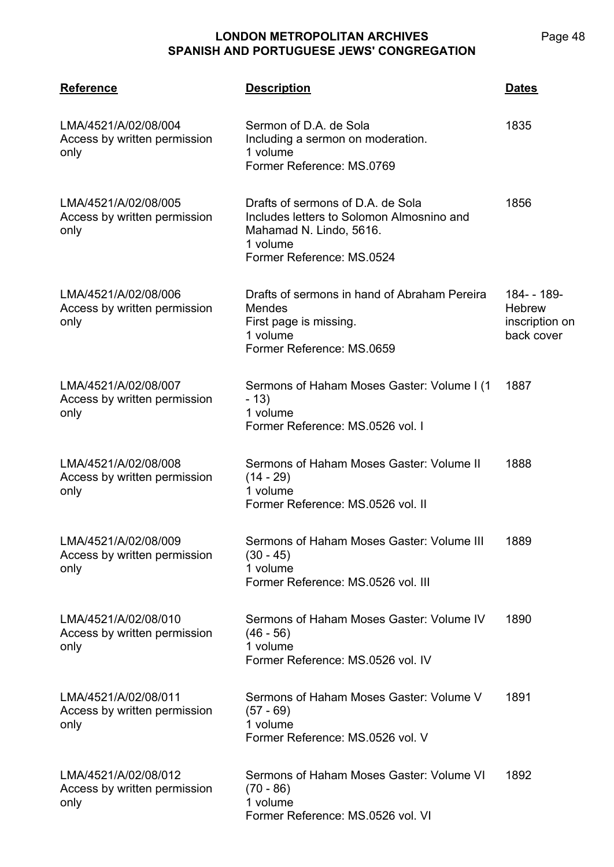| <b>Reference</b>                                             | <b>Description</b>                                                                                                                                 | <b>Dates</b>                                               |
|--------------------------------------------------------------|----------------------------------------------------------------------------------------------------------------------------------------------------|------------------------------------------------------------|
| LMA/4521/A/02/08/004<br>Access by written permission<br>only | Sermon of D.A. de Sola<br>Including a sermon on moderation.<br>1 volume<br>Former Reference: MS.0769                                               | 1835                                                       |
| LMA/4521/A/02/08/005<br>Access by written permission<br>only | Drafts of sermons of D.A. de Sola<br>Includes letters to Solomon Almosnino and<br>Mahamad N. Lindo, 5616.<br>1 volume<br>Former Reference: MS.0524 | 1856                                                       |
| LMA/4521/A/02/08/006<br>Access by written permission<br>only | Drafts of sermons in hand of Abraham Pereira<br>Mendes<br>First page is missing.<br>1 volume<br>Former Reference: MS.0659                          | 184--189-<br><b>Hebrew</b><br>inscription on<br>back cover |
| LMA/4521/A/02/08/007<br>Access by written permission<br>only | Sermons of Haham Moses Gaster: Volume I (1)<br>$-13)$<br>1 volume<br>Former Reference: MS.0526 vol. I                                              | 1887                                                       |
| LMA/4521/A/02/08/008<br>Access by written permission<br>only | Sermons of Haham Moses Gaster: Volume II<br>$(14 - 29)$<br>1 volume<br>Former Reference: MS.0526 vol. II                                           | 1888                                                       |
| LMA/4521/A/02/08/009<br>Access by written permission<br>only | Sermons of Haham Moses Gaster: Volume III<br>(30 - 45)<br>1 volume<br>Former Reference: MS.0526 vol. III                                           | 1889                                                       |
| LMA/4521/A/02/08/010<br>Access by written permission<br>only | Sermons of Haham Moses Gaster: Volume IV<br>$(46 - 56)$<br>1 volume<br>Former Reference: MS.0526 vol. IV                                           | 1890                                                       |
| LMA/4521/A/02/08/011<br>Access by written permission<br>only | Sermons of Haham Moses Gaster: Volume V<br>$(57 - 69)$<br>1 volume<br>Former Reference: MS.0526 vol. V                                             | 1891                                                       |
| LMA/4521/A/02/08/012<br>Access by written permission<br>only | Sermons of Haham Moses Gaster: Volume VI<br>$(70 - 86)$<br>1 volume<br>Former Reference: MS.0526 vol. VI                                           | 1892                                                       |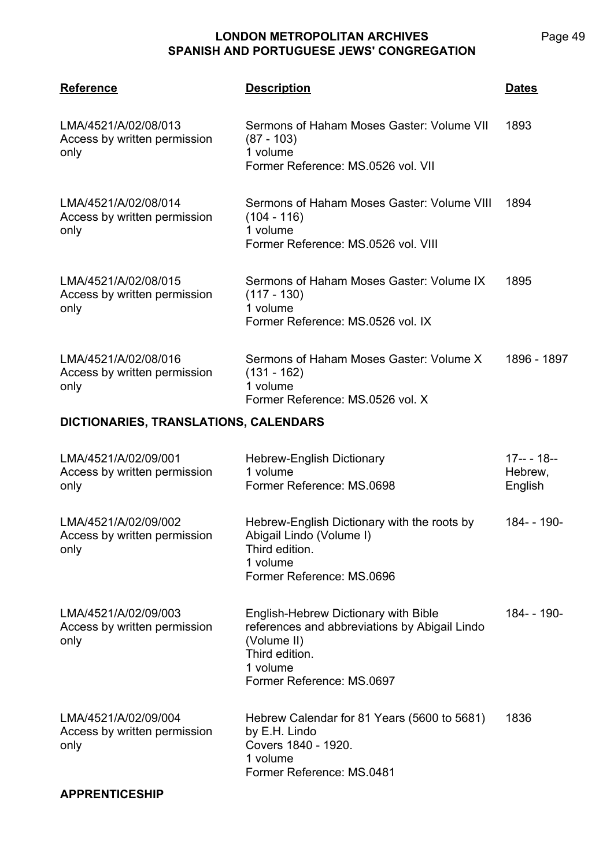| <b>Reference</b>                                             | <b>Description</b>                                                                                                                                              | <b>Dates</b>                      |
|--------------------------------------------------------------|-----------------------------------------------------------------------------------------------------------------------------------------------------------------|-----------------------------------|
| LMA/4521/A/02/08/013<br>Access by written permission<br>only | Sermons of Haham Moses Gaster: Volume VII<br>$(87 - 103)$<br>1 volume<br>Former Reference: MS.0526 vol. VII                                                     | 1893                              |
| LMA/4521/A/02/08/014<br>Access by written permission<br>only | Sermons of Haham Moses Gaster: Volume VIII<br>$(104 - 116)$<br>1 volume<br>Former Reference: MS.0526 vol. VIII                                                  | 1894                              |
| LMA/4521/A/02/08/015<br>Access by written permission<br>only | Sermons of Haham Moses Gaster: Volume IX<br>$(117 - 130)$<br>1 volume<br>Former Reference: MS.0526 vol. IX                                                      | 1895                              |
| LMA/4521/A/02/08/016<br>Access by written permission<br>only | Sermons of Haham Moses Gaster: Volume X<br>$(131 - 162)$<br>1 volume<br>Former Reference: MS.0526 vol. X                                                        | 1896 - 1897                       |
| DICTIONARIES, TRANSLATIONS, CALENDARS                        |                                                                                                                                                                 |                                   |
| LMA/4521/A/02/09/001<br>Access by written permission<br>only | <b>Hebrew-English Dictionary</b><br>1 volume<br>Former Reference: MS.0698                                                                                       | $17-- 18--$<br>Hebrew,<br>English |
| LMA/4521/A/02/09/002<br>Access by written permission<br>only | Hebrew-English Dictionary with the roots by<br>Abigail Lindo (Volume I)<br>Third edition.<br>1 volume<br>Former Reference: MS.0696                              | 184- - 190-                       |
| LMA/4521/A/02/09/003<br>Access by written permission<br>only | English-Hebrew Dictionary with Bible<br>references and abbreviations by Abigail Lindo<br>(Volume II)<br>Third edition.<br>1 volume<br>Former Reference: MS.0697 | 184--190-                         |
| LMA/4521/A/02/09/004<br>Access by written permission<br>only | Hebrew Calendar for 81 Years (5600 to 5681)<br>by E.H. Lindo<br>Covers 1840 - 1920.<br>1 volume<br>Former Reference: MS.0481                                    | 1836                              |
| <b>APPRENTICESHIP</b>                                        |                                                                                                                                                                 |                                   |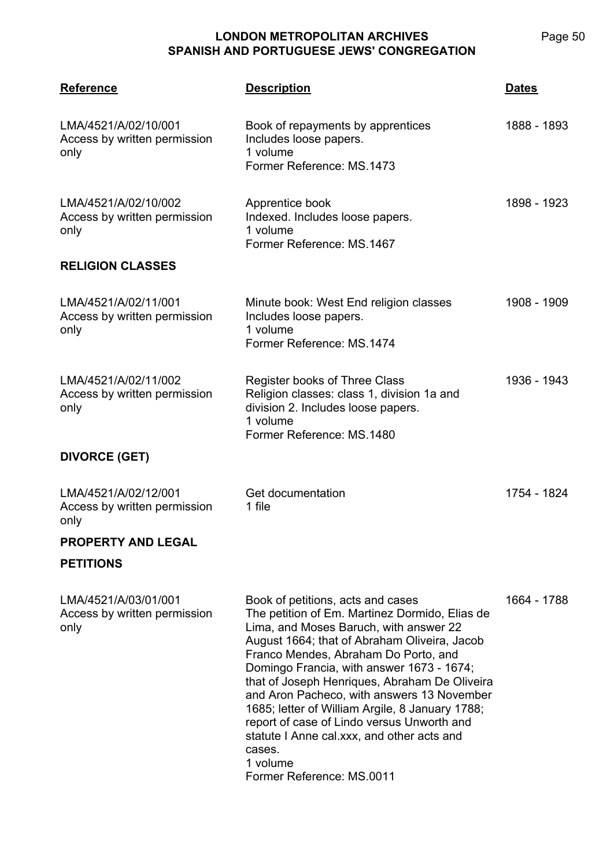**LMA/4521 Reference Description Dates** LMA/4521/A/02/10/001 Access by written permission only Book of repayments by apprentices Includes loose papers. 1 volume Former Reference: MS.1473 1888 - 1893 LMA/4521/A/02/10/002 Access by written permission only Apprentice book Indexed. Includes loose papers. 1 volume Former Reference: MS.1467 1898 - 1923 **RELIGION CLASSES** LMA/4521/A/02/11/001 Access by written permission only Minute book: West End religion classes Includes loose papers. 1 volume Former Reference: MS.1474 1908 - 1909 LMA/4521/A/02/11/002 Access by written permission only Register books of Three Class Religion classes: class 1, division 1a and division 2. Includes loose papers. 1 volume Former Reference: MS.1480 1936 - 1943 **DIVORCE (GET)** LMA/4521/A/02/12/001 Access by written permission only Get documentation 1 file 1754 - 1824 **PROPERTY AND LEGAL PETITIONS** LMA/4521/A/03/01/001 Access by written permission only Book of petitions, acts and cases The petition of Em. Martinez Dormido, Elias de Lima, and Moses Baruch, with answer 22 August 1664; that of Abraham Oliveira, Jacob Franco Mendes, Abraham Do Porto, and Domingo Francia, with answer 1673 - 1674; that of Joseph Henriques, Abraham De Oliveira and Aron Pacheco, with answers 13 November 1685; letter of William Argile, 8 January 1788; report of case of Lindo versus Unworth and statute I Anne cal.xxx, and other acts and cases. 1 volume Former Reference: MS.0011 1664 - 1788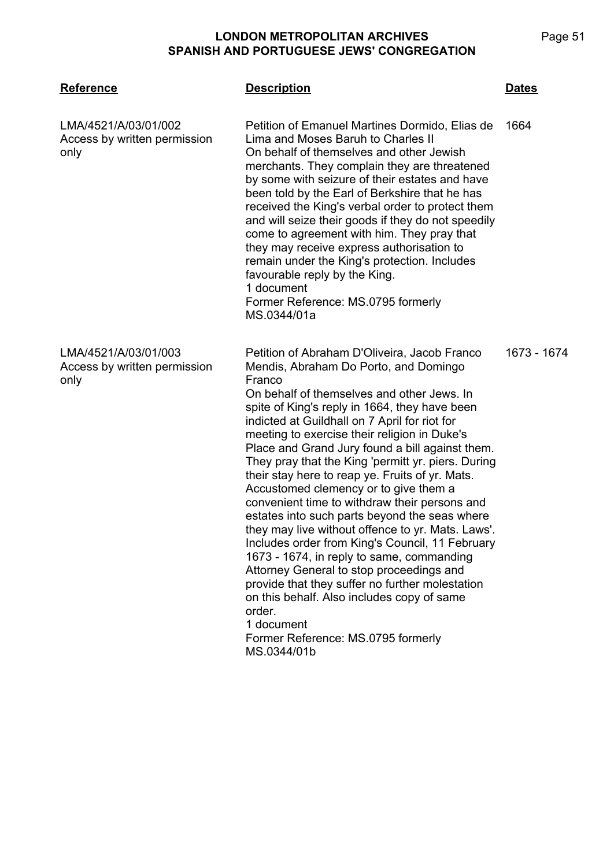| <b>Reference</b>                                             | <b>Description</b>                                                                                                                                                                                                                                                                                                                                                                                                                                                                                                                                                                                                                                                                                                                                                                                                                                                                                                                                                                    | <b>Dates</b> |
|--------------------------------------------------------------|---------------------------------------------------------------------------------------------------------------------------------------------------------------------------------------------------------------------------------------------------------------------------------------------------------------------------------------------------------------------------------------------------------------------------------------------------------------------------------------------------------------------------------------------------------------------------------------------------------------------------------------------------------------------------------------------------------------------------------------------------------------------------------------------------------------------------------------------------------------------------------------------------------------------------------------------------------------------------------------|--------------|
| LMA/4521/A/03/01/002<br>Access by written permission<br>only | Petition of Emanuel Martines Dormido, Elias de<br>Lima and Moses Baruh to Charles II<br>On behalf of themselves and other Jewish<br>merchants. They complain they are threatened<br>by some with seizure of their estates and have<br>been told by the Earl of Berkshire that he has<br>received the King's verbal order to protect them<br>and will seize their goods if they do not speedily<br>come to agreement with him. They pray that<br>they may receive express authorisation to<br>remain under the King's protection. Includes<br>favourable reply by the King.<br>1 document<br>Former Reference: MS.0795 formerly<br>MS.0344/01a                                                                                                                                                                                                                                                                                                                                         | 1664         |
| LMA/4521/A/03/01/003<br>Access by written permission<br>only | Petition of Abraham D'Oliveira, Jacob Franco<br>Mendis, Abraham Do Porto, and Domingo<br>Franco<br>On behalf of themselves and other Jews. In<br>spite of King's reply in 1664, they have been<br>indicted at Guildhall on 7 April for riot for<br>meeting to exercise their religion in Duke's<br>Place and Grand Jury found a bill against them.<br>They pray that the King 'permitt yr. piers. During<br>their stay here to reap ye. Fruits of yr. Mats.<br>Accustomed clemency or to give them a<br>convenient time to withdraw their persons and<br>estates into such parts beyond the seas where<br>they may live without offence to yr. Mats. Laws'.<br>Includes order from King's Council, 11 February<br>1673 - 1674, in reply to same, commanding<br>Attorney General to stop proceedings and<br>provide that they suffer no further molestation<br>on this behalf. Also includes copy of same<br>order.<br>1 document<br>Former Reference: MS.0795 formerly<br>MS.0344/01b | 1673 - 1674  |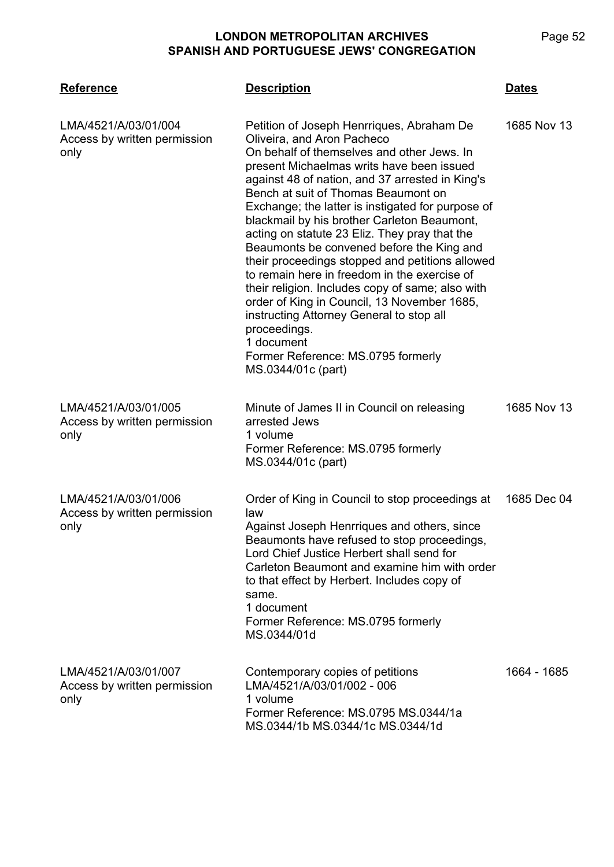| <b>Reference</b>                                             | <b>Description</b>                                                                                                                                                                                                                                                                                                                                                                                                                                                                                                                                                                                                                                                                                                                                                                                         | <b>Dates</b> |
|--------------------------------------------------------------|------------------------------------------------------------------------------------------------------------------------------------------------------------------------------------------------------------------------------------------------------------------------------------------------------------------------------------------------------------------------------------------------------------------------------------------------------------------------------------------------------------------------------------------------------------------------------------------------------------------------------------------------------------------------------------------------------------------------------------------------------------------------------------------------------------|--------------|
| LMA/4521/A/03/01/004<br>Access by written permission<br>only | Petition of Joseph Henrriques, Abraham De<br>Oliveira, and Aron Pacheco<br>On behalf of themselves and other Jews. In<br>present Michaelmas writs have been issued<br>against 48 of nation, and 37 arrested in King's<br>Bench at suit of Thomas Beaumont on<br>Exchange; the latter is instigated for purpose of<br>blackmail by his brother Carleton Beaumont,<br>acting on statute 23 Eliz. They pray that the<br>Beaumonts be convened before the King and<br>their proceedings stopped and petitions allowed<br>to remain here in freedom in the exercise of<br>their religion. Includes copy of same; also with<br>order of King in Council, 13 November 1685,<br>instructing Attorney General to stop all<br>proceedings.<br>1 document<br>Former Reference: MS.0795 formerly<br>MS.0344/01c (part) | 1685 Nov 13  |
| LMA/4521/A/03/01/005<br>Access by written permission<br>only | Minute of James II in Council on releasing<br>arrested Jews<br>1 volume<br>Former Reference: MS.0795 formerly<br>MS.0344/01c (part)                                                                                                                                                                                                                                                                                                                                                                                                                                                                                                                                                                                                                                                                        | 1685 Nov 13  |
| LMA/4521/A/03/01/006<br>Access by written permission<br>only | Order of King in Council to stop proceedings at<br>law<br>Against Joseph Henrriques and others, since<br>Beaumonts have refused to stop proceedings,<br>Lord Chief Justice Herbert shall send for<br>Carleton Beaumont and examine him with order<br>to that effect by Herbert. Includes copy of<br>same.<br>1 document<br>Former Reference: MS.0795 formerly<br>MS.0344/01d                                                                                                                                                                                                                                                                                                                                                                                                                               | 1685 Dec 04  |
| LMA/4521/A/03/01/007<br>Access by written permission<br>only | Contemporary copies of petitions<br>LMA/4521/A/03/01/002 - 006<br>1 volume<br>Former Reference: MS.0795 MS.0344/1a<br>MS.0344/1b MS.0344/1c MS.0344/1d                                                                                                                                                                                                                                                                                                                                                                                                                                                                                                                                                                                                                                                     | 1664 - 1685  |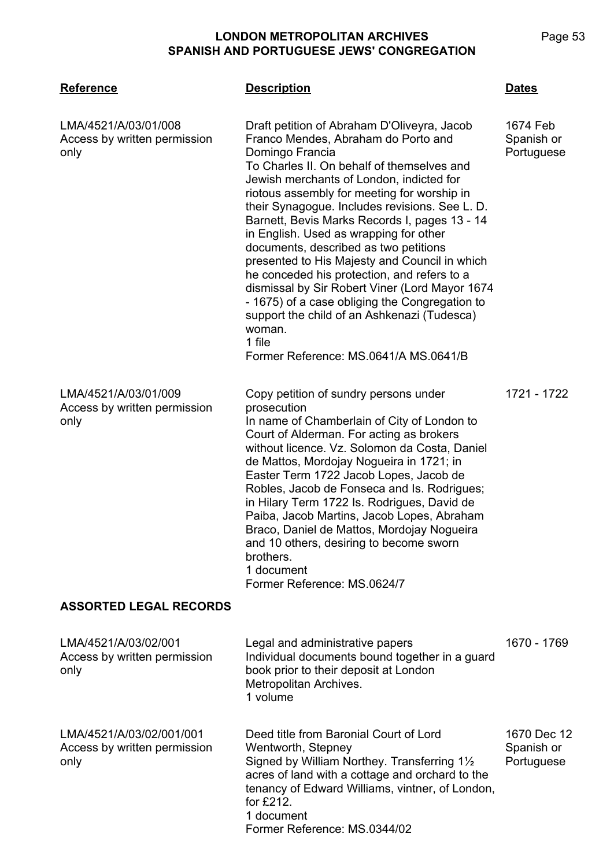| <b>Reference</b>                                                 | <b>Description</b>                                                                                                                                                                                                                                                                                                                                                                                                                                                                                                                                                                                                                                                                                                                                   | <u>Dates</u>                            |
|------------------------------------------------------------------|------------------------------------------------------------------------------------------------------------------------------------------------------------------------------------------------------------------------------------------------------------------------------------------------------------------------------------------------------------------------------------------------------------------------------------------------------------------------------------------------------------------------------------------------------------------------------------------------------------------------------------------------------------------------------------------------------------------------------------------------------|-----------------------------------------|
| LMA/4521/A/03/01/008<br>Access by written permission<br>only     | Draft petition of Abraham D'Oliveyra, Jacob<br>Franco Mendes, Abraham do Porto and<br>Domingo Francia<br>To Charles II. On behalf of themselves and<br>Jewish merchants of London, indicted for<br>riotous assembly for meeting for worship in<br>their Synagogue. Includes revisions. See L. D.<br>Barnett, Bevis Marks Records I, pages 13 - 14<br>in English. Used as wrapping for other<br>documents, described as two petitions<br>presented to His Majesty and Council in which<br>he conceded his protection, and refers to a<br>dismissal by Sir Robert Viner (Lord Mayor 1674<br>- 1675) of a case obliging the Congregation to<br>support the child of an Ashkenazi (Tudesca)<br>woman.<br>1 file<br>Former Reference: MS.0641/A MS.0641/B | 1674 Feb<br>Spanish or<br>Portuguese    |
| LMA/4521/A/03/01/009<br>Access by written permission<br>only     | Copy petition of sundry persons under<br>prosecution<br>In name of Chamberlain of City of London to<br>Court of Alderman. For acting as brokers<br>without licence. Vz. Solomon da Costa, Daniel<br>de Mattos, Mordojay Nogueira in 1721; in<br>Easter Term 1722 Jacob Lopes, Jacob de<br>Robles, Jacob de Fonseca and Is. Rodrigues;<br>in Hilary Term 1722 Is. Rodrigues, David de<br>Paiba, Jacob Martins, Jacob Lopes, Abraham<br>Braco, Daniel de Mattos, Mordojay Nogueira<br>and 10 others, desiring to become sworn<br>brothers.<br>1 document<br>Former Reference: MS.0624/7                                                                                                                                                                | 1721 - 1722                             |
| <b>ASSORTED LEGAL RECORDS</b>                                    |                                                                                                                                                                                                                                                                                                                                                                                                                                                                                                                                                                                                                                                                                                                                                      |                                         |
| LMA/4521/A/03/02/001<br>Access by written permission<br>only     | Legal and administrative papers<br>Individual documents bound together in a guard<br>book prior to their deposit at London<br>Metropolitan Archives.<br>1 volume                                                                                                                                                                                                                                                                                                                                                                                                                                                                                                                                                                                     | 1670 - 1769                             |
| LMA/4521/A/03/02/001/001<br>Access by written permission<br>only | Deed title from Baronial Court of Lord<br>Wentworth, Stepney<br>Signed by William Northey. Transferring 11/2<br>acres of land with a cottage and orchard to the<br>tenancy of Edward Williams, vintner, of London,<br>for £212.<br>1 document<br>Former Reference: MS.0344/02                                                                                                                                                                                                                                                                                                                                                                                                                                                                        | 1670 Dec 12<br>Spanish or<br>Portuguese |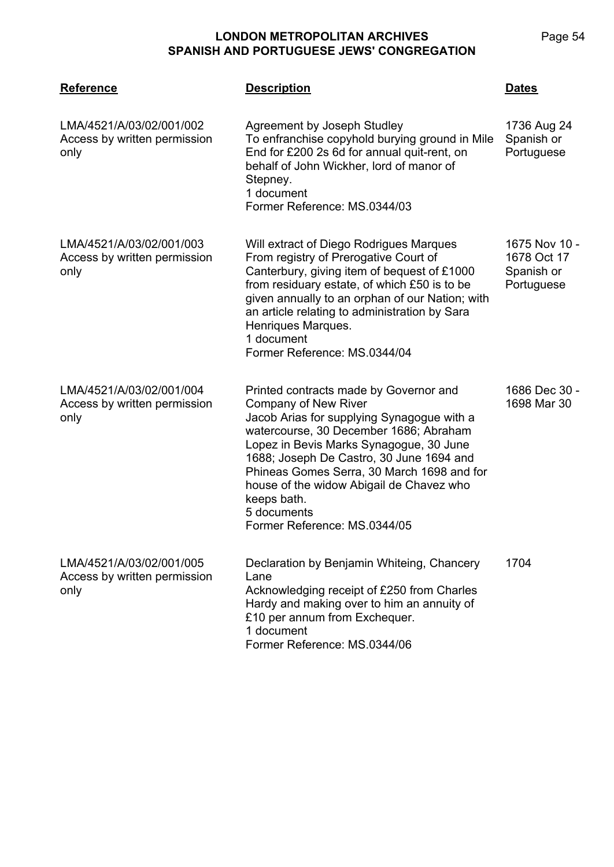| <b>Reference</b>                                                 | <b>Description</b>                                                                                                                                                                                                                                                                                                                                                                                    | Dates                                                    |
|------------------------------------------------------------------|-------------------------------------------------------------------------------------------------------------------------------------------------------------------------------------------------------------------------------------------------------------------------------------------------------------------------------------------------------------------------------------------------------|----------------------------------------------------------|
| LMA/4521/A/03/02/001/002<br>Access by written permission<br>only | Agreement by Joseph Studley<br>To enfranchise copyhold burying ground in Mile<br>End for £200 2s 6d for annual quit-rent, on<br>behalf of John Wickher, lord of manor of<br>Stepney.<br>1 document<br>Former Reference: MS.0344/03                                                                                                                                                                    | 1736 Aug 24<br>Spanish or<br>Portuguese                  |
| LMA/4521/A/03/02/001/003<br>Access by written permission<br>only | Will extract of Diego Rodrigues Marques<br>From registry of Prerogative Court of<br>Canterbury, giving item of bequest of £1000<br>from residuary estate, of which £50 is to be<br>given annually to an orphan of our Nation; with<br>an article relating to administration by Sara<br>Henriques Marques.<br>1 document<br>Former Reference: MS.0344/04                                               | 1675 Nov 10 -<br>1678 Oct 17<br>Spanish or<br>Portuguese |
| LMA/4521/A/03/02/001/004<br>Access by written permission<br>only | Printed contracts made by Governor and<br>Company of New River<br>Jacob Arias for supplying Synagogue with a<br>watercourse, 30 December 1686; Abraham<br>Lopez in Bevis Marks Synagogue, 30 June<br>1688; Joseph De Castro, 30 June 1694 and<br>Phineas Gomes Serra, 30 March 1698 and for<br>house of the widow Abigail de Chavez who<br>keeps bath.<br>5 documents<br>Former Reference: MS.0344/05 | 1686 Dec 30 -<br>1698 Mar 30                             |
| LMA/4521/A/03/02/001/005<br>Access by written permission<br>only | Declaration by Benjamin Whiteing, Chancery<br>Lane<br>Acknowledging receipt of £250 from Charles<br>Hardy and making over to him an annuity of<br>£10 per annum from Exchequer.<br>1 document<br>Former Reference: MS.0344/06                                                                                                                                                                         | 1704                                                     |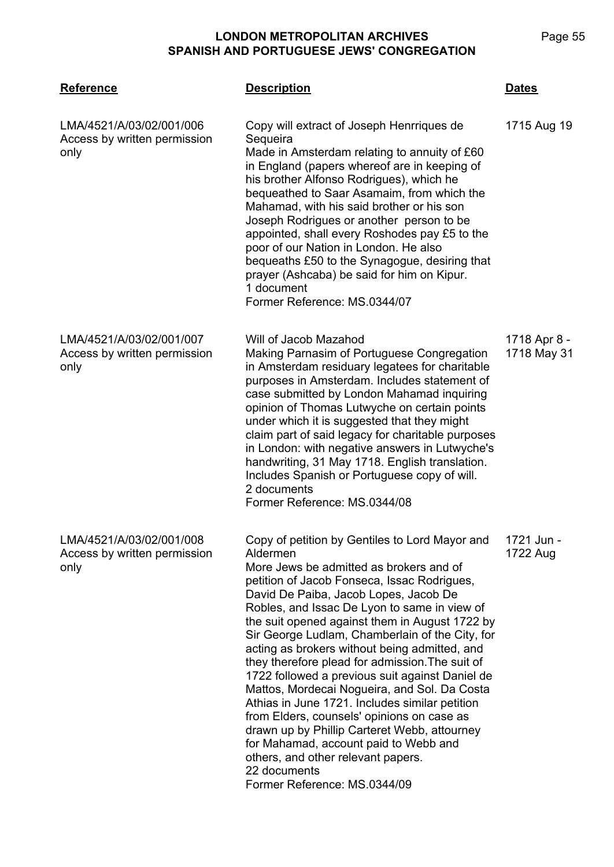**LMA/4521 Reference Description Dates** LMA/4521/A/03/02/001/006 Access by written permission only Copy will extract of Joseph Henrriques de **Sequeira** Made in Amsterdam relating to annuity of £60 in England (papers whereof are in keeping of his brother Alfonso Rodrigues), which he bequeathed to Saar Asamaim, from which the Mahamad, with his said brother or his son Joseph Rodrigues or another person to be appointed, shall every Roshodes pay £5 to the poor of our Nation in London. He also bequeaths £50 to the Synagogue, desiring that prayer (Ashcaba) be said for him on Kipur. 1 document Former Reference: MS.0344/07 1715 Aug 19 LMA/4521/A/03/02/001/007 Access by written permission only Will of Jacob Mazahod Making Parnasim of Portuguese Congregation in Amsterdam residuary legatees for charitable purposes in Amsterdam. Includes statement of case submitted by London Mahamad inquiring opinion of Thomas Lutwyche on certain points under which it is suggested that they might claim part of said legacy for charitable purposes in London: with negative answers in Lutwyche's handwriting, 31 May 1718. English translation. Includes Spanish or Portuguese copy of will. 2 documents Former Reference: MS.0344/08 1718 Apr 8 - 1718 May 31 LMA/4521/A/03/02/001/008 Access by written permission only Copy of petition by Gentiles to Lord Mayor and Aldermen More Jews be admitted as brokers and of petition of Jacob Fonseca, Issac Rodrigues, David De Paiba, Jacob Lopes, Jacob De Robles, and Issac De Lyon to same in view of the suit opened against them in August 1722 by Sir George Ludlam, Chamberlain of the City, for acting as brokers without being admitted, and they therefore plead for admission.The suit of 1722 followed a previous suit against Daniel de Mattos, Mordecai Nogueira, and Sol. Da Costa Athias in June 1721. Includes similar petition from Elders, counsels' opinions on case as drawn up by Phillip Carteret Webb, attourney for Mahamad, account paid to Webb and others, and other relevant papers. 22 documents Former Reference: MS.0344/09 1721 Jun - 1722 Aug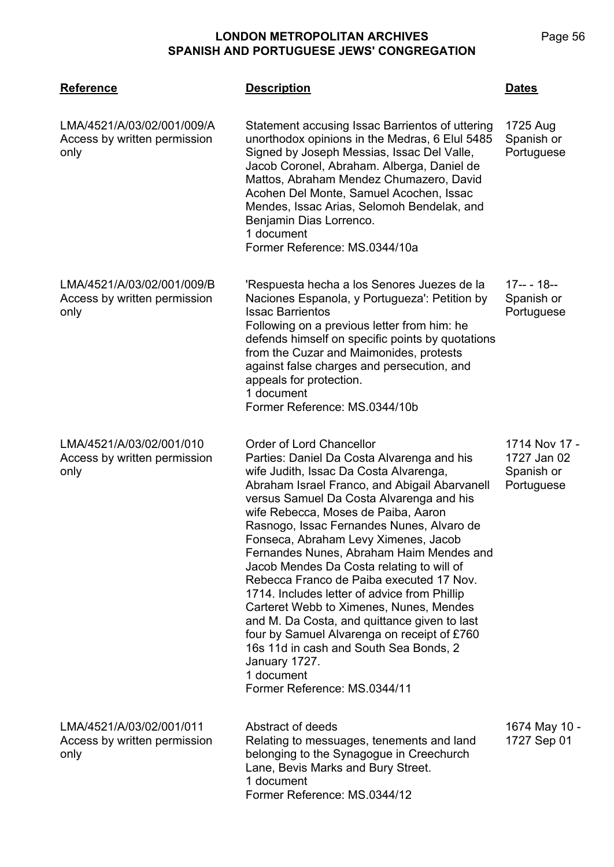| <b>Reference</b>                                                   | <b>Description</b>                                                                                                                                                                                                                                                                                                                                                                                                                                                                                                                                                                                                                                                                                                                                                                | <u>Dates</u>                                             |
|--------------------------------------------------------------------|-----------------------------------------------------------------------------------------------------------------------------------------------------------------------------------------------------------------------------------------------------------------------------------------------------------------------------------------------------------------------------------------------------------------------------------------------------------------------------------------------------------------------------------------------------------------------------------------------------------------------------------------------------------------------------------------------------------------------------------------------------------------------------------|----------------------------------------------------------|
| LMA/4521/A/03/02/001/009/A<br>Access by written permission<br>only | Statement accusing Issac Barrientos of uttering<br>unorthodox opinions in the Medras, 6 Elul 5485<br>Signed by Joseph Messias, Issac Del Valle,<br>Jacob Coronel, Abraham. Alberga, Daniel de<br>Mattos, Abraham Mendez Chumazero, David<br>Acohen Del Monte, Samuel Acochen, Issac<br>Mendes, Issac Arias, Selomoh Bendelak, and<br>Benjamin Dias Lorrenco.<br>1 document<br>Former Reference: MS.0344/10a                                                                                                                                                                                                                                                                                                                                                                       | 1725 Aug<br>Spanish or<br>Portuguese                     |
| LMA/4521/A/03/02/001/009/B<br>Access by written permission<br>only | 'Respuesta hecha a los Senores Juezes de la<br>Naciones Espanola, y Portugueza': Petition by<br><b>Issac Barrientos</b><br>Following on a previous letter from him: he<br>defends himself on specific points by quotations<br>from the Cuzar and Maimonides, protests<br>against false charges and persecution, and<br>appeals for protection.<br>1 document<br>Former Reference: MS.0344/10b                                                                                                                                                                                                                                                                                                                                                                                     | $17-- - 18--$<br>Spanish or<br>Portuguese                |
| LMA/4521/A/03/02/001/010<br>Access by written permission<br>only   | Order of Lord Chancellor<br>Parties: Daniel Da Costa Alvarenga and his<br>wife Judith, Issac Da Costa Alvarenga,<br>Abraham Israel Franco, and Abigail Abarvanell<br>versus Samuel Da Costa Alvarenga and his<br>wife Rebecca, Moses de Paiba, Aaron<br>Rasnogo, Issac Fernandes Nunes, Alvaro de<br>Fonseca, Abraham Levy Ximenes, Jacob<br>Fernandes Nunes, Abraham Haim Mendes and<br>Jacob Mendes Da Costa relating to will of<br>Rebecca Franco de Paiba executed 17 Nov.<br>1714. Includes letter of advice from Phillip<br>Carteret Webb to Ximenes, Nunes, Mendes<br>and M. Da Costa, and quittance given to last<br>four by Samuel Alvarenga on receipt of £760<br>16s 11d in cash and South Sea Bonds, 2<br>January 1727.<br>1 document<br>Former Reference: MS.0344/11 | 1714 Nov 17 -<br>1727 Jan 02<br>Spanish or<br>Portuguese |
| LMA/4521/A/03/02/001/011<br>Access by written permission<br>only   | Abstract of deeds<br>Relating to messuages, tenements and land<br>belonging to the Synagogue in Creechurch<br>Lane, Bevis Marks and Bury Street.<br>1 document<br>Former Reference: MS.0344/12                                                                                                                                                                                                                                                                                                                                                                                                                                                                                                                                                                                    | 1674 May 10 -<br>1727 Sep 01                             |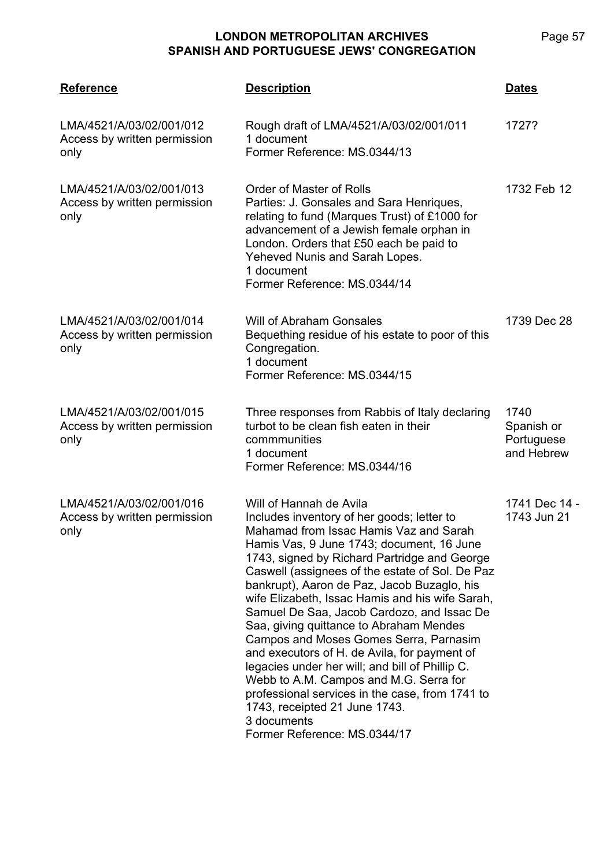| <b>Reference</b>                                                 | <b>Description</b>                                                                                                                                                                                                                                                                                                                                                                                                                                                                                                                                                                                                                                                                                                                                                                   | <b>Dates</b>                                   |
|------------------------------------------------------------------|--------------------------------------------------------------------------------------------------------------------------------------------------------------------------------------------------------------------------------------------------------------------------------------------------------------------------------------------------------------------------------------------------------------------------------------------------------------------------------------------------------------------------------------------------------------------------------------------------------------------------------------------------------------------------------------------------------------------------------------------------------------------------------------|------------------------------------------------|
| LMA/4521/A/03/02/001/012<br>Access by written permission<br>only | Rough draft of LMA/4521/A/03/02/001/011<br>1 document<br>Former Reference: MS.0344/13                                                                                                                                                                                                                                                                                                                                                                                                                                                                                                                                                                                                                                                                                                | 1727?                                          |
| LMA/4521/A/03/02/001/013<br>Access by written permission<br>only | <b>Order of Master of Rolls</b><br>Parties: J. Gonsales and Sara Henriques,<br>relating to fund (Marques Trust) of £1000 for<br>advancement of a Jewish female orphan in<br>London. Orders that £50 each be paid to<br>Yeheved Nunis and Sarah Lopes.<br>1 document<br>Former Reference: MS.0344/14                                                                                                                                                                                                                                                                                                                                                                                                                                                                                  | 1732 Feb 12                                    |
| LMA/4521/A/03/02/001/014<br>Access by written permission<br>only | Will of Abraham Gonsales<br>Bequething residue of his estate to poor of this<br>Congregation.<br>1 document<br>Former Reference: MS.0344/15                                                                                                                                                                                                                                                                                                                                                                                                                                                                                                                                                                                                                                          | 1739 Dec 28                                    |
| LMA/4521/A/03/02/001/015<br>Access by written permission<br>only | Three responses from Rabbis of Italy declaring<br>turbot to be clean fish eaten in their<br>commmunities<br>1 document<br>Former Reference: MS.0344/16                                                                                                                                                                                                                                                                                                                                                                                                                                                                                                                                                                                                                               | 1740<br>Spanish or<br>Portuguese<br>and Hebrew |
| LMA/4521/A/03/02/001/016<br>Access by written permission<br>only | Will of Hannah de Avila<br>Includes inventory of her goods; letter to<br>Mahamad from Issac Hamis Vaz and Sarah<br>Hamis Vas, 9 June 1743; document, 16 June<br>1743, signed by Richard Partridge and George<br>Caswell (assignees of the estate of Sol. De Paz<br>bankrupt), Aaron de Paz, Jacob Buzaglo, his<br>wife Elizabeth, Issac Hamis and his wife Sarah,<br>Samuel De Saa, Jacob Cardozo, and Issac De<br>Saa, giving quittance to Abraham Mendes<br>Campos and Moses Gomes Serra, Parnasim<br>and executors of H. de Avila, for payment of<br>legacies under her will; and bill of Phillip C.<br>Webb to A.M. Campos and M.G. Serra for<br>professional services in the case, from 1741 to<br>1743, receipted 21 June 1743.<br>3 documents<br>Former Reference: MS.0344/17 | 1741 Dec 14 -<br>1743 Jun 21                   |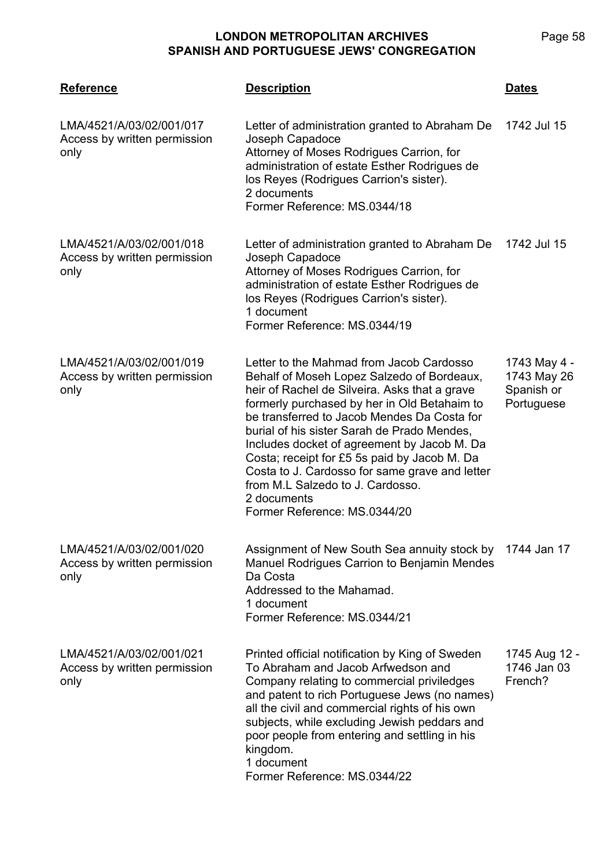| <b>Reference</b>                                                 | <b>Description</b>                                                                                                                                                                                                                                                                                                                                                                                                                                                                                                        | <b>Dates</b>                                            |
|------------------------------------------------------------------|---------------------------------------------------------------------------------------------------------------------------------------------------------------------------------------------------------------------------------------------------------------------------------------------------------------------------------------------------------------------------------------------------------------------------------------------------------------------------------------------------------------------------|---------------------------------------------------------|
| LMA/4521/A/03/02/001/017<br>Access by written permission<br>only | Letter of administration granted to Abraham De<br>Joseph Capadoce<br>Attorney of Moses Rodrigues Carrion, for<br>administration of estate Esther Rodrigues de<br>los Reyes (Rodrigues Carrion's sister).<br>2 documents<br>Former Reference: MS.0344/18                                                                                                                                                                                                                                                                   | 1742 Jul 15                                             |
| LMA/4521/A/03/02/001/018<br>Access by written permission<br>only | Letter of administration granted to Abraham De<br>Joseph Capadoce<br>Attorney of Moses Rodrigues Carrion, for<br>administration of estate Esther Rodrigues de<br>los Reyes (Rodrigues Carrion's sister).<br>1 document<br>Former Reference: MS.0344/19                                                                                                                                                                                                                                                                    | 1742 Jul 15                                             |
| LMA/4521/A/03/02/001/019<br>Access by written permission<br>only | Letter to the Mahmad from Jacob Cardosso<br>Behalf of Moseh Lopez Salzedo of Bordeaux,<br>heir of Rachel de Silveira. Asks that a grave<br>formerly purchased by her in Old Betahaim to<br>be transferred to Jacob Mendes Da Costa for<br>burial of his sister Sarah de Prado Mendes,<br>Includes docket of agreement by Jacob M. Da<br>Costa; receipt for £5 5s paid by Jacob M. Da<br>Costa to J. Cardosso for same grave and letter<br>from M.L Salzedo to J. Cardosso.<br>2 documents<br>Former Reference: MS.0344/20 | 1743 May 4 -<br>1743 May 26<br>Spanish or<br>Portuguese |
| LMA/4521/A/03/02/001/020<br>Access by written permission<br>only | Assignment of New South Sea annuity stock by<br>Manuel Rodrigues Carrion to Benjamin Mendes<br>Da Costa<br>Addressed to the Mahamad.<br>1 document<br>Former Reference: MS.0344/21                                                                                                                                                                                                                                                                                                                                        | 1744 Jan 17                                             |
| LMA/4521/A/03/02/001/021<br>Access by written permission<br>only | Printed official notification by King of Sweden<br>To Abraham and Jacob Arfwedson and<br>Company relating to commercial priviledges<br>and patent to rich Portuguese Jews (no names)<br>all the civil and commercial rights of his own<br>subjects, while excluding Jewish peddars and<br>poor people from entering and settling in his<br>kingdom.<br>1 document<br>Former Reference: MS.0344/22                                                                                                                         | 1745 Aug 12 -<br>1746 Jan 03<br>French?                 |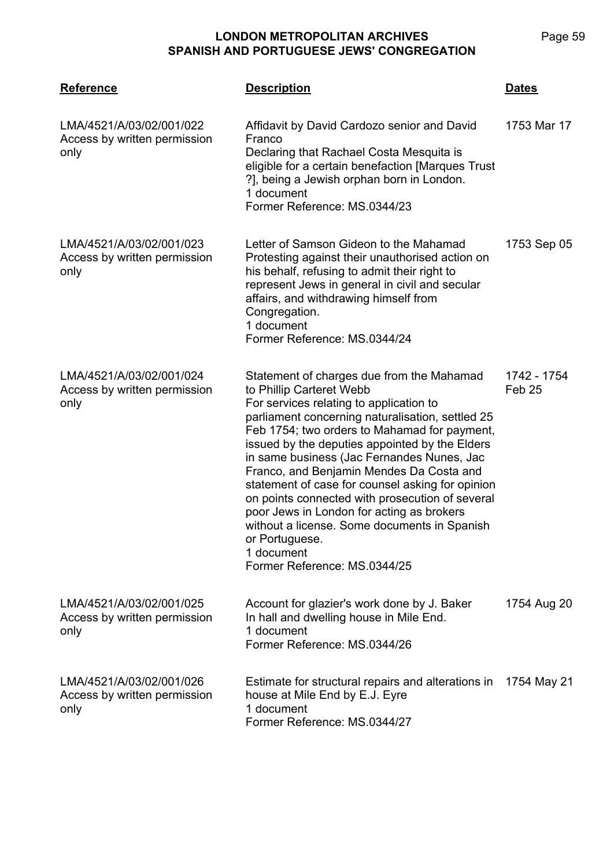#### **LMA/4521 Reference Description Dates** LMA/4521/A/03/02/001/022 Access by written permission only Affidavit by David Cardozo senior and David Franco Declaring that Rachael Costa Mesquita is eligible for a certain benefaction [Marques Trust ?], being a Jewish orphan born in London. 1 document Former Reference: MS.0344/23 1753 Mar 17 LMA/4521/A/03/02/001/023 Access by written permission only Letter of Samson Gideon to the Mahamad Protesting against their unauthorised action on his behalf, refusing to admit their right to represent Jews in general in civil and secular affairs, and withdrawing himself from Congregation. 1 document Former Reference: MS.0344/24 1753 Sep 05 LMA/4521/A/03/02/001/024 Access by written permission only Statement of charges due from the Mahamad to Phillip Carteret Webb For services relating to application to parliament concerning naturalisation, settled 25 Feb 1754; two orders to Mahamad for payment, issued by the deputies appointed by the Elders in same business (Jac Fernandes Nunes, Jac Franco, and Benjamin Mendes Da Costa and statement of case for counsel asking for opinion on points connected with prosecution of several poor Jews in London for acting as brokers without a license. Some documents in Spanish or Portuguese. 1 document Former Reference: MS.0344/25 1742 - 1754 Feb 25 LMA/4521/A/03/02/001/025 Access by written permission only Account for glazier's work done by J. Baker In hall and dwelling house in Mile End. 1 document Former Reference: MS.0344/26 1754 Aug 20

LMA/4521/A/03/02/001/026 Access by written permission only 1 document

Estimate for structural repairs and alterations in 1754 May 21house at Mile End by E.J. Eyre Former Reference: MS.0344/27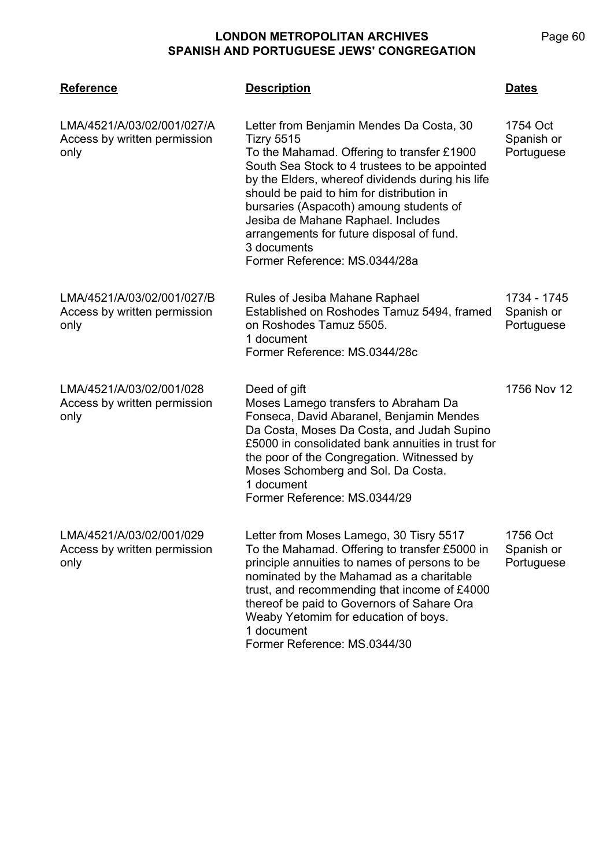| <b>Reference</b>                                                   | <b>Description</b>                                                                                                                                                                                                                                                                                                                                                                                                                          | Dates                                   |
|--------------------------------------------------------------------|---------------------------------------------------------------------------------------------------------------------------------------------------------------------------------------------------------------------------------------------------------------------------------------------------------------------------------------------------------------------------------------------------------------------------------------------|-----------------------------------------|
| LMA/4521/A/03/02/001/027/A<br>Access by written permission<br>only | Letter from Benjamin Mendes Da Costa, 30<br><b>Tizry 5515</b><br>To the Mahamad. Offering to transfer £1900<br>South Sea Stock to 4 trustees to be appointed<br>by the Elders, whereof dividends during his life<br>should be paid to him for distribution in<br>bursaries (Aspacoth) amoung students of<br>Jesiba de Mahane Raphael. Includes<br>arrangements for future disposal of fund.<br>3 documents<br>Former Reference: MS.0344/28a | 1754 Oct<br>Spanish or<br>Portuguese    |
| LMA/4521/A/03/02/001/027/B<br>Access by written permission<br>only | Rules of Jesiba Mahane Raphael<br>Established on Roshodes Tamuz 5494, framed<br>on Roshodes Tamuz 5505.<br>1 document<br>Former Reference: MS.0344/28c                                                                                                                                                                                                                                                                                      | 1734 - 1745<br>Spanish or<br>Portuguese |
| LMA/4521/A/03/02/001/028<br>Access by written permission<br>only   | Deed of gift<br>Moses Lamego transfers to Abraham Da<br>Fonseca, David Abaranel, Benjamin Mendes<br>Da Costa, Moses Da Costa, and Judah Supino<br>£5000 in consolidated bank annuities in trust for<br>the poor of the Congregation. Witnessed by<br>Moses Schomberg and Sol. Da Costa.<br>1 document<br>Former Reference: MS.0344/29                                                                                                       | 1756 Nov 12                             |
| LMA/4521/A/03/02/001/029<br>Access by written permission<br>only   | Letter from Moses Lamego, 30 Tisry 5517<br>To the Mahamad. Offering to transfer £5000 in<br>principle annuities to names of persons to be<br>nominated by the Mahamad as a charitable<br>trust, and recommending that income of £4000<br>thereof be paid to Governors of Sahare Ora<br>Weaby Yetomim for education of boys.<br>1 document<br>Former Reference: MS.0344/30                                                                   | 1756 Oct<br>Spanish or<br>Portuguese    |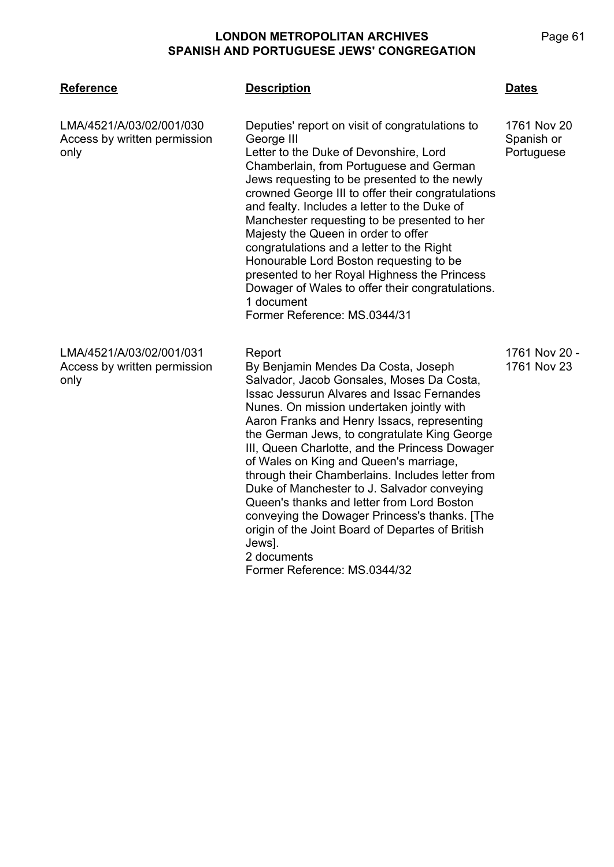| <b>Reference</b>                                                 | <b>Description</b>                                                                                                                                                                                                                                                                                                                                                                                                                                                                                                                                                                                                                                                                                     | <b>Dates</b>                            |
|------------------------------------------------------------------|--------------------------------------------------------------------------------------------------------------------------------------------------------------------------------------------------------------------------------------------------------------------------------------------------------------------------------------------------------------------------------------------------------------------------------------------------------------------------------------------------------------------------------------------------------------------------------------------------------------------------------------------------------------------------------------------------------|-----------------------------------------|
| LMA/4521/A/03/02/001/030<br>Access by written permission<br>only | Deputies' report on visit of congratulations to<br>George III<br>Letter to the Duke of Devonshire, Lord<br>Chamberlain, from Portuguese and German<br>Jews requesting to be presented to the newly<br>crowned George III to offer their congratulations<br>and fealty. Includes a letter to the Duke of<br>Manchester requesting to be presented to her<br>Majesty the Queen in order to offer<br>congratulations and a letter to the Right<br>Honourable Lord Boston requesting to be<br>presented to her Royal Highness the Princess<br>Dowager of Wales to offer their congratulations.<br>1 document<br>Former Reference: MS.0344/31                                                               | 1761 Nov 20<br>Spanish or<br>Portuguese |
| LMA/4521/A/03/02/001/031<br>Access by written permission<br>only | Report<br>By Benjamin Mendes Da Costa, Joseph<br>Salvador, Jacob Gonsales, Moses Da Costa,<br><b>Issac Jessurun Alvares and Issac Fernandes</b><br>Nunes. On mission undertaken jointly with<br>Aaron Franks and Henry Issacs, representing<br>the German Jews, to congratulate King George<br>III, Queen Charlotte, and the Princess Dowager<br>of Wales on King and Queen's marriage,<br>through their Chamberlains. Includes letter from<br>Duke of Manchester to J. Salvador conveying<br>Queen's thanks and letter from Lord Boston<br>conveying the Dowager Princess's thanks. [The<br>origin of the Joint Board of Departes of British<br>Jews].<br>2 documents<br>Former Reference: MS.0344/32 | 1761 Nov 20 -<br>1761 Nov 23            |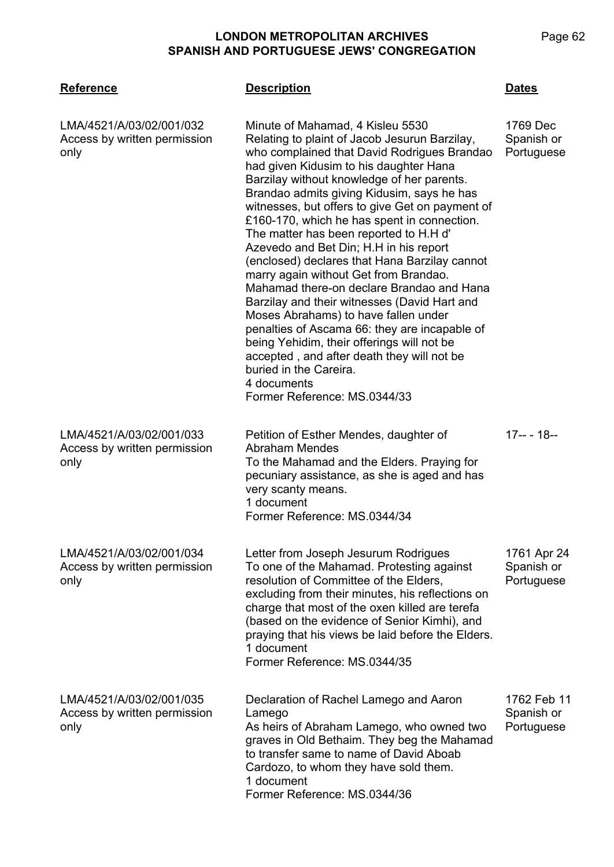| <b>SPANISH AND PORTUGUESE JEWS' CONGREGATION</b>                 |                                                                                                                                                                                                                                                                                                                                                                                                                                                                                                                                                                                                     |                                      |
|------------------------------------------------------------------|-----------------------------------------------------------------------------------------------------------------------------------------------------------------------------------------------------------------------------------------------------------------------------------------------------------------------------------------------------------------------------------------------------------------------------------------------------------------------------------------------------------------------------------------------------------------------------------------------------|--------------------------------------|
| <b>Reference</b>                                                 | <b>Description</b>                                                                                                                                                                                                                                                                                                                                                                                                                                                                                                                                                                                  | <b>Dates</b>                         |
| LMA/4521/A/03/02/001/032<br>Access by written permission<br>only | Minute of Mahamad, 4 Kisleu 5530<br>Relating to plaint of Jacob Jesurun Barzilay,<br>who complained that David Rodrigues Brandao<br>had given Kidusim to his daughter Hana<br>Barzilay without knowledge of her parents.<br>Brandao admits giving Kidusim, says he has<br>witnesses, but offers to give Get on payment of<br>£160-170, which he has spent in connection.<br>The matter has been reported to H.H d'<br>Azevedo and Bet Din; H.H in his report<br>(enclosed) declares that Hana Barzilay cannot<br>marry again without Get from Brandao.<br>Mahamad there-on declare Brandao and Hana | 1769 Dec<br>Spanish or<br>Portuguese |

LMA/4521/A/03/02/001/033 Access by written permission only

Petition of Esther Mendes, daughter of Abraham Mendes To the Mahamad and the Elders. Praying for pecuniary assistance, as she is aged and has very scanty means. 1 document Former Reference: MS.0344/34

Barzilay and their witnesses (David Hart and Moses Abrahams) to have fallen under

penalties of Ascama 66: they are incapable of

being Yehidim, their offerings will not be accepted , and after death they will not be

Former Reference: MS.0344/33

buried in the Careira.

4 documents

LMA/4521/A/03/02/001/034 Access by written permission only

Letter from Joseph Jesurum Rodrigues To one of the Mahamad. Protesting against resolution of Committee of the Elders, excluding from their minutes, his reflections on charge that most of the oxen killed are terefa (based on the evidence of Senior Kimhi), and praying that his views be laid before the Elders. 1 document Former Reference: MS.0344/35 1761 Apr 24 Spanish or Portuguese

| LMA/4521/A/03/02/001/035<br>Access by written permission<br>only | Declaration of Rachel Lamego and Aaron<br>Lamego<br>As heirs of Abraham Lamego, who owned two<br>graves in Old Bethaim. They beg the Mahamad | 1762 Feb 11<br>Spanish or<br>Portuguese |
|------------------------------------------------------------------|----------------------------------------------------------------------------------------------------------------------------------------------|-----------------------------------------|
|                                                                  | to transfer same to name of David Aboab<br>Cardozo, to whom they have sold them.                                                             |                                         |
|                                                                  | 1 document                                                                                                                                   |                                         |
|                                                                  | Former Reference: MS.0344/36                                                                                                                 |                                         |

17-- - 18--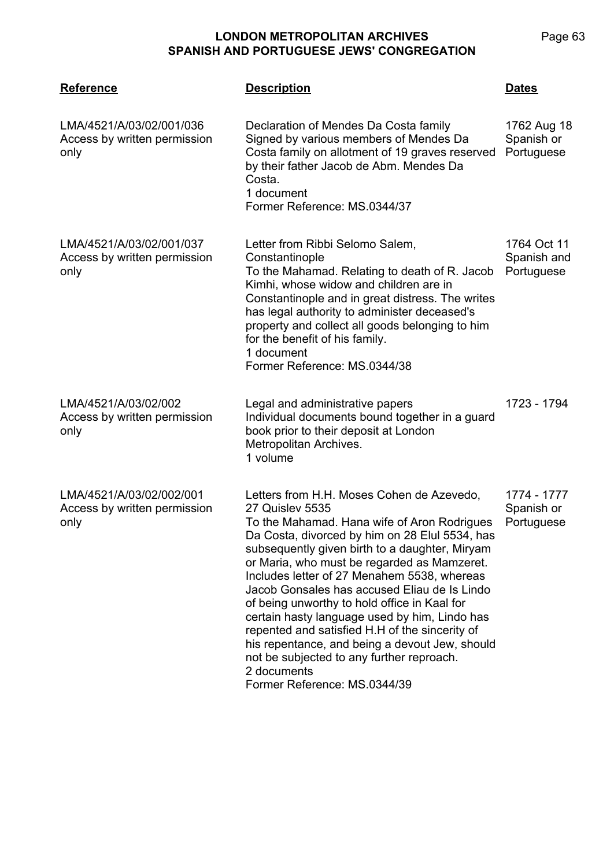| <b>Reference</b>                                                 | <b>Description</b>                                                                                                                                                                                                                                                                                                                                                                                                                                                                                                                                                                                                                                                    | <b>Dates</b>                             |
|------------------------------------------------------------------|-----------------------------------------------------------------------------------------------------------------------------------------------------------------------------------------------------------------------------------------------------------------------------------------------------------------------------------------------------------------------------------------------------------------------------------------------------------------------------------------------------------------------------------------------------------------------------------------------------------------------------------------------------------------------|------------------------------------------|
| LMA/4521/A/03/02/001/036<br>Access by written permission<br>only | Declaration of Mendes Da Costa family<br>Signed by various members of Mendes Da<br>Costa family on allotment of 19 graves reserved<br>by their father Jacob de Abm. Mendes Da<br>Costa.<br>1 document<br>Former Reference: MS.0344/37                                                                                                                                                                                                                                                                                                                                                                                                                                 | 1762 Aug 18<br>Spanish or<br>Portuguese  |
| LMA/4521/A/03/02/001/037<br>Access by written permission<br>only | Letter from Ribbi Selomo Salem,<br>Constantinople<br>To the Mahamad. Relating to death of R. Jacob<br>Kimhi, whose widow and children are in<br>Constantinople and in great distress. The writes<br>has legal authority to administer deceased's<br>property and collect all goods belonging to him<br>for the benefit of his family.<br>1 document<br>Former Reference: MS.0344/38                                                                                                                                                                                                                                                                                   | 1764 Oct 11<br>Spanish and<br>Portuguese |
| LMA/4521/A/03/02/002<br>Access by written permission<br>only     | Legal and administrative papers<br>Individual documents bound together in a guard<br>book prior to their deposit at London<br>Metropolitan Archives.<br>1 volume                                                                                                                                                                                                                                                                                                                                                                                                                                                                                                      | 1723 - 1794                              |
| LMA/4521/A/03/02/002/001<br>Access by written permission<br>only | Letters from H.H. Moses Cohen de Azevedo,<br><b>27 Quislev 5535</b><br>To the Mahamad. Hana wife of Aron Rodrigues<br>Da Costa, divorced by him on 28 Elul 5534, has<br>subsequently given birth to a daughter, Miryam<br>or Maria, who must be regarded as Mamzeret.<br>Includes letter of 27 Menahem 5538, whereas<br>Jacob Gonsales has accused Eliau de Is Lindo<br>of being unworthy to hold office in Kaal for<br>certain hasty language used by him, Lindo has<br>repented and satisfied H.H of the sincerity of<br>his repentance, and being a devout Jew, should<br>not be subjected to any further reproach.<br>2 documents<br>Former Reference: MS.0344/39 | 1774 - 1777<br>Spanish or<br>Portuguese  |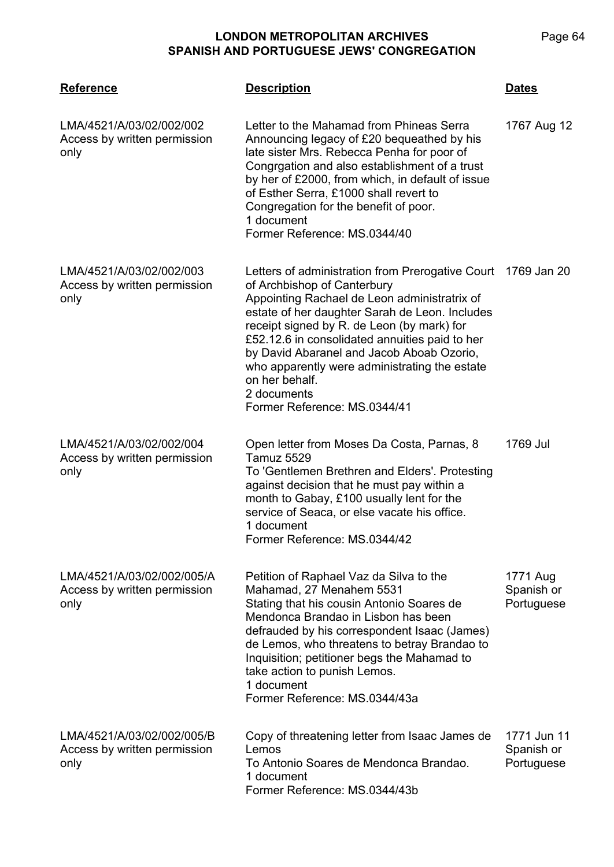| <b>Reference</b>                                                   | <b>Description</b>                                                                                                                                                                                                                                                                                                                                                                                                                                           | <b>Dates</b>                            |
|--------------------------------------------------------------------|--------------------------------------------------------------------------------------------------------------------------------------------------------------------------------------------------------------------------------------------------------------------------------------------------------------------------------------------------------------------------------------------------------------------------------------------------------------|-----------------------------------------|
| LMA/4521/A/03/02/002/002<br>Access by written permission<br>only   | Letter to the Mahamad from Phineas Serra<br>Announcing legacy of £20 bequeathed by his<br>late sister Mrs. Rebecca Penha for poor of<br>Congrgation and also establishment of a trust<br>by her of £2000, from which, in default of issue<br>of Esther Serra, £1000 shall revert to<br>Congregation for the benefit of poor.<br>1 document<br>Former Reference: MS.0344/40                                                                                   | 1767 Aug 12                             |
| LMA/4521/A/03/02/002/003<br>Access by written permission<br>only   | Letters of administration from Prerogative Court 1769 Jan 20<br>of Archbishop of Canterbury<br>Appointing Rachael de Leon administratrix of<br>estate of her daughter Sarah de Leon. Includes<br>receipt signed by R. de Leon (by mark) for<br>£52.12.6 in consolidated annuities paid to her<br>by David Abaranel and Jacob Aboab Ozorio,<br>who apparently were administrating the estate<br>on her behalf.<br>2 documents<br>Former Reference: MS.0344/41 |                                         |
| LMA/4521/A/03/02/002/004<br>Access by written permission<br>only   | Open letter from Moses Da Costa, Parnas, 8<br><b>Tamuz 5529</b><br>To 'Gentlemen Brethren and Elders'. Protesting<br>against decision that he must pay within a<br>month to Gabay, £100 usually lent for the<br>service of Seaca, or else vacate his office.<br>1 document<br>Former Reference: MS.0344/42                                                                                                                                                   | 1769 Jul                                |
| LMA/4521/A/03/02/002/005/A<br>Access by written permission<br>only | Petition of Raphael Vaz da Silva to the<br>Mahamad, 27 Menahem 5531<br>Stating that his cousin Antonio Soares de<br>Mendonca Brandao in Lisbon has been<br>defrauded by his correspondent Isaac (James)<br>de Lemos, who threatens to betray Brandao to<br>Inquisition; petitioner begs the Mahamad to<br>take action to punish Lemos.<br>1 document<br>Former Reference: MS.0344/43a                                                                        | 1771 Aug<br>Spanish or<br>Portuguese    |
| LMA/4521/A/03/02/002/005/B<br>Access by written permission<br>only | Copy of threatening letter from Isaac James de<br>Lemos<br>To Antonio Soares de Mendonca Brandao.<br>1 document<br>Former Reference: MS.0344/43b                                                                                                                                                                                                                                                                                                             | 1771 Jun 11<br>Spanish or<br>Portuguese |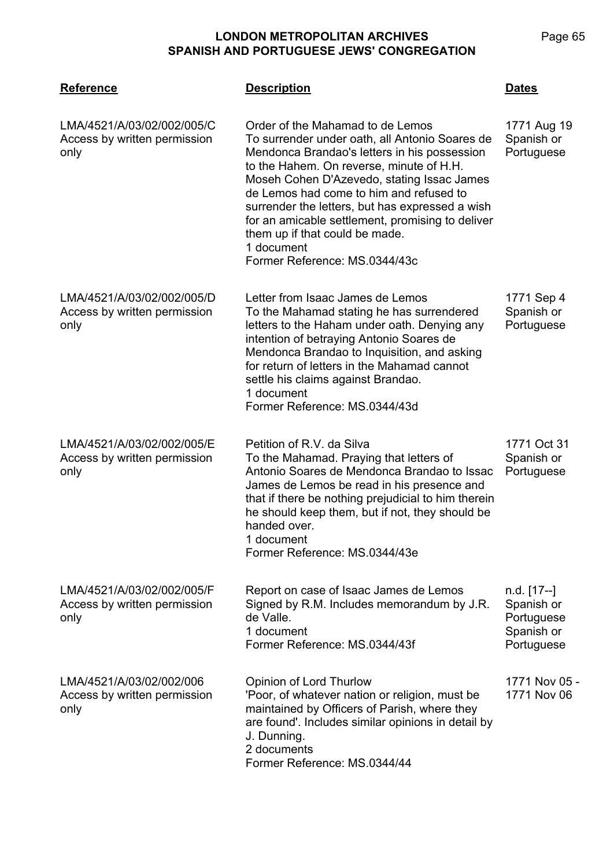| <b>Reference</b>                                                   | <b>Description</b>                                                                                                                                                                                                                                                                                                                                                                                                                                              | <b>Dates</b>                                                        |
|--------------------------------------------------------------------|-----------------------------------------------------------------------------------------------------------------------------------------------------------------------------------------------------------------------------------------------------------------------------------------------------------------------------------------------------------------------------------------------------------------------------------------------------------------|---------------------------------------------------------------------|
| LMA/4521/A/03/02/002/005/C<br>Access by written permission<br>only | Order of the Mahamad to de Lemos<br>To surrender under oath, all Antonio Soares de<br>Mendonca Brandao's letters in his possession<br>to the Hahem. On reverse, minute of H.H.<br>Moseh Cohen D'Azevedo, stating Issac James<br>de Lemos had come to him and refused to<br>surrender the letters, but has expressed a wish<br>for an amicable settlement, promising to deliver<br>them up if that could be made.<br>1 document<br>Former Reference: MS.0344/43c | 1771 Aug 19<br>Spanish or<br>Portuguese                             |
| LMA/4521/A/03/02/002/005/D<br>Access by written permission<br>only | Letter from Isaac James de Lemos<br>To the Mahamad stating he has surrendered<br>letters to the Haham under oath. Denying any<br>intention of betraying Antonio Soares de<br>Mendonca Brandao to Inquisition, and asking<br>for return of letters in the Mahamad cannot<br>settle his claims against Brandao.<br>1 document<br>Former Reference: MS.0344/43d                                                                                                    | 1771 Sep 4<br>Spanish or<br>Portuguese                              |
| LMA/4521/A/03/02/002/005/E<br>Access by written permission<br>only | Petition of R.V. da Silva<br>To the Mahamad. Praying that letters of<br>Antonio Soares de Mendonca Brandao to Issac<br>James de Lemos be read in his presence and<br>that if there be nothing prejudicial to him therein<br>he should keep them, but if not, they should be<br>handed over.<br>1 document<br>Former Reference: MS.0344/43e                                                                                                                      | 1771 Oct 31<br>Spanish or<br>Portuguese                             |
| LMA/4521/A/03/02/002/005/F<br>Access by written permission<br>only | Report on case of Isaac James de Lemos<br>Signed by R.M. Includes memorandum by J.R.<br>de Valle.<br>1 document<br>Former Reference: MS.0344/43f                                                                                                                                                                                                                                                                                                                | n.d. [17--]<br>Spanish or<br>Portuguese<br>Spanish or<br>Portuguese |
| LMA/4521/A/03/02/002/006<br>Access by written permission<br>only   | Opinion of Lord Thurlow<br>'Poor, of whatever nation or religion, must be<br>maintained by Officers of Parish, where they<br>are found'. Includes similar opinions in detail by<br>J. Dunning.<br>2 documents<br>Former Reference: MS.0344/44                                                                                                                                                                                                                   | 1771 Nov 05 -<br>1771 Nov 06                                        |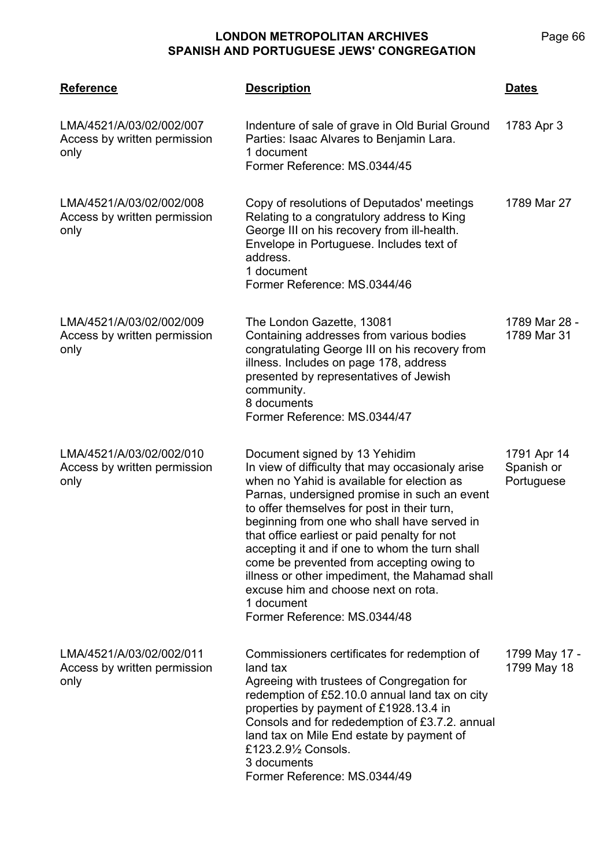| <b>Reference</b>                                                 | <b>Description</b>                                                                                                                                                                                                                                                                                                                                                                                                                                                                                                                                                  | <b>Dates</b>                            |
|------------------------------------------------------------------|---------------------------------------------------------------------------------------------------------------------------------------------------------------------------------------------------------------------------------------------------------------------------------------------------------------------------------------------------------------------------------------------------------------------------------------------------------------------------------------------------------------------------------------------------------------------|-----------------------------------------|
| LMA/4521/A/03/02/002/007<br>Access by written permission<br>only | Indenture of sale of grave in Old Burial Ground<br>Parties: Isaac Alvares to Benjamin Lara.<br>1 document<br>Former Reference: MS.0344/45                                                                                                                                                                                                                                                                                                                                                                                                                           | 1783 Apr 3                              |
| LMA/4521/A/03/02/002/008<br>Access by written permission<br>only | Copy of resolutions of Deputados' meetings<br>Relating to a congratulory address to King<br>George III on his recovery from ill-health.<br>Envelope in Portuguese. Includes text of<br>address.<br>1 document<br>Former Reference: MS.0344/46                                                                                                                                                                                                                                                                                                                       | 1789 Mar 27                             |
| LMA/4521/A/03/02/002/009<br>Access by written permission<br>only | The London Gazette, 13081<br>Containing addresses from various bodies<br>congratulating George III on his recovery from<br>illness. Includes on page 178, address<br>presented by representatives of Jewish<br>community.<br>8 documents<br>Former Reference: MS.0344/47                                                                                                                                                                                                                                                                                            | 1789 Mar 28 -<br>1789 Mar 31            |
| LMA/4521/A/03/02/002/010<br>Access by written permission<br>only | Document signed by 13 Yehidim<br>In view of difficulty that may occasionaly arise<br>when no Yahid is available for election as<br>Parnas, undersigned promise in such an event<br>to offer themselves for post in their turn,<br>beginning from one who shall have served in<br>that office earliest or paid penalty for not<br>accepting it and if one to whom the turn shall<br>come be prevented from accepting owing to<br>illness or other impediment, the Mahamad shall<br>excuse him and choose next on rota.<br>1 document<br>Former Reference: MS.0344/48 | 1791 Apr 14<br>Spanish or<br>Portuguese |
| LMA/4521/A/03/02/002/011<br>Access by written permission<br>only | Commissioners certificates for redemption of<br>land tax<br>Agreeing with trustees of Congregation for<br>redemption of £52.10.0 annual land tax on city<br>properties by payment of £1928.13.4 in<br>Consols and for rededemption of £3.7.2. annual<br>land tax on Mile End estate by payment of<br>£123.2.91/2 Consols.<br>3 documents<br>Former Reference: MS.0344/49                                                                                                                                                                                            | 1799 May 17 -<br>1799 May 18            |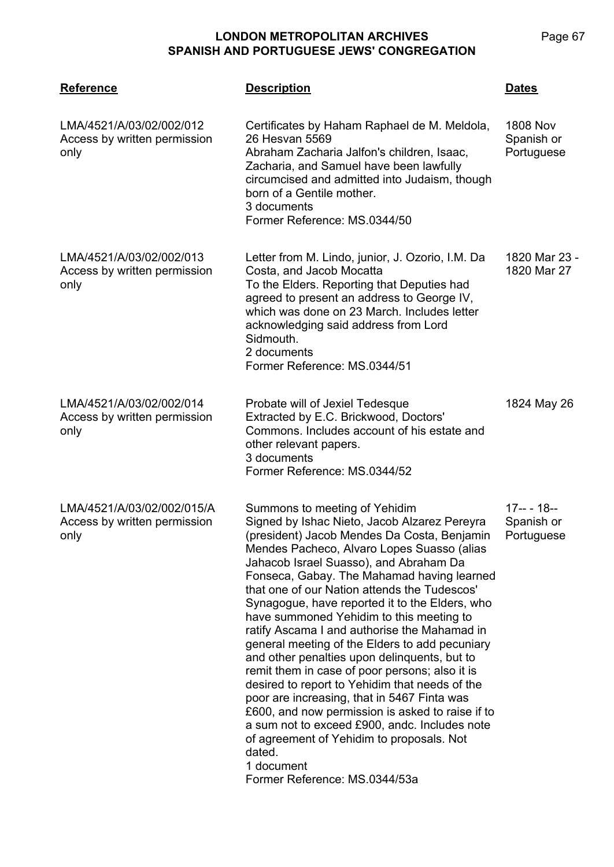| <b>Reference</b>                                                   | <b>Description</b>                                                                                                                                                                                                                                                                                                                                                                                                                                                                                                                                                                                                                                                                                                                                                                                                                                                                                                               | <b>Dates</b>                                |
|--------------------------------------------------------------------|----------------------------------------------------------------------------------------------------------------------------------------------------------------------------------------------------------------------------------------------------------------------------------------------------------------------------------------------------------------------------------------------------------------------------------------------------------------------------------------------------------------------------------------------------------------------------------------------------------------------------------------------------------------------------------------------------------------------------------------------------------------------------------------------------------------------------------------------------------------------------------------------------------------------------------|---------------------------------------------|
| LMA/4521/A/03/02/002/012<br>Access by written permission<br>only   | Certificates by Haham Raphael de M. Meldola,<br>26 Hesvan 5569<br>Abraham Zacharia Jalfon's children, Isaac,<br>Zacharia, and Samuel have been lawfully<br>circumcised and admitted into Judaism, though<br>born of a Gentile mother.<br>3 documents<br>Former Reference: MS.0344/50                                                                                                                                                                                                                                                                                                                                                                                                                                                                                                                                                                                                                                             | <b>1808 Nov</b><br>Spanish or<br>Portuguese |
| LMA/4521/A/03/02/002/013<br>Access by written permission<br>only   | Letter from M. Lindo, junior, J. Ozorio, I.M. Da<br>Costa, and Jacob Mocatta<br>To the Elders. Reporting that Deputies had<br>agreed to present an address to George IV,<br>which was done on 23 March. Includes letter<br>acknowledging said address from Lord<br>Sidmouth.<br>2 documents<br>Former Reference: MS.0344/51                                                                                                                                                                                                                                                                                                                                                                                                                                                                                                                                                                                                      | 1820 Mar 23 -<br>1820 Mar 27                |
| LMA/4521/A/03/02/002/014<br>Access by written permission<br>only   | Probate will of Jexiel Tedesque<br>Extracted by E.C. Brickwood, Doctors'<br>Commons. Includes account of his estate and<br>other relevant papers.<br>3 documents<br>Former Reference: MS.0344/52                                                                                                                                                                                                                                                                                                                                                                                                                                                                                                                                                                                                                                                                                                                                 | 1824 May 26                                 |
| LMA/4521/A/03/02/002/015/A<br>Access by written permission<br>only | Summons to meeting of Yehidim<br>Signed by Ishac Nieto, Jacob Alzarez Pereyra<br>(president) Jacob Mendes Da Costa, Benjamin<br>Mendes Pacheco, Alvaro Lopes Suasso (alias<br>Jahacob Israel Suasso), and Abraham Da<br>Fonseca, Gabay. The Mahamad having learned<br>that one of our Nation attends the Tudescos'<br>Synagogue, have reported it to the Elders, who<br>have summoned Yehidim to this meeting to<br>ratify Ascama I and authorise the Mahamad in<br>general meeting of the Elders to add pecuniary<br>and other penalties upon delinquents, but to<br>remit them in case of poor persons; also it is<br>desired to report to Yehidim that needs of the<br>poor are increasing, that in 5467 Finta was<br>£600, and now permission is asked to raise if to<br>a sum not to exceed £900, andc. Includes note<br>of agreement of Yehidim to proposals. Not<br>dated.<br>1 document<br>Former Reference: MS.0344/53a | $17-- 18--$<br>Spanish or<br>Portuguese     |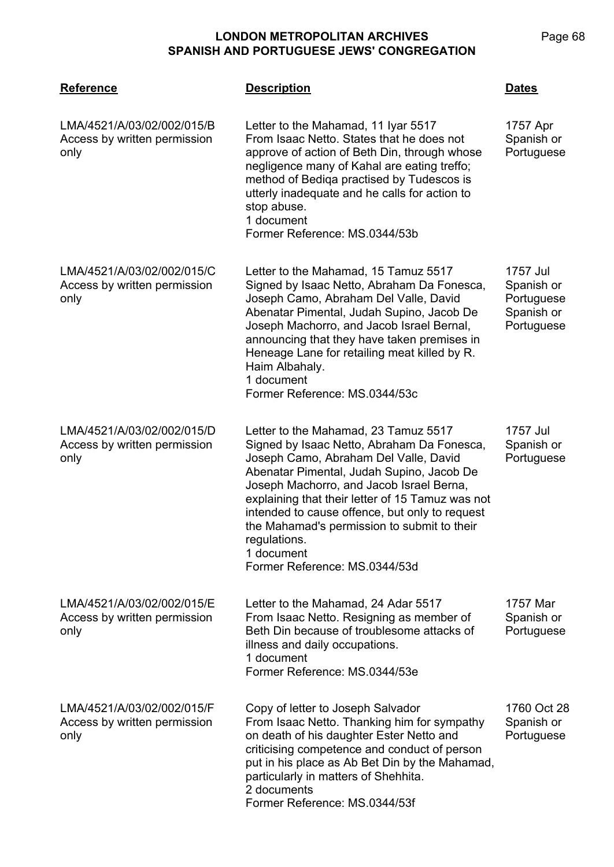| <b>Reference</b>                                                   | <b>Description</b>                                                                                                                                                                                                                                                                                                                                                                                                                       | <b>Dates</b>                                                     |
|--------------------------------------------------------------------|------------------------------------------------------------------------------------------------------------------------------------------------------------------------------------------------------------------------------------------------------------------------------------------------------------------------------------------------------------------------------------------------------------------------------------------|------------------------------------------------------------------|
| LMA/4521/A/03/02/002/015/B<br>Access by written permission<br>only | Letter to the Mahamad, 11 Iyar 5517<br>From Isaac Netto. States that he does not<br>approve of action of Beth Din, through whose<br>negligence many of Kahal are eating treffo;<br>method of Bediqa practised by Tudescos is<br>utterly inadequate and he calls for action to<br>stop abuse.<br>1 document<br>Former Reference: MS.0344/53b                                                                                              | 1757 Apr<br>Spanish or<br>Portuguese                             |
| LMA/4521/A/03/02/002/015/C<br>Access by written permission<br>only | Letter to the Mahamad, 15 Tamuz 5517<br>Signed by Isaac Netto, Abraham Da Fonesca,<br>Joseph Camo, Abraham Del Valle, David<br>Abenatar Pimental, Judah Supino, Jacob De<br>Joseph Machorro, and Jacob Israel Bernal,<br>announcing that they have taken premises in<br>Heneage Lane for retailing meat killed by R.<br>Haim Albahaly.<br>1 document<br>Former Reference: MS.0344/53c                                                    | 1757 Jul<br>Spanish or<br>Portuguese<br>Spanish or<br>Portuguese |
| LMA/4521/A/03/02/002/015/D<br>Access by written permission<br>only | Letter to the Mahamad, 23 Tamuz 5517<br>Signed by Isaac Netto, Abraham Da Fonesca,<br>Joseph Camo, Abraham Del Valle, David<br>Abenatar Pimental, Judah Supino, Jacob De<br>Joseph Machorro, and Jacob Israel Berna,<br>explaining that their letter of 15 Tamuz was not<br>intended to cause offence, but only to request<br>the Mahamad's permission to submit to their<br>regulations.<br>1 document<br>Former Reference: MS.0344/53d | 1757 Jul<br>Spanish or<br>Portuguese                             |
| LMA/4521/A/03/02/002/015/E<br>Access by written permission<br>only | Letter to the Mahamad, 24 Adar 5517<br>From Isaac Netto. Resigning as member of<br>Beth Din because of troublesome attacks of<br>illness and daily occupations.<br>1 document<br>Former Reference: MS.0344/53e                                                                                                                                                                                                                           | 1757 Mar<br>Spanish or<br>Portuguese                             |
| LMA/4521/A/03/02/002/015/F<br>Access by written permission<br>only | Copy of letter to Joseph Salvador<br>From Isaac Netto. Thanking him for sympathy<br>on death of his daughter Ester Netto and<br>criticising competence and conduct of person<br>put in his place as Ab Bet Din by the Mahamad,<br>particularly in matters of Shehhita.<br>2 documents<br>Former Reference: MS.0344/53f                                                                                                                   | 1760 Oct 28<br>Spanish or<br>Portuguese                          |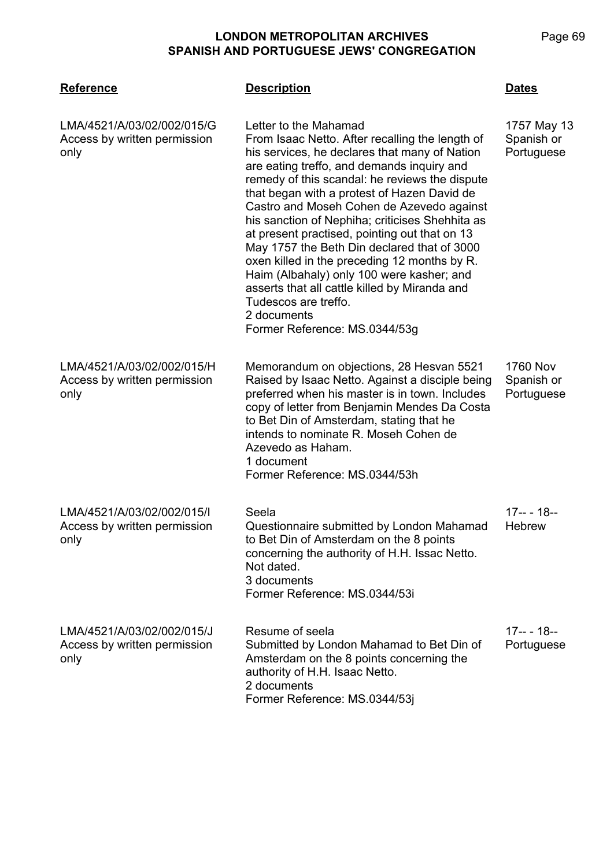| <b>Reference</b>                                                   | <b>Description</b>                                                                                                                                                                                                                                                                                                                                                                                                                                                                                                                                                                                                                                                                             | Dates                                       |
|--------------------------------------------------------------------|------------------------------------------------------------------------------------------------------------------------------------------------------------------------------------------------------------------------------------------------------------------------------------------------------------------------------------------------------------------------------------------------------------------------------------------------------------------------------------------------------------------------------------------------------------------------------------------------------------------------------------------------------------------------------------------------|---------------------------------------------|
| LMA/4521/A/03/02/002/015/G<br>Access by written permission<br>only | Letter to the Mahamad<br>From Isaac Netto. After recalling the length of<br>his services, he declares that many of Nation<br>are eating treffo, and demands inquiry and<br>remedy of this scandal: he reviews the dispute<br>that began with a protest of Hazen David de<br>Castro and Moseh Cohen de Azevedo against<br>his sanction of Nephiha; criticises Shehhita as<br>at present practised, pointing out that on 13<br>May 1757 the Beth Din declared that of 3000<br>oxen killed in the preceding 12 months by R.<br>Haim (Albahaly) only 100 were kasher; and<br>asserts that all cattle killed by Miranda and<br>Tudescos are treffo.<br>2 documents<br>Former Reference: MS.0344/53g | 1757 May 13<br>Spanish or<br>Portuguese     |
| LMA/4521/A/03/02/002/015/H<br>Access by written permission<br>only | Memorandum on objections, 28 Hesvan 5521<br>Raised by Isaac Netto. Against a disciple being<br>preferred when his master is in town. Includes<br>copy of letter from Benjamin Mendes Da Costa<br>to Bet Din of Amsterdam, stating that he<br>intends to nominate R. Moseh Cohen de<br>Azevedo as Haham.<br>1 document<br>Former Reference: MS.0344/53h                                                                                                                                                                                                                                                                                                                                         | <b>1760 Nov</b><br>Spanish or<br>Portuguese |
| LMA/4521/A/03/02/002/015/I<br>Access by written permission<br>only | Seela<br>Questionnaire submitted by London Mahamad<br>to Bet Din of Amsterdam on the 8 points<br>concerning the authority of H.H. Issac Netto.<br>Not dated.<br>3 documents<br>Former Reference: MS.0344/53i                                                                                                                                                                                                                                                                                                                                                                                                                                                                                   | $17-- 18--$<br><b>Hebrew</b>                |
| LMA/4521/A/03/02/002/015/J<br>Access by written permission<br>only | Resume of seela<br>Submitted by London Mahamad to Bet Din of<br>Amsterdam on the 8 points concerning the<br>authority of H.H. Isaac Netto.<br>2 documents<br>Former Reference: MS.0344/53j                                                                                                                                                                                                                                                                                                                                                                                                                                                                                                     | <u> 17-- - 18--</u><br>Portuguese           |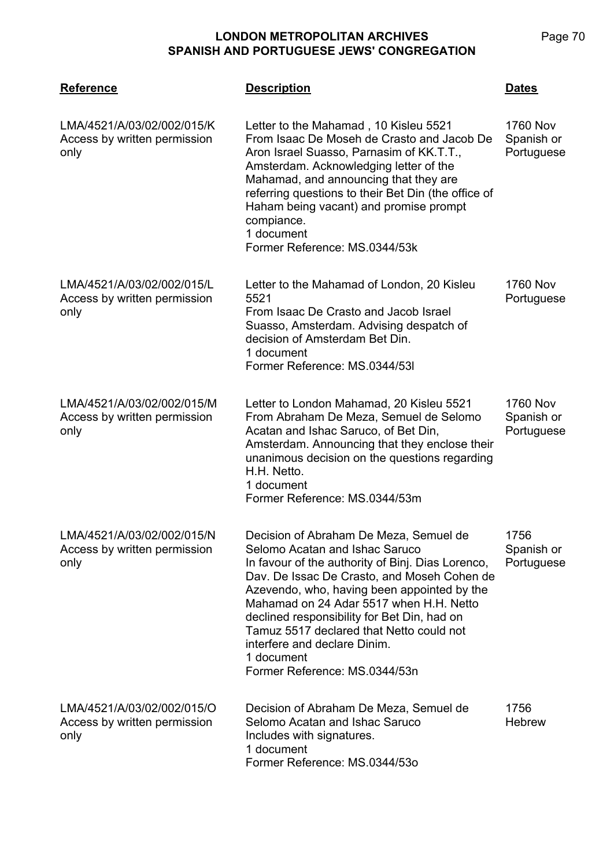| <b>Reference</b>                                                   | <b>Description</b>                                                                                                                                                                                                                                                                                                                                                                                                                               | <b>Dates</b>                                |
|--------------------------------------------------------------------|--------------------------------------------------------------------------------------------------------------------------------------------------------------------------------------------------------------------------------------------------------------------------------------------------------------------------------------------------------------------------------------------------------------------------------------------------|---------------------------------------------|
| LMA/4521/A/03/02/002/015/K<br>Access by written permission<br>only | Letter to the Mahamad, 10 Kisleu 5521<br>From Isaac De Moseh de Crasto and Jacob De<br>Aron Israel Suasso, Parnasim of KK.T.T.,<br>Amsterdam. Acknowledging letter of the<br>Mahamad, and announcing that they are<br>referring questions to their Bet Din (the office of<br>Haham being vacant) and promise prompt<br>compiance.<br>1 document<br>Former Reference: MS.0344/53k                                                                 | <b>1760 Nov</b><br>Spanish or<br>Portuguese |
| LMA/4521/A/03/02/002/015/L<br>Access by written permission<br>only | Letter to the Mahamad of London, 20 Kisleu<br>5521<br>From Isaac De Crasto and Jacob Israel<br>Suasso, Amsterdam. Advising despatch of<br>decision of Amsterdam Bet Din.<br>1 document<br>Former Reference: MS.0344/53I                                                                                                                                                                                                                          | <b>1760 Nov</b><br>Portuguese               |
| LMA/4521/A/03/02/002/015/M<br>Access by written permission<br>only | Letter to London Mahamad, 20 Kisleu 5521<br>From Abraham De Meza, Semuel de Selomo<br>Acatan and Ishac Saruco, of Bet Din,<br>Amsterdam. Announcing that they enclose their<br>unanimous decision on the questions regarding<br>H.H. Netto.<br>1 document<br>Former Reference: MS.0344/53m                                                                                                                                                       | <b>1760 Nov</b><br>Spanish or<br>Portuguese |
| LMA/4521/A/03/02/002/015/N<br>Access by written permission<br>only | Decision of Abraham De Meza, Semuel de<br>Selomo Acatan and Ishac Saruco<br>In favour of the authority of Binj. Dias Lorenco,<br>Dav. De Issac De Crasto, and Moseh Cohen de<br>Azevendo, who, having been appointed by the<br>Mahamad on 24 Adar 5517 when H.H. Netto<br>declined responsibility for Bet Din, had on<br>Tamuz 5517 declared that Netto could not<br>interfere and declare Dinim.<br>1 document<br>Former Reference: MS.0344/53n | 1756<br>Spanish or<br>Portuguese            |
| LMA/4521/A/03/02/002/015/O<br>Access by written permission<br>only | Decision of Abraham De Meza, Semuel de<br>Selomo Acatan and Ishac Saruco<br>Includes with signatures.<br>1 document<br>Former Reference: MS.0344/53o                                                                                                                                                                                                                                                                                             | 1756<br><b>Hebrew</b>                       |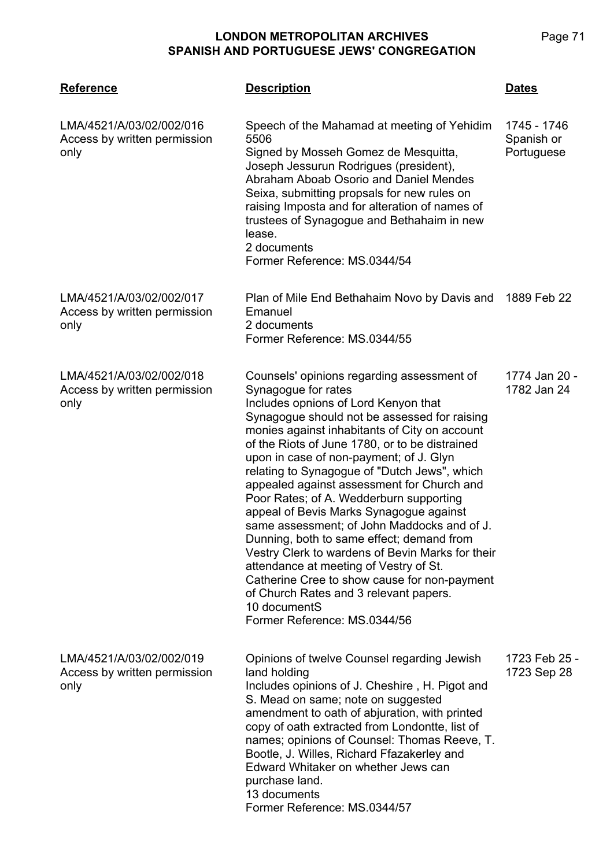| <b>Reference</b>                                                 | <b>Description</b>                                                                                                                                                                                                                                                                                                                                                                                                                                                                                                                                                                                                                                                                                                                                                                                                              | <b>Dates</b>                            |
|------------------------------------------------------------------|---------------------------------------------------------------------------------------------------------------------------------------------------------------------------------------------------------------------------------------------------------------------------------------------------------------------------------------------------------------------------------------------------------------------------------------------------------------------------------------------------------------------------------------------------------------------------------------------------------------------------------------------------------------------------------------------------------------------------------------------------------------------------------------------------------------------------------|-----------------------------------------|
| LMA/4521/A/03/02/002/016<br>Access by written permission<br>only | Speech of the Mahamad at meeting of Yehidim<br>5506<br>Signed by Mosseh Gomez de Mesquitta,<br>Joseph Jessurun Rodrigues (president),<br>Abraham Aboab Osorio and Daniel Mendes<br>Seixa, submitting propsals for new rules on<br>raising Imposta and for alteration of names of<br>trustees of Synagogue and Bethahaim in new<br>lease.<br>2 documents<br>Former Reference: MS.0344/54                                                                                                                                                                                                                                                                                                                                                                                                                                         | 1745 - 1746<br>Spanish or<br>Portuguese |
| LMA/4521/A/03/02/002/017<br>Access by written permission<br>only | Plan of Mile End Bethahaim Novo by Davis and<br>Emanuel<br>2 documents<br>Former Reference: MS.0344/55                                                                                                                                                                                                                                                                                                                                                                                                                                                                                                                                                                                                                                                                                                                          | 1889 Feb 22                             |
| LMA/4521/A/03/02/002/018<br>Access by written permission<br>only | Counsels' opinions regarding assessment of<br>Synagogue for rates<br>Includes opnions of Lord Kenyon that<br>Synagogue should not be assessed for raising<br>monies against inhabitants of City on account<br>of the Riots of June 1780, or to be distrained<br>upon in case of non-payment; of J. Glyn<br>relating to Synagogue of "Dutch Jews", which<br>appealed against assessment for Church and<br>Poor Rates; of A. Wedderburn supporting<br>appeal of Bevis Marks Synagogue against<br>same assessment; of John Maddocks and of J.<br>Dunning, both to same effect; demand from<br>Vestry Clerk to wardens of Bevin Marks for their<br>attendance at meeting of Vestry of St.<br>Catherine Cree to show cause for non-payment<br>of Church Rates and 3 relevant papers.<br>10 documentS<br>Former Reference: MS.0344/56 | 1774 Jan 20 -<br>1782 Jan 24            |
| LMA/4521/A/03/02/002/019<br>Access by written permission<br>only | Opinions of twelve Counsel regarding Jewish<br>land holding<br>Includes opinions of J. Cheshire, H. Pigot and<br>S. Mead on same; note on suggested<br>amendment to oath of abjuration, with printed<br>copy of oath extracted from Londontte, list of<br>names; opinions of Counsel: Thomas Reeve, T.<br>Bootle, J. Willes, Richard Ffazakerley and<br>Edward Whitaker on whether Jews can<br>purchase land.<br>13 documents<br>Former Reference: MS.0344/57                                                                                                                                                                                                                                                                                                                                                                   | 1723 Feb 25 -<br>1723 Sep 28            |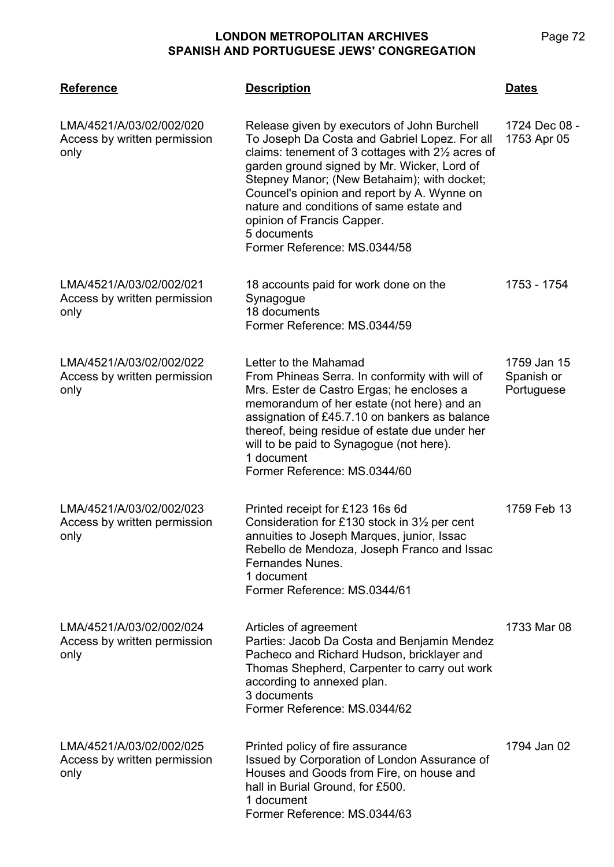| <b>Reference</b>                                                 | <b>Description</b>                                                                                                                                                                                                                                                                                                                                                                                                      | <b>Dates</b>                            |
|------------------------------------------------------------------|-------------------------------------------------------------------------------------------------------------------------------------------------------------------------------------------------------------------------------------------------------------------------------------------------------------------------------------------------------------------------------------------------------------------------|-----------------------------------------|
| LMA/4521/A/03/02/002/020<br>Access by written permission<br>only | Release given by executors of John Burchell<br>To Joseph Da Costa and Gabriel Lopez. For all<br>claims: tenement of 3 cottages with 21/2 acres of<br>garden ground signed by Mr. Wicker, Lord of<br>Stepney Manor; (New Betahaim); with docket;<br>Councel's opinion and report by A. Wynne on<br>nature and conditions of same estate and<br>opinion of Francis Capper.<br>5 documents<br>Former Reference: MS.0344/58 | 1724 Dec 08 -<br>1753 Apr 05            |
| LMA/4521/A/03/02/002/021<br>Access by written permission<br>only | 18 accounts paid for work done on the<br>Synagogue<br>18 documents<br>Former Reference: MS.0344/59                                                                                                                                                                                                                                                                                                                      | 1753 - 1754                             |
| LMA/4521/A/03/02/002/022<br>Access by written permission<br>only | Letter to the Mahamad<br>From Phineas Serra. In conformity with will of<br>Mrs. Ester de Castro Ergas; he encloses a<br>memorandum of her estate (not here) and an<br>assignation of £45.7.10 on bankers as balance<br>thereof, being residue of estate due under her<br>will to be paid to Synagogue (not here).<br>1 document<br>Former Reference: MS.0344/60                                                         | 1759 Jan 15<br>Spanish or<br>Portuguese |
| LMA/4521/A/03/02/002/023<br>Access by written permission<br>only | Printed receipt for £123 16s 6d<br>Consideration for £130 stock in $3\frac{1}{2}$ per cent<br>annuities to Joseph Marques, junior, Issac<br>Rebello de Mendoza, Joseph Franco and Issac<br>Fernandes Nunes.<br>1 document<br>Former Reference: MS.0344/61                                                                                                                                                               | 1759 Feb 13                             |
| LMA/4521/A/03/02/002/024<br>Access by written permission<br>only | Articles of agreement<br>Parties: Jacob Da Costa and Benjamin Mendez<br>Pacheco and Richard Hudson, bricklayer and<br>Thomas Shepherd, Carpenter to carry out work<br>according to annexed plan.<br>3 documents<br>Former Reference: MS.0344/62                                                                                                                                                                         | 1733 Mar 08                             |
| LMA/4521/A/03/02/002/025<br>Access by written permission<br>only | Printed policy of fire assurance<br>Issued by Corporation of London Assurance of<br>Houses and Goods from Fire, on house and<br>hall in Burial Ground, for £500.<br>1 document<br>Former Reference: MS.0344/63                                                                                                                                                                                                          | 1794 Jan 02                             |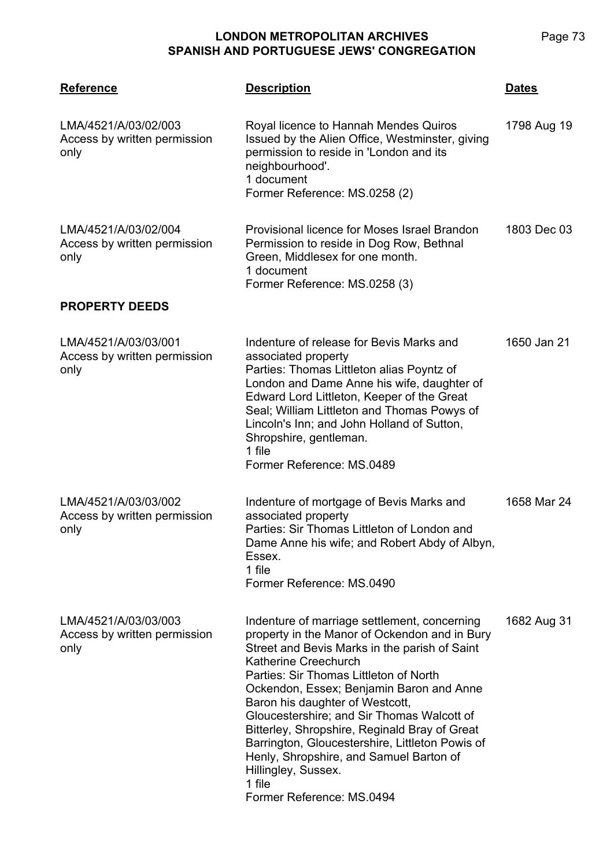**LMA/4521 Reference Description Dates** LMA/4521/A/03/02/003 Access by written permission only Royal licence to Hannah Mendes Quiros Issued by the Alien Office, Westminster, giving permission to reside in 'London and its neighbourhood'. 1 document Former Reference: MS.0258 (2) 1798 Aug 19 LMA/4521/A/03/02/004 Access by written permission only Provisional licence for Moses Israel Brandon Permission to reside in Dog Row, Bethnal Green, Middlesex for one month. 1 document Former Reference: MS.0258 (3) 1803 Dec 03 **PROPERTY DEEDS** LMA/4521/A/03/03/001 Access by written permission only Indenture of release for Bevis Marks and associated property Parties: Thomas Littleton alias Poyntz of London and Dame Anne his wife, daughter of Edward Lord Littleton, Keeper of the Great Seal; William Littleton and Thomas Powys of Lincoln's Inn; and John Holland of Sutton, Shropshire, gentleman. 1 file Former Reference: MS.0489 1650 Jan 21 LMA/4521/A/03/03/002 Access by written permission only Indenture of mortgage of Bevis Marks and associated property Parties: Sir Thomas Littleton of London and Dame Anne his wife; and Robert Abdy of Albyn, Essex. 1 file Former Reference: MS.0490 1658 Mar 24 LMA/4521/A/03/03/003 Access by written permission only Indenture of marriage settlement, concerning property in the Manor of Ockendon and in Bury Street and Bevis Marks in the parish of Saint Katherine Creechurch Parties: Sir Thomas Littleton of North Ockendon, Essex; Benjamin Baron and Anne Baron his daughter of Westcott, Gloucestershire; and Sir Thomas Walcott of Bitterley, Shropshire, Reginald Bray of Great Barrington, Gloucestershire, Littleton Powis of Henly, Shropshire, and Samuel Barton of Hillingley, Sussex. 1 file Former Reference: MS.0494 1682 Aug 31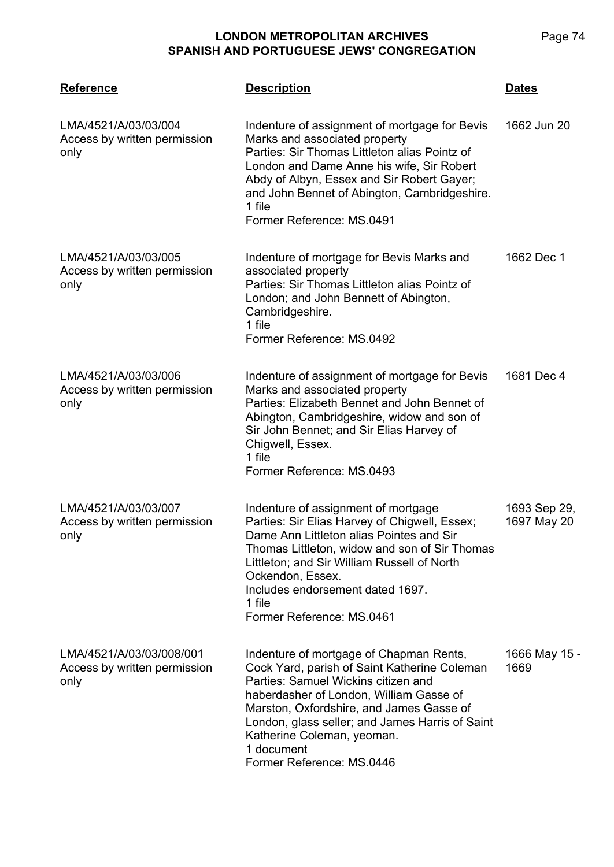| <b>Reference</b>                                                 | <b>Description</b>                                                                                                                                                                                                                                                                                                                                | Dates                       |
|------------------------------------------------------------------|---------------------------------------------------------------------------------------------------------------------------------------------------------------------------------------------------------------------------------------------------------------------------------------------------------------------------------------------------|-----------------------------|
| LMA/4521/A/03/03/004<br>Access by written permission<br>only     | Indenture of assignment of mortgage for Bevis<br>Marks and associated property<br>Parties: Sir Thomas Littleton alias Pointz of<br>London and Dame Anne his wife, Sir Robert<br>Abdy of Albyn, Essex and Sir Robert Gayer;<br>and John Bennet of Abington, Cambridgeshire.<br>1 file<br>Former Reference: MS.0491                                 | 1662 Jun 20                 |
| LMA/4521/A/03/03/005<br>Access by written permission<br>only     | Indenture of mortgage for Bevis Marks and<br>associated property<br>Parties: Sir Thomas Littleton alias Pointz of<br>London; and John Bennett of Abington,<br>Cambridgeshire.<br>1 file<br>Former Reference: MS.0492                                                                                                                              | 1662 Dec 1                  |
| LMA/4521/A/03/03/006<br>Access by written permission<br>only     | Indenture of assignment of mortgage for Bevis<br>Marks and associated property<br>Parties: Elizabeth Bennet and John Bennet of<br>Abington, Cambridgeshire, widow and son of<br>Sir John Bennet; and Sir Elias Harvey of<br>Chigwell, Essex.<br>1 file<br>Former Reference: MS.0493                                                               | 1681 Dec 4                  |
| LMA/4521/A/03/03/007<br>Access by written permission<br>only     | Indenture of assignment of mortgage<br>Parties: Sir Elias Harvey of Chigwell, Essex;<br>Dame Ann Littleton alias Pointes and Sir<br>Thomas Littleton, widow and son of Sir Thomas<br>Littleton; and Sir William Russell of North<br>Ockendon, Essex.<br>Includes endorsement dated 1697.<br>1 file<br>Former Reference: MS.0461                   | 1693 Sep 29,<br>1697 May 20 |
| LMA/4521/A/03/03/008/001<br>Access by written permission<br>only | Indenture of mortgage of Chapman Rents,<br>Cock Yard, parish of Saint Katherine Coleman<br>Parties: Samuel Wickins citizen and<br>haberdasher of London, William Gasse of<br>Marston, Oxfordshire, and James Gasse of<br>London, glass seller; and James Harris of Saint<br>Katherine Coleman, yeoman.<br>1 document<br>Former Reference: MS.0446 | 1666 May 15 -<br>1669       |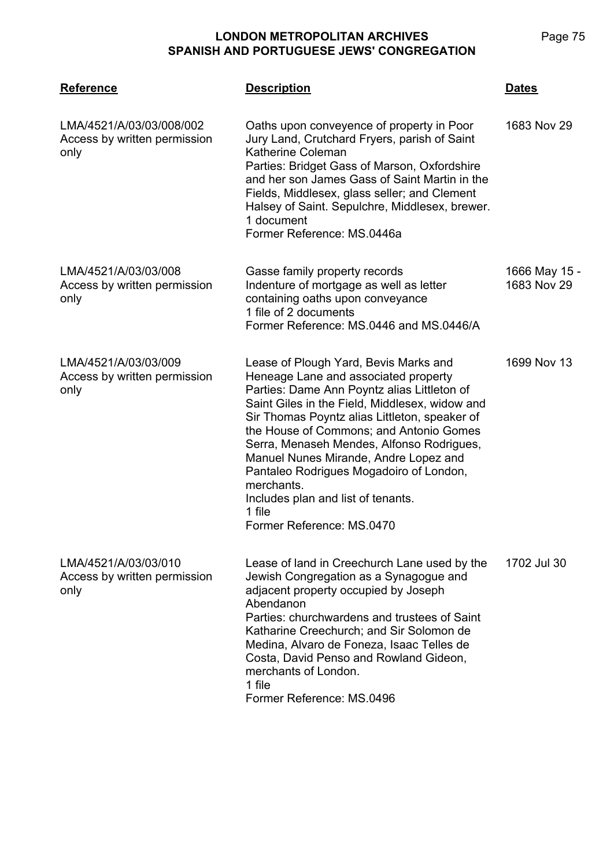| <b>Reference</b>                                                 | <b>Description</b>                                                                                                                                                                                                                                                                                                                                                                                                                                                                                     | <b>Dates</b>                 |
|------------------------------------------------------------------|--------------------------------------------------------------------------------------------------------------------------------------------------------------------------------------------------------------------------------------------------------------------------------------------------------------------------------------------------------------------------------------------------------------------------------------------------------------------------------------------------------|------------------------------|
| LMA/4521/A/03/03/008/002<br>Access by written permission<br>only | Oaths upon conveyence of property in Poor<br>Jury Land, Crutchard Fryers, parish of Saint<br>Katherine Coleman<br>Parties: Bridget Gass of Marson, Oxfordshire<br>and her son James Gass of Saint Martin in the<br>Fields, Middlesex, glass seller; and Clement<br>Halsey of Saint. Sepulchre, Middlesex, brewer.<br>1 document<br>Former Reference: MS.0446a                                                                                                                                          | 1683 Nov 29                  |
| LMA/4521/A/03/03/008<br>Access by written permission<br>only     | Gasse family property records<br>Indenture of mortgage as well as letter<br>containing oaths upon conveyance<br>1 file of 2 documents<br>Former Reference: MS.0446 and MS.0446/A                                                                                                                                                                                                                                                                                                                       | 1666 May 15 -<br>1683 Nov 29 |
| LMA/4521/A/03/03/009<br>Access by written permission<br>only     | Lease of Plough Yard, Bevis Marks and<br>Heneage Lane and associated property<br>Parties: Dame Ann Poyntz alias Littleton of<br>Saint Giles in the Field, Middlesex, widow and<br>Sir Thomas Poyntz alias Littleton, speaker of<br>the House of Commons; and Antonio Gomes<br>Serra, Menaseh Mendes, Alfonso Rodrigues,<br>Manuel Nunes Mirande, Andre Lopez and<br>Pantaleo Rodrigues Mogadoiro of London,<br>merchants.<br>Includes plan and list of tenants.<br>1 file<br>Former Reference: MS.0470 | 1699 Nov 13                  |
| LMA/4521/A/03/03/010<br>Access by written permission<br>only     | Lease of land in Creechurch Lane used by the<br>Jewish Congregation as a Synagogue and<br>adjacent property occupied by Joseph<br>Abendanon<br>Parties: churchwardens and trustees of Saint<br>Katharine Creechurch; and Sir Solomon de<br>Medina, Alvaro de Foneza, Isaac Telles de<br>Costa, David Penso and Rowland Gideon,<br>merchants of London.<br>1 file<br>Former Reference: MS.0496                                                                                                          | 1702 Jul 30                  |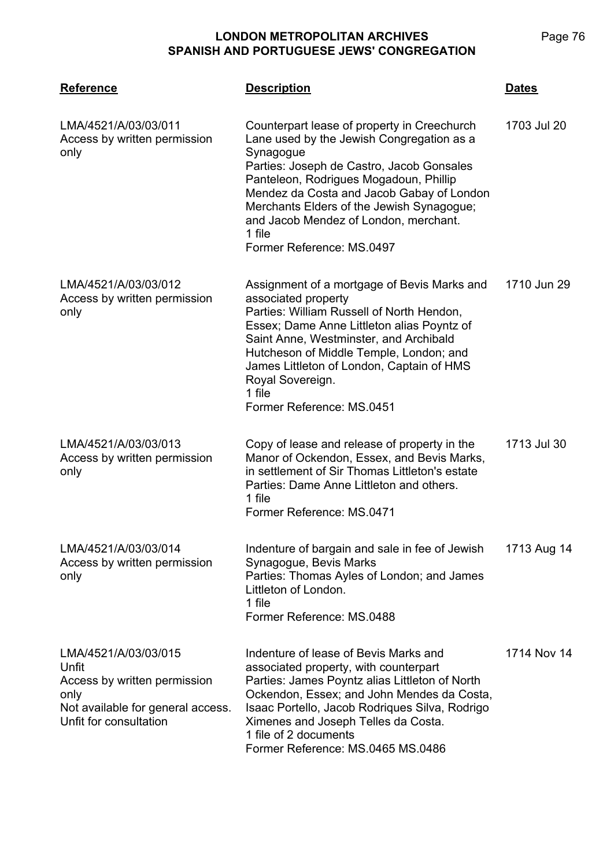| <b>Reference</b>                                                                                                                     | <b>Description</b>                                                                                                                                                                                                                                                                                                                                                     | <b>Dates</b> |
|--------------------------------------------------------------------------------------------------------------------------------------|------------------------------------------------------------------------------------------------------------------------------------------------------------------------------------------------------------------------------------------------------------------------------------------------------------------------------------------------------------------------|--------------|
| LMA/4521/A/03/03/011<br>Access by written permission<br>only                                                                         | Counterpart lease of property in Creechurch<br>Lane used by the Jewish Congregation as a<br>Synagogue<br>Parties: Joseph de Castro, Jacob Gonsales<br>Panteleon, Rodrigues Mogadoun, Phillip<br>Mendez da Costa and Jacob Gabay of London<br>Merchants Elders of the Jewish Synagogue;<br>and Jacob Mendez of London, merchant.<br>1 file<br>Former Reference: MS.0497 | 1703 Jul 20  |
| LMA/4521/A/03/03/012<br>Access by written permission<br>only                                                                         | Assignment of a mortgage of Bevis Marks and<br>associated property<br>Parties: William Russell of North Hendon,<br>Essex; Dame Anne Littleton alias Poyntz of<br>Saint Anne, Westminster, and Archibald<br>Hutcheson of Middle Temple, London; and<br>James Littleton of London, Captain of HMS<br>Royal Sovereign.<br>1 file<br>Former Reference: MS.0451             | 1710 Jun 29  |
| LMA/4521/A/03/03/013<br>Access by written permission<br>only                                                                         | Copy of lease and release of property in the<br>Manor of Ockendon, Essex, and Bevis Marks,<br>in settlement of Sir Thomas Littleton's estate<br>Parties: Dame Anne Littleton and others.<br>1 file<br>Former Reference: MS.0471                                                                                                                                        | 1713 Jul 30  |
| LMA/4521/A/03/03/014<br>Access by written permission<br>only                                                                         | Indenture of bargain and sale in fee of Jewish<br>Synagogue, Bevis Marks<br>Parties: Thomas Ayles of London; and James<br>Littleton of London.<br>1 file<br>Former Reference: MS.0488                                                                                                                                                                                  | 1713 Aug 14  |
| LMA/4521/A/03/03/015<br>Unfit<br>Access by written permission<br>only<br>Not available for general access.<br>Unfit for consultation | Indenture of lease of Bevis Marks and<br>associated property, with counterpart<br>Parties: James Poyntz alias Littleton of North<br>Ockendon, Essex; and John Mendes da Costa,<br>Isaac Portello, Jacob Rodriques Silva, Rodrigo<br>Ximenes and Joseph Telles da Costa.<br>1 file of 2 documents<br>Former Reference: MS.0465 MS.0486                                  | 1714 Nov 14  |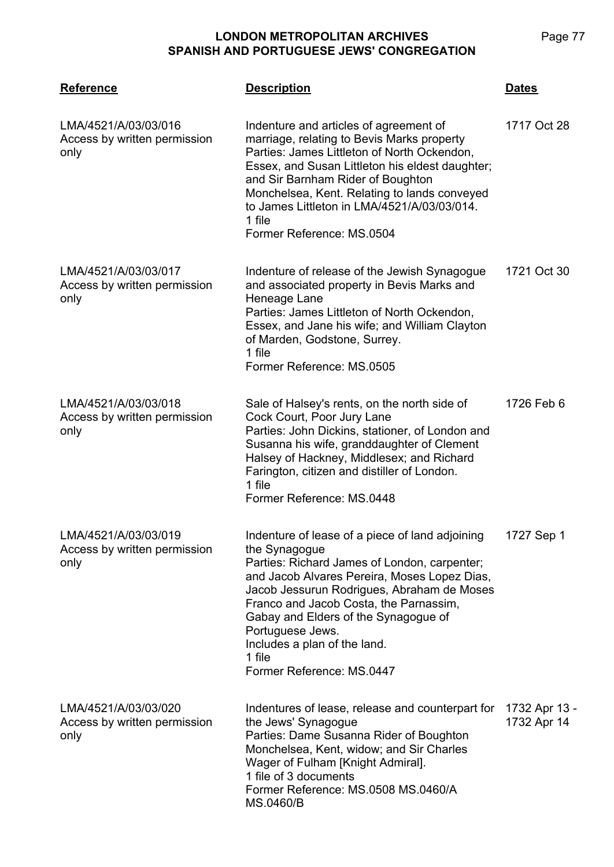**LMA/4521 Reference Description Dates** LMA/4521/A/03/03/016 Access by written permission only Indenture and articles of agreement of marriage, relating to Bevis Marks property Parties: James Littleton of North Ockendon, Essex, and Susan Littleton his eldest daughter; and Sir Barnham Rider of Boughton Monchelsea, Kent. Relating to lands conveyed to James Littleton in LMA/4521/A/03/03/014. 1 file Former Reference: MS.0504 1717 Oct 28 LMA/4521/A/03/03/017 Access by written permission only Indenture of release of the Jewish Synagogue and associated property in Bevis Marks and Heneage Lane Parties: James Littleton of North Ockendon, Essex, and Jane his wife; and William Clayton of Marden, Godstone, Surrey. 1 file Former Reference: MS.0505 1721 Oct 30 LMA/4521/A/03/03/018 Access by written permission only Sale of Halsey's rents, on the north side of Cock Court, Poor Jury Lane Parties: John Dickins, stationer, of London and Susanna his wife, granddaughter of Clement Halsey of Hackney, Middlesex; and Richard Farington, citizen and distiller of London. 1 file Former Reference: MS.0448 1726 Feb 6 LMA/4521/A/03/03/019 Access by written permission only Indenture of lease of a piece of land adjoining the Synagogue Parties: Richard James of London, carpenter; and Jacob Alvares Pereira, Moses Lopez Dias, Jacob Jessurun Rodrigues, Abraham de Moses Franco and Jacob Costa, the Parnassim, Gabay and Elders of the Synagogue of Portuguese Jews. Includes a plan of the land. 1 file Former Reference: MS.0447 1727 Sep 1 LMA/4521/A/03/03/020 Access by written permission only Indentures of lease, release and counterpart for the Jews' Synagogue Parties: Dame Susanna Rider of Boughton Monchelsea, Kent, widow; and Sir Charles Wager of Fulham [Knight Admiral]. 1 file of 3 documents Former Reference: MS.0508 MS.0460/A MS.0460/B 1732 Apr 13 - 1732 Apr 14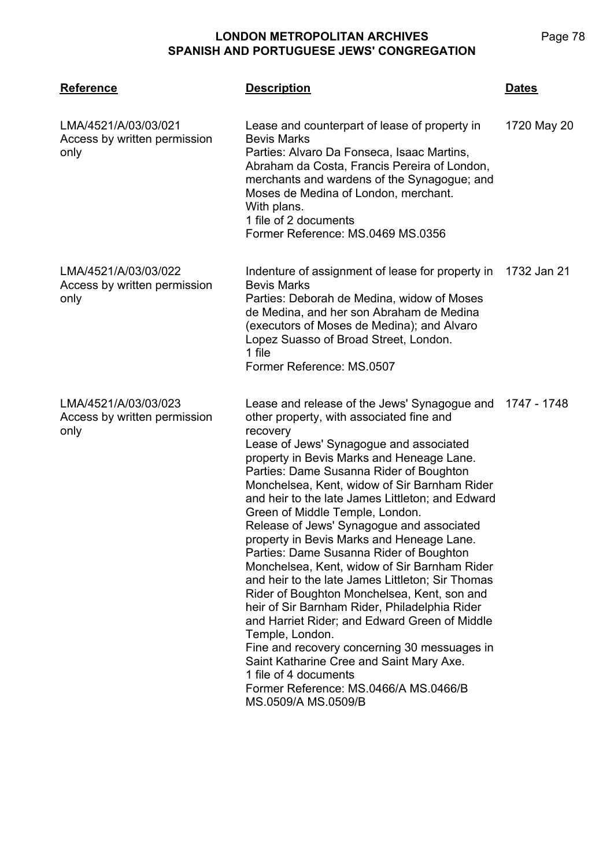| <b>Reference</b>                                             | <b>Description</b>                                                                                                                                                                                                                                                                                                                                                                                                                                                                                                                                                                                                                                                                                                                                                                                                                                                                                                                                                                           | <u>Dates</u> |
|--------------------------------------------------------------|----------------------------------------------------------------------------------------------------------------------------------------------------------------------------------------------------------------------------------------------------------------------------------------------------------------------------------------------------------------------------------------------------------------------------------------------------------------------------------------------------------------------------------------------------------------------------------------------------------------------------------------------------------------------------------------------------------------------------------------------------------------------------------------------------------------------------------------------------------------------------------------------------------------------------------------------------------------------------------------------|--------------|
| LMA/4521/A/03/03/021<br>Access by written permission<br>only | Lease and counterpart of lease of property in<br><b>Bevis Marks</b><br>Parties: Alvaro Da Fonseca, Isaac Martins,<br>Abraham da Costa, Francis Pereira of London,<br>merchants and wardens of the Synagogue; and<br>Moses de Medina of London, merchant.<br>With plans.<br>1 file of 2 documents<br>Former Reference: MS.0469 MS.0356                                                                                                                                                                                                                                                                                                                                                                                                                                                                                                                                                                                                                                                        | 1720 May 20  |
| LMA/4521/A/03/03/022<br>Access by written permission<br>only | Indenture of assignment of lease for property in<br><b>Bevis Marks</b><br>Parties: Deborah de Medina, widow of Moses<br>de Medina, and her son Abraham de Medina<br>(executors of Moses de Medina); and Alvaro<br>Lopez Suasso of Broad Street, London.<br>1 file<br>Former Reference: MS.0507                                                                                                                                                                                                                                                                                                                                                                                                                                                                                                                                                                                                                                                                                               | 1732 Jan 21  |
| LMA/4521/A/03/03/023<br>Access by written permission<br>only | Lease and release of the Jews' Synagogue and 1747 - 1748<br>other property, with associated fine and<br>recovery<br>Lease of Jews' Synagogue and associated<br>property in Bevis Marks and Heneage Lane.<br>Parties: Dame Susanna Rider of Boughton<br>Monchelsea, Kent, widow of Sir Barnham Rider<br>and heir to the late James Littleton; and Edward<br>Green of Middle Temple, London.<br>Release of Jews' Synagogue and associated<br>property in Bevis Marks and Heneage Lane.<br>Parties: Dame Susanna Rider of Boughton<br>Monchelsea, Kent, widow of Sir Barnham Rider<br>and heir to the late James Littleton; Sir Thomas<br>Rider of Boughton Monchelsea, Kent, son and<br>heir of Sir Barnham Rider, Philadelphia Rider<br>and Harriet Rider; and Edward Green of Middle<br>Temple, London.<br>Fine and recovery concerning 30 messuages in<br>Saint Katharine Cree and Saint Mary Axe.<br>1 file of 4 documents<br>Former Reference: MS.0466/A MS.0466/B<br>MS.0509/A MS.0509/B |              |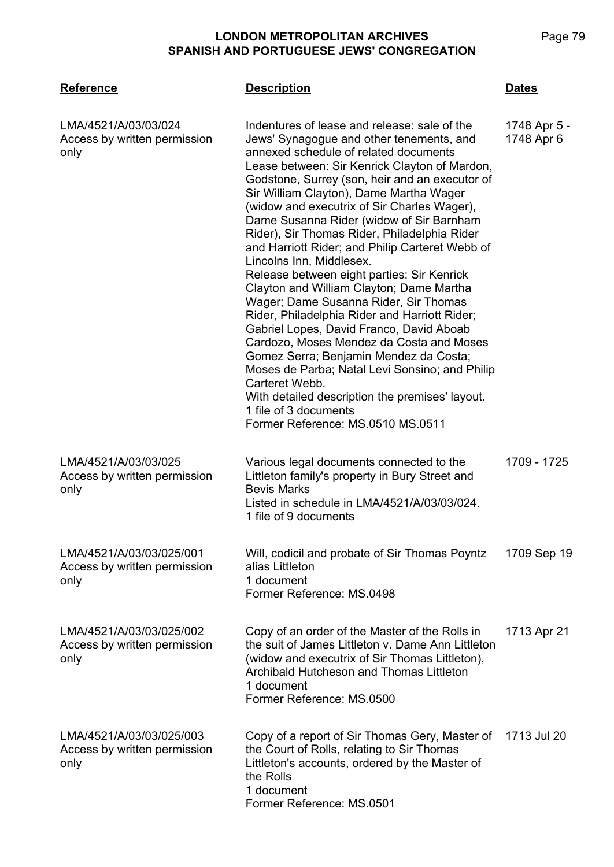| <b>Reference</b>                                                 | <b>Description</b>                                                                                                                                                                                                                                                                                                                                                                                                                                                                                                                                                                                                                                                                                                                                                                                                                                                                                                                                                                                                   | <b>Dates</b>               |
|------------------------------------------------------------------|----------------------------------------------------------------------------------------------------------------------------------------------------------------------------------------------------------------------------------------------------------------------------------------------------------------------------------------------------------------------------------------------------------------------------------------------------------------------------------------------------------------------------------------------------------------------------------------------------------------------------------------------------------------------------------------------------------------------------------------------------------------------------------------------------------------------------------------------------------------------------------------------------------------------------------------------------------------------------------------------------------------------|----------------------------|
| LMA/4521/A/03/03/024<br>Access by written permission<br>only     | Indentures of lease and release: sale of the<br>Jews' Synagogue and other tenements, and<br>annexed schedule of related documents<br>Lease between: Sir Kenrick Clayton of Mardon,<br>Godstone, Surrey (son, heir and an executor of<br>Sir William Clayton), Dame Martha Wager<br>(widow and executrix of Sir Charles Wager),<br>Dame Susanna Rider (widow of Sir Barnham<br>Rider), Sir Thomas Rider, Philadelphia Rider<br>and Harriott Rider; and Philip Carteret Webb of<br>Lincolns Inn, Middlesex.<br>Release between eight parties: Sir Kenrick<br>Clayton and William Clayton; Dame Martha<br>Wager; Dame Susanna Rider, Sir Thomas<br>Rider, Philadelphia Rider and Harriott Rider;<br>Gabriel Lopes, David Franco, David Aboab<br>Cardozo, Moses Mendez da Costa and Moses<br>Gomez Serra; Benjamin Mendez da Costa;<br>Moses de Parba; Natal Levi Sonsino; and Philip<br>Carteret Webb.<br>With detailed description the premises' layout.<br>1 file of 3 documents<br>Former Reference: MS.0510 MS.0511 | 1748 Apr 5 -<br>1748 Apr 6 |
| LMA/4521/A/03/03/025<br>Access by written permission<br>only     | Various legal documents connected to the<br>Littleton family's property in Bury Street and<br><b>Bevis Marks</b><br>Listed in schedule in LMA/4521/A/03/03/024.<br>1 file of 9 documents                                                                                                                                                                                                                                                                                                                                                                                                                                                                                                                                                                                                                                                                                                                                                                                                                             | 1709 - 1725                |
| LMA/4521/A/03/03/025/001<br>Access by written permission<br>only | Will, codicil and probate of Sir Thomas Poyntz<br>alias Littleton<br>1 document<br>Former Reference: MS.0498                                                                                                                                                                                                                                                                                                                                                                                                                                                                                                                                                                                                                                                                                                                                                                                                                                                                                                         | 1709 Sep 19                |
| LMA/4521/A/03/03/025/002<br>Access by written permission<br>only | Copy of an order of the Master of the Rolls in<br>the suit of James Littleton v. Dame Ann Littleton<br>(widow and executrix of Sir Thomas Littleton),<br>Archibald Hutcheson and Thomas Littleton<br>1 document<br>Former Reference: MS.0500                                                                                                                                                                                                                                                                                                                                                                                                                                                                                                                                                                                                                                                                                                                                                                         | 1713 Apr 21                |
| LMA/4521/A/03/03/025/003<br>Access by written permission<br>only | Copy of a report of Sir Thomas Gery, Master of<br>the Court of Rolls, relating to Sir Thomas<br>Littleton's accounts, ordered by the Master of<br>the Rolls<br>1 document<br>Former Reference: MS.0501                                                                                                                                                                                                                                                                                                                                                                                                                                                                                                                                                                                                                                                                                                                                                                                                               | 1713 Jul 20                |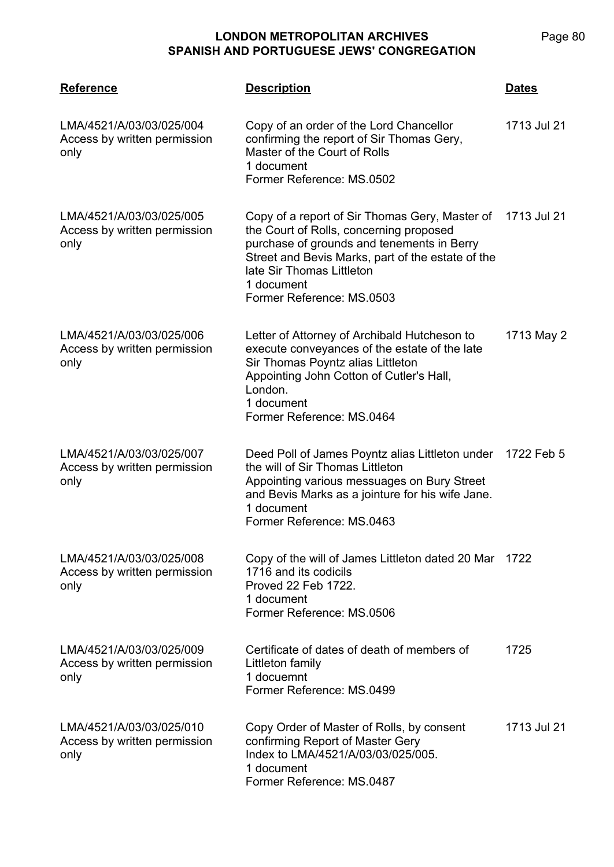| <b>Reference</b>                                                 | <b>Description</b>                                                                                                                                                                                                                                                               | <b>Dates</b> |
|------------------------------------------------------------------|----------------------------------------------------------------------------------------------------------------------------------------------------------------------------------------------------------------------------------------------------------------------------------|--------------|
| LMA/4521/A/03/03/025/004<br>Access by written permission<br>only | Copy of an order of the Lord Chancellor<br>confirming the report of Sir Thomas Gery,<br>Master of the Court of Rolls<br>1 document<br>Former Reference: MS.0502                                                                                                                  | 1713 Jul 21  |
| LMA/4521/A/03/03/025/005<br>Access by written permission<br>only | Copy of a report of Sir Thomas Gery, Master of 1713 Jul 21<br>the Court of Rolls, concerning proposed<br>purchase of grounds and tenements in Berry<br>Street and Bevis Marks, part of the estate of the<br>late Sir Thomas Littleton<br>1 document<br>Former Reference: MS.0503 |              |
| LMA/4521/A/03/03/025/006<br>Access by written permission<br>only | Letter of Attorney of Archibald Hutcheson to<br>execute conveyances of the estate of the late<br>Sir Thomas Poyntz alias Littleton<br>Appointing John Cotton of Cutler's Hall,<br>London.<br>1 document<br>Former Reference: MS.0464                                             | 1713 May 2   |
| LMA/4521/A/03/03/025/007<br>Access by written permission<br>only | Deed Poll of James Poyntz alias Littleton under<br>the will of Sir Thomas Littleton<br>Appointing various messuages on Bury Street<br>and Bevis Marks as a jointure for his wife Jane.<br>1 document<br>Former Reference: MS.0463                                                | 1722 Feb 5   |
| LMA/4521/A/03/03/025/008<br>Access by written permission<br>only | Copy of the will of James Littleton dated 20 Mar<br>1716 and its codicils<br>Proved 22 Feb 1722.<br>1 document<br>Former Reference: MS.0506                                                                                                                                      | 1722         |
| LMA/4521/A/03/03/025/009<br>Access by written permission<br>only | Certificate of dates of death of members of<br>Littleton family<br>1 docuemnt<br>Former Reference: MS.0499                                                                                                                                                                       | 1725         |
| LMA/4521/A/03/03/025/010<br>Access by written permission<br>only | Copy Order of Master of Rolls, by consent<br>confirming Report of Master Gery<br>Index to LMA/4521/A/03/03/025/005.<br>1 document<br>Former Reference: MS.0487                                                                                                                   | 1713 Jul 21  |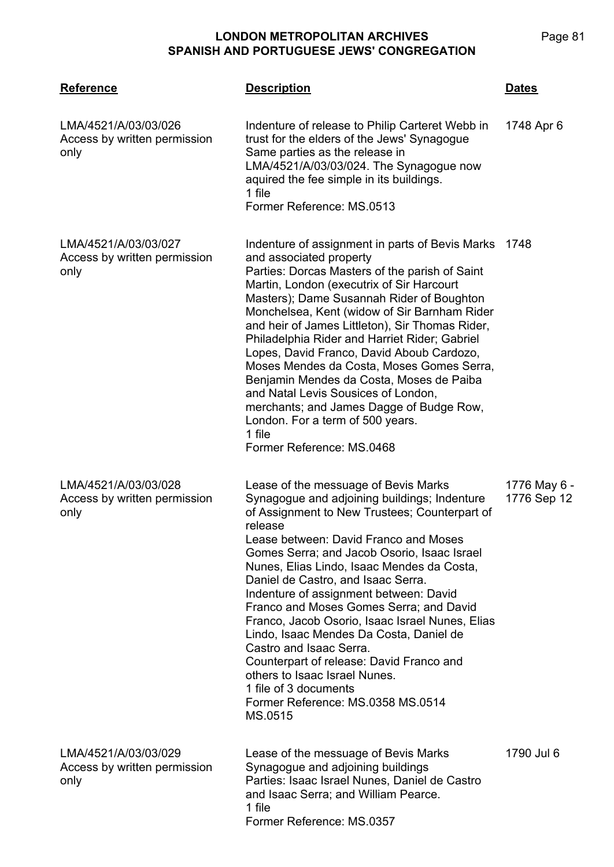| <b>Reference</b>                                             | <b>Description</b>                                                                                                                                                                                                                                                                                                                                                                                                                                                                                                                                                                                                                                                                               | Dates                       |
|--------------------------------------------------------------|--------------------------------------------------------------------------------------------------------------------------------------------------------------------------------------------------------------------------------------------------------------------------------------------------------------------------------------------------------------------------------------------------------------------------------------------------------------------------------------------------------------------------------------------------------------------------------------------------------------------------------------------------------------------------------------------------|-----------------------------|
| LMA/4521/A/03/03/026<br>Access by written permission<br>only | Indenture of release to Philip Carteret Webb in<br>trust for the elders of the Jews' Synagogue<br>Same parties as the release in<br>LMA/4521/A/03/03/024. The Synagogue now<br>aquired the fee simple in its buildings.<br>1 file<br>Former Reference: MS.0513                                                                                                                                                                                                                                                                                                                                                                                                                                   | 1748 Apr 6                  |
| LMA/4521/A/03/03/027<br>Access by written permission<br>only | Indenture of assignment in parts of Bevis Marks<br>and associated property<br>Parties: Dorcas Masters of the parish of Saint<br>Martin, London (executrix of Sir Harcourt<br>Masters); Dame Susannah Rider of Boughton<br>Monchelsea, Kent (widow of Sir Barnham Rider<br>and heir of James Littleton), Sir Thomas Rider,<br>Philadelphia Rider and Harriet Rider; Gabriel<br>Lopes, David Franco, David Aboub Cardozo,<br>Moses Mendes da Costa, Moses Gomes Serra,<br>Benjamin Mendes da Costa, Moses de Paiba<br>and Natal Levis Sousices of London,<br>merchants; and James Dagge of Budge Row,<br>London. For a term of 500 years.<br>1 file<br>Former Reference: MS.0468                   | 1748                        |
| LMA/4521/A/03/03/028<br>Access by written permission<br>only | Lease of the messuage of Bevis Marks<br>Synagogue and adjoining buildings; Indenture<br>of Assignment to New Trustees; Counterpart of<br>release<br>Lease between: David Franco and Moses<br>Gomes Serra; and Jacob Osorio, Isaac Israel<br>Nunes, Elias Lindo, Isaac Mendes da Costa,<br>Daniel de Castro, and Isaac Serra.<br>Indenture of assignment between: David<br>Franco and Moses Gomes Serra; and David<br>Franco, Jacob Osorio, Isaac Israel Nunes, Elias<br>Lindo, Isaac Mendes Da Costa, Daniel de<br>Castro and Isaac Serra.<br>Counterpart of release: David Franco and<br>others to Isaac Israel Nunes.<br>1 file of 3 documents<br>Former Reference: MS.0358 MS.0514<br>MS.0515 | 1776 May 6 -<br>1776 Sep 12 |
| LMA/4521/A/03/03/029<br>Access by written permission<br>only | Lease of the messuage of Bevis Marks<br>Synagogue and adjoining buildings<br>Parties: Isaac Israel Nunes, Daniel de Castro<br>and Isaac Serra; and William Pearce.<br>1 file<br>Former Reference: MS.0357                                                                                                                                                                                                                                                                                                                                                                                                                                                                                        | 1790 Jul 6                  |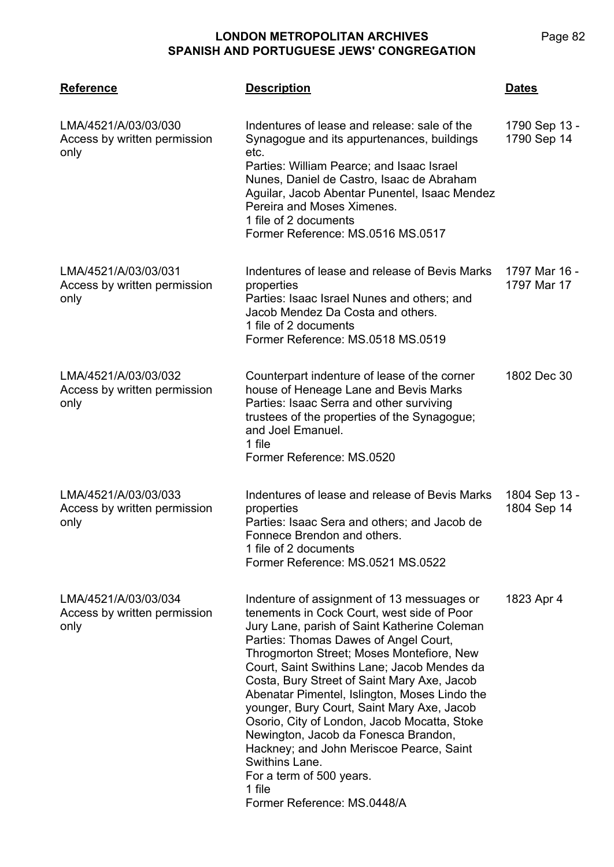| <b>Reference</b>                                             | <b>Description</b>                                                                                                                                                                                                                                                                                                                                                                                                                                                                                                                                                                                                                                     | <u>Dates</u>                 |
|--------------------------------------------------------------|--------------------------------------------------------------------------------------------------------------------------------------------------------------------------------------------------------------------------------------------------------------------------------------------------------------------------------------------------------------------------------------------------------------------------------------------------------------------------------------------------------------------------------------------------------------------------------------------------------------------------------------------------------|------------------------------|
| LMA/4521/A/03/03/030<br>Access by written permission<br>only | Indentures of lease and release: sale of the<br>Synagogue and its appurtenances, buildings<br>etc.<br>Parties: William Pearce; and Isaac Israel<br>Nunes, Daniel de Castro, Isaac de Abraham<br>Aguilar, Jacob Abentar Punentel, Isaac Mendez<br>Pereira and Moses Ximenes.<br>1 file of 2 documents<br>Former Reference: MS.0516 MS.0517                                                                                                                                                                                                                                                                                                              | 1790 Sep 13 -<br>1790 Sep 14 |
| LMA/4521/A/03/03/031<br>Access by written permission<br>only | Indentures of lease and release of Bevis Marks<br>properties<br>Parties: Isaac Israel Nunes and others; and<br>Jacob Mendez Da Costa and others.<br>1 file of 2 documents<br>Former Reference: MS.0518 MS.0519                                                                                                                                                                                                                                                                                                                                                                                                                                         | 1797 Mar 16 -<br>1797 Mar 17 |
| LMA/4521/A/03/03/032<br>Access by written permission<br>only | Counterpart indenture of lease of the corner<br>house of Heneage Lane and Bevis Marks<br>Parties: Isaac Serra and other surviving<br>trustees of the properties of the Synagogue;<br>and Joel Emanuel.<br>1 file<br>Former Reference: MS.0520                                                                                                                                                                                                                                                                                                                                                                                                          | 1802 Dec 30                  |
| LMA/4521/A/03/03/033<br>Access by written permission<br>only | Indentures of lease and release of Bevis Marks<br>properties<br>Parties: Isaac Sera and others; and Jacob de<br>Fonnece Brendon and others.<br>1 file of 2 documents<br>Former Reference: MS.0521 MS.0522                                                                                                                                                                                                                                                                                                                                                                                                                                              | 1804 Sep 13 -<br>1804 Sep 14 |
| LMA/4521/A/03/03/034<br>Access by written permission<br>only | Indenture of assignment of 13 messuages or<br>tenements in Cock Court, west side of Poor<br>Jury Lane, parish of Saint Katherine Coleman<br>Parties: Thomas Dawes of Angel Court,<br>Throgmorton Street; Moses Montefiore, New<br>Court, Saint Swithins Lane; Jacob Mendes da<br>Costa, Bury Street of Saint Mary Axe, Jacob<br>Abenatar Pimentel, Islington, Moses Lindo the<br>younger, Bury Court, Saint Mary Axe, Jacob<br>Osorio, City of London, Jacob Mocatta, Stoke<br>Newington, Jacob da Fonesca Brandon,<br>Hackney; and John Meriscoe Pearce, Saint<br>Swithins Lane.<br>For a term of 500 years.<br>1 file<br>Former Reference: MS.0448/A | 1823 Apr 4                   |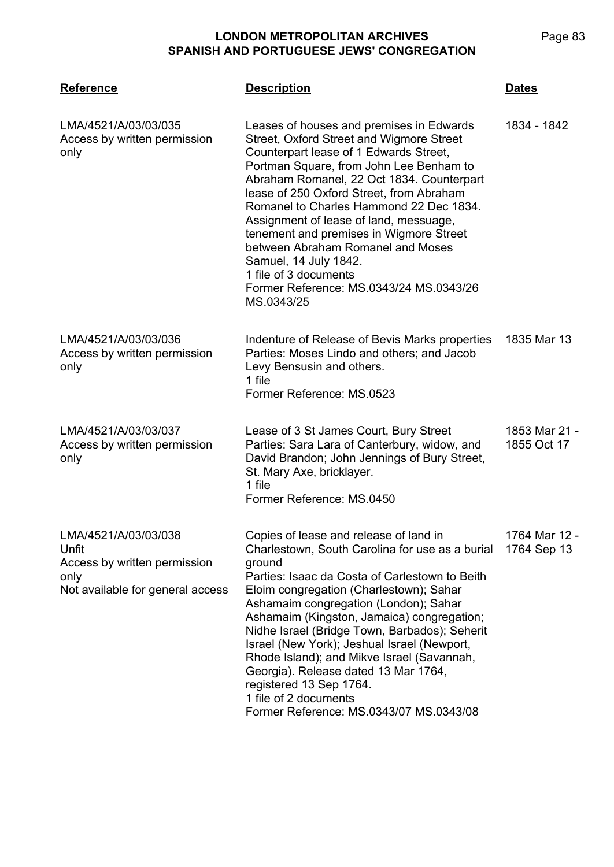| <b>Reference</b>                                                                                          | <b>Description</b>                                                                                                                                                                                                                                                                                                                                                                                                                                                                                                                                                           | <b>Dates</b>                 |
|-----------------------------------------------------------------------------------------------------------|------------------------------------------------------------------------------------------------------------------------------------------------------------------------------------------------------------------------------------------------------------------------------------------------------------------------------------------------------------------------------------------------------------------------------------------------------------------------------------------------------------------------------------------------------------------------------|------------------------------|
| LMA/4521/A/03/03/035<br>Access by written permission<br>only                                              | Leases of houses and premises in Edwards<br>Street, Oxford Street and Wigmore Street<br>Counterpart lease of 1 Edwards Street,<br>Portman Square, from John Lee Benham to<br>Abraham Romanel, 22 Oct 1834. Counterpart<br>lease of 250 Oxford Street, from Abraham<br>Romanel to Charles Hammond 22 Dec 1834.<br>Assignment of lease of land, messuage,<br>tenement and premises in Wigmore Street<br>between Abraham Romanel and Moses<br>Samuel, 14 July 1842.<br>1 file of 3 documents<br>Former Reference: MS.0343/24 MS.0343/26<br>MS.0343/25                           | 1834 - 1842                  |
| LMA/4521/A/03/03/036<br>Access by written permission<br>only                                              | Indenture of Release of Bevis Marks properties<br>Parties: Moses Lindo and others; and Jacob<br>Levy Bensusin and others.<br>1 file<br>Former Reference: MS.0523                                                                                                                                                                                                                                                                                                                                                                                                             | 1835 Mar 13                  |
| LMA/4521/A/03/03/037<br>Access by written permission<br>only                                              | Lease of 3 St James Court, Bury Street<br>Parties: Sara Lara of Canterbury, widow, and<br>David Brandon; John Jennings of Bury Street,<br>St. Mary Axe, bricklayer.<br>1 file<br>Former Reference: MS.0450                                                                                                                                                                                                                                                                                                                                                                   | 1853 Mar 21 -<br>1855 Oct 17 |
| LMA/4521/A/03/03/038<br>Unfit<br>Access by written permission<br>only<br>Not available for general access | Copies of lease and release of land in<br>Charlestown, South Carolina for use as a burial<br>ground<br>Parties: Isaac da Costa of Carlestown to Beith<br>Eloim congregation (Charlestown); Sahar<br>Ashamaim congregation (London); Sahar<br>Ashamaim (Kingston, Jamaica) congregation;<br>Nidhe Israel (Bridge Town, Barbados); Seherit<br>Israel (New York); Jeshual Israel (Newport,<br>Rhode Island); and Mikve Israel (Savannah,<br>Georgia). Release dated 13 Mar 1764,<br>registered 13 Sep 1764.<br>1 file of 2 documents<br>Former Reference: MS.0343/07 MS.0343/08 | 1764 Mar 12 -<br>1764 Sep 13 |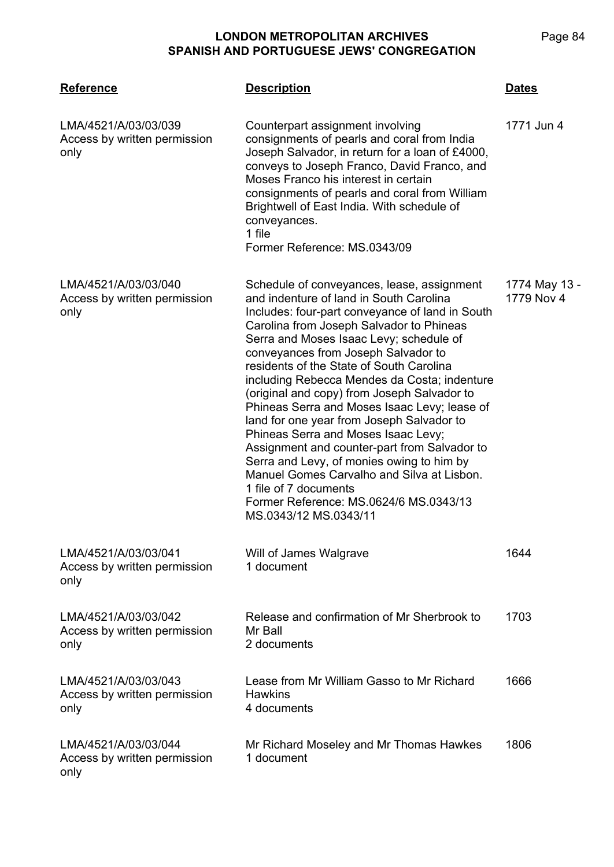| <b>Reference</b>                                             | <b>Description</b>                                                                                                                                                                                                                                                                                                                                                                                                                                                                                                                                                                                                                                                                                                                                                                           | <b>Dates</b>                |
|--------------------------------------------------------------|----------------------------------------------------------------------------------------------------------------------------------------------------------------------------------------------------------------------------------------------------------------------------------------------------------------------------------------------------------------------------------------------------------------------------------------------------------------------------------------------------------------------------------------------------------------------------------------------------------------------------------------------------------------------------------------------------------------------------------------------------------------------------------------------|-----------------------------|
| LMA/4521/A/03/03/039<br>Access by written permission<br>only | Counterpart assignment involving<br>consignments of pearls and coral from India<br>Joseph Salvador, in return for a loan of £4000,<br>conveys to Joseph Franco, David Franco, and<br>Moses Franco his interest in certain<br>consignments of pearls and coral from William<br>Brightwell of East India. With schedule of<br>conveyances.<br>1 file<br>Former Reference: MS.0343/09                                                                                                                                                                                                                                                                                                                                                                                                           | 1771 Jun 4                  |
| LMA/4521/A/03/03/040<br>Access by written permission<br>only | Schedule of conveyances, lease, assignment<br>and indenture of land in South Carolina<br>Includes: four-part conveyance of land in South<br>Carolina from Joseph Salvador to Phineas<br>Serra and Moses Isaac Levy; schedule of<br>conveyances from Joseph Salvador to<br>residents of the State of South Carolina<br>including Rebecca Mendes da Costa; indenture<br>(original and copy) from Joseph Salvador to<br>Phineas Serra and Moses Isaac Levy; lease of<br>land for one year from Joseph Salvador to<br>Phineas Serra and Moses Isaac Levy;<br>Assignment and counter-part from Salvador to<br>Serra and Levy, of monies owing to him by<br>Manuel Gomes Carvalho and Silva at Lisbon.<br>1 file of 7 documents<br>Former Reference: MS.0624/6 MS.0343/13<br>MS.0343/12 MS.0343/11 | 1774 May 13 -<br>1779 Nov 4 |
| LMA/4521/A/03/03/041<br>Access by written permission<br>only | Will of James Walgrave<br>1 document                                                                                                                                                                                                                                                                                                                                                                                                                                                                                                                                                                                                                                                                                                                                                         | 1644                        |
| LMA/4521/A/03/03/042<br>Access by written permission<br>only | Release and confirmation of Mr Sherbrook to<br>Mr Ball<br>2 documents                                                                                                                                                                                                                                                                                                                                                                                                                                                                                                                                                                                                                                                                                                                        | 1703                        |
| LMA/4521/A/03/03/043<br>Access by written permission<br>only | Lease from Mr William Gasso to Mr Richard<br><b>Hawkins</b><br>4 documents                                                                                                                                                                                                                                                                                                                                                                                                                                                                                                                                                                                                                                                                                                                   | 1666                        |
| LMA/4521/A/03/03/044<br>Access by written permission<br>only | Mr Richard Moseley and Mr Thomas Hawkes<br>1 document                                                                                                                                                                                                                                                                                                                                                                                                                                                                                                                                                                                                                                                                                                                                        | 1806                        |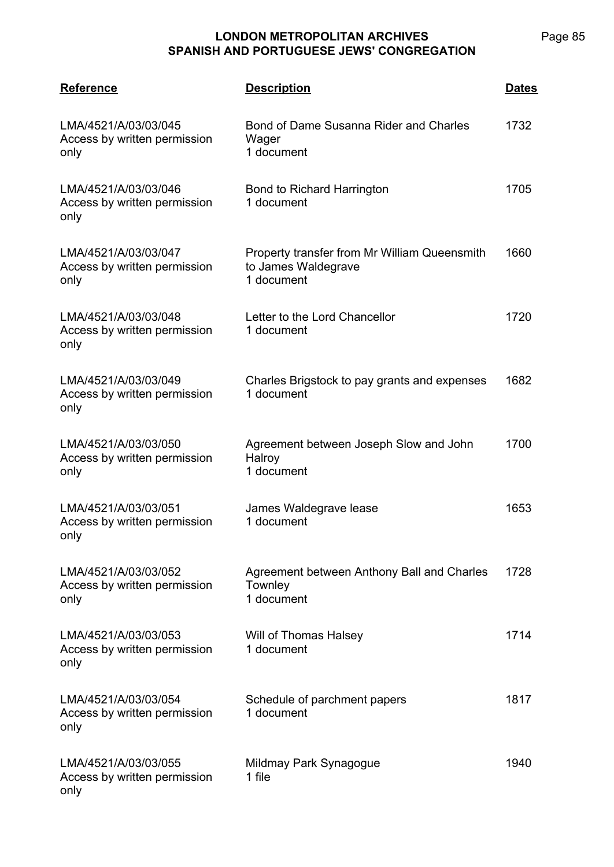| <b>Reference</b>                                             | <b>Description</b>                                                                | <u>Dates</u> |
|--------------------------------------------------------------|-----------------------------------------------------------------------------------|--------------|
| LMA/4521/A/03/03/045<br>Access by written permission<br>only | Bond of Dame Susanna Rider and Charles<br>Wager<br>1 document                     | 1732         |
| LMA/4521/A/03/03/046<br>Access by written permission<br>only | <b>Bond to Richard Harrington</b><br>1 document                                   | 1705         |
| LMA/4521/A/03/03/047<br>Access by written permission<br>only | Property transfer from Mr William Queensmith<br>to James Waldegrave<br>1 document | 1660         |
| LMA/4521/A/03/03/048<br>Access by written permission<br>only | Letter to the Lord Chancellor<br>1 document                                       | 1720         |
| LMA/4521/A/03/03/049<br>Access by written permission<br>only | Charles Brigstock to pay grants and expenses<br>1 document                        | 1682         |
| LMA/4521/A/03/03/050<br>Access by written permission<br>only | Agreement between Joseph Slow and John<br>Halroy<br>1 document                    | 1700         |
| LMA/4521/A/03/03/051<br>Access by written permission<br>only | James Waldegrave lease<br>1 document                                              | 1653         |
| LMA/4521/A/03/03/052<br>Access by written permission<br>only | Agreement between Anthony Ball and Charles<br>Townley<br>1 document               | 1728         |
| LMA/4521/A/03/03/053<br>Access by written permission<br>only | Will of Thomas Halsey<br>1 document                                               | 1714         |
| LMA/4521/A/03/03/054<br>Access by written permission<br>only | Schedule of parchment papers<br>1 document                                        | 1817         |
| LMA/4521/A/03/03/055<br>Access by written permission<br>only | Mildmay Park Synagogue<br>1 file                                                  | 1940         |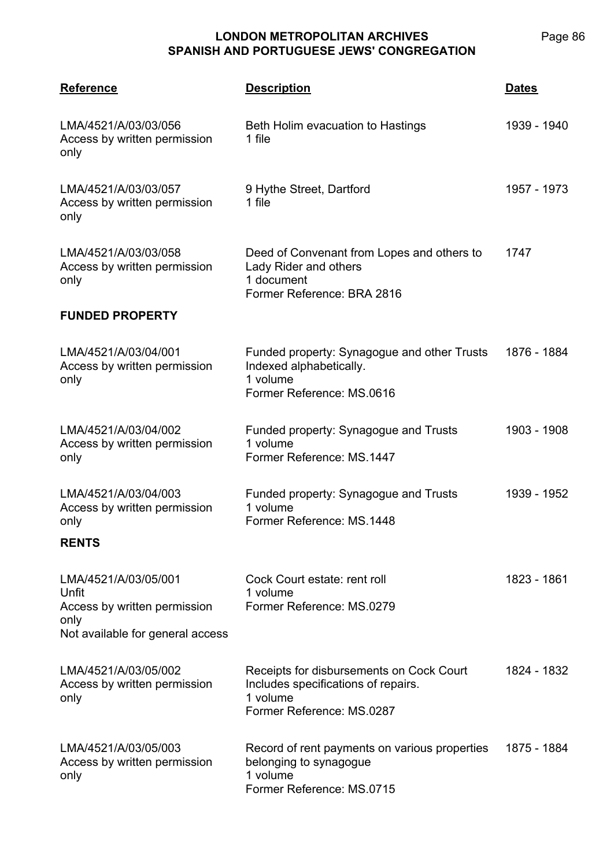| <b>Reference</b>                                                                                          | <b>Description</b>                                                                                                       | <b>Dates</b> |
|-----------------------------------------------------------------------------------------------------------|--------------------------------------------------------------------------------------------------------------------------|--------------|
| LMA/4521/A/03/03/056<br>Access by written permission<br>only                                              | Beth Holim evacuation to Hastings<br>1 file                                                                              | 1939 - 1940  |
| LMA/4521/A/03/03/057<br>Access by written permission<br>only                                              | 9 Hythe Street, Dartford<br>1 file                                                                                       | 1957 - 1973  |
| LMA/4521/A/03/03/058<br>Access by written permission<br>only                                              | Deed of Convenant from Lopes and others to<br>Lady Rider and others<br>1 document<br>Former Reference: BRA 2816          | 1747         |
| <b>FUNDED PROPERTY</b>                                                                                    |                                                                                                                          |              |
| LMA/4521/A/03/04/001<br>Access by written permission<br>only                                              | Funded property: Synagogue and other Trusts<br>Indexed alphabetically.<br>1 volume<br>Former Reference: MS.0616          | 1876 - 1884  |
| LMA/4521/A/03/04/002<br>Access by written permission<br>only                                              | Funded property: Synagogue and Trusts<br>1 volume<br>Former Reference: MS.1447                                           | 1903 - 1908  |
| LMA/4521/A/03/04/003<br>Access by written permission<br>only                                              | Funded property: Synagogue and Trusts<br>1 volume<br>Former Reference: MS.1448                                           | 1939 - 1952  |
| <b>RENTS</b>                                                                                              |                                                                                                                          |              |
| LMA/4521/A/03/05/001<br>Unfit<br>Access by written permission<br>only<br>Not available for general access | Cock Court estate: rent roll<br>1 volume<br>Former Reference: MS.0279                                                    | 1823 - 1861  |
| LMA/4521/A/03/05/002<br>Access by written permission<br>only                                              | Receipts for disbursements on Cock Court<br>Includes specifications of repairs.<br>1 volume<br>Former Reference: MS.0287 | 1824 - 1832  |
| LMA/4521/A/03/05/003<br>Access by written permission<br>only                                              | Record of rent payments on various properties<br>belonging to synagogue<br>1 volume<br>Former Reference: MS.0715         | 1875 - 1884  |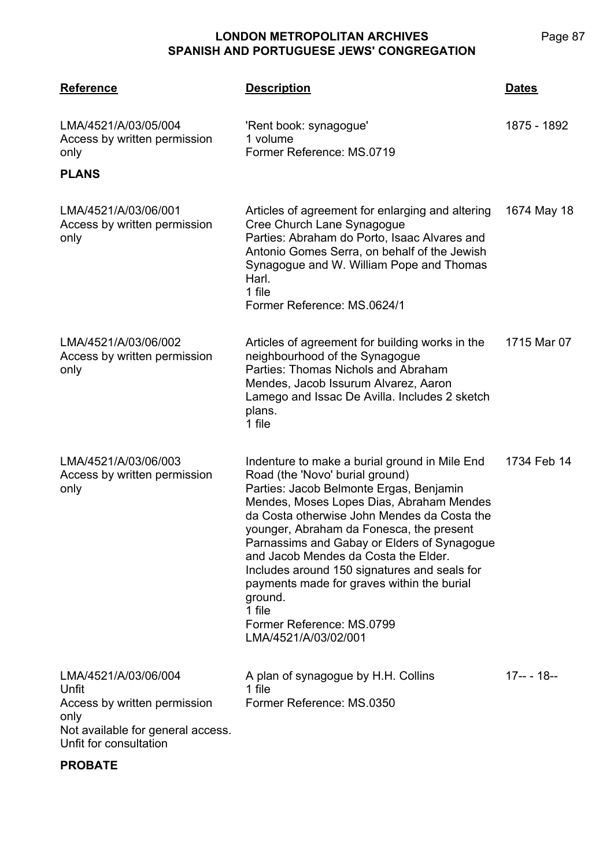Page 87

| <b>Reference</b>                                                                                                                     | <b>Description</b>                                                                                                                                                                                                                                                                                                                                                                                                                                                                                                                | <b>Dates</b>  |
|--------------------------------------------------------------------------------------------------------------------------------------|-----------------------------------------------------------------------------------------------------------------------------------------------------------------------------------------------------------------------------------------------------------------------------------------------------------------------------------------------------------------------------------------------------------------------------------------------------------------------------------------------------------------------------------|---------------|
| LMA/4521/A/03/05/004<br>Access by written permission<br>only                                                                         | 'Rent book: synagogue'<br>1 volume<br>Former Reference: MS.0719                                                                                                                                                                                                                                                                                                                                                                                                                                                                   | 1875 - 1892   |
| <b>PLANS</b>                                                                                                                         |                                                                                                                                                                                                                                                                                                                                                                                                                                                                                                                                   |               |
| LMA/4521/A/03/06/001<br>Access by written permission<br>only                                                                         | Articles of agreement for enlarging and altering<br>Cree Church Lane Synagogue<br>Parties: Abraham do Porto, Isaac Alvares and<br>Antonio Gomes Serra, on behalf of the Jewish<br>Synagogue and W. William Pope and Thomas<br>Harl.<br>1 file<br>Former Reference: MS.0624/1                                                                                                                                                                                                                                                      | 1674 May 18   |
| LMA/4521/A/03/06/002<br>Access by written permission<br>only                                                                         | Articles of agreement for building works in the<br>neighbourhood of the Synagogue<br>Parties: Thomas Nichols and Abraham<br>Mendes, Jacob Issurum Alvarez, Aaron<br>Lamego and Issac De Avilla. Includes 2 sketch<br>plans.<br>1 file                                                                                                                                                                                                                                                                                             | 1715 Mar 07   |
| LMA/4521/A/03/06/003<br>Access by written permission<br>only                                                                         | Indenture to make a burial ground in Mile End<br>Road (the 'Novo' burial ground)<br>Parties: Jacob Belmonte Ergas, Benjamin<br>Mendes, Moses Lopes Dias, Abraham Mendes<br>da Costa otherwise John Mendes da Costa the<br>younger, Abraham da Fonesca, the present<br>Parnassims and Gabay or Elders of Synagogue<br>and Jacob Mendes da Costa the Elder.<br>Includes around 150 signatures and seals for<br>payments made for graves within the burial<br>ground.<br>1 file<br>Former Reference: MS.0799<br>LMA/4521/A/03/02/001 | 1734 Feb 14   |
| LMA/4521/A/03/06/004<br>Unfit<br>Access by written permission<br>only<br>Not available for general access.<br>Unfit for consultation | A plan of synagogue by H.H. Collins<br>1 file<br>Former Reference: MS.0350                                                                                                                                                                                                                                                                                                                                                                                                                                                        | $17-- - 18--$ |

## **PROBATE**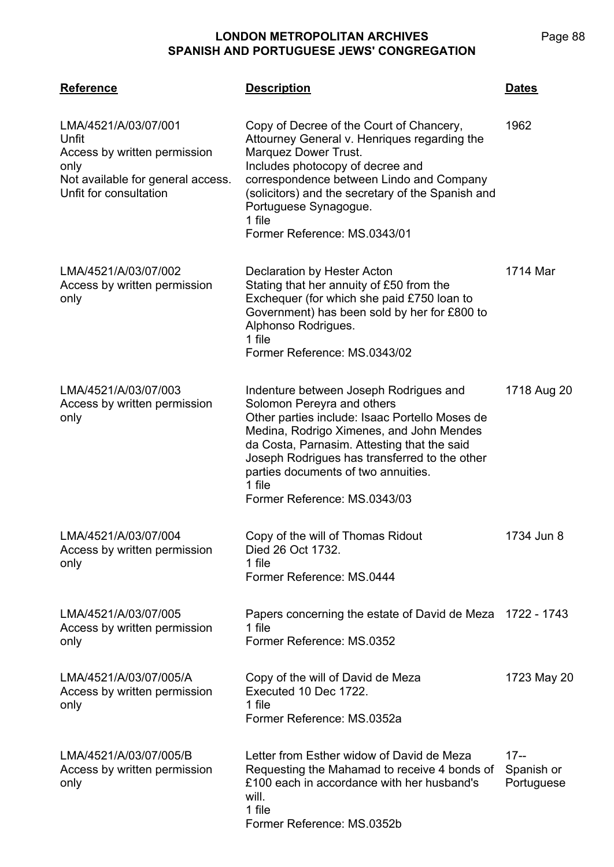| <b>Reference</b>                                                                                                                     | <b>Description</b>                                                                                                                                                                                                                                                                                                                                  | <b>Dates</b>                       |
|--------------------------------------------------------------------------------------------------------------------------------------|-----------------------------------------------------------------------------------------------------------------------------------------------------------------------------------------------------------------------------------------------------------------------------------------------------------------------------------------------------|------------------------------------|
| LMA/4521/A/03/07/001<br>Unfit<br>Access by written permission<br>only<br>Not available for general access.<br>Unfit for consultation | Copy of Decree of the Court of Chancery,<br>Attourney General v. Henriques regarding the<br>Marquez Dower Trust.<br>Includes photocopy of decree and<br>correspondence between Lindo and Company<br>(solicitors) and the secretary of the Spanish and<br>Portuguese Synagogue.<br>1 file<br>Former Reference: MS.0343/01                            | 1962                               |
| LMA/4521/A/03/07/002<br>Access by written permission<br>only                                                                         | Declaration by Hester Acton<br>Stating that her annuity of £50 from the<br>Exchequer (for which she paid £750 loan to<br>Government) has been sold by her for £800 to<br>Alphonso Rodrigues.<br>1 file<br>Former Reference: MS.0343/02                                                                                                              | 1714 Mar                           |
| LMA/4521/A/03/07/003<br>Access by written permission<br>only                                                                         | Indenture between Joseph Rodrigues and<br>Solomon Pereyra and others<br>Other parties include: Isaac Portello Moses de<br>Medina, Rodrigo Ximenes, and John Mendes<br>da Costa, Parnasim. Attesting that the said<br>Joseph Rodrigues has transferred to the other<br>parties documents of two annuities.<br>1 file<br>Former Reference: MS.0343/03 | 1718 Aug 20                        |
| LMA/4521/A/03/07/004<br>Access by written permission<br>only                                                                         | Copy of the will of Thomas Ridout<br>Died 26 Oct 1732.<br>1 file<br>Former Reference: MS.0444                                                                                                                                                                                                                                                       | 1734 Jun 8                         |
| LMA/4521/A/03/07/005<br>Access by written permission<br>only                                                                         | Papers concerning the estate of David de Meza 1722 - 1743<br>1 file<br>Former Reference: MS.0352                                                                                                                                                                                                                                                    |                                    |
| LMA/4521/A/03/07/005/A<br>Access by written permission<br>only                                                                       | Copy of the will of David de Meza<br>Executed 10 Dec 1722.<br>1 file<br>Former Reference: MS.0352a                                                                                                                                                                                                                                                  | 1723 May 20                        |
| LMA/4521/A/03/07/005/B<br>Access by written permission<br>only                                                                       | Letter from Esther widow of David de Meza<br>Requesting the Mahamad to receive 4 bonds of<br>£100 each in accordance with her husband's<br>will.<br>1 file<br>Former Reference: MS.0352b                                                                                                                                                            | $17 -$<br>Spanish or<br>Portuguese |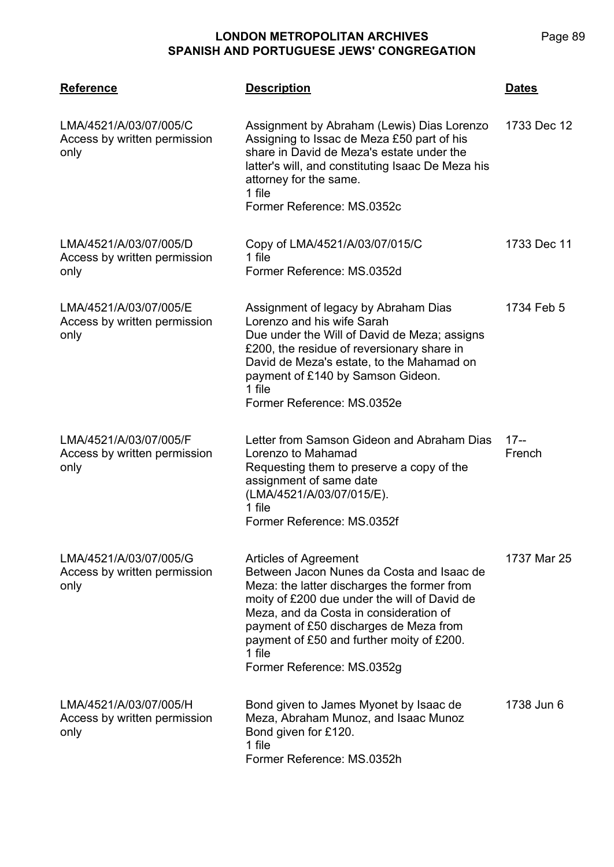| <b>Reference</b>                                               | <b>Description</b>                                                                                                                                                                                                                                                                                                                         | <b>Dates</b>     |
|----------------------------------------------------------------|--------------------------------------------------------------------------------------------------------------------------------------------------------------------------------------------------------------------------------------------------------------------------------------------------------------------------------------------|------------------|
| LMA/4521/A/03/07/005/C<br>Access by written permission<br>only | Assignment by Abraham (Lewis) Dias Lorenzo<br>Assigning to Issac de Meza £50 part of his<br>share in David de Meza's estate under the<br>latter's will, and constituting Isaac De Meza his<br>attorney for the same.<br>1 file<br>Former Reference: MS.0352c                                                                               | 1733 Dec 12      |
| LMA/4521/A/03/07/005/D<br>Access by written permission<br>only | Copy of LMA/4521/A/03/07/015/C<br>1 file<br>Former Reference: MS.0352d                                                                                                                                                                                                                                                                     | 1733 Dec 11      |
| LMA/4521/A/03/07/005/E<br>Access by written permission<br>only | Assignment of legacy by Abraham Dias<br>Lorenzo and his wife Sarah<br>Due under the Will of David de Meza; assigns<br>£200, the residue of reversionary share in<br>David de Meza's estate, to the Mahamad on<br>payment of £140 by Samson Gideon.<br>1 file<br>Former Reference: MS.0352e                                                 | 1734 Feb 5       |
| LMA/4521/A/03/07/005/F<br>Access by written permission<br>only | Letter from Samson Gideon and Abraham Dias<br>Lorenzo to Mahamad<br>Requesting them to preserve a copy of the<br>assignment of same date<br>(LMA/4521/A/03/07/015/E).<br>1 file<br>Former Reference: MS.0352f                                                                                                                              | $17 -$<br>French |
| LMA/4521/A/03/07/005/G<br>Access by written permission<br>only | Articles of Agreement<br>Between Jacon Nunes da Costa and Isaac de<br>Meza: the latter discharges the former from<br>moity of £200 due under the will of David de<br>Meza, and da Costa in consideration of<br>payment of £50 discharges de Meza from<br>payment of £50 and further moity of £200.<br>1 file<br>Former Reference: MS.0352g | 1737 Mar 25      |
| LMA/4521/A/03/07/005/H<br>Access by written permission<br>only | Bond given to James Myonet by Isaac de<br>Meza, Abraham Munoz, and Isaac Munoz<br>Bond given for £120.<br>1 file<br>Former Reference: MS.0352h                                                                                                                                                                                             | 1738 Jun 6       |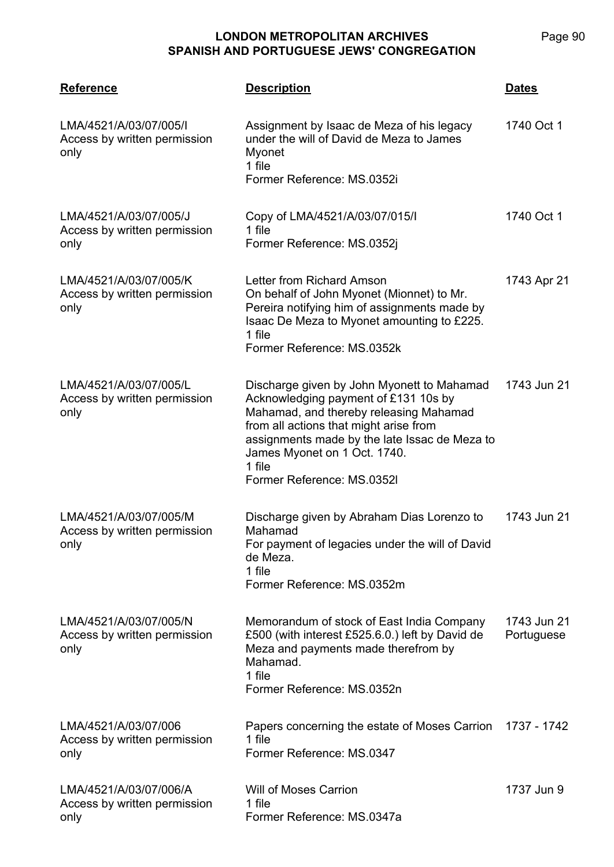| <b>Reference</b>                                               | <b>Description</b>                                                                                                                                                                                                                                                                              | <b>Dates</b>              |
|----------------------------------------------------------------|-------------------------------------------------------------------------------------------------------------------------------------------------------------------------------------------------------------------------------------------------------------------------------------------------|---------------------------|
| LMA/4521/A/03/07/005/I<br>Access by written permission<br>only | Assignment by Isaac de Meza of his legacy<br>under the will of David de Meza to James<br>Myonet<br>1 file<br>Former Reference: MS.0352i                                                                                                                                                         | 1740 Oct 1                |
| LMA/4521/A/03/07/005/J<br>Access by written permission<br>only | Copy of LMA/4521/A/03/07/015/I<br>1 file<br>Former Reference: MS.0352j                                                                                                                                                                                                                          | 1740 Oct 1                |
| LMA/4521/A/03/07/005/K<br>Access by written permission<br>only | Letter from Richard Amson<br>On behalf of John Myonet (Mionnet) to Mr.<br>Pereira notifying him of assignments made by<br>Isaac De Meza to Myonet amounting to £225.<br>1 file<br>Former Reference: MS.0352k                                                                                    | 1743 Apr 21               |
| LMA/4521/A/03/07/005/L<br>Access by written permission<br>only | Discharge given by John Myonett to Mahamad<br>Acknowledging payment of £131 10s by<br>Mahamad, and thereby releasing Mahamad<br>from all actions that might arise from<br>assignments made by the late Issac de Meza to<br>James Myonet on 1 Oct. 1740.<br>1 file<br>Former Reference: MS.0352I | 1743 Jun 21               |
| LMA/4521/A/03/07/005/M<br>Access by written permission<br>only | Discharge given by Abraham Dias Lorenzo to<br>Mahamad<br>For payment of legacies under the will of David<br>de Meza.<br>1 file<br>Former Reference: MS.0352m                                                                                                                                    | 1743 Jun 21               |
| LMA/4521/A/03/07/005/N<br>Access by written permission<br>only | Memorandum of stock of East India Company<br>£500 (with interest £525.6.0.) left by David de<br>Meza and payments made therefrom by<br>Mahamad.<br>1 file<br>Former Reference: MS.0352n                                                                                                         | 1743 Jun 21<br>Portuguese |
| LMA/4521/A/03/07/006<br>Access by written permission<br>only   | Papers concerning the estate of Moses Carrion<br>1 file<br>Former Reference: MS.0347                                                                                                                                                                                                            | 1737 - 1742               |
| LMA/4521/A/03/07/006/A<br>Access by written permission<br>only | <b>Will of Moses Carrion</b><br>1 file<br>Former Reference: MS.0347a                                                                                                                                                                                                                            | 1737 Jun 9                |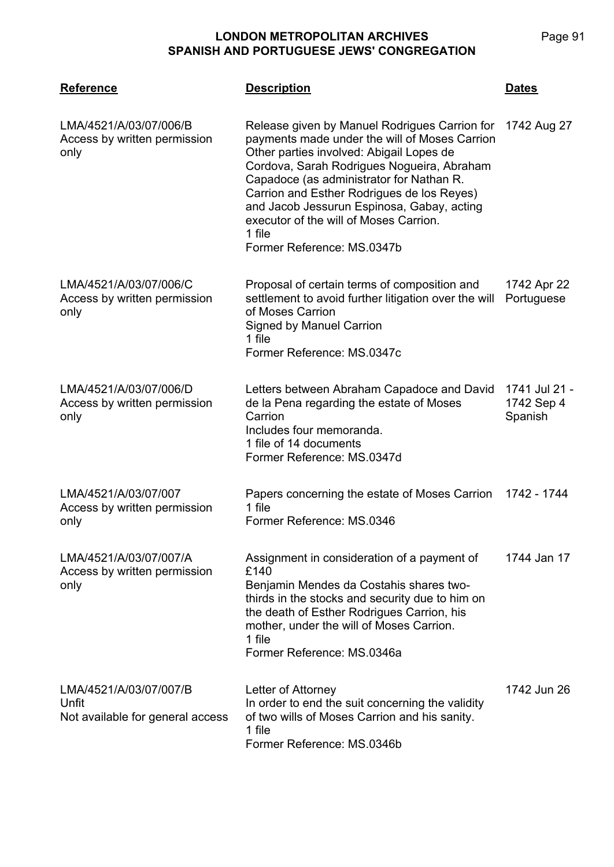| <b>Reference</b>                                                    | <b>Description</b>                                                                                                                                                                                                                                                                                                                                                                                                 | <b>Dates</b>                           |
|---------------------------------------------------------------------|--------------------------------------------------------------------------------------------------------------------------------------------------------------------------------------------------------------------------------------------------------------------------------------------------------------------------------------------------------------------------------------------------------------------|----------------------------------------|
| LMA/4521/A/03/07/006/B<br>Access by written permission<br>only      | Release given by Manuel Rodrigues Carrion for<br>payments made under the will of Moses Carrion<br>Other parties involved: Abigail Lopes de<br>Cordova, Sarah Rodrigues Nogueira, Abraham<br>Capadoce (as administrator for Nathan R.<br>Carrion and Esther Rodrigues de los Reyes)<br>and Jacob Jessurun Espinosa, Gabay, acting<br>executor of the will of Moses Carrion.<br>1 file<br>Former Reference: MS.0347b | 1742 Aug 27                            |
| LMA/4521/A/03/07/006/C<br>Access by written permission<br>only      | Proposal of certain terms of composition and<br>settlement to avoid further litigation over the will<br>of Moses Carrion<br><b>Signed by Manuel Carrion</b><br>1 file<br>Former Reference: MS.0347c                                                                                                                                                                                                                | 1742 Apr 22<br>Portuguese              |
| LMA/4521/A/03/07/006/D<br>Access by written permission<br>only      | Letters between Abraham Capadoce and David<br>de la Pena regarding the estate of Moses<br>Carrion<br>Includes four memoranda.<br>1 file of 14 documents<br>Former Reference: MS.0347d                                                                                                                                                                                                                              | 1741 Jul 21 -<br>1742 Sep 4<br>Spanish |
| LMA/4521/A/03/07/007<br>Access by written permission<br>only        | Papers concerning the estate of Moses Carrion<br>1 file<br>Former Reference: MS.0346                                                                                                                                                                                                                                                                                                                               | 1742 - 1744                            |
| LMA/4521/A/03/07/007/A<br>Access by written permission<br>only      | Assignment in consideration of a payment of<br>£140<br>Benjamin Mendes da Costahis shares two-<br>thirds in the stocks and security due to him on<br>the death of Esther Rodrigues Carrion, his<br>mother, under the will of Moses Carrion.<br>1 file<br>Former Reference: MS.0346a                                                                                                                                | 1744 Jan 17                            |
| LMA/4521/A/03/07/007/B<br>Unfit<br>Not available for general access | Letter of Attorney<br>In order to end the suit concerning the validity<br>of two wills of Moses Carrion and his sanity.<br>1 file<br>Former Reference: MS.0346b                                                                                                                                                                                                                                                    | 1742 Jun 26                            |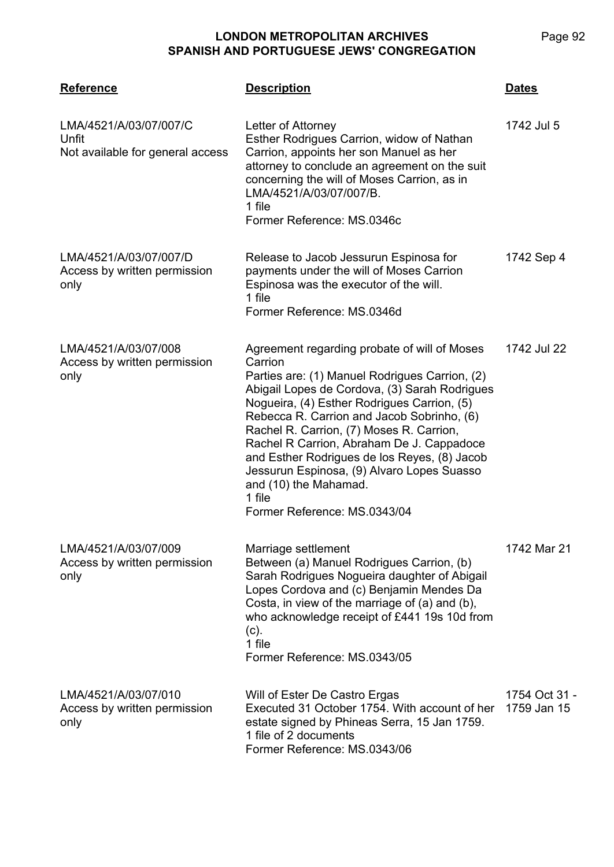| <b>Reference</b>                                                    | <b>Description</b>                                                                                                                                                                                                                                                                                                                                                                                                                                                                                                | <b>Dates</b>                 |
|---------------------------------------------------------------------|-------------------------------------------------------------------------------------------------------------------------------------------------------------------------------------------------------------------------------------------------------------------------------------------------------------------------------------------------------------------------------------------------------------------------------------------------------------------------------------------------------------------|------------------------------|
| LMA/4521/A/03/07/007/C<br>Unfit<br>Not available for general access | Letter of Attorney<br>Esther Rodrigues Carrion, widow of Nathan<br>Carrion, appoints her son Manuel as her<br>attorney to conclude an agreement on the suit<br>concerning the will of Moses Carrion, as in<br>LMA/4521/A/03/07/007/B.<br>1 file<br>Former Reference: MS.0346c                                                                                                                                                                                                                                     | 1742 Jul 5                   |
| LMA/4521/A/03/07/007/D<br>Access by written permission<br>only      | Release to Jacob Jessurun Espinosa for<br>payments under the will of Moses Carrion<br>Espinosa was the executor of the will.<br>1 file<br>Former Reference: MS.0346d                                                                                                                                                                                                                                                                                                                                              | 1742 Sep 4                   |
| LMA/4521/A/03/07/008<br>Access by written permission<br>only        | Agreement regarding probate of will of Moses<br>Carrion<br>Parties are: (1) Manuel Rodrigues Carrion, (2)<br>Abigail Lopes de Cordova, (3) Sarah Rodrigues<br>Nogueira, (4) Esther Rodrigues Carrion, (5)<br>Rebecca R. Carrion and Jacob Sobrinho, (6)<br>Rachel R. Carrion, (7) Moses R. Carrion,<br>Rachel R Carrion, Abraham De J. Cappadoce<br>and Esther Rodrigues de los Reyes, (8) Jacob<br>Jessurun Espinosa, (9) Alvaro Lopes Suasso<br>and (10) the Mahamad.<br>1 file<br>Former Reference: MS.0343/04 | 1742 Jul 22                  |
| LMA/4521/A/03/07/009<br>Access by written permission<br>only        | Marriage settlement<br>Between (a) Manuel Rodrigues Carrion, (b)<br>Sarah Rodrigues Nogueira daughter of Abigail<br>Lopes Cordova and (c) Benjamin Mendes Da<br>Costa, in view of the marriage of (a) and (b),<br>who acknowledge receipt of £441 19s 10d from<br>$(c)$ .<br>1 file<br>Former Reference: MS.0343/05                                                                                                                                                                                               | 1742 Mar 21                  |
| LMA/4521/A/03/07/010<br>Access by written permission<br>only        | Will of Ester De Castro Ergas<br>Executed 31 October 1754. With account of her<br>estate signed by Phineas Serra, 15 Jan 1759.<br>1 file of 2 documents<br>Former Reference: MS.0343/06                                                                                                                                                                                                                                                                                                                           | 1754 Oct 31 -<br>1759 Jan 15 |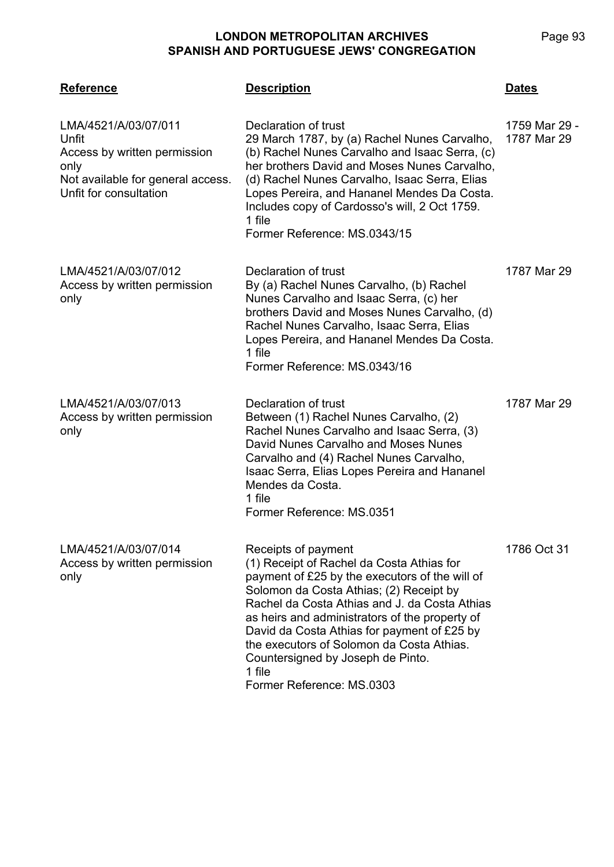| <b>Reference</b>                                                                                                                     | <b>Description</b>                                                                                                                                                                                                                                                                                                                                                                                                                       | <b>Dates</b>                 |
|--------------------------------------------------------------------------------------------------------------------------------------|------------------------------------------------------------------------------------------------------------------------------------------------------------------------------------------------------------------------------------------------------------------------------------------------------------------------------------------------------------------------------------------------------------------------------------------|------------------------------|
| LMA/4521/A/03/07/011<br>Unfit<br>Access by written permission<br>only<br>Not available for general access.<br>Unfit for consultation | Declaration of trust<br>29 March 1787, by (a) Rachel Nunes Carvalho,<br>(b) Rachel Nunes Carvalho and Isaac Serra, (c)<br>her brothers David and Moses Nunes Carvalho,<br>(d) Rachel Nunes Carvalho, Isaac Serra, Elias<br>Lopes Pereira, and Hananel Mendes Da Costa.<br>Includes copy of Cardosso's will, 2 Oct 1759.<br>1 file<br>Former Reference: MS.0343/15                                                                        | 1759 Mar 29 -<br>1787 Mar 29 |
| LMA/4521/A/03/07/012<br>Access by written permission<br>only                                                                         | Declaration of trust<br>By (a) Rachel Nunes Carvalho, (b) Rachel<br>Nunes Carvalho and Isaac Serra, (c) her<br>brothers David and Moses Nunes Carvalho, (d)<br>Rachel Nunes Carvalho, Isaac Serra, Elias<br>Lopes Pereira, and Hananel Mendes Da Costa.<br>1 file<br>Former Reference: MS.0343/16                                                                                                                                        | 1787 Mar 29                  |
| LMA/4521/A/03/07/013<br>Access by written permission<br>only                                                                         | Declaration of trust<br>Between (1) Rachel Nunes Carvalho, (2)<br>Rachel Nunes Carvalho and Isaac Serra, (3)<br>David Nunes Carvalho and Moses Nunes<br>Carvalho and (4) Rachel Nunes Carvalho,<br>Isaac Serra, Elias Lopes Pereira and Hananel<br>Mendes da Costa.<br>1 file<br>Former Reference: MS.0351                                                                                                                               | 1787 Mar 29                  |
| LMA/4521/A/03/07/014<br>Access by written permission<br>only                                                                         | Receipts of payment<br>(1) Receipt of Rachel da Costa Athias for<br>payment of £25 by the executors of the will of<br>Solomon da Costa Athias; (2) Receipt by<br>Rachel da Costa Athias and J. da Costa Athias<br>as heirs and administrators of the property of<br>David da Costa Athias for payment of £25 by<br>the executors of Solomon da Costa Athias.<br>Countersigned by Joseph de Pinto.<br>1 file<br>Former Reference: MS.0303 | 1786 Oct 31                  |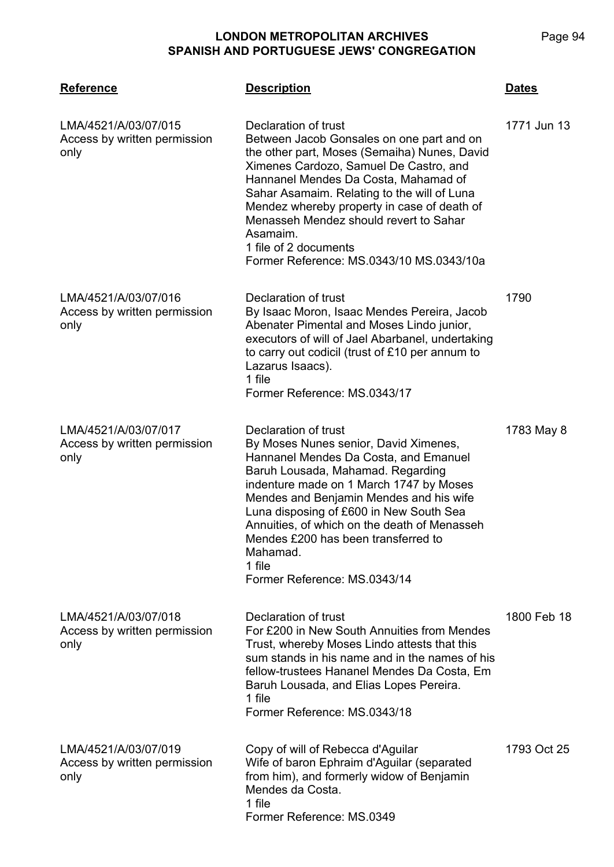**LMA/4521 Reference Description Dates** LMA/4521/A/03/07/015 Access by written permission only Declaration of trust Between Jacob Gonsales on one part and on the other part, Moses (Semaiha) Nunes, David Ximenes Cardozo, Samuel De Castro, and Hannanel Mendes Da Costa, Mahamad of Sahar Asamaim. Relating to the will of Luna Mendez whereby property in case of death of Menasseh Mendez should revert to Sahar Asamaim. 1 file of 2 documents Former Reference: MS.0343/10 MS.0343/10a 1771 Jun 13 LMA/4521/A/03/07/016 Access by written permission only Declaration of trust By Isaac Moron, Isaac Mendes Pereira, Jacob Abenater Pimental and Moses Lindo junior, executors of will of Jael Abarbanel, undertaking to carry out codicil (trust of £10 per annum to Lazarus Isaacs). 1 file Former Reference: MS.0343/17 1790 LMA/4521/A/03/07/017 Access by written permission only Declaration of trust By Moses Nunes senior, David Ximenes, Hannanel Mendes Da Costa, and Emanuel Baruh Lousada, Mahamad. Regarding indenture made on 1 March 1747 by Moses Mendes and Benjamin Mendes and his wife Luna disposing of £600 in New South Sea Annuities, of which on the death of Menasseh Mendes £200 has been transferred to Mahamad. 1 file Former Reference: MS.0343/14 1783 May 8 LMA/4521/A/03/07/018 Access by written permission only Declaration of trust For £200 in New South Annuities from Mendes Trust, whereby Moses Lindo attests that this sum stands in his name and in the names of his fellow-trustees Hananel Mendes Da Costa, Em Baruh Lousada, and Elias Lopes Pereira. 1 file Former Reference: MS.0343/18 1800 Feb 18 LMA/4521/A/03/07/019 Access by written permission only Copy of will of Rebecca d'Aguilar Wife of baron Ephraim d'Aguilar (separated from him), and formerly widow of Benjamin Mendes da Costa. 1 file Former Reference: MS.0349 1793 Oct 25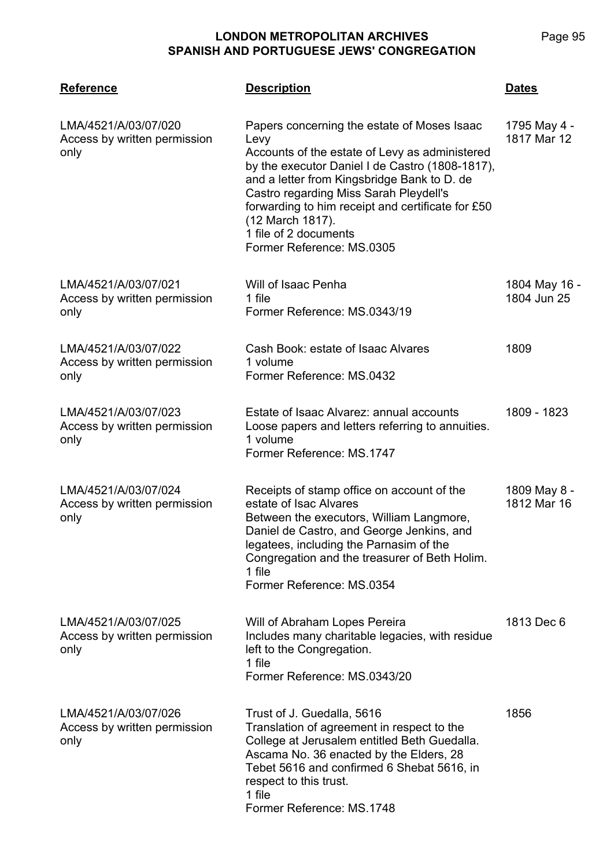| <b>Reference</b>                                             | <b>Description</b>                                                                                                                                                                                                                                                                                                                                                               | Dates                        |
|--------------------------------------------------------------|----------------------------------------------------------------------------------------------------------------------------------------------------------------------------------------------------------------------------------------------------------------------------------------------------------------------------------------------------------------------------------|------------------------------|
| LMA/4521/A/03/07/020<br>Access by written permission<br>only | Papers concerning the estate of Moses Isaac<br>Levy<br>Accounts of the estate of Levy as administered<br>by the executor Daniel I de Castro (1808-1817),<br>and a letter from Kingsbridge Bank to D. de<br>Castro regarding Miss Sarah Pleydell's<br>forwarding to him receipt and certificate for £50<br>(12 March 1817).<br>1 file of 2 documents<br>Former Reference: MS.0305 | 1795 May 4 -<br>1817 Mar 12  |
| LMA/4521/A/03/07/021<br>Access by written permission<br>only | Will of Isaac Penha<br>1 file<br>Former Reference: MS.0343/19                                                                                                                                                                                                                                                                                                                    | 1804 May 16 -<br>1804 Jun 25 |
| LMA/4521/A/03/07/022<br>Access by written permission<br>only | Cash Book: estate of Isaac Alvares<br>1 volume<br>Former Reference: MS.0432                                                                                                                                                                                                                                                                                                      | 1809                         |
| LMA/4521/A/03/07/023<br>Access by written permission<br>only | Estate of Isaac Alvarez: annual accounts<br>Loose papers and letters referring to annuities.<br>1 volume<br>Former Reference: MS.1747                                                                                                                                                                                                                                            | 1809 - 1823                  |
| LMA/4521/A/03/07/024<br>Access by written permission<br>only | Receipts of stamp office on account of the<br>estate of Isac Alvares<br>Between the executors, William Langmore,<br>Daniel de Castro, and George Jenkins, and<br>legatees, including the Parnasim of the<br>Congregation and the treasurer of Beth Holim.<br>1 file<br>Former Reference: MS.0354                                                                                 | 1809 May 8 -<br>1812 Mar 16  |
| LMA/4521/A/03/07/025<br>Access by written permission<br>only | Will of Abraham Lopes Pereira<br>Includes many charitable legacies, with residue<br>left to the Congregation.<br>1 file<br>Former Reference: MS.0343/20                                                                                                                                                                                                                          | 1813 Dec 6                   |
| LMA/4521/A/03/07/026<br>Access by written permission<br>only | Trust of J. Guedalla, 5616<br>Translation of agreement in respect to the<br>College at Jerusalem entitled Beth Guedalla.<br>Ascama No. 36 enacted by the Elders, 28<br>Tebet 5616 and confirmed 6 Shebat 5616, in<br>respect to this trust.<br>1 file<br>Former Reference: MS.1748                                                                                               | 1856                         |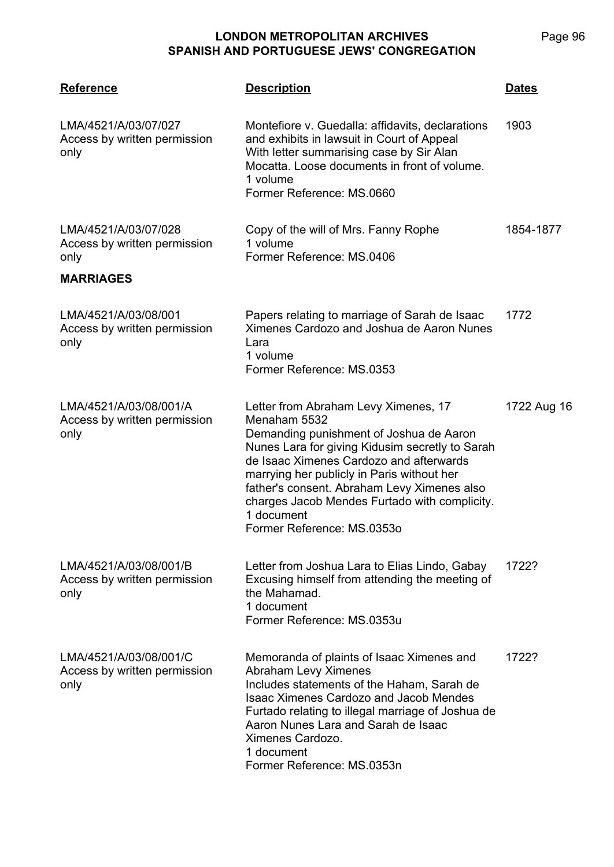| <b>Reference</b>                                               | <b>Description</b>                                                                                                                                                                                                                                                                                                                                                                      | <b>Dates</b> |
|----------------------------------------------------------------|-----------------------------------------------------------------------------------------------------------------------------------------------------------------------------------------------------------------------------------------------------------------------------------------------------------------------------------------------------------------------------------------|--------------|
| LMA/4521/A/03/07/027<br>Access by written permission<br>only   | Montefiore v. Guedalla: affidavits, declarations<br>and exhibits in lawsuit in Court of Appeal<br>With letter summarising case by Sir Alan<br>Mocatta. Loose documents in front of volume.<br>1 volume<br>Former Reference: MS.0660                                                                                                                                                     | 1903         |
| LMA/4521/A/03/07/028<br>Access by written permission<br>only   | Copy of the will of Mrs. Fanny Rophe<br>1 volume<br>Former Reference: MS.0406                                                                                                                                                                                                                                                                                                           | 1854-1877    |
| <b>MARRIAGES</b>                                               |                                                                                                                                                                                                                                                                                                                                                                                         |              |
| LMA/4521/A/03/08/001<br>Access by written permission<br>only   | Papers relating to marriage of Sarah de Isaac<br>Ximenes Cardozo and Joshua de Aaron Nunes<br>Lara<br>1 volume<br>Former Reference: MS.0353                                                                                                                                                                                                                                             | 1772         |
| LMA/4521/A/03/08/001/A<br>Access by written permission<br>only | Letter from Abraham Levy Ximenes, 17<br>Menaham 5532<br>Demanding punishment of Joshua de Aaron<br>Nunes Lara for giving Kidusim secretly to Sarah<br>de Isaac Ximenes Cardozo and afterwards<br>marrying her publicly in Paris without her<br>father's consent. Abraham Levy Ximenes also<br>charges Jacob Mendes Furtado with complicity.<br>1 document<br>Former Reference: MS.0353o | 1722 Aug 16  |
| LMA/4521/A/03/08/001/B<br>Access by written permission<br>only | Letter from Joshua Lara to Elias Lindo, Gabay<br>Excusing himself from attending the meeting of<br>the Mahamad.<br>1 document<br>Former Reference: MS.0353u                                                                                                                                                                                                                             | 1722?        |
| LMA/4521/A/03/08/001/C<br>Access by written permission<br>only | Memoranda of plaints of Isaac Ximenes and<br><b>Abraham Levy Ximenes</b><br>Includes statements of the Haham, Sarah de<br><b>Isaac Ximenes Cardozo and Jacob Mendes</b><br>Furtado relating to illegal marriage of Joshua de<br>Aaron Nunes Lara and Sarah de Isaac<br>Ximenes Cardozo.<br>1 document<br>Former Reference: MS.0353n                                                     | 1722?        |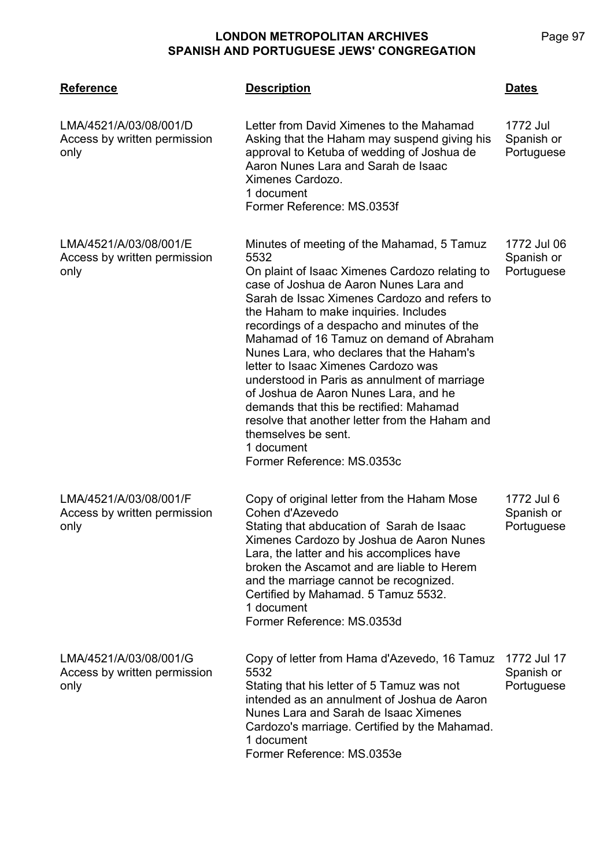| <b>Reference</b>                                               | <b>Description</b>                                                                                                                                                                                                                                                                                                                                                                                                                                                                                                                                                                                                                                                              | Dates                                   |
|----------------------------------------------------------------|---------------------------------------------------------------------------------------------------------------------------------------------------------------------------------------------------------------------------------------------------------------------------------------------------------------------------------------------------------------------------------------------------------------------------------------------------------------------------------------------------------------------------------------------------------------------------------------------------------------------------------------------------------------------------------|-----------------------------------------|
| LMA/4521/A/03/08/001/D<br>Access by written permission<br>only | Letter from David Ximenes to the Mahamad<br>Asking that the Haham may suspend giving his<br>approval to Ketuba of wedding of Joshua de<br>Aaron Nunes Lara and Sarah de Isaac<br>Ximenes Cardozo.<br>1 document<br>Former Reference: MS.0353f                                                                                                                                                                                                                                                                                                                                                                                                                                   | 1772 Jul<br>Spanish or<br>Portuguese    |
| LMA/4521/A/03/08/001/E<br>Access by written permission<br>only | Minutes of meeting of the Mahamad, 5 Tamuz<br>5532<br>On plaint of Isaac Ximenes Cardozo relating to<br>case of Joshua de Aaron Nunes Lara and<br>Sarah de Issac Ximenes Cardozo and refers to<br>the Haham to make inquiries. Includes<br>recordings of a despacho and minutes of the<br>Mahamad of 16 Tamuz on demand of Abraham<br>Nunes Lara, who declares that the Haham's<br>letter to Isaac Ximenes Cardozo was<br>understood in Paris as annulment of marriage<br>of Joshua de Aaron Nunes Lara, and he<br>demands that this be rectified: Mahamad<br>resolve that another letter from the Haham and<br>themselves be sent.<br>1 document<br>Former Reference: MS.0353c | 1772 Jul 06<br>Spanish or<br>Portuguese |
| LMA/4521/A/03/08/001/F<br>Access by written permission<br>only | Copy of original letter from the Haham Mose<br>Cohen d'Azevedo<br>Stating that abducation of Sarah de Isaac<br>Ximenes Cardozo by Joshua de Aaron Nunes<br>Lara, the latter and his accomplices have<br>broken the Ascamot and are liable to Herem<br>and the marriage cannot be recognized.<br>Certified by Mahamad. 5 Tamuz 5532.<br>1 document<br>Former Reference: MS.0353d                                                                                                                                                                                                                                                                                                 | 1772 Jul 6<br>Spanish or<br>Portuguese  |
| LMA/4521/A/03/08/001/G<br>Access by written permission<br>only | Copy of letter from Hama d'Azevedo, 16 Tamuz<br>5532<br>Stating that his letter of 5 Tamuz was not<br>intended as an annulment of Joshua de Aaron<br>Nunes Lara and Sarah de Isaac Ximenes<br>Cardozo's marriage. Certified by the Mahamad.<br>1 document<br>Former Reference: MS.0353e                                                                                                                                                                                                                                                                                                                                                                                         | 1772 Jul 17<br>Spanish or<br>Portuguese |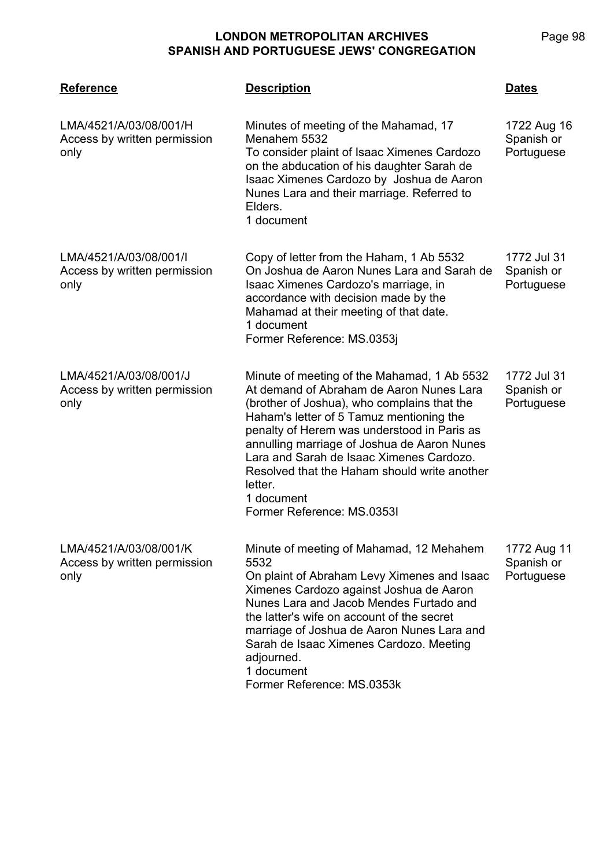| <b>Reference</b>                                               | <b>Description</b>                                                                                                                                                                                                                                                                                                                                                                                                                  | <b>Dates</b>                            |
|----------------------------------------------------------------|-------------------------------------------------------------------------------------------------------------------------------------------------------------------------------------------------------------------------------------------------------------------------------------------------------------------------------------------------------------------------------------------------------------------------------------|-----------------------------------------|
| LMA/4521/A/03/08/001/H<br>Access by written permission<br>only | Minutes of meeting of the Mahamad, 17<br>Menahem 5532<br>To consider plaint of Isaac Ximenes Cardozo<br>on the abducation of his daughter Sarah de<br>Isaac Ximenes Cardozo by Joshua de Aaron<br>Nunes Lara and their marriage. Referred to<br>Elders.<br>1 document                                                                                                                                                               | 1722 Aug 16<br>Spanish or<br>Portuguese |
| LMA/4521/A/03/08/001/I<br>Access by written permission<br>only | Copy of letter from the Haham, 1 Ab 5532<br>On Joshua de Aaron Nunes Lara and Sarah de<br>Isaac Ximenes Cardozo's marriage, in<br>accordance with decision made by the<br>Mahamad at their meeting of that date.<br>1 document<br>Former Reference: MS.0353j                                                                                                                                                                        | 1772 Jul 31<br>Spanish or<br>Portuguese |
| LMA/4521/A/03/08/001/J<br>Access by written permission<br>only | Minute of meeting of the Mahamad, 1 Ab 5532<br>At demand of Abraham de Aaron Nunes Lara<br>(brother of Joshua), who complains that the<br>Haham's letter of 5 Tamuz mentioning the<br>penalty of Herem was understood in Paris as<br>annulling marriage of Joshua de Aaron Nunes<br>Lara and Sarah de Isaac Ximenes Cardozo.<br>Resolved that the Haham should write another<br>letter.<br>1 document<br>Former Reference: MS.0353I | 1772 Jul 31<br>Spanish or<br>Portuguese |
| LMA/4521/A/03/08/001/K<br>Access by written permission<br>only | Minute of meeting of Mahamad, 12 Mehahem<br>5532<br>On plaint of Abraham Levy Ximenes and Isaac<br>Ximenes Cardozo against Joshua de Aaron<br>Nunes Lara and Jacob Mendes Furtado and<br>the latter's wife on account of the secret<br>marriage of Joshua de Aaron Nunes Lara and<br>Sarah de Isaac Ximenes Cardozo. Meeting<br>adjourned.<br>1 document<br>Former Reference: MS.0353k                                              | 1772 Aug 11<br>Spanish or<br>Portuguese |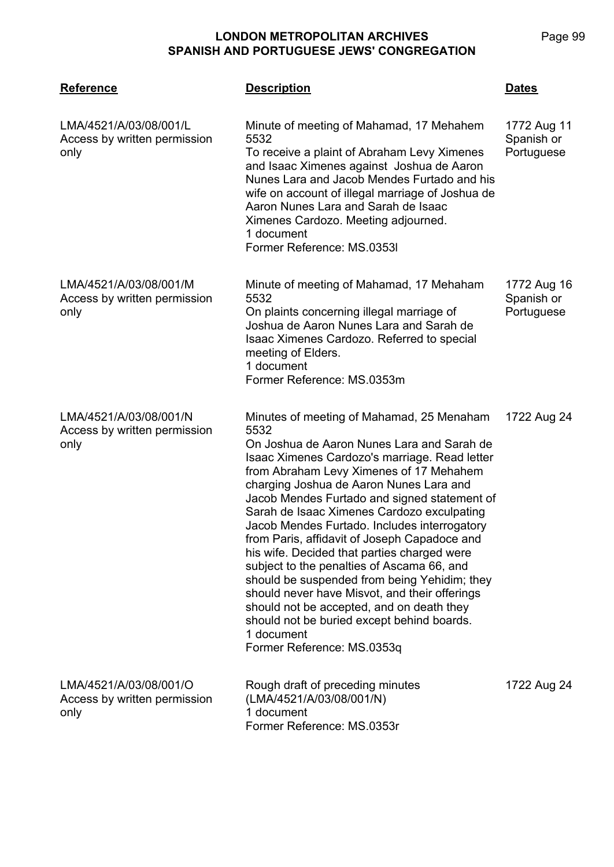| <b>Reference</b>                                               | <b>Description</b>                                                                                                                                                                                                                                                                                                                                                                                                                                                                                                                                                                                                                                                                                                                                                        | <b>Dates</b>                            |
|----------------------------------------------------------------|---------------------------------------------------------------------------------------------------------------------------------------------------------------------------------------------------------------------------------------------------------------------------------------------------------------------------------------------------------------------------------------------------------------------------------------------------------------------------------------------------------------------------------------------------------------------------------------------------------------------------------------------------------------------------------------------------------------------------------------------------------------------------|-----------------------------------------|
| LMA/4521/A/03/08/001/L<br>Access by written permission<br>only | Minute of meeting of Mahamad, 17 Mehahem<br>5532<br>To receive a plaint of Abraham Levy Ximenes<br>and Isaac Ximenes against Joshua de Aaron<br>Nunes Lara and Jacob Mendes Furtado and his<br>wife on account of illegal marriage of Joshua de<br>Aaron Nunes Lara and Sarah de Isaac<br>Ximenes Cardozo. Meeting adjourned.<br>1 document<br>Former Reference: MS.0353I                                                                                                                                                                                                                                                                                                                                                                                                 | 1772 Aug 11<br>Spanish or<br>Portuguese |
| LMA/4521/A/03/08/001/M<br>Access by written permission<br>only | Minute of meeting of Mahamad, 17 Mehaham<br>5532<br>On plaints concerning illegal marriage of<br>Joshua de Aaron Nunes Lara and Sarah de<br>Isaac Ximenes Cardozo. Referred to special<br>meeting of Elders.<br>1 document<br>Former Reference: MS.0353m                                                                                                                                                                                                                                                                                                                                                                                                                                                                                                                  | 1772 Aug 16<br>Spanish or<br>Portuguese |
| LMA/4521/A/03/08/001/N<br>Access by written permission<br>only | Minutes of meeting of Mahamad, 25 Menaham<br>5532<br>On Joshua de Aaron Nunes Lara and Sarah de<br>Isaac Ximenes Cardozo's marriage. Read letter<br>from Abraham Levy Ximenes of 17 Mehahem<br>charging Joshua de Aaron Nunes Lara and<br>Jacob Mendes Furtado and signed statement of<br>Sarah de Isaac Ximenes Cardozo exculpating<br>Jacob Mendes Furtado. Includes interrogatory<br>from Paris, affidavit of Joseph Capadoce and<br>his wife. Decided that parties charged were<br>subject to the penalties of Ascama 66, and<br>should be suspended from being Yehidim; they<br>should never have Misvot, and their offerings<br>should not be accepted, and on death they<br>should not be buried except behind boards.<br>1 document<br>Former Reference: MS.0353q | 1722 Aug 24                             |
| LMA/4521/A/03/08/001/O<br>Access by written permission<br>only | Rough draft of preceding minutes<br>(LMA/4521/A/03/08/001/N)<br>1 document<br>Former Reference: MS.0353r                                                                                                                                                                                                                                                                                                                                                                                                                                                                                                                                                                                                                                                                  | 1722 Aug 24                             |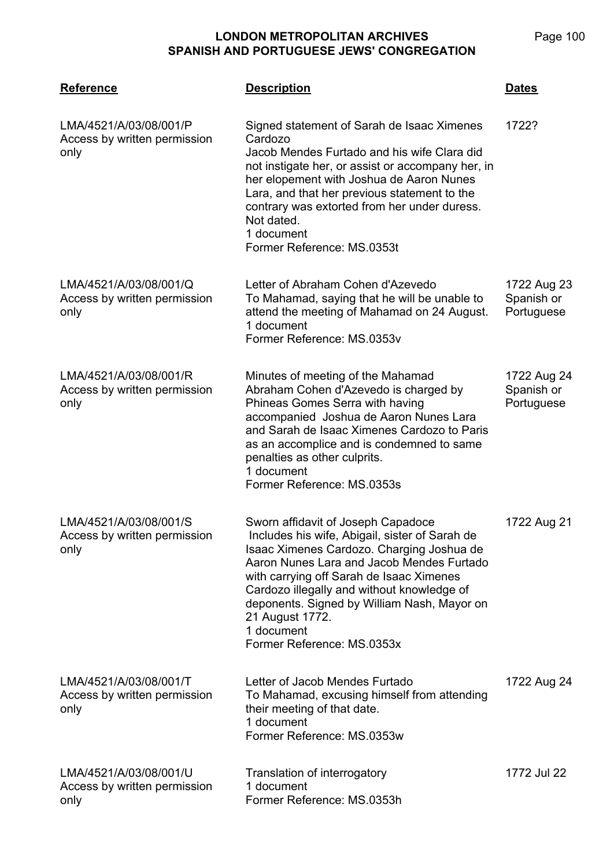Page 100

| <b>Reference</b>                                               | <b>Description</b>                                                                                                                                                                                                                                                                                                                                                                     | <b>Dates</b>                            |
|----------------------------------------------------------------|----------------------------------------------------------------------------------------------------------------------------------------------------------------------------------------------------------------------------------------------------------------------------------------------------------------------------------------------------------------------------------------|-----------------------------------------|
| LMA/4521/A/03/08/001/P<br>Access by written permission<br>only | Signed statement of Sarah de Isaac Ximenes<br>Cardozo<br>Jacob Mendes Furtado and his wife Clara did<br>not instigate her, or assist or accompany her, in<br>her elopement with Joshua de Aaron Nunes<br>Lara, and that her previous statement to the<br>contrary was extorted from her under duress.<br>Not dated.<br>1 document<br>Former Reference: MS.0353t                        | 1722?                                   |
| LMA/4521/A/03/08/001/Q<br>Access by written permission<br>only | Letter of Abraham Cohen d'Azevedo<br>To Mahamad, saying that he will be unable to<br>attend the meeting of Mahamad on 24 August.<br>1 document<br>Former Reference: MS.0353v                                                                                                                                                                                                           | 1722 Aug 23<br>Spanish or<br>Portuguese |
| LMA/4521/A/03/08/001/R<br>Access by written permission<br>only | Minutes of meeting of the Mahamad<br>Abraham Cohen d'Azevedo is charged by<br>Phineas Gomes Serra with having<br>accompanied Joshua de Aaron Nunes Lara<br>and Sarah de Isaac Ximenes Cardozo to Paris<br>as an accomplice and is condemned to same<br>penalties as other culprits.<br>1 document<br>Former Reference: MS.0353s                                                        | 1722 Aug 24<br>Spanish or<br>Portuguese |
| LMA/4521/A/03/08/001/S<br>Access by written permission<br>only | Sworn affidavit of Joseph Capadoce<br>Includes his wife, Abigail, sister of Sarah de<br>Isaac Ximenes Cardozo. Charging Joshua de<br>Aaron Nunes Lara and Jacob Mendes Furtado<br>with carrying off Sarah de Isaac Ximenes<br>Cardozo illegally and without knowledge of<br>deponents. Signed by William Nash, Mayor on<br>21 August 1772.<br>1 document<br>Former Reference: MS.0353x | 1722 Aug 21                             |
| LMA/4521/A/03/08/001/T<br>Access by written permission<br>only | Letter of Jacob Mendes Furtado<br>To Mahamad, excusing himself from attending<br>their meeting of that date.<br>1 document<br>Former Reference: MS.0353w                                                                                                                                                                                                                               | 1722 Aug 24                             |
| LMA/4521/A/03/08/001/U<br>Access by written permission<br>only | Translation of interrogatory<br>1 document<br>Former Reference: MS.0353h                                                                                                                                                                                                                                                                                                               | 1772 Jul 22                             |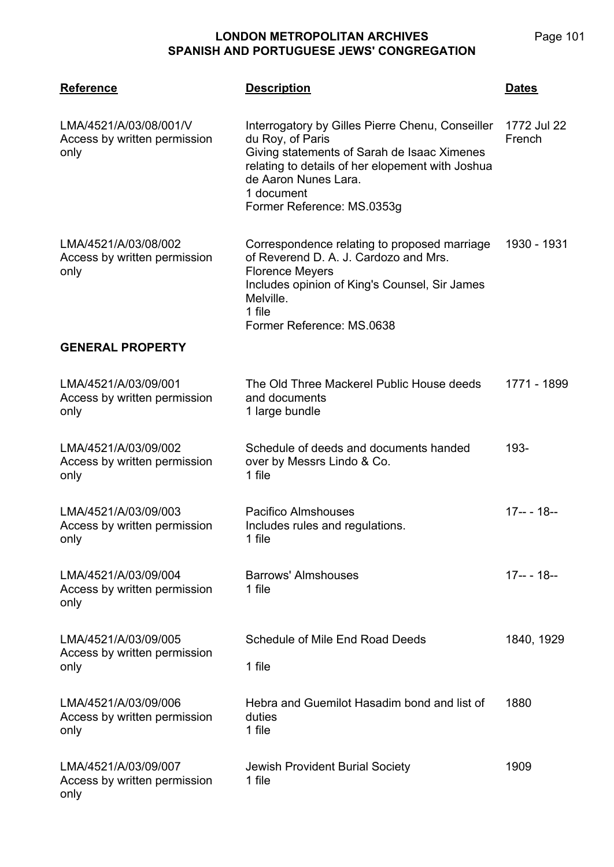**LMA/4521 Reference Description Dates** LMA/4521/A/03/08/001/V Access by written permission only Interrogatory by Gilles Pierre Chenu, Conseiller du Roy, of Paris Giving statements of Sarah de Isaac Ximenes relating to details of her elopement with Joshua de Aaron Nunes Lara. 1 document Former Reference: MS.0353g 1772 Jul 22 French LMA/4521/A/03/08/002 Access by written permission only Correspondence relating to proposed marriage of Reverend D. A. J. Cardozo and Mrs. Florence Meyers Includes opinion of King's Counsel, Sir James Melville. 1 file Former Reference: MS.0638 1930 - 1931 **GENERAL PROPERTY** LMA/4521/A/03/09/001 Access by written permission only The Old Three Mackerel Public House deeds and documents 1 large bundle 1771 - 1899 LMA/4521/A/03/09/002 Access by written permission only Schedule of deeds and documents handed over by Messrs Lindo & Co. 1 file 193- LMA/4521/A/03/09/003 Access by written permission only Pacifico Almshouses Includes rules and regulations. 1 file 17-- - 18-- LMA/4521/A/03/09/004 Access by written permission only Barrows' Almshouses 1 file 17-- - 18-- LMA/4521/A/03/09/005 Access by written permission only Schedule of Mile End Road Deeds 1 file 1840, 1929 LMA/4521/A/03/09/006 Access by written permission only Hebra and Guemilot Hasadim bond and list of duties 1 file 1880 LMA/4521/A/03/09/007 Access by written permission only Jewish Provident Burial Society 1 file 1909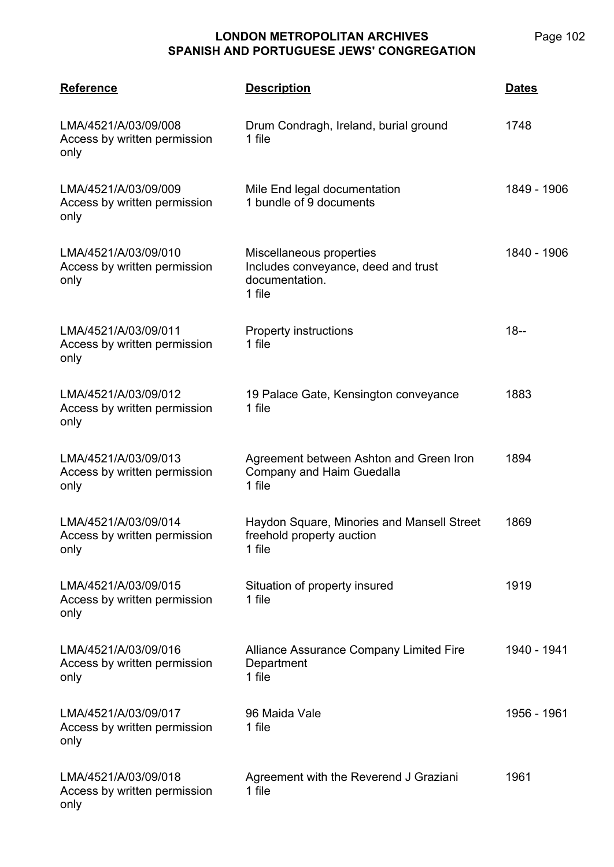Page 102

| <b>Reference</b>                                             | <b>Description</b>                                                                          | <b>Dates</b> |
|--------------------------------------------------------------|---------------------------------------------------------------------------------------------|--------------|
| LMA/4521/A/03/09/008<br>Access by written permission<br>only | Drum Condragh, Ireland, burial ground<br>1 file                                             | 1748         |
| LMA/4521/A/03/09/009<br>Access by written permission<br>only | Mile End legal documentation<br>1 bundle of 9 documents                                     | 1849 - 1906  |
| LMA/4521/A/03/09/010<br>Access by written permission<br>only | Miscellaneous properties<br>Includes conveyance, deed and trust<br>documentation.<br>1 file | 1840 - 1906  |
| LMA/4521/A/03/09/011<br>Access by written permission<br>only | <b>Property instructions</b><br>1 file                                                      | $18 -$       |
| LMA/4521/A/03/09/012<br>Access by written permission<br>only | 19 Palace Gate, Kensington conveyance<br>1 file                                             | 1883         |
| LMA/4521/A/03/09/013<br>Access by written permission<br>only | Agreement between Ashton and Green Iron<br>Company and Haim Guedalla<br>1 file              | 1894         |
| LMA/4521/A/03/09/014<br>Access by written permission<br>only | Haydon Square, Minories and Mansell Street<br>freehold property auction<br>1 file           | 1869         |
| LMA/4521/A/03/09/015<br>Access by written permission<br>only | Situation of property insured<br>1 file                                                     | 1919         |
| LMA/4521/A/03/09/016<br>Access by written permission<br>only | Alliance Assurance Company Limited Fire<br>Department<br>1 file                             | 1940 - 1941  |
| LMA/4521/A/03/09/017<br>Access by written permission<br>only | 96 Maida Vale<br>1 file                                                                     | 1956 - 1961  |
| LMA/4521/A/03/09/018<br>Access by written permission         | Agreement with the Reverend J Graziani<br>1 file                                            | 1961         |

only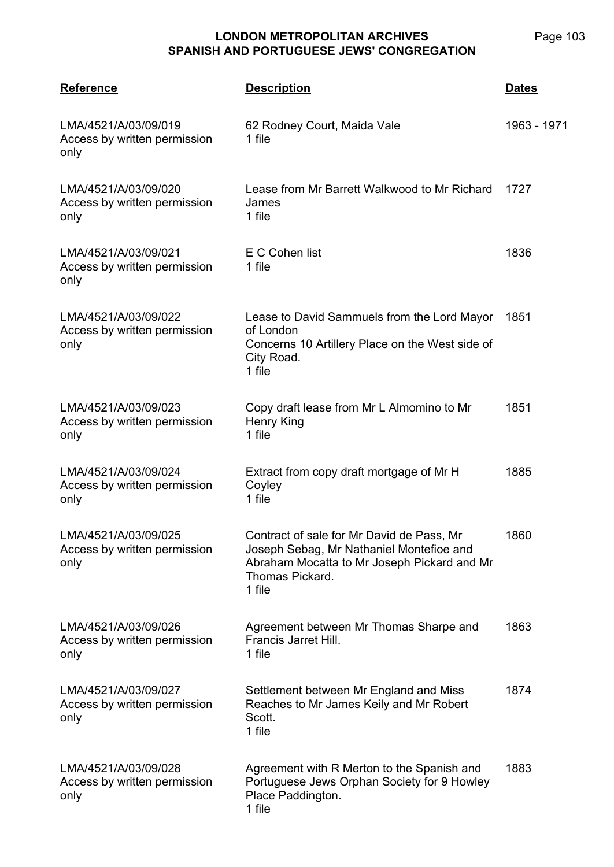| <b>Reference</b>                                             | <b>Description</b>                                                                                                                                                | <b>Dates</b> |
|--------------------------------------------------------------|-------------------------------------------------------------------------------------------------------------------------------------------------------------------|--------------|
| LMA/4521/A/03/09/019<br>Access by written permission<br>only | 62 Rodney Court, Maida Vale<br>1 file                                                                                                                             | 1963 - 1971  |
| LMA/4521/A/03/09/020<br>Access by written permission<br>only | Lease from Mr Barrett Walkwood to Mr Richard<br>James<br>1 file                                                                                                   | 1727         |
| LMA/4521/A/03/09/021<br>Access by written permission<br>only | E C Cohen list<br>1 file                                                                                                                                          | 1836         |
| LMA/4521/A/03/09/022<br>Access by written permission<br>only | Lease to David Sammuels from the Lord Mayor<br>of London<br>Concerns 10 Artillery Place on the West side of<br>City Road.<br>1 file                               | 1851         |
| LMA/4521/A/03/09/023<br>Access by written permission<br>only | Copy draft lease from Mr L Almomino to Mr<br>Henry King<br>1 file                                                                                                 | 1851         |
| LMA/4521/A/03/09/024<br>Access by written permission<br>only | Extract from copy draft mortgage of Mr H<br>Coyley<br>1 file                                                                                                      | 1885         |
| LMA/4521/A/03/09/025<br>Access by written permission<br>only | Contract of sale for Mr David de Pass, Mr<br>Joseph Sebag, Mr Nathaniel Montefioe and<br>Abraham Mocatta to Mr Joseph Pickard and Mr<br>Thomas Pickard.<br>1 file | 1860         |
| LMA/4521/A/03/09/026<br>Access by written permission<br>only | Agreement between Mr Thomas Sharpe and<br>Francis Jarret Hill.<br>1 file                                                                                          | 1863         |
| LMA/4521/A/03/09/027<br>Access by written permission<br>only | Settlement between Mr England and Miss<br>Reaches to Mr James Keily and Mr Robert<br>Scott.<br>1 file                                                             | 1874         |
| LMA/4521/A/03/09/028<br>Access by written permission<br>only | Agreement with R Merton to the Spanish and<br>Portuguese Jews Orphan Society for 9 Howley<br>Place Paddington.<br>1 file                                          | 1883         |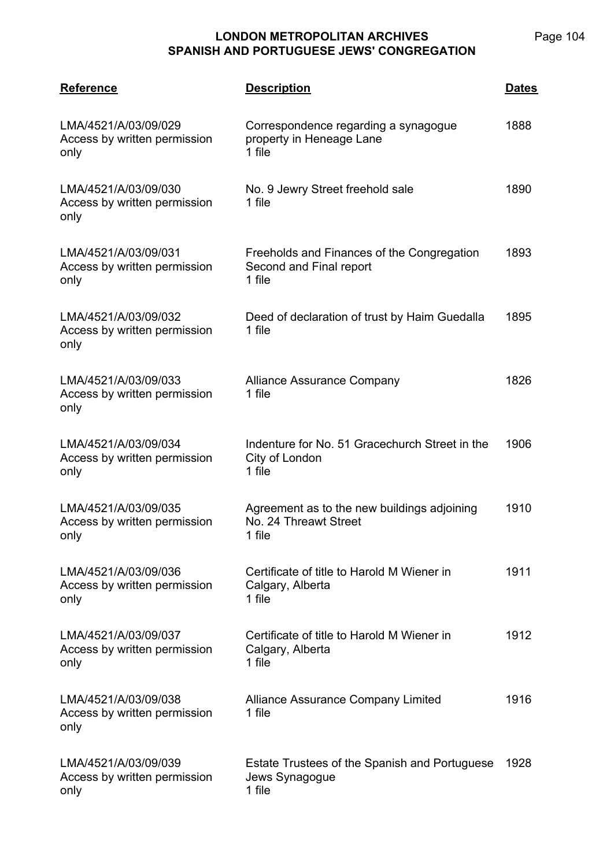| <b>Reference</b>                                             | <b>Description</b>                                                              | <u>Dates</u> |
|--------------------------------------------------------------|---------------------------------------------------------------------------------|--------------|
| LMA/4521/A/03/09/029<br>Access by written permission<br>only | Correspondence regarding a synagogue<br>property in Heneage Lane<br>1 file      | 1888         |
| LMA/4521/A/03/09/030<br>Access by written permission<br>only | No. 9 Jewry Street freehold sale<br>1 file                                      | 1890         |
| LMA/4521/A/03/09/031<br>Access by written permission<br>only | Freeholds and Finances of the Congregation<br>Second and Final report<br>1 file | 1893         |
| LMA/4521/A/03/09/032<br>Access by written permission<br>only | Deed of declaration of trust by Haim Guedalla<br>1 file                         | 1895         |
| LMA/4521/A/03/09/033<br>Access by written permission<br>only | <b>Alliance Assurance Company</b><br>1 file                                     | 1826         |
| LMA/4521/A/03/09/034<br>Access by written permission<br>only | Indenture for No. 51 Gracechurch Street in the<br>City of London<br>1 file      | 1906         |
| LMA/4521/A/03/09/035<br>Access by written permission<br>only | Agreement as to the new buildings adjoining<br>No. 24 Threawt Street<br>1 file  | 1910         |
| LMA/4521/A/03/09/036<br>Access by written permission<br>only | Certificate of title to Harold M Wiener in<br>Calgary, Alberta<br>1 file        | 1911         |
| LMA/4521/A/03/09/037<br>Access by written permission<br>only | Certificate of title to Harold M Wiener in<br>Calgary, Alberta<br>1 file        | 1912         |
| LMA/4521/A/03/09/038<br>Access by written permission<br>only | <b>Alliance Assurance Company Limited</b><br>1 file                             | 1916         |
| LMA/4521/A/03/09/039<br>Access by written permission<br>only | Estate Trustees of the Spanish and Portuguese<br>Jews Synagogue<br>1 file       | 1928         |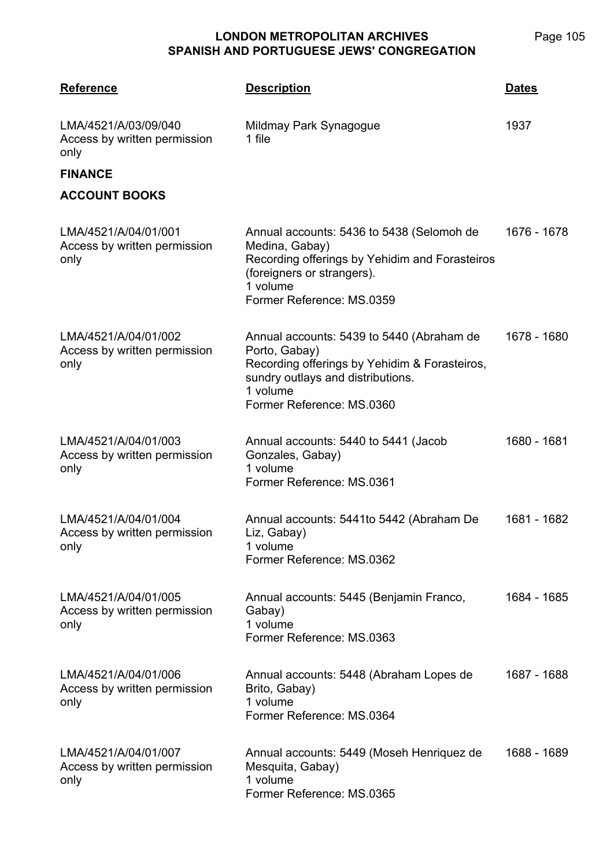| <b>Reference</b>                                             | <b>Description</b>                                                                                                                                                                        | Dates       |
|--------------------------------------------------------------|-------------------------------------------------------------------------------------------------------------------------------------------------------------------------------------------|-------------|
| LMA/4521/A/03/09/040<br>Access by written permission<br>only | Mildmay Park Synagogue<br>1 file                                                                                                                                                          | 1937        |
| <b>FINANCE</b><br><b>ACCOUNT BOOKS</b>                       |                                                                                                                                                                                           |             |
| LMA/4521/A/04/01/001<br>Access by written permission<br>only | Annual accounts: 5436 to 5438 (Selomoh de<br>Medina, Gabay)<br>Recording offerings by Yehidim and Forasteiros<br>(foreigners or strangers).<br>1 volume<br>Former Reference: MS.0359      | 1676 - 1678 |
| LMA/4521/A/04/01/002<br>Access by written permission<br>only | Annual accounts: 5439 to 5440 (Abraham de<br>Porto, Gabay)<br>Recording offerings by Yehidim & Forasteiros,<br>sundry outlays and distributions.<br>1 volume<br>Former Reference: MS.0360 | 1678 - 1680 |
| LMA/4521/A/04/01/003<br>Access by written permission<br>only | Annual accounts: 5440 to 5441 (Jacob<br>Gonzales, Gabay)<br>1 volume<br>Former Reference: MS.0361                                                                                         | 1680 - 1681 |
| LMA/4521/A/04/01/004<br>Access by written permission<br>only | Annual accounts: 5441to 5442 (Abraham De<br>Liz, Gabay)<br>1 volume<br>Former Reference: MS.0362                                                                                          | 1681 - 1682 |
| LMA/4521/A/04/01/005<br>Access by written permission<br>only | Annual accounts: 5445 (Benjamin Franco,<br>Gabay)<br>1 volume<br>Former Reference: MS.0363                                                                                                | 1684 - 1685 |
| LMA/4521/A/04/01/006<br>Access by written permission<br>only | Annual accounts: 5448 (Abraham Lopes de<br>Brito, Gabay)<br>1 volume<br>Former Reference: MS.0364                                                                                         | 1687 - 1688 |
| LMA/4521/A/04/01/007<br>Access by written permission<br>only | Annual accounts: 5449 (Moseh Henriquez de<br>Mesquita, Gabay)<br>1 volume<br>Former Reference: MS.0365                                                                                    | 1688 - 1689 |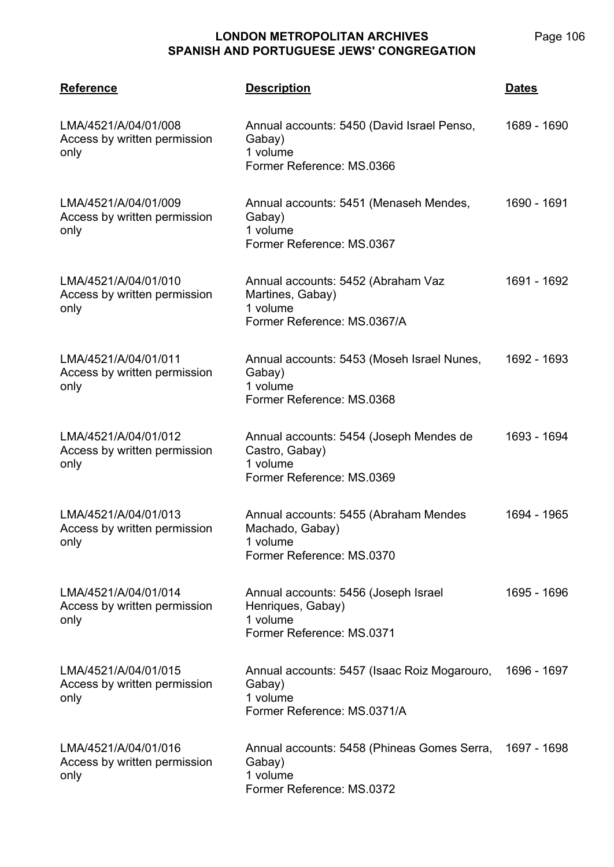| <b>Reference</b>                                             | <b>Description</b>                                                                                 | <b>Dates</b> |
|--------------------------------------------------------------|----------------------------------------------------------------------------------------------------|--------------|
| LMA/4521/A/04/01/008<br>Access by written permission<br>only | Annual accounts: 5450 (David Israel Penso,<br>Gabay)<br>1 volume<br>Former Reference: MS.0366      | 1689 - 1690  |
| LMA/4521/A/04/01/009<br>Access by written permission<br>only | Annual accounts: 5451 (Menaseh Mendes,<br>Gabay)<br>1 volume<br>Former Reference: MS.0367          | 1690 - 1691  |
| LMA/4521/A/04/01/010<br>Access by written permission<br>only | Annual accounts: 5452 (Abraham Vaz<br>Martines, Gabay)<br>1 volume<br>Former Reference: MS.0367/A  | 1691 - 1692  |
| LMA/4521/A/04/01/011<br>Access by written permission<br>only | Annual accounts: 5453 (Moseh Israel Nunes,<br>Gabay)<br>1 volume<br>Former Reference: MS.0368      | 1692 - 1693  |
| LMA/4521/A/04/01/012<br>Access by written permission<br>only | Annual accounts: 5454 (Joseph Mendes de<br>Castro, Gabay)<br>1 volume<br>Former Reference: MS.0369 | 1693 - 1694  |
| LMA/4521/A/04/01/013<br>Access by written permission<br>only | Annual accounts: 5455 (Abraham Mendes<br>Machado, Gabay)<br>1 volume<br>Former Reference: MS.0370  | 1694 - 1965  |
| LMA/4521/A/04/01/014<br>Access by written permission<br>only | Annual accounts: 5456 (Joseph Israel<br>Henriques, Gabay)<br>1 volume<br>Former Reference: MS.0371 | 1695 - 1696  |
| LMA/4521/A/04/01/015<br>Access by written permission<br>only | Annual accounts: 5457 (Isaac Roiz Mogarouro,<br>Gabay)<br>1 volume<br>Former Reference: MS.0371/A  | 1696 - 1697  |
| LMA/4521/A/04/01/016<br>Access by written permission<br>only | Annual accounts: 5458 (Phineas Gomes Serra,<br>Gabay)<br>1 volume<br>Former Reference: MS.0372     | 1697 - 1698  |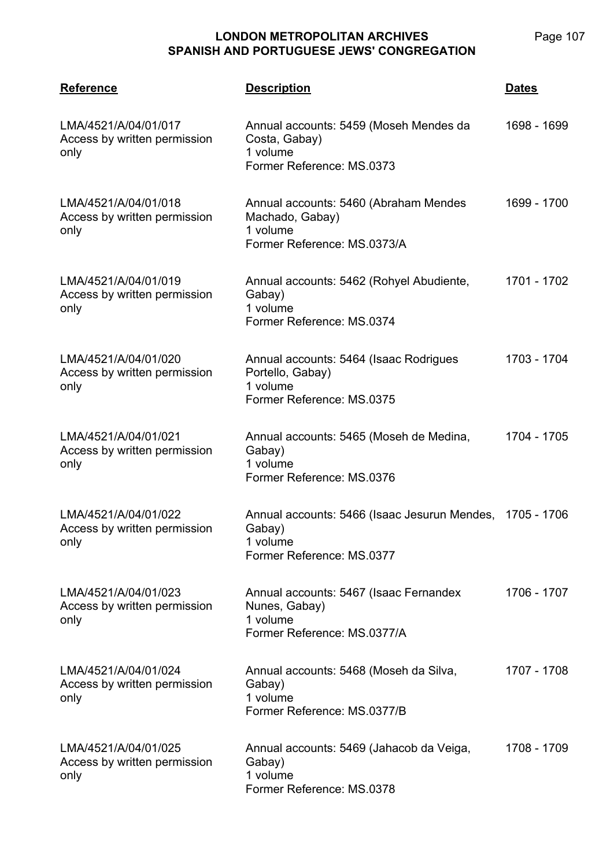| <b>Reference</b>                                             | <b>Description</b>                                                                                          | <u>Dates</u> |
|--------------------------------------------------------------|-------------------------------------------------------------------------------------------------------------|--------------|
| LMA/4521/A/04/01/017<br>Access by written permission<br>only | Annual accounts: 5459 (Moseh Mendes da<br>Costa, Gabay)<br>1 volume<br>Former Reference: MS.0373            | 1698 - 1699  |
| LMA/4521/A/04/01/018<br>Access by written permission<br>only | Annual accounts: 5460 (Abraham Mendes<br>Machado, Gabay)<br>1 volume<br>Former Reference: MS.0373/A         | 1699 - 1700  |
| LMA/4521/A/04/01/019<br>Access by written permission<br>only | Annual accounts: 5462 (Rohyel Abudiente,<br>Gabay)<br>1 volume<br>Former Reference: MS.0374                 | 1701 - 1702  |
| LMA/4521/A/04/01/020<br>Access by written permission<br>only | Annual accounts: 5464 (Isaac Rodrigues<br>Portello, Gabay)<br>1 volume<br>Former Reference: MS.0375         | 1703 - 1704  |
| LMA/4521/A/04/01/021<br>Access by written permission<br>only | Annual accounts: 5465 (Moseh de Medina,<br>Gabay)<br>1 volume<br>Former Reference: MS.0376                  | 1704 - 1705  |
| LMA/4521/A/04/01/022<br>Access by written permission<br>only | Annual accounts: 5466 (Isaac Jesurun Mendes, 1705 - 1706<br>Gabay)<br>1 volume<br>Former Reference: MS.0377 |              |
| LMA/4521/A/04/01/023<br>Access by written permission<br>only | Annual accounts: 5467 (Isaac Fernandex<br>Nunes, Gabay)<br>1 volume<br>Former Reference: MS.0377/A          | 1706 - 1707  |
| LMA/4521/A/04/01/024<br>Access by written permission<br>only | Annual accounts: 5468 (Moseh da Silva,<br>Gabay)<br>1 volume<br>Former Reference: MS.0377/B                 | 1707 - 1708  |
| LMA/4521/A/04/01/025<br>Access by written permission<br>only | Annual accounts: 5469 (Jahacob da Veiga,<br>Gabay)<br>1 volume<br>Former Reference: MS.0378                 | 1708 - 1709  |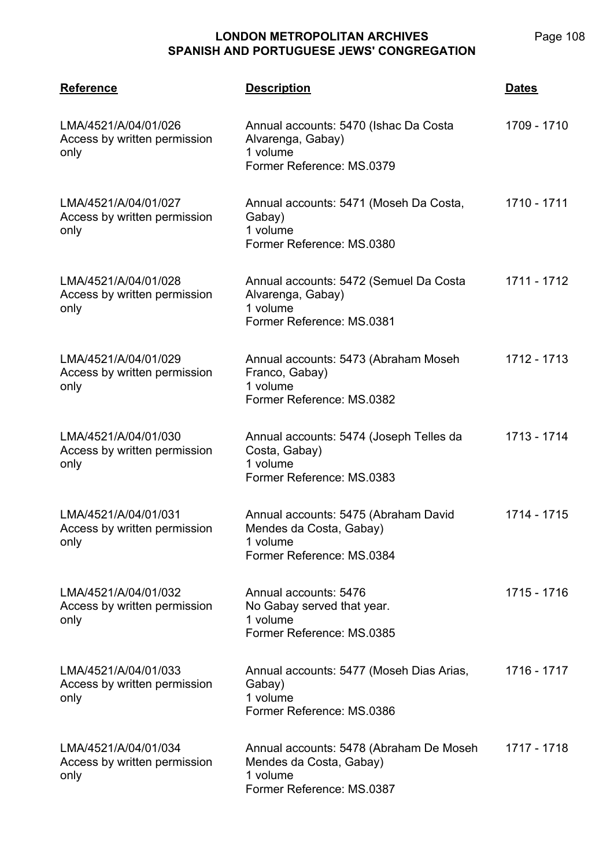| <b>Reference</b>                                             | <b>Description</b>                                                                                           | <b>Dates</b> |
|--------------------------------------------------------------|--------------------------------------------------------------------------------------------------------------|--------------|
| LMA/4521/A/04/01/026<br>Access by written permission<br>only | Annual accounts: 5470 (Ishac Da Costa<br>Alvarenga, Gabay)<br>1 volume<br>Former Reference: MS.0379          | 1709 - 1710  |
| LMA/4521/A/04/01/027<br>Access by written permission<br>only | Annual accounts: 5471 (Moseh Da Costa,<br>Gabay)<br>1 volume<br>Former Reference: MS.0380                    | 1710 - 1711  |
| LMA/4521/A/04/01/028<br>Access by written permission<br>only | Annual accounts: 5472 (Semuel Da Costa<br>Alvarenga, Gabay)<br>1 volume<br>Former Reference: MS.0381         | 1711 - 1712  |
| LMA/4521/A/04/01/029<br>Access by written permission<br>only | Annual accounts: 5473 (Abraham Moseh<br>Franco, Gabay)<br>1 volume<br>Former Reference: MS.0382              | 1712 - 1713  |
| LMA/4521/A/04/01/030<br>Access by written permission<br>only | Annual accounts: 5474 (Joseph Telles da<br>Costa, Gabay)<br>1 volume<br>Former Reference: MS.0383            | 1713 - 1714  |
| LMA/4521/A/04/01/031<br>Access by written permission<br>only | Annual accounts: 5475 (Abraham David<br>Mendes da Costa, Gabay)<br>1 volume<br>Former Reference: MS.0384     | 1714 - 1715  |
| LMA/4521/A/04/01/032<br>Access by written permission<br>only | Annual accounts: 5476<br>No Gabay served that year.<br>1 volume<br>Former Reference: MS.0385                 | 1715 - 1716  |
| LMA/4521/A/04/01/033<br>Access by written permission<br>only | Annual accounts: 5477 (Moseh Dias Arias,<br>Gabay)<br>1 volume<br>Former Reference: MS.0386                  | 1716 - 1717  |
| LMA/4521/A/04/01/034<br>Access by written permission<br>only | Annual accounts: 5478 (Abraham De Moseh)<br>Mendes da Costa, Gabay)<br>1 volume<br>Former Reference: MS.0387 | 1717 - 1718  |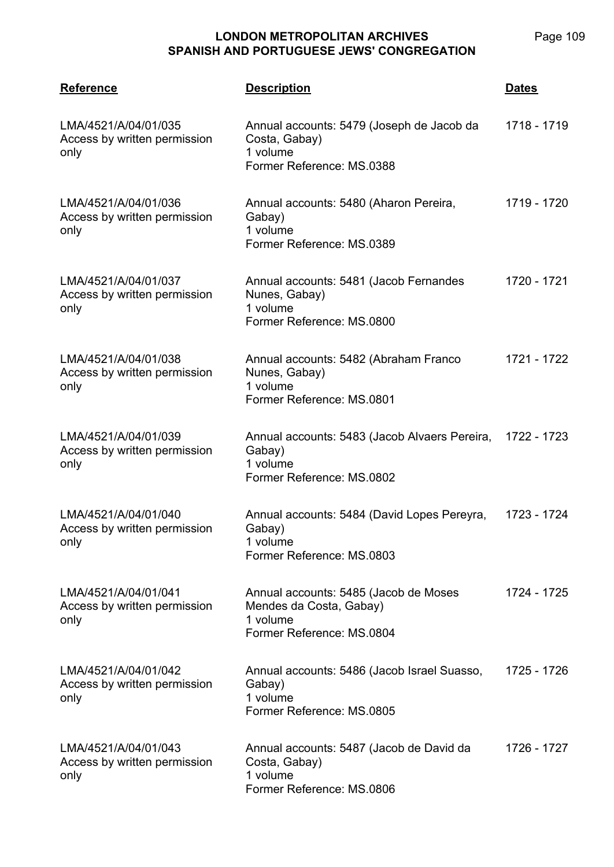| <b>Reference</b>                                             | <b>Description</b>                                                                                        | <b>Dates</b> |
|--------------------------------------------------------------|-----------------------------------------------------------------------------------------------------------|--------------|
| LMA/4521/A/04/01/035<br>Access by written permission<br>only | Annual accounts: 5479 (Joseph de Jacob da<br>Costa, Gabay)<br>1 volume<br>Former Reference: MS.0388       | 1718 - 1719  |
| LMA/4521/A/04/01/036<br>Access by written permission<br>only | Annual accounts: 5480 (Aharon Pereira,<br>Gabay)<br>1 volume<br>Former Reference: MS.0389                 | 1719 - 1720  |
| LMA/4521/A/04/01/037<br>Access by written permission<br>only | Annual accounts: 5481 (Jacob Fernandes<br>Nunes, Gabay)<br>1 volume<br>Former Reference: MS.0800          | 1720 - 1721  |
| LMA/4521/A/04/01/038<br>Access by written permission<br>only | Annual accounts: 5482 (Abraham Franco<br>Nunes, Gabay)<br>1 volume<br>Former Reference: MS.0801           | 1721 - 1722  |
| LMA/4521/A/04/01/039<br>Access by written permission<br>only | Annual accounts: 5483 (Jacob Alvaers Pereira,<br>Gabay)<br>1 volume<br>Former Reference: MS.0802          | 1722 - 1723  |
| LMA/4521/A/04/01/040<br>Access by written permission<br>only | Annual accounts: 5484 (David Lopes Pereyra,<br>Gabay)<br>1 volume<br>Former Reference: MS.0803            | 1723 - 1724  |
| LMA/4521/A/04/01/041<br>Access by written permission<br>only | Annual accounts: 5485 (Jacob de Moses<br>Mendes da Costa, Gabay)<br>1 volume<br>Former Reference: MS.0804 | 1724 - 1725  |
| LMA/4521/A/04/01/042<br>Access by written permission<br>only | Annual accounts: 5486 (Jacob Israel Suasso,<br>Gabay)<br>1 volume<br>Former Reference: MS.0805            | 1725 - 1726  |
| LMA/4521/A/04/01/043<br>Access by written permission<br>only | Annual accounts: 5487 (Jacob de David da<br>Costa, Gabay)<br>1 volume<br>Former Reference: MS.0806        | 1726 - 1727  |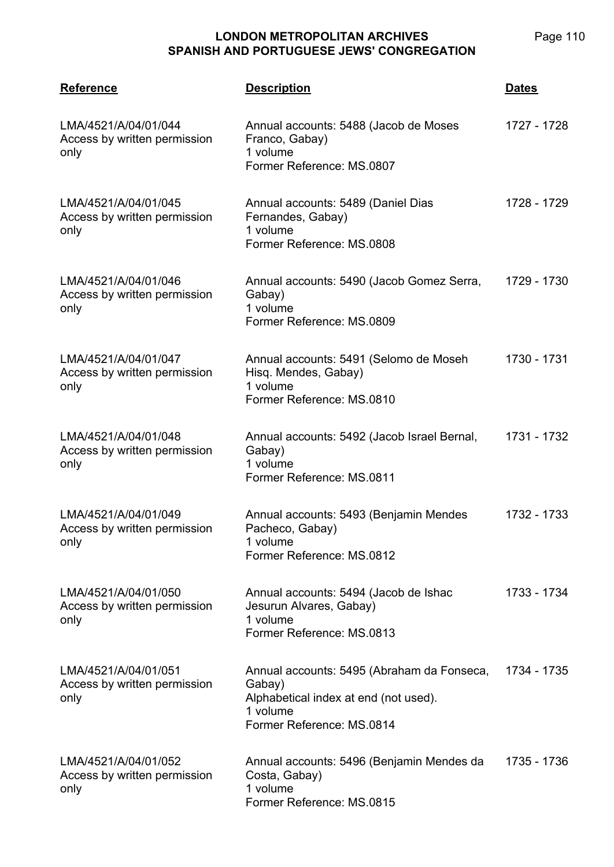| <b>Reference</b>                                             | <b>Description</b>                                                                                                                     | <b>Dates</b> |
|--------------------------------------------------------------|----------------------------------------------------------------------------------------------------------------------------------------|--------------|
| LMA/4521/A/04/01/044<br>Access by written permission<br>only | Annual accounts: 5488 (Jacob de Moses<br>Franco, Gabay)<br>1 volume<br>Former Reference: MS.0807                                       | 1727 - 1728  |
| LMA/4521/A/04/01/045<br>Access by written permission<br>only | Annual accounts: 5489 (Daniel Dias<br>Fernandes, Gabay)<br>1 volume<br>Former Reference: MS.0808                                       | 1728 - 1729  |
| LMA/4521/A/04/01/046<br>Access by written permission<br>only | Annual accounts: 5490 (Jacob Gomez Serra,<br>Gabay)<br>1 volume<br>Former Reference: MS.0809                                           | 1729 - 1730  |
| LMA/4521/A/04/01/047<br>Access by written permission<br>only | Annual accounts: 5491 (Selomo de Moseh<br>Hisq. Mendes, Gabay)<br>1 volume<br>Former Reference: MS.0810                                | 1730 - 1731  |
| LMA/4521/A/04/01/048<br>Access by written permission<br>only | Annual accounts: 5492 (Jacob Israel Bernal,<br>Gabay)<br>1 volume<br>Former Reference: MS.0811                                         | 1731 - 1732  |
| LMA/4521/A/04/01/049<br>Access by written permission<br>only | Annual accounts: 5493 (Benjamin Mendes<br>Pacheco, Gabay)<br>1 volume<br>Former Reference: MS.0812                                     | 1732 - 1733  |
| LMA/4521/A/04/01/050<br>Access by written permission<br>only | Annual accounts: 5494 (Jacob de Ishac<br>Jesurun Alvares, Gabay)<br>1 volume<br>Former Reference: MS.0813                              | 1733 - 1734  |
| LMA/4521/A/04/01/051<br>Access by written permission<br>only | Annual accounts: 5495 (Abraham da Fonseca,<br>Gabay)<br>Alphabetical index at end (not used).<br>1 volume<br>Former Reference: MS.0814 | 1734 - 1735  |
| LMA/4521/A/04/01/052<br>Access by written permission<br>only | Annual accounts: 5496 (Benjamin Mendes da<br>Costa, Gabay)<br>1 volume<br>Former Reference: MS.0815                                    | 1735 - 1736  |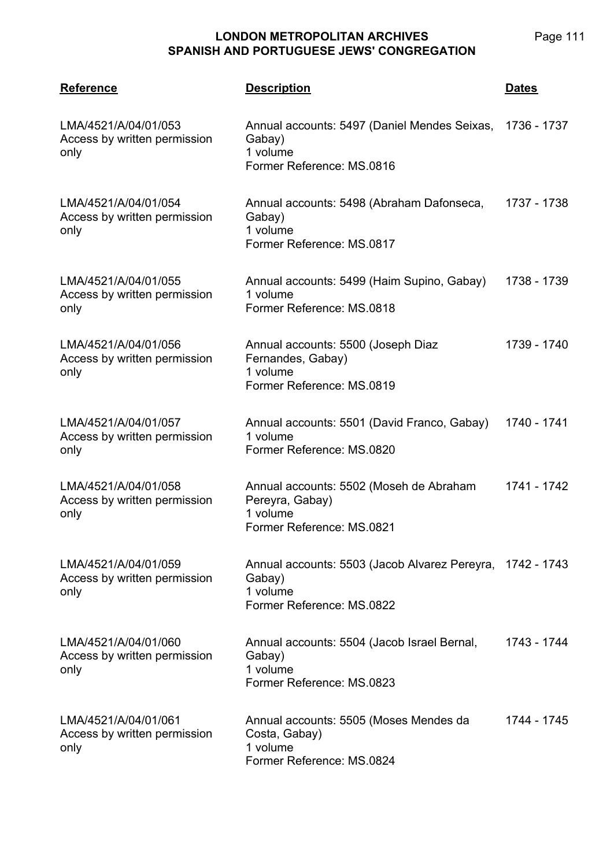| <b>Reference</b>                                             | <b>Description</b>                                                                                           | <b>Dates</b> |
|--------------------------------------------------------------|--------------------------------------------------------------------------------------------------------------|--------------|
| LMA/4521/A/04/01/053<br>Access by written permission<br>only | Annual accounts: 5497 (Daniel Mendes Seixas,<br>Gabay)<br>1 volume<br>Former Reference: MS.0816              | 1736 - 1737  |
| LMA/4521/A/04/01/054<br>Access by written permission<br>only | Annual accounts: 5498 (Abraham Dafonseca,<br>Gabay)<br>1 volume<br>Former Reference: MS.0817                 | 1737 - 1738  |
| LMA/4521/A/04/01/055<br>Access by written permission<br>only | Annual accounts: 5499 (Haim Supino, Gabay)<br>1 volume<br>Former Reference: MS.0818                          | 1738 - 1739  |
| LMA/4521/A/04/01/056<br>Access by written permission<br>only | Annual accounts: 5500 (Joseph Diaz<br>Fernandes, Gabay)<br>1 volume<br>Former Reference: MS.0819             | 1739 - 1740  |
| LMA/4521/A/04/01/057<br>Access by written permission<br>only | Annual accounts: 5501 (David Franco, Gabay)<br>1 volume<br>Former Reference: MS.0820                         | 1740 - 1741  |
| LMA/4521/A/04/01/058<br>Access by written permission<br>only | Annual accounts: 5502 (Moseh de Abraham<br>Pereyra, Gabay)<br>1 volume<br>Former Reference: MS.0821          | 1741 - 1742  |
| LMA/4521/A/04/01/059<br>Access by written permission<br>only | Annual accounts: 5503 (Jacob Alvarez Pereyra, 1742 - 1743<br>Gabay)<br>1 volume<br>Former Reference: MS.0822 |              |
| LMA/4521/A/04/01/060<br>Access by written permission<br>only | Annual accounts: 5504 (Jacob Israel Bernal,<br>Gabay)<br>1 volume<br>Former Reference: MS.0823               | 1743 - 1744  |
| LMA/4521/A/04/01/061<br>Access by written permission<br>only | Annual accounts: 5505 (Moses Mendes da<br>Costa, Gabay)<br>1 volume<br>Former Reference: MS.0824             | 1744 - 1745  |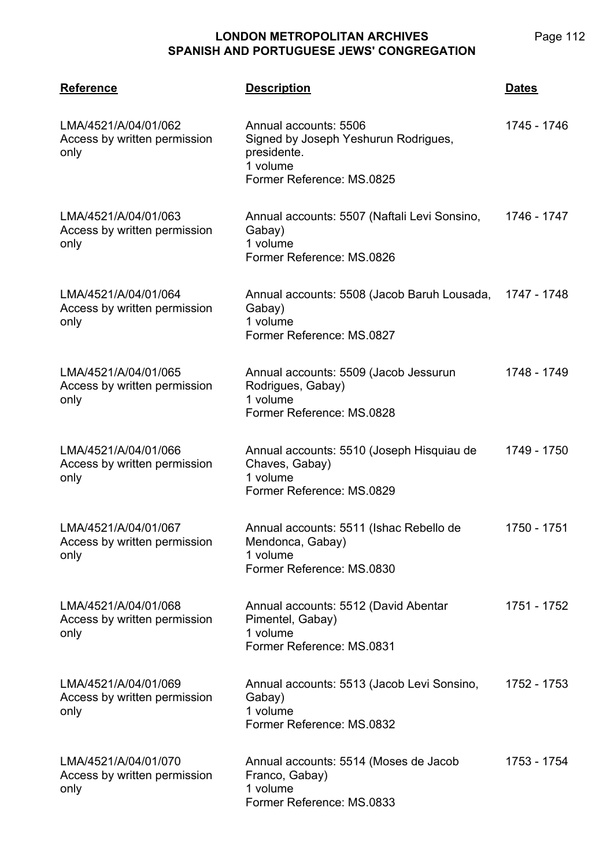| <b>Reference</b>                                             | <b>Description</b>                                                                                                    | <b>Dates</b> |
|--------------------------------------------------------------|-----------------------------------------------------------------------------------------------------------------------|--------------|
| LMA/4521/A/04/01/062<br>Access by written permission<br>only | Annual accounts: 5506<br>Signed by Joseph Yeshurun Rodrigues,<br>presidente.<br>1 volume<br>Former Reference: MS.0825 | 1745 - 1746  |
| LMA/4521/A/04/01/063<br>Access by written permission<br>only | Annual accounts: 5507 (Naftali Levi Sonsino,<br>Gabay)<br>1 volume<br>Former Reference: MS.0826                       | 1746 - 1747  |
| LMA/4521/A/04/01/064<br>Access by written permission<br>only | Annual accounts: 5508 (Jacob Baruh Lousada,<br>Gabay)<br>1 volume<br>Former Reference: MS.0827                        | 1747 - 1748  |
| LMA/4521/A/04/01/065<br>Access by written permission<br>only | Annual accounts: 5509 (Jacob Jessurun<br>Rodrigues, Gabay)<br>1 volume<br>Former Reference: MS.0828                   | 1748 - 1749  |
| LMA/4521/A/04/01/066<br>Access by written permission<br>only | Annual accounts: 5510 (Joseph Hisquiau de<br>Chaves, Gabay)<br>1 volume<br>Former Reference: MS.0829                  | 1749 - 1750  |
| LMA/4521/A/04/01/067<br>Access by written permission<br>only | Annual accounts: 5511 (Ishac Rebello de<br>Mendonca, Gabay)<br>1 volume<br>Former Reference: MS.0830                  | 1750 - 1751  |
| LMA/4521/A/04/01/068<br>Access by written permission<br>only | Annual accounts: 5512 (David Abentar<br>Pimentel, Gabay)<br>1 volume<br>Former Reference: MS.0831                     | 1751 - 1752  |
| LMA/4521/A/04/01/069<br>Access by written permission<br>only | Annual accounts: 5513 (Jacob Levi Sonsino,<br>Gabay)<br>1 volume<br>Former Reference: MS.0832                         | 1752 - 1753  |
| LMA/4521/A/04/01/070<br>Access by written permission<br>only | Annual accounts: 5514 (Moses de Jacob<br>Franco, Gabay)<br>1 volume<br>Former Reference: MS.0833                      | 1753 - 1754  |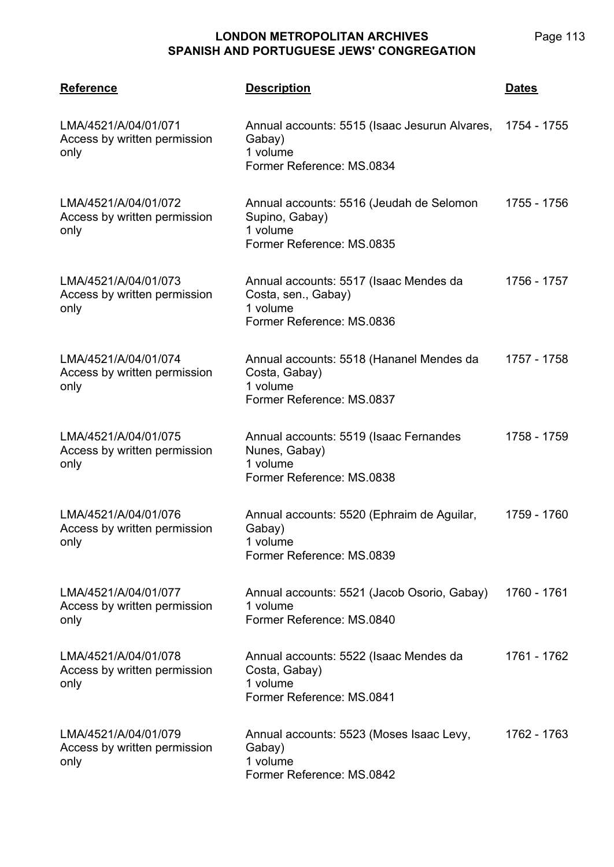| <b>Reference</b>                                             | <b>Description</b>                                                                                           | <b>Dates</b> |
|--------------------------------------------------------------|--------------------------------------------------------------------------------------------------------------|--------------|
| LMA/4521/A/04/01/071<br>Access by written permission<br>only | Annual accounts: 5515 (Isaac Jesurun Alvares, 1754 - 1755<br>Gabay)<br>1 volume<br>Former Reference: MS.0834 |              |
| LMA/4521/A/04/01/072<br>Access by written permission<br>only | Annual accounts: 5516 (Jeudah de Selomon<br>Supino, Gabay)<br>1 volume<br>Former Reference: MS.0835          | 1755 - 1756  |
| LMA/4521/A/04/01/073<br>Access by written permission<br>only | Annual accounts: 5517 (Isaac Mendes da<br>Costa, sen., Gabay)<br>1 volume<br>Former Reference: MS.0836       | 1756 - 1757  |
| LMA/4521/A/04/01/074<br>Access by written permission<br>only | Annual accounts: 5518 (Hananel Mendes da<br>Costa, Gabay)<br>1 volume<br>Former Reference: MS.0837           | 1757 - 1758  |
| LMA/4521/A/04/01/075<br>Access by written permission<br>only | Annual accounts: 5519 (Isaac Fernandes<br>Nunes, Gabay)<br>1 volume<br>Former Reference: MS.0838             | 1758 - 1759  |
| LMA/4521/A/04/01/076<br>Access by written permission<br>only | Annual accounts: 5520 (Ephraim de Aguilar,<br>Gabay)<br>1 volume<br>Former Reference: MS.0839                | 1759 - 1760  |
| LMA/4521/A/04/01/077<br>Access by written permission<br>only | Annual accounts: 5521 (Jacob Osorio, Gabay)<br>1 volume<br>Former Reference: MS.0840                         | 1760 - 1761  |
| LMA/4521/A/04/01/078<br>Access by written permission<br>only | Annual accounts: 5522 (Isaac Mendes da<br>Costa, Gabay)<br>1 volume<br>Former Reference: MS.0841             | 1761 - 1762  |
| LMA/4521/A/04/01/079<br>Access by written permission<br>only | Annual accounts: 5523 (Moses Isaac Levy,<br>Gabay)<br>1 volume<br>Former Reference: MS.0842                  | 1762 - 1763  |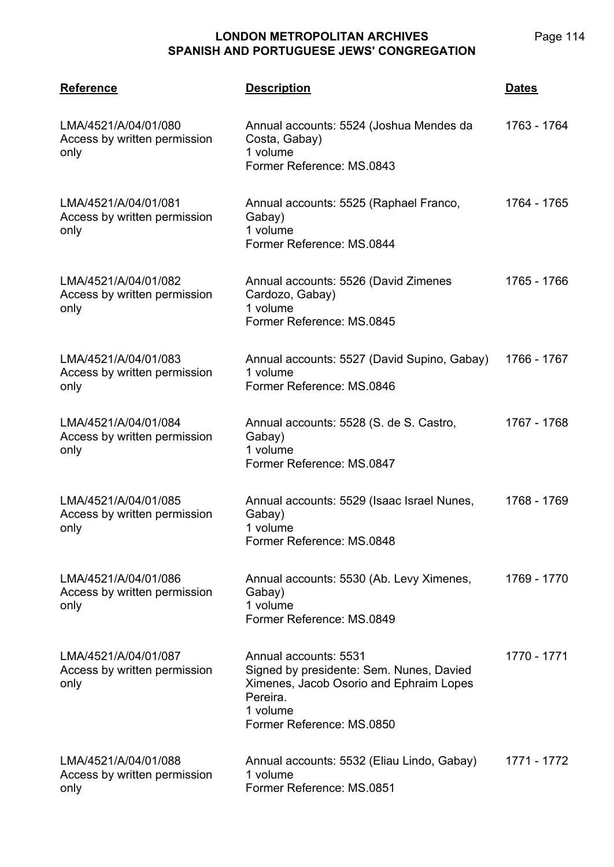| <b>Reference</b>                                             | <b>Description</b>                                                                                                                                                | <u>Dates</u> |
|--------------------------------------------------------------|-------------------------------------------------------------------------------------------------------------------------------------------------------------------|--------------|
| LMA/4521/A/04/01/080<br>Access by written permission<br>only | Annual accounts: 5524 (Joshua Mendes da<br>Costa, Gabay)<br>1 volume<br>Former Reference: MS.0843                                                                 | 1763 - 1764  |
| LMA/4521/A/04/01/081<br>Access by written permission<br>only | Annual accounts: 5525 (Raphael Franco,<br>Gabay)<br>1 volume<br>Former Reference: MS.0844                                                                         | 1764 - 1765  |
| LMA/4521/A/04/01/082<br>Access by written permission<br>only | Annual accounts: 5526 (David Zimenes<br>Cardozo, Gabay)<br>1 volume<br>Former Reference: MS.0845                                                                  | 1765 - 1766  |
| LMA/4521/A/04/01/083<br>Access by written permission<br>only | Annual accounts: 5527 (David Supino, Gabay)<br>1 volume<br>Former Reference: MS.0846                                                                              | 1766 - 1767  |
| LMA/4521/A/04/01/084<br>Access by written permission<br>only | Annual accounts: 5528 (S. de S. Castro,<br>Gabay)<br>1 volume<br>Former Reference: MS.0847                                                                        | 1767 - 1768  |
| LMA/4521/A/04/01/085<br>Access by written permission<br>only | Annual accounts: 5529 (Isaac Israel Nunes,<br>Gabay)<br>1 volume<br>Former Reference: MS.0848                                                                     | 1768 - 1769  |
| LMA/4521/A/04/01/086<br>Access by written permission<br>only | Annual accounts: 5530 (Ab. Levy Ximenes,<br>Gabay)<br>1 volume<br>Former Reference: MS.0849                                                                       | 1769 - 1770  |
| LMA/4521/A/04/01/087<br>Access by written permission<br>only | Annual accounts: 5531<br>Signed by presidente: Sem. Nunes, Davied<br>Ximenes, Jacob Osorio and Ephraim Lopes<br>Pereira.<br>1 volume<br>Former Reference: MS.0850 | 1770 - 1771  |
| LMA/4521/A/04/01/088<br>Access by written permission<br>only | Annual accounts: 5532 (Eliau Lindo, Gabay)<br>1 volume<br>Former Reference: MS.0851                                                                               | 1771 - 1772  |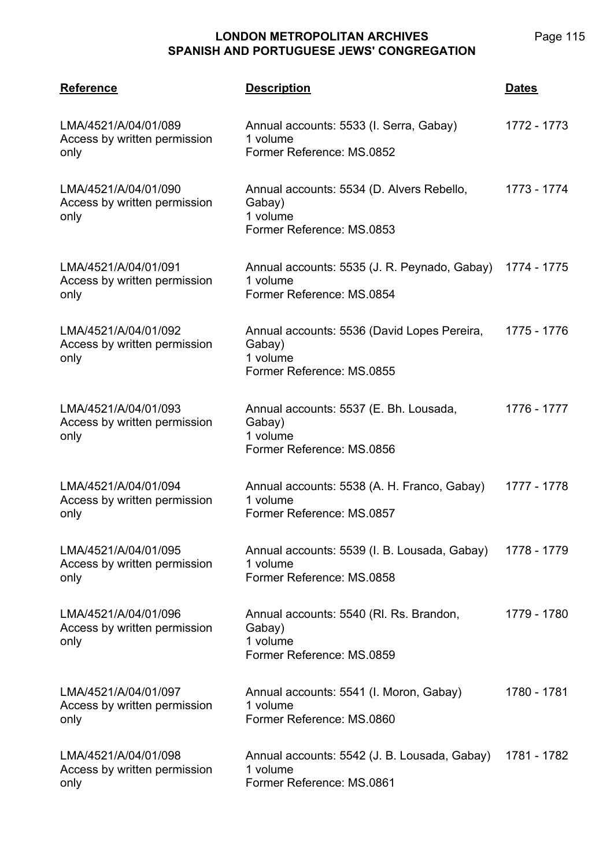| <b>Reference</b>                                             | <b>Description</b>                                                                                | <b>Dates</b> |
|--------------------------------------------------------------|---------------------------------------------------------------------------------------------------|--------------|
| LMA/4521/A/04/01/089<br>Access by written permission<br>only | Annual accounts: 5533 (I. Serra, Gabay)<br>1 volume<br>Former Reference: MS.0852                  | 1772 - 1773  |
| LMA/4521/A/04/01/090<br>Access by written permission<br>only | Annual accounts: 5534 (D. Alvers Rebello,<br>Gabay)<br>1 volume<br>Former Reference: MS.0853      | 1773 - 1774  |
| LMA/4521/A/04/01/091<br>Access by written permission<br>only | Annual accounts: 5535 (J. R. Peynado, Gabay) 1774 - 1775<br>1 volume<br>Former Reference: MS.0854 |              |
| LMA/4521/A/04/01/092<br>Access by written permission<br>only | Annual accounts: 5536 (David Lopes Pereira,<br>Gabay)<br>1 volume<br>Former Reference: MS.0855    | 1775 - 1776  |
| LMA/4521/A/04/01/093<br>Access by written permission<br>only | Annual accounts: 5537 (E. Bh. Lousada,<br>Gabay)<br>1 volume<br>Former Reference: MS.0856         | 1776 - 1777  |
| LMA/4521/A/04/01/094<br>Access by written permission<br>only | Annual accounts: 5538 (A. H. Franco, Gabay)<br>1 volume<br>Former Reference: MS.0857              | 1777 - 1778  |
| LMA/4521/A/04/01/095<br>Access by written permission<br>only | Annual accounts: 5539 (I. B. Lousada, Gabay)<br>1 volume<br>Former Reference: MS.0858             | 1778 - 1779  |
| LMA/4521/A/04/01/096<br>Access by written permission<br>only | Annual accounts: 5540 (RI. Rs. Brandon,<br>Gabay)<br>1 volume<br>Former Reference: MS.0859        | 1779 - 1780  |
| LMA/4521/A/04/01/097<br>Access by written permission<br>only | Annual accounts: 5541 (I. Moron, Gabay)<br>1 volume<br>Former Reference: MS.0860                  | 1780 - 1781  |
| LMA/4521/A/04/01/098<br>Access by written permission<br>only | Annual accounts: 5542 (J. B. Lousada, Gabay)<br>1 volume<br>Former Reference: MS.0861             | 1781 - 1782  |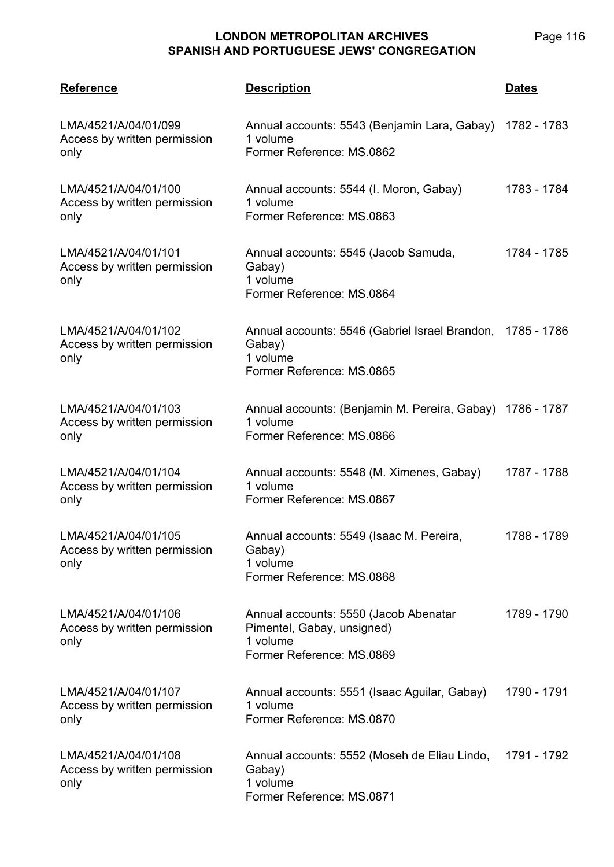| <b>Reference</b>                                             | <b>Description</b>                                                                                            | <b>Dates</b> |
|--------------------------------------------------------------|---------------------------------------------------------------------------------------------------------------|--------------|
| LMA/4521/A/04/01/099<br>Access by written permission<br>only | Annual accounts: 5543 (Benjamin Lara, Gabay) 1782 - 1783<br>1 volume<br>Former Reference: MS.0862             |              |
| LMA/4521/A/04/01/100<br>Access by written permission<br>only | Annual accounts: 5544 (I. Moron, Gabay)<br>1 volume<br>Former Reference: MS.0863                              | 1783 - 1784  |
| LMA/4521/A/04/01/101<br>Access by written permission<br>only | Annual accounts: 5545 (Jacob Samuda,<br>Gabay)<br>1 volume<br>Former Reference: MS.0864                       | 1784 - 1785  |
| LMA/4521/A/04/01/102<br>Access by written permission<br>only | Annual accounts: 5546 (Gabriel Israel Brandon, 1785 - 1786<br>Gabay)<br>1 volume<br>Former Reference: MS.0865 |              |
| LMA/4521/A/04/01/103<br>Access by written permission<br>only | Annual accounts: (Benjamin M. Pereira, Gabay) 1786 - 1787<br>1 volume<br>Former Reference: MS.0866            |              |
| LMA/4521/A/04/01/104<br>Access by written permission<br>only | Annual accounts: 5548 (M. Ximenes, Gabay)<br>1 volume<br>Former Reference: MS.0867                            | 1787 - 1788  |
| LMA/4521/A/04/01/105<br>Access by written permission<br>only | Annual accounts: 5549 (Isaac M. Pereira,<br>Gabay)<br>1 volume<br>Former Reference: MS.0868                   | 1788 - 1789  |
| LMA/4521/A/04/01/106<br>Access by written permission<br>only | Annual accounts: 5550 (Jacob Abenatar<br>Pimentel, Gabay, unsigned)<br>1 volume<br>Former Reference: MS.0869  | 1789 - 1790  |
| LMA/4521/A/04/01/107<br>Access by written permission<br>only | Annual accounts: 5551 (Isaac Aguilar, Gabay)<br>1 volume<br>Former Reference: MS.0870                         | 1790 - 1791  |
| LMA/4521/A/04/01/108<br>Access by written permission<br>only | Annual accounts: 5552 (Moseh de Eliau Lindo,<br>Gabay)<br>1 volume<br>Former Reference: MS.0871               | 1791 - 1792  |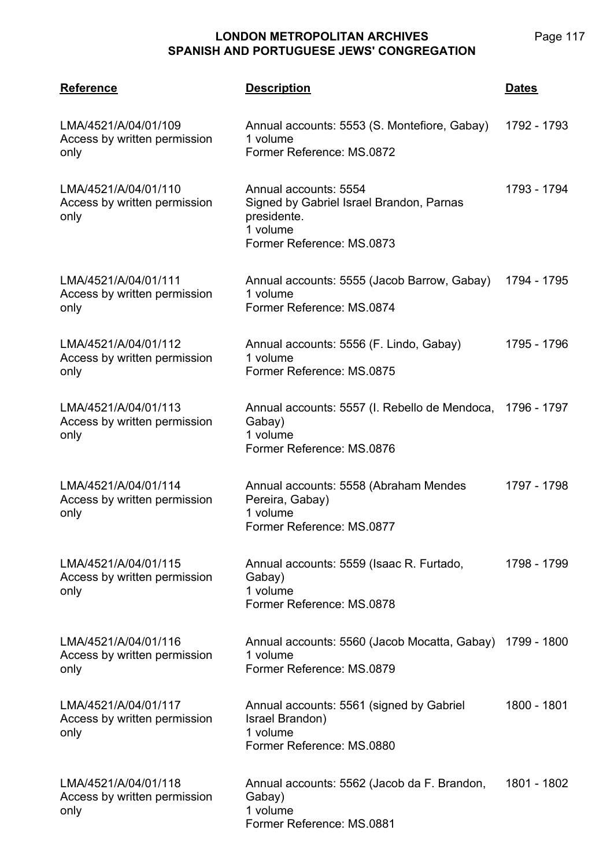| <b>Reference</b>                                             | <b>Description</b>                                                                                                        | <b>Dates</b> |
|--------------------------------------------------------------|---------------------------------------------------------------------------------------------------------------------------|--------------|
| LMA/4521/A/04/01/109<br>Access by written permission<br>only | Annual accounts: 5553 (S. Montefiore, Gabay)<br>1 volume<br>Former Reference: MS.0872                                     | 1792 - 1793  |
| LMA/4521/A/04/01/110<br>Access by written permission<br>only | Annual accounts: 5554<br>Signed by Gabriel Israel Brandon, Parnas<br>presidente.<br>1 volume<br>Former Reference: MS.0873 | 1793 - 1794  |
| LMA/4521/A/04/01/111<br>Access by written permission<br>only | Annual accounts: 5555 (Jacob Barrow, Gabay)<br>1 volume<br>Former Reference: MS.0874                                      | 1794 - 1795  |
| LMA/4521/A/04/01/112<br>Access by written permission<br>only | Annual accounts: 5556 (F. Lindo, Gabay)<br>1 volume<br>Former Reference: MS.0875                                          | 1795 - 1796  |
| LMA/4521/A/04/01/113<br>Access by written permission<br>only | Annual accounts: 5557 (I. Rebello de Mendoca, 1796 - 1797<br>Gabay)<br>1 volume<br>Former Reference: MS.0876              |              |
| LMA/4521/A/04/01/114<br>Access by written permission<br>only | Annual accounts: 5558 (Abraham Mendes<br>Pereira, Gabay)<br>1 volume<br>Former Reference: MS.0877                         | 1797 - 1798  |
| LMA/4521/A/04/01/115<br>Access by written permission<br>only | Annual accounts: 5559 (Isaac R. Furtado,<br>Gabay)<br>1 volume<br>Former Reference: MS.0878                               | 1798 - 1799  |
| LMA/4521/A/04/01/116<br>Access by written permission<br>only | Annual accounts: 5560 (Jacob Mocatta, Gabay)<br>1 volume<br>Former Reference: MS.0879                                     | 1799 - 1800  |
| LMA/4521/A/04/01/117<br>Access by written permission<br>only | Annual accounts: 5561 (signed by Gabriel<br>Israel Brandon)<br>1 volume<br>Former Reference: MS.0880                      | 1800 - 1801  |
| LMA/4521/A/04/01/118<br>Access by written permission<br>only | Annual accounts: 5562 (Jacob da F. Brandon,<br>Gabay)<br>1 volume<br>Former Reference: MS.0881                            | 1801 - 1802  |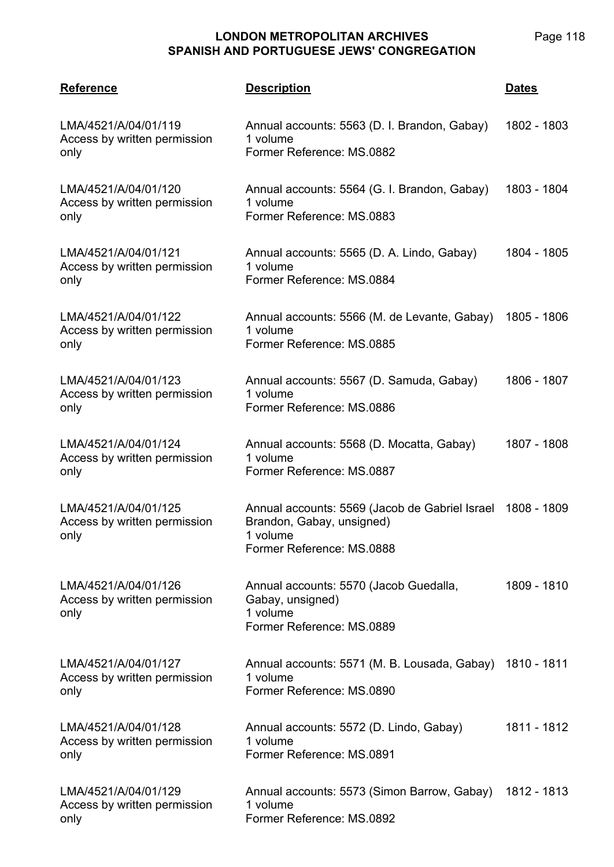| <b>Reference</b>                                             | <u>Description</u>                                                                                                   | <u>Dates</u> |
|--------------------------------------------------------------|----------------------------------------------------------------------------------------------------------------------|--------------|
| LMA/4521/A/04/01/119<br>Access by written permission<br>only | Annual accounts: 5563 (D. I. Brandon, Gabay)<br>1 volume<br>Former Reference: MS.0882                                | 1802 - 1803  |
| LMA/4521/A/04/01/120<br>Access by written permission<br>only | Annual accounts: 5564 (G. I. Brandon, Gabay)<br>1 volume<br>Former Reference: MS.0883                                | 1803 - 1804  |
| LMA/4521/A/04/01/121<br>Access by written permission<br>only | Annual accounts: 5565 (D. A. Lindo, Gabay)<br>1 volume<br>Former Reference: MS.0884                                  | 1804 - 1805  |
| LMA/4521/A/04/01/122<br>Access by written permission<br>only | Annual accounts: 5566 (M. de Levante, Gabay)<br>1 volume<br>Former Reference: MS.0885                                | 1805 - 1806  |
| LMA/4521/A/04/01/123<br>Access by written permission<br>only | Annual accounts: 5567 (D. Samuda, Gabay)<br>1 volume<br>Former Reference: MS.0886                                    | 1806 - 1807  |
| LMA/4521/A/04/01/124<br>Access by written permission<br>only | Annual accounts: 5568 (D. Mocatta, Gabay)<br>1 volume<br>Former Reference: MS.0887                                   | 1807 - 1808  |
| LMA/4521/A/04/01/125<br>Access by written permission<br>only | Annual accounts: 5569 (Jacob de Gabriel Israel<br>Brandon, Gabay, unsigned)<br>1 volume<br>Former Reference: MS.0888 | 1808 - 1809  |
| LMA/4521/A/04/01/126<br>Access by written permission<br>only | Annual accounts: 5570 (Jacob Guedalla,<br>Gabay, unsigned)<br>1 volume<br>Former Reference: MS.0889                  | 1809 - 1810  |
| LMA/4521/A/04/01/127<br>Access by written permission<br>only | Annual accounts: 5571 (M. B. Lousada, Gabay)<br>1 volume<br>Former Reference: MS.0890                                | 1810 - 1811  |
| LMA/4521/A/04/01/128<br>Access by written permission<br>only | Annual accounts: 5572 (D. Lindo, Gabay)<br>1 volume<br>Former Reference: MS.0891                                     | 1811 - 1812  |
| LMA/4521/A/04/01/129<br>Access by written permission<br>only | Annual accounts: 5573 (Simon Barrow, Gabay)<br>1 volume<br>Former Reference: MS.0892                                 | 1812 - 1813  |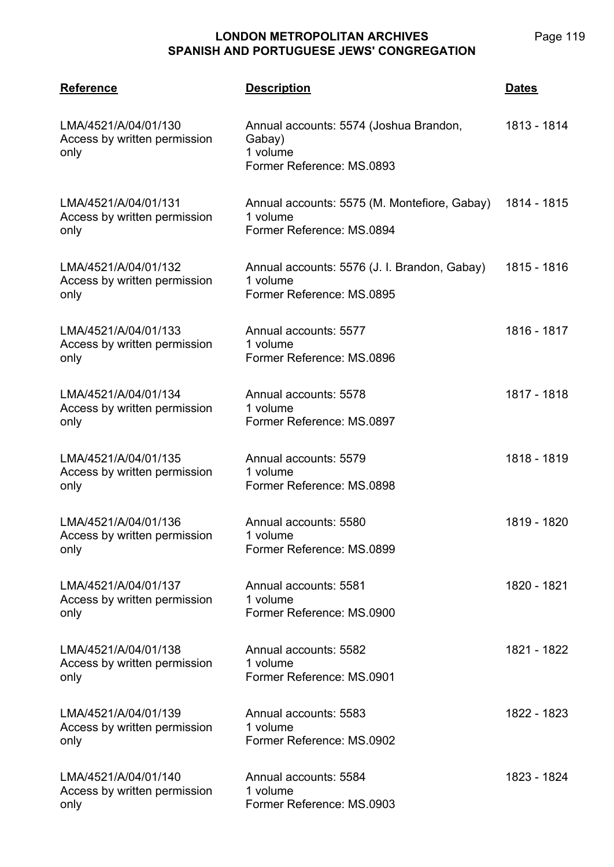| <b>Reference</b>                                             | <b>Description</b>                                                                        | <b>Dates</b> |
|--------------------------------------------------------------|-------------------------------------------------------------------------------------------|--------------|
| LMA/4521/A/04/01/130<br>Access by written permission<br>only | Annual accounts: 5574 (Joshua Brandon,<br>Gabay)<br>1 volume<br>Former Reference: MS.0893 | 1813 - 1814  |
| LMA/4521/A/04/01/131<br>Access by written permission<br>only | Annual accounts: 5575 (M. Montefiore, Gabay)<br>1 volume<br>Former Reference: MS.0894     | 1814 - 1815  |
| LMA/4521/A/04/01/132<br>Access by written permission<br>only | Annual accounts: 5576 (J. I. Brandon, Gabay)<br>1 volume<br>Former Reference: MS.0895     | 1815 - 1816  |
| LMA/4521/A/04/01/133<br>Access by written permission<br>only | Annual accounts: 5577<br>1 volume<br>Former Reference: MS.0896                            | 1816 - 1817  |
| LMA/4521/A/04/01/134<br>Access by written permission<br>only | Annual accounts: 5578<br>1 volume<br>Former Reference: MS.0897                            | 1817 - 1818  |
| LMA/4521/A/04/01/135<br>Access by written permission<br>only | Annual accounts: 5579<br>1 volume<br>Former Reference: MS.0898                            | 1818 - 1819  |
| LMA/4521/A/04/01/136<br>Access by written permission<br>only | Annual accounts: 5580<br>1 volume<br>Former Reference: MS.0899                            | 1819 - 1820  |
| LMA/4521/A/04/01/137<br>Access by written permission<br>only | Annual accounts: 5581<br>1 volume<br>Former Reference: MS.0900                            | 1820 - 1821  |
| LMA/4521/A/04/01/138<br>Access by written permission<br>only | Annual accounts: 5582<br>1 volume<br>Former Reference: MS.0901                            | 1821 - 1822  |
| LMA/4521/A/04/01/139<br>Access by written permission<br>only | Annual accounts: 5583<br>1 volume<br>Former Reference: MS.0902                            | 1822 - 1823  |
| LMA/4521/A/04/01/140<br>Access by written permission<br>only | Annual accounts: 5584<br>1 volume<br>Former Reference: MS.0903                            | 1823 - 1824  |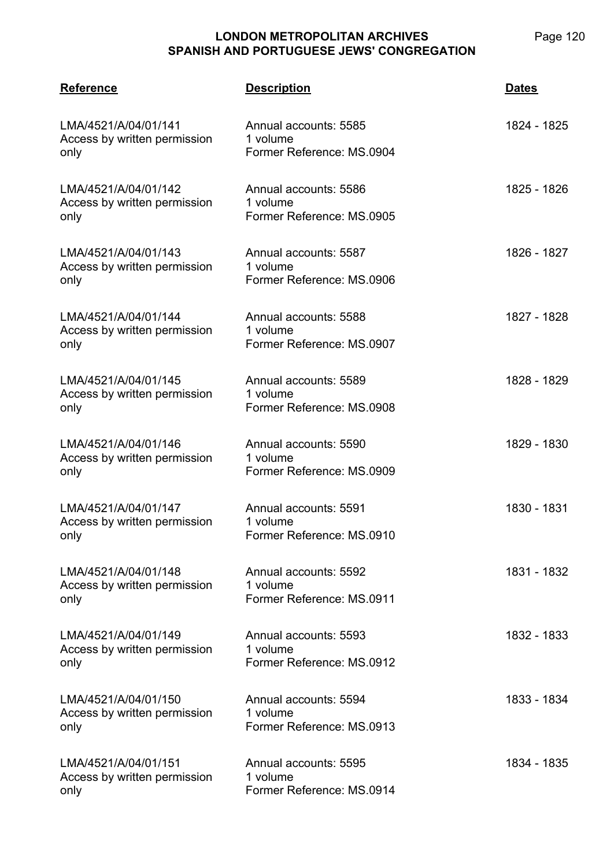| <b>Reference</b>                                             | <b>Description</b>                                             | <b>Dates</b> |
|--------------------------------------------------------------|----------------------------------------------------------------|--------------|
| LMA/4521/A/04/01/141<br>Access by written permission<br>only | Annual accounts: 5585<br>1 volume<br>Former Reference: MS.0904 | 1824 - 1825  |
| LMA/4521/A/04/01/142<br>Access by written permission<br>only | Annual accounts: 5586<br>1 volume<br>Former Reference: MS.0905 | 1825 - 1826  |
| LMA/4521/A/04/01/143<br>Access by written permission<br>only | Annual accounts: 5587<br>1 volume<br>Former Reference: MS.0906 | 1826 - 1827  |
| LMA/4521/A/04/01/144<br>Access by written permission<br>only | Annual accounts: 5588<br>1 volume<br>Former Reference: MS.0907 | 1827 - 1828  |
| LMA/4521/A/04/01/145<br>Access by written permission<br>only | Annual accounts: 5589<br>1 volume<br>Former Reference: MS.0908 | 1828 - 1829  |
| LMA/4521/A/04/01/146<br>Access by written permission<br>only | Annual accounts: 5590<br>1 volume<br>Former Reference: MS.0909 | 1829 - 1830  |
| LMA/4521/A/04/01/147<br>Access by written permission<br>only | Annual accounts: 5591<br>1 volume<br>Former Reference: MS.0910 | 1830 - 1831  |
| LMA/4521/A/04/01/148<br>Access by written permission<br>only | Annual accounts: 5592<br>1 volume<br>Former Reference: MS.0911 | 1831 - 1832  |
| LMA/4521/A/04/01/149<br>Access by written permission<br>only | Annual accounts: 5593<br>1 volume<br>Former Reference: MS.0912 | 1832 - 1833  |
| LMA/4521/A/04/01/150<br>Access by written permission<br>only | Annual accounts: 5594<br>1 volume<br>Former Reference: MS.0913 | 1833 - 1834  |
| LMA/4521/A/04/01/151<br>Access by written permission<br>only | Annual accounts: 5595<br>1 volume<br>Former Reference: MS.0914 | 1834 - 1835  |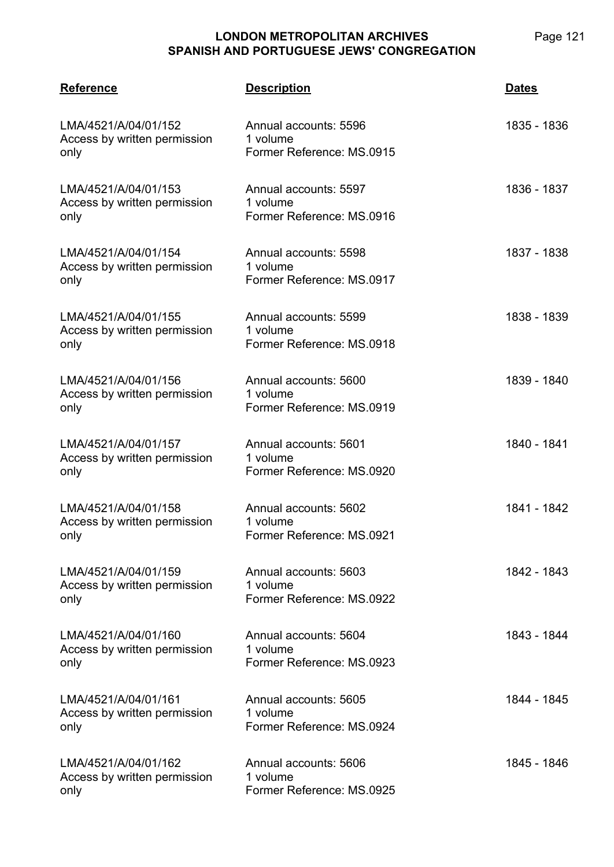| <b>Reference</b>                                             | <b>Description</b>                                             | Dates       |
|--------------------------------------------------------------|----------------------------------------------------------------|-------------|
| LMA/4521/A/04/01/152<br>Access by written permission<br>only | Annual accounts: 5596<br>1 volume<br>Former Reference: MS.0915 | 1835 - 1836 |
| LMA/4521/A/04/01/153<br>Access by written permission<br>only | Annual accounts: 5597<br>1 volume<br>Former Reference: MS.0916 | 1836 - 1837 |
| LMA/4521/A/04/01/154<br>Access by written permission<br>only | Annual accounts: 5598<br>1 volume<br>Former Reference: MS.0917 | 1837 - 1838 |
| LMA/4521/A/04/01/155<br>Access by written permission<br>only | Annual accounts: 5599<br>1 volume<br>Former Reference: MS.0918 | 1838 - 1839 |
| LMA/4521/A/04/01/156<br>Access by written permission<br>only | Annual accounts: 5600<br>1 volume<br>Former Reference: MS.0919 | 1839 - 1840 |
| LMA/4521/A/04/01/157<br>Access by written permission<br>only | Annual accounts: 5601<br>1 volume<br>Former Reference: MS.0920 | 1840 - 1841 |
| LMA/4521/A/04/01/158<br>Access by written permission<br>only | Annual accounts: 5602<br>1 volume<br>Former Reference: MS.0921 | 1841 - 1842 |
| LMA/4521/A/04/01/159<br>Access by written permission<br>only | Annual accounts: 5603<br>1 volume<br>Former Reference: MS.0922 | 1842 - 1843 |
| LMA/4521/A/04/01/160<br>Access by written permission<br>only | Annual accounts: 5604<br>1 volume<br>Former Reference: MS.0923 | 1843 - 1844 |
| LMA/4521/A/04/01/161<br>Access by written permission<br>only | Annual accounts: 5605<br>1 volume<br>Former Reference: MS.0924 | 1844 - 1845 |
| LMA/4521/A/04/01/162<br>Access by written permission<br>only | Annual accounts: 5606<br>1 volume<br>Former Reference: MS.0925 | 1845 - 1846 |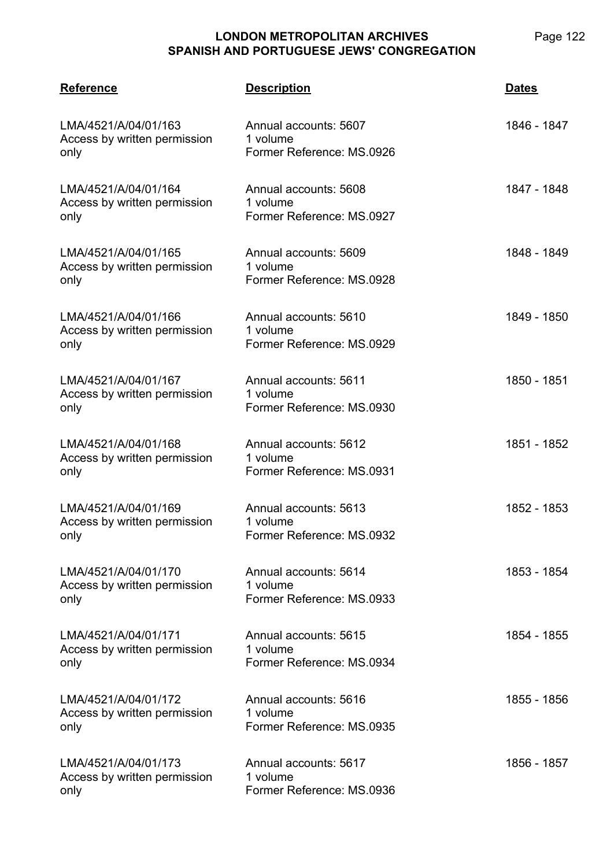| <b>Reference</b>                                             | <b>Description</b>                                             | <b>Dates</b> |
|--------------------------------------------------------------|----------------------------------------------------------------|--------------|
| LMA/4521/A/04/01/163<br>Access by written permission<br>only | Annual accounts: 5607<br>1 volume<br>Former Reference: MS.0926 | 1846 - 1847  |
| LMA/4521/A/04/01/164<br>Access by written permission<br>only | Annual accounts: 5608<br>1 volume<br>Former Reference: MS.0927 | 1847 - 1848  |
| LMA/4521/A/04/01/165<br>Access by written permission<br>only | Annual accounts: 5609<br>1 volume<br>Former Reference: MS.0928 | 1848 - 1849  |
| LMA/4521/A/04/01/166<br>Access by written permission<br>only | Annual accounts: 5610<br>1 volume<br>Former Reference: MS.0929 | 1849 - 1850  |
| LMA/4521/A/04/01/167<br>Access by written permission<br>only | Annual accounts: 5611<br>1 volume<br>Former Reference: MS.0930 | 1850 - 1851  |
| LMA/4521/A/04/01/168<br>Access by written permission<br>only | Annual accounts: 5612<br>1 volume<br>Former Reference: MS.0931 | 1851 - 1852  |
| LMA/4521/A/04/01/169<br>Access by written permission<br>only | Annual accounts: 5613<br>1 volume<br>Former Reference: MS.0932 | 1852 - 1853  |
| LMA/4521/A/04/01/170<br>Access by written permission<br>only | Annual accounts: 5614<br>1 volume<br>Former Reference: MS.0933 | 1853 - 1854  |
| LMA/4521/A/04/01/171<br>Access by written permission<br>only | Annual accounts: 5615<br>1 volume<br>Former Reference: MS.0934 | 1854 - 1855  |
| LMA/4521/A/04/01/172<br>Access by written permission<br>only | Annual accounts: 5616<br>1 volume<br>Former Reference: MS.0935 | 1855 - 1856  |
| LMA/4521/A/04/01/173<br>Access by written permission<br>only | Annual accounts: 5617<br>1 volume<br>Former Reference: MS.0936 | 1856 - 1857  |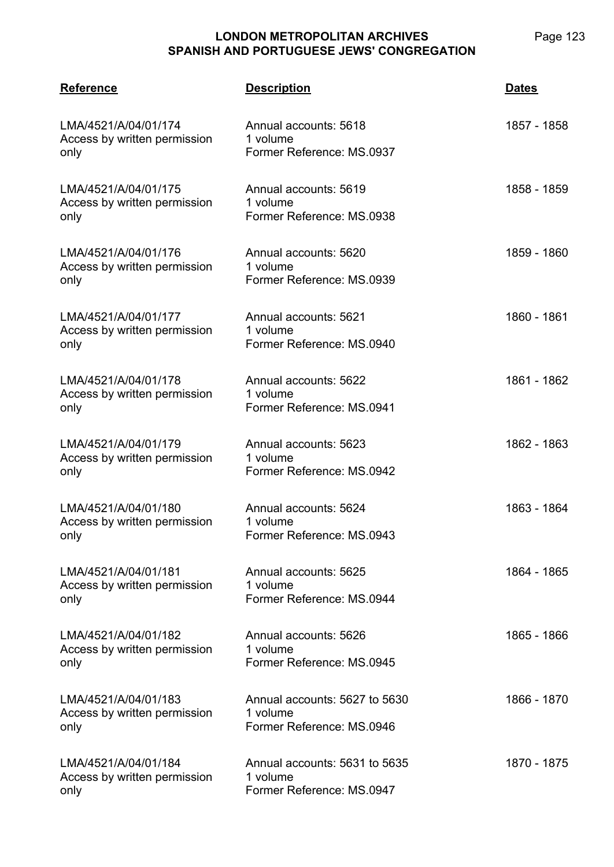| <b>Reference</b>                                             | <b>Description</b>                                                     | <b>Dates</b> |
|--------------------------------------------------------------|------------------------------------------------------------------------|--------------|
| LMA/4521/A/04/01/174<br>Access by written permission<br>only | Annual accounts: 5618<br>1 volume<br>Former Reference: MS.0937         | 1857 - 1858  |
| LMA/4521/A/04/01/175<br>Access by written permission<br>only | Annual accounts: 5619<br>1 volume<br>Former Reference: MS.0938         | 1858 - 1859  |
| LMA/4521/A/04/01/176<br>Access by written permission<br>only | Annual accounts: 5620<br>1 volume<br>Former Reference: MS.0939         | 1859 - 1860  |
| LMA/4521/A/04/01/177<br>Access by written permission<br>only | Annual accounts: 5621<br>1 volume<br>Former Reference: MS.0940         | 1860 - 1861  |
| LMA/4521/A/04/01/178<br>Access by written permission<br>only | Annual accounts: 5622<br>1 volume<br>Former Reference: MS.0941         | 1861 - 1862  |
| LMA/4521/A/04/01/179<br>Access by written permission<br>only | Annual accounts: 5623<br>1 volume<br>Former Reference: MS.0942         | 1862 - 1863  |
| LMA/4521/A/04/01/180<br>Access by written permission<br>only | Annual accounts: 5624<br>1 volume<br>Former Reference: MS.0943         | 1863 - 1864  |
| LMA/4521/A/04/01/181<br>Access by written permission<br>only | Annual accounts: 5625<br>1 volume<br>Former Reference: MS.0944         | 1864 - 1865  |
| LMA/4521/A/04/01/182<br>Access by written permission<br>only | Annual accounts: 5626<br>1 volume<br>Former Reference: MS.0945         | 1865 - 1866  |
| LMA/4521/A/04/01/183<br>Access by written permission<br>only | Annual accounts: 5627 to 5630<br>1 volume<br>Former Reference: MS.0946 | 1866 - 1870  |
| LMA/4521/A/04/01/184<br>Access by written permission<br>only | Annual accounts: 5631 to 5635<br>1 volume<br>Former Reference: MS.0947 | 1870 - 1875  |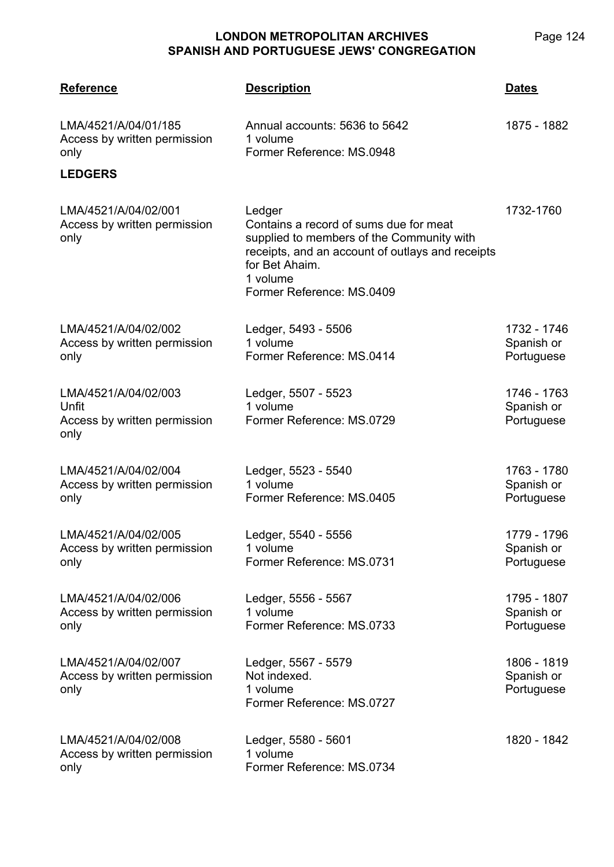| <b>Reference</b>                                                      | <b>Description</b>                                                                                                                                                                                           | <u>Dates</u>                            |
|-----------------------------------------------------------------------|--------------------------------------------------------------------------------------------------------------------------------------------------------------------------------------------------------------|-----------------------------------------|
| LMA/4521/A/04/01/185<br>Access by written permission<br>only          | Annual accounts: 5636 to 5642<br>1 volume<br>Former Reference: MS.0948                                                                                                                                       | 1875 - 1882                             |
| <b>LEDGERS</b>                                                        |                                                                                                                                                                                                              |                                         |
| LMA/4521/A/04/02/001<br>Access by written permission<br>only          | Ledger<br>Contains a record of sums due for meat<br>supplied to members of the Community with<br>receipts, and an account of outlays and receipts<br>for Bet Ahaim.<br>1 volume<br>Former Reference: MS.0409 | 1732-1760                               |
| LMA/4521/A/04/02/002<br>Access by written permission<br>only          | Ledger, 5493 - 5506<br>1 volume<br>Former Reference: MS.0414                                                                                                                                                 | 1732 - 1746<br>Spanish or<br>Portuguese |
| LMA/4521/A/04/02/003<br>Unfit<br>Access by written permission<br>only | Ledger, 5507 - 5523<br>1 volume<br>Former Reference: MS.0729                                                                                                                                                 | 1746 - 1763<br>Spanish or<br>Portuguese |
| LMA/4521/A/04/02/004<br>Access by written permission<br>only          | Ledger, 5523 - 5540<br>1 volume<br>Former Reference: MS.0405                                                                                                                                                 | 1763 - 1780<br>Spanish or<br>Portuguese |
| LMA/4521/A/04/02/005<br>Access by written permission<br>only          | Ledger, 5540 - 5556<br>1 volume<br>Former Reference: MS.0731                                                                                                                                                 | 1779 - 1796<br>Spanish or<br>Portuguese |
| LMA/4521/A/04/02/006<br>Access by written permission<br>only          | Ledger, 5556 - 5567<br>1 volume<br>Former Reference: MS.0733                                                                                                                                                 | 1795 - 1807<br>Spanish or<br>Portuguese |
| LMA/4521/A/04/02/007<br>Access by written permission<br>only          | Ledger, 5567 - 5579<br>Not indexed.<br>1 volume<br>Former Reference: MS.0727                                                                                                                                 | 1806 - 1819<br>Spanish or<br>Portuguese |
| LMA/4521/A/04/02/008<br>Access by written permission<br>only          | Ledger, 5580 - 5601<br>1 volume<br>Former Reference: MS.0734                                                                                                                                                 | 1820 - 1842                             |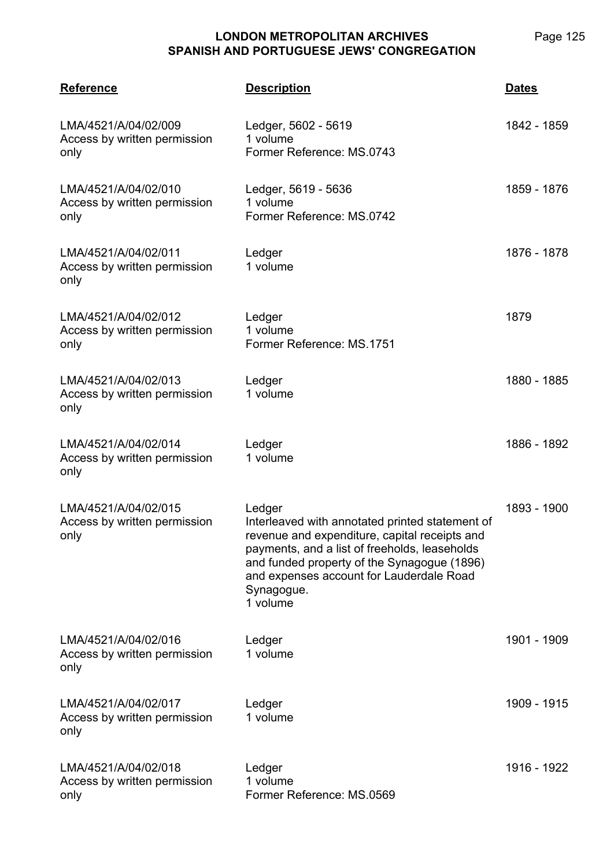| <b>Reference</b>                                             | <u>Description</u>                                                                                                                                                                                                                                                               | <b>Dates</b> |
|--------------------------------------------------------------|----------------------------------------------------------------------------------------------------------------------------------------------------------------------------------------------------------------------------------------------------------------------------------|--------------|
| LMA/4521/A/04/02/009<br>Access by written permission<br>only | Ledger, 5602 - 5619<br>1 volume<br>Former Reference: MS.0743                                                                                                                                                                                                                     | 1842 - 1859  |
| LMA/4521/A/04/02/010<br>Access by written permission<br>only | Ledger, 5619 - 5636<br>1 volume<br>Former Reference: MS.0742                                                                                                                                                                                                                     | 1859 - 1876  |
| LMA/4521/A/04/02/011<br>Access by written permission<br>only | Ledger<br>1 volume                                                                                                                                                                                                                                                               | 1876 - 1878  |
| LMA/4521/A/04/02/012<br>Access by written permission<br>only | Ledger<br>1 volume<br>Former Reference: MS.1751                                                                                                                                                                                                                                  | 1879         |
| LMA/4521/A/04/02/013<br>Access by written permission<br>only | Ledger<br>1 volume                                                                                                                                                                                                                                                               | 1880 - 1885  |
| LMA/4521/A/04/02/014<br>Access by written permission<br>only | Ledger<br>1 volume                                                                                                                                                                                                                                                               | 1886 - 1892  |
| LMA/4521/A/04/02/015<br>Access by written permission<br>only | Ledger<br>Interleaved with annotated printed statement of<br>revenue and expenditure, capital receipts and<br>payments, and a list of freeholds, leaseholds<br>and funded property of the Synagogue (1896)<br>and expenses account for Lauderdale Road<br>Synagogue.<br>1 volume | 1893 - 1900  |
| LMA/4521/A/04/02/016<br>Access by written permission<br>only | Ledger<br>1 volume                                                                                                                                                                                                                                                               | 1901 - 1909  |
| LMA/4521/A/04/02/017<br>Access by written permission<br>only | Ledger<br>1 volume                                                                                                                                                                                                                                                               | 1909 - 1915  |
| LMA/4521/A/04/02/018<br>Access by written permission<br>only | Ledger<br>1 volume<br>Former Reference: MS.0569                                                                                                                                                                                                                                  | 1916 - 1922  |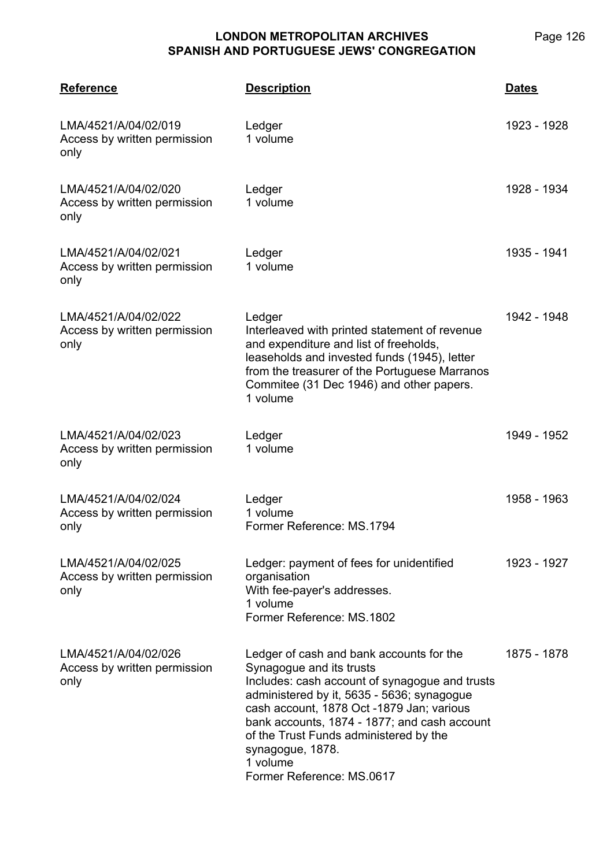| <b>Reference</b>                                             | <b>Description</b>                                                                                                                                                                                                                                                                                                                                                       | <b>Dates</b> |
|--------------------------------------------------------------|--------------------------------------------------------------------------------------------------------------------------------------------------------------------------------------------------------------------------------------------------------------------------------------------------------------------------------------------------------------------------|--------------|
| LMA/4521/A/04/02/019<br>Access by written permission<br>only | Ledger<br>1 volume                                                                                                                                                                                                                                                                                                                                                       | 1923 - 1928  |
| LMA/4521/A/04/02/020<br>Access by written permission<br>only | Ledger<br>1 volume                                                                                                                                                                                                                                                                                                                                                       | 1928 - 1934  |
| LMA/4521/A/04/02/021<br>Access by written permission<br>only | Ledger<br>1 volume                                                                                                                                                                                                                                                                                                                                                       | 1935 - 1941  |
| LMA/4521/A/04/02/022<br>Access by written permission<br>only | Ledger<br>Interleaved with printed statement of revenue<br>and expenditure and list of freeholds,<br>leaseholds and invested funds (1945), letter<br>from the treasurer of the Portuguese Marranos<br>Commitee (31 Dec 1946) and other papers.<br>1 volume                                                                                                               | 1942 - 1948  |
| LMA/4521/A/04/02/023<br>Access by written permission<br>only | Ledger<br>1 volume                                                                                                                                                                                                                                                                                                                                                       | 1949 - 1952  |
| LMA/4521/A/04/02/024<br>Access by written permission<br>only | Ledger<br>1 volume<br>Former Reference: MS.1794                                                                                                                                                                                                                                                                                                                          | 1958 - 1963  |
| LMA/4521/A/04/02/025<br>Access by written permission<br>only | Ledger: payment of fees for unidentified<br>organisation<br>With fee-payer's addresses.<br>1 volume<br>Former Reference: MS.1802                                                                                                                                                                                                                                         | 1923 - 1927  |
| LMA/4521/A/04/02/026<br>Access by written permission<br>only | Ledger of cash and bank accounts for the<br>Synagogue and its trusts<br>Includes: cash account of synagogue and trusts<br>administered by it, 5635 - 5636; synagogue<br>cash account, 1878 Oct -1879 Jan; various<br>bank accounts, 1874 - 1877; and cash account<br>of the Trust Funds administered by the<br>synagogue, 1878.<br>1 volume<br>Former Reference: MS.0617 | 1875 - 1878  |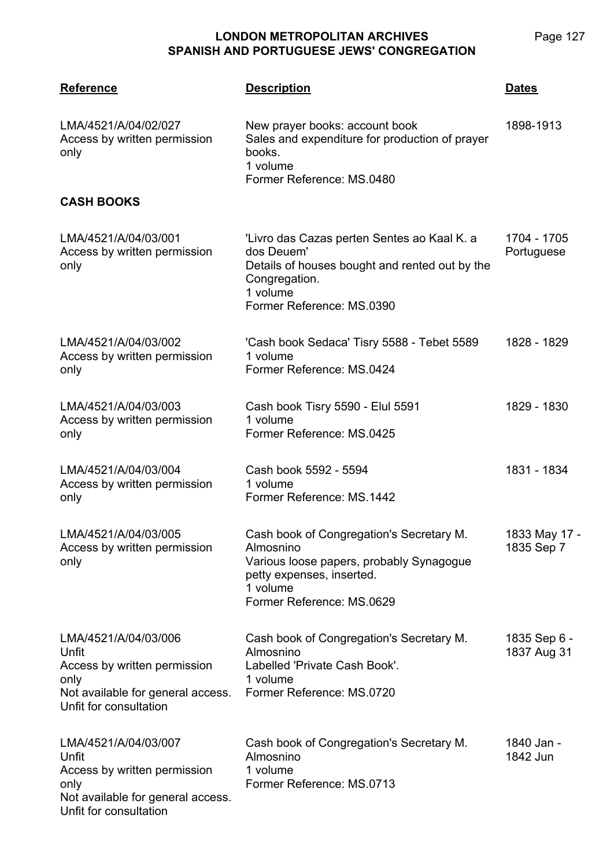| <b>Reference</b>                                                                                                                     | <b>Description</b>                                                                                                                                                      | <b>Dates</b>                |
|--------------------------------------------------------------------------------------------------------------------------------------|-------------------------------------------------------------------------------------------------------------------------------------------------------------------------|-----------------------------|
| LMA/4521/A/04/02/027<br>Access by written permission<br>only                                                                         | New prayer books: account book<br>Sales and expenditure for production of prayer<br>books.<br>1 volume<br>Former Reference: MS.0480                                     | 1898-1913                   |
| <b>CASH BOOKS</b>                                                                                                                    |                                                                                                                                                                         |                             |
| LMA/4521/A/04/03/001<br>Access by written permission<br>only                                                                         | 'Livro das Cazas perten Sentes ao Kaal K. a<br>dos Deuem'<br>Details of houses bought and rented out by the<br>Congregation.<br>1 volume<br>Former Reference: MS.0390   | 1704 - 1705<br>Portuguese   |
| LMA/4521/A/04/03/002<br>Access by written permission<br>only                                                                         | 'Cash book Sedaca' Tisry 5588 - Tebet 5589<br>1 volume<br>Former Reference: MS.0424                                                                                     | 1828 - 1829                 |
| LMA/4521/A/04/03/003<br>Access by written permission<br>only                                                                         | Cash book Tisry 5590 - Elul 5591<br>1 volume<br>Former Reference: MS.0425                                                                                               | 1829 - 1830                 |
| LMA/4521/A/04/03/004<br>Access by written permission<br>only                                                                         | Cash book 5592 - 5594<br>1 volume<br>Former Reference: MS.1442                                                                                                          | 1831 - 1834                 |
| LMA/4521/A/04/03/005<br>Access by written permission<br>only                                                                         | Cash book of Congregation's Secretary M.<br>Almosnino<br>Various loose papers, probably Synagogue<br>petty expenses, inserted.<br>1 volume<br>Former Reference: MS.0629 | 1833 May 17 -<br>1835 Sep 7 |
| LMA/4521/A/04/03/006<br>Unfit<br>Access by written permission<br>only<br>Not available for general access.<br>Unfit for consultation | Cash book of Congregation's Secretary M.<br>Almosnino<br>Labelled 'Private Cash Book'.<br>1 volume<br>Former Reference: MS.0720                                         | 1835 Sep 6 -<br>1837 Aug 31 |
| LMA/4521/A/04/03/007<br>Unfit<br>Access by written permission<br>only<br>Not available for general access.<br>Unfit for consultation | Cash book of Congregation's Secretary M.<br>Almosnino<br>1 volume<br>Former Reference: MS.0713                                                                          | 1840 Jan -<br>1842 Jun      |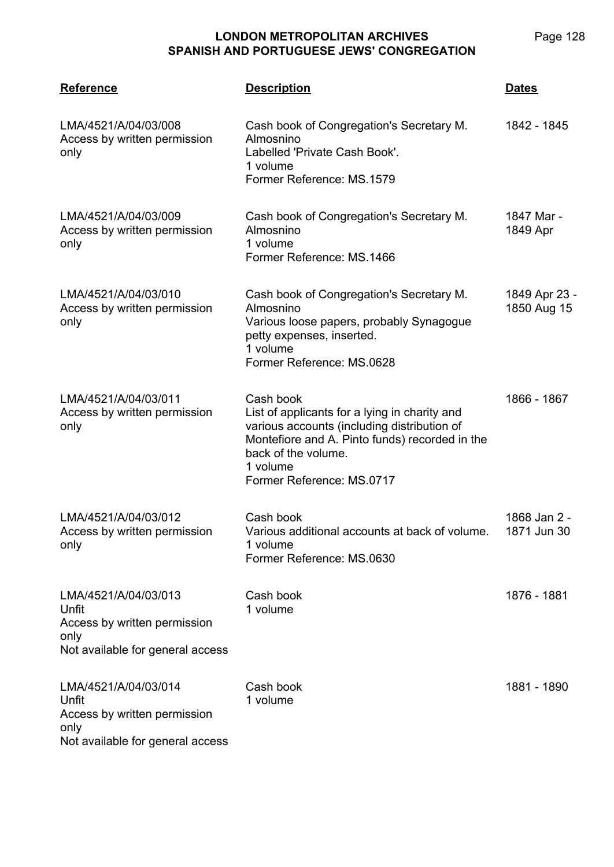| <b>Reference</b>                                                                                          | <b>Description</b>                                                                                                                                                                                                          | <b>Dates</b>                 |
|-----------------------------------------------------------------------------------------------------------|-----------------------------------------------------------------------------------------------------------------------------------------------------------------------------------------------------------------------------|------------------------------|
| LMA/4521/A/04/03/008<br>Access by written permission<br>only                                              | Cash book of Congregation's Secretary M.<br>Almosnino<br>Labelled 'Private Cash Book'.<br>1 volume<br>Former Reference: MS.1579                                                                                             | 1842 - 1845                  |
| LMA/4521/A/04/03/009<br>Access by written permission<br>only                                              | Cash book of Congregation's Secretary M.<br>Almosnino<br>1 volume<br>Former Reference: MS.1466                                                                                                                              | 1847 Mar -<br>1849 Apr       |
| LMA/4521/A/04/03/010<br>Access by written permission<br>only                                              | Cash book of Congregation's Secretary M.<br>Almosnino<br>Various loose papers, probably Synagogue<br>petty expenses, inserted.<br>1 volume<br>Former Reference: MS.0628                                                     | 1849 Apr 23 -<br>1850 Aug 15 |
| LMA/4521/A/04/03/011<br>Access by written permission<br>only                                              | Cash book<br>List of applicants for a lying in charity and<br>various accounts (including distribution of<br>Montefiore and A. Pinto funds) recorded in the<br>back of the volume.<br>1 volume<br>Former Reference: MS.0717 | 1866 - 1867                  |
| LMA/4521/A/04/03/012<br>Access by written permission<br>only                                              | Cash book<br>Various additional accounts at back of volume.<br>1 volume<br>Former Reference: MS.0630                                                                                                                        | 1868 Jan 2 -<br>1871 Jun 30  |
| LMA/4521/A/04/03/013<br>Unfit<br>Access by written permission<br>only<br>Not available for general access | Cash book<br>1 volume                                                                                                                                                                                                       | 1876 - 1881                  |
| LMA/4521/A/04/03/014<br>Unfit<br>Access by written permission<br>only<br>Not available for general access | Cash book<br>1 volume                                                                                                                                                                                                       | 1881 - 1890                  |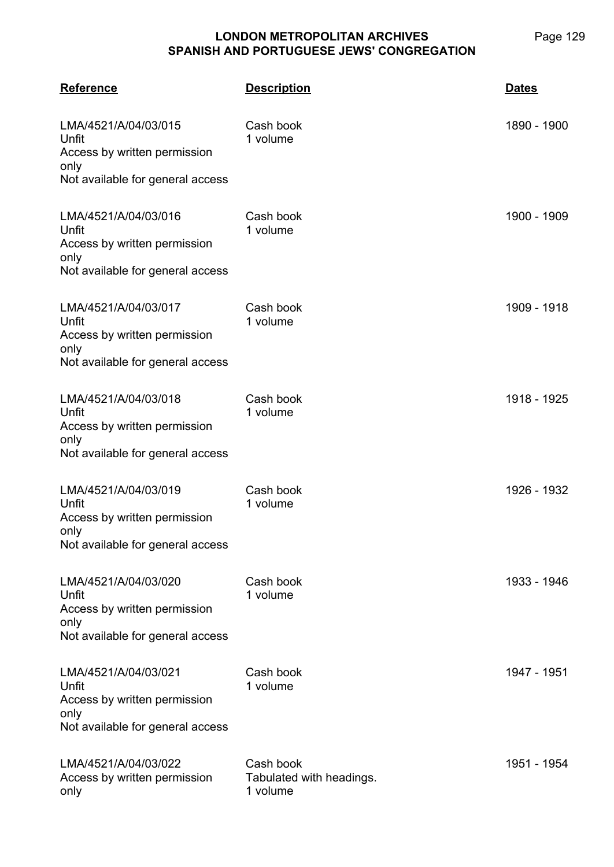**LMA/4521 Reference Description Dates** LMA/4521/A/04/03/015 Unfit Access by written permission only Not available for general access Cash book 1 volume 1890 - 1900 LMA/4521/A/04/03/016 Unfit Access by written permission only Not available for general access Cash book 1 volume 1900 - 1909 LMA/4521/A/04/03/017 Unfit Access by written permission only Not available for general access Cash book 1 volume 1909 - 1918 LMA/4521/A/04/03/018 Unfit Access by written permission only Not available for general access Cash book 1 volume 1918 - 1925 LMA/4521/A/04/03/019 Unfit Access by written permission only Not available for general access Cash book 1 volume 1926 - 1932 LMA/4521/A/04/03/020 Unfit Access by written permission only Not available for general access Cash book 1 volume 1933 - 1946 LMA/4521/A/04/03/021 Unfit Access by written permission only Not available for general access Cash book 1 volume 1947 - 1951 LMA/4521/A/04/03/022 Access by written permission only Cash book Tabulated with headings. 1 volume 1951 - 1954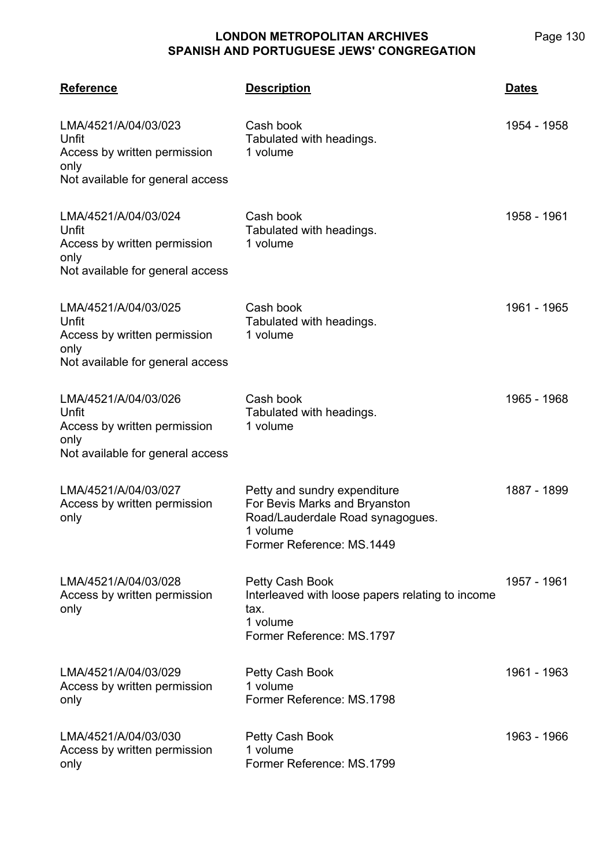| <b>Reference</b>                                                                                          | <u>Description</u>                                                                                                                         | <b>Dates</b> |
|-----------------------------------------------------------------------------------------------------------|--------------------------------------------------------------------------------------------------------------------------------------------|--------------|
| LMA/4521/A/04/03/023<br>Unfit<br>Access by written permission<br>only<br>Not available for general access | Cash book<br>Tabulated with headings.<br>1 volume                                                                                          | 1954 - 1958  |
| LMA/4521/A/04/03/024<br>Unfit<br>Access by written permission<br>only<br>Not available for general access | Cash book<br>Tabulated with headings.<br>1 volume                                                                                          | 1958 - 1961  |
| LMA/4521/A/04/03/025<br>Unfit<br>Access by written permission<br>only<br>Not available for general access | Cash book<br>Tabulated with headings.<br>1 volume                                                                                          | 1961 - 1965  |
| LMA/4521/A/04/03/026<br>Unfit<br>Access by written permission<br>only<br>Not available for general access | Cash book<br>Tabulated with headings.<br>1 volume                                                                                          | 1965 - 1968  |
| LMA/4521/A/04/03/027<br>Access by written permission<br>only                                              | Petty and sundry expenditure<br>For Bevis Marks and Bryanston<br>Road/Lauderdale Road synagogues.<br>1 volume<br>Former Reference: MS.1449 | 1887 - 1899  |
| LMA/4521/A/04/03/028<br>Access by written permission<br>only                                              | Petty Cash Book<br>Interleaved with loose papers relating to income<br>tax.<br>1 volume<br>Former Reference: MS.1797                       | 1957 - 1961  |
| LMA/4521/A/04/03/029<br>Access by written permission<br>only                                              | Petty Cash Book<br>1 volume<br>Former Reference: MS.1798                                                                                   | 1961 - 1963  |
| LMA/4521/A/04/03/030<br>Access by written permission<br>only                                              | Petty Cash Book<br>1 volume<br>Former Reference: MS.1799                                                                                   | 1963 - 1966  |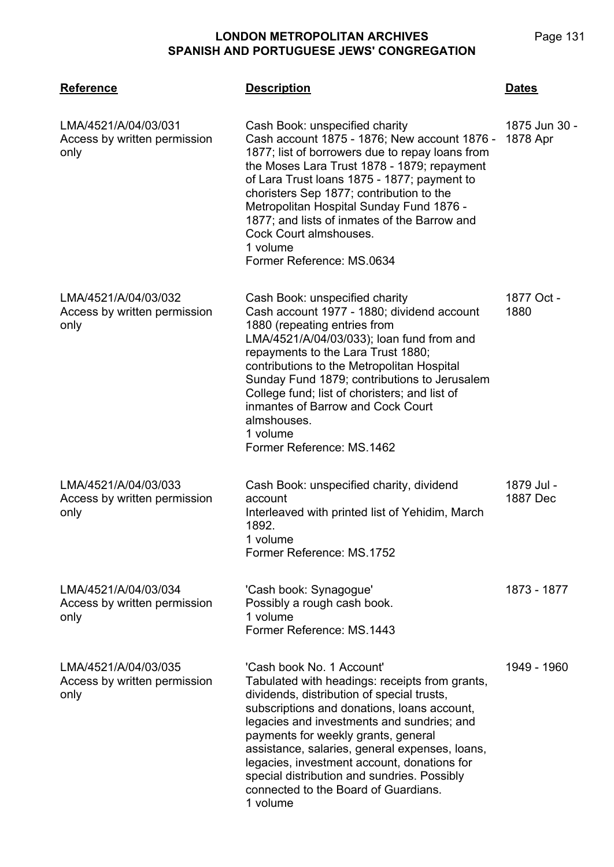**LMA/4521 Reference Description Dates** LMA/4521/A/04/03/031 Access by written permission only Cash Book: unspecified charity Cash account 1875 - 1876; New account 1876 - 1877; list of borrowers due to repay loans from the Moses Lara Trust 1878 - 1879; repayment of Lara Trust loans 1875 - 1877; payment to choristers Sep 1877; contribution to the Metropolitan Hospital Sunday Fund 1876 - 1877; and lists of inmates of the Barrow and Cock Court almshouses. 1 volume Former Reference: MS.0634 1875 Jun 30 - 1878 Apr LMA/4521/A/04/03/032 Access by written permission only Cash Book: unspecified charity Cash account 1977 - 1880; dividend account 1880 (repeating entries from LMA/4521/A/04/03/033); loan fund from and repayments to the Lara Trust 1880; contributions to the Metropolitan Hospital Sunday Fund 1879; contributions to Jerusalem College fund; list of choristers; and list of inmantes of Barrow and Cock Court almshouses. 1 volume Former Reference: MS.1462 1877 Oct - 1880 LMA/4521/A/04/03/033 Access by written permission only Cash Book: unspecified charity, dividend account Interleaved with printed list of Yehidim, March 1892. 1 volume Former Reference: MS.1752 1879 Jul - 1887 Dec LMA/4521/A/04/03/034 Access by written permission only 'Cash book: Synagogue' Possibly a rough cash book. 1 volume Former Reference: MS.1443 1873 - 1877 LMA/4521/A/04/03/035 Access by written permission only 'Cash book No. 1 Account' Tabulated with headings: receipts from grants, dividends, distribution of special trusts, subscriptions and donations, loans account, legacies and investments and sundries; and payments for weekly grants, general assistance, salaries, general expenses, loans, legacies, investment account, donations for special distribution and sundries. Possibly connected to the Board of Guardians. 1 volume 1949 - 1960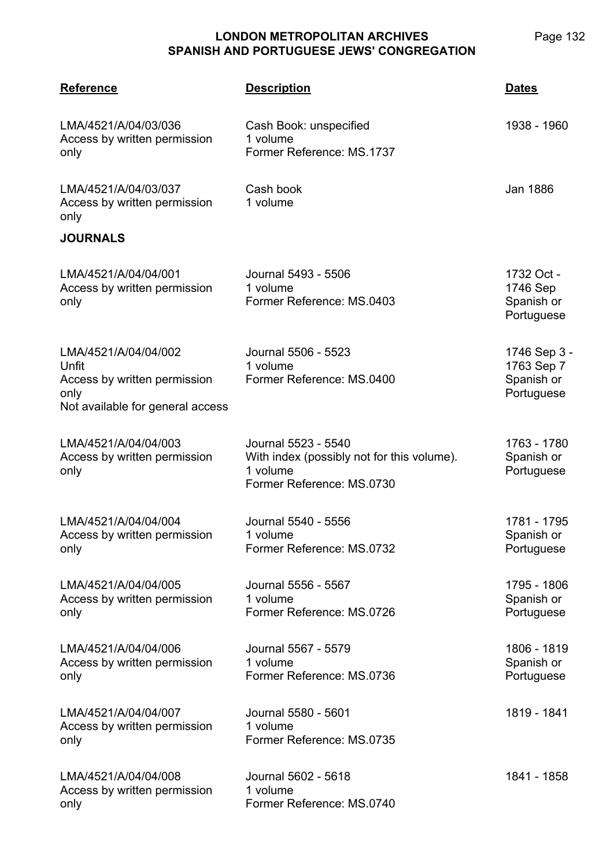| <b>Reference</b>                                                                                          | <b>Description</b>                                                                                         | <b>Dates</b>                                           |
|-----------------------------------------------------------------------------------------------------------|------------------------------------------------------------------------------------------------------------|--------------------------------------------------------|
| LMA/4521/A/04/03/036<br>Access by written permission<br>only                                              | Cash Book: unspecified<br>1 volume<br>Former Reference: MS.1737                                            | 1938 - 1960                                            |
| LMA/4521/A/04/03/037<br>Access by written permission<br>only                                              | Cash book<br>1 volume                                                                                      | Jan 1886                                               |
| <b>JOURNALS</b>                                                                                           |                                                                                                            |                                                        |
| LMA/4521/A/04/04/001<br>Access by written permission<br>only                                              | Journal 5493 - 5506<br>1 volume<br>Former Reference: MS.0403                                               | 1732 Oct -<br>1746 Sep<br>Spanish or<br>Portuguese     |
| LMA/4521/A/04/04/002<br>Unfit<br>Access by written permission<br>only<br>Not available for general access | Journal 5506 - 5523<br>1 volume<br>Former Reference: MS.0400                                               | 1746 Sep 3 -<br>1763 Sep 7<br>Spanish or<br>Portuguese |
| LMA/4521/A/04/04/003<br>Access by written permission<br>only                                              | Journal 5523 - 5540<br>With index (possibly not for this volume).<br>1 volume<br>Former Reference: MS.0730 | 1763 - 1780<br>Spanish or<br>Portuguese                |
| LMA/4521/A/04/04/004<br>Access by written permission<br>only                                              | Journal 5540 - 5556<br>1 volume<br>Former Reference: MS.0732                                               | 1781 - 1795<br>Spanish or<br>Portuguese                |
| LMA/4521/A/04/04/005<br>Access by written permission<br>only                                              | Journal 5556 - 5567<br>1 volume<br>Former Reference: MS.0726                                               | 1795 - 1806<br>Spanish or<br>Portuguese                |
| LMA/4521/A/04/04/006<br>Access by written permission<br>only                                              | Journal 5567 - 5579<br>1 volume<br>Former Reference: MS.0736                                               | 1806 - 1819<br>Spanish or<br>Portuguese                |
| LMA/4521/A/04/04/007<br>Access by written permission<br>only                                              | Journal 5580 - 5601<br>1 volume<br>Former Reference: MS.0735                                               | 1819 - 1841                                            |
| LMA/4521/A/04/04/008<br>Access by written permission<br>only                                              | Journal 5602 - 5618<br>1 volume<br>Former Reference: MS.0740                                               | 1841 - 1858                                            |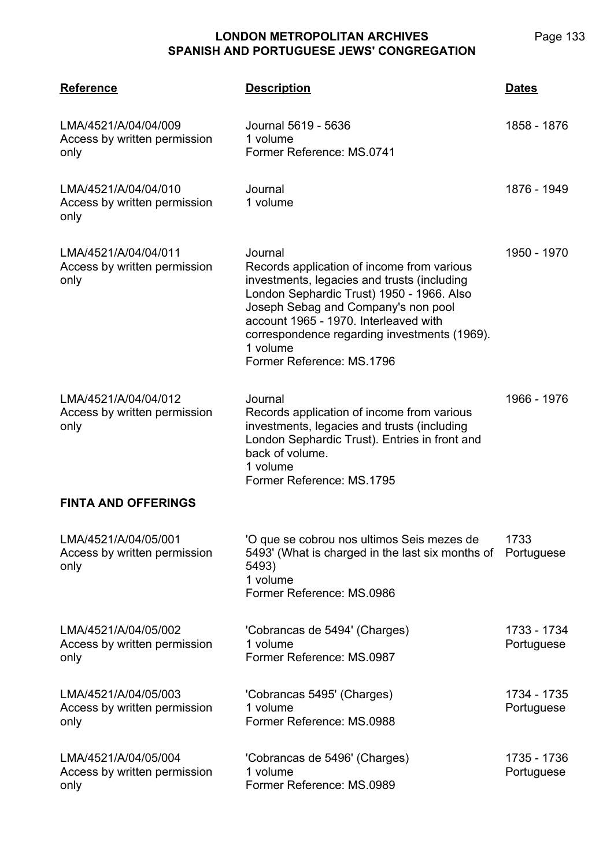| <b>Reference</b>                                             | <b>Description</b>                                                                                                                                                                                                                                                                                                         | <b>Dates</b>              |
|--------------------------------------------------------------|----------------------------------------------------------------------------------------------------------------------------------------------------------------------------------------------------------------------------------------------------------------------------------------------------------------------------|---------------------------|
| LMA/4521/A/04/04/009<br>Access by written permission<br>only | Journal 5619 - 5636<br>1 volume<br>Former Reference: MS.0741                                                                                                                                                                                                                                                               | 1858 - 1876               |
| LMA/4521/A/04/04/010<br>Access by written permission<br>only | Journal<br>1 volume                                                                                                                                                                                                                                                                                                        | 1876 - 1949               |
| LMA/4521/A/04/04/011<br>Access by written permission<br>only | Journal<br>Records application of income from various<br>investments, legacies and trusts (including<br>London Sephardic Trust) 1950 - 1966. Also<br>Joseph Sebag and Company's non pool<br>account 1965 - 1970. Interleaved with<br>correspondence regarding investments (1969).<br>1 volume<br>Former Reference: MS.1796 | 1950 - 1970               |
| LMA/4521/A/04/04/012<br>Access by written permission<br>only | Journal<br>Records application of income from various<br>investments, legacies and trusts (including<br>London Sephardic Trust). Entries in front and<br>back of volume.<br>1 volume<br>Former Reference: MS.1795                                                                                                          | 1966 - 1976               |
| <b>FINTA AND OFFERINGS</b>                                   |                                                                                                                                                                                                                                                                                                                            |                           |
| LMA/4521/A/04/05/001<br>Access by written permission<br>only | 'O que se cobrou nos ultimos Seis mezes de<br>5493' (What is charged in the last six months of<br>5493)<br>1 volume<br>Former Reference: MS.0986                                                                                                                                                                           | 1733<br>Portuguese        |
| LMA/4521/A/04/05/002<br>Access by written permission<br>only | 'Cobrancas de 5494' (Charges)<br>1 volume<br>Former Reference: MS.0987                                                                                                                                                                                                                                                     | 1733 - 1734<br>Portuguese |
| LMA/4521/A/04/05/003<br>Access by written permission<br>only | 'Cobrancas 5495' (Charges)<br>1 volume<br>Former Reference: MS.0988                                                                                                                                                                                                                                                        | 1734 - 1735<br>Portuguese |
| LMA/4521/A/04/05/004<br>Access by written permission<br>only | 'Cobrancas de 5496' (Charges)<br>1 volume<br>Former Reference: MS.0989                                                                                                                                                                                                                                                     | 1735 - 1736<br>Portuguese |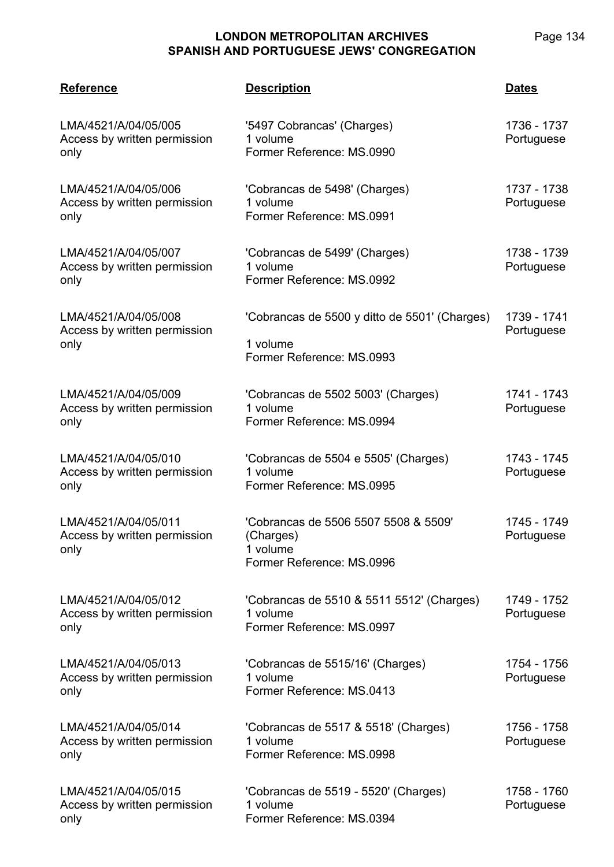| <b>Reference</b>                                             | <b>Description</b>                                                                         | <b>Dates</b>              |
|--------------------------------------------------------------|--------------------------------------------------------------------------------------------|---------------------------|
| LMA/4521/A/04/05/005<br>Access by written permission<br>only | '5497 Cobrancas' (Charges)<br>1 volume<br>Former Reference: MS.0990                        | 1736 - 1737<br>Portuguese |
| LMA/4521/A/04/05/006<br>Access by written permission<br>only | 'Cobrancas de 5498' (Charges)<br>1 volume<br>Former Reference: MS.0991                     | 1737 - 1738<br>Portuguese |
| LMA/4521/A/04/05/007<br>Access by written permission<br>only | 'Cobrancas de 5499' (Charges)<br>1 volume<br>Former Reference: MS.0992                     | 1738 - 1739<br>Portuguese |
| LMA/4521/A/04/05/008<br>Access by written permission<br>only | 'Cobrancas de 5500 y ditto de 5501' (Charges)<br>1 volume<br>Former Reference: MS.0993     | 1739 - 1741<br>Portuguese |
| LMA/4521/A/04/05/009<br>Access by written permission<br>only | 'Cobrancas de 5502 5003' (Charges)<br>1 volume<br>Former Reference: MS.0994                | 1741 - 1743<br>Portuguese |
| LMA/4521/A/04/05/010<br>Access by written permission<br>only | 'Cobrancas de 5504 e 5505' (Charges)<br>1 volume<br>Former Reference: MS.0995              | 1743 - 1745<br>Portuguese |
| LMA/4521/A/04/05/011<br>Access by written permission<br>only | 'Cobrancas de 5506 5507 5508 & 5509'<br>(Charges)<br>1 volume<br>Former Reference: MS.0996 | 1745 - 1749<br>Portuguese |
| LMA/4521/A/04/05/012<br>Access by written permission<br>only | 'Cobrancas de 5510 & 5511 5512' (Charges)<br>1 volume<br>Former Reference: MS.0997         | 1749 - 1752<br>Portuguese |
| LMA/4521/A/04/05/013<br>Access by written permission<br>only | 'Cobrancas de 5515/16' (Charges)<br>1 volume<br>Former Reference: MS.0413                  | 1754 - 1756<br>Portuguese |
| LMA/4521/A/04/05/014<br>Access by written permission<br>only | 'Cobrancas de 5517 & 5518' (Charges)<br>1 volume<br>Former Reference: MS.0998              | 1756 - 1758<br>Portuguese |
| LMA/4521/A/04/05/015<br>Access by written permission<br>only | 'Cobrancas de 5519 - 5520' (Charges)<br>1 volume<br>Former Reference: MS.0394              | 1758 - 1760<br>Portuguese |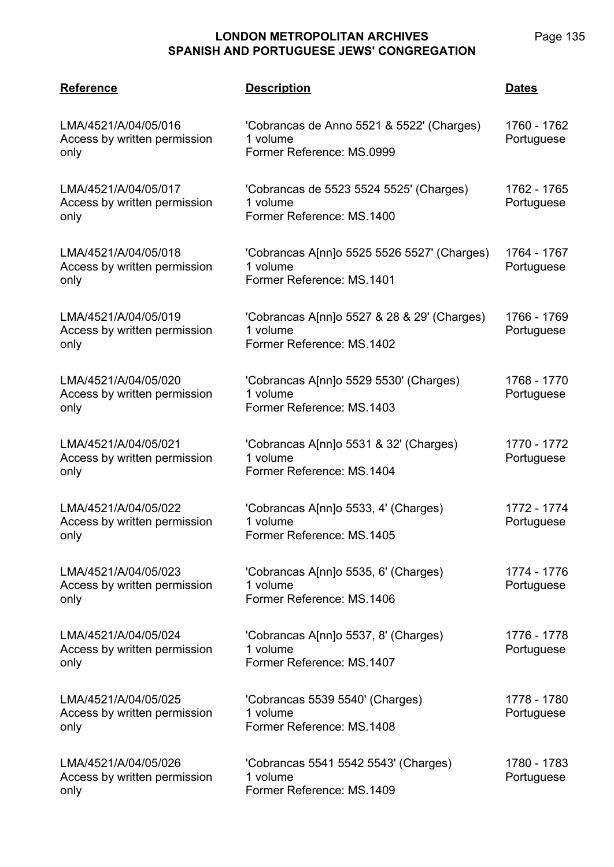| <b>Reference</b>                                             | <b>Description</b>                                                                   | <b>Dates</b>              |
|--------------------------------------------------------------|--------------------------------------------------------------------------------------|---------------------------|
| LMA/4521/A/04/05/016<br>Access by written permission<br>only | 'Cobrancas de Anno 5521 & 5522' (Charges)<br>1 volume<br>Former Reference: MS.0999   | 1760 - 1762<br>Portuguese |
| LMA/4521/A/04/05/017<br>Access by written permission<br>only | 'Cobrancas de 5523 5524 5525' (Charges)<br>1 volume<br>Former Reference: MS.1400     | 1762 - 1765<br>Portuguese |
| LMA/4521/A/04/05/018<br>Access by written permission<br>only | 'Cobrancas A[nn]o 5525 5526 5527' (Charges)<br>1 volume<br>Former Reference: MS.1401 | 1764 - 1767<br>Portuguese |
| LMA/4521/A/04/05/019<br>Access by written permission<br>only | 'Cobrancas A[nn]o 5527 & 28 & 29' (Charges)<br>1 volume<br>Former Reference: MS.1402 | 1766 - 1769<br>Portuguese |
| LMA/4521/A/04/05/020<br>Access by written permission<br>only | 'Cobrancas A[nn]o 5529 5530' (Charges)<br>1 volume<br>Former Reference: MS.1403      | 1768 - 1770<br>Portuguese |
| LMA/4521/A/04/05/021<br>Access by written permission<br>only | 'Cobrancas A[nn]o 5531 & 32' (Charges)<br>1 volume<br>Former Reference: MS.1404      | 1770 - 1772<br>Portuguese |
| LMA/4521/A/04/05/022<br>Access by written permission<br>only | 'Cobrancas A[nn]o 5533, 4' (Charges)<br>1 volume<br>Former Reference: MS.1405        | 1772 - 1774<br>Portuguese |
| LMA/4521/A/04/05/023<br>Access by written permission<br>only | 'Cobrancas A[nn]o 5535, 6' (Charges)<br>1 volume<br>Former Reference: MS.1406        | 1774 - 1776<br>Portuguese |
| LMA/4521/A/04/05/024<br>Access by written permission<br>only | 'Cobrancas A[nn]o 5537, 8' (Charges)<br>1 volume<br>Former Reference: MS.1407        | 1776 - 1778<br>Portuguese |
| LMA/4521/A/04/05/025<br>Access by written permission<br>only | 'Cobrancas 5539 5540' (Charges)<br>1 volume<br>Former Reference: MS.1408             | 1778 - 1780<br>Portuguese |
| LMA/4521/A/04/05/026<br>Access by written permission<br>only | 'Cobrancas 5541 5542 5543' (Charges)<br>1 volume<br>Former Reference: MS.1409        | 1780 - 1783<br>Portuguese |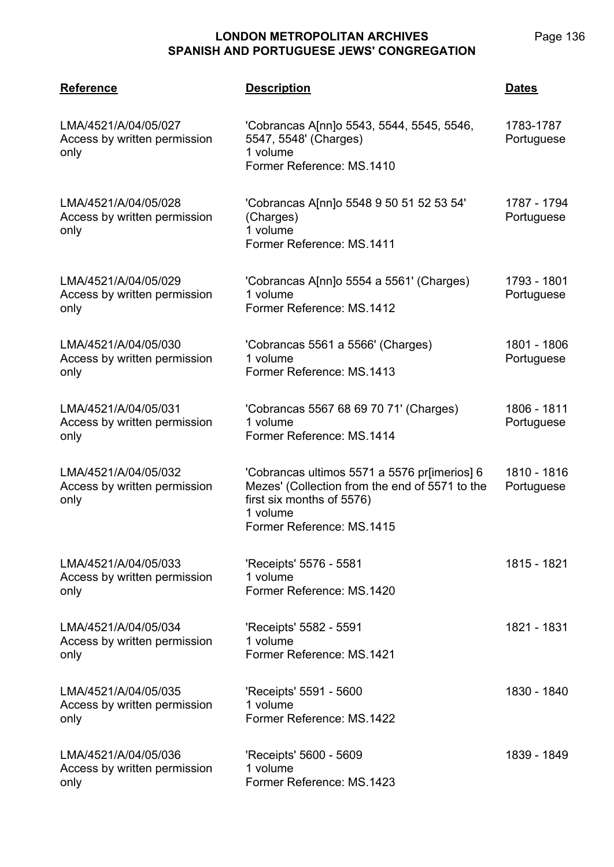| <b>Reference</b>                                             | <b>Description</b>                                                                                                                                                   | <b>Dates</b>              |
|--------------------------------------------------------------|----------------------------------------------------------------------------------------------------------------------------------------------------------------------|---------------------------|
| LMA/4521/A/04/05/027<br>Access by written permission<br>only | 'Cobrancas A[nn]o 5543, 5544, 5545, 5546,<br>5547, 5548' (Charges)<br>1 volume<br>Former Reference: MS.1410                                                          | 1783-1787<br>Portuguese   |
| LMA/4521/A/04/05/028<br>Access by written permission<br>only | 'Cobrancas A[nn]o 5548 9 50 51 52 53 54'<br>(Charges)<br>1 volume<br>Former Reference: MS.1411                                                                       | 1787 - 1794<br>Portuguese |
| LMA/4521/A/04/05/029<br>Access by written permission<br>only | 'Cobrancas A[nn]o 5554 a 5561' (Charges)<br>1 volume<br>Former Reference: MS.1412                                                                                    | 1793 - 1801<br>Portuguese |
| LMA/4521/A/04/05/030<br>Access by written permission<br>only | 'Cobrancas 5561 a 5566' (Charges)<br>1 volume<br>Former Reference: MS.1413                                                                                           | 1801 - 1806<br>Portuguese |
| LMA/4521/A/04/05/031<br>Access by written permission<br>only | 'Cobrancas 5567 68 69 70 71' (Charges)<br>1 volume<br>Former Reference: MS.1414                                                                                      | 1806 - 1811<br>Portuguese |
| LMA/4521/A/04/05/032<br>Access by written permission<br>only | 'Cobrancas ultimos 5571 a 5576 pr[imerios] 6<br>Mezes' (Collection from the end of 5571 to the<br>first six months of 5576)<br>1 volume<br>Former Reference: MS.1415 | 1810 - 1816<br>Portuguese |
| LMA/4521/A/04/05/033<br>Access by written permission<br>only | 'Receipts' 5576 - 5581<br>1 volume<br>Former Reference: MS.1420                                                                                                      | 1815 - 1821               |
| LMA/4521/A/04/05/034<br>Access by written permission<br>only | 'Receipts' 5582 - 5591<br>1 volume<br>Former Reference: MS.1421                                                                                                      | 1821 - 1831               |
| LMA/4521/A/04/05/035<br>Access by written permission<br>only | 'Receipts' 5591 - 5600<br>1 volume<br>Former Reference: MS.1422                                                                                                      | 1830 - 1840               |
| LMA/4521/A/04/05/036<br>Access by written permission<br>only | 'Receipts' 5600 - 5609<br>1 volume<br>Former Reference: MS.1423                                                                                                      | 1839 - 1849               |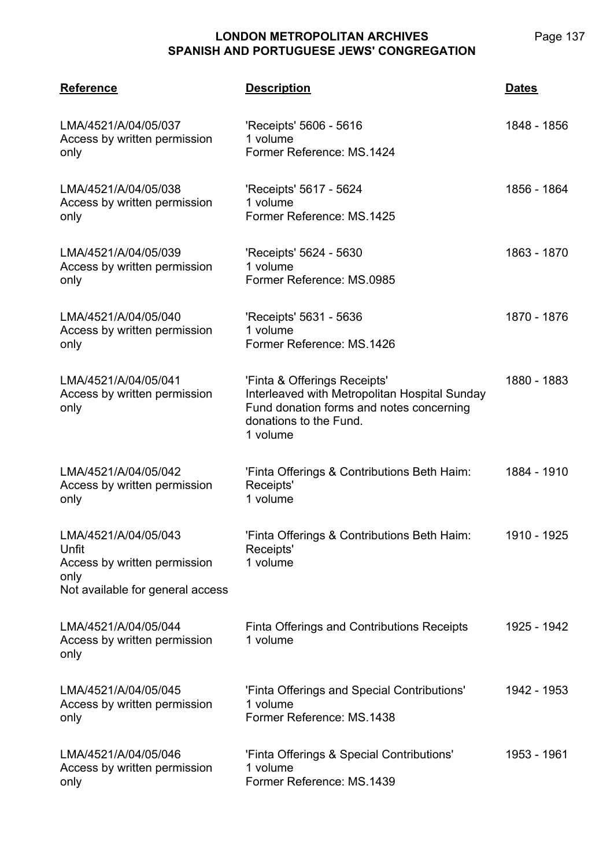| <b>Reference</b>                                                                                          | <b>Description</b>                                                                                                                                              | <b>Dates</b> |
|-----------------------------------------------------------------------------------------------------------|-----------------------------------------------------------------------------------------------------------------------------------------------------------------|--------------|
| LMA/4521/A/04/05/037<br>Access by written permission<br>only                                              | 'Receipts' 5606 - 5616<br>1 volume<br>Former Reference: MS.1424                                                                                                 | 1848 - 1856  |
| LMA/4521/A/04/05/038<br>Access by written permission<br>only                                              | 'Receipts' 5617 - 5624<br>1 volume<br>Former Reference: MS.1425                                                                                                 | 1856 - 1864  |
| LMA/4521/A/04/05/039<br>Access by written permission<br>only                                              | 'Receipts' 5624 - 5630<br>1 volume<br>Former Reference: MS.0985                                                                                                 | 1863 - 1870  |
| LMA/4521/A/04/05/040<br>Access by written permission<br>only                                              | 'Receipts' 5631 - 5636<br>1 volume<br>Former Reference: MS.1426                                                                                                 | 1870 - 1876  |
| LMA/4521/A/04/05/041<br>Access by written permission<br>only                                              | 'Finta & Offerings Receipts'<br>Interleaved with Metropolitan Hospital Sunday<br>Fund donation forms and notes concerning<br>donations to the Fund.<br>1 volume | 1880 - 1883  |
| LMA/4521/A/04/05/042<br>Access by written permission<br>only                                              | 'Finta Offerings & Contributions Beth Haim:<br>Receipts'<br>1 volume                                                                                            | 1884 - 1910  |
| LMA/4521/A/04/05/043<br>Unfit<br>Access by written permission<br>only<br>Not available for general access | 'Finta Offerings & Contributions Beth Haim:<br>Receipts'<br>1 volume                                                                                            | 1910 - 1925  |
| LMA/4521/A/04/05/044<br>Access by written permission<br>only                                              | Finta Offerings and Contributions Receipts<br>1 volume                                                                                                          | 1925 - 1942  |
| LMA/4521/A/04/05/045<br>Access by written permission<br>only                                              | 'Finta Offerings and Special Contributions'<br>1 volume<br>Former Reference: MS.1438                                                                            | 1942 - 1953  |
| LMA/4521/A/04/05/046<br>Access by written permission<br>only                                              | 'Finta Offerings & Special Contributions'<br>1 volume<br>Former Reference: MS.1439                                                                              | 1953 - 1961  |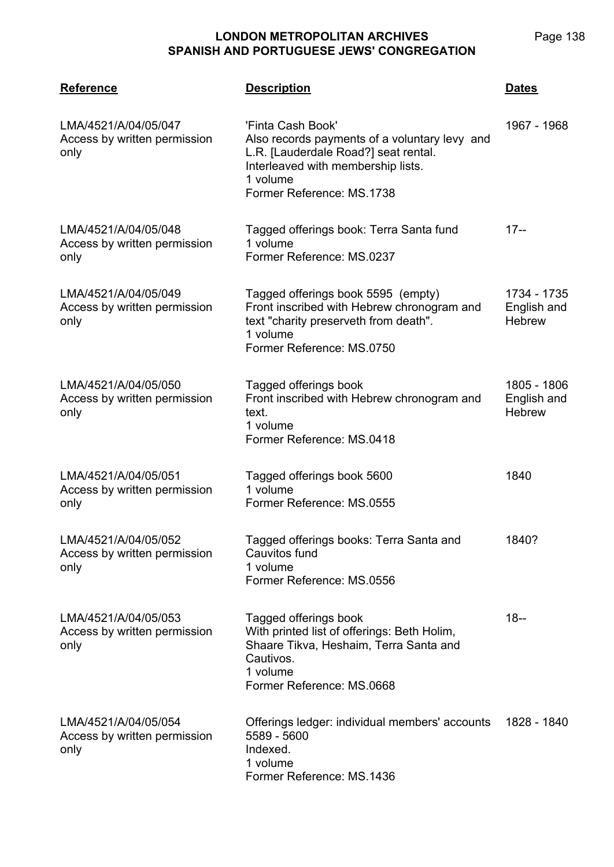| <b>Reference</b>                                             | <b>Description</b>                                                                                                                                                                        | <b>Dates</b>                                |
|--------------------------------------------------------------|-------------------------------------------------------------------------------------------------------------------------------------------------------------------------------------------|---------------------------------------------|
| LMA/4521/A/04/05/047<br>Access by written permission<br>only | 'Finta Cash Book'<br>Also records payments of a voluntary levy and<br>L.R. [Lauderdale Road?] seat rental.<br>Interleaved with membership lists.<br>1 volume<br>Former Reference: MS.1738 | 1967 - 1968                                 |
| LMA/4521/A/04/05/048<br>Access by written permission<br>only | Tagged offerings book: Terra Santa fund<br>1 volume<br>Former Reference: MS.0237                                                                                                          | $17 -$                                      |
| LMA/4521/A/04/05/049<br>Access by written permission<br>only | Tagged offerings book 5595 (empty)<br>Front inscribed with Hebrew chronogram and<br>text "charity preserveth from death".<br>1 volume<br>Former Reference: MS.0750                        | 1734 - 1735<br>English and<br><b>Hebrew</b> |
| LMA/4521/A/04/05/050<br>Access by written permission<br>only | Tagged offerings book<br>Front inscribed with Hebrew chronogram and<br>text.<br>1 volume<br>Former Reference: MS.0418                                                                     | 1805 - 1806<br>English and<br><b>Hebrew</b> |
| LMA/4521/A/04/05/051<br>Access by written permission<br>only | Tagged offerings book 5600<br>1 volume<br>Former Reference: MS.0555                                                                                                                       | 1840                                        |
| LMA/4521/A/04/05/052<br>Access by written permission<br>only | Tagged offerings books: Terra Santa and<br>Cauvitos fund<br>1 volume<br>Former Reference: MS.0556                                                                                         | 1840?                                       |
| LMA/4521/A/04/05/053<br>Access by written permission<br>only | Tagged offerings book<br>With printed list of offerings: Beth Holim,<br>Shaare Tikva, Heshaim, Terra Santa and<br>Cautivos.<br>1 volume<br>Former Reference: MS.0668                      | $18 -$                                      |
| LMA/4521/A/04/05/054<br>Access by written permission<br>only | Offerings ledger: individual members' accounts<br>5589 - 5600<br>Indexed.<br>1 volume<br>Former Reference: MS.1436                                                                        | 1828 - 1840                                 |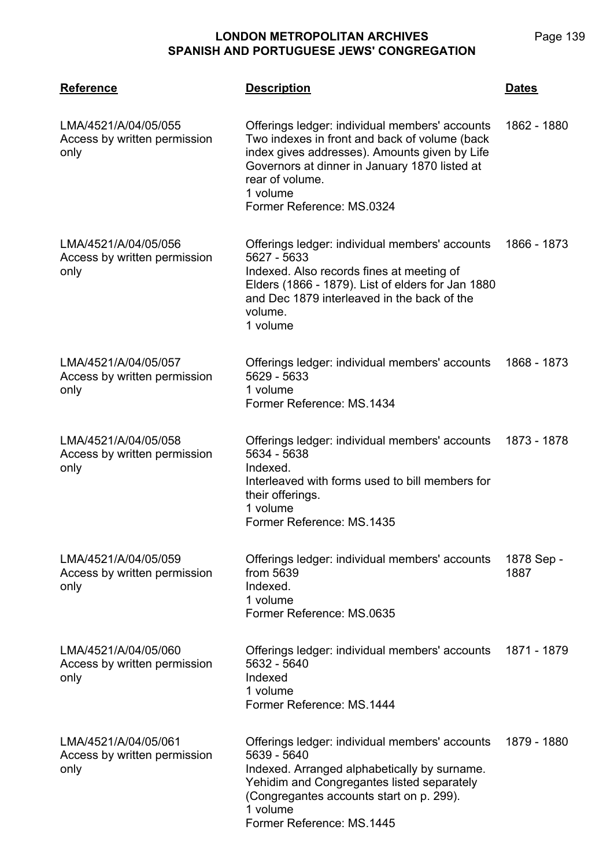| <b>Reference</b>                                             | <b>Description</b>                                                                                                                                                                                                                                            | <b>Dates</b>       |
|--------------------------------------------------------------|---------------------------------------------------------------------------------------------------------------------------------------------------------------------------------------------------------------------------------------------------------------|--------------------|
| LMA/4521/A/04/05/055<br>Access by written permission<br>only | Offerings ledger: individual members' accounts<br>Two indexes in front and back of volume (back<br>index gives addresses). Amounts given by Life<br>Governors at dinner in January 1870 listed at<br>rear of volume.<br>1 volume<br>Former Reference: MS.0324 | 1862 - 1880        |
| LMA/4521/A/04/05/056<br>Access by written permission<br>only | Offerings ledger: individual members' accounts<br>5627 - 5633<br>Indexed. Also records fines at meeting of<br>Elders (1866 - 1879). List of elders for Jan 1880<br>and Dec 1879 interleaved in the back of the<br>volume.<br>1 volume                         | 1866 - 1873        |
| LMA/4521/A/04/05/057<br>Access by written permission<br>only | Offerings ledger: individual members' accounts<br>5629 - 5633<br>1 volume<br>Former Reference: MS.1434                                                                                                                                                        | 1868 - 1873        |
| LMA/4521/A/04/05/058<br>Access by written permission<br>only | Offerings ledger: individual members' accounts<br>5634 - 5638<br>Indexed.<br>Interleaved with forms used to bill members for<br>their offerings.<br>1 volume<br>Former Reference: MS.1435                                                                     | 1873 - 1878        |
| LMA/4521/A/04/05/059<br>Access by written permission<br>only | Offerings ledger: individual members' accounts<br>from 5639<br>Indexed.<br>1 volume<br>Former Reference: MS.0635                                                                                                                                              | 1878 Sep -<br>1887 |
| LMA/4521/A/04/05/060<br>Access by written permission<br>only | Offerings ledger: individual members' accounts<br>5632 - 5640<br>Indexed<br>1 volume<br>Former Reference: MS.1444                                                                                                                                             | 1871 - 1879        |
| LMA/4521/A/04/05/061<br>Access by written permission<br>only | Offerings ledger: individual members' accounts<br>5639 - 5640<br>Indexed. Arranged alphabetically by surname.<br>Yehidim and Congregantes listed separately<br>(Congregantes accounts start on p. 299).<br>1 volume<br>Former Reference: MS.1445              | 1879 - 1880        |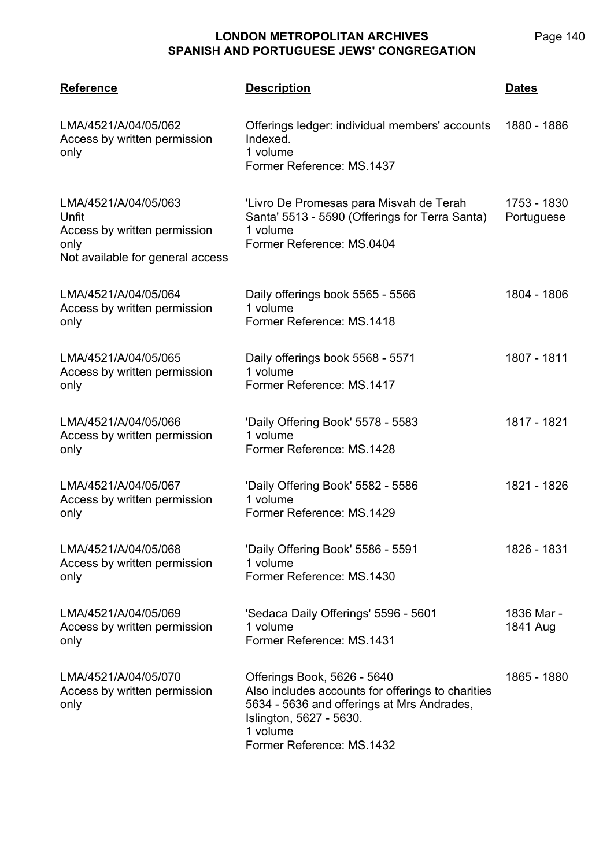| <b>Reference</b>                                                                                          | <b>Description</b>                                                                                                                                                                                 | <b>Dates</b>              |
|-----------------------------------------------------------------------------------------------------------|----------------------------------------------------------------------------------------------------------------------------------------------------------------------------------------------------|---------------------------|
| LMA/4521/A/04/05/062<br>Access by written permission<br>only                                              | Offerings ledger: individual members' accounts<br>Indexed.<br>1 volume<br>Former Reference: MS.1437                                                                                                | 1880 - 1886               |
| LMA/4521/A/04/05/063<br>Unfit<br>Access by written permission<br>only<br>Not available for general access | 'Livro De Promesas para Misvah de Terah<br>Santa' 5513 - 5590 (Offerings for Terra Santa)<br>1 volume<br>Former Reference: MS.0404                                                                 | 1753 - 1830<br>Portuguese |
| LMA/4521/A/04/05/064<br>Access by written permission<br>only                                              | Daily offerings book 5565 - 5566<br>1 volume<br>Former Reference: MS.1418                                                                                                                          | 1804 - 1806               |
| LMA/4521/A/04/05/065<br>Access by written permission<br>only                                              | Daily offerings book 5568 - 5571<br>1 volume<br>Former Reference: MS.1417                                                                                                                          | 1807 - 1811               |
| LMA/4521/A/04/05/066<br>Access by written permission<br>only                                              | 'Daily Offering Book' 5578 - 5583<br>1 volume<br>Former Reference: MS.1428                                                                                                                         | 1817 - 1821               |
| LMA/4521/A/04/05/067<br>Access by written permission<br>only                                              | 'Daily Offering Book' 5582 - 5586<br>1 volume<br>Former Reference: MS.1429                                                                                                                         | 1821 - 1826               |
| LMA/4521/A/04/05/068<br>Access by written permission<br>only                                              | 'Daily Offering Book' 5586 - 5591<br>1 volume<br>Former Reference: MS.1430                                                                                                                         | 1826 - 1831               |
| LMA/4521/A/04/05/069<br>Access by written permission<br>only                                              | 'Sedaca Daily Offerings' 5596 - 5601<br>1 volume<br>Former Reference: MS.1431                                                                                                                      | 1836 Mar -<br>1841 Aug    |
| LMA/4521/A/04/05/070<br>Access by written permission<br>only                                              | Offerings Book, 5626 - 5640<br>Also includes accounts for offerings to charities<br>5634 - 5636 and offerings at Mrs Andrades,<br>Islington, 5627 - 5630.<br>1 volume<br>Former Reference: MS.1432 | 1865 - 1880               |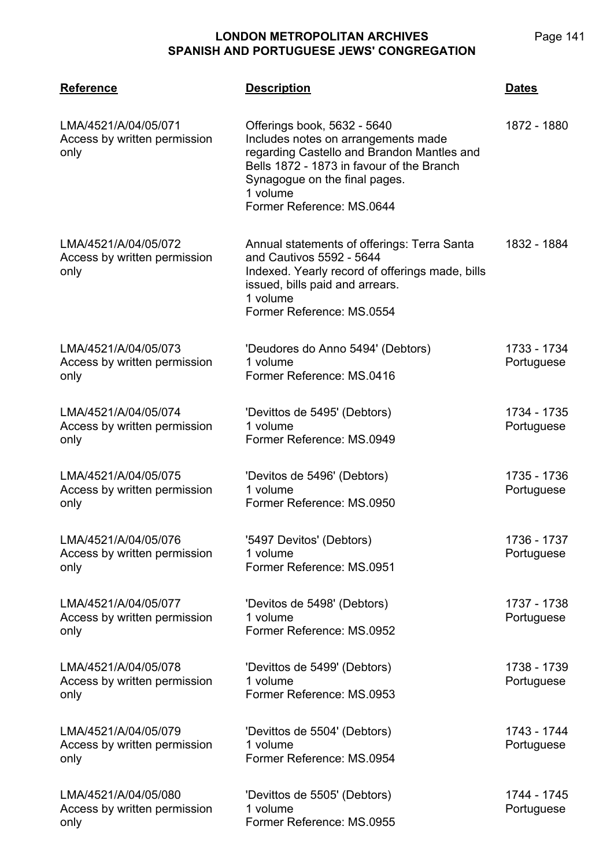| <b>Reference</b>                                             | <b>Description</b>                                                                                                                                                                                                                      | <b>Dates</b>              |
|--------------------------------------------------------------|-----------------------------------------------------------------------------------------------------------------------------------------------------------------------------------------------------------------------------------------|---------------------------|
| LMA/4521/A/04/05/071<br>Access by written permission<br>only | Offerings book, 5632 - 5640<br>Includes notes on arrangements made<br>regarding Castello and Brandon Mantles and<br>Bells 1872 - 1873 in favour of the Branch<br>Synagogue on the final pages.<br>1 volume<br>Former Reference: MS.0644 | 1872 - 1880               |
| LMA/4521/A/04/05/072<br>Access by written permission<br>only | Annual statements of offerings: Terra Santa<br>and Cautivos 5592 - 5644<br>Indexed. Yearly record of offerings made, bills<br>issued, bills paid and arrears.<br>1 volume<br>Former Reference: MS.0554                                  | 1832 - 1884               |
| LMA/4521/A/04/05/073<br>Access by written permission<br>only | 'Deudores do Anno 5494' (Debtors)<br>1 volume<br>Former Reference: MS.0416                                                                                                                                                              | 1733 - 1734<br>Portuguese |
| LMA/4521/A/04/05/074<br>Access by written permission<br>only | 'Devittos de 5495' (Debtors)<br>1 volume<br>Former Reference: MS.0949                                                                                                                                                                   | 1734 - 1735<br>Portuguese |
| LMA/4521/A/04/05/075<br>Access by written permission<br>only | 'Devitos de 5496' (Debtors)<br>1 volume<br>Former Reference: MS.0950                                                                                                                                                                    | 1735 - 1736<br>Portuguese |
| LMA/4521/A/04/05/076<br>Access by written permission<br>only | '5497 Devitos' (Debtors)<br>1 volume<br>Former Reference: MS.0951                                                                                                                                                                       | 1736 - 1737<br>Portuguese |
| LMA/4521/A/04/05/077<br>Access by written permission<br>only | 'Devitos de 5498' (Debtors)<br>1 volume<br>Former Reference: MS.0952                                                                                                                                                                    | 1737 - 1738<br>Portuguese |
| LMA/4521/A/04/05/078<br>Access by written permission<br>only | 'Devittos de 5499' (Debtors)<br>1 volume<br>Former Reference: MS.0953                                                                                                                                                                   | 1738 - 1739<br>Portuguese |
| LMA/4521/A/04/05/079<br>Access by written permission<br>only | 'Devittos de 5504' (Debtors)<br>1 volume<br>Former Reference: MS.0954                                                                                                                                                                   | 1743 - 1744<br>Portuguese |
| LMA/4521/A/04/05/080<br>Access by written permission<br>only | 'Devittos de 5505' (Debtors)<br>1 volume<br>Former Reference: MS.0955                                                                                                                                                                   | 1744 - 1745<br>Portuguese |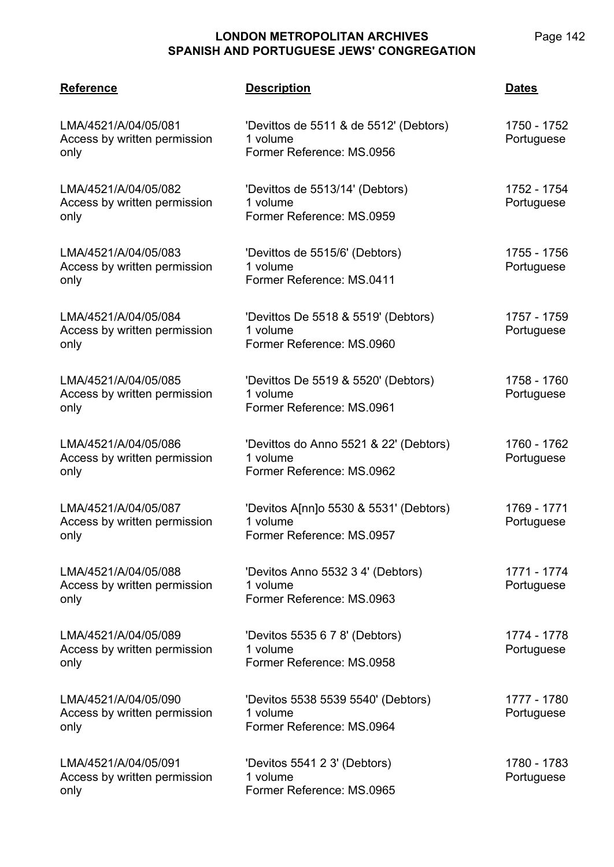| <b>Reference</b>                                             | <b>Description</b>                                                              | <b>Dates</b>              |
|--------------------------------------------------------------|---------------------------------------------------------------------------------|---------------------------|
| LMA/4521/A/04/05/081<br>Access by written permission<br>only | 'Devittos de 5511 & de 5512' (Debtors)<br>1 volume<br>Former Reference: MS.0956 | 1750 - 1752<br>Portuguese |
| LMA/4521/A/04/05/082<br>Access by written permission<br>only | 'Devittos de 5513/14' (Debtors)<br>1 volume<br>Former Reference: MS.0959        | 1752 - 1754<br>Portuguese |
| LMA/4521/A/04/05/083<br>Access by written permission<br>only | 'Devittos de 5515/6' (Debtors)<br>1 volume<br>Former Reference: MS.0411         | 1755 - 1756<br>Portuguese |
| LMA/4521/A/04/05/084<br>Access by written permission<br>only | 'Devittos De 5518 & 5519' (Debtors)<br>1 volume<br>Former Reference: MS.0960    | 1757 - 1759<br>Portuguese |
| LMA/4521/A/04/05/085<br>Access by written permission<br>only | 'Devittos De 5519 & 5520' (Debtors)<br>1 volume<br>Former Reference: MS.0961    | 1758 - 1760<br>Portuguese |
| LMA/4521/A/04/05/086<br>Access by written permission<br>only | 'Devittos do Anno 5521 & 22' (Debtors)<br>1 volume<br>Former Reference: MS.0962 | 1760 - 1762<br>Portuguese |
| LMA/4521/A/04/05/087<br>Access by written permission<br>only | 'Devitos A[nn]o 5530 & 5531' (Debtors)<br>1 volume<br>Former Reference: MS.0957 | 1769 - 1771<br>Portuguese |
| LMA/4521/A/04/05/088<br>Access by written permission<br>only | 'Devitos Anno 5532 3 4' (Debtors)<br>1 volume<br>Former Reference: MS.0963      | 1771 - 1774<br>Portuguese |
| LMA/4521/A/04/05/089<br>Access by written permission<br>only | 'Devitos 5535 6 7 8' (Debtors)<br>1 volume<br>Former Reference: MS.0958         | 1774 - 1778<br>Portuguese |
| LMA/4521/A/04/05/090<br>Access by written permission<br>only | 'Devitos 5538 5539 5540' (Debtors)<br>1 volume<br>Former Reference: MS.0964     | 1777 - 1780<br>Portuguese |
| LMA/4521/A/04/05/091<br>Access by written permission<br>only | 'Devitos 5541 2 3' (Debtors)<br>1 volume<br>Former Reference: MS.0965           | 1780 - 1783<br>Portuguese |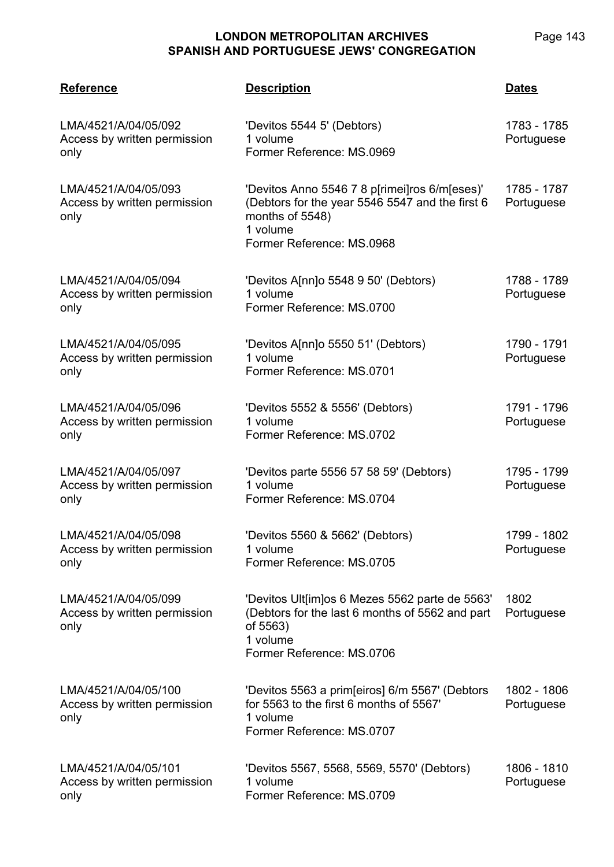| <b>Reference</b>                                             | <b>Description</b>                                                                                                                                           | <u>Dates</u>              |
|--------------------------------------------------------------|--------------------------------------------------------------------------------------------------------------------------------------------------------------|---------------------------|
| LMA/4521/A/04/05/092<br>Access by written permission<br>only | 'Devitos 5544 5' (Debtors)<br>1 volume<br>Former Reference: MS.0969                                                                                          | 1783 - 1785<br>Portuguese |
| LMA/4521/A/04/05/093<br>Access by written permission<br>only | 'Devitos Anno 5546 7 8 p[rimei]ros 6/m[eses)'<br>(Debtors for the year 5546 5547 and the first 6<br>months of 5548)<br>1 volume<br>Former Reference: MS.0968 | 1785 - 1787<br>Portuguese |
| LMA/4521/A/04/05/094<br>Access by written permission<br>only | 'Devitos A[nn]o 5548 9 50' (Debtors)<br>1 volume<br>Former Reference: MS.0700                                                                                | 1788 - 1789<br>Portuguese |
| LMA/4521/A/04/05/095<br>Access by written permission<br>only | 'Devitos A[nn]o 5550 51' (Debtors)<br>1 volume<br>Former Reference: MS.0701                                                                                  | 1790 - 1791<br>Portuguese |
| LMA/4521/A/04/05/096<br>Access by written permission<br>only | 'Devitos 5552 & 5556' (Debtors)<br>1 volume<br>Former Reference: MS.0702                                                                                     | 1791 - 1796<br>Portuguese |
| LMA/4521/A/04/05/097<br>Access by written permission<br>only | 'Devitos parte 5556 57 58 59' (Debtors)<br>1 volume<br>Former Reference: MS.0704                                                                             | 1795 - 1799<br>Portuguese |
| LMA/4521/A/04/05/098<br>Access by written permission<br>only | 'Devitos 5560 & 5662' (Debtors)<br>1 volume<br>Former Reference: MS.0705                                                                                     | 1799 - 1802<br>Portuguese |
| LMA/4521/A/04/05/099<br>Access by written permission<br>only | 'Devitos Ult[im]os 6 Mezes 5562 parte de 5563'<br>(Debtors for the last 6 months of 5562 and part<br>of 5563)<br>1 volume<br>Former Reference: MS.0706       | 1802<br>Portuguese        |
| LMA/4521/A/04/05/100<br>Access by written permission<br>only | 'Devitos 5563 a prim[eiros] 6/m 5567' (Debtors<br>for 5563 to the first 6 months of 5567'<br>1 volume<br>Former Reference: MS.0707                           | 1802 - 1806<br>Portuguese |
| LMA/4521/A/04/05/101<br>Access by written permission<br>only | 'Devitos 5567, 5568, 5569, 5570' (Debtors)<br>1 volume<br>Former Reference: MS.0709                                                                          | 1806 - 1810<br>Portuguese |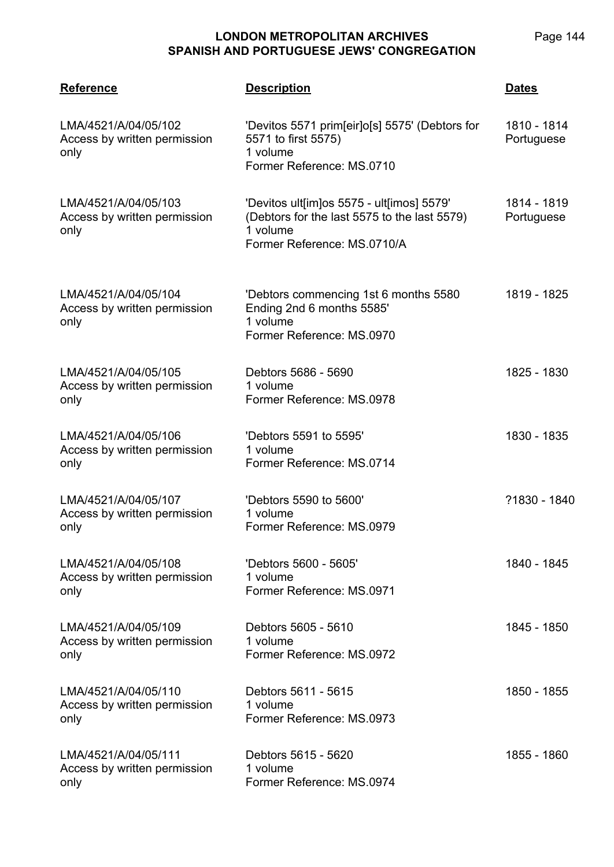| <b>Reference</b>                                             | <b>Description</b>                                                                                                                   | <b>Dates</b>              |
|--------------------------------------------------------------|--------------------------------------------------------------------------------------------------------------------------------------|---------------------------|
| LMA/4521/A/04/05/102<br>Access by written permission<br>only | 'Devitos 5571 prim[eir]o[s] 5575' (Debtors for<br>5571 to first 5575)<br>1 volume<br>Former Reference: MS.0710                       | 1810 - 1814<br>Portuguese |
| LMA/4521/A/04/05/103<br>Access by written permission<br>only | 'Devitos ult[im]os 5575 - ult[imos] 5579'<br>(Debtors for the last 5575 to the last 5579)<br>1 volume<br>Former Reference: MS.0710/A | 1814 - 1819<br>Portuguese |
| LMA/4521/A/04/05/104<br>Access by written permission<br>only | 'Debtors commencing 1st 6 months 5580<br>Ending 2nd 6 months 5585'<br>1 volume<br>Former Reference: MS.0970                          | 1819 - 1825               |
| LMA/4521/A/04/05/105<br>Access by written permission<br>only | Debtors 5686 - 5690<br>1 volume<br>Former Reference: MS.0978                                                                         | 1825 - 1830               |
| LMA/4521/A/04/05/106<br>Access by written permission<br>only | 'Debtors 5591 to 5595'<br>1 volume<br>Former Reference: MS.0714                                                                      | 1830 - 1835               |
| LMA/4521/A/04/05/107<br>Access by written permission<br>only | 'Debtors 5590 to 5600'<br>1 volume<br>Former Reference: MS.0979                                                                      | ?1830 - 1840              |
| LMA/4521/A/04/05/108<br>Access by written permission<br>only | 'Debtors 5600 - 5605'<br>1 volume<br>Former Reference: MS.0971                                                                       | 1840 - 1845               |
| LMA/4521/A/04/05/109<br>Access by written permission<br>only | Debtors 5605 - 5610<br>1 volume<br>Former Reference: MS.0972                                                                         | 1845 - 1850               |
| LMA/4521/A/04/05/110<br>Access by written permission<br>only | Debtors 5611 - 5615<br>1 volume<br>Former Reference: MS.0973                                                                         | 1850 - 1855               |
| LMA/4521/A/04/05/111<br>Access by written permission<br>only | Debtors 5615 - 5620<br>1 volume<br>Former Reference: MS.0974                                                                         | 1855 - 1860               |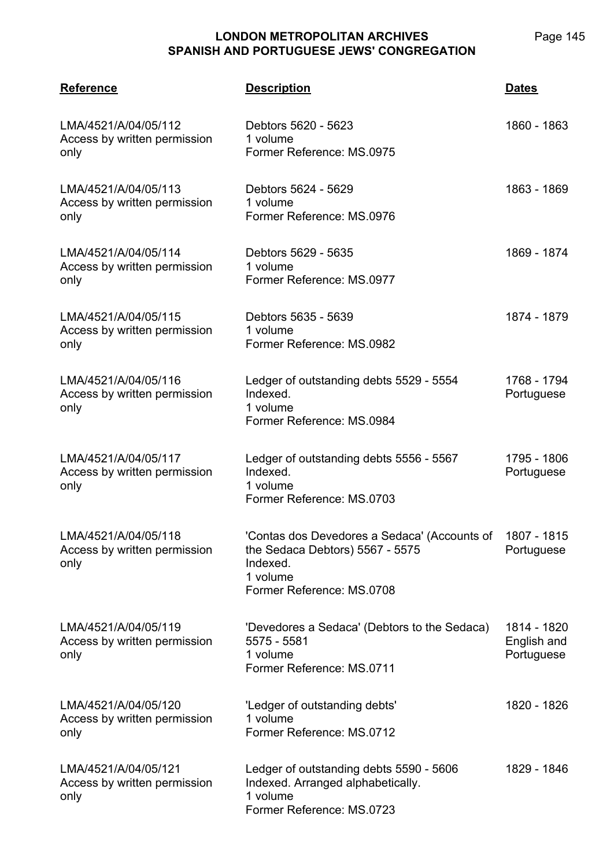| <b>Reference</b>                                             | <b>Description</b>                                                                                                                   | <b>Dates</b>                             |
|--------------------------------------------------------------|--------------------------------------------------------------------------------------------------------------------------------------|------------------------------------------|
| LMA/4521/A/04/05/112<br>Access by written permission<br>only | Debtors 5620 - 5623<br>1 volume<br>Former Reference: MS.0975                                                                         | 1860 - 1863                              |
| LMA/4521/A/04/05/113<br>Access by written permission<br>only | Debtors 5624 - 5629<br>1 volume<br>Former Reference: MS.0976                                                                         | 1863 - 1869                              |
| LMA/4521/A/04/05/114<br>Access by written permission<br>only | Debtors 5629 - 5635<br>1 volume<br>Former Reference: MS.0977                                                                         | 1869 - 1874                              |
| LMA/4521/A/04/05/115<br>Access by written permission<br>only | Debtors 5635 - 5639<br>1 volume<br>Former Reference: MS.0982                                                                         | 1874 - 1879                              |
| LMA/4521/A/04/05/116<br>Access by written permission<br>only | Ledger of outstanding debts 5529 - 5554<br>Indexed.<br>1 volume<br>Former Reference: MS.0984                                         | 1768 - 1794<br>Portuguese                |
| LMA/4521/A/04/05/117<br>Access by written permission<br>only | Ledger of outstanding debts 5556 - 5567<br>Indexed.<br>1 volume<br>Former Reference: MS.0703                                         | 1795 - 1806<br>Portuguese                |
| LMA/4521/A/04/05/118<br>Access by written permission<br>only | 'Contas dos Devedores a Sedaca' (Accounts of<br>the Sedaca Debtors) 5567 - 5575<br>Indexed.<br>1 volume<br>Former Reference: MS.0708 | 1807 - 1815<br>Portuguese                |
| LMA/4521/A/04/05/119<br>Access by written permission<br>only | 'Devedores a Sedaca' (Debtors to the Sedaca)<br>5575 - 5581<br>1 volume<br>Former Reference: MS.0711                                 | 1814 - 1820<br>English and<br>Portuguese |
| LMA/4521/A/04/05/120<br>Access by written permission<br>only | 'Ledger of outstanding debts'<br>1 volume<br>Former Reference: MS.0712                                                               | 1820 - 1826                              |
| LMA/4521/A/04/05/121<br>Access by written permission<br>only | Ledger of outstanding debts 5590 - 5606<br>Indexed. Arranged alphabetically.<br>1 volume<br>Former Reference: MS.0723                | 1829 - 1846                              |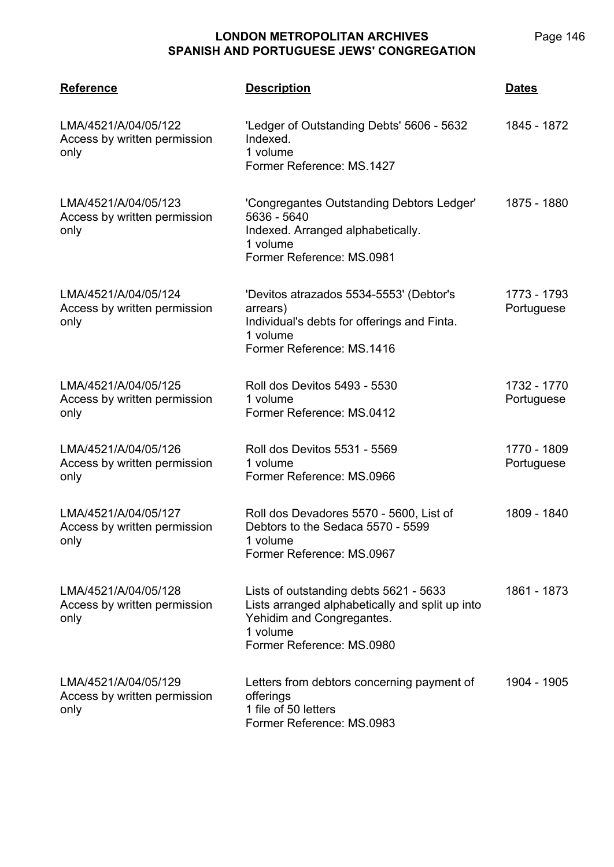| <b>Reference</b>                                             | <b>Description</b>                                                                                                                                              | <b>Dates</b>              |
|--------------------------------------------------------------|-----------------------------------------------------------------------------------------------------------------------------------------------------------------|---------------------------|
| LMA/4521/A/04/05/122<br>Access by written permission<br>only | 'Ledger of Outstanding Debts' 5606 - 5632<br>Indexed.<br>1 volume<br>Former Reference: MS.1427                                                                  | 1845 - 1872               |
| LMA/4521/A/04/05/123<br>Access by written permission<br>only | 'Congregantes Outstanding Debtors Ledger'<br>5636 - 5640<br>Indexed. Arranged alphabetically.<br>1 volume<br>Former Reference: MS.0981                          | 1875 - 1880               |
| LMA/4521/A/04/05/124<br>Access by written permission<br>only | 'Devitos atrazados 5534-5553' (Debtor's<br>arrears)<br>Individual's debts for offerings and Finta.<br>1 volume<br>Former Reference: MS.1416                     | 1773 - 1793<br>Portuguese |
| LMA/4521/A/04/05/125<br>Access by written permission<br>only | Roll dos Devitos 5493 - 5530<br>1 volume<br>Former Reference: MS.0412                                                                                           | 1732 - 1770<br>Portuguese |
| LMA/4521/A/04/05/126<br>Access by written permission<br>only | Roll dos Devitos 5531 - 5569<br>1 volume<br>Former Reference: MS.0966                                                                                           | 1770 - 1809<br>Portuguese |
| LMA/4521/A/04/05/127<br>Access by written permission<br>only | Roll dos Devadores 5570 - 5600, List of<br>Debtors to the Sedaca 5570 - 5599<br>1 volume<br>Former Reference: MS.0967                                           | 1809 - 1840               |
| LMA/4521/A/04/05/128<br>Access by written permission<br>only | Lists of outstanding debts 5621 - 5633<br>Lists arranged alphabetically and split up into<br>Yehidim and Congregantes.<br>1 volume<br>Former Reference: MS.0980 | 1861 - 1873               |
| LMA/4521/A/04/05/129<br>Access by written permission<br>only | Letters from debtors concerning payment of<br>offerings<br>1 file of 50 letters<br>Former Reference: MS.0983                                                    | 1904 - 1905               |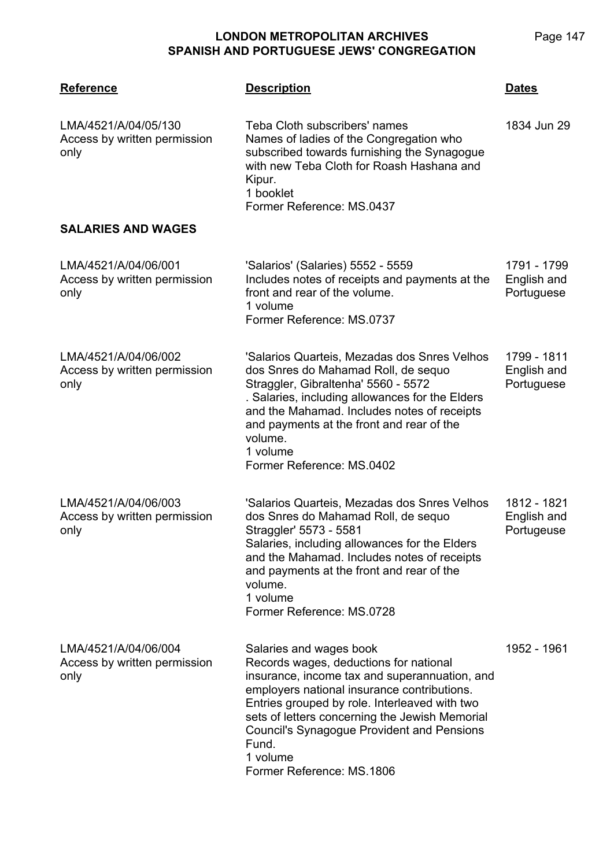**LMA/4521 Reference Description Dates** LMA/4521/A/04/05/130 Access by written permission only Teba Cloth subscribers' names Names of ladies of the Congregation who subscribed towards furnishing the Synagogue with new Teba Cloth for Roash Hashana and Kipur. 1 booklet Former Reference: MS.0437 1834 Jun 29 **SALARIES AND WAGES** LMA/4521/A/04/06/001 Access by written permission only 'Salarios' (Salaries) 5552 - 5559 Includes notes of receipts and payments at the front and rear of the volume. 1 volume Former Reference: MS.0737 1791 - 1799 English and **Portuguese** LMA/4521/A/04/06/002 Access by written permission only 'Salarios Quarteis, Mezadas dos Snres Velhos dos Snres do Mahamad Roll, de sequo Straggler, Gibraltenha' 5560 - 5572 . Salaries, including allowances for the Elders and the Mahamad. Includes notes of receipts and payments at the front and rear of the volume. 1 volume Former Reference: MS.0402 1799 - 1811 English and Portuguese LMA/4521/A/04/06/003 Access by written permission only 'Salarios Quarteis, Mezadas dos Snres Velhos dos Snres do Mahamad Roll, de sequo Straggler' 5573 - 5581 Salaries, including allowances for the Elders and the Mahamad. Includes notes of receipts and payments at the front and rear of the volume. 1 volume Former Reference: MS.0728 1812 - 1821 English and **Portugeuse** LMA/4521/A/04/06/004 Access by written permission only Salaries and wages book Records wages, deductions for national insurance, income tax and superannuation, and employers national insurance contributions. Entries grouped by role. Interleaved with two sets of letters concerning the Jewish Memorial Council's Synagogue Provident and Pensions Fund. 1 volume 1952 - 1961

Former Reference: MS.1806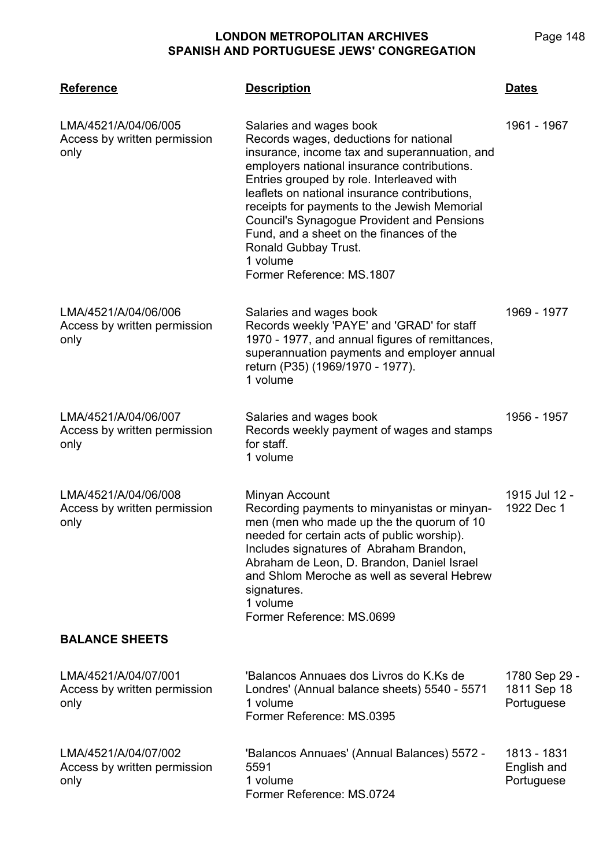| <b>Reference</b>                                             | <b>Description</b>                                                                                                                                                                                                                                                                                                                                                                                                                                                                | <b>Dates</b>                               |
|--------------------------------------------------------------|-----------------------------------------------------------------------------------------------------------------------------------------------------------------------------------------------------------------------------------------------------------------------------------------------------------------------------------------------------------------------------------------------------------------------------------------------------------------------------------|--------------------------------------------|
| LMA/4521/A/04/06/005<br>Access by written permission<br>only | Salaries and wages book<br>Records wages, deductions for national<br>insurance, income tax and superannuation, and<br>employers national insurance contributions.<br>Entries grouped by role. Interleaved with<br>leaflets on national insurance contributions,<br>receipts for payments to the Jewish Memorial<br><b>Council's Synagogue Provident and Pensions</b><br>Fund, and a sheet on the finances of the<br>Ronald Gubbay Trust.<br>1 volume<br>Former Reference: MS.1807 | 1961 - 1967                                |
| LMA/4521/A/04/06/006<br>Access by written permission<br>only | Salaries and wages book<br>Records weekly 'PAYE' and 'GRAD' for staff<br>1970 - 1977, and annual figures of remittances,<br>superannuation payments and employer annual<br>return (P35) (1969/1970 - 1977).<br>1 volume                                                                                                                                                                                                                                                           | 1969 - 1977                                |
| LMA/4521/A/04/06/007<br>Access by written permission<br>only | Salaries and wages book<br>Records weekly payment of wages and stamps<br>for staff.<br>1 volume                                                                                                                                                                                                                                                                                                                                                                                   | 1956 - 1957                                |
| LMA/4521/A/04/06/008<br>Access by written permission<br>only | Minyan Account<br>Recording payments to minyanistas or minyan-<br>men (men who made up the the quorum of 10<br>needed for certain acts of public worship).<br>Includes signatures of Abraham Brandon,<br>Abraham de Leon, D. Brandon, Daniel Israel<br>and Shlom Meroche as well as several Hebrew<br>signatures.<br>1 volume<br>Former Reference: MS.0699                                                                                                                        | 1915 Jul 12 -<br>1922 Dec 1                |
| <b>BALANCE SHEETS</b>                                        |                                                                                                                                                                                                                                                                                                                                                                                                                                                                                   |                                            |
| LMA/4521/A/04/07/001<br>Access by written permission<br>only | 'Balancos Annuaes dos Livros do K.Ks de<br>Londres' (Annual balance sheets) 5540 - 5571<br>1 volume<br>Former Reference: MS.0395                                                                                                                                                                                                                                                                                                                                                  | 1780 Sep 29 -<br>1811 Sep 18<br>Portuguese |
| LMA/4521/A/04/07/002<br>Access by written permission<br>only | 'Balancos Annuaes' (Annual Balances) 5572 -<br>5591<br>1 volume<br>Former Reference: MS.0724                                                                                                                                                                                                                                                                                                                                                                                      | 1813 - 1831<br>English and<br>Portuguese   |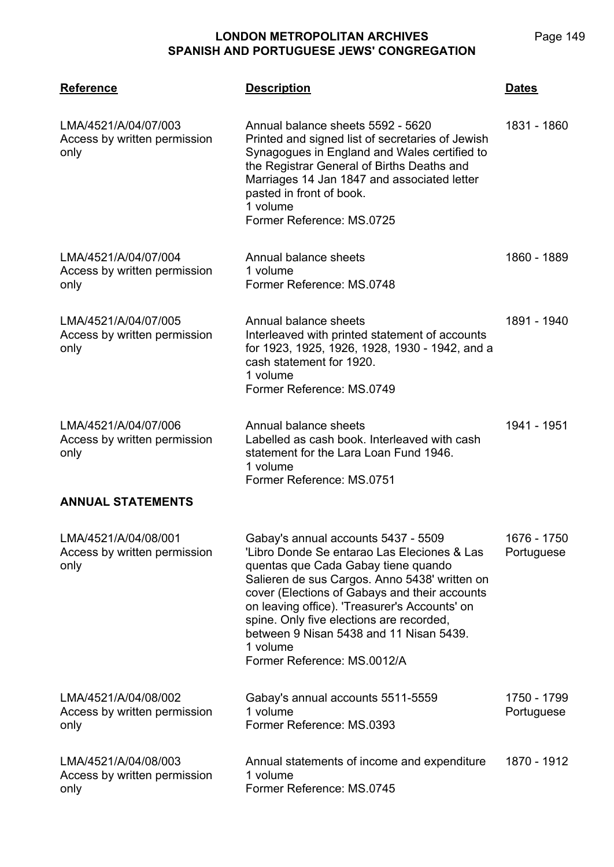**LMA/4521 Reference Description Dates** LMA/4521/A/04/07/003 Access by written permission only Annual balance sheets 5592 - 5620 Printed and signed list of secretaries of Jewish Synagogues in England and Wales certified to the Registrar General of Births Deaths and Marriages 14 Jan 1847 and associated letter pasted in front of book. 1 volume Former Reference: MS.0725 1831 - 1860 LMA/4521/A/04/07/004 Access by written permission only Annual balance sheets 1 volume Former Reference: MS.0748 1860 - 1889 LMA/4521/A/04/07/005 Access by written permission only Annual balance sheets Interleaved with printed statement of accounts for 1923, 1925, 1926, 1928, 1930 - 1942, and a cash statement for 1920. 1 volume Former Reference: MS.0749 1891 - 1940 LMA/4521/A/04/07/006 Access by written permission only Annual balance sheets Labelled as cash book. Interleaved with cash statement for the Lara Loan Fund 1946. 1 volume Former Reference: MS.0751 1941 - 1951 **ANNUAL STATEMENTS** LMA/4521/A/04/08/001 Access by written permission only Gabay's annual accounts 5437 - 5509 'Libro Donde Se entarao Las Eleciones & Las quentas que Cada Gabay tiene quando Salieren de sus Cargos. Anno 5438' written on cover (Elections of Gabays and their accounts on leaving office). 'Treasurer's Accounts' on spine. Only five elections are recorded, between 9 Nisan 5438 and 11 Nisan 5439. 1 volume Former Reference: MS.0012/A 1676 - 1750 Portuguese LMA/4521/A/04/08/002 Access by written permission only Gabay's annual accounts 5511-5559 1 volume Former Reference: MS.0393 1750 - 1799 Portuguese LMA/4521/A/04/08/003 Access by written permission Annual statements of income and expenditure 1 volume 1870 - 1912

Former Reference: MS.0745

only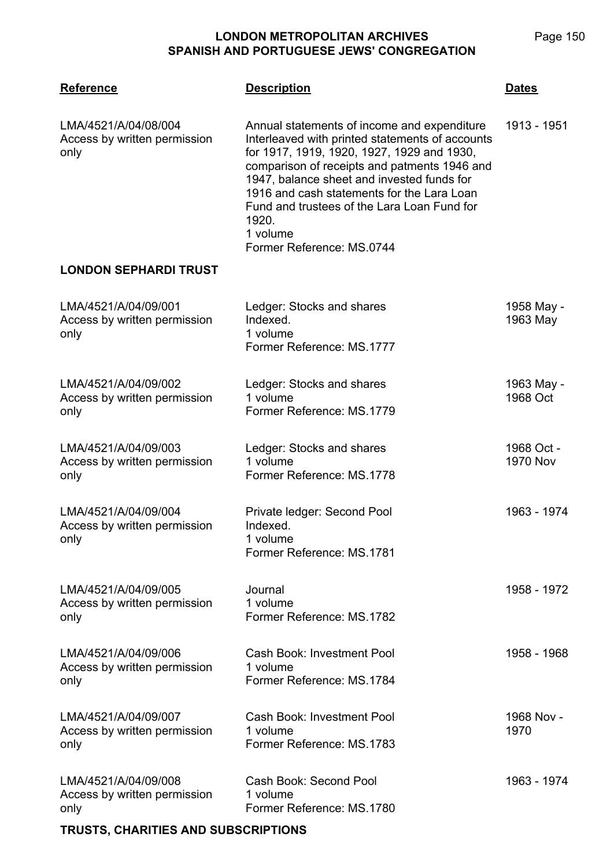| <b>Reference</b>                                             | <b>Description</b>                                                                                                                                                                                                                                                                                                                                                                        | <b>Dates</b>                  |
|--------------------------------------------------------------|-------------------------------------------------------------------------------------------------------------------------------------------------------------------------------------------------------------------------------------------------------------------------------------------------------------------------------------------------------------------------------------------|-------------------------------|
| LMA/4521/A/04/08/004<br>Access by written permission<br>only | Annual statements of income and expenditure<br>Interleaved with printed statements of accounts<br>for 1917, 1919, 1920, 1927, 1929 and 1930,<br>comparison of receipts and patments 1946 and<br>1947, balance sheet and invested funds for<br>1916 and cash statements for the Lara Loan<br>Fund and trustees of the Lara Loan Fund for<br>1920.<br>1 volume<br>Former Reference: MS.0744 | 1913 - 1951                   |
| <b>LONDON SEPHARDI TRUST</b>                                 |                                                                                                                                                                                                                                                                                                                                                                                           |                               |
| LMA/4521/A/04/09/001<br>Access by written permission<br>only | Ledger: Stocks and shares<br>Indexed.<br>1 volume<br>Former Reference: MS.1777                                                                                                                                                                                                                                                                                                            | 1958 May -<br>1963 May        |
| LMA/4521/A/04/09/002<br>Access by written permission<br>only | Ledger: Stocks and shares<br>1 volume<br>Former Reference: MS.1779                                                                                                                                                                                                                                                                                                                        | 1963 May -<br>1968 Oct        |
| LMA/4521/A/04/09/003<br>Access by written permission<br>only | Ledger: Stocks and shares<br>1 volume<br>Former Reference: MS.1778                                                                                                                                                                                                                                                                                                                        | 1968 Oct -<br><b>1970 Nov</b> |
| LMA/4521/A/04/09/004<br>Access by written permission<br>only | Private ledger: Second Pool<br>Indexed.<br>1 volume<br>Former Reference: MS.1781                                                                                                                                                                                                                                                                                                          | 1963 - 1974                   |
| LMA/4521/A/04/09/005<br>Access by written permission<br>only | Journal<br>1 volume<br>Former Reference: MS.1782                                                                                                                                                                                                                                                                                                                                          | 1958 - 1972                   |
| LMA/4521/A/04/09/006<br>Access by written permission<br>only | <b>Cash Book: Investment Pool</b><br>1 volume<br>Former Reference: MS.1784                                                                                                                                                                                                                                                                                                                | 1958 - 1968                   |
| LMA/4521/A/04/09/007<br>Access by written permission<br>only | Cash Book: Investment Pool<br>1 volume<br>Former Reference: MS.1783                                                                                                                                                                                                                                                                                                                       | 1968 Nov -<br>1970            |
| LMA/4521/A/04/09/008<br>Access by written permission<br>only | Cash Book: Second Pool<br>1 volume<br>Former Reference: MS.1780                                                                                                                                                                                                                                                                                                                           | 1963 - 1974                   |

## **TRUSTS, CHARITIES AND SUBSCRIPTIONS**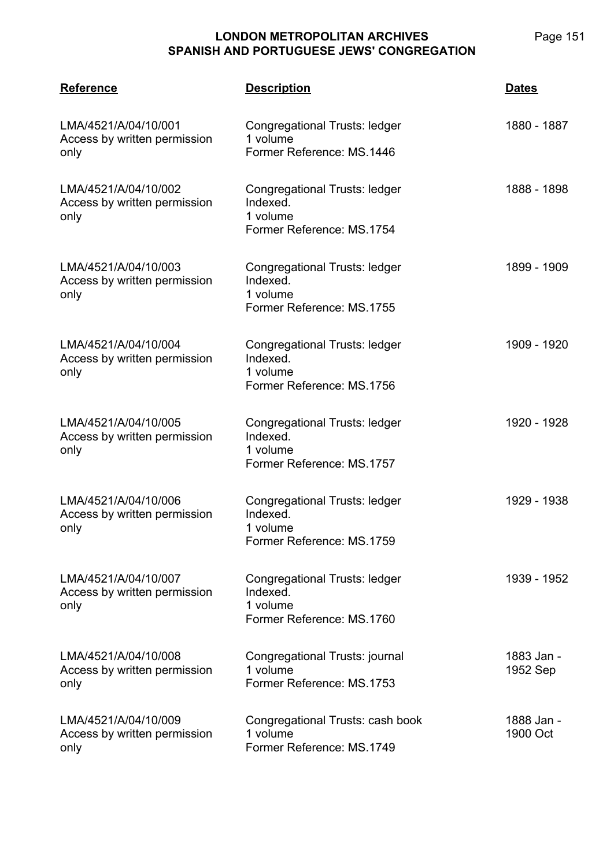| <b>Reference</b>                                             | <b>Description</b>                                                                 | <b>Dates</b>           |
|--------------------------------------------------------------|------------------------------------------------------------------------------------|------------------------|
| LMA/4521/A/04/10/001<br>Access by written permission<br>only | Congregational Trusts: ledger<br>1 volume<br>Former Reference: MS.1446             | 1880 - 1887            |
| LMA/4521/A/04/10/002<br>Access by written permission<br>only | Congregational Trusts: ledger<br>Indexed.<br>1 volume<br>Former Reference: MS.1754 | 1888 - 1898            |
| LMA/4521/A/04/10/003<br>Access by written permission<br>only | Congregational Trusts: ledger<br>Indexed.<br>1 volume<br>Former Reference: MS.1755 | 1899 - 1909            |
| LMA/4521/A/04/10/004<br>Access by written permission<br>only | Congregational Trusts: ledger<br>Indexed.<br>1 volume<br>Former Reference: MS.1756 | 1909 - 1920            |
| LMA/4521/A/04/10/005<br>Access by written permission<br>only | Congregational Trusts: ledger<br>Indexed.<br>1 volume<br>Former Reference: MS.1757 | 1920 - 1928            |
| LMA/4521/A/04/10/006<br>Access by written permission<br>only | Congregational Trusts: ledger<br>Indexed.<br>1 volume<br>Former Reference: MS.1759 | 1929 - 1938            |
| LMA/4521/A/04/10/007<br>Access by written permission<br>only | Congregational Trusts: ledger<br>Indexed.<br>1 volume<br>Former Reference: MS.1760 | 1939 - 1952            |
| LMA/4521/A/04/10/008<br>Access by written permission<br>only | Congregational Trusts: journal<br>1 volume<br>Former Reference: MS.1753            | 1883 Jan -<br>1952 Sep |
| LMA/4521/A/04/10/009<br>Access by written permission<br>only | Congregational Trusts: cash book<br>1 volume<br>Former Reference: MS.1749          | 1888 Jan -<br>1900 Oct |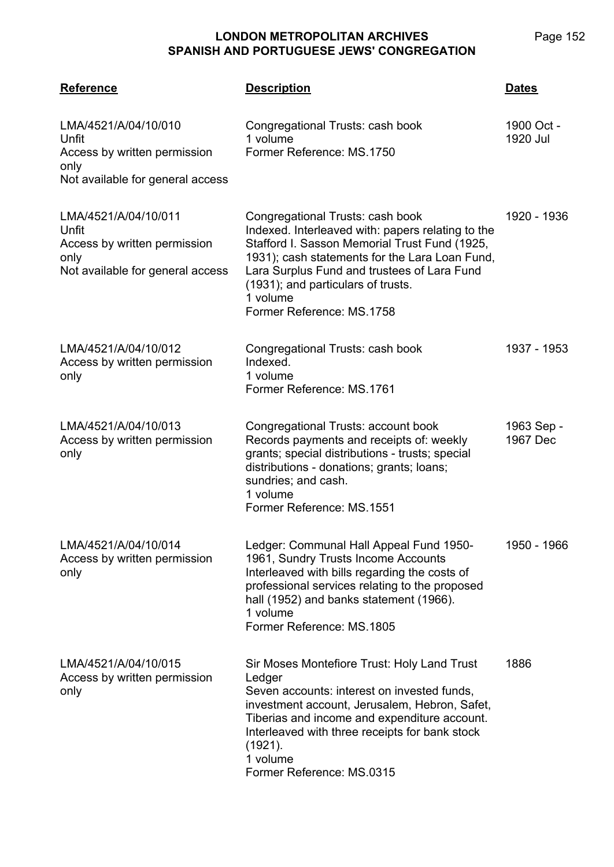| <b>Reference</b>                                                                                          | <b>Description</b>                                                                                                                                                                                                                                                                                                     | <b>Dates</b>           |
|-----------------------------------------------------------------------------------------------------------|------------------------------------------------------------------------------------------------------------------------------------------------------------------------------------------------------------------------------------------------------------------------------------------------------------------------|------------------------|
| LMA/4521/A/04/10/010<br>Unfit<br>Access by written permission<br>only<br>Not available for general access | Congregational Trusts: cash book<br>1 volume<br>Former Reference: MS.1750                                                                                                                                                                                                                                              | 1900 Oct -<br>1920 Jul |
| LMA/4521/A/04/10/011<br>Unfit<br>Access by written permission<br>only<br>Not available for general access | Congregational Trusts: cash book<br>Indexed. Interleaved with: papers relating to the<br>Stafford I. Sasson Memorial Trust Fund (1925,<br>1931); cash statements for the Lara Loan Fund,<br>Lara Surplus Fund and trustees of Lara Fund<br>(1931); and particulars of trusts.<br>1 volume<br>Former Reference: MS.1758 | 1920 - 1936            |
| LMA/4521/A/04/10/012<br>Access by written permission<br>only                                              | Congregational Trusts: cash book<br>Indexed.<br>1 volume<br>Former Reference: MS.1761                                                                                                                                                                                                                                  | 1937 - 1953            |
| LMA/4521/A/04/10/013<br>Access by written permission<br>only                                              | Congregational Trusts: account book<br>Records payments and receipts of: weekly<br>grants; special distributions - trusts; special<br>distributions - donations; grants; loans;<br>sundries; and cash.<br>1 volume<br>Former Reference: MS.1551                                                                        | 1963 Sep -<br>1967 Dec |
| LMA/4521/A/04/10/014<br>Access by written permission<br>only                                              | Ledger: Communal Hall Appeal Fund 1950-<br>1961, Sundry Trusts Income Accounts<br>Interleaved with bills regarding the costs of<br>professional services relating to the proposed<br>hall (1952) and banks statement (1966).<br>1 volume<br>Former Reference: MS.1805                                                  | 1950 - 1966            |
| LMA/4521/A/04/10/015<br>Access by written permission<br>only                                              | Sir Moses Montefiore Trust: Holy Land Trust<br>Ledger<br>Seven accounts: interest on invested funds,<br>investment account, Jerusalem, Hebron, Safet,<br>Tiberias and income and expenditure account.<br>Interleaved with three receipts for bank stock<br>(1921).<br>1 volume<br>Former Reference: MS.0315            | 1886                   |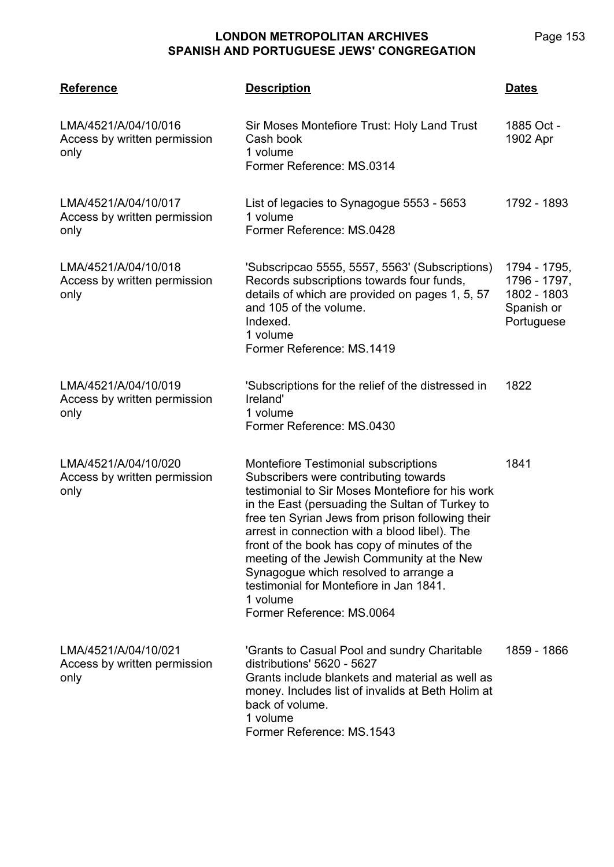| <b>Reference</b>                                             | <b>Description</b>                                                                                                                                                                                                                                                                                                                                                                                                                                                                                                   | <b>Dates</b>                                                            |
|--------------------------------------------------------------|----------------------------------------------------------------------------------------------------------------------------------------------------------------------------------------------------------------------------------------------------------------------------------------------------------------------------------------------------------------------------------------------------------------------------------------------------------------------------------------------------------------------|-------------------------------------------------------------------------|
| LMA/4521/A/04/10/016<br>Access by written permission<br>only | Sir Moses Montefiore Trust: Holy Land Trust<br>Cash book<br>1 volume<br>Former Reference: MS.0314                                                                                                                                                                                                                                                                                                                                                                                                                    | 1885 Oct -<br>1902 Apr                                                  |
| LMA/4521/A/04/10/017<br>Access by written permission<br>only | List of legacies to Synagogue 5553 - 5653<br>1 volume<br>Former Reference: MS.0428                                                                                                                                                                                                                                                                                                                                                                                                                                   | 1792 - 1893                                                             |
| LMA/4521/A/04/10/018<br>Access by written permission<br>only | 'Subscripcao 5555, 5557, 5563' (Subscriptions)<br>Records subscriptions towards four funds,<br>details of which are provided on pages 1, 5, 57<br>and 105 of the volume.<br>Indexed.<br>1 volume<br>Former Reference: MS.1419                                                                                                                                                                                                                                                                                        | 1794 - 1795,<br>1796 - 1797,<br>1802 - 1803<br>Spanish or<br>Portuguese |
| LMA/4521/A/04/10/019<br>Access by written permission<br>only | 'Subscriptions for the relief of the distressed in<br>Ireland'<br>1 volume<br>Former Reference: MS.0430                                                                                                                                                                                                                                                                                                                                                                                                              | 1822                                                                    |
| LMA/4521/A/04/10/020<br>Access by written permission<br>only | Montefiore Testimonial subscriptions<br>Subscribers were contributing towards<br>testimonial to Sir Moses Montefiore for his work<br>in the East (persuading the Sultan of Turkey to<br>free ten Syrian Jews from prison following their<br>arrest in connection with a blood libel). The<br>front of the book has copy of minutes of the<br>meeting of the Jewish Community at the New<br>Synagogue which resolved to arrange a<br>testimonial for Montefiore in Jan 1841.<br>1 volume<br>Former Reference: MS.0064 | 1841                                                                    |
| LMA/4521/A/04/10/021<br>Access by written permission<br>only | 'Grants to Casual Pool and sundry Charitable<br>distributions' 5620 - 5627<br>Grants include blankets and material as well as<br>money. Includes list of invalids at Beth Holim at<br>back of volume.<br>1 volume<br>Former Reference: MS.1543                                                                                                                                                                                                                                                                       | 1859 - 1866                                                             |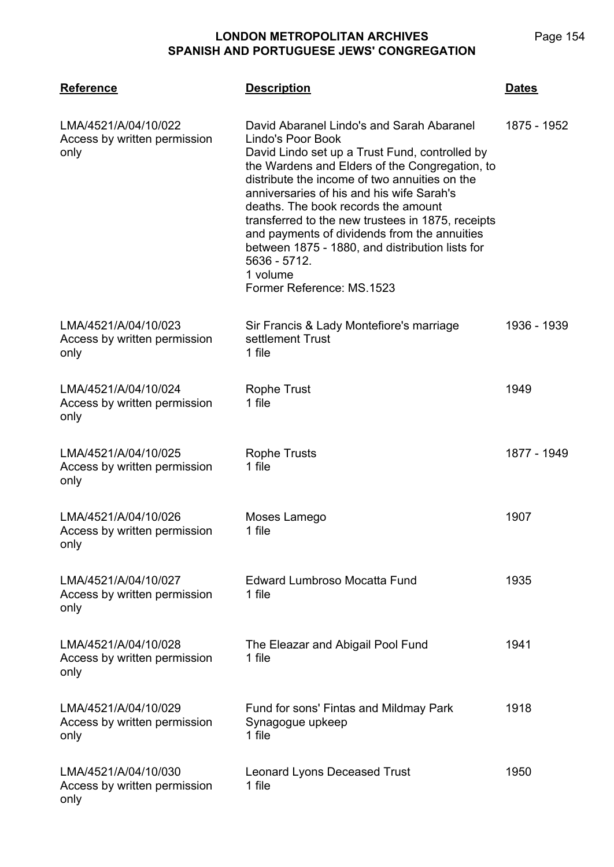**LONDON METROPOLITAN ARCHIVES**

# **SPANISH AND PORTUGUESE JEWS' CONGREGATION LMA/4521 Reference Description Dates**

| LMA/4521/A/04/10/022<br>Access by written permission<br>only | David Abaranel Lindo's and Sarah Abaranel<br>Lindo's Poor Book<br>David Lindo set up a Trust Fund, controlled by<br>the Wardens and Elders of the Congregation, to<br>distribute the income of two annuities on the<br>anniversaries of his and his wife Sarah's<br>deaths. The book records the amount<br>transferred to the new trustees in 1875, receipts<br>and payments of dividends from the annuities<br>between 1875 - 1880, and distribution lists for<br>5636 - 5712.<br>1 volume<br>Former Reference: MS.1523 | 1875 - 1952 |
|--------------------------------------------------------------|--------------------------------------------------------------------------------------------------------------------------------------------------------------------------------------------------------------------------------------------------------------------------------------------------------------------------------------------------------------------------------------------------------------------------------------------------------------------------------------------------------------------------|-------------|
| LMA/4521/A/04/10/023<br>Access by written permission<br>only | Sir Francis & Lady Montefiore's marriage<br>settlement Trust<br>1 file                                                                                                                                                                                                                                                                                                                                                                                                                                                   | 1936 - 1939 |
| LMA/4521/A/04/10/024<br>Access by written permission<br>only | Rophe Trust<br>1 file                                                                                                                                                                                                                                                                                                                                                                                                                                                                                                    | 1949        |
| LMA/4521/A/04/10/025<br>Access by written permission<br>only | <b>Rophe Trusts</b><br>1 file                                                                                                                                                                                                                                                                                                                                                                                                                                                                                            | 1877 - 1949 |
| LMA/4521/A/04/10/026<br>Access by written permission<br>only | Moses Lamego<br>1 file                                                                                                                                                                                                                                                                                                                                                                                                                                                                                                   | 1907        |
| LMA/4521/A/04/10/027<br>Access by written permission<br>only | <b>Edward Lumbroso Mocatta Fund</b><br>1 file                                                                                                                                                                                                                                                                                                                                                                                                                                                                            | 1935        |
| LMA/4521/A/04/10/028<br>Access by written permission<br>only | The Eleazar and Abigail Pool Fund<br>1 file                                                                                                                                                                                                                                                                                                                                                                                                                                                                              | 1941        |
| LMA/4521/A/04/10/029<br>Access by written permission<br>only | Fund for sons' Fintas and Mildmay Park<br>Synagogue upkeep<br>1 file                                                                                                                                                                                                                                                                                                                                                                                                                                                     | 1918        |
| LMA/4521/A/04/10/030<br>Access by written permission<br>only | <b>Leonard Lyons Deceased Trust</b><br>1 file                                                                                                                                                                                                                                                                                                                                                                                                                                                                            | 1950        |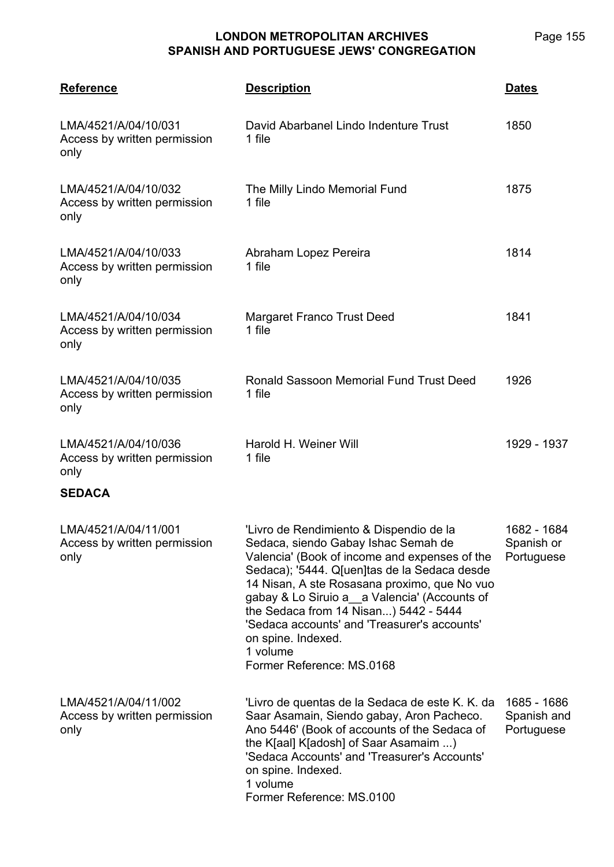| <b>Reference</b>                                             | <b>Description</b>                                                                                                                                                                                                                                                                                                                                                                                                                      | <b>Dates</b>                             |
|--------------------------------------------------------------|-----------------------------------------------------------------------------------------------------------------------------------------------------------------------------------------------------------------------------------------------------------------------------------------------------------------------------------------------------------------------------------------------------------------------------------------|------------------------------------------|
| LMA/4521/A/04/10/031<br>Access by written permission<br>only | David Abarbanel Lindo Indenture Trust<br>1 file                                                                                                                                                                                                                                                                                                                                                                                         | 1850                                     |
| LMA/4521/A/04/10/032<br>Access by written permission<br>only | The Milly Lindo Memorial Fund<br>1 file                                                                                                                                                                                                                                                                                                                                                                                                 | 1875                                     |
| LMA/4521/A/04/10/033<br>Access by written permission<br>only | Abraham Lopez Pereira<br>1 file                                                                                                                                                                                                                                                                                                                                                                                                         | 1814                                     |
| LMA/4521/A/04/10/034<br>Access by written permission<br>only | <b>Margaret Franco Trust Deed</b><br>1 file                                                                                                                                                                                                                                                                                                                                                                                             | 1841                                     |
| LMA/4521/A/04/10/035<br>Access by written permission<br>only | Ronald Sassoon Memorial Fund Trust Deed<br>1 file                                                                                                                                                                                                                                                                                                                                                                                       | 1926                                     |
| LMA/4521/A/04/10/036<br>Access by written permission<br>only | Harold H. Weiner Will<br>1 file                                                                                                                                                                                                                                                                                                                                                                                                         | 1929 - 1937                              |
| <b>SEDACA</b>                                                |                                                                                                                                                                                                                                                                                                                                                                                                                                         |                                          |
| LMA/4521/A/04/11/001<br>Access by written permission<br>only | 'Livro de Rendimiento & Dispendio de la<br>Sedaca, siendo Gabay Ishac Semah de<br>Valencia' (Book of income and expenses of the<br>Sedaca); '5444. Q[uen]tas de la Sedaca desde<br>14 Nisan, A ste Rosasana proximo, que No vuo<br>gabay & Lo Siruio a a Valencia' (Accounts of<br>the Sedaca from 14 Nisan) 5442 - 5444<br>'Sedaca accounts' and 'Treasurer's accounts'<br>on spine. Indexed.<br>1 volume<br>Former Reference: MS.0168 | 1682 - 1684<br>Spanish or<br>Portuguese  |
| LMA/4521/A/04/11/002<br>Access by written permission<br>only | 'Livro de quentas de la Sedaca de este K. K. da<br>Saar Asamain, Siendo gabay, Aron Pacheco.<br>Ano 5446' (Book of accounts of the Sedaca of<br>the K[aal] K[adosh] of Saar Asamaim )<br>'Sedaca Accounts' and 'Treasurer's Accounts'<br>on spine. Indexed.<br>1 volume<br>Former Reference: MS.0100                                                                                                                                    | 1685 - 1686<br>Spanish and<br>Portuguese |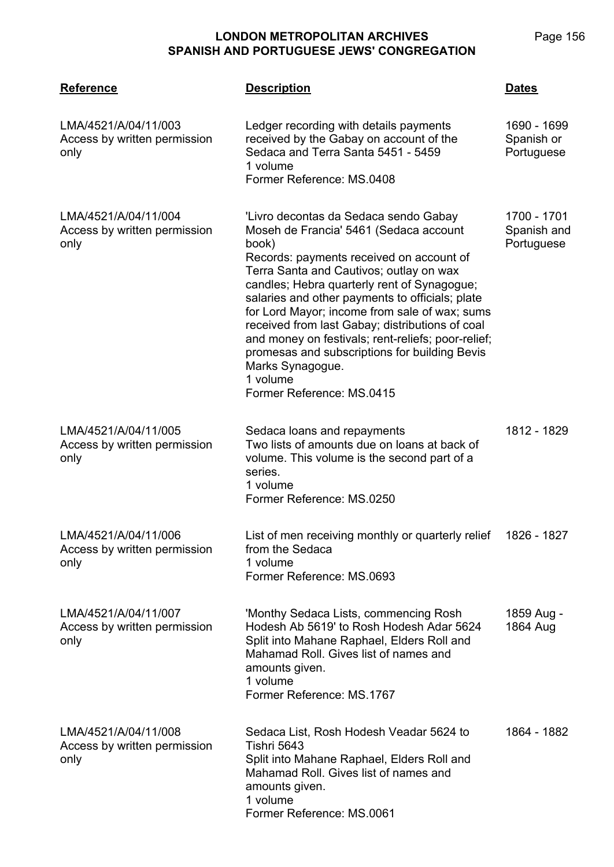| <b>Reference</b>                                             | <b>Description</b>                                                                                                                                                                                                                                                                                                                                                                                                                                                                                                                                        | <b>Dates</b>                             |
|--------------------------------------------------------------|-----------------------------------------------------------------------------------------------------------------------------------------------------------------------------------------------------------------------------------------------------------------------------------------------------------------------------------------------------------------------------------------------------------------------------------------------------------------------------------------------------------------------------------------------------------|------------------------------------------|
| LMA/4521/A/04/11/003<br>Access by written permission<br>only | Ledger recording with details payments<br>received by the Gabay on account of the<br>Sedaca and Terra Santa 5451 - 5459<br>1 volume<br>Former Reference: MS.0408                                                                                                                                                                                                                                                                                                                                                                                          | 1690 - 1699<br>Spanish or<br>Portuguese  |
| LMA/4521/A/04/11/004<br>Access by written permission<br>only | 'Livro decontas da Sedaca sendo Gabay<br>Moseh de Francia' 5461 (Sedaca account<br>book)<br>Records: payments received on account of<br>Terra Santa and Cautivos; outlay on wax<br>candles; Hebra quarterly rent of Synagogue;<br>salaries and other payments to officials; plate<br>for Lord Mayor; income from sale of wax; sums<br>received from last Gabay; distributions of coal<br>and money on festivals; rent-reliefs; poor-relief;<br>promesas and subscriptions for building Bevis<br>Marks Synagogue.<br>1 volume<br>Former Reference: MS.0415 | 1700 - 1701<br>Spanish and<br>Portuguese |
| LMA/4521/A/04/11/005<br>Access by written permission<br>only | Sedaca loans and repayments<br>Two lists of amounts due on loans at back of<br>volume. This volume is the second part of a<br>series.<br>1 volume<br>Former Reference: MS.0250                                                                                                                                                                                                                                                                                                                                                                            | 1812 - 1829                              |
| LMA/4521/A/04/11/006<br>Access by written permission<br>only | List of men receiving monthly or quarterly relief 1826 - 1827<br>from the Sedaca<br>1 volume<br>Former Reference: MS.0693                                                                                                                                                                                                                                                                                                                                                                                                                                 |                                          |
| LMA/4521/A/04/11/007<br>Access by written permission<br>only | 'Monthy Sedaca Lists, commencing Rosh<br>Hodesh Ab 5619' to Rosh Hodesh Adar 5624<br>Split into Mahane Raphael, Elders Roll and<br>Mahamad Roll. Gives list of names and<br>amounts given.<br>1 volume<br>Former Reference: MS.1767                                                                                                                                                                                                                                                                                                                       | 1859 Aug -<br>1864 Aug                   |
| LMA/4521/A/04/11/008<br>Access by written permission<br>only | Sedaca List, Rosh Hodesh Veadar 5624 to<br>Tishri 5643<br>Split into Mahane Raphael, Elders Roll and<br>Mahamad Roll. Gives list of names and<br>amounts given.<br>1 volume<br>Former Reference: MS.0061                                                                                                                                                                                                                                                                                                                                                  | 1864 - 1882                              |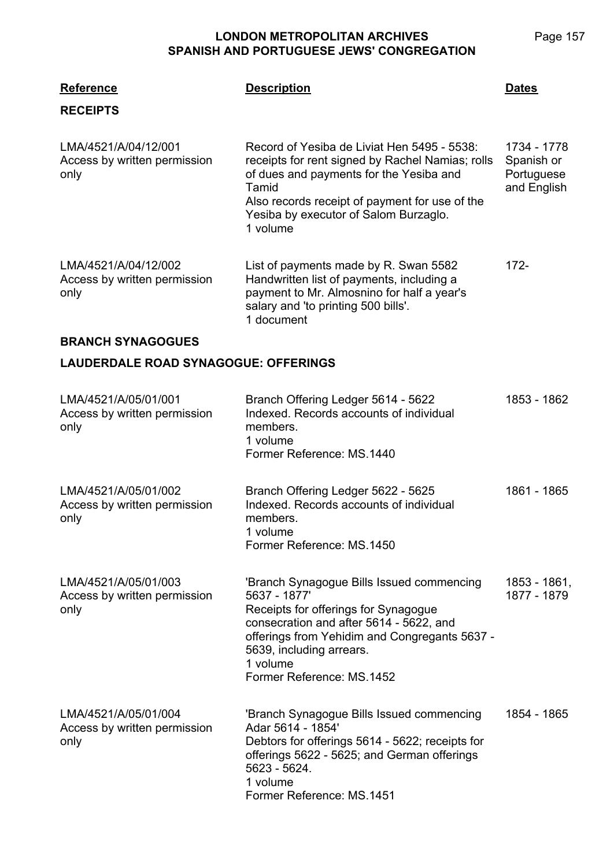| <b>Reference</b><br><b>RECEIPTS</b>                          | <b>Description</b>                                                                                                                                                                                                                                                 | <b>Dates</b>                                           |
|--------------------------------------------------------------|--------------------------------------------------------------------------------------------------------------------------------------------------------------------------------------------------------------------------------------------------------------------|--------------------------------------------------------|
| LMA/4521/A/04/12/001<br>Access by written permission<br>only | Record of Yesiba de Liviat Hen 5495 - 5538:<br>receipts for rent signed by Rachel Namias; rolls<br>of dues and payments for the Yesiba and<br>Tamid<br>Also records receipt of payment for use of the<br>Yesiba by executor of Salom Burzaglo.<br>1 volume         | 1734 - 1778<br>Spanish or<br>Portuguese<br>and English |
| LMA/4521/A/04/12/002<br>Access by written permission<br>only | List of payments made by R. Swan 5582<br>Handwritten list of payments, including a<br>payment to Mr. Almosnino for half a year's<br>salary and 'to printing 500 bills'.<br>1 document                                                                              | $172 -$                                                |
| <b>BRANCH SYNAGOGUES</b>                                     |                                                                                                                                                                                                                                                                    |                                                        |
| <b>LAUDERDALE ROAD SYNAGOGUE: OFFERINGS</b>                  |                                                                                                                                                                                                                                                                    |                                                        |
| LMA/4521/A/05/01/001<br>Access by written permission<br>only | Branch Offering Ledger 5614 - 5622<br>Indexed. Records accounts of individual<br>members.<br>1 volume<br>Former Reference: MS.1440                                                                                                                                 | 1853 - 1862                                            |
| LMA/4521/A/05/01/002<br>Access by written permission<br>only | Branch Offering Ledger 5622 - 5625<br>Indexed. Records accounts of individual<br>members.<br>1 volume<br>Former Reference: MS.1450                                                                                                                                 | 1861 - 1865                                            |
| LMA/4521/A/05/01/003<br>Access by written permission<br>only | 'Branch Synagogue Bills Issued commencing<br>5637 - 1877'<br>Receipts for offerings for Synagogue<br>consecration and after 5614 - 5622, and<br>offerings from Yehidim and Congregants 5637 -<br>5639, including arrears.<br>1 volume<br>Former Reference: MS.1452 | 1853 - 1861,<br>1877 - 1879                            |
| LMA/4521/A/05/01/004<br>Access by written permission<br>only | 'Branch Synagogue Bills Issued commencing<br>Adar 5614 - 1854'<br>Debtors for offerings 5614 - 5622; receipts for<br>offerings 5622 - 5625; and German offerings<br>5623 - 5624.<br>1 volume<br>Former Reference: MS.1451                                          | 1854 - 1865                                            |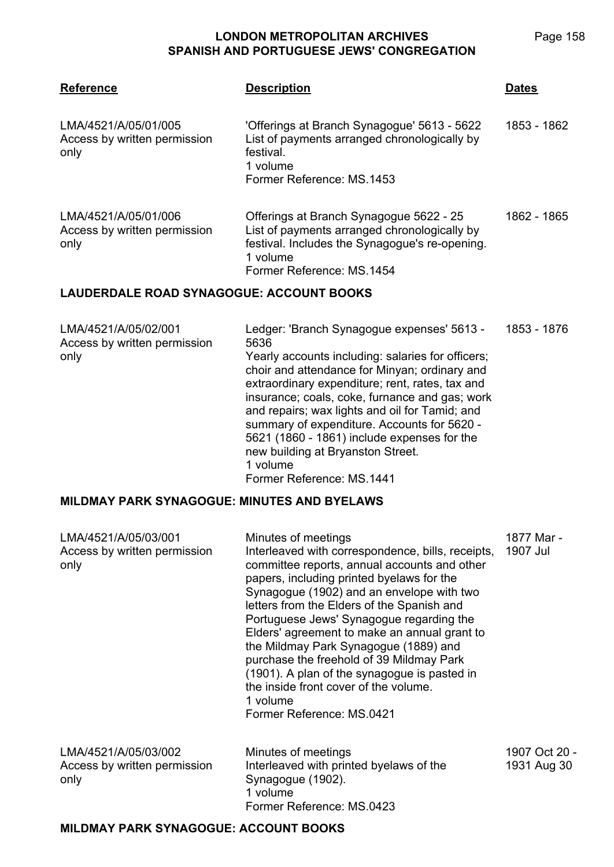| <b>Reference</b>                                             | <b>Description</b>                                                                                                                                                                                                                                                                                                                                                                                                                                                                          | <b>Dates</b>           |
|--------------------------------------------------------------|---------------------------------------------------------------------------------------------------------------------------------------------------------------------------------------------------------------------------------------------------------------------------------------------------------------------------------------------------------------------------------------------------------------------------------------------------------------------------------------------|------------------------|
| LMA/4521/A/05/01/005<br>Access by written permission<br>only | 'Offerings at Branch Synagogue' 5613 - 5622<br>List of payments arranged chronologically by<br>festival.<br>1 volume<br>Former Reference: MS.1453                                                                                                                                                                                                                                                                                                                                           | 1853 - 1862            |
| LMA/4521/A/05/01/006<br>Access by written permission<br>only | Offerings at Branch Synagogue 5622 - 25<br>List of payments arranged chronologically by<br>festival. Includes the Synagogue's re-opening.<br>1 volume<br>Former Reference: MS.1454                                                                                                                                                                                                                                                                                                          | 1862 - 1865            |
| LAUDERDALE ROAD SYNAGOGUE: ACCOUNT BOOKS                     |                                                                                                                                                                                                                                                                                                                                                                                                                                                                                             |                        |
| LMA/4521/A/05/02/001<br>Access by written permission<br>only | Ledger: 'Branch Synagogue expenses' 5613 -<br>5636<br>Yearly accounts including: salaries for officers;<br>choir and attendance for Minyan; ordinary and<br>extraordinary expenditure; rent, rates, tax and<br>insurance; coals, coke, furnance and gas; work<br>and repairs; wax lights and oil for Tamid; and<br>summary of expenditure. Accounts for 5620 -<br>5621 (1860 - 1861) include expenses for the<br>new building at Bryanston Street.<br>1 volume<br>Former Reference: MS.1441 | 1853 - 1876            |
| <b>MILDMAY PARK SYNAGOGUE: MINUTES AND BYELAWS</b>           |                                                                                                                                                                                                                                                                                                                                                                                                                                                                                             |                        |
| LMA/4521/A/05/03/001<br>Access by written permission<br>only | Minutes of meetings<br>Interleaved with correspondence, bills, receipts,<br>committee reports, annual accounts and other<br>papers, including printed byelaws for the                                                                                                                                                                                                                                                                                                                       | 1877 Mar -<br>1907 Jul |

|                                                              | Portuguese Jews' Synagogue regarding the<br>Elders' agreement to make an annual grant to<br>the Mildmay Park Synagogue (1889) and<br>purchase the freehold of 39 Mildmay Park<br>(1901). A plan of the synagogue is pasted in<br>the inside front cover of the volume.<br>1 volume<br>Former Reference: MS.0421 |                              |
|--------------------------------------------------------------|-----------------------------------------------------------------------------------------------------------------------------------------------------------------------------------------------------------------------------------------------------------------------------------------------------------------|------------------------------|
| LMA/4521/A/05/03/002<br>Access by written permission<br>only | Minutes of meetings<br>Interleaved with printed byelaws of the<br>Synagogue (1902).<br>1 volume                                                                                                                                                                                                                 | 1907 Oct 20 -<br>1931 Aug 30 |
|                                                              | Former Reference: MS.0423                                                                                                                                                                                                                                                                                       |                              |

Synagogue (1902) and an envelope with two letters from the Elders of the Spanish and

### **MILDMAY PARK SYNAGOGUE: ACCOUNT BOOKS**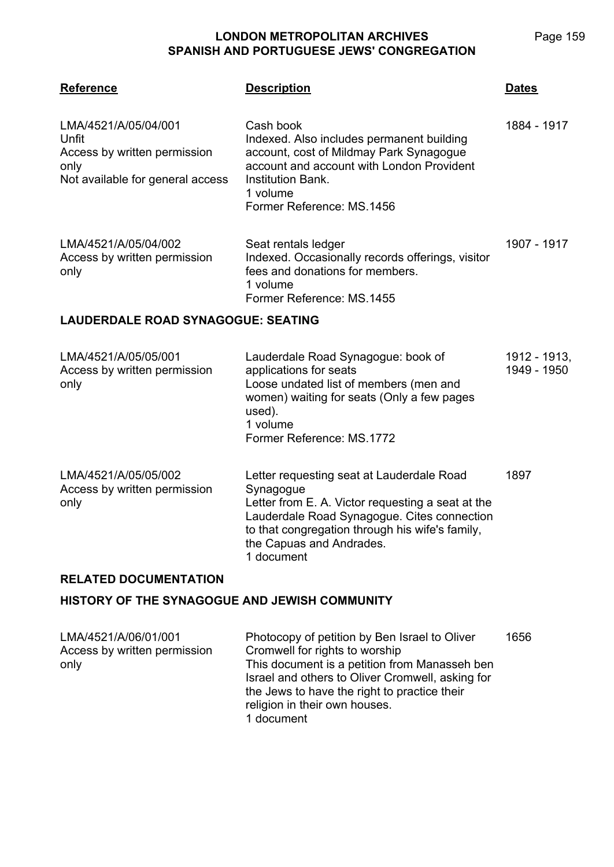Page 159

| <b>Reference</b>                                                                                          | <b>Description</b>                                                                                                                                                                                                  | <u>Dates</u>                |  |
|-----------------------------------------------------------------------------------------------------------|---------------------------------------------------------------------------------------------------------------------------------------------------------------------------------------------------------------------|-----------------------------|--|
| LMA/4521/A/05/04/001<br>Unfit<br>Access by written permission<br>only<br>Not available for general access | Cash book<br>Indexed. Also includes permanent building<br>account, cost of Mildmay Park Synagogue<br>account and account with London Provident<br><b>Institution Bank.</b><br>1 volume<br>Former Reference: MS.1456 | 1884 - 1917                 |  |
| LMA/4521/A/05/04/002<br>Access by written permission<br>only                                              | Seat rentals ledger<br>Indexed. Occasionally records offerings, visitor<br>fees and donations for members.<br>1 volume<br>Former Reference: MS.1455                                                                 | 1907 - 1917                 |  |
| <b>LAUDERDALE ROAD SYNAGOGUE: SEATING</b>                                                                 |                                                                                                                                                                                                                     |                             |  |
| LMA/4521/A/05/05/001<br>Access by written permission<br>only                                              | Lauderdale Road Synagogue: book of<br>applications for seats<br>Loose undated list of members (men and<br>women) waiting for seats (Only a few pages<br>used).<br>1 volume<br>Former Reference: MS.1772             | 1912 - 1913,<br>1949 - 1950 |  |

| LMA/4521/A/05/05/002<br>Access by written permission<br>only | Letter requesting seat at Lauderdale Road<br>Synagogue<br>Letter from E. A. Victor requesting a seat at the<br>Lauderdale Road Synagogue. Cites connection<br>to that congregation through his wife's family,<br>the Capuas and Andrades.<br>1 document | 1897 |
|--------------------------------------------------------------|---------------------------------------------------------------------------------------------------------------------------------------------------------------------------------------------------------------------------------------------------------|------|
|                                                              |                                                                                                                                                                                                                                                         |      |

### **RELATED DOCUMENTATION**

### **HISTORY OF THE SYNAGOGUE AND JEWISH COMMUNITY**

| LMA/4521/A/06/01/001         | Photocopy of petition by Ben Israel to Oliver    | 1656 |
|------------------------------|--------------------------------------------------|------|
| Access by written permission | Cromwell for rights to worship                   |      |
| only                         | This document is a petition from Manasseh ben    |      |
|                              | Israel and others to Oliver Cromwell, asking for |      |
|                              | the Jews to have the right to practice their     |      |
|                              | religion in their own houses.                    |      |
|                              | 1 document                                       |      |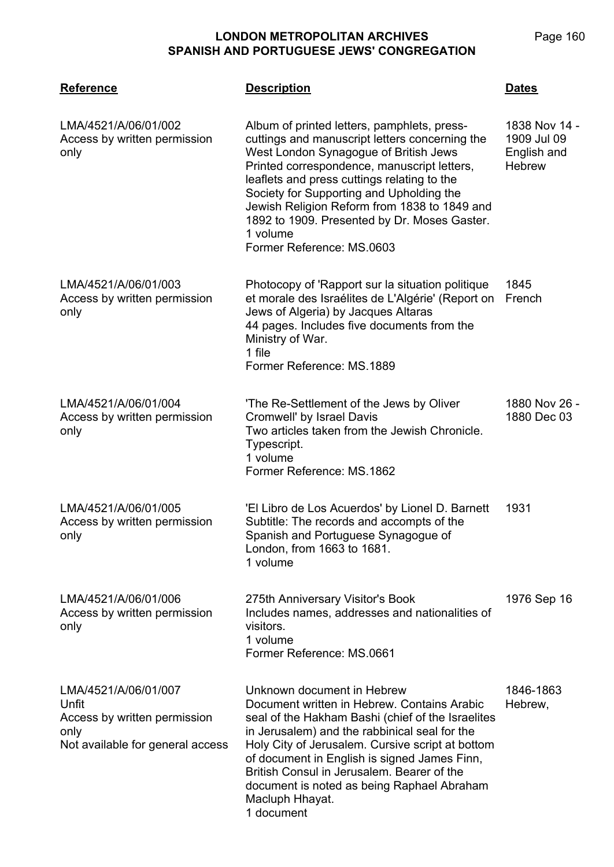| <b>Reference</b>                                                                                          | <b>Description</b>                                                                                                                                                                                                                                                                                                                                                                                                        | <b>Dates</b>                                                 |
|-----------------------------------------------------------------------------------------------------------|---------------------------------------------------------------------------------------------------------------------------------------------------------------------------------------------------------------------------------------------------------------------------------------------------------------------------------------------------------------------------------------------------------------------------|--------------------------------------------------------------|
| LMA/4521/A/06/01/002<br>Access by written permission<br>only                                              | Album of printed letters, pamphlets, press-<br>cuttings and manuscript letters concerning the<br>West London Synagogue of British Jews<br>Printed correspondence, manuscript letters,<br>leaflets and press cuttings relating to the<br>Society for Supporting and Upholding the<br>Jewish Religion Reform from 1838 to 1849 and<br>1892 to 1909. Presented by Dr. Moses Gaster.<br>1 volume<br>Former Reference: MS.0603 | 1838 Nov 14 -<br>1909 Jul 09<br>English and<br><b>Hebrew</b> |
| LMA/4521/A/06/01/003<br>Access by written permission<br>only                                              | Photocopy of 'Rapport sur la situation politique<br>et morale des Israélites de L'Algérie' (Report on<br>Jews of Algeria) by Jacques Altaras<br>44 pages. Includes five documents from the<br>Ministry of War.<br>1 file<br>Former Reference: MS.1889                                                                                                                                                                     | 1845<br>French                                               |
| LMA/4521/A/06/01/004<br>Access by written permission<br>only                                              | 'The Re-Settlement of the Jews by Oliver<br>Cromwell' by Israel Davis<br>Two articles taken from the Jewish Chronicle.<br>Typescript.<br>1 volume<br>Former Reference: MS.1862                                                                                                                                                                                                                                            | 1880 Nov 26 -<br>1880 Dec 03                                 |
| LMA/4521/A/06/01/005<br>Access by written permission<br>only                                              | 'El Libro de Los Acuerdos' by Lionel D. Barnett<br>Subtitle: The records and accompts of the<br>Spanish and Portuguese Synagogue of<br>London, from 1663 to 1681.<br>1 volume                                                                                                                                                                                                                                             | 1931                                                         |
| LMA/4521/A/06/01/006<br>Access by written permission<br>only                                              | 275th Anniversary Visitor's Book<br>Includes names, addresses and nationalities of<br>visitors.<br>1 volume<br>Former Reference: MS.0661                                                                                                                                                                                                                                                                                  | 1976 Sep 16                                                  |
| LMA/4521/A/06/01/007<br>Unfit<br>Access by written permission<br>only<br>Not available for general access | Unknown document in Hebrew<br>Document written in Hebrew. Contains Arabic<br>seal of the Hakham Bashi (chief of the Israelites<br>in Jerusalem) and the rabbinical seal for the<br>Holy City of Jerusalem. Cursive script at bottom<br>of document in English is signed James Finn,<br>British Consul in Jerusalem. Bearer of the<br>document is noted as being Raphael Abraham<br>Macluph Hhayat.<br>1 document          | 1846-1863<br>Hebrew,                                         |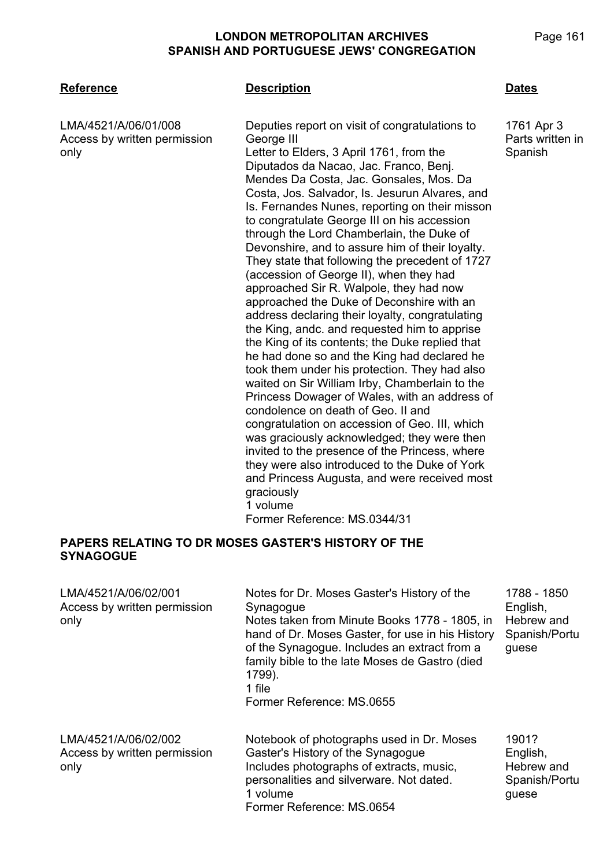only

LMA/4521/A/06/01/008

### **LMA/4521 Reference Description Dates**

Access by written permission Deputies report on visit of congratulations to George III Letter to Elders, 3 April 1761, from the Diputados da Nacao, Jac. Franco, Benj. Mendes Da Costa, Jac. Gonsales, Mos. Da Costa, Jos. Salvador, Is. Jesurun Alvares, and Is. Fernandes Nunes, reporting on their misson to congratulate George III on his accession through the Lord Chamberlain, the Duke of Devonshire, and to assure him of their loyalty. They state that following the precedent of 1727 (accession of George II), when they had approached Sir R. Walpole, they had now approached the Duke of Deconshire with an address declaring their loyalty, congratulating the King, andc. and requested him to apprise the King of its contents; the Duke replied that he had done so and the King had declared he took them under his protection. They had also waited on Sir William Irby, Chamberlain to the Princess Dowager of Wales, with an address of condolence on death of Geo. II and congratulation on accession of Geo. III, which was graciously acknowledged; they were then invited to the presence of the Princess, where they were also introduced to the Duke of York and Princess Augusta, and were received most graciously 1 volume Former Reference: MS.0344/31

### **PAPERS RELATING TO DR MOSES GASTER'S HISTORY OF THE SYNAGOGUE**

| LMA/4521/A/06/02/001<br>Access by written permission<br>only | Notes for Dr. Moses Gaster's History of the<br>Synagogue<br>Notes taken from Minute Books 1778 - 1805, in<br>hand of Dr. Moses Gaster, for use in his History<br>of the Synagogue. Includes an extract from a<br>family bible to the late Moses de Gastro (died<br>1799).<br>1 file<br>Former Reference: MS.0655 | 1788 - 1850<br>English,<br>Hebrew and<br>Spanish/Portu<br>guese |
|--------------------------------------------------------------|------------------------------------------------------------------------------------------------------------------------------------------------------------------------------------------------------------------------------------------------------------------------------------------------------------------|-----------------------------------------------------------------|
| LMA/4521/A/06/02/002<br>Access by written permission<br>only | Notebook of photographs used in Dr. Moses<br>Gaster's History of the Synagogue<br>Includes photographs of extracts, music,<br>personalities and silverware. Not dated.<br>1 volume<br>Former Reference: MS.0654                                                                                                  | 1901?<br>English,<br>Hebrew and<br>Spanish/Portu<br>guese       |

1761 Apr 3 Parts written in Spanish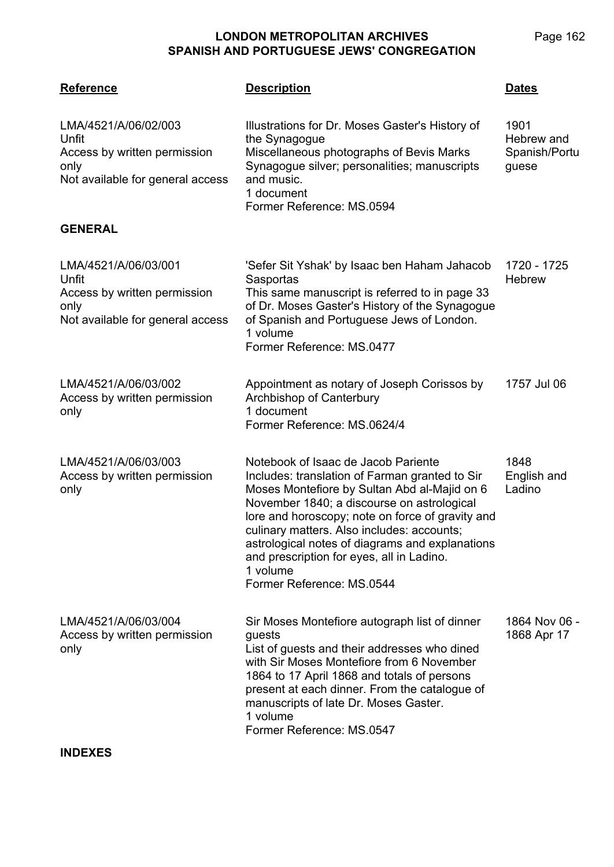| <b>Reference</b>                                                                                          | <b>Description</b>                                                                                                                                                                                                                                                                                                                                                                                                             | <b>Dates</b>                                 |
|-----------------------------------------------------------------------------------------------------------|--------------------------------------------------------------------------------------------------------------------------------------------------------------------------------------------------------------------------------------------------------------------------------------------------------------------------------------------------------------------------------------------------------------------------------|----------------------------------------------|
| LMA/4521/A/06/02/003<br>Unfit<br>Access by written permission<br>only<br>Not available for general access | Illustrations for Dr. Moses Gaster's History of<br>the Synagogue<br>Miscellaneous photographs of Bevis Marks<br>Synagogue silver; personalities; manuscripts<br>and music.<br>1 document<br>Former Reference: MS.0594                                                                                                                                                                                                          | 1901<br>Hebrew and<br>Spanish/Portu<br>guese |
| <b>GENERAL</b>                                                                                            |                                                                                                                                                                                                                                                                                                                                                                                                                                |                                              |
| LMA/4521/A/06/03/001<br>Unfit<br>Access by written permission<br>only<br>Not available for general access | 'Sefer Sit Yshak' by Isaac ben Haham Jahacob<br>Sasportas<br>This same manuscript is referred to in page 33<br>of Dr. Moses Gaster's History of the Synagogue<br>of Spanish and Portuguese Jews of London.<br>1 volume<br>Former Reference: MS.0477                                                                                                                                                                            | 1720 - 1725<br><b>Hebrew</b>                 |
| LMA/4521/A/06/03/002<br>Access by written permission<br>only                                              | Appointment as notary of Joseph Corissos by<br>Archbishop of Canterbury<br>1 document<br>Former Reference: MS.0624/4                                                                                                                                                                                                                                                                                                           | 1757 Jul 06                                  |
| LMA/4521/A/06/03/003<br>Access by written permission<br>only                                              | Notebook of Isaac de Jacob Pariente<br>Includes: translation of Farman granted to Sir<br>Moses Montefiore by Sultan Abd al-Majid on 6<br>November 1840; a discourse on astrological<br>lore and horoscopy; note on force of gravity and<br>culinary matters. Also includes: accounts;<br>astrological notes of diagrams and explanations<br>and prescription for eyes, all in Ladino.<br>1 volume<br>Former Reference: MS.0544 | 1848<br>English and<br>Ladino                |
| LMA/4521/A/06/03/004<br>Access by written permission<br>only                                              | Sir Moses Montefiore autograph list of dinner<br>guests<br>List of guests and their addresses who dined<br>with Sir Moses Montefiore from 6 November<br>1864 to 17 April 1868 and totals of persons<br>present at each dinner. From the catalogue of<br>manuscripts of late Dr. Moses Gaster.<br>1 volume<br>Former Reference: MS.0547                                                                                         | 1864 Nov 06 -<br>1868 Apr 17                 |
| <b>INDEXES</b>                                                                                            |                                                                                                                                                                                                                                                                                                                                                                                                                                |                                              |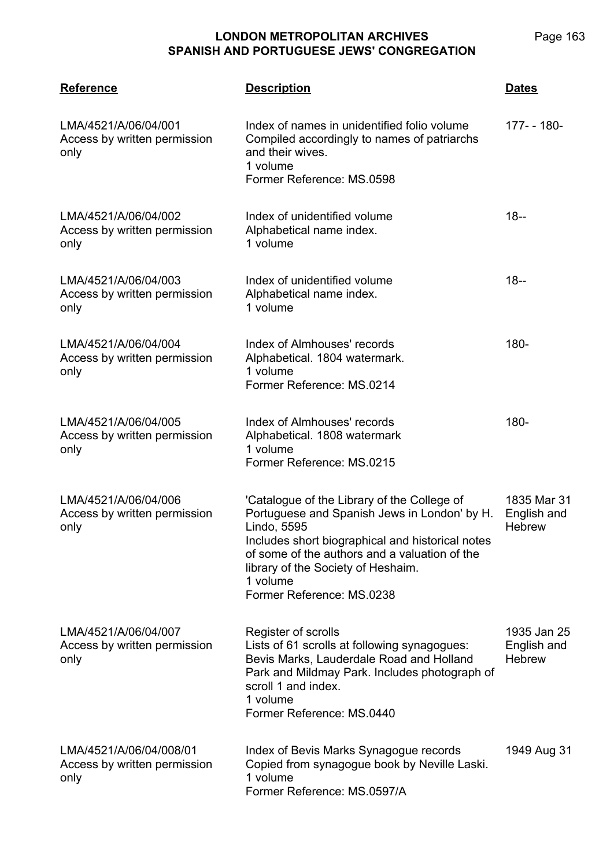| <b>Reference</b>                                                | <b>Description</b>                                                                                                                                                                                                                                                                             | <b>Dates</b>                                |
|-----------------------------------------------------------------|------------------------------------------------------------------------------------------------------------------------------------------------------------------------------------------------------------------------------------------------------------------------------------------------|---------------------------------------------|
| LMA/4521/A/06/04/001<br>Access by written permission<br>only    | Index of names in unidentified folio volume<br>Compiled accordingly to names of patriarchs<br>and their wives.<br>1 volume<br>Former Reference: MS.0598                                                                                                                                        | 177- - 180-                                 |
| LMA/4521/A/06/04/002<br>Access by written permission<br>only    | Index of unidentified volume<br>Alphabetical name index.<br>1 volume                                                                                                                                                                                                                           | $18 -$                                      |
| LMA/4521/A/06/04/003<br>Access by written permission<br>only    | Index of unidentified volume<br>Alphabetical name index.<br>1 volume                                                                                                                                                                                                                           | $18 -$                                      |
| LMA/4521/A/06/04/004<br>Access by written permission<br>only    | Index of Almhouses' records<br>Alphabetical. 1804 watermark.<br>1 volume<br>Former Reference: MS.0214                                                                                                                                                                                          | 180-                                        |
| LMA/4521/A/06/04/005<br>Access by written permission<br>only    | Index of Almhouses' records<br>Alphabetical. 1808 watermark<br>1 volume<br>Former Reference: MS.0215                                                                                                                                                                                           | 180-                                        |
| LMA/4521/A/06/04/006<br>Access by written permission<br>only    | 'Catalogue of the Library of the College of<br>Portuguese and Spanish Jews in London' by H.<br>Lindo, 5595<br>Includes short biographical and historical notes<br>of some of the authors and a valuation of the<br>library of the Society of Heshaim.<br>1 volume<br>Former Reference: MS.0238 | 1835 Mar 31<br>English and<br><b>Hebrew</b> |
| LMA/4521/A/06/04/007<br>Access by written permission<br>only    | Register of scrolls<br>Lists of 61 scrolls at following synagogues:<br>Bevis Marks, Lauderdale Road and Holland<br>Park and Mildmay Park. Includes photograph of<br>scroll 1 and index.<br>1 volume<br>Former Reference: MS.0440                                                               | 1935 Jan 25<br>English and<br><b>Hebrew</b> |
| LMA/4521/A/06/04/008/01<br>Access by written permission<br>only | Index of Bevis Marks Synagogue records<br>Copied from synagogue book by Neville Laski.<br>1 volume<br>Former Reference: MS.0597/A                                                                                                                                                              | 1949 Aug 31                                 |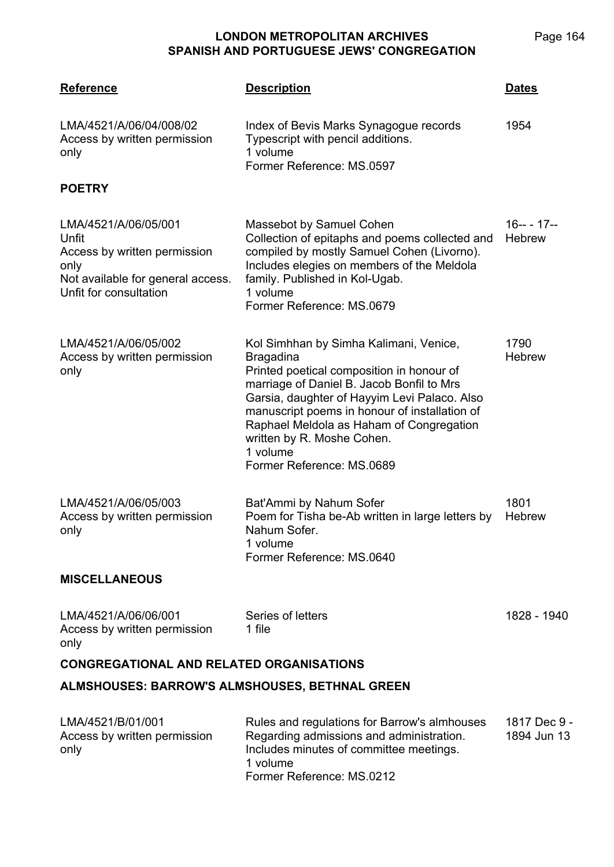| <b>Reference</b>                                                                                                                     | <b>Description</b>                                                                                                                                                                                                                                                                                                                                                       | <b>Dates</b>                |  |
|--------------------------------------------------------------------------------------------------------------------------------------|--------------------------------------------------------------------------------------------------------------------------------------------------------------------------------------------------------------------------------------------------------------------------------------------------------------------------------------------------------------------------|-----------------------------|--|
| LMA/4521/A/06/04/008/02<br>Access by written permission<br>only                                                                      | Index of Bevis Marks Synagogue records<br>Typescript with pencil additions.<br>1 volume<br>Former Reference: MS.0597                                                                                                                                                                                                                                                     | 1954                        |  |
| <b>POETRY</b>                                                                                                                        |                                                                                                                                                                                                                                                                                                                                                                          |                             |  |
| LMA/4521/A/06/05/001<br>Unfit<br>Access by written permission<br>only<br>Not available for general access.<br>Unfit for consultation | Massebot by Samuel Cohen<br>Collection of epitaphs and poems collected and<br>compiled by mostly Samuel Cohen (Livorno).<br>Includes elegies on members of the Meldola<br>family. Published in Kol-Ugab.<br>1 volume<br>Former Reference: MS.0679                                                                                                                        | $16--17--$<br><b>Hebrew</b> |  |
| LMA/4521/A/06/05/002<br>Access by written permission<br>only                                                                         | Kol Simhhan by Simha Kalimani, Venice,<br><b>Bragadina</b><br>Printed poetical composition in honour of<br>marriage of Daniel B. Jacob Bonfil to Mrs<br>Garsia, daughter of Hayyim Levi Palaco. Also<br>manuscript poems in honour of installation of<br>Raphael Meldola as Haham of Congregation<br>written by R. Moshe Cohen.<br>1 volume<br>Former Reference: MS.0689 | 1790<br><b>Hebrew</b>       |  |
| LMA/4521/A/06/05/003<br>Access by written permission<br>only                                                                         | Bat'Ammi by Nahum Sofer<br>Poem for Tisha be-Ab written in large letters by<br>Nahum Sofer.<br>1 volume<br>Former Reference: MS.0640                                                                                                                                                                                                                                     | 1801<br>Hebrew              |  |
| <b>MISCELLANEOUS</b>                                                                                                                 |                                                                                                                                                                                                                                                                                                                                                                          |                             |  |
| LMA/4521/A/06/06/001<br>Access by written permission<br>only                                                                         | Series of letters<br>1 file                                                                                                                                                                                                                                                                                                                                              | 1828 - 1940                 |  |
| <b>CONGREGATIONAL AND RELATED ORGANISATIONS</b>                                                                                      |                                                                                                                                                                                                                                                                                                                                                                          |                             |  |
| ALMSHOUSES: BARROW'S ALMSHOUSES, BETHNAL GREEN                                                                                       |                                                                                                                                                                                                                                                                                                                                                                          |                             |  |
| LMA/4521/B/01/001<br>Access by written permission                                                                                    | Rules and regulations for Barrow's almhouses<br>Regarding admissions and administration.                                                                                                                                                                                                                                                                                 | 1817 Dec 9 -<br>1894 Jun 13 |  |

1 volume Former Reference: MS.0212

Includes minutes of committee meetings.

only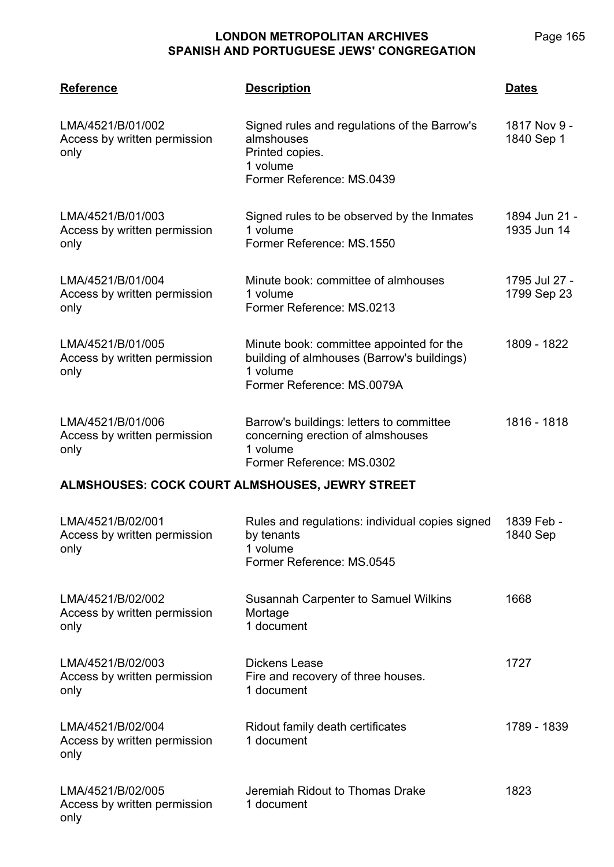Page 165

### **LONDON METROPOLITAN ARCHIVES SPANISH AND PORTUGUESE JEWS' CONGREGATION**

| <b>Reference</b>                                          | <b>Description</b>                                                                                                               | <b>Dates</b>                 |
|-----------------------------------------------------------|----------------------------------------------------------------------------------------------------------------------------------|------------------------------|
| LMA/4521/B/01/002<br>Access by written permission<br>only | Signed rules and regulations of the Barrow's<br>almshouses<br>Printed copies.<br>1 volume<br>Former Reference: MS.0439           | 1817 Nov 9 -<br>1840 Sep 1   |
| LMA/4521/B/01/003<br>Access by written permission<br>only | Signed rules to be observed by the Inmates<br>1 volume<br>Former Reference: MS.1550                                              | 1894 Jun 21 -<br>1935 Jun 14 |
| LMA/4521/B/01/004<br>Access by written permission<br>only | Minute book: committee of almhouses<br>1 volume<br>Former Reference: MS.0213                                                     | 1795 Jul 27 -<br>1799 Sep 23 |
| LMA/4521/B/01/005<br>Access by written permission<br>only | Minute book: committee appointed for the<br>building of almhouses (Barrow's buildings)<br>1 volume<br>Former Reference: MS.0079A | 1809 - 1822                  |
| LMA/4521/B/01/006<br>Access by written permission<br>only | Barrow's buildings: letters to committee<br>concerning erection of almshouses<br>1 volume<br>Former Reference: MS.0302           | 1816 - 1818                  |
| ALMSHOUSES: COCK COURT ALMSHOUSES, JEWRY STREET           |                                                                                                                                  |                              |
| LMA/4521/B/02/001<br>Access by written permission<br>only | Rules and regulations: individual copies signed<br>by tenants<br>1 volume<br>Former Reference: MS.0545                           | 1839 Feb -<br>1840 Sep       |
| LMA/4521/B/02/002<br>Access by written permission<br>only | Susannah Carpenter to Samuel Wilkins<br>Mortage<br>1 document                                                                    | 1668                         |
| LMA/4521/B/02/003<br>Access by written permission<br>only | <b>Dickens Lease</b><br>Fire and recovery of three houses.<br>1 document                                                         | 1727                         |
| LMA/4521/B/02/004<br>Access by written permission<br>only | Ridout family death certificates<br>1 document                                                                                   | 1789 - 1839                  |
| LMA/4521/B/02/005<br>Access by written permission<br>only | Jeremiah Ridout to Thomas Drake<br>1 document                                                                                    | 1823                         |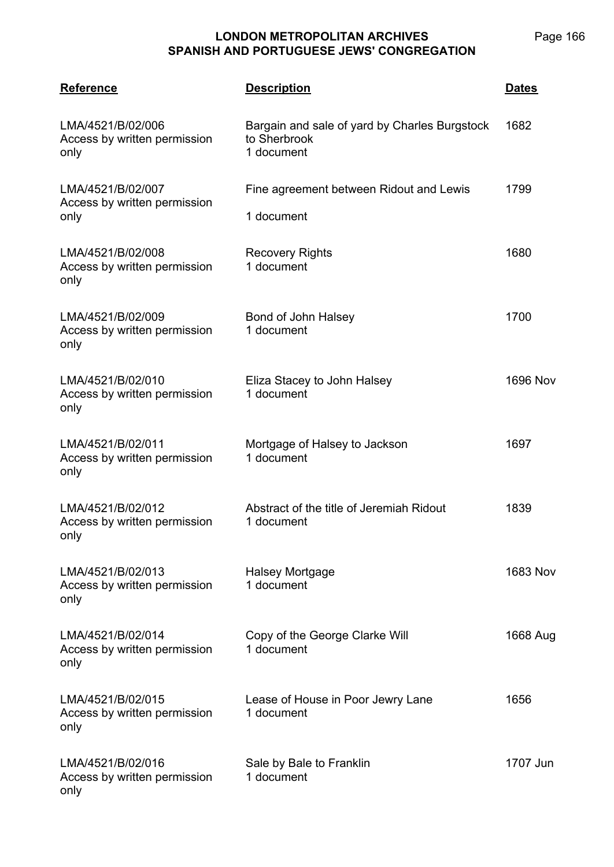| <b>Reference</b>                                          | <b>Description</b>                                                          | <u>Dates</u>    |
|-----------------------------------------------------------|-----------------------------------------------------------------------------|-----------------|
| LMA/4521/B/02/006<br>Access by written permission<br>only | Bargain and sale of yard by Charles Burgstock<br>to Sherbrook<br>1 document | 1682            |
| LMA/4521/B/02/007<br>Access by written permission         | Fine agreement between Ridout and Lewis                                     | 1799            |
| only                                                      | 1 document                                                                  |                 |
| LMA/4521/B/02/008<br>Access by written permission<br>only | <b>Recovery Rights</b><br>1 document                                        | 1680            |
| LMA/4521/B/02/009<br>Access by written permission<br>only | Bond of John Halsey<br>1 document                                           | 1700            |
| LMA/4521/B/02/010<br>Access by written permission<br>only | Eliza Stacey to John Halsey<br>1 document                                   | <b>1696 Nov</b> |
| LMA/4521/B/02/011<br>Access by written permission<br>only | Mortgage of Halsey to Jackson<br>1 document                                 | 1697            |
| LMA/4521/B/02/012<br>Access by written permission<br>only | Abstract of the title of Jeremiah Ridout<br>1 document                      | 1839            |
| LMA/4521/B/02/013<br>Access by written permission<br>only | Halsey Mortgage<br>1 document                                               | 1683 Nov        |
| LMA/4521/B/02/014<br>Access by written permission<br>only | Copy of the George Clarke Will<br>1 document                                | 1668 Aug        |
| LMA/4521/B/02/015<br>Access by written permission<br>only | Lease of House in Poor Jewry Lane<br>1 document                             | 1656            |
| LMA/4521/B/02/016<br>Access by written permission<br>only | Sale by Bale to Franklin<br>1 document                                      | 1707 Jun        |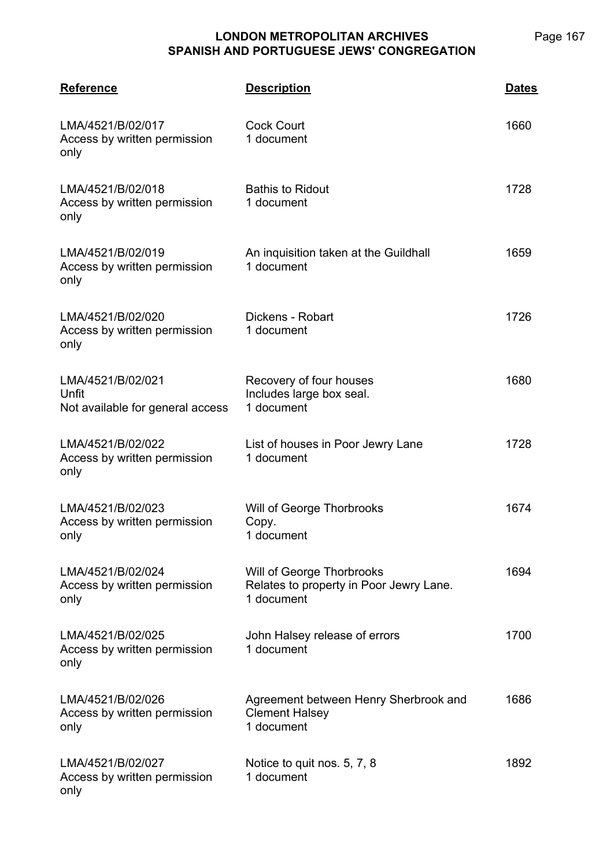| <b>Reference</b>                                               | <b>Description</b>                                                                 | <u>Dates</u> |
|----------------------------------------------------------------|------------------------------------------------------------------------------------|--------------|
| LMA/4521/B/02/017<br>Access by written permission<br>only      | <b>Cock Court</b><br>1 document                                                    | 1660         |
| LMA/4521/B/02/018<br>Access by written permission<br>only      | <b>Bathis to Ridout</b><br>1 document                                              | 1728         |
| LMA/4521/B/02/019<br>Access by written permission<br>only      | An inquisition taken at the Guildhall<br>1 document                                | 1659         |
| LMA/4521/B/02/020<br>Access by written permission<br>only      | Dickens - Robart<br>1 document                                                     | 1726         |
| LMA/4521/B/02/021<br>Unfit<br>Not available for general access | Recovery of four houses<br>Includes large box seal.<br>1 document                  | 1680         |
| LMA/4521/B/02/022<br>Access by written permission<br>only      | List of houses in Poor Jewry Lane<br>1 document                                    | 1728         |
| LMA/4521/B/02/023<br>Access by written permission<br>only      | Will of George Thorbrooks<br>Copy.<br>1 document                                   | 1674         |
| LMA/4521/B/02/024<br>Access by written permission<br>only      | Will of George Thorbrooks<br>Relates to property in Poor Jewry Lane.<br>1 document | 1694         |
| LMA/4521/B/02/025<br>Access by written permission<br>only      | John Halsey release of errors<br>1 document                                        | 1700         |
| LMA/4521/B/02/026<br>Access by written permission<br>only      | Agreement between Henry Sherbrook and<br><b>Clement Halsey</b><br>1 document       | 1686         |
| LMA/4521/B/02/027<br>Access by written permission<br>only      | Notice to quit nos. 5, 7, 8<br>1 document                                          | 1892         |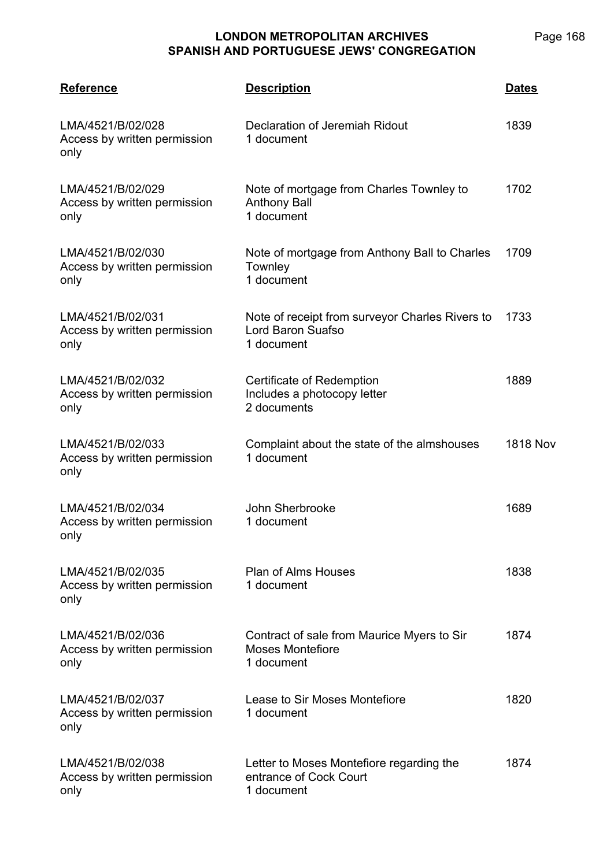| <b>Reference</b>                                          | <b>Description</b>                                                                  | <b>Dates</b>    |
|-----------------------------------------------------------|-------------------------------------------------------------------------------------|-----------------|
| LMA/4521/B/02/028<br>Access by written permission<br>only | Declaration of Jeremiah Ridout<br>1 document                                        | 1839            |
| LMA/4521/B/02/029<br>Access by written permission<br>only | Note of mortgage from Charles Townley to<br><b>Anthony Ball</b><br>1 document       | 1702            |
| LMA/4521/B/02/030<br>Access by written permission<br>only | Note of mortgage from Anthony Ball to Charles<br>Townley<br>1 document              | 1709            |
| LMA/4521/B/02/031<br>Access by written permission<br>only | Note of receipt from surveyor Charles Rivers to<br>Lord Baron Suafso<br>1 document  | 1733            |
| LMA/4521/B/02/032<br>Access by written permission<br>only | Certificate of Redemption<br>Includes a photocopy letter<br>2 documents             | 1889            |
| LMA/4521/B/02/033<br>Access by written permission<br>only | Complaint about the state of the almshouses<br>1 document                           | <b>1818 Nov</b> |
| LMA/4521/B/02/034<br>Access by written permission<br>only | John Sherbrooke<br>1 document                                                       | 1689            |
| LMA/4521/B/02/035<br>Access by written permission<br>only | <b>Plan of Alms Houses</b><br>1 document                                            | 1838            |
| LMA/4521/B/02/036<br>Access by written permission<br>only | Contract of sale from Maurice Myers to Sir<br><b>Moses Montefiore</b><br>1 document | 1874            |
| LMA/4521/B/02/037<br>Access by written permission<br>only | Lease to Sir Moses Montefiore<br>1 document                                         | 1820            |
| LMA/4521/B/02/038<br>Access by written permission<br>only | Letter to Moses Montefiore regarding the<br>entrance of Cock Court<br>1 document    | 1874            |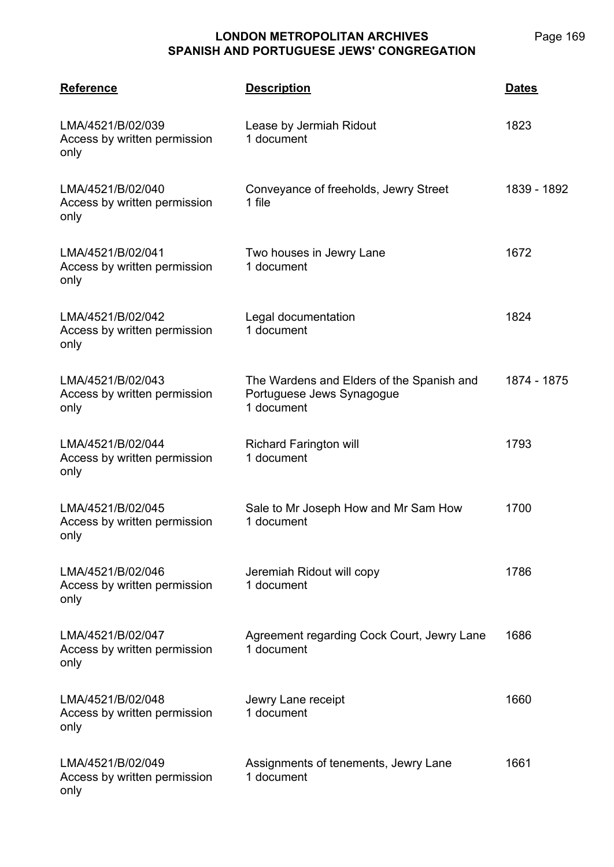| <b>Reference</b>                                          | <b>Description</b>                                                                   | <b>Dates</b> |
|-----------------------------------------------------------|--------------------------------------------------------------------------------------|--------------|
| LMA/4521/B/02/039<br>Access by written permission<br>only | Lease by Jermiah Ridout<br>1 document                                                | 1823         |
| LMA/4521/B/02/040<br>Access by written permission<br>only | Conveyance of freeholds, Jewry Street<br>1 file                                      | 1839 - 1892  |
| LMA/4521/B/02/041<br>Access by written permission<br>only | Two houses in Jewry Lane<br>1 document                                               | 1672         |
| LMA/4521/B/02/042<br>Access by written permission<br>only | Legal documentation<br>1 document                                                    | 1824         |
| LMA/4521/B/02/043<br>Access by written permission<br>only | The Wardens and Elders of the Spanish and<br>Portuguese Jews Synagogue<br>1 document | 1874 - 1875  |
| LMA/4521/B/02/044<br>Access by written permission<br>only | <b>Richard Farington will</b><br>1 document                                          | 1793         |
| LMA/4521/B/02/045<br>Access by written permission<br>only | Sale to Mr Joseph How and Mr Sam How<br>1 document                                   | 1700         |
| LMA/4521/B/02/046<br>Access by written permission<br>only | Jeremiah Ridout will copy<br>1 document                                              | 1786         |
| LMA/4521/B/02/047<br>Access by written permission<br>only | Agreement regarding Cock Court, Jewry Lane<br>1 document                             | 1686         |
| LMA/4521/B/02/048<br>Access by written permission<br>only | Jewry Lane receipt<br>1 document                                                     | 1660         |
| LMA/4521/B/02/049<br>Access by written permission<br>only | Assignments of tenements, Jewry Lane<br>1 document                                   | 1661         |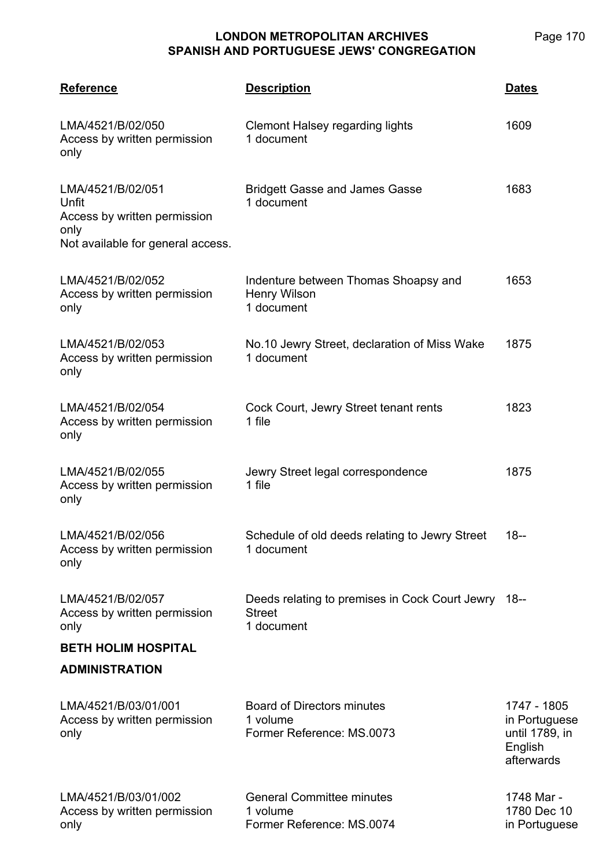| <b>Reference</b>                                                                                        | <b>Description</b>                                                                 | <b>Dates</b>                                                            |
|---------------------------------------------------------------------------------------------------------|------------------------------------------------------------------------------------|-------------------------------------------------------------------------|
| LMA/4521/B/02/050<br>Access by written permission<br>only                                               | <b>Clemont Halsey regarding lights</b><br>1 document                               | 1609                                                                    |
| LMA/4521/B/02/051<br>Unfit<br>Access by written permission<br>only<br>Not available for general access. | <b>Bridgett Gasse and James Gasse</b><br>1 document                                | 1683                                                                    |
| LMA/4521/B/02/052<br>Access by written permission<br>only                                               | Indenture between Thomas Shoapsy and<br><b>Henry Wilson</b><br>1 document          | 1653                                                                    |
| LMA/4521/B/02/053<br>Access by written permission<br>only                                               | No.10 Jewry Street, declaration of Miss Wake<br>1 document                         | 1875                                                                    |
| LMA/4521/B/02/054<br>Access by written permission<br>only                                               | Cock Court, Jewry Street tenant rents<br>1 file                                    | 1823                                                                    |
| LMA/4521/B/02/055<br>Access by written permission<br>only                                               | Jewry Street legal correspondence<br>1 file                                        | 1875                                                                    |
| LMA/4521/B/02/056<br>Access by written permission<br>only                                               | Schedule of old deeds relating to Jewry Street<br>1 document                       | 18--                                                                    |
| LMA/4521/B/02/057<br>Access by written permission<br>only                                               | Deeds relating to premises in Cock Court Jewry 18--<br><b>Street</b><br>1 document |                                                                         |
| <b>BETH HOLIM HOSPITAL</b><br><b>ADMINISTRATION</b>                                                     |                                                                                    |                                                                         |
| LMA/4521/B/03/01/001<br>Access by written permission<br>only                                            | <b>Board of Directors minutes</b><br>1 volume<br>Former Reference: MS.0073         | 1747 - 1805<br>in Portuguese<br>until 1789, in<br>English<br>afterwards |
| LMA/4521/B/03/01/002<br>Access by written permission<br>only                                            | <b>General Committee minutes</b><br>1 volume<br>Former Reference: MS.0074          | 1748 Mar -<br>1780 Dec 10<br>in Portuguese                              |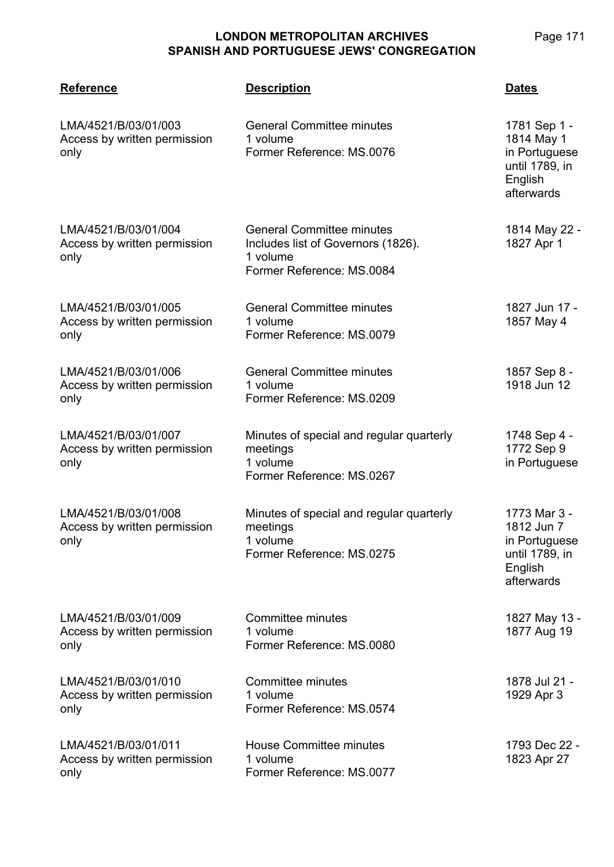| <b>Reference</b>                                             | <b>Description</b>                                                                                              | <u>Dates</u>                                                                           |
|--------------------------------------------------------------|-----------------------------------------------------------------------------------------------------------------|----------------------------------------------------------------------------------------|
| LMA/4521/B/03/01/003<br>Access by written permission<br>only | <b>General Committee minutes</b><br>1 volume<br>Former Reference: MS.0076                                       | 1781 Sep 1 -<br>1814 May 1<br>in Portuguese<br>until 1789, in<br>English<br>afterwards |
| LMA/4521/B/03/01/004<br>Access by written permission<br>only | <b>General Committee minutes</b><br>Includes list of Governors (1826).<br>1 volume<br>Former Reference: MS.0084 | 1814 May 22 -<br>1827 Apr 1                                                            |
| LMA/4521/B/03/01/005<br>Access by written permission<br>only | <b>General Committee minutes</b><br>1 volume<br>Former Reference: MS.0079                                       | 1827 Jun 17 -<br>1857 May 4                                                            |
| LMA/4521/B/03/01/006<br>Access by written permission<br>only | <b>General Committee minutes</b><br>1 volume<br>Former Reference: MS.0209                                       | 1857 Sep 8 -<br>1918 Jun 12                                                            |
| LMA/4521/B/03/01/007<br>Access by written permission<br>only | Minutes of special and regular quarterly<br>meetings<br>1 volume<br>Former Reference: MS.0267                   | 1748 Sep 4 -<br>1772 Sep 9<br>in Portuguese                                            |
| LMA/4521/B/03/01/008<br>Access by written permission<br>only | Minutes of special and regular quarterly<br>meetings<br>1 volume<br>Former Reference: MS.0275                   | 1773 Mar 3 -<br>1812 Jun 7<br>in Portuguese<br>until 1789, in<br>English<br>afterwards |
| LMA/4521/B/03/01/009<br>Access by written permission<br>only | Committee minutes<br>1 volume<br>Former Reference: MS.0080                                                      | 1827 May 13 -<br>1877 Aug 19                                                           |
| LMA/4521/B/03/01/010<br>Access by written permission<br>only | Committee minutes<br>1 volume<br>Former Reference: MS.0574                                                      | 1878 Jul 21 -<br>1929 Apr 3                                                            |
| LMA/4521/B/03/01/011<br>Access by written permission<br>only | <b>House Committee minutes</b><br>1 volume<br>Former Reference: MS.0077                                         | 1793 Dec 22 -<br>1823 Apr 27                                                           |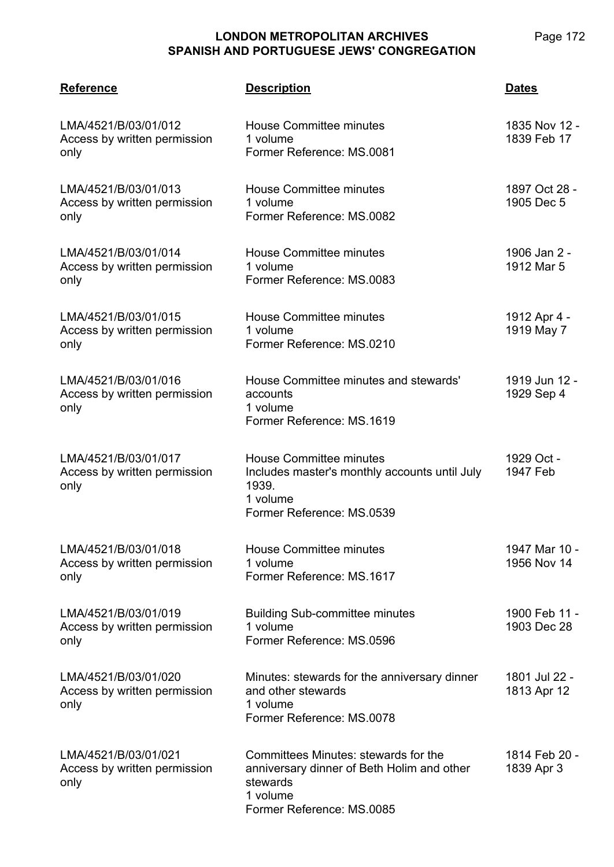only

only

only

only

only

only

only

**LMA/4521 Reference Description Dates** LMA/4521/B/03/01/012 Access by written permission House Committee minutes 1 volume Former Reference: MS.0081 1835 Nov 12 - 1839 Feb 17 LMA/4521/B/03/01/013 Access by written permission House Committee minutes 1 volume Former Reference: MS.0082 1897 Oct 28 - 1905 Dec 5 LMA/4521/B/03/01/014 Access by written permission House Committee minutes 1 volume Former Reference: MS.0083 1906 Jan 2 - 1912 Mar 5 LMA/4521/B/03/01/015 Access by written permission House Committee minutes 1 volume Former Reference: MS.0210 1912 Apr 4 - 1919 May 7 LMA/4521/B/03/01/016 Access by written permission House Committee minutes and stewards' accounts 1 volume Former Reference: MS.1619 1919 Jun 12 - 1929 Sep 4 LMA/4521/B/03/01/017 Access by written permission House Committee minutes Includes master's monthly accounts until July 1939. 1 volume Former Reference: MS.0539 1929 Oct - 1947 Feb LMA/4521/B/03/01/018 Access by written permission House Committee minutes 1 volume Former Reference: MS.1617 1947 Mar 10 - 1956 Nov 14

LMA/4521/B/03/01/019 Access by written permission only Building Sub-committee minutes 1 volume Former Reference: MS.0596 1900 Feb 11 - 1903 Dec 28 LMA/4521/B/03/01/020 Access by written permission only Minutes: stewards for the anniversary dinner and other stewards 1 volume Former Reference: MS.0078 1801 Jul 22 - 1813 Apr 12

LMA/4521/B/03/01/021 Access by written permission only Committees Minutes: stewards for the anniversary dinner of Beth Holim and other stewards 1 volume Former Reference: MS.0085 1814 Feb 20 - 1839 Apr 3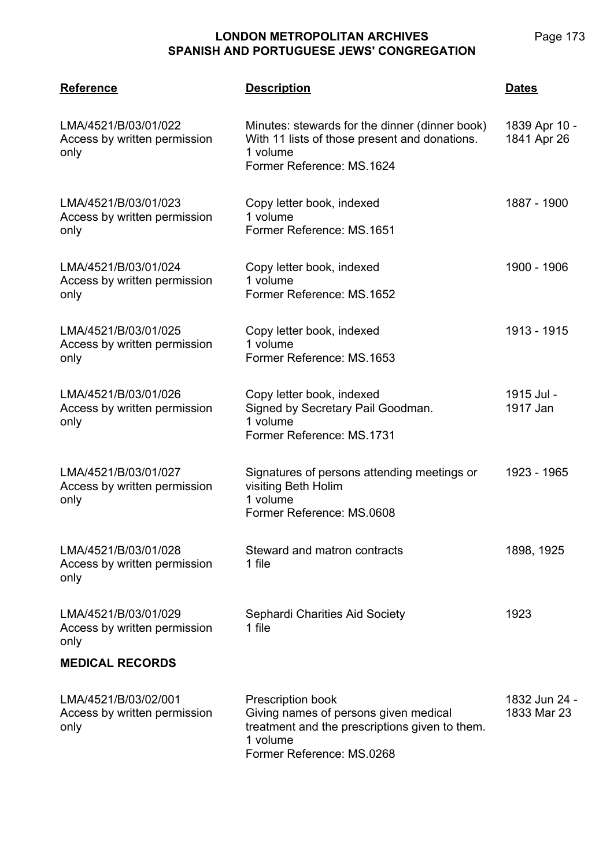| <b>Reference</b>                                             | <b>Description</b>                                                                                                                                           | <b>Dates</b>                 |
|--------------------------------------------------------------|--------------------------------------------------------------------------------------------------------------------------------------------------------------|------------------------------|
| LMA/4521/B/03/01/022<br>Access by written permission<br>only | Minutes: stewards for the dinner (dinner book)<br>With 11 lists of those present and donations.<br>1 volume<br>Former Reference: MS.1624                     | 1839 Apr 10 -<br>1841 Apr 26 |
| LMA/4521/B/03/01/023<br>Access by written permission<br>only | Copy letter book, indexed<br>1 volume<br>Former Reference: MS.1651                                                                                           | 1887 - 1900                  |
| LMA/4521/B/03/01/024<br>Access by written permission<br>only | Copy letter book, indexed<br>1 volume<br>Former Reference: MS.1652                                                                                           | 1900 - 1906                  |
| LMA/4521/B/03/01/025<br>Access by written permission<br>only | Copy letter book, indexed<br>1 volume<br>Former Reference: MS.1653                                                                                           | 1913 - 1915                  |
| LMA/4521/B/03/01/026<br>Access by written permission<br>only | Copy letter book, indexed<br>Signed by Secretary Pail Goodman.<br>1 volume<br>Former Reference: MS.1731                                                      | 1915 Jul -<br>1917 Jan       |
| LMA/4521/B/03/01/027<br>Access by written permission<br>only | Signatures of persons attending meetings or<br>visiting Beth Holim<br>1 volume<br>Former Reference: MS.0608                                                  | 1923 - 1965                  |
| LMA/4521/B/03/01/028<br>Access by written permission<br>only | Steward and matron contracts<br>1 file                                                                                                                       | 1898, 1925                   |
| LMA/4521/B/03/01/029<br>Access by written permission<br>only | Sephardi Charities Aid Society<br>1 file                                                                                                                     | 1923                         |
| <b>MEDICAL RECORDS</b>                                       |                                                                                                                                                              |                              |
| LMA/4521/B/03/02/001<br>Access by written permission<br>only | <b>Prescription book</b><br>Giving names of persons given medical<br>treatment and the prescriptions given to them.<br>1 volume<br>Former Reference: MS.0268 | 1832 Jun 24 -<br>1833 Mar 23 |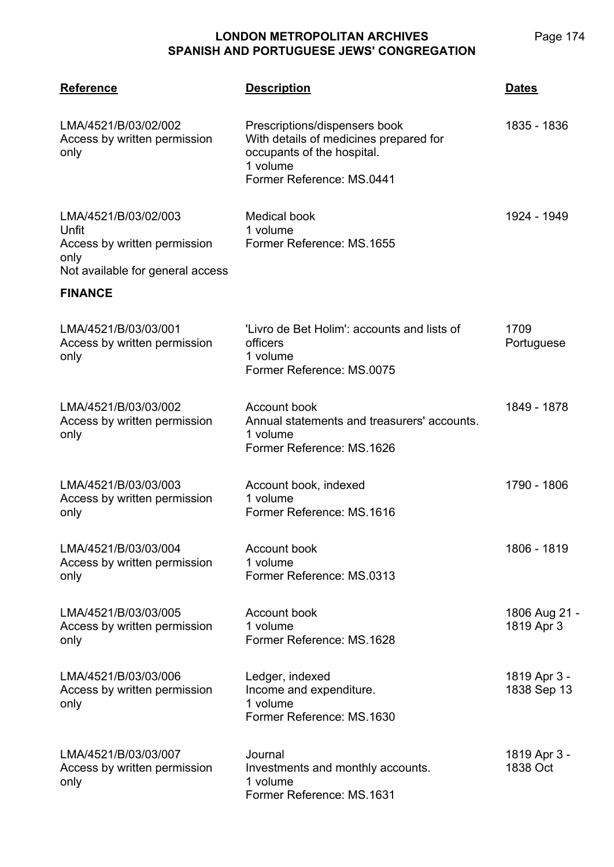| <b>Reference</b>                                                                                                            | <b>Description</b>                                                                                                                             | <b>Dates</b>                |
|-----------------------------------------------------------------------------------------------------------------------------|------------------------------------------------------------------------------------------------------------------------------------------------|-----------------------------|
| LMA/4521/B/03/02/002<br>Access by written permission<br>only                                                                | Prescriptions/dispensers book<br>With details of medicines prepared for<br>occupants of the hospital.<br>1 volume<br>Former Reference: MS.0441 | 1835 - 1836                 |
| LMA/4521/B/03/02/003<br>Unfit<br>Access by written permission<br>only<br>Not available for general access<br><b>FINANCE</b> | Medical book<br>1 volume<br>Former Reference: MS.1655                                                                                          | 1924 - 1949                 |
| LMA/4521/B/03/03/001<br>Access by written permission<br>only                                                                | 'Livro de Bet Holim': accounts and lists of<br>officers<br>1 volume<br>Former Reference: MS.0075                                               | 1709<br>Portuguese          |
| LMA/4521/B/03/03/002<br>Access by written permission<br>only                                                                | Account book<br>Annual statements and treasurers' accounts.<br>1 volume<br>Former Reference: MS.1626                                           | 1849 - 1878                 |
| LMA/4521/B/03/03/003<br>Access by written permission<br>only                                                                | Account book, indexed<br>1 volume<br>Former Reference: MS.1616                                                                                 | 1790 - 1806                 |
| LMA/4521/B/03/03/004<br>Access by written permission<br>only                                                                | Account book<br>1 volume<br>Former Reference: MS.0313                                                                                          | 1806 - 1819                 |
| LMA/4521/B/03/03/005<br>Access by written permission<br>only                                                                | Account book<br>1 volume<br>Former Reference: MS.1628                                                                                          | 1806 Aug 21 -<br>1819 Apr 3 |
| LMA/4521/B/03/03/006<br>Access by written permission<br>only                                                                | Ledger, indexed<br>Income and expenditure.<br>1 volume<br>Former Reference: MS.1630                                                            | 1819 Apr 3 -<br>1838 Sep 13 |
| LMA/4521/B/03/03/007<br>Access by written permission<br>only                                                                | Journal<br>Investments and monthly accounts.<br>1 volume<br>Former Reference: MS.1631                                                          | 1819 Apr 3 -<br>1838 Oct    |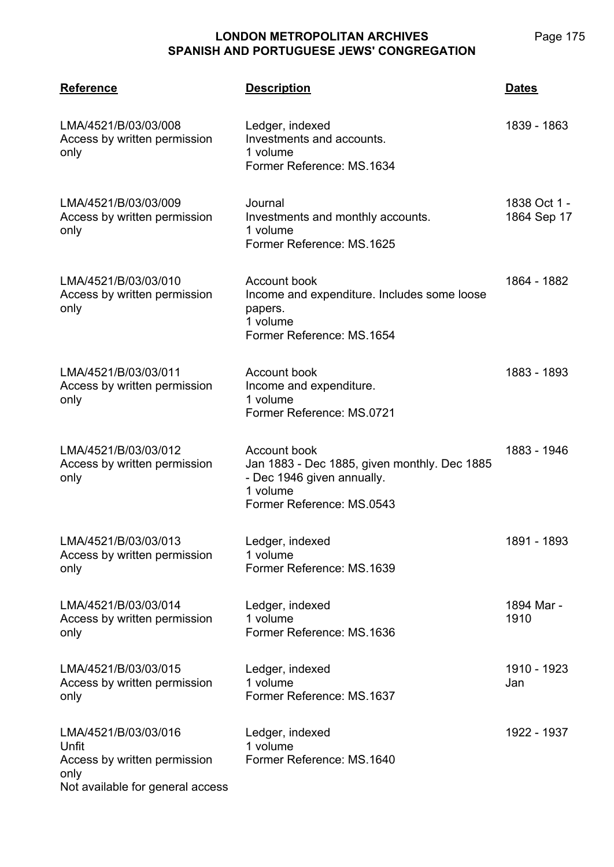| <b>Reference</b>                                                                                          | <b>Description</b>                                                                                                                  | <b>Dates</b>                |
|-----------------------------------------------------------------------------------------------------------|-------------------------------------------------------------------------------------------------------------------------------------|-----------------------------|
| LMA/4521/B/03/03/008<br>Access by written permission<br>only                                              | Ledger, indexed<br>Investments and accounts.<br>1 volume<br>Former Reference: MS.1634                                               | 1839 - 1863                 |
| LMA/4521/B/03/03/009<br>Access by written permission<br>only                                              | Journal<br>Investments and monthly accounts.<br>1 volume<br>Former Reference: MS.1625                                               | 1838 Oct 1 -<br>1864 Sep 17 |
| LMA/4521/B/03/03/010<br>Access by written permission<br>only                                              | Account book<br>Income and expenditure. Includes some loose<br>papers.<br>1 volume<br>Former Reference: MS.1654                     | 1864 - 1882                 |
| LMA/4521/B/03/03/011<br>Access by written permission<br>only                                              | Account book<br>Income and expenditure.<br>1 volume<br>Former Reference: MS.0721                                                    | 1883 - 1893                 |
| LMA/4521/B/03/03/012<br>Access by written permission<br>only                                              | Account book<br>Jan 1883 - Dec 1885, given monthly. Dec 1885<br>- Dec 1946 given annually.<br>1 volume<br>Former Reference: MS.0543 | 1883 - 1946                 |
| LMA/4521/B/03/03/013<br>Access by written permission<br>only                                              | Ledger, indexed<br>1 volume<br>Former Reference: MS.1639                                                                            | 1891 - 1893                 |
| LMA/4521/B/03/03/014<br>Access by written permission<br>only                                              | Ledger, indexed<br>1 volume<br>Former Reference: MS.1636                                                                            | 1894 Mar -<br>1910          |
| LMA/4521/B/03/03/015<br>Access by written permission<br>only                                              | Ledger, indexed<br>1 volume<br>Former Reference: MS.1637                                                                            | 1910 - 1923<br>Jan          |
| LMA/4521/B/03/03/016<br>Unfit<br>Access by written permission<br>only<br>Not available for general access | Ledger, indexed<br>1 volume<br>Former Reference: MS.1640                                                                            | 1922 - 1937                 |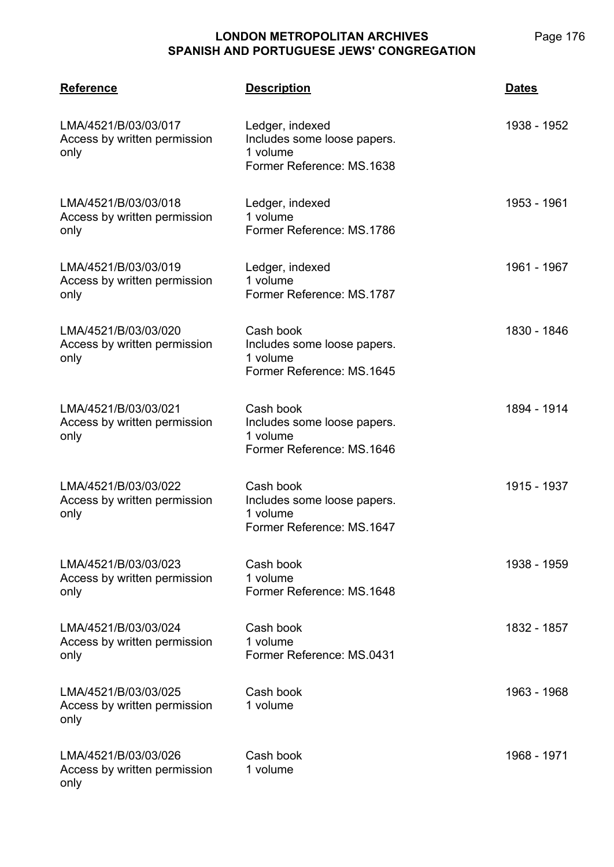| <b>Reference</b>                                             | <b>Description</b>                                                                      | <b>Dates</b> |
|--------------------------------------------------------------|-----------------------------------------------------------------------------------------|--------------|
| LMA/4521/B/03/03/017<br>Access by written permission<br>only | Ledger, indexed<br>Includes some loose papers.<br>1 volume<br>Former Reference: MS.1638 | 1938 - 1952  |
| LMA/4521/B/03/03/018<br>Access by written permission<br>only | Ledger, indexed<br>1 volume<br>Former Reference: MS.1786                                | 1953 - 1961  |
| LMA/4521/B/03/03/019<br>Access by written permission<br>only | Ledger, indexed<br>1 volume<br>Former Reference: MS.1787                                | 1961 - 1967  |
| LMA/4521/B/03/03/020<br>Access by written permission<br>only | Cash book<br>Includes some loose papers.<br>1 volume<br>Former Reference: MS.1645       | 1830 - 1846  |
| LMA/4521/B/03/03/021<br>Access by written permission<br>only | Cash book<br>Includes some loose papers.<br>1 volume<br>Former Reference: MS.1646       | 1894 - 1914  |
| LMA/4521/B/03/03/022<br>Access by written permission<br>only | Cash book<br>Includes some loose papers.<br>1 volume<br>Former Reference: MS.1647       | 1915 - 1937  |
| LMA/4521/B/03/03/023<br>Access by written permission<br>only | Cash book<br>1 volume<br>Former Reference: MS.1648                                      | 1938 - 1959  |
| LMA/4521/B/03/03/024<br>Access by written permission<br>only | Cash book<br>1 volume<br>Former Reference: MS.0431                                      | 1832 - 1857  |
| LMA/4521/B/03/03/025<br>Access by written permission<br>only | Cash book<br>1 volume                                                                   | 1963 - 1968  |
| LMA/4521/B/03/03/026<br>Access by written permission<br>only | Cash book<br>1 volume                                                                   | 1968 - 1971  |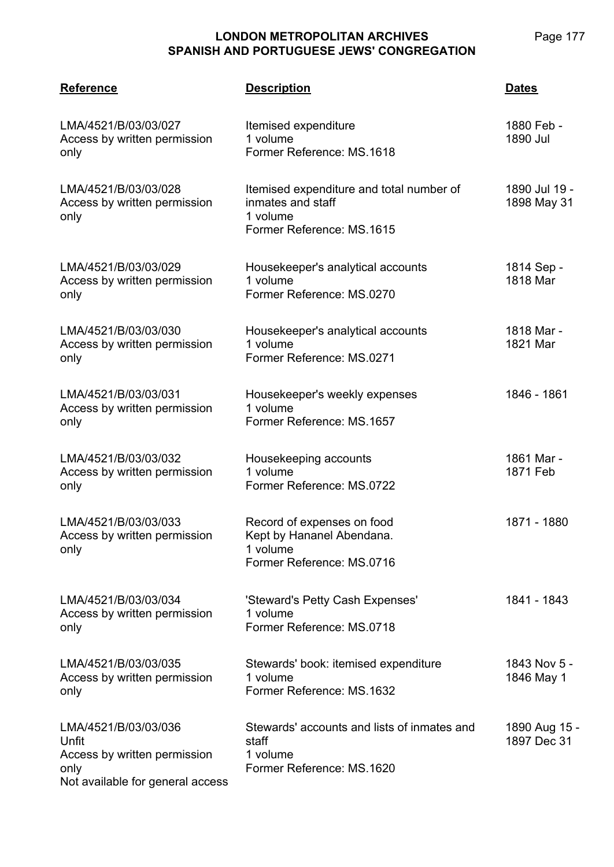| <b>Reference</b>                                                                                          | <b>Description</b>                                                                                     | <b>Dates</b>                 |
|-----------------------------------------------------------------------------------------------------------|--------------------------------------------------------------------------------------------------------|------------------------------|
| LMA/4521/B/03/03/027<br>Access by written permission<br>only                                              | Itemised expenditure<br>1 volume<br>Former Reference: MS.1618                                          | 1880 Feb -<br>1890 Jul       |
| LMA/4521/B/03/03/028<br>Access by written permission<br>only                                              | Itemised expenditure and total number of<br>inmates and staff<br>1 volume<br>Former Reference: MS.1615 | 1890 Jul 19 -<br>1898 May 31 |
| LMA/4521/B/03/03/029<br>Access by written permission<br>only                                              | Housekeeper's analytical accounts<br>1 volume<br>Former Reference: MS.0270                             | 1814 Sep -<br>1818 Mar       |
| LMA/4521/B/03/03/030<br>Access by written permission<br>only                                              | Housekeeper's analytical accounts<br>1 volume<br>Former Reference: MS.0271                             | 1818 Mar -<br>1821 Mar       |
| LMA/4521/B/03/03/031<br>Access by written permission<br>only                                              | Housekeeper's weekly expenses<br>1 volume<br>Former Reference: MS.1657                                 | 1846 - 1861                  |
| LMA/4521/B/03/03/032<br>Access by written permission<br>only                                              | Housekeeping accounts<br>1 volume<br>Former Reference: MS.0722                                         | 1861 Mar -<br>1871 Feb       |
| LMA/4521/B/03/03/033<br>Access by written permission<br>only                                              | Record of expenses on food<br>Kept by Hananel Abendana.<br>1 volume<br>Former Reference: MS.0716       | 1871 - 1880                  |
| LMA/4521/B/03/03/034<br>Access by written permission<br>only                                              | 'Steward's Petty Cash Expenses'<br>1 volume<br>Former Reference: MS.0718                               | 1841 - 1843                  |
| LMA/4521/B/03/03/035<br>Access by written permission<br>only                                              | Stewards' book: itemised expenditure<br>1 volume<br>Former Reference: MS.1632                          | 1843 Nov 5 -<br>1846 May 1   |
| LMA/4521/B/03/03/036<br>Unfit<br>Access by written permission<br>only<br>Not available for general access | Stewards' accounts and lists of inmates and<br>staff<br>1 volume<br>Former Reference: MS.1620          | 1890 Aug 15 -<br>1897 Dec 31 |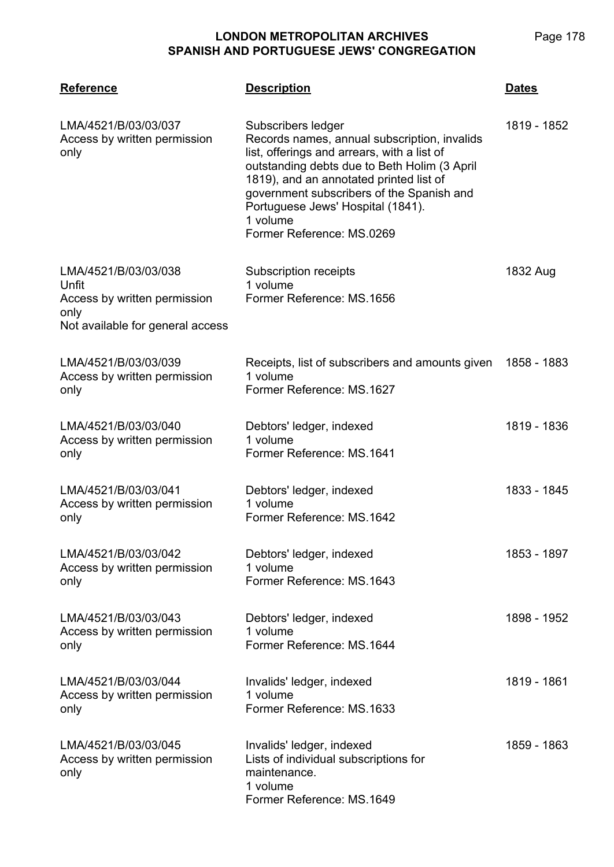| <b>Reference</b>                                                                                          | <b>Description</b>                                                                                                                                                                                                                                                                                                                      | <b>Dates</b> |
|-----------------------------------------------------------------------------------------------------------|-----------------------------------------------------------------------------------------------------------------------------------------------------------------------------------------------------------------------------------------------------------------------------------------------------------------------------------------|--------------|
| LMA/4521/B/03/03/037<br>Access by written permission<br>only                                              | Subscribers ledger<br>Records names, annual subscription, invalids<br>list, offerings and arrears, with a list of<br>outstanding debts due to Beth Holim (3 April<br>1819), and an annotated printed list of<br>government subscribers of the Spanish and<br>Portuguese Jews' Hospital (1841).<br>1 volume<br>Former Reference: MS.0269 | 1819 - 1852  |
| LMA/4521/B/03/03/038<br>Unfit<br>Access by written permission<br>only<br>Not available for general access | Subscription receipts<br>1 volume<br>Former Reference: MS.1656                                                                                                                                                                                                                                                                          | 1832 Aug     |
| LMA/4521/B/03/03/039<br>Access by written permission<br>only                                              | Receipts, list of subscribers and amounts given<br>1 volume<br>Former Reference: MS.1627                                                                                                                                                                                                                                                | 1858 - 1883  |
| LMA/4521/B/03/03/040<br>Access by written permission<br>only                                              | Debtors' ledger, indexed<br>1 volume<br>Former Reference: MS.1641                                                                                                                                                                                                                                                                       | 1819 - 1836  |
| LMA/4521/B/03/03/041<br>Access by written permission<br>only                                              | Debtors' ledger, indexed<br>1 volume<br>Former Reference: MS.1642                                                                                                                                                                                                                                                                       | 1833 - 1845  |
| LMA/4521/B/03/03/042<br>Access by written permission<br>only                                              | Debtors' ledger, indexed<br>1 volume<br>Former Reference: MS.1643                                                                                                                                                                                                                                                                       | 1853 - 1897  |
| LMA/4521/B/03/03/043<br>Access by written permission<br>only                                              | Debtors' ledger, indexed<br>1 volume<br>Former Reference: MS.1644                                                                                                                                                                                                                                                                       | 1898 - 1952  |
| LMA/4521/B/03/03/044<br>Access by written permission<br>only                                              | Invalids' ledger, indexed<br>1 volume<br>Former Reference: MS.1633                                                                                                                                                                                                                                                                      | 1819 - 1861  |
| LMA/4521/B/03/03/045<br>Access by written permission<br>only                                              | Invalids' ledger, indexed<br>Lists of individual subscriptions for<br>maintenance.<br>1 volume<br>Former Reference: MS.1649                                                                                                                                                                                                             | 1859 - 1863  |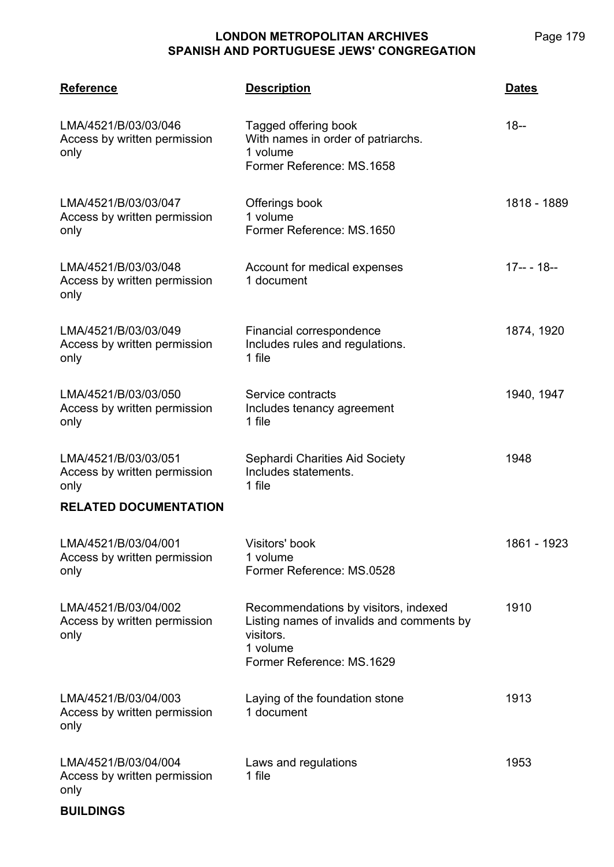Page 179

| <b>Reference</b>                                             | <b>Description</b>                                                                                                                      | <b>Dates</b> |
|--------------------------------------------------------------|-----------------------------------------------------------------------------------------------------------------------------------------|--------------|
| LMA/4521/B/03/03/046<br>Access by written permission<br>only | Tagged offering book<br>With names in order of patriarchs.<br>1 volume<br>Former Reference: MS.1658                                     | $18 -$       |
| LMA/4521/B/03/03/047<br>Access by written permission<br>only | Offerings book<br>1 volume<br>Former Reference: MS.1650                                                                                 | 1818 - 1889  |
| LMA/4521/B/03/03/048<br>Access by written permission<br>only | Account for medical expenses<br>1 document                                                                                              | $17-- 18--$  |
| LMA/4521/B/03/03/049<br>Access by written permission<br>only | Financial correspondence<br>Includes rules and regulations.<br>1 file                                                                   | 1874, 1920   |
| LMA/4521/B/03/03/050<br>Access by written permission<br>only | Service contracts<br>Includes tenancy agreement<br>1 file                                                                               | 1940, 1947   |
| LMA/4521/B/03/03/051<br>Access by written permission<br>only | Sephardi Charities Aid Society<br>Includes statements.<br>1 file                                                                        | 1948         |
| <b>RELATED DOCUMENTATION</b>                                 |                                                                                                                                         |              |
| LMA/4521/B/03/04/001<br>Access by written permission<br>only | Visitors' book<br>1 volume<br>Former Reference: MS.0528                                                                                 | 1861 - 1923  |
| LMA/4521/B/03/04/002<br>Access by written permission<br>only | Recommendations by visitors, indexed<br>Listing names of invalids and comments by<br>visitors.<br>1 volume<br>Former Reference: MS.1629 | 1910         |
| LMA/4521/B/03/04/003<br>Access by written permission<br>only | Laying of the foundation stone<br>1 document                                                                                            | 1913         |
| LMA/4521/B/03/04/004<br>Access by written permission<br>only | Laws and regulations<br>1 file                                                                                                          | 1953         |

**BUILDINGS**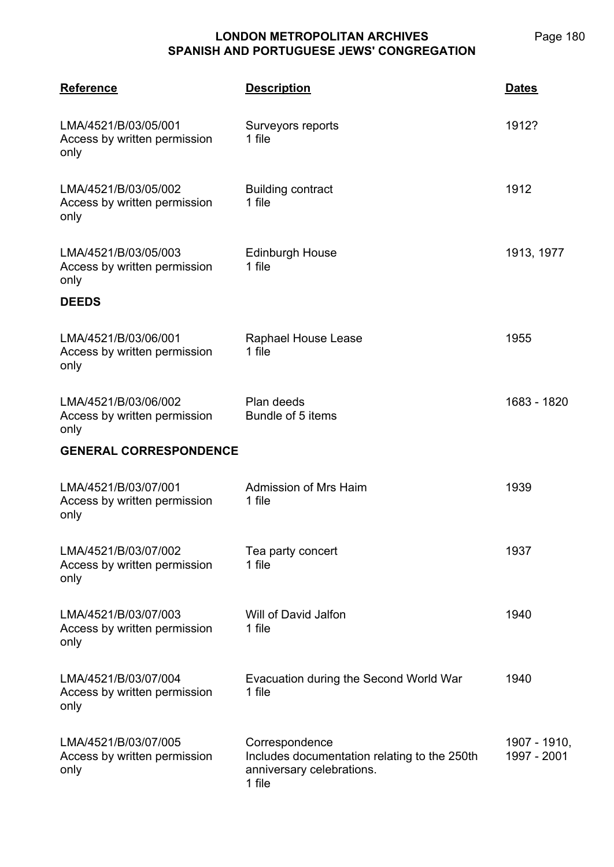| <b>Reference</b>                                             | <b>Description</b>                                                                                    | <b>Dates</b>                |
|--------------------------------------------------------------|-------------------------------------------------------------------------------------------------------|-----------------------------|
| LMA/4521/B/03/05/001<br>Access by written permission<br>only | Surveyors reports<br>1 file                                                                           | 1912?                       |
| LMA/4521/B/03/05/002<br>Access by written permission<br>only | <b>Building contract</b><br>1 file                                                                    | 1912                        |
| LMA/4521/B/03/05/003<br>Access by written permission<br>only | <b>Edinburgh House</b><br>1 file                                                                      | 1913, 1977                  |
| <b>DEEDS</b>                                                 |                                                                                                       |                             |
| LMA/4521/B/03/06/001<br>Access by written permission<br>only | Raphael House Lease<br>1 file                                                                         | 1955                        |
| LMA/4521/B/03/06/002<br>Access by written permission<br>only | Plan deeds<br>Bundle of 5 items                                                                       | 1683 - 1820                 |
| <b>GENERAL CORRESPONDENCE</b>                                |                                                                                                       |                             |
| LMA/4521/B/03/07/001<br>Access by written permission<br>only | Admission of Mrs Haim<br>1 file                                                                       | 1939                        |
| LMA/4521/B/03/07/002<br>Access by written permission<br>only | Tea party concert<br>1 file                                                                           | 1937                        |
| LMA/4521/B/03/07/003<br>Access by written permission<br>only | Will of David Jalfon<br>1 file                                                                        | 1940                        |
| LMA/4521/B/03/07/004<br>Access by written permission<br>only | Evacuation during the Second World War<br>1 file                                                      | 1940                        |
| LMA/4521/B/03/07/005<br>Access by written permission<br>only | Correspondence<br>Includes documentation relating to the 250th<br>anniversary celebrations.<br>1 file | 1907 - 1910,<br>1997 - 2001 |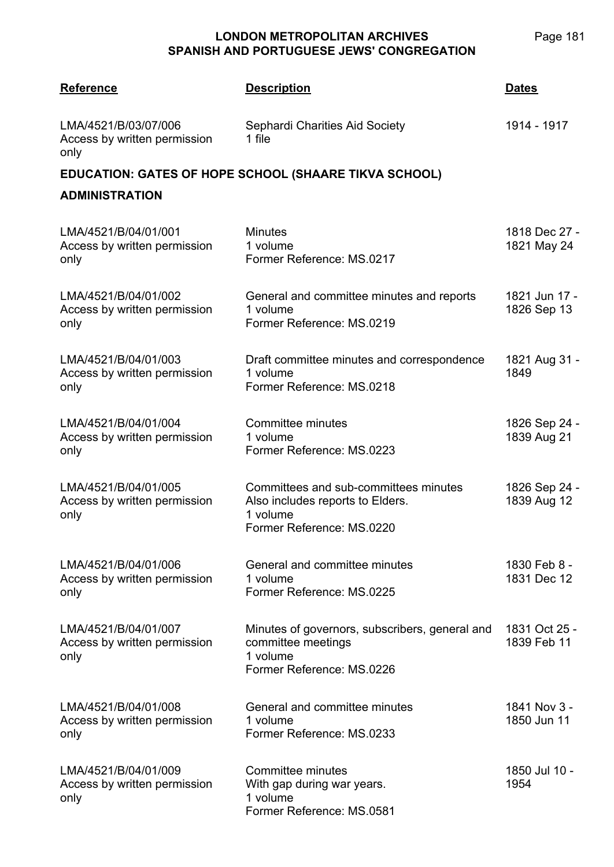| <b>Reference</b>                                             | <b>Description</b>                                                                                                 | <u>Dates</u>                 |
|--------------------------------------------------------------|--------------------------------------------------------------------------------------------------------------------|------------------------------|
| LMA/4521/B/03/07/006<br>Access by written permission<br>only | Sephardi Charities Aid Society<br>1 file                                                                           | 1914 - 1917                  |
| <b>ADMINISTRATION</b>                                        | <b>EDUCATION: GATES OF HOPE SCHOOL (SHAARE TIKVA SCHOOL)</b>                                                       |                              |
| LMA/4521/B/04/01/001<br>Access by written permission<br>only | <b>Minutes</b><br>1 volume<br>Former Reference: MS.0217                                                            | 1818 Dec 27 -<br>1821 May 24 |
| LMA/4521/B/04/01/002<br>Access by written permission<br>only | General and committee minutes and reports<br>1 volume<br>Former Reference: MS.0219                                 | 1821 Jun 17 -<br>1826 Sep 13 |
| LMA/4521/B/04/01/003<br>Access by written permission<br>only | Draft committee minutes and correspondence<br>1 volume<br>Former Reference: MS.0218                                | 1821 Aug 31 -<br>1849        |
| LMA/4521/B/04/01/004<br>Access by written permission<br>only | Committee minutes<br>1 volume<br>Former Reference: MS.0223                                                         | 1826 Sep 24 -<br>1839 Aug 21 |
| LMA/4521/B/04/01/005<br>Access by written permission<br>only | Committees and sub-committees minutes<br>Also includes reports to Elders.<br>1 volume<br>Former Reference: MS.0220 | 1826 Sep 24 -<br>1839 Aug 12 |
| LMA/4521/B/04/01/006<br>Access by written permission<br>only | General and committee minutes<br>1 volume<br>Former Reference: MS.0225                                             | 1830 Feb 8 -<br>1831 Dec 12  |
| LMA/4521/B/04/01/007<br>Access by written permission<br>only | Minutes of governors, subscribers, general and<br>committee meetings<br>1 volume<br>Former Reference: MS.0226      | 1831 Oct 25 -<br>1839 Feb 11 |
| LMA/4521/B/04/01/008<br>Access by written permission<br>only | General and committee minutes<br>1 volume<br>Former Reference: MS.0233                                             | 1841 Nov 3 -<br>1850 Jun 11  |
| LMA/4521/B/04/01/009<br>Access by written permission<br>only | Committee minutes<br>With gap during war years.<br>1 volume<br>Former Reference: MS.0581                           | 1850 Jul 10 -<br>1954        |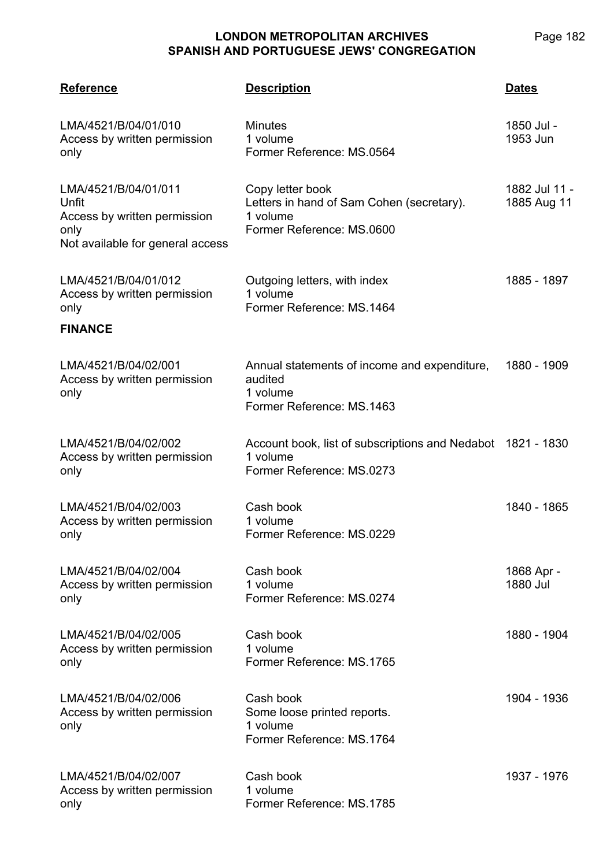| <b>Reference</b>                                                                                          | <b>Description</b>                                                                                     | <b>Dates</b>                 |
|-----------------------------------------------------------------------------------------------------------|--------------------------------------------------------------------------------------------------------|------------------------------|
| LMA/4521/B/04/01/010<br>Access by written permission<br>only                                              | <b>Minutes</b><br>1 volume<br>Former Reference: MS.0564                                                | 1850 Jul -<br>1953 Jun       |
| LMA/4521/B/04/01/011<br>Unfit<br>Access by written permission<br>only<br>Not available for general access | Copy letter book<br>Letters in hand of Sam Cohen (secretary).<br>1 volume<br>Former Reference: MS.0600 | 1882 Jul 11 -<br>1885 Aug 11 |
| LMA/4521/B/04/01/012<br>Access by written permission<br>only<br><b>FINANCE</b>                            | Outgoing letters, with index<br>1 volume<br>Former Reference: MS.1464                                  | 1885 - 1897                  |
| LMA/4521/B/04/02/001<br>Access by written permission<br>only                                              | Annual statements of income and expenditure,<br>audited<br>1 volume<br>Former Reference: MS.1463       | 1880 - 1909                  |
| LMA/4521/B/04/02/002<br>Access by written permission<br>only                                              | Account book, list of subscriptions and Nedabot 1821 - 1830<br>1 volume<br>Former Reference: MS.0273   |                              |
| LMA/4521/B/04/02/003<br>Access by written permission<br>only                                              | Cash book<br>1 volume<br>Former Reference: MS.0229                                                     | 1840 - 1865                  |
| LMA/4521/B/04/02/004<br>Access by written permission<br>only                                              | Cash book<br>1 volume<br>Former Reference: MS.0274                                                     | 1868 Apr -<br>1880 Jul       |
| LMA/4521/B/04/02/005<br>Access by written permission<br>only                                              | Cash book<br>1 volume<br>Former Reference: MS.1765                                                     | 1880 - 1904                  |
| LMA/4521/B/04/02/006<br>Access by written permission<br>only                                              | Cash book<br>Some loose printed reports.<br>1 volume<br>Former Reference: MS.1764                      | 1904 - 1936                  |
| LMA/4521/B/04/02/007<br>Access by written permission<br>only                                              | Cash book<br>1 volume<br>Former Reference: MS.1785                                                     | 1937 - 1976                  |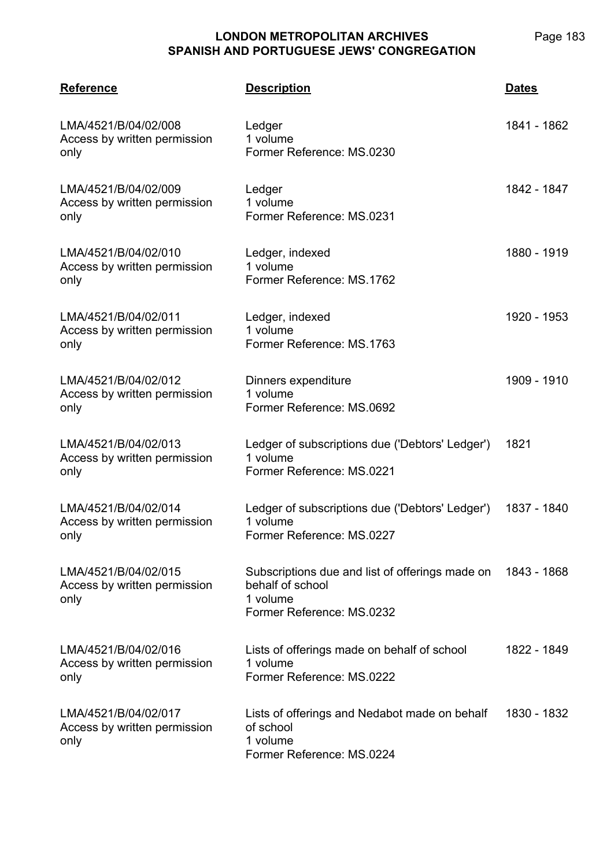| <b>Reference</b>                                             | <b>Description</b>                                                                                           | <b>Dates</b> |
|--------------------------------------------------------------|--------------------------------------------------------------------------------------------------------------|--------------|
| LMA/4521/B/04/02/008<br>Access by written permission<br>only | Ledger<br>1 volume<br>Former Reference: MS.0230                                                              | 1841 - 1862  |
| LMA/4521/B/04/02/009<br>Access by written permission<br>only | Ledger<br>1 volume<br>Former Reference: MS.0231                                                              | 1842 - 1847  |
| LMA/4521/B/04/02/010<br>Access by written permission<br>only | Ledger, indexed<br>1 volume<br>Former Reference: MS.1762                                                     | 1880 - 1919  |
| LMA/4521/B/04/02/011<br>Access by written permission<br>only | Ledger, indexed<br>1 volume<br>Former Reference: MS.1763                                                     | 1920 - 1953  |
| LMA/4521/B/04/02/012<br>Access by written permission<br>only | Dinners expenditure<br>1 volume<br>Former Reference: MS.0692                                                 | 1909 - 1910  |
| LMA/4521/B/04/02/013<br>Access by written permission<br>only | Ledger of subscriptions due ('Debtors' Ledger')<br>1 volume<br>Former Reference: MS.0221                     | 1821         |
| LMA/4521/B/04/02/014<br>Access by written permission<br>only | Ledger of subscriptions due ('Debtors' Ledger')<br>1 volume<br>Former Reference: MS.0227                     | 1837 - 1840  |
| LMA/4521/B/04/02/015<br>Access by written permission<br>only | Subscriptions due and list of offerings made on<br>behalf of school<br>1 volume<br>Former Reference: MS.0232 | 1843 - 1868  |
| LMA/4521/B/04/02/016<br>Access by written permission<br>only | Lists of offerings made on behalf of school<br>1 volume<br>Former Reference: MS.0222                         | 1822 - 1849  |
| LMA/4521/B/04/02/017<br>Access by written permission<br>only | Lists of offerings and Nedabot made on behalf<br>of school<br>1 volume<br>Former Reference: MS.0224          | 1830 - 1832  |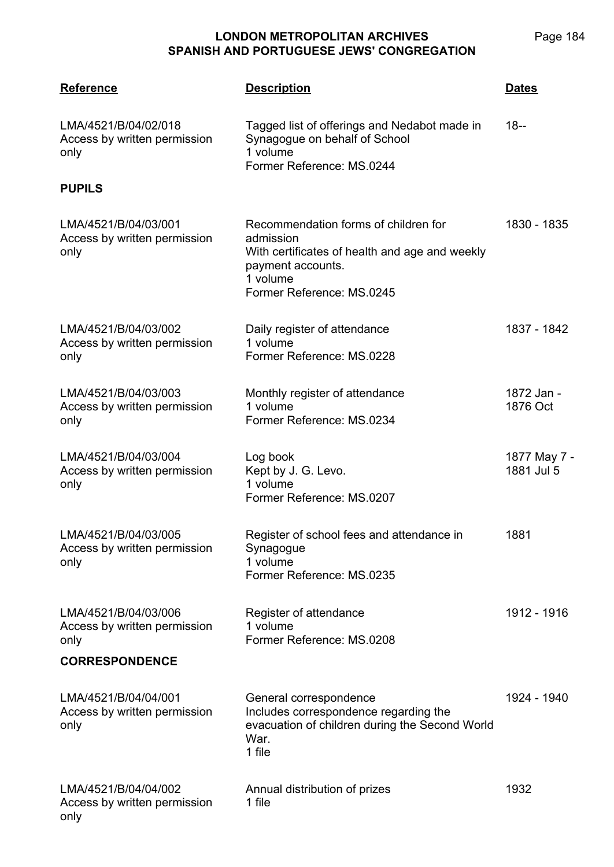| <b>Reference</b>                                             | <b>Description</b>                                                                                                                                                | <b>Dates</b>               |
|--------------------------------------------------------------|-------------------------------------------------------------------------------------------------------------------------------------------------------------------|----------------------------|
| LMA/4521/B/04/02/018<br>Access by written permission<br>only | Tagged list of offerings and Nedabot made in<br>Synagogue on behalf of School<br>1 volume<br>Former Reference: MS.0244                                            | $18 -$                     |
| <b>PUPILS</b>                                                |                                                                                                                                                                   |                            |
| LMA/4521/B/04/03/001<br>Access by written permission<br>only | Recommendation forms of children for<br>admission<br>With certificates of health and age and weekly<br>payment accounts.<br>1 volume<br>Former Reference: MS.0245 | 1830 - 1835                |
| LMA/4521/B/04/03/002<br>Access by written permission<br>only | Daily register of attendance<br>1 volume<br>Former Reference: MS.0228                                                                                             | 1837 - 1842                |
| LMA/4521/B/04/03/003<br>Access by written permission<br>only | Monthly register of attendance<br>1 volume<br>Former Reference: MS.0234                                                                                           | 1872 Jan -<br>1876 Oct     |
| LMA/4521/B/04/03/004<br>Access by written permission<br>only | Log book<br>Kept by J. G. Levo.<br>1 volume<br>Former Reference: MS.0207                                                                                          | 1877 May 7 -<br>1881 Jul 5 |
| LMA/4521/B/04/03/005<br>Access by written permission<br>only | Register of school fees and attendance in<br>Synagogue<br>1 volume<br>Former Reference: MS.0235                                                                   | 1881                       |
| LMA/4521/B/04/03/006<br>Access by written permission<br>only | Register of attendance<br>1 volume<br>Former Reference: MS.0208                                                                                                   | 1912 - 1916                |
| <b>CORRESPONDENCE</b>                                        |                                                                                                                                                                   |                            |
| LMA/4521/B/04/04/001<br>Access by written permission<br>only | General correspondence<br>Includes correspondence regarding the<br>evacuation of children during the Second World<br>War.<br>1 file                               | 1924 - 1940                |
| LMA/4521/B/04/04/002<br>Access by written permission<br>only | Annual distribution of prizes<br>1 file                                                                                                                           | 1932                       |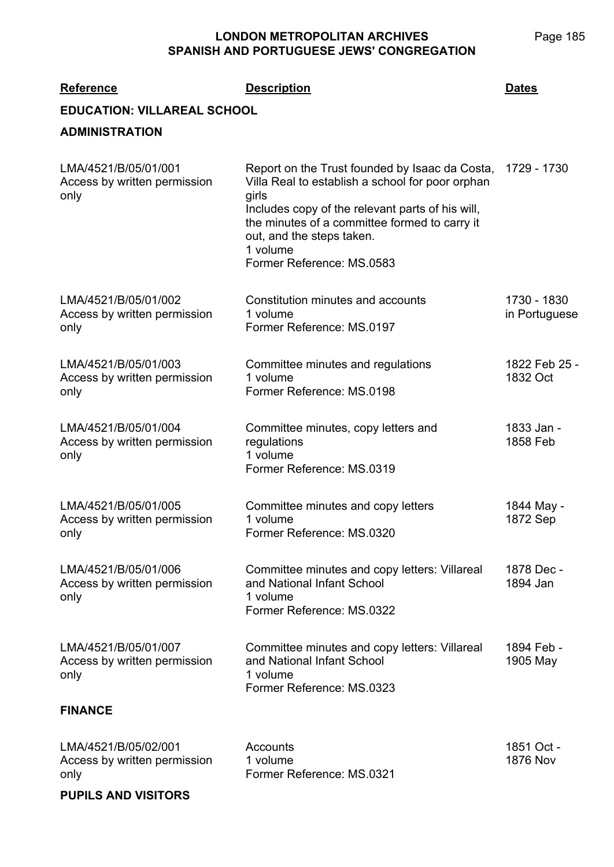**LMA/4521 Reference Description Dates EDUCATION: VILLAREAL SCHOOL ADMINISTRATION** LMA/4521/B/05/01/001 Access by written permission only Report on the Trust founded by Isaac da Costa, Villa Real to establish a school for poor orphan girls Includes copy of the relevant parts of his will, the minutes of a committee formed to carry it out, and the steps taken. 1 volume Former Reference: MS.0583 1729 - 1730 LMA/4521/B/05/01/002 Access by written permission only Constitution minutes and accounts 1 volume Former Reference: MS.0197 1730 - 1830 in Portuguese LMA/4521/B/05/01/003 Access by written permission only Committee minutes and regulations 1 volume Former Reference: MS.0198 1822 Feb 25 - 1832 Oct LMA/4521/B/05/01/004 Access by written permission only Committee minutes, copy letters and regulations 1 volume Former Reference: MS.0319 1833 Jan - 1858 Feb LMA/4521/B/05/01/005 Access by written permission only Committee minutes and copy letters 1 volume Former Reference: MS.0320 1844 May - 1872 Sep LMA/4521/B/05/01/006 Access by written permission only Committee minutes and copy letters: Villareal and National Infant School 1 volume Former Reference: MS.0322 1878 Dec - 1894 Jan LMA/4521/B/05/01/007 Access by written permission only Committee minutes and copy letters: Villareal and National Infant School 1 volume Former Reference: MS.0323 1894 Feb - 1905 May

#### **FINANCE**

| LMA/4521/B/05/02/001         | Accounts                  | 1851 Oct - |
|------------------------------|---------------------------|------------|
| Access by written permission | 1 volume                  | 1876 Nov   |
| only                         | Former Reference: MS.0321 |            |

**PUPILS AND VISITORS**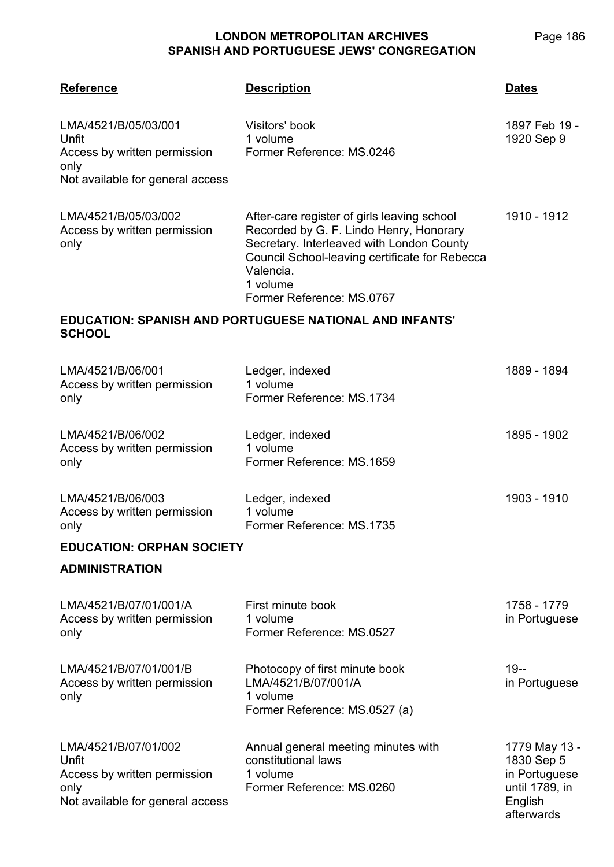| <b>Reference</b>                                                                                          | <b>Description</b>                                                                                                                                                                                                                          | <b>Dates</b>                                                                            |
|-----------------------------------------------------------------------------------------------------------|---------------------------------------------------------------------------------------------------------------------------------------------------------------------------------------------------------------------------------------------|-----------------------------------------------------------------------------------------|
| LMA/4521/B/05/03/001<br>Unfit<br>Access by written permission<br>only<br>Not available for general access | Visitors' book<br>1 volume<br>Former Reference: MS.0246                                                                                                                                                                                     | 1897 Feb 19 -<br>1920 Sep 9                                                             |
| LMA/4521/B/05/03/002<br>Access by written permission<br>only                                              | After-care register of girls leaving school<br>Recorded by G. F. Lindo Henry, Honorary<br>Secretary. Interleaved with London County<br>Council School-leaving certificate for Rebecca<br>Valencia.<br>1 volume<br>Former Reference: MS.0767 | 1910 - 1912                                                                             |
| <b>SCHOOL</b>                                                                                             | EDUCATION: SPANISH AND PORTUGUESE NATIONAL AND INFANTS'                                                                                                                                                                                     |                                                                                         |
| LMA/4521/B/06/001<br>Access by written permission<br>only                                                 | Ledger, indexed<br>1 volume<br>Former Reference: MS.1734                                                                                                                                                                                    | 1889 - 1894                                                                             |
| LMA/4521/B/06/002<br>Access by written permission<br>only                                                 | Ledger, indexed<br>1 volume<br>Former Reference: MS.1659                                                                                                                                                                                    | 1895 - 1902                                                                             |
| LMA/4521/B/06/003<br>Access by written permission<br>only                                                 | Ledger, indexed<br>1 volume<br>Former Reference: MS.1735                                                                                                                                                                                    | 1903 - 1910                                                                             |
| <b>EDUCATION: ORPHAN SOCIETY</b>                                                                          |                                                                                                                                                                                                                                             |                                                                                         |
| <b>ADMINISTRATION</b>                                                                                     |                                                                                                                                                                                                                                             |                                                                                         |
| LMA/4521/B/07/01/001/A<br>Access by written permission<br>only                                            | First minute book<br>1 volume<br>Former Reference: MS.0527                                                                                                                                                                                  | 1758 - 1779<br>in Portuguese                                                            |
| LMA/4521/B/07/01/001/B<br>Access by written permission<br>only                                            | Photocopy of first minute book<br>LMA/4521/B/07/001/A<br>1 volume<br>Former Reference: MS.0527 (a)                                                                                                                                          | $19 -$<br>in Portuguese                                                                 |
| LMA/4521/B/07/01/002<br>Unfit<br>Access by written permission<br>only<br>Not available for general access | Annual general meeting minutes with<br>constitutional laws<br>1 volume<br>Former Reference: MS.0260                                                                                                                                         | 1779 May 13 -<br>1830 Sep 5<br>in Portuguese<br>until 1789, in<br>English<br>afterwards |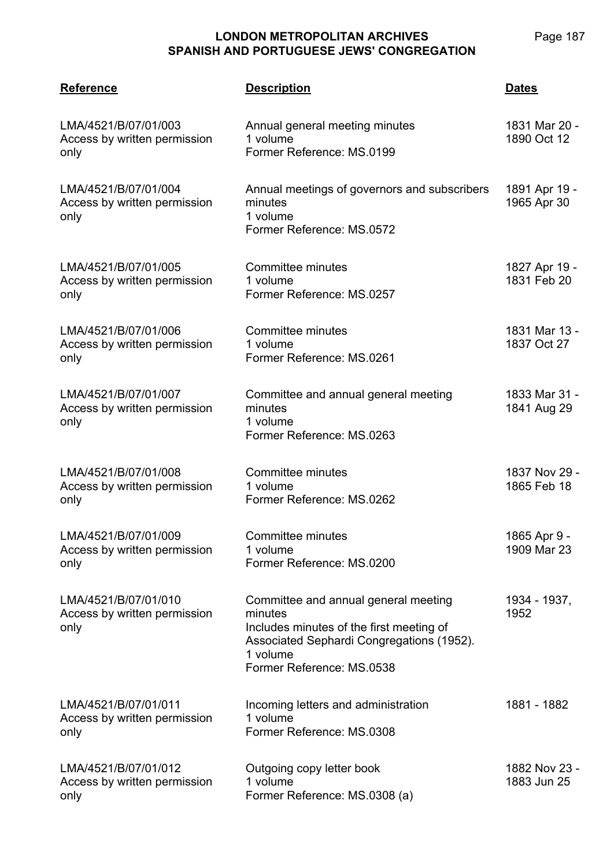| <b>Reference</b>                                             | <b>Description</b>                                                                                                                                                                | <b>Dates</b>                 |
|--------------------------------------------------------------|-----------------------------------------------------------------------------------------------------------------------------------------------------------------------------------|------------------------------|
| LMA/4521/B/07/01/003<br>Access by written permission<br>only | Annual general meeting minutes<br>1 volume<br>Former Reference: MS.0199                                                                                                           | 1831 Mar 20 -<br>1890 Oct 12 |
| LMA/4521/B/07/01/004<br>Access by written permission<br>only | Annual meetings of governors and subscribers<br>minutes<br>1 volume<br>Former Reference: MS.0572                                                                                  | 1891 Apr 19 -<br>1965 Apr 30 |
| LMA/4521/B/07/01/005<br>Access by written permission<br>only | Committee minutes<br>1 volume<br>Former Reference: MS.0257                                                                                                                        | 1827 Apr 19 -<br>1831 Feb 20 |
| LMA/4521/B/07/01/006<br>Access by written permission<br>only | Committee minutes<br>1 volume<br>Former Reference: MS.0261                                                                                                                        | 1831 Mar 13 -<br>1837 Oct 27 |
| LMA/4521/B/07/01/007<br>Access by written permission<br>only | Committee and annual general meeting<br>minutes<br>1 volume<br>Former Reference: MS.0263                                                                                          | 1833 Mar 31 -<br>1841 Aug 29 |
| LMA/4521/B/07/01/008<br>Access by written permission<br>only | Committee minutes<br>1 volume<br>Former Reference: MS.0262                                                                                                                        | 1837 Nov 29 -<br>1865 Feb 18 |
| LMA/4521/B/07/01/009<br>Access by written permission<br>only | <b>Committee minutes</b><br>1 volume<br>Former Reference: MS.0200                                                                                                                 | 1865 Apr 9 -<br>1909 Mar 23  |
| LMA/4521/B/07/01/010<br>Access by written permission<br>only | Committee and annual general meeting<br>minutes<br>Includes minutes of the first meeting of<br>Associated Sephardi Congregations (1952).<br>1 volume<br>Former Reference: MS.0538 | 1934 - 1937,<br>1952         |
| LMA/4521/B/07/01/011<br>Access by written permission<br>only | Incoming letters and administration<br>1 volume<br>Former Reference: MS.0308                                                                                                      | 1881 - 1882                  |
| LMA/4521/B/07/01/012<br>Access by written permission<br>only | Outgoing copy letter book<br>1 volume<br>Former Reference: MS.0308 (a)                                                                                                            | 1882 Nov 23 -<br>1883 Jun 25 |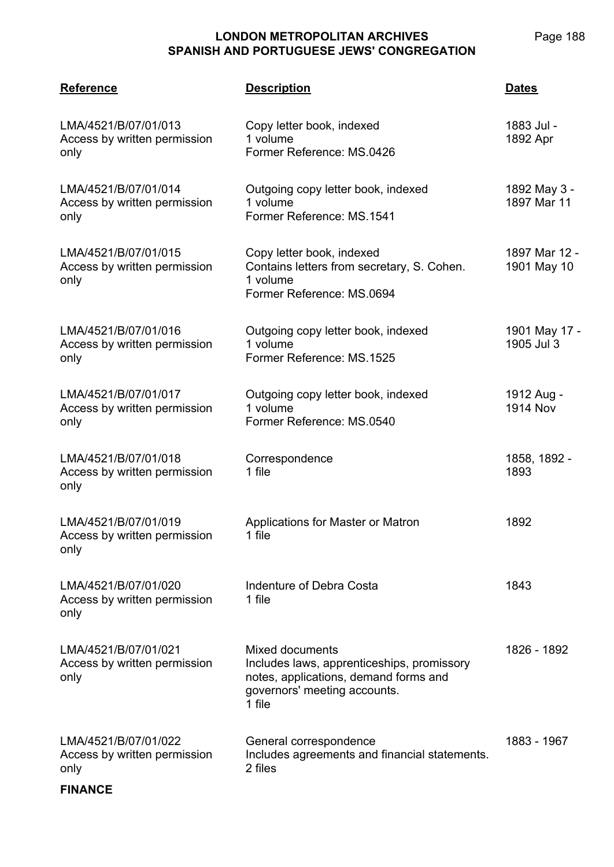Page 188

| <b>Reference</b>                                             | <b>Description</b>                                                                                                                               | <b>Dates</b>                  |
|--------------------------------------------------------------|--------------------------------------------------------------------------------------------------------------------------------------------------|-------------------------------|
| LMA/4521/B/07/01/013<br>Access by written permission<br>only | Copy letter book, indexed<br>1 volume<br>Former Reference: MS.0426                                                                               | 1883 Jul -<br>1892 Apr        |
| LMA/4521/B/07/01/014<br>Access by written permission<br>only | Outgoing copy letter book, indexed<br>1 volume<br>Former Reference: MS.1541                                                                      | 1892 May 3 -<br>1897 Mar 11   |
| LMA/4521/B/07/01/015<br>Access by written permission<br>only | Copy letter book, indexed<br>Contains letters from secretary, S. Cohen.<br>1 volume<br>Former Reference: MS.0694                                 | 1897 Mar 12 -<br>1901 May 10  |
| LMA/4521/B/07/01/016<br>Access by written permission<br>only | Outgoing copy letter book, indexed<br>1 volume<br>Former Reference: MS.1525                                                                      | 1901 May 17 -<br>1905 Jul 3   |
| LMA/4521/B/07/01/017<br>Access by written permission<br>only | Outgoing copy letter book, indexed<br>1 volume<br>Former Reference: MS.0540                                                                      | 1912 Aug -<br><b>1914 Nov</b> |
| LMA/4521/B/07/01/018<br>Access by written permission<br>only | Correspondence<br>1 file                                                                                                                         | 1858, 1892 -<br>1893          |
| LMA/4521/B/07/01/019<br>Access by written permission<br>only | Applications for Master or Matron<br>1 file                                                                                                      | 1892                          |
| LMA/4521/B/07/01/020<br>Access by written permission<br>only | Indenture of Debra Costa<br>1 file                                                                                                               | 1843                          |
| LMA/4521/B/07/01/021<br>Access by written permission<br>only | Mixed documents<br>Includes laws, apprenticeships, promissory<br>notes, applications, demand forms and<br>governors' meeting accounts.<br>1 file | 1826 - 1892                   |
| LMA/4521/B/07/01/022<br>Access by written permission<br>only | General correspondence<br>Includes agreements and financial statements.<br>2 files                                                               | 1883 - 1967                   |

## **FINANCE**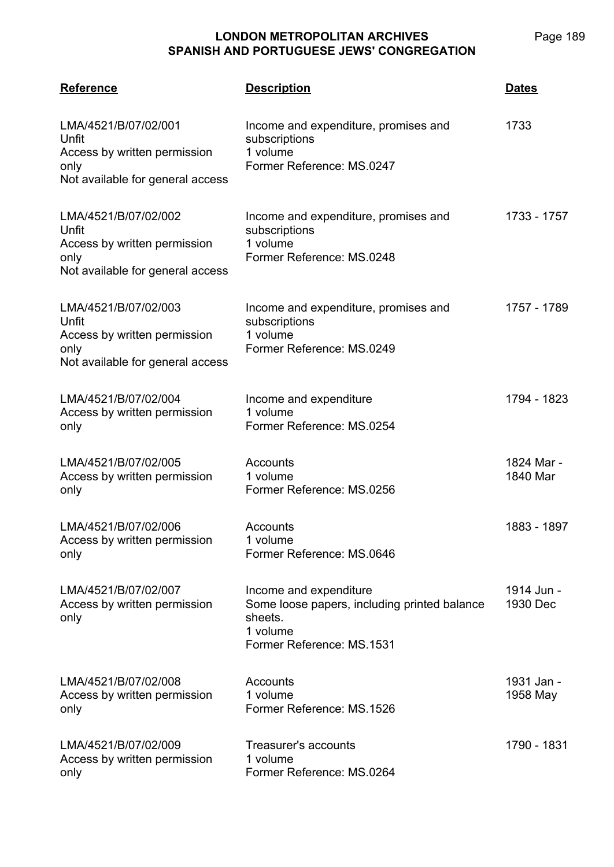| <b>Reference</b>                                                                                          | <b>Description</b>                                                                                                         | <b>Dates</b>           |
|-----------------------------------------------------------------------------------------------------------|----------------------------------------------------------------------------------------------------------------------------|------------------------|
| LMA/4521/B/07/02/001<br>Unfit<br>Access by written permission<br>only<br>Not available for general access | Income and expenditure, promises and<br>subscriptions<br>1 volume<br>Former Reference: MS.0247                             | 1733                   |
| LMA/4521/B/07/02/002<br>Unfit<br>Access by written permission<br>only<br>Not available for general access | Income and expenditure, promises and<br>subscriptions<br>1 volume<br>Former Reference: MS.0248                             | 1733 - 1757            |
| LMA/4521/B/07/02/003<br>Unfit<br>Access by written permission<br>only<br>Not available for general access | Income and expenditure, promises and<br>subscriptions<br>1 volume<br>Former Reference: MS.0249                             | 1757 - 1789            |
| LMA/4521/B/07/02/004<br>Access by written permission<br>only                                              | Income and expenditure<br>1 volume<br>Former Reference: MS.0254                                                            | 1794 - 1823            |
| LMA/4521/B/07/02/005<br>Access by written permission<br>only                                              | Accounts<br>1 volume<br>Former Reference: MS.0256                                                                          | 1824 Mar -<br>1840 Mar |
| LMA/4521/B/07/02/006<br>Access by written permission<br>only                                              | Accounts<br>1 volume<br>Former Reference: MS.0646                                                                          | 1883 - 1897            |
| LMA/4521/B/07/02/007<br>Access by written permission<br>only                                              | Income and expenditure<br>Some loose papers, including printed balance<br>sheets.<br>1 volume<br>Former Reference: MS.1531 | 1914 Jun -<br>1930 Dec |
| LMA/4521/B/07/02/008<br>Access by written permission<br>only                                              | Accounts<br>1 volume<br>Former Reference: MS.1526                                                                          | 1931 Jan -<br>1958 May |
| LMA/4521/B/07/02/009<br>Access by written permission<br>only                                              | Treasurer's accounts<br>1 volume<br>Former Reference: MS.0264                                                              | 1790 - 1831            |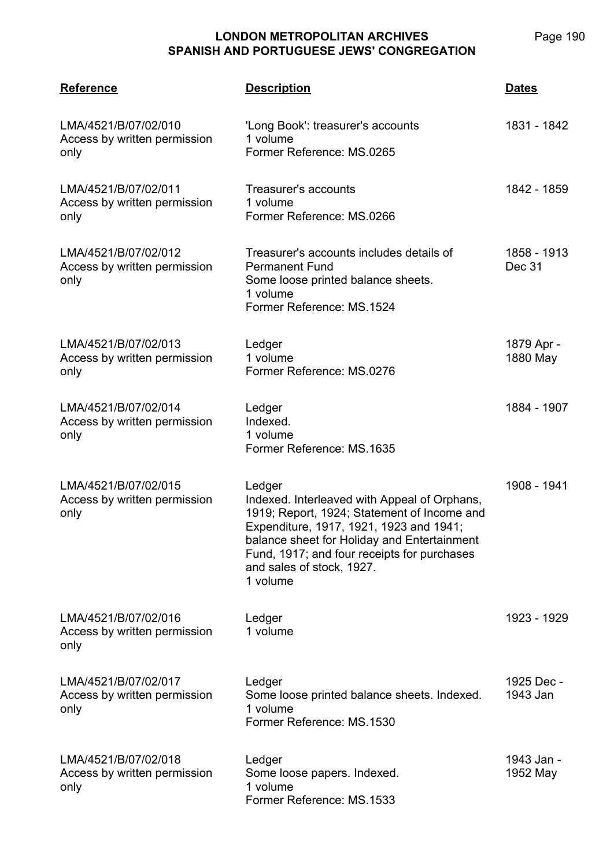| <b>Reference</b>                                             | <b>Description</b>                                                                                                                                                                                                                                                                      | <u>Dates</u>           |
|--------------------------------------------------------------|-----------------------------------------------------------------------------------------------------------------------------------------------------------------------------------------------------------------------------------------------------------------------------------------|------------------------|
| LMA/4521/B/07/02/010<br>Access by written permission<br>only | 'Long Book': treasurer's accounts<br>1 volume<br>Former Reference: MS.0265                                                                                                                                                                                                              | 1831 - 1842            |
| LMA/4521/B/07/02/011<br>Access by written permission<br>only | Treasurer's accounts<br>1 volume<br>Former Reference: MS.0266                                                                                                                                                                                                                           | 1842 - 1859            |
| LMA/4521/B/07/02/012<br>Access by written permission<br>only | Treasurer's accounts includes details of<br><b>Permanent Fund</b><br>Some loose printed balance sheets.<br>1 volume<br>Former Reference: MS.1524                                                                                                                                        | 1858 - 1913<br>Dec 31  |
| LMA/4521/B/07/02/013<br>Access by written permission<br>only | Ledger<br>1 volume<br>Former Reference: MS.0276                                                                                                                                                                                                                                         | 1879 Apr -<br>1880 May |
| LMA/4521/B/07/02/014<br>Access by written permission<br>only | Ledger<br>Indexed.<br>1 volume<br>Former Reference: MS.1635                                                                                                                                                                                                                             | 1884 - 1907            |
| LMA/4521/B/07/02/015<br>Access by written permission<br>only | Ledger<br>Indexed. Interleaved with Appeal of Orphans,<br>1919; Report, 1924; Statement of Income and<br>Expenditure, 1917, 1921, 1923 and 1941;<br>balance sheet for Holiday and Entertainment<br>Fund, 1917; and four receipts for purchases<br>and sales of stock, 1927.<br>1 volume | 1908 - 1941            |
| LMA/4521/B/07/02/016<br>Access by written permission<br>only | Ledger<br>1 volume                                                                                                                                                                                                                                                                      | 1923 - 1929            |
| LMA/4521/B/07/02/017<br>Access by written permission<br>only | Ledger<br>Some loose printed balance sheets. Indexed.<br>1 volume<br>Former Reference: MS.1530                                                                                                                                                                                          | 1925 Dec -<br>1943 Jan |
| LMA/4521/B/07/02/018<br>Access by written permission<br>only | Ledger<br>Some loose papers. Indexed.<br>1 volume<br>Former Reference: MS.1533                                                                                                                                                                                                          | 1943 Jan -<br>1952 May |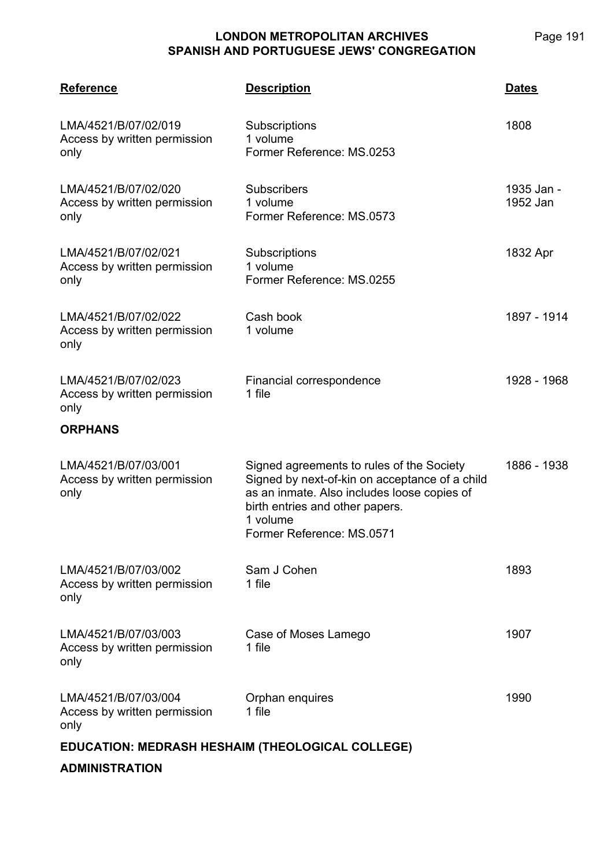Page 191

| <b>Reference</b>                                             | <b>Description</b>                                                                                                                                                                                                     | <b>Dates</b>           |
|--------------------------------------------------------------|------------------------------------------------------------------------------------------------------------------------------------------------------------------------------------------------------------------------|------------------------|
| LMA/4521/B/07/02/019<br>Access by written permission<br>only | Subscriptions<br>1 volume<br>Former Reference: MS.0253                                                                                                                                                                 | 1808                   |
| LMA/4521/B/07/02/020<br>Access by written permission<br>only | <b>Subscribers</b><br>1 volume<br>Former Reference: MS.0573                                                                                                                                                            | 1935 Jan -<br>1952 Jan |
| LMA/4521/B/07/02/021<br>Access by written permission<br>only | Subscriptions<br>1 volume<br>Former Reference: MS.0255                                                                                                                                                                 | 1832 Apr               |
| LMA/4521/B/07/02/022<br>Access by written permission<br>only | Cash book<br>1 volume                                                                                                                                                                                                  | 1897 - 1914            |
| LMA/4521/B/07/02/023<br>Access by written permission<br>only | Financial correspondence<br>1 file                                                                                                                                                                                     | 1928 - 1968            |
| <b>ORPHANS</b>                                               |                                                                                                                                                                                                                        |                        |
| LMA/4521/B/07/03/001<br>Access by written permission<br>only | Signed agreements to rules of the Society<br>Signed by next-of-kin on acceptance of a child<br>as an inmate. Also includes loose copies of<br>birth entries and other papers.<br>1 volume<br>Former Reference: MS.0571 | 1886 - 1938            |
| LMA/4521/B/07/03/002<br>Access by written permission<br>only | Sam J Cohen<br>1 file                                                                                                                                                                                                  | 1893                   |
| LMA/4521/B/07/03/003<br>Access by written permission<br>only | Case of Moses Lamego<br>1 file                                                                                                                                                                                         | 1907                   |
| LMA/4521/B/07/03/004<br>Access by written permission<br>only | Orphan enquires<br>1 file                                                                                                                                                                                              | 1990                   |
| EDUCATION: MEDRASH HESHAIM (THEOLOGICAL COLLEGE)             |                                                                                                                                                                                                                        |                        |

**ADMINISTRATION**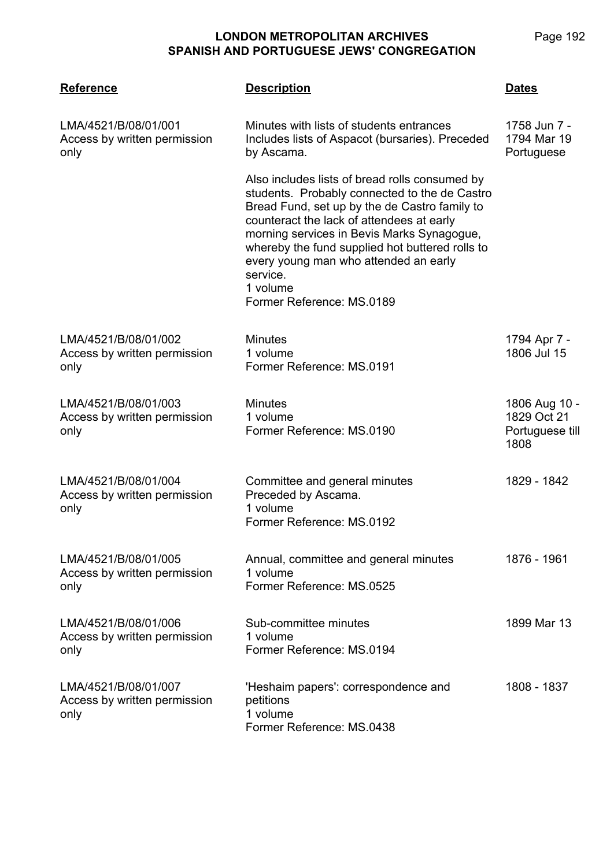| <b>Reference</b>                                             | <b>Description</b>                                                                                                                                                                                                                                                                                                                                                                           | <b>Dates</b>                                            |
|--------------------------------------------------------------|----------------------------------------------------------------------------------------------------------------------------------------------------------------------------------------------------------------------------------------------------------------------------------------------------------------------------------------------------------------------------------------------|---------------------------------------------------------|
| LMA/4521/B/08/01/001<br>Access by written permission<br>only | Minutes with lists of students entrances<br>Includes lists of Aspacot (bursaries). Preceded<br>by Ascama.                                                                                                                                                                                                                                                                                    | 1758 Jun 7 -<br>1794 Mar 19<br>Portuguese               |
|                                                              | Also includes lists of bread rolls consumed by<br>students. Probably connected to the de Castro<br>Bread Fund, set up by the de Castro family to<br>counteract the lack of attendees at early<br>morning services in Bevis Marks Synagogue,<br>whereby the fund supplied hot buttered rolls to<br>every young man who attended an early<br>service.<br>1 volume<br>Former Reference: MS.0189 |                                                         |
| LMA/4521/B/08/01/002<br>Access by written permission<br>only | <b>Minutes</b><br>1 volume<br>Former Reference: MS.0191                                                                                                                                                                                                                                                                                                                                      | 1794 Apr 7 -<br>1806 Jul 15                             |
| LMA/4521/B/08/01/003<br>Access by written permission<br>only | <b>Minutes</b><br>1 volume<br>Former Reference: MS.0190                                                                                                                                                                                                                                                                                                                                      | 1806 Aug 10 -<br>1829 Oct 21<br>Portuguese till<br>1808 |
| LMA/4521/B/08/01/004<br>Access by written permission<br>only | Committee and general minutes<br>Preceded by Ascama.<br>1 volume<br>Former Reference: MS.0192                                                                                                                                                                                                                                                                                                | 1829 - 1842                                             |
| LMA/4521/B/08/01/005<br>Access by written permission<br>only | Annual, committee and general minutes<br>1 volume<br>Former Reference: MS.0525                                                                                                                                                                                                                                                                                                               | 1876 - 1961                                             |
| LMA/4521/B/08/01/006<br>Access by written permission<br>only | Sub-committee minutes<br>1 volume<br>Former Reference: MS.0194                                                                                                                                                                                                                                                                                                                               | 1899 Mar 13                                             |
| LMA/4521/B/08/01/007<br>Access by written permission<br>only | 'Heshaim papers': correspondence and<br>petitions<br>1 volume<br>Former Reference: MS.0438                                                                                                                                                                                                                                                                                                   | 1808 - 1837                                             |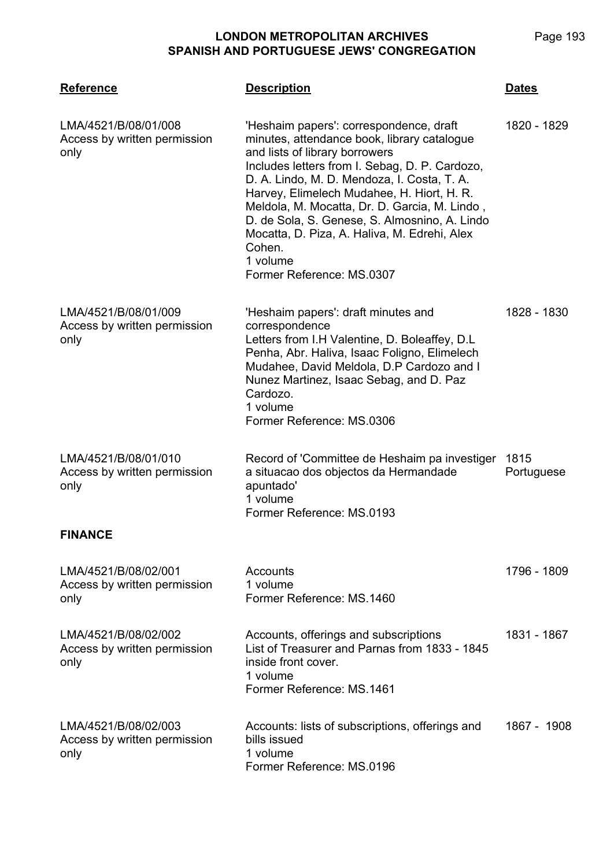| <b>Reference</b>                                             | <u>Description</u>                                                                                                                                                                                                                                                                                                                                                                                                                                                           | <u>Dates</u>       |
|--------------------------------------------------------------|------------------------------------------------------------------------------------------------------------------------------------------------------------------------------------------------------------------------------------------------------------------------------------------------------------------------------------------------------------------------------------------------------------------------------------------------------------------------------|--------------------|
| LMA/4521/B/08/01/008<br>Access by written permission<br>only | 'Heshaim papers': correspondence, draft<br>minutes, attendance book, library catalogue<br>and lists of library borrowers<br>Includes letters from I. Sebag, D. P. Cardozo,<br>D. A. Lindo, M. D. Mendoza, I. Costa, T. A.<br>Harvey, Elimelech Mudahee, H. Hiort, H. R.<br>Meldola, M. Mocatta, Dr. D. Garcia, M. Lindo,<br>D. de Sola, S. Genese, S. Almosnino, A. Lindo<br>Mocatta, D. Piza, A. Haliva, M. Edrehi, Alex<br>Cohen.<br>1 volume<br>Former Reference: MS.0307 | 1820 - 1829        |
| LMA/4521/B/08/01/009<br>Access by written permission<br>only | 'Heshaim papers': draft minutes and<br>correspondence<br>Letters from I.H Valentine, D. Boleaffey, D.L.<br>Penha, Abr. Haliva, Isaac Foligno, Elimelech<br>Mudahee, David Meldola, D.P Cardozo and I<br>Nunez Martinez, Isaac Sebag, and D. Paz<br>Cardozo.<br>1 volume<br>Former Reference: MS.0306                                                                                                                                                                         | 1828 - 1830        |
| LMA/4521/B/08/01/010<br>Access by written permission<br>only | Record of 'Committee de Heshaim pa investiger<br>a situacao dos objectos da Hermandade<br>apuntado'<br>1 volume<br>Former Reference: MS.0193                                                                                                                                                                                                                                                                                                                                 | 1815<br>Portuguese |
| <b>FINANCE</b>                                               |                                                                                                                                                                                                                                                                                                                                                                                                                                                                              |                    |
| LMA/4521/B/08/02/001<br>Access by written permission<br>only | Accounts<br>1 volume<br>Former Reference: MS.1460                                                                                                                                                                                                                                                                                                                                                                                                                            | 1796 - 1809        |
| LMA/4521/B/08/02/002<br>Access by written permission<br>only | Accounts, offerings and subscriptions<br>List of Treasurer and Parnas from 1833 - 1845<br>inside front cover.<br>1 volume<br>Former Reference: MS.1461                                                                                                                                                                                                                                                                                                                       | 1831 - 1867        |
| LMA/4521/B/08/02/003<br>Access by written permission<br>only | Accounts: lists of subscriptions, offerings and<br>bills issued<br>1 volume<br>Former Reference: MS.0196                                                                                                                                                                                                                                                                                                                                                                     | 1867 - 1908        |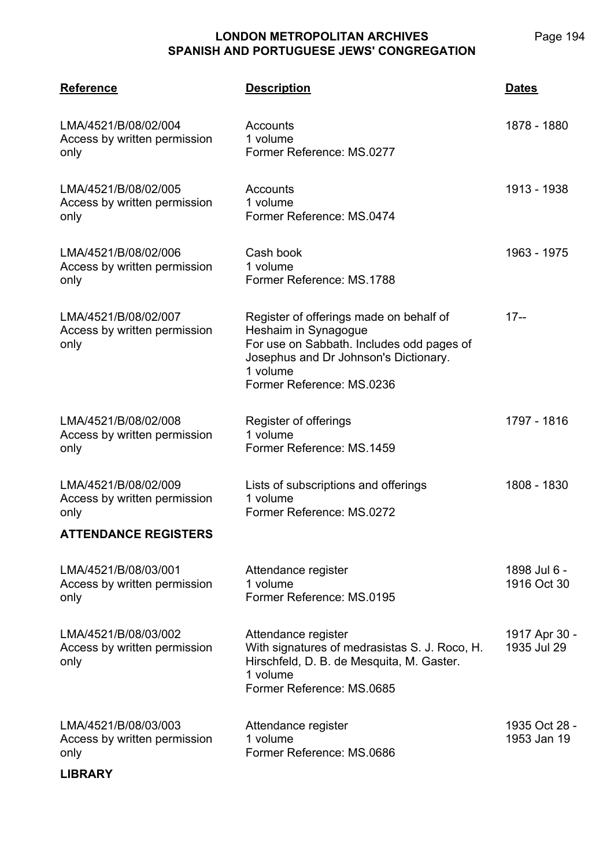Page 194

| <b>Reference</b>                                             | <u>Description</u>                                                                                                                                                                             | <b>Dates</b>                 |
|--------------------------------------------------------------|------------------------------------------------------------------------------------------------------------------------------------------------------------------------------------------------|------------------------------|
| LMA/4521/B/08/02/004<br>Access by written permission<br>only | Accounts<br>1 volume<br>Former Reference: MS.0277                                                                                                                                              | 1878 - 1880                  |
| LMA/4521/B/08/02/005<br>Access by written permission<br>only | Accounts<br>1 volume<br>Former Reference: MS.0474                                                                                                                                              | 1913 - 1938                  |
| LMA/4521/B/08/02/006<br>Access by written permission<br>only | Cash book<br>1 volume<br>Former Reference: MS.1788                                                                                                                                             | 1963 - 1975                  |
| LMA/4521/B/08/02/007<br>Access by written permission<br>only | Register of offerings made on behalf of<br>Heshaim in Synagogue<br>For use on Sabbath. Includes odd pages of<br>Josephus and Dr Johnson's Dictionary.<br>1 volume<br>Former Reference: MS.0236 | $17 -$                       |
| LMA/4521/B/08/02/008<br>Access by written permission<br>only | Register of offerings<br>1 volume<br>Former Reference: MS.1459                                                                                                                                 | 1797 - 1816                  |
| LMA/4521/B/08/02/009<br>Access by written permission<br>only | Lists of subscriptions and offerings<br>1 volume<br>Former Reference: MS.0272                                                                                                                  | 1808 - 1830                  |
| <b>ATTENDANCE REGISTERS</b>                                  |                                                                                                                                                                                                |                              |
| LMA/4521/B/08/03/001<br>Access by written permission<br>only | Attendance register<br>1 volume<br>Former Reference: MS.0195                                                                                                                                   | 1898 Jul 6 -<br>1916 Oct 30  |
| LMA/4521/B/08/03/002<br>Access by written permission<br>only | Attendance register<br>With signatures of medrasistas S. J. Roco, H.<br>Hirschfeld, D. B. de Mesquita, M. Gaster.<br>1 volume<br>Former Reference: MS.0685                                     | 1917 Apr 30 -<br>1935 Jul 29 |
| LMA/4521/B/08/03/003<br>Access by written permission<br>only | Attendance register<br>1 volume<br>Former Reference: MS.0686                                                                                                                                   | 1935 Oct 28 -<br>1953 Jan 19 |

#### **LIBRARY**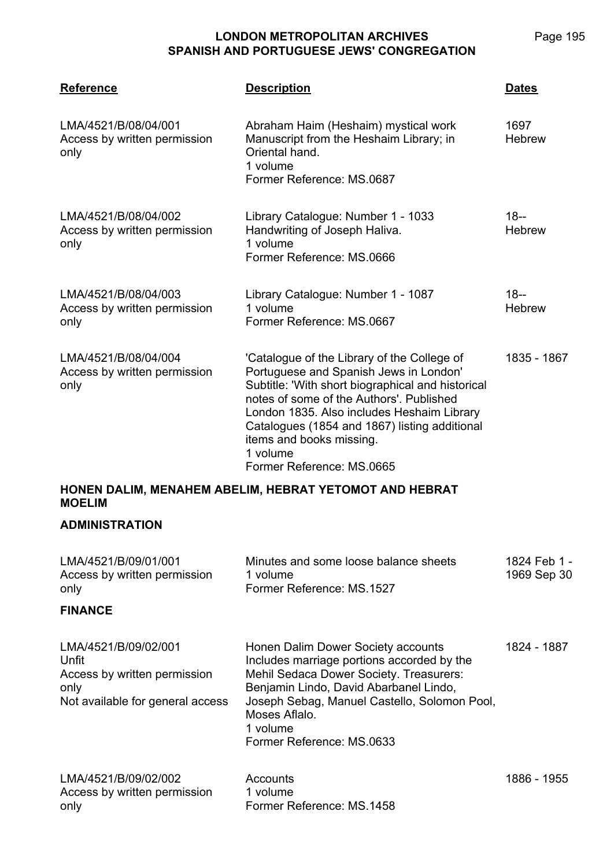| Page 195 |
|----------|
|          |

| <b>Reference</b>                                                                                          | <b>Description</b>                                                                                                                                                                                                                                                                                                                                         | <u>Dates</u>                |
|-----------------------------------------------------------------------------------------------------------|------------------------------------------------------------------------------------------------------------------------------------------------------------------------------------------------------------------------------------------------------------------------------------------------------------------------------------------------------------|-----------------------------|
| LMA/4521/B/08/04/001<br>Access by written permission<br>only                                              | Abraham Haim (Heshaim) mystical work<br>Manuscript from the Heshaim Library; in<br>Oriental hand.<br>1 volume<br>Former Reference: MS.0687                                                                                                                                                                                                                 | 1697<br><b>Hebrew</b>       |
| LMA/4521/B/08/04/002<br>Access by written permission<br>only                                              | Library Catalogue: Number 1 - 1033<br>Handwriting of Joseph Haliva.<br>1 volume<br>Former Reference: MS.0666                                                                                                                                                                                                                                               | $18 -$<br><b>Hebrew</b>     |
| LMA/4521/B/08/04/003<br>Access by written permission<br>only                                              | Library Catalogue: Number 1 - 1087<br>1 volume<br>Former Reference: MS.0667                                                                                                                                                                                                                                                                                | $18 -$<br><b>Hebrew</b>     |
| LMA/4521/B/08/04/004<br>Access by written permission<br>only                                              | 'Catalogue of the Library of the College of<br>Portuguese and Spanish Jews in London'<br>Subtitle: 'With short biographical and historical<br>notes of some of the Authors'. Published<br>London 1835. Also includes Heshaim Library<br>Catalogues (1854 and 1867) listing additional<br>items and books missing.<br>1 volume<br>Former Reference: MS.0665 | 1835 - 1867                 |
| <b>MOELIM</b>                                                                                             | HONEN DALIM, MENAHEM ABELIM, HEBRAT YETOMOT AND HEBRAT                                                                                                                                                                                                                                                                                                     |                             |
| <b>ADMINISTRATION</b>                                                                                     |                                                                                                                                                                                                                                                                                                                                                            |                             |
| LMA/4521/B/09/01/001<br>Access by written permission<br>only                                              | Minutes and some loose balance sheets<br>1 volume<br>Former Reference: MS.1527                                                                                                                                                                                                                                                                             | 1824 Feb 1 -<br>1969 Sep 30 |
| <b>FINANCE</b>                                                                                            |                                                                                                                                                                                                                                                                                                                                                            |                             |
| LMA/4521/B/09/02/001<br>Unfit<br>Access by written permission<br>only<br>Not available for general access | Honen Dalim Dower Society accounts<br>Includes marriage portions accorded by the<br>Mehil Sedaca Dower Society. Treasurers:<br>Benjamin Lindo, David Abarbanel Lindo,<br>Joseph Sebag, Manuel Castello, Solomon Pool,<br>Moses Aflalo.<br>1 volume<br>Former Reference: MS.0633                                                                            | 1824 - 1887                 |
| LMA/4521/B/09/02/002<br>Access by written permission<br>only                                              | Accounts<br>1 volume<br>Former Reference: MS.1458                                                                                                                                                                                                                                                                                                          | 1886 - 1955                 |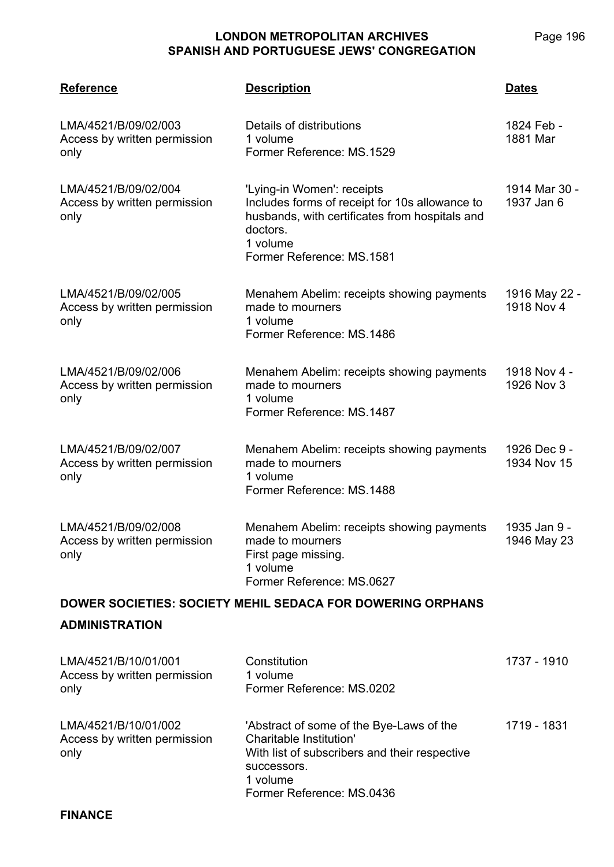| <b>Reference</b>                                             | <b>Description</b>                                                                                                                                                                  | <b>Dates</b>                |  |
|--------------------------------------------------------------|-------------------------------------------------------------------------------------------------------------------------------------------------------------------------------------|-----------------------------|--|
| LMA/4521/B/09/02/003<br>Access by written permission<br>only | Details of distributions<br>1 volume<br>Former Reference: MS.1529                                                                                                                   | 1824 Feb -<br>1881 Mar      |  |
| LMA/4521/B/09/02/004<br>Access by written permission<br>only | 'Lying-in Women': receipts<br>Includes forms of receipt for 10s allowance to<br>husbands, with certificates from hospitals and<br>doctors.<br>1 volume<br>Former Reference: MS.1581 | 1914 Mar 30 -<br>1937 Jan 6 |  |
| LMA/4521/B/09/02/005<br>Access by written permission<br>only | Menahem Abelim: receipts showing payments<br>made to mourners<br>1 volume<br>Former Reference: MS.1486                                                                              | 1916 May 22 -<br>1918 Nov 4 |  |
| LMA/4521/B/09/02/006<br>Access by written permission<br>only | Menahem Abelim: receipts showing payments<br>made to mourners<br>1 volume<br>Former Reference: MS.1487                                                                              | 1918 Nov 4 -<br>1926 Nov 3  |  |
| LMA/4521/B/09/02/007<br>Access by written permission<br>only | Menahem Abelim: receipts showing payments<br>made to mourners<br>1 volume<br>Former Reference: MS.1488                                                                              | 1926 Dec 9 -<br>1934 Nov 15 |  |
| LMA/4521/B/09/02/008<br>Access by written permission<br>only | Menahem Abelim: receipts showing payments<br>made to mourners<br>First page missing.<br>1 volume<br>Former Reference: MS.0627                                                       | 1935 Jan 9 -<br>1946 May 23 |  |
|                                                              | <b>DOWER SOCIETIES: SOCIETY MEHIL SEDACA FOR DOWERING ORPHANS</b>                                                                                                                   |                             |  |
| <b>ADMINISTRATION</b>                                        |                                                                                                                                                                                     |                             |  |
| LMA/4521/B/10/01/001<br>Access by written permission<br>only | Constitution<br>1 volume<br>Former Reference: MS.0202                                                                                                                               | 1737 - 1910                 |  |
| LMA/4521/B/10/01/002<br>Access by written permission<br>only | 'Abstract of some of the Bye-Laws of the<br><b>Charitable Institution'</b><br>With list of subscribers and their respective<br>successors.<br>1 volume<br>Former Reference: MS.0436 | 1719 - 1831                 |  |
| <b>FINANCE</b>                                               |                                                                                                                                                                                     |                             |  |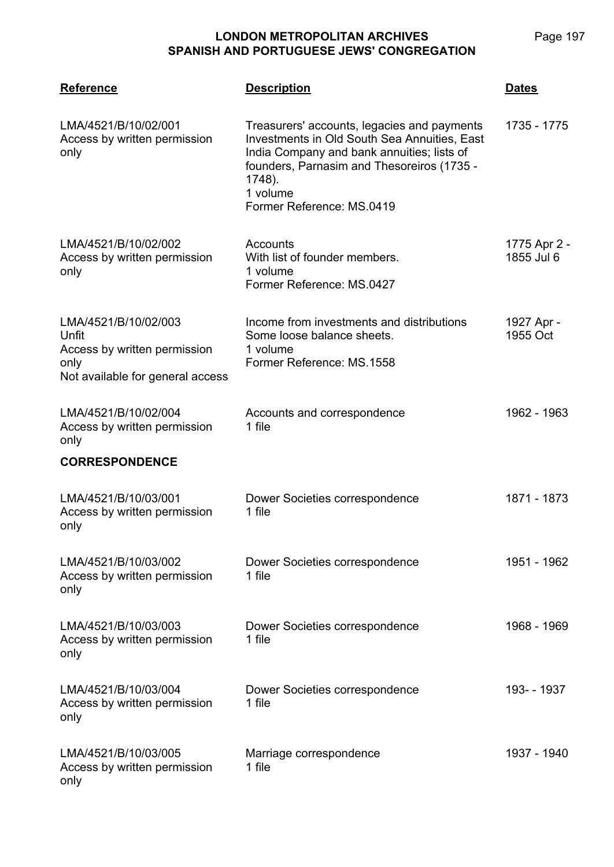**LMA/4521**

**Reference Description Dates**

| LMA/4521/B/10/02/001<br>Access by written permission<br>only                                              | Treasurers' accounts, legacies and payments<br><b>Investments in Old South Sea Annuities, East</b><br>India Company and bank annuities; lists of<br>founders, Parnasim and Thesoreiros (1735 -<br>1748).<br>1 volume<br>Former Reference: MS.0419 | 1735 - 1775                |
|-----------------------------------------------------------------------------------------------------------|---------------------------------------------------------------------------------------------------------------------------------------------------------------------------------------------------------------------------------------------------|----------------------------|
| LMA/4521/B/10/02/002<br>Access by written permission<br>only                                              | Accounts<br>With list of founder members.<br>1 volume<br>Former Reference: MS.0427                                                                                                                                                                | 1775 Apr 2 -<br>1855 Jul 6 |
| LMA/4521/B/10/02/003<br>Unfit<br>Access by written permission<br>only<br>Not available for general access | Income from investments and distributions<br>Some loose balance sheets.<br>1 volume<br>Former Reference: MS.1558                                                                                                                                  | 1927 Apr -<br>1955 Oct     |
| LMA/4521/B/10/02/004<br>Access by written permission<br>only                                              | Accounts and correspondence<br>1 file                                                                                                                                                                                                             | 1962 - 1963                |
| <b>CORRESPONDENCE</b>                                                                                     |                                                                                                                                                                                                                                                   |                            |
| LMA/4521/B/10/03/001<br>Access by written permission<br>only                                              | Dower Societies correspondence<br>1 file                                                                                                                                                                                                          | 1871 - 1873                |
| LMA/4521/B/10/03/002<br>Access by written permission<br>only                                              | Dower Societies correspondence<br>1 file                                                                                                                                                                                                          | 1951 - 1962                |
| LMA/4521/B/10/03/003<br>Access by written permission<br>only                                              | Dower Societies correspondence<br>1 file                                                                                                                                                                                                          | 1968 - 1969                |
| LMA/4521/B/10/03/004<br>Access by written permission<br>only                                              | Dower Societies correspondence<br>1 file                                                                                                                                                                                                          | 193- - 1937                |
| LMA/4521/B/10/03/005<br>Access by written permission<br>only                                              | Marriage correspondence<br>1 file                                                                                                                                                                                                                 | 1937 - 1940                |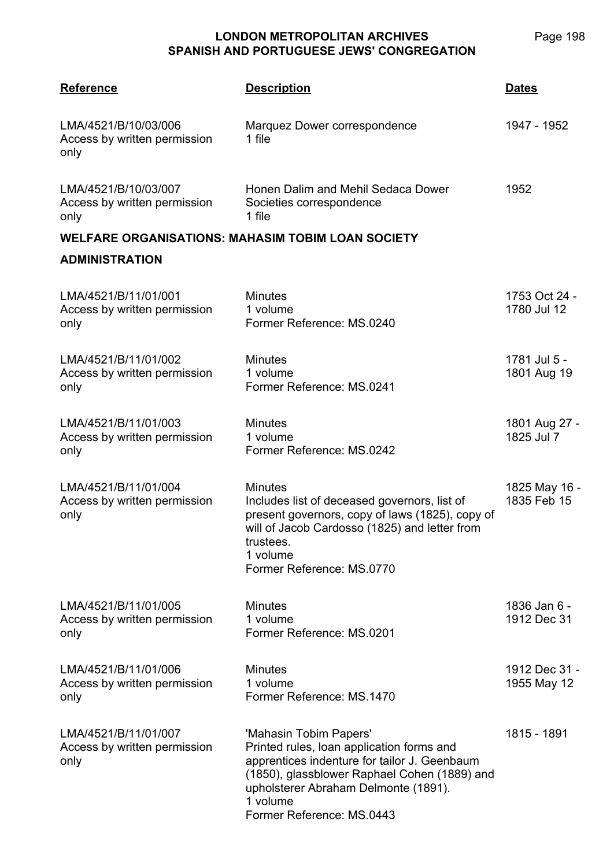| <b>Reference</b>                                             | <b>Description</b>                                                                                                                                                                                                                                   | <b>Dates</b>                 |
|--------------------------------------------------------------|------------------------------------------------------------------------------------------------------------------------------------------------------------------------------------------------------------------------------------------------------|------------------------------|
| LMA/4521/B/10/03/006<br>Access by written permission<br>only | Marquez Dower correspondence<br>1 file                                                                                                                                                                                                               | 1947 - 1952                  |
| LMA/4521/B/10/03/007<br>Access by written permission<br>only | Honen Dalim and Mehil Sedaca Dower<br>Societies correspondence<br>1 file                                                                                                                                                                             | 1952                         |
|                                                              | <b>WELFARE ORGANISATIONS: MAHASIM TOBIM LOAN SOCIETY</b>                                                                                                                                                                                             |                              |
| <b>ADMINISTRATION</b>                                        |                                                                                                                                                                                                                                                      |                              |
| LMA/4521/B/11/01/001<br>Access by written permission<br>only | <b>Minutes</b><br>1 volume<br>Former Reference: MS.0240                                                                                                                                                                                              | 1753 Oct 24 -<br>1780 Jul 12 |
| LMA/4521/B/11/01/002<br>Access by written permission<br>only | <b>Minutes</b><br>1 volume<br>Former Reference: MS.0241                                                                                                                                                                                              | 1781 Jul 5 -<br>1801 Aug 19  |
| LMA/4521/B/11/01/003<br>Access by written permission<br>only | <b>Minutes</b><br>1 volume<br>Former Reference: MS.0242                                                                                                                                                                                              | 1801 Aug 27 -<br>1825 Jul 7  |
| LMA/4521/B/11/01/004<br>Access by written permission<br>only | <b>Minutes</b><br>Includes list of deceased governors, list of<br>present governors, copy of laws (1825), copy of<br>will of Jacob Cardosso (1825) and letter from<br>trustees.<br>1 volume<br>Former Reference: MS.0770                             | 1825 May 16 -<br>1835 Feb 15 |
| LMA/4521/B/11/01/005<br>Access by written permission<br>only | <b>Minutes</b><br>1 volume<br>Former Reference: MS.0201                                                                                                                                                                                              | 1836 Jan 6 -<br>1912 Dec 31  |
| LMA/4521/B/11/01/006<br>Access by written permission<br>only | <b>Minutes</b><br>1 volume<br>Former Reference: MS.1470                                                                                                                                                                                              | 1912 Dec 31 -<br>1955 May 12 |
| LMA/4521/B/11/01/007<br>Access by written permission<br>only | 'Mahasin Tobim Papers'<br>Printed rules, loan application forms and<br>apprentices indenture for tailor J. Geenbaum<br>(1850), glassblower Raphael Cohen (1889) and<br>upholsterer Abraham Delmonte (1891).<br>1 volume<br>Former Reference: MS.0443 | 1815 - 1891                  |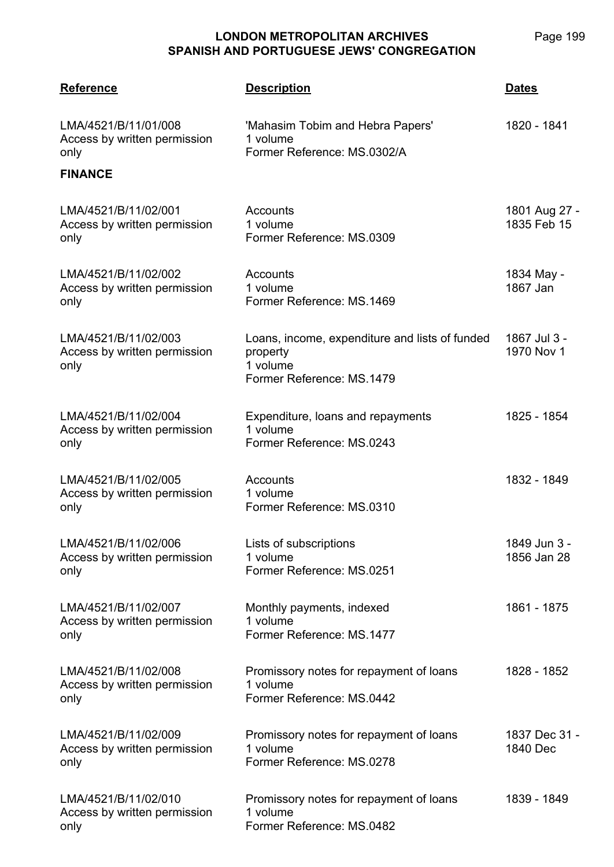| <b>Reference</b>                                                               | <b>Description</b>                                                                                  | <b>Dates</b>                 |
|--------------------------------------------------------------------------------|-----------------------------------------------------------------------------------------------------|------------------------------|
| LMA/4521/B/11/01/008<br>Access by written permission<br>only<br><b>FINANCE</b> | 'Mahasim Tobim and Hebra Papers'<br>1 volume<br>Former Reference: MS.0302/A                         | 1820 - 1841                  |
|                                                                                |                                                                                                     |                              |
| LMA/4521/B/11/02/001<br>Access by written permission<br>only                   | Accounts<br>1 volume<br>Former Reference: MS.0309                                                   | 1801 Aug 27 -<br>1835 Feb 15 |
| LMA/4521/B/11/02/002<br>Access by written permission<br>only                   | Accounts<br>1 volume<br>Former Reference: MS.1469                                                   | 1834 May -<br>1867 Jan       |
| LMA/4521/B/11/02/003<br>Access by written permission<br>only                   | Loans, income, expenditure and lists of funded<br>property<br>1 volume<br>Former Reference: MS.1479 | 1867 Jul 3 -<br>1970 Nov 1   |
| LMA/4521/B/11/02/004<br>Access by written permission<br>only                   | Expenditure, loans and repayments<br>1 volume<br>Former Reference: MS.0243                          | 1825 - 1854                  |
| LMA/4521/B/11/02/005<br>Access by written permission<br>only                   | Accounts<br>1 volume<br>Former Reference: MS.0310                                                   | 1832 - 1849                  |
| LMA/4521/B/11/02/006<br>Access by written permission<br>only                   | Lists of subscriptions<br>1 volume<br>Former Reference: MS.0251                                     | 1849 Jun 3 -<br>1856 Jan 28  |
| LMA/4521/B/11/02/007<br>Access by written permission<br>only                   | Monthly payments, indexed<br>1 volume<br>Former Reference: MS.1477                                  | 1861 - 1875                  |
| LMA/4521/B/11/02/008<br>Access by written permission<br>only                   | Promissory notes for repayment of loans<br>1 volume<br>Former Reference: MS.0442                    | 1828 - 1852                  |
| LMA/4521/B/11/02/009<br>Access by written permission<br>only                   | Promissory notes for repayment of loans<br>1 volume<br>Former Reference: MS.0278                    | 1837 Dec 31 -<br>1840 Dec    |
| LMA/4521/B/11/02/010<br>Access by written permission<br>only                   | Promissory notes for repayment of loans<br>1 volume<br>Former Reference: MS.0482                    | 1839 - 1849                  |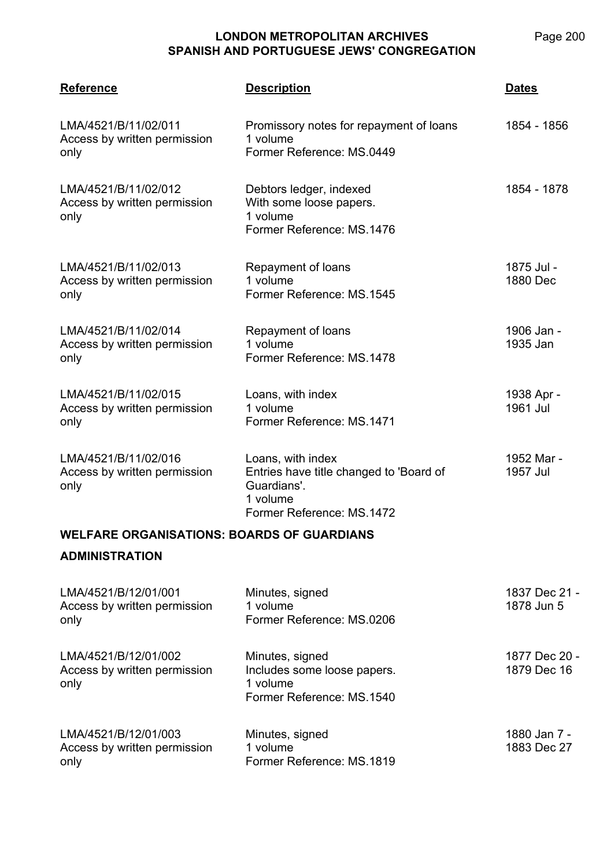| <b>Reference</b>                                             | <b>Description</b>                                                                                                   | <b>Dates</b>           |
|--------------------------------------------------------------|----------------------------------------------------------------------------------------------------------------------|------------------------|
| LMA/4521/B/11/02/011<br>Access by written permission<br>only | Promissory notes for repayment of loans<br>1 volume<br>Former Reference: MS.0449                                     | 1854 - 1856            |
| LMA/4521/B/11/02/012<br>Access by written permission<br>only | Debtors ledger, indexed<br>With some loose papers.<br>1 volume<br>Former Reference: MS.1476                          | 1854 - 1878            |
| LMA/4521/B/11/02/013<br>Access by written permission<br>only | Repayment of loans<br>1 volume<br>Former Reference: MS.1545                                                          | 1875 Jul -<br>1880 Dec |
| LMA/4521/B/11/02/014<br>Access by written permission<br>only | Repayment of loans<br>1 volume<br>Former Reference: MS.1478                                                          | 1906 Jan -<br>1935 Jan |
| LMA/4521/B/11/02/015<br>Access by written permission<br>only | Loans, with index<br>1 volume<br>Former Reference: MS.1471                                                           | 1938 Apr -<br>1961 Jul |
| LMA/4521/B/11/02/016<br>Access by written permission<br>only | Loans, with index<br>Entries have title changed to 'Board of<br>Guardians'.<br>1 volume<br>Former Reference: MS.1472 | 1952 Mar -<br>1957 Jul |
| <b>WELFARE ORGANISATIONS: BOARDS OF GUARDIANS</b>            |                                                                                                                      |                        |
| <b>ADMINISTRATION</b>                                        |                                                                                                                      |                        |
| LMA/4521/B/12/01/001                                         | Minutes, signed                                                                                                      | 1837 Dec 21 -          |

| Access by written permission<br>only                         | 1 volume<br>Former Reference: MS.0206                                                   | 1878 Jun 5                   |
|--------------------------------------------------------------|-----------------------------------------------------------------------------------------|------------------------------|
| LMA/4521/B/12/01/002<br>Access by written permission<br>only | Minutes, signed<br>Includes some loose papers.<br>1 volume<br>Former Reference: MS.1540 | 1877 Dec 20 -<br>1879 Dec 16 |
| LMA/4521/B/12/01/003<br>Access by written permission<br>only | Minutes, signed<br>1 volume<br>Former Reference: MS.1819                                | 1880 Jan 7 -<br>1883 Dec 27  |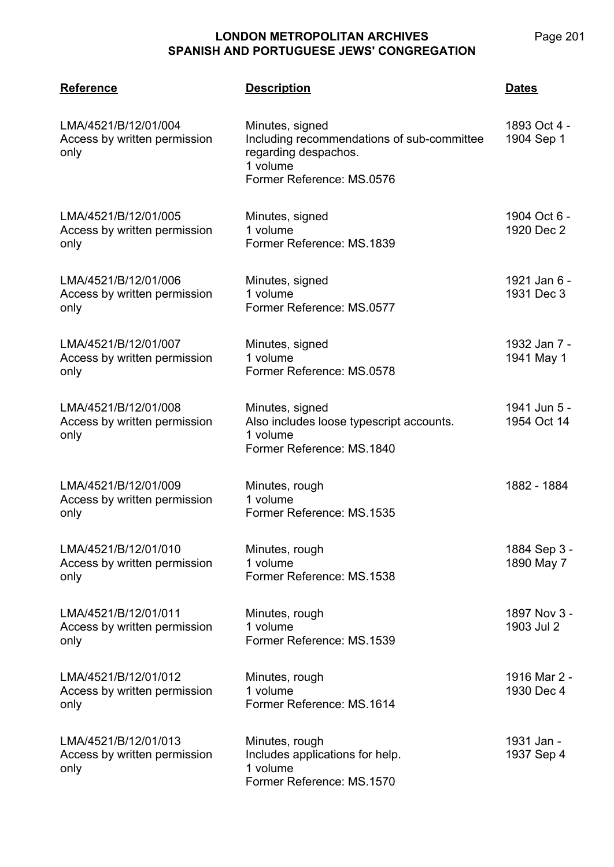| <b>Reference</b>                                             | <b>Description</b>                                                                                                             | <b>Dates</b>                |
|--------------------------------------------------------------|--------------------------------------------------------------------------------------------------------------------------------|-----------------------------|
| LMA/4521/B/12/01/004<br>Access by written permission<br>only | Minutes, signed<br>Including recommendations of sub-committee<br>regarding despachos.<br>1 volume<br>Former Reference: MS.0576 | 1893 Oct 4 -<br>1904 Sep 1  |
| LMA/4521/B/12/01/005<br>Access by written permission<br>only | Minutes, signed<br>1 volume<br>Former Reference: MS.1839                                                                       | 1904 Oct 6 -<br>1920 Dec 2  |
| LMA/4521/B/12/01/006<br>Access by written permission<br>only | Minutes, signed<br>1 volume<br>Former Reference: MS.0577                                                                       | 1921 Jan 6 -<br>1931 Dec 3  |
| LMA/4521/B/12/01/007<br>Access by written permission<br>only | Minutes, signed<br>1 volume<br>Former Reference: MS.0578                                                                       | 1932 Jan 7 -<br>1941 May 1  |
| LMA/4521/B/12/01/008<br>Access by written permission<br>only | Minutes, signed<br>Also includes loose typescript accounts.<br>1 volume<br>Former Reference: MS.1840                           | 1941 Jun 5 -<br>1954 Oct 14 |
| LMA/4521/B/12/01/009<br>Access by written permission<br>only | Minutes, rough<br>1 volume<br>Former Reference: MS.1535                                                                        | 1882 - 1884                 |
| LMA/4521/B/12/01/010<br>Access by written permission<br>only | Minutes, rough<br>1 volume<br>Former Reference: MS.1538                                                                        | 1884 Sep 3 -<br>1890 May 7  |
| LMA/4521/B/12/01/011<br>Access by written permission<br>only | Minutes, rough<br>1 volume<br>Former Reference: MS.1539                                                                        | 1897 Nov 3 -<br>1903 Jul 2  |
| LMA/4521/B/12/01/012<br>Access by written permission<br>only | Minutes, rough<br>1 volume<br>Former Reference: MS.1614                                                                        | 1916 Mar 2 -<br>1930 Dec 4  |
| LMA/4521/B/12/01/013<br>Access by written permission<br>only | Minutes, rough<br>Includes applications for help.<br>1 volume<br>Former Reference: MS.1570                                     | 1931 Jan -<br>1937 Sep 4    |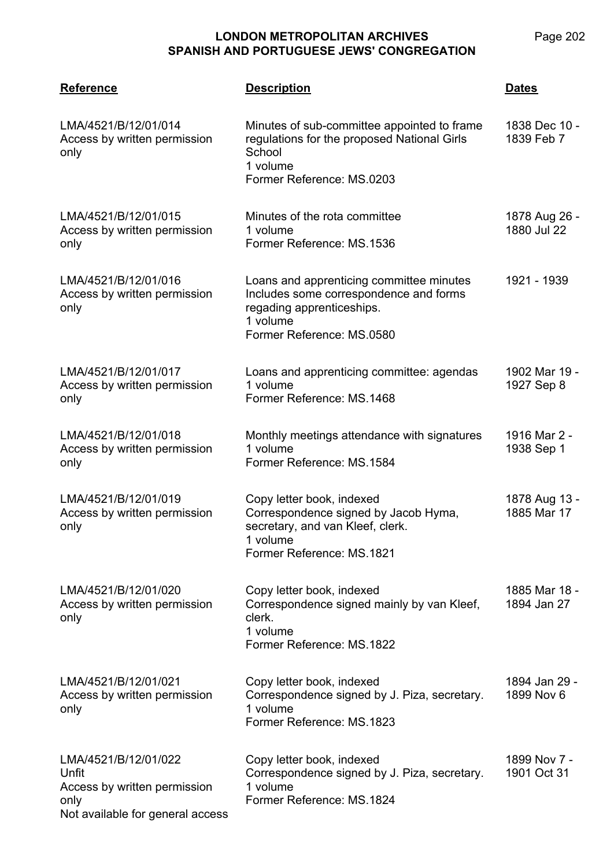| <b>Reference</b>                                                                                          | <b>Description</b>                                                                                                                                       | <b>Dates</b>                 |
|-----------------------------------------------------------------------------------------------------------|----------------------------------------------------------------------------------------------------------------------------------------------------------|------------------------------|
| LMA/4521/B/12/01/014<br>Access by written permission<br>only                                              | Minutes of sub-committee appointed to frame<br>regulations for the proposed National Girls<br>School<br>1 volume<br>Former Reference: MS.0203            | 1838 Dec 10 -<br>1839 Feb 7  |
| LMA/4521/B/12/01/015<br>Access by written permission<br>only                                              | Minutes of the rota committee<br>1 volume<br>Former Reference: MS.1536                                                                                   | 1878 Aug 26 -<br>1880 Jul 22 |
| LMA/4521/B/12/01/016<br>Access by written permission<br>only                                              | Loans and apprenticing committee minutes<br>Includes some correspondence and forms<br>regading apprenticeships.<br>1 volume<br>Former Reference: MS.0580 | 1921 - 1939                  |
| LMA/4521/B/12/01/017<br>Access by written permission<br>only                                              | Loans and apprenticing committee: agendas<br>1 volume<br>Former Reference: MS.1468                                                                       | 1902 Mar 19 -<br>1927 Sep 8  |
| LMA/4521/B/12/01/018<br>Access by written permission<br>only                                              | Monthly meetings attendance with signatures<br>1 volume<br>Former Reference: MS.1584                                                                     | 1916 Mar 2 -<br>1938 Sep 1   |
| LMA/4521/B/12/01/019<br>Access by written permission<br>only                                              | Copy letter book, indexed<br>Correspondence signed by Jacob Hyma,<br>secretary, and van Kleef, clerk.<br>1 volume<br>Former Reference: MS.1821           | 1878 Aug 13 -<br>1885 Mar 17 |
| LMA/4521/B/12/01/020<br>Access by written permission<br>only                                              | Copy letter book, indexed<br>Correspondence signed mainly by van Kleef,<br>clerk.<br>1 volume<br>Former Reference: MS.1822                               | 1885 Mar 18 -<br>1894 Jan 27 |
| LMA/4521/B/12/01/021<br>Access by written permission<br>only                                              | Copy letter book, indexed<br>Correspondence signed by J. Piza, secretary.<br>1 volume<br>Former Reference: MS.1823                                       | 1894 Jan 29 -<br>1899 Nov 6  |
| LMA/4521/B/12/01/022<br>Unfit<br>Access by written permission<br>only<br>Not available for general access | Copy letter book, indexed<br>Correspondence signed by J. Piza, secretary.<br>1 volume<br>Former Reference: MS.1824                                       | 1899 Nov 7 -<br>1901 Oct 31  |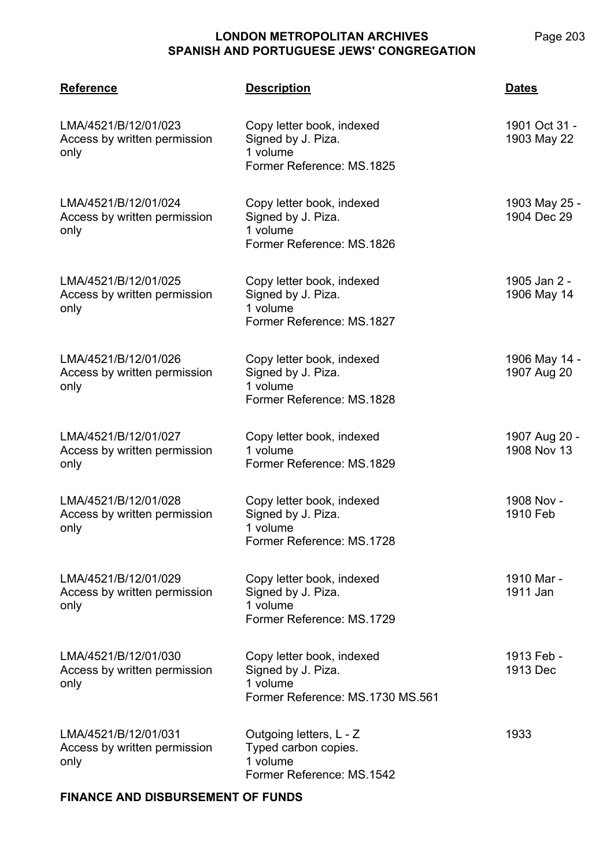**LMA/4521 Reference Description Dates** LMA/4521/B/12/01/023 Access by written permission only Copy letter book, indexed Signed by J. Piza. 1 volume Former Reference: MS.1825 1901 Oct 31 - 1903 May 22 LMA/4521/B/12/01/024 Access by written permission only Copy letter book, indexed Signed by J. Piza. 1 volume Former Reference: MS.1826 1903 May 25 - 1904 Dec 29 LMA/4521/B/12/01/025 Access by written permission only Copy letter book, indexed Signed by J. Piza. 1 volume Former Reference: MS.1827 1905 Jan 2 - 1906 May 14 LMA/4521/B/12/01/026 Access by written permission only Copy letter book, indexed Signed by J. Piza. 1 volume Former Reference: MS.1828 1906 May 14 - 1907 Aug 20 LMA/4521/B/12/01/027 Access by written permission only Copy letter book, indexed 1 volume Former Reference: MS.1829 1907 Aug 20 - 1908 Nov 13 LMA/4521/B/12/01/028 Access by written permission only Copy letter book, indexed Signed by J. Piza. 1 volume Former Reference: MS.1728 1908 Nov - 1910 Feb LMA/4521/B/12/01/029 Access by written permission only Copy letter book, indexed Signed by J. Piza. 1 volume Former Reference: MS.1729 1910 Mar - 1911 Jan LMA/4521/B/12/01/030 Access by written permission only Copy letter book, indexed Signed by J. Piza. 1 volume Former Reference: MS.1730 MS.561 1913 Feb - 1913 Dec LMA/4521/B/12/01/031 Access by written permission only Outgoing letters, L - Z Typed carbon copies. 1 volume Former Reference: MS.1542 1933

#### **FINANCE AND DISBURSEMENT OF FUNDS**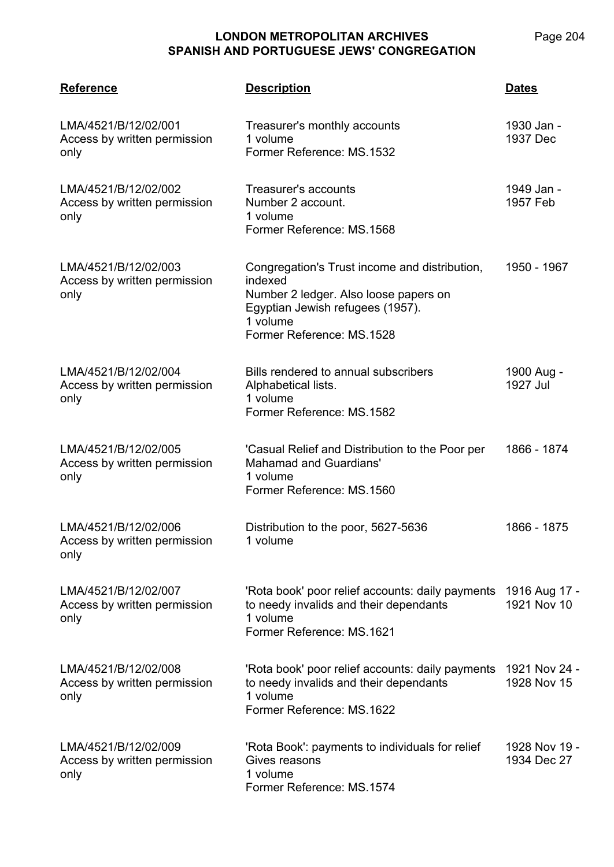| <b>Reference</b>                                             | <b>Description</b>                                                                                                                                                             | <b>Dates</b>                 |
|--------------------------------------------------------------|--------------------------------------------------------------------------------------------------------------------------------------------------------------------------------|------------------------------|
| LMA/4521/B/12/02/001<br>Access by written permission<br>only | Treasurer's monthly accounts<br>1 volume<br>Former Reference: MS.1532                                                                                                          | 1930 Jan -<br>1937 Dec       |
| LMA/4521/B/12/02/002<br>Access by written permission<br>only | Treasurer's accounts<br>Number 2 account.<br>1 volume<br>Former Reference: MS.1568                                                                                             | 1949 Jan -<br>1957 Feb       |
| LMA/4521/B/12/02/003<br>Access by written permission<br>only | Congregation's Trust income and distribution,<br>indexed<br>Number 2 ledger. Also loose papers on<br>Egyptian Jewish refugees (1957).<br>1 volume<br>Former Reference: MS.1528 | 1950 - 1967                  |
| LMA/4521/B/12/02/004<br>Access by written permission<br>only | Bills rendered to annual subscribers<br>Alphabetical lists.<br>1 volume<br>Former Reference: MS.1582                                                                           | 1900 Aug -<br>1927 Jul       |
| LMA/4521/B/12/02/005<br>Access by written permission<br>only | 'Casual Relief and Distribution to the Poor per<br><b>Mahamad and Guardians'</b><br>1 volume<br>Former Reference: MS.1560                                                      | 1866 - 1874                  |
| LMA/4521/B/12/02/006<br>Access by written permission<br>only | Distribution to the poor, 5627-5636<br>1 volume                                                                                                                                | 1866 - 1875                  |
| LMA/4521/B/12/02/007<br>Access by written permission<br>only | 'Rota book' poor relief accounts: daily payments<br>to needy invalids and their dependants<br>1 volume<br>Former Reference: MS.1621                                            | 1916 Aug 17 -<br>1921 Nov 10 |
| LMA/4521/B/12/02/008<br>Access by written permission<br>only | 'Rota book' poor relief accounts: daily payments<br>to needy invalids and their dependants<br>1 volume<br>Former Reference: MS.1622                                            | 1921 Nov 24 -<br>1928 Nov 15 |
| LMA/4521/B/12/02/009<br>Access by written permission<br>only | 'Rota Book': payments to individuals for relief<br>Gives reasons<br>1 volume<br>Former Reference: MS.1574                                                                      | 1928 Nov 19 -<br>1934 Dec 27 |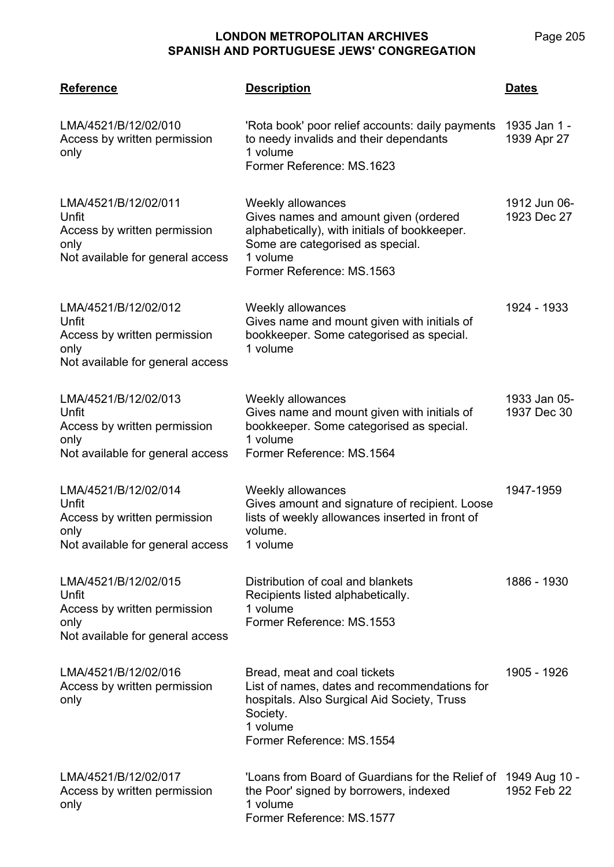| <b>Reference</b>                                                                                          | <b>Description</b>                                                                                                                                                                       | <b>Dates</b>                |
|-----------------------------------------------------------------------------------------------------------|------------------------------------------------------------------------------------------------------------------------------------------------------------------------------------------|-----------------------------|
| LMA/4521/B/12/02/010<br>Access by written permission<br>only                                              | 'Rota book' poor relief accounts: daily payments<br>to needy invalids and their dependants<br>1 volume<br>Former Reference: MS.1623                                                      | 1935 Jan 1 -<br>1939 Apr 27 |
| LMA/4521/B/12/02/011<br>Unfit<br>Access by written permission<br>only<br>Not available for general access | Weekly allowances<br>Gives names and amount given (ordered<br>alphabetically), with initials of bookkeeper.<br>Some are categorised as special.<br>1 volume<br>Former Reference: MS.1563 | 1912 Jun 06-<br>1923 Dec 27 |
| LMA/4521/B/12/02/012<br>Unfit<br>Access by written permission<br>only<br>Not available for general access | Weekly allowances<br>Gives name and mount given with initials of<br>bookkeeper. Some categorised as special.<br>1 volume                                                                 | 1924 - 1933                 |
| LMA/4521/B/12/02/013<br>Unfit<br>Access by written permission<br>only<br>Not available for general access | Weekly allowances<br>Gives name and mount given with initials of<br>bookkeeper. Some categorised as special.<br>1 volume<br>Former Reference: MS.1564                                    | 1933 Jan 05-<br>1937 Dec 30 |
| LMA/4521/B/12/02/014<br>Unfit<br>Access by written permission<br>only<br>Not available for general access | Weekly allowances<br>Gives amount and signature of recipient. Loose<br>lists of weekly allowances inserted in front of<br>volume.<br>1 volume                                            | 1947-1959                   |
| LMA/4521/B/12/02/015<br>Unfit<br>Access by written permission<br>only<br>Not available for general access | Distribution of coal and blankets<br>Recipients listed alphabetically.<br>1 volume<br>Former Reference: MS.1553                                                                          | 1886 - 1930                 |
| LMA/4521/B/12/02/016<br>Access by written permission<br>only                                              | Bread, meat and coal tickets<br>List of names, dates and recommendations for<br>hospitals. Also Surgical Aid Society, Truss<br>Society.<br>1 volume<br>Former Reference: MS.1554         | 1905 - 1926                 |
| LMA/4521/B/12/02/017<br>Access by written permission<br>only                                              | 'Loans from Board of Guardians for the Relief of 1949 Aug 10 -<br>the Poor' signed by borrowers, indexed<br>1 volume<br>Former Reference: MS.1577                                        | 1952 Feb 22                 |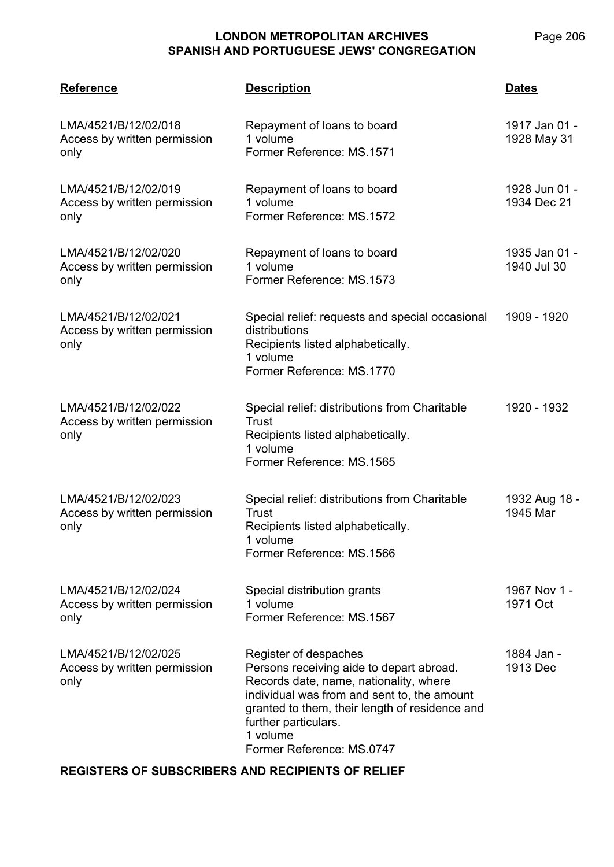Page 206

| <b>Reference</b>                                             | <b>Description</b>                                                                                                                                                                                                                                                            | <b>Dates</b>                 |
|--------------------------------------------------------------|-------------------------------------------------------------------------------------------------------------------------------------------------------------------------------------------------------------------------------------------------------------------------------|------------------------------|
| LMA/4521/B/12/02/018<br>Access by written permission<br>only | Repayment of loans to board<br>1 volume<br>Former Reference: MS.1571                                                                                                                                                                                                          | 1917 Jan 01 -<br>1928 May 31 |
| LMA/4521/B/12/02/019<br>Access by written permission<br>only | Repayment of loans to board<br>1 volume<br>Former Reference: MS.1572                                                                                                                                                                                                          | 1928 Jun 01 -<br>1934 Dec 21 |
| LMA/4521/B/12/02/020<br>Access by written permission<br>only | Repayment of loans to board<br>1 volume<br>Former Reference: MS.1573                                                                                                                                                                                                          | 1935 Jan 01 -<br>1940 Jul 30 |
| LMA/4521/B/12/02/021<br>Access by written permission<br>only | Special relief: requests and special occasional<br>distributions<br>Recipients listed alphabetically.<br>1 volume<br>Former Reference: MS.1770                                                                                                                                | 1909 - 1920                  |
| LMA/4521/B/12/02/022<br>Access by written permission<br>only | Special relief: distributions from Charitable<br>Trust<br>Recipients listed alphabetically.<br>1 volume<br>Former Reference: MS.1565                                                                                                                                          | 1920 - 1932                  |
| LMA/4521/B/12/02/023<br>Access by written permission<br>only | Special relief: distributions from Charitable<br>Trust<br>Recipients listed alphabetically.<br>1 volume<br>Former Reference: MS.1566                                                                                                                                          | 1932 Aug 18 -<br>1945 Mar    |
| LMA/4521/B/12/02/024<br>Access by written permission<br>only | Special distribution grants<br>1 volume<br>Former Reference: MS.1567                                                                                                                                                                                                          | 1967 Nov 1 -<br>1971 Oct     |
| LMA/4521/B/12/02/025<br>Access by written permission<br>only | Register of despaches<br>Persons receiving aide to depart abroad.<br>Records date, name, nationality, where<br>individual was from and sent to, the amount<br>granted to them, their length of residence and<br>further particulars.<br>1 volume<br>Former Reference: MS.0747 | 1884 Jan -<br>1913 Dec       |

#### **REGISTERS OF SUBSCRIBERS AND RECIPIENTS OF RELIEF**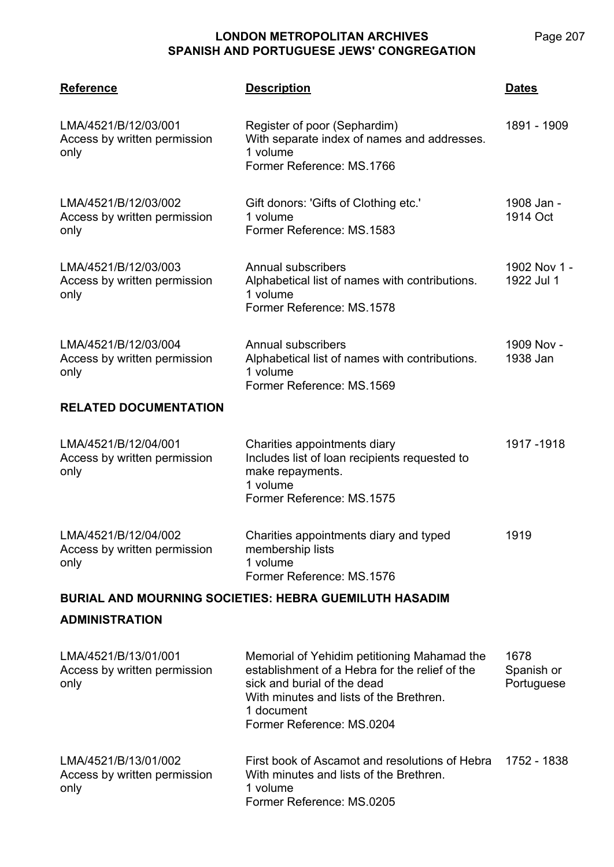| <b>Reference</b>                                             | <u>Description</u>                                                                                                                                                                                                 | <b>Dates</b>                     |
|--------------------------------------------------------------|--------------------------------------------------------------------------------------------------------------------------------------------------------------------------------------------------------------------|----------------------------------|
| LMA/4521/B/12/03/001<br>Access by written permission<br>only | Register of poor (Sephardim)<br>With separate index of names and addresses.<br>1 volume<br>Former Reference: MS.1766                                                                                               | 1891 - 1909                      |
| LMA/4521/B/12/03/002<br>Access by written permission<br>only | Gift donors: 'Gifts of Clothing etc.'<br>1 volume<br>Former Reference: MS.1583                                                                                                                                     | 1908 Jan -<br>1914 Oct           |
| LMA/4521/B/12/03/003<br>Access by written permission<br>only | Annual subscribers<br>Alphabetical list of names with contributions.<br>1 volume<br>Former Reference: MS.1578                                                                                                      | 1902 Nov 1 -<br>1922 Jul 1       |
| LMA/4521/B/12/03/004<br>Access by written permission<br>only | <b>Annual subscribers</b><br>Alphabetical list of names with contributions.<br>1 volume<br>Former Reference: MS.1569                                                                                               | 1909 Nov -<br>1938 Jan           |
| <b>RELATED DOCUMENTATION</b>                                 |                                                                                                                                                                                                                    |                                  |
| LMA/4521/B/12/04/001<br>Access by written permission<br>only | Charities appointments diary<br>Includes list of loan recipients requested to<br>make repayments.<br>1 volume<br>Former Reference: MS.1575                                                                         | 1917-1918                        |
| LMA/4521/B/12/04/002<br>Access by written permission<br>only | Charities appointments diary and typed<br>membership lists<br>1 volume<br>Former Reference: MS.1576                                                                                                                | 1919                             |
|                                                              | <b>BURIAL AND MOURNING SOCIETIES: HEBRA GUEMILUTH HASADIM</b>                                                                                                                                                      |                                  |
| <b>ADMINISTRATION</b>                                        |                                                                                                                                                                                                                    |                                  |
| LMA/4521/B/13/01/001<br>Access by written permission<br>only | Memorial of Yehidim petitioning Mahamad the<br>establishment of a Hebra for the relief of the<br>sick and burial of the dead<br>With minutes and lists of the Brethren.<br>1 document<br>Former Reference: MS.0204 | 1678<br>Spanish or<br>Portuguese |
| LMA/4521/B/13/01/002<br>Access by written permission<br>only | First book of Ascamot and resolutions of Hebra<br>With minutes and lists of the Brethren.<br>1 volume<br>Former Reference: MS.0205                                                                                 | 1752 - 1838                      |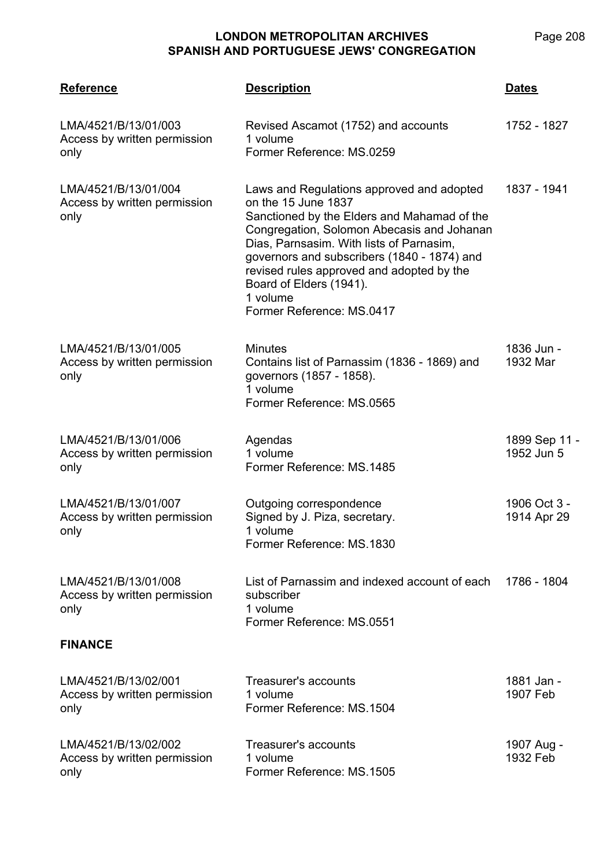| <b>Reference</b>                                             | <b>Description</b>                                                                                                                                                                                                                                                                                                                                                        | <b>Dates</b>                |
|--------------------------------------------------------------|---------------------------------------------------------------------------------------------------------------------------------------------------------------------------------------------------------------------------------------------------------------------------------------------------------------------------------------------------------------------------|-----------------------------|
| LMA/4521/B/13/01/003<br>Access by written permission<br>only | Revised Ascamot (1752) and accounts<br>1 volume<br>Former Reference: MS.0259                                                                                                                                                                                                                                                                                              | 1752 - 1827                 |
| LMA/4521/B/13/01/004<br>Access by written permission<br>only | Laws and Regulations approved and adopted<br>on the 15 June 1837<br>Sanctioned by the Elders and Mahamad of the<br>Congregation, Solomon Abecasis and Johanan<br>Dias, Parnsasim. With lists of Parnasim,<br>governors and subscribers (1840 - 1874) and<br>revised rules approved and adopted by the<br>Board of Elders (1941).<br>1 volume<br>Former Reference: MS.0417 | 1837 - 1941                 |
| LMA/4521/B/13/01/005<br>Access by written permission<br>only | <b>Minutes</b><br>Contains list of Parnassim (1836 - 1869) and<br>governors (1857 - 1858).<br>1 volume<br>Former Reference: MS.0565                                                                                                                                                                                                                                       | 1836 Jun -<br>1932 Mar      |
| LMA/4521/B/13/01/006<br>Access by written permission<br>only | Agendas<br>1 volume<br>Former Reference: MS.1485                                                                                                                                                                                                                                                                                                                          | 1899 Sep 11 -<br>1952 Jun 5 |
| LMA/4521/B/13/01/007<br>Access by written permission<br>only | Outgoing correspondence<br>Signed by J. Piza, secretary.<br>1 volume<br>Former Reference: MS.1830                                                                                                                                                                                                                                                                         | 1906 Oct 3 -<br>1914 Apr 29 |
| LMA/4521/B/13/01/008<br>Access by written permission<br>only | List of Parnassim and indexed account of each<br>subscriber<br>1 volume<br>Former Reference: MS.0551                                                                                                                                                                                                                                                                      | 1786 - 1804                 |
| <b>FINANCE</b>                                               |                                                                                                                                                                                                                                                                                                                                                                           |                             |
| LMA/4521/B/13/02/001<br>Access by written permission<br>only | Treasurer's accounts<br>1 volume<br>Former Reference: MS.1504                                                                                                                                                                                                                                                                                                             | 1881 Jan -<br>1907 Feb      |
| LMA/4521/B/13/02/002<br>Access by written permission<br>only | Treasurer's accounts<br>1 volume<br>Former Reference: MS.1505                                                                                                                                                                                                                                                                                                             | 1907 Aug -<br>1932 Feb      |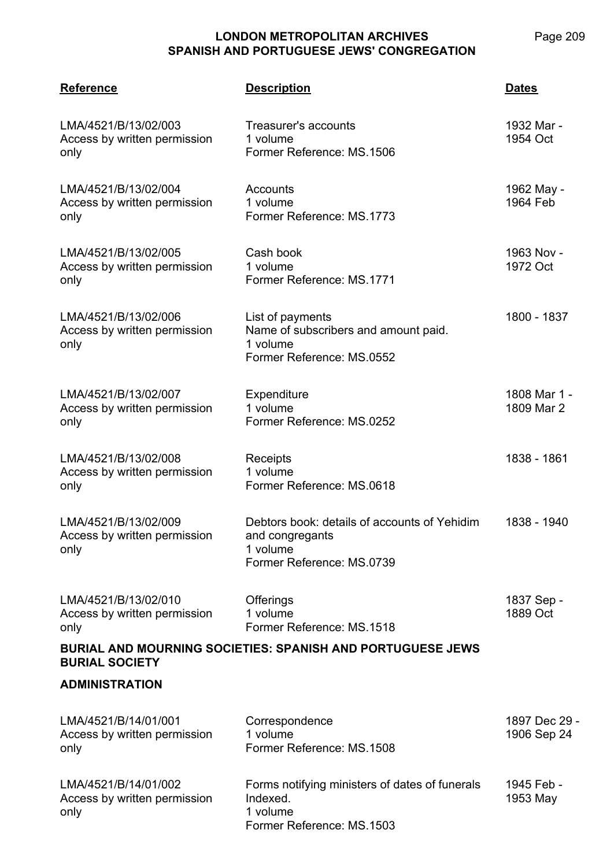| <b>Reference</b>                                                                    | <b>Description</b>                                                                                       | <b>Dates</b>                 |  |
|-------------------------------------------------------------------------------------|----------------------------------------------------------------------------------------------------------|------------------------------|--|
| LMA/4521/B/13/02/003<br>Access by written permission<br>only                        | Treasurer's accounts<br>1 volume<br>Former Reference: MS.1506                                            | 1932 Mar -<br>1954 Oct       |  |
| LMA/4521/B/13/02/004<br>Access by written permission<br>only                        | Accounts<br>1 volume<br>Former Reference: MS.1773                                                        | 1962 May -<br>1964 Feb       |  |
| LMA/4521/B/13/02/005<br>Access by written permission<br>only                        | Cash book<br>1 volume<br>Former Reference: MS.1771                                                       | 1963 Nov -<br>1972 Oct       |  |
| LMA/4521/B/13/02/006<br>Access by written permission<br>only                        | List of payments<br>Name of subscribers and amount paid.<br>1 volume<br>Former Reference: MS.0552        | 1800 - 1837                  |  |
| LMA/4521/B/13/02/007<br>Access by written permission<br>only                        | Expenditure<br>1 volume<br>Former Reference: MS.0252                                                     | 1808 Mar 1 -<br>1809 Mar 2   |  |
| LMA/4521/B/13/02/008<br>Access by written permission<br>only                        | Receipts<br>1 volume<br>Former Reference: MS.0618                                                        | 1838 - 1861                  |  |
| LMA/4521/B/13/02/009<br>Access by written permission<br>only                        | Debtors book: details of accounts of Yehidim<br>and congregants<br>1 volume<br>Former Reference: MS.0739 | 1838 - 1940                  |  |
| LMA/4521/B/13/02/010<br>Access by written permission<br>only                        | Offerings<br>1 volume<br>Former Reference: MS.1518                                                       | 1837 Sep -<br>1889 Oct       |  |
| BURIAL AND MOURNING SOCIETIES: SPANISH AND PORTUGUESE JEWS<br><b>BURIAL SOCIETY</b> |                                                                                                          |                              |  |
| <b>ADMINISTRATION</b>                                                               |                                                                                                          |                              |  |
| LMA/4521/B/14/01/001<br>Access by written permission<br>only                        | Correspondence<br>1 volume<br>Former Reference: MS.1508                                                  | 1897 Dec 29 -<br>1906 Sep 24 |  |
| LMA/4521/B/14/01/002<br>Access by written permission<br>only                        | Forms notifying ministers of dates of funerals<br>Indexed.<br>1 volume<br>Former Reference: MS.1503      | 1945 Feb -<br>1953 May       |  |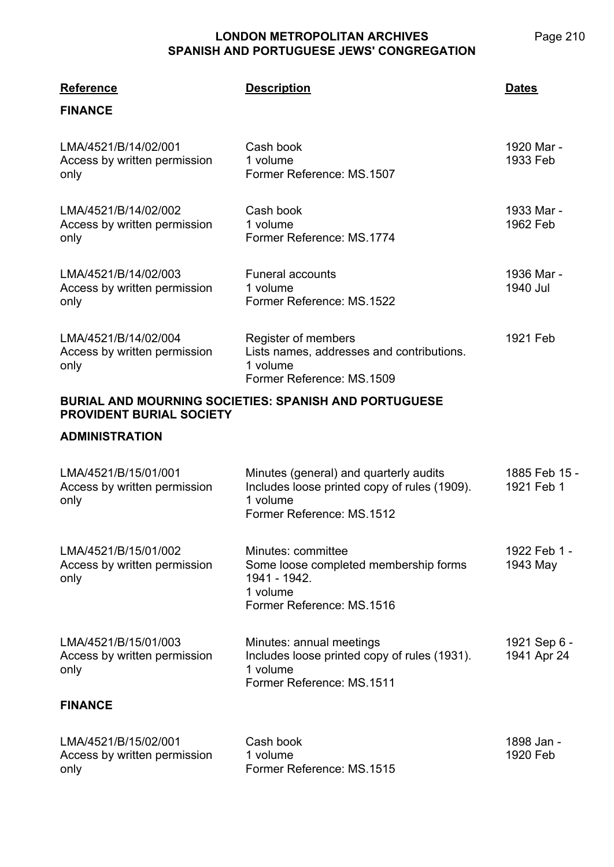| 'ES             | Page 2 |
|-----------------|--------|
| <b>REGATION</b> |        |
|                 |        |

| <b>Reference</b>                                             | <b>Description</b>                                                                                                              | <b>Dates</b>                |
|--------------------------------------------------------------|---------------------------------------------------------------------------------------------------------------------------------|-----------------------------|
| <b>FINANCE</b>                                               |                                                                                                                                 |                             |
| LMA/4521/B/14/02/001<br>Access by written permission<br>only | Cash book<br>1 volume<br>Former Reference: MS.1507                                                                              | 1920 Mar -<br>1933 Feb      |
| LMA/4521/B/14/02/002<br>Access by written permission<br>only | Cash book<br>1 volume<br>Former Reference: MS.1774                                                                              | 1933 Mar -<br>1962 Feb      |
| LMA/4521/B/14/02/003<br>Access by written permission<br>only | <b>Funeral accounts</b><br>1 volume<br>Former Reference: MS.1522                                                                | 1936 Mar -<br>1940 Jul      |
| LMA/4521/B/14/02/004<br>Access by written permission<br>only | Register of members<br>Lists names, addresses and contributions.<br>1 volume<br>Former Reference: MS.1509                       | 1921 Feb                    |
| <b>PROVIDENT BURIAL SOCIETY</b>                              | BURIAL AND MOURNING SOCIETIES: SPANISH AND PORTUGUESE                                                                           |                             |
| <b>ADMINISTRATION</b>                                        |                                                                                                                                 |                             |
| LMA/4521/B/15/01/001<br>Access by written permission<br>only | Minutes (general) and quarterly audits<br>Includes loose printed copy of rules (1909).<br>1 volume<br>Former Reference: MS.1512 | 1885 Feb 15 -<br>1921 Feb 1 |
| LMA/4521/B/15/01/002<br>Access by written permission<br>only | Minutes: committee<br>Some loose completed membership forms<br>1941 - 1942.<br>1 volume<br>Former Reference: MS.1516            | 1922 Feb 1 -<br>1943 May    |
| LMA/4521/B/15/01/003<br>Access by written permission<br>only | Minutes: annual meetings<br>Includes loose printed copy of rules (1931).<br>1 volume<br>Former Reference: MS.1511               | 1921 Sep 6 -<br>1941 Apr 24 |
| <b>FINANCE</b>                                               |                                                                                                                                 |                             |
| LMA/4521/B/15/02/001<br>Access by written permission<br>only | Cash book<br>1 volume<br>Former Reference: MS.1515                                                                              | 1898 Jan -<br>1920 Feb      |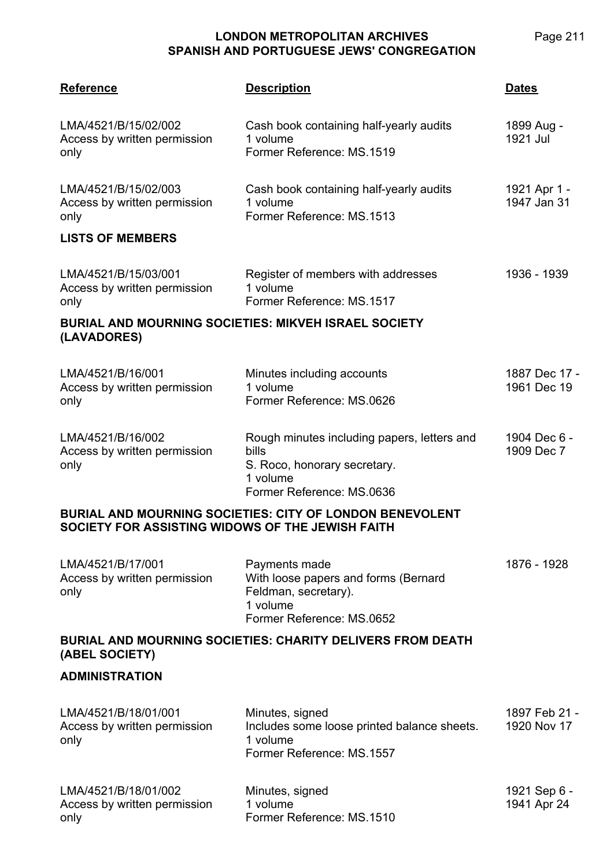| <b>Reference</b>                                                           | <b>Description</b>                                                                                                            | <b>Dates</b>                 |
|----------------------------------------------------------------------------|-------------------------------------------------------------------------------------------------------------------------------|------------------------------|
| LMA/4521/B/15/02/002<br>Access by written permission<br>only               | Cash book containing half-yearly audits<br>1 volume<br>Former Reference: MS.1519                                              | 1899 Aug -<br>1921 Jul       |
| LMA/4521/B/15/02/003<br>Access by written permission<br>only               | Cash book containing half-yearly audits<br>1 volume<br>Former Reference: MS.1513                                              | 1921 Apr 1 -<br>1947 Jan 31  |
| <b>LISTS OF MEMBERS</b>                                                    |                                                                                                                               |                              |
| LMA/4521/B/15/03/001<br>Access by written permission<br>only               | Register of members with addresses<br>1 volume<br>Former Reference: MS.1517                                                   | 1936 - 1939                  |
| <b>BURIAL AND MOURNING SOCIETIES: MIKVEH ISRAEL SOCIETY</b><br>(LAVADORES) |                                                                                                                               |                              |
| LMA/4521/B/16/001<br>Access by written permission<br>only                  | Minutes including accounts<br>1 volume<br>Former Reference: MS.0626                                                           | 1887 Dec 17 -<br>1961 Dec 19 |
| LMA/4521/B/16/002<br>Access by written permission<br>only                  | Rough minutes including papers, letters and<br>bills<br>S. Roco, honorary secretary.<br>1 volume<br>Former Reference: MS.0636 | 1904 Dec 6 -<br>1909 Dec 7   |
| SOCIETY FOR ASSISTING WIDOWS OF THE JEWISH FAITH                           | <b>BURIAL AND MOURNING SOCIETIES: CITY OF LONDON BENEVOLENT</b>                                                               |                              |
| LMA/4521/B/17/001<br>Access by written permission<br>only                  | Payments made<br>With loose papers and forms (Bernard<br>Feldman, secretary).<br>1 volume<br>Former Reference: MS.0652        | 1876 - 1928                  |
| (ABEL SOCIETY)                                                             | <b>BURIAL AND MOURNING SOCIETIES: CHARITY DELIVERS FROM DEATH</b>                                                             |                              |
| <b>ADMINISTRATION</b>                                                      |                                                                                                                               |                              |
| LMA/4521/B/18/01/001<br>Access by written permission<br>only               | Minutes, signed<br>Includes some loose printed balance sheets.<br>1 volume<br>Former Reference: MS.1557                       | 1897 Feb 21 -<br>1920 Nov 17 |
| LMA/4521/B/18/01/002<br>Access by written permission<br>only               | Minutes, signed<br>1 volume<br>Former Reference: MS.1510                                                                      | 1921 Sep 6 -<br>1941 Apr 24  |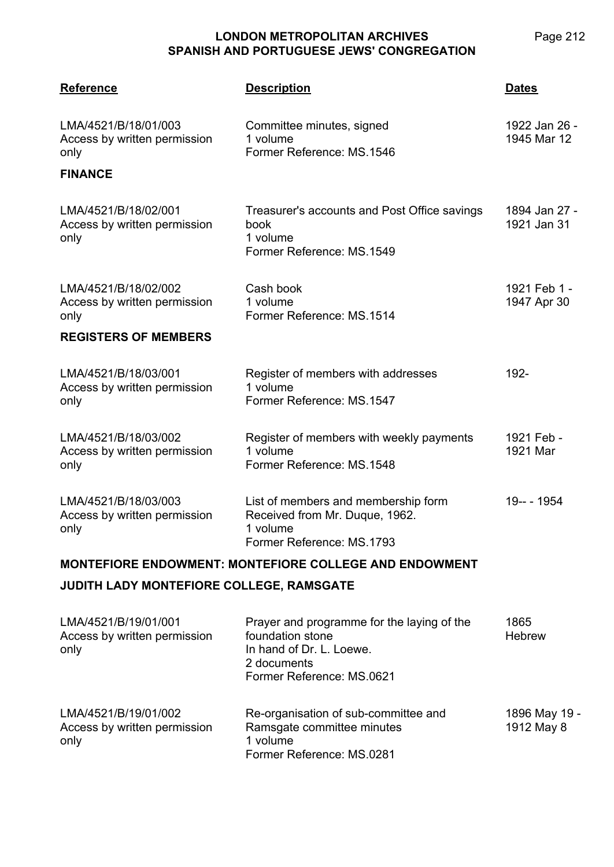Page 212

| <b>Reference</b>                                                               | <b>Description</b>                                                                                                                     | <b>Dates</b>                 |  |
|--------------------------------------------------------------------------------|----------------------------------------------------------------------------------------------------------------------------------------|------------------------------|--|
| LMA/4521/B/18/01/003<br>Access by written permission<br>only<br><b>FINANCE</b> | Committee minutes, signed<br>1 volume<br>Former Reference: MS.1546                                                                     | 1922 Jan 26 -<br>1945 Mar 12 |  |
|                                                                                |                                                                                                                                        |                              |  |
| LMA/4521/B/18/02/001<br>Access by written permission<br>only                   | Treasurer's accounts and Post Office savings<br>book<br>1 volume<br>Former Reference: MS.1549                                          | 1894 Jan 27 -<br>1921 Jan 31 |  |
| LMA/4521/B/18/02/002<br>Access by written permission<br>only                   | Cash book<br>1 volume<br>Former Reference: MS.1514                                                                                     | 1921 Feb 1 -<br>1947 Apr 30  |  |
| <b>REGISTERS OF MEMBERS</b>                                                    |                                                                                                                                        |                              |  |
| LMA/4521/B/18/03/001<br>Access by written permission<br>only                   | Register of members with addresses<br>1 volume<br>Former Reference: MS.1547                                                            | 192-                         |  |
| LMA/4521/B/18/03/002<br>Access by written permission<br>only                   | Register of members with weekly payments<br>1 volume<br>Former Reference: MS.1548                                                      | 1921 Feb -<br>1921 Mar       |  |
| LMA/4521/B/18/03/003<br>Access by written permission<br>only                   | List of members and membership form<br>Received from Mr. Duque, 1962.<br>1 volume<br>Former Reference: MS.1793                         | 19-- - 1954                  |  |
| <b>MONTEFIORE ENDOWMENT: MONTEFIORE COLLEGE AND ENDOWMENT</b>                  |                                                                                                                                        |                              |  |
| JUDITH LADY MONTEFIORE COLLEGE, RAMSGATE                                       |                                                                                                                                        |                              |  |
| LMA/4521/B/19/01/001<br>Access by written permission<br>only                   | Prayer and programme for the laying of the<br>foundation stone<br>In hand of Dr. L. Loewe.<br>2 documents<br>Former Reference: MS.0621 | 1865<br><b>Hebrew</b>        |  |
| LMA/4521/B/19/01/002                                                           | Re-organisation of sub-committee and                                                                                                   | 1896 May 19 -                |  |

Ramsgate committee minutes

Former Reference: MS.0281

1 volume

Access by written permission

only

| 1896 May 19 - |  |
|---------------|--|
| 1912 May 8    |  |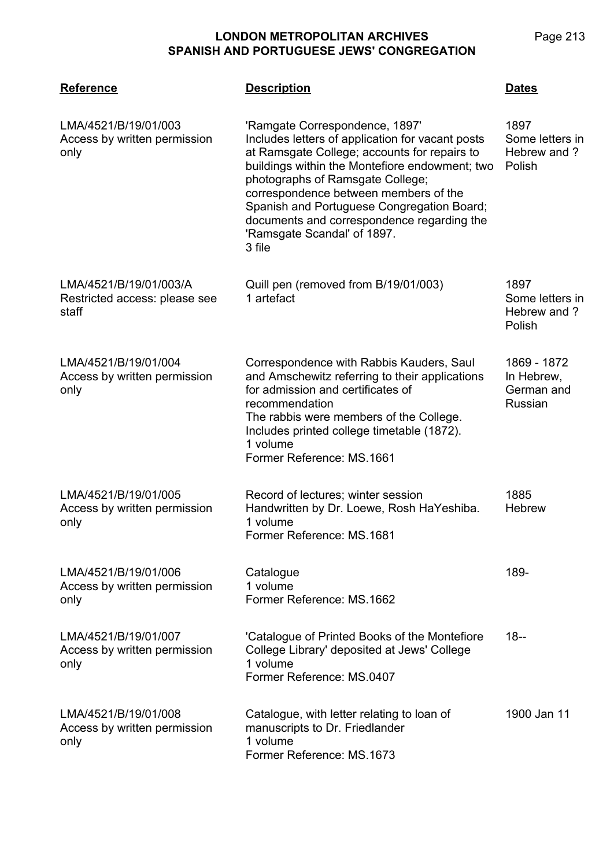| <b>Reference</b>                                                 | <b>Description</b>                                                                                                                                                                                                                                                                                                                                                                                     | <b>Dates</b>                                       |
|------------------------------------------------------------------|--------------------------------------------------------------------------------------------------------------------------------------------------------------------------------------------------------------------------------------------------------------------------------------------------------------------------------------------------------------------------------------------------------|----------------------------------------------------|
| LMA/4521/B/19/01/003<br>Access by written permission<br>only     | 'Ramgate Correspondence, 1897'<br>Includes letters of application for vacant posts<br>at Ramsgate College; accounts for repairs to<br>buildings within the Montefiore endowment; two<br>photographs of Ramsgate College;<br>correspondence between members of the<br>Spanish and Portuguese Congregation Board;<br>documents and correspondence regarding the<br>'Ramsgate Scandal' of 1897.<br>3 file | 1897<br>Some letters in<br>Hebrew and ?<br>Polish  |
| LMA/4521/B/19/01/003/A<br>Restricted access: please see<br>staff | Quill pen (removed from B/19/01/003)<br>1 artefact                                                                                                                                                                                                                                                                                                                                                     | 1897<br>Some letters in<br>Hebrew and ?<br>Polish  |
| LMA/4521/B/19/01/004<br>Access by written permission<br>only     | Correspondence with Rabbis Kauders, Saul<br>and Amschewitz referring to their applications<br>for admission and certificates of<br>recommendation<br>The rabbis were members of the College.<br>Includes printed college timetable (1872).<br>1 volume<br>Former Reference: MS.1661                                                                                                                    | 1869 - 1872<br>In Hebrew,<br>German and<br>Russian |
| LMA/4521/B/19/01/005<br>Access by written permission<br>only     | Record of lectures; winter session<br>Handwritten by Dr. Loewe, Rosh HaYeshiba.<br>1 volume<br>Former Reference: MS.1681                                                                                                                                                                                                                                                                               | 1885<br><b>Hebrew</b>                              |
| LMA/4521/B/19/01/006<br>Access by written permission<br>only     | Catalogue<br>1 volume<br>Former Reference: MS.1662                                                                                                                                                                                                                                                                                                                                                     | 189-                                               |
| LMA/4521/B/19/01/007<br>Access by written permission<br>only     | 'Catalogue of Printed Books of the Montefiore<br>College Library' deposited at Jews' College<br>1 volume<br>Former Reference: MS.0407                                                                                                                                                                                                                                                                  | $18 -$                                             |
| LMA/4521/B/19/01/008<br>Access by written permission<br>only     | Catalogue, with letter relating to loan of<br>manuscripts to Dr. Friedlander<br>1 volume<br>Former Reference: MS.1673                                                                                                                                                                                                                                                                                  | 1900 Jan 11                                        |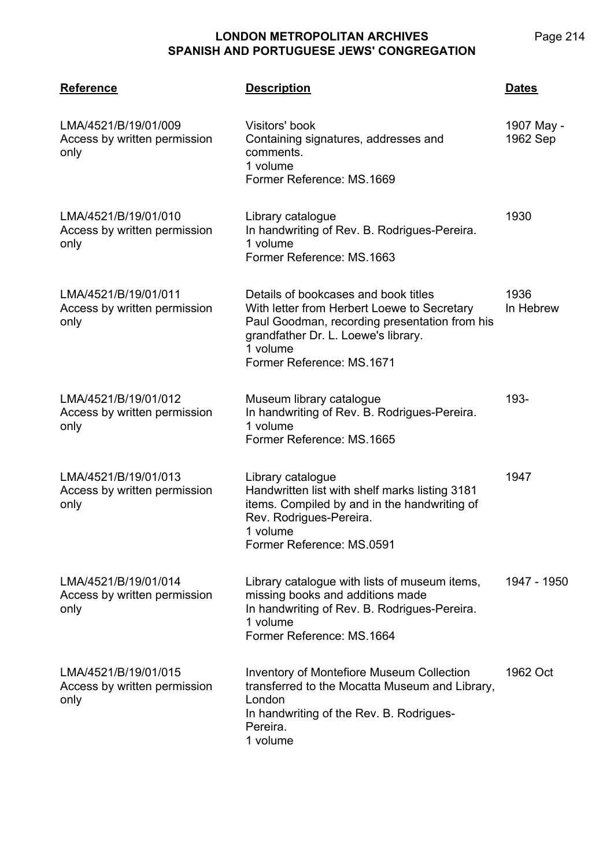| <b>Reference</b>                                             | <b>Description</b>                                                                                                                                                                                                   | <b>Dates</b>           |
|--------------------------------------------------------------|----------------------------------------------------------------------------------------------------------------------------------------------------------------------------------------------------------------------|------------------------|
| LMA/4521/B/19/01/009<br>Access by written permission<br>only | Visitors' book<br>Containing signatures, addresses and<br>comments.<br>1 volume<br>Former Reference: MS.1669                                                                                                         | 1907 May -<br>1962 Sep |
| LMA/4521/B/19/01/010<br>Access by written permission<br>only | Library catalogue<br>In handwriting of Rev. B. Rodrigues-Pereira.<br>1 volume<br>Former Reference: MS.1663                                                                                                           | 1930                   |
| LMA/4521/B/19/01/011<br>Access by written permission<br>only | Details of bookcases and book titles<br>With letter from Herbert Loewe to Secretary<br>Paul Goodman, recording presentation from his<br>grandfather Dr. L. Loewe's library.<br>1 volume<br>Former Reference: MS.1671 | 1936<br>In Hebrew      |
| LMA/4521/B/19/01/012<br>Access by written permission<br>only | Museum library catalogue<br>In handwriting of Rev. B. Rodrigues-Pereira.<br>1 volume<br>Former Reference: MS.1665                                                                                                    | 193-                   |
| LMA/4521/B/19/01/013<br>Access by written permission<br>only | Library catalogue<br>Handwritten list with shelf marks listing 3181<br>items. Compiled by and in the handwriting of<br>Rev. Rodrigues-Pereira.<br>1 volume<br>Former Reference: MS.0591                              | 1947                   |
| LMA/4521/B/19/01/014<br>Access by written permission<br>only | Library catalogue with lists of museum items,<br>missing books and additions made<br>In handwriting of Rev. B. Rodrigues-Pereira.<br>1 volume<br>Former Reference: MS.1664                                           | 1947 - 1950            |
| LMA/4521/B/19/01/015<br>Access by written permission<br>only | <b>Inventory of Montefiore Museum Collection</b><br>transferred to the Mocatta Museum and Library,<br>London<br>In handwriting of the Rev. B. Rodrigues-<br>Pereira.<br>1 volume                                     | 1962 Oct               |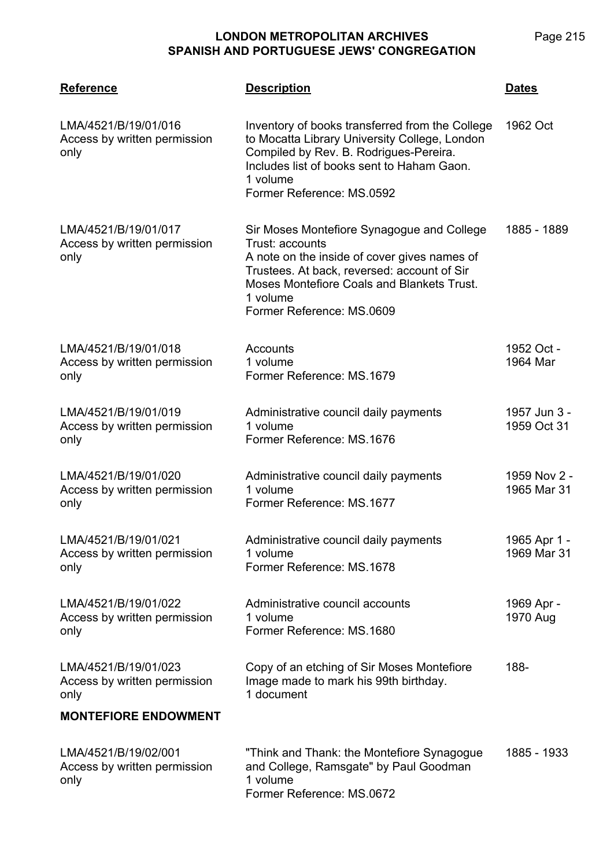| <b>Reference</b>                                             | <b>Description</b>                                                                                                                                                                                                                                  | <b>Dates</b>                |
|--------------------------------------------------------------|-----------------------------------------------------------------------------------------------------------------------------------------------------------------------------------------------------------------------------------------------------|-----------------------------|
| LMA/4521/B/19/01/016<br>Access by written permission<br>only | Inventory of books transferred from the College<br>to Mocatta Library University College, London<br>Compiled by Rev. B. Rodrigues-Pereira.<br>Includes list of books sent to Haham Gaon.<br>1 volume<br>Former Reference: MS.0592                   | 1962 Oct                    |
| LMA/4521/B/19/01/017<br>Access by written permission<br>only | Sir Moses Montefiore Synagogue and College<br>Trust: accounts<br>A note on the inside of cover gives names of<br>Trustees. At back, reversed: account of Sir<br>Moses Montefiore Coals and Blankets Trust.<br>1 volume<br>Former Reference: MS.0609 | 1885 - 1889                 |
| LMA/4521/B/19/01/018<br>Access by written permission<br>only | Accounts<br>1 volume<br>Former Reference: MS.1679                                                                                                                                                                                                   | 1952 Oct -<br>1964 Mar      |
| LMA/4521/B/19/01/019<br>Access by written permission<br>only | Administrative council daily payments<br>1 volume<br>Former Reference: MS.1676                                                                                                                                                                      | 1957 Jun 3 -<br>1959 Oct 31 |
| LMA/4521/B/19/01/020<br>Access by written permission<br>only | Administrative council daily payments<br>1 volume<br>Former Reference: MS.1677                                                                                                                                                                      | 1959 Nov 2 -<br>1965 Mar 31 |
| LMA/4521/B/19/01/021<br>Access by written permission<br>only | Administrative council daily payments<br>1 volume<br>Former Reference: MS.1678                                                                                                                                                                      | 1965 Apr 1 -<br>1969 Mar 31 |
| LMA/4521/B/19/01/022<br>Access by written permission<br>only | Administrative council accounts<br>1 volume<br>Former Reference: MS.1680                                                                                                                                                                            | 1969 Apr -<br>1970 Aug      |
| LMA/4521/B/19/01/023<br>Access by written permission<br>only | Copy of an etching of Sir Moses Montefiore<br>Image made to mark his 99th birthday.<br>1 document                                                                                                                                                   | 188-                        |
| <b>MONTEFIORE ENDOWMENT</b>                                  |                                                                                                                                                                                                                                                     |                             |
| LMA/4521/B/19/02/001<br>Access by written permission<br>only | "Think and Thank: the Montefiore Synagogue<br>and College, Ramsgate" by Paul Goodman<br>1 volume<br>Former Reference: MS.0672                                                                                                                       | 1885 - 1933                 |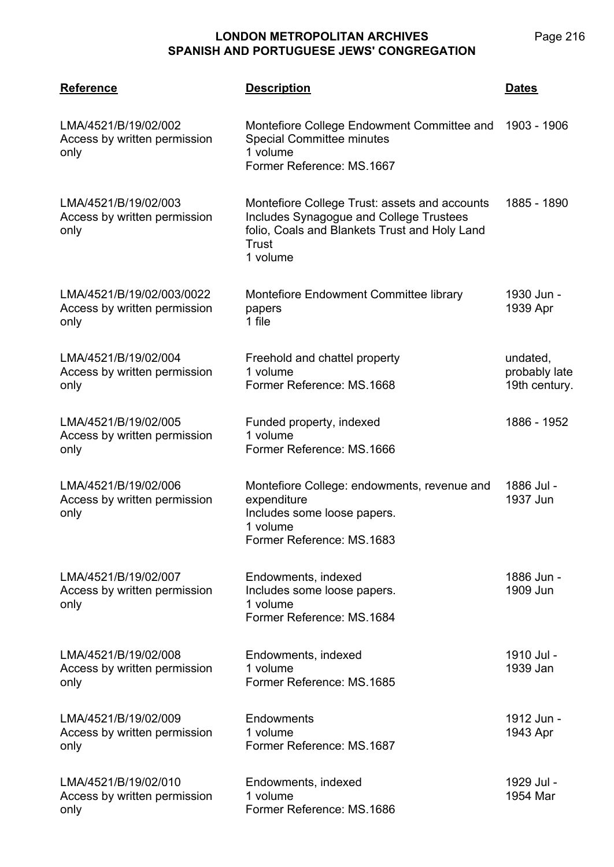| <b>Reference</b>                                                  | <b>Description</b>                                                                                                                                             | <b>Dates</b>                               |
|-------------------------------------------------------------------|----------------------------------------------------------------------------------------------------------------------------------------------------------------|--------------------------------------------|
| LMA/4521/B/19/02/002<br>Access by written permission<br>only      | Montefiore College Endowment Committee and<br><b>Special Committee minutes</b><br>1 volume<br>Former Reference: MS.1667                                        | 1903 - 1906                                |
| LMA/4521/B/19/02/003<br>Access by written permission<br>only      | Montefiore College Trust: assets and accounts<br>Includes Synagogue and College Trustees<br>folio, Coals and Blankets Trust and Holy Land<br>Trust<br>1 volume | 1885 - 1890                                |
| LMA/4521/B/19/02/003/0022<br>Access by written permission<br>only | Montefiore Endowment Committee library<br>papers<br>1 file                                                                                                     | 1930 Jun -<br>1939 Apr                     |
| LMA/4521/B/19/02/004<br>Access by written permission<br>only      | Freehold and chattel property<br>1 volume<br>Former Reference: MS.1668                                                                                         | undated,<br>probably late<br>19th century. |
| LMA/4521/B/19/02/005<br>Access by written permission<br>only      | Funded property, indexed<br>1 volume<br>Former Reference: MS.1666                                                                                              | 1886 - 1952                                |
| LMA/4521/B/19/02/006<br>Access by written permission<br>only      | Montefiore College: endowments, revenue and<br>expenditure<br>Includes some loose papers.<br>1 volume<br>Former Reference: MS.1683                             | 1886 Jul -<br>1937 Jun                     |
| LMA/4521/B/19/02/007<br>Access by written permission<br>only      | Endowments, indexed<br>Includes some loose papers.<br>1 volume<br>Former Reference: MS.1684                                                                    | 1886 Jun -<br>1909 Jun                     |
| LMA/4521/B/19/02/008<br>Access by written permission<br>only      | Endowments, indexed<br>1 volume<br>Former Reference: MS.1685                                                                                                   | 1910 Jul -<br>1939 Jan                     |
| LMA/4521/B/19/02/009<br>Access by written permission<br>only      | Endowments<br>1 volume<br>Former Reference: MS.1687                                                                                                            | 1912 Jun -<br>1943 Apr                     |
| LMA/4521/B/19/02/010<br>Access by written permission<br>only      | Endowments, indexed<br>1 volume<br>Former Reference: MS.1686                                                                                                   | 1929 Jul -<br>1954 Mar                     |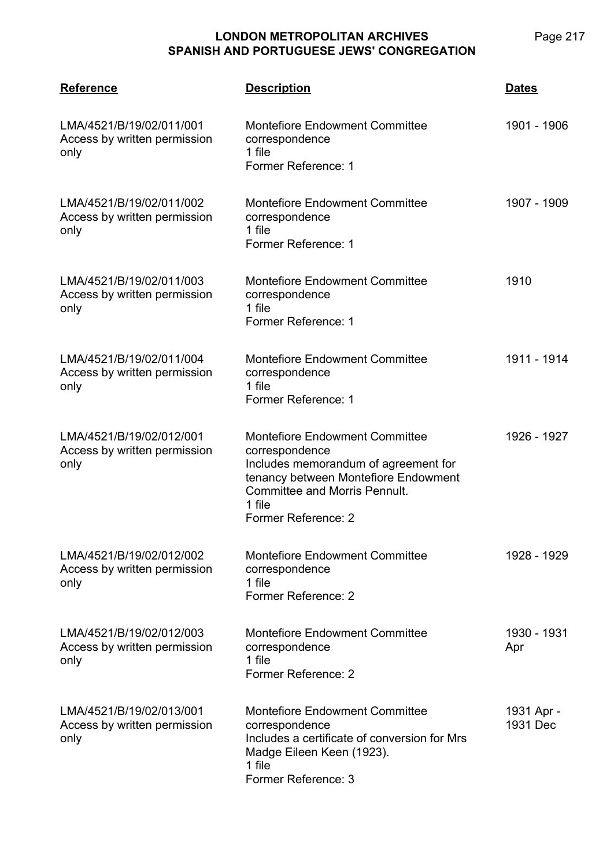| <b>Reference</b>                                                 | <b>Description</b>                                                                                                                                                                                               | <b>Dates</b>           |
|------------------------------------------------------------------|------------------------------------------------------------------------------------------------------------------------------------------------------------------------------------------------------------------|------------------------|
| LMA/4521/B/19/02/011/001<br>Access by written permission<br>only | <b>Montefiore Endowment Committee</b><br>correspondence<br>1 file<br>Former Reference: 1                                                                                                                         | 1901 - 1906            |
| LMA/4521/B/19/02/011/002<br>Access by written permission<br>only | <b>Montefiore Endowment Committee</b><br>correspondence<br>1 file<br>Former Reference: 1                                                                                                                         | 1907 - 1909            |
| LMA/4521/B/19/02/011/003<br>Access by written permission<br>only | <b>Montefiore Endowment Committee</b><br>correspondence<br>1 file<br>Former Reference: 1                                                                                                                         | 1910                   |
| LMA/4521/B/19/02/011/004<br>Access by written permission<br>only | <b>Montefiore Endowment Committee</b><br>correspondence<br>1 file<br>Former Reference: 1                                                                                                                         | 1911 - 1914            |
| LMA/4521/B/19/02/012/001<br>Access by written permission<br>only | <b>Montefiore Endowment Committee</b><br>correspondence<br>Includes memorandum of agreement for<br>tenancy between Montefiore Endowment<br><b>Committee and Morris Pennult.</b><br>1 file<br>Former Reference: 2 | 1926 - 1927            |
| LMA/4521/B/19/02/012/002<br>Access by written permission<br>only | <b>Montefiore Endowment Committee</b><br>correspondence<br>1 file<br>Former Reference: 2                                                                                                                         | 1928 - 1929            |
| LMA/4521/B/19/02/012/003<br>Access by written permission<br>only | <b>Montefiore Endowment Committee</b><br>correspondence<br>1 file<br>Former Reference: 2                                                                                                                         | 1930 - 1931<br>Apr     |
| LMA/4521/B/19/02/013/001<br>Access by written permission<br>only | <b>Montefiore Endowment Committee</b><br>correspondence<br>Includes a certificate of conversion for Mrs<br>Madge Eileen Keen (1923).<br>1 file<br>Former Reference: 3                                            | 1931 Apr -<br>1931 Dec |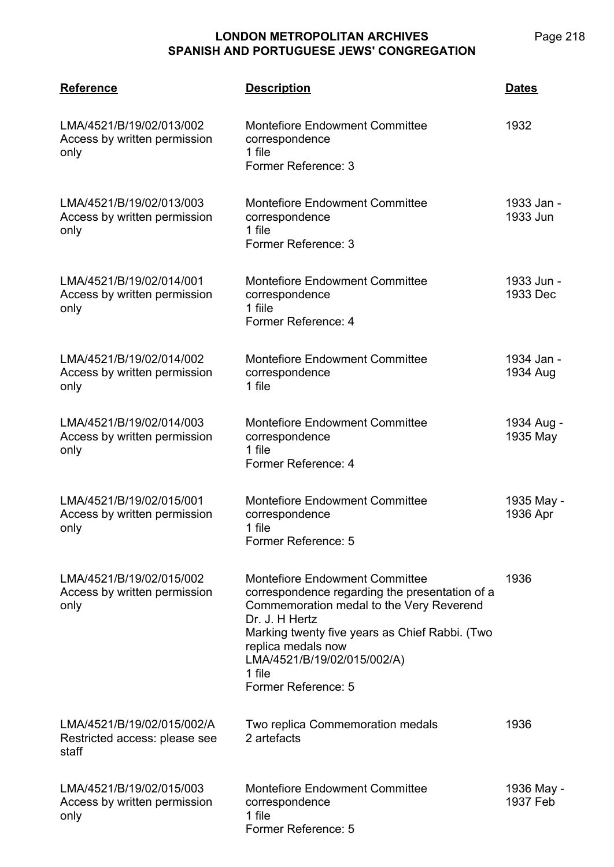| <b>Reference</b>                                                     | <b>Description</b>                                                                                                                                                                                                                                                                            | <b>Dates</b>           |
|----------------------------------------------------------------------|-----------------------------------------------------------------------------------------------------------------------------------------------------------------------------------------------------------------------------------------------------------------------------------------------|------------------------|
| LMA/4521/B/19/02/013/002<br>Access by written permission<br>only     | <b>Montefiore Endowment Committee</b><br>correspondence<br>1 file<br>Former Reference: 3                                                                                                                                                                                                      | 1932                   |
| LMA/4521/B/19/02/013/003<br>Access by written permission<br>only     | <b>Montefiore Endowment Committee</b><br>correspondence<br>1 file<br>Former Reference: 3                                                                                                                                                                                                      | 1933 Jan -<br>1933 Jun |
| LMA/4521/B/19/02/014/001<br>Access by written permission<br>only     | <b>Montefiore Endowment Committee</b><br>correspondence<br>1 fiile<br>Former Reference: 4                                                                                                                                                                                                     | 1933 Jun -<br>1933 Dec |
| LMA/4521/B/19/02/014/002<br>Access by written permission<br>only     | <b>Montefiore Endowment Committee</b><br>correspondence<br>1 file                                                                                                                                                                                                                             | 1934 Jan -<br>1934 Aug |
| LMA/4521/B/19/02/014/003<br>Access by written permission<br>only     | <b>Montefiore Endowment Committee</b><br>correspondence<br>1 file<br>Former Reference: 4                                                                                                                                                                                                      | 1934 Aug -<br>1935 May |
| LMA/4521/B/19/02/015/001<br>Access by written permission<br>only     | <b>Montefiore Endowment Committee</b><br>correspondence<br>1 file<br>Former Reference: 5                                                                                                                                                                                                      | 1935 May -<br>1936 Apr |
| LMA/4521/B/19/02/015/002<br>Access by written permission<br>only     | <b>Montefiore Endowment Committee</b><br>correspondence regarding the presentation of a<br>Commemoration medal to the Very Reverend<br>Dr. J. H Hertz<br>Marking twenty five years as Chief Rabbi. (Two<br>replica medals now<br>LMA/4521/B/19/02/015/002/A)<br>1 file<br>Former Reference: 5 | 1936                   |
| LMA/4521/B/19/02/015/002/A<br>Restricted access: please see<br>staff | Two replica Commemoration medals<br>2 artefacts                                                                                                                                                                                                                                               | 1936                   |
| LMA/4521/B/19/02/015/003<br>Access by written permission<br>only     | <b>Montefiore Endowment Committee</b><br>correspondence<br>1 file<br>Former Reference: 5                                                                                                                                                                                                      | 1936 May -<br>1937 Feb |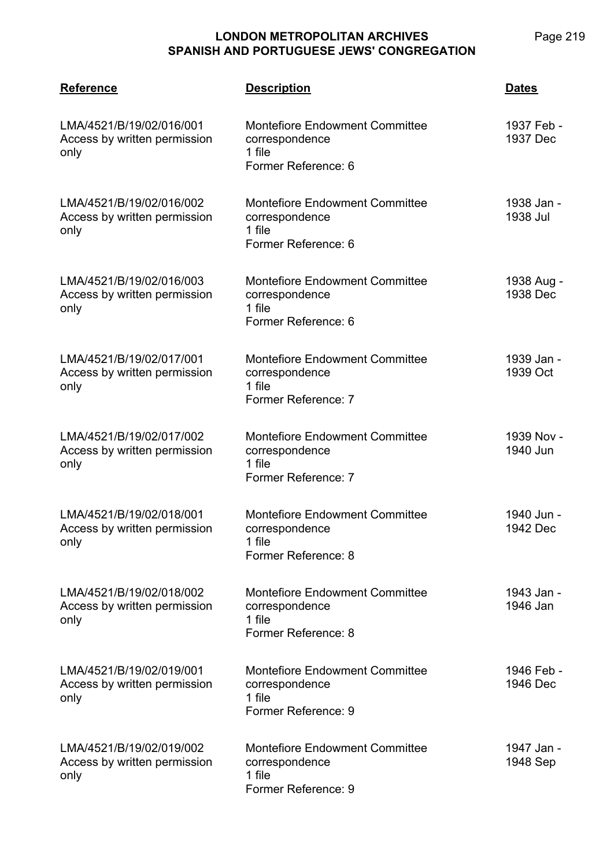# **LONDON METROPOLITAN ARCHIVES**

| <b>SPANISH AND PORTUGUESE JEWS' CONGREGATION</b>                 |                                                                                          |                        |  |
|------------------------------------------------------------------|------------------------------------------------------------------------------------------|------------------------|--|
| <b>Reference</b>                                                 | <b>Description</b>                                                                       | <b>Dates</b>           |  |
| LMA/4521/B/19/02/016/001<br>Access by written permission<br>only | <b>Montefiore Endowment Committee</b><br>correspondence<br>1 file<br>Former Reference: 6 | 1937 Feb -<br>1937 Dec |  |
| LMA/4521/B/19/02/016/002<br>Access by written permission<br>only | <b>Montefiore Endowment Committee</b><br>correspondence<br>1 file<br>Former Reference: 6 | 1938 Jan -<br>1938 Jul |  |
| LMA/4521/B/19/02/016/003<br>Access by written permission<br>only | <b>Montefiore Endowment Committee</b><br>correspondence<br>1 file<br>Former Reference: 6 | 1938 Aug -<br>1938 Dec |  |
| LMA/4521/B/19/02/017/001<br>Access by written permission<br>only | <b>Montefiore Endowment Committee</b><br>correspondence<br>1 file<br>Former Reference: 7 | 1939 Jan -<br>1939 Oct |  |
| LMA/4521/B/19/02/017/002<br>Access by written permission<br>only | <b>Montefiore Endowment Committee</b><br>correspondence<br>1 file<br>Former Reference: 7 | 1939 Nov -<br>1940 Jun |  |
|                                                                  |                                                                                          |                        |  |

| LMA/4521/B/19/02/018/001     | <b>Montefiore Endowment Committee</b> | 1940 Jun - |
|------------------------------|---------------------------------------|------------|
| Access by written permission | correspondence                        | 1942 Dec   |
| only                         | 1 file                                |            |
|                              | Former Reference: 8                   |            |
|                              |                                       |            |

LMA/4521/B/19/02/018/002 Access by written permission only Montefiore Endowment Committee correspondence 1 file Former Reference: 8 1943 Jan - 1946 Jan

| LMA/4521/B/19/02/019/001<br>Access by written permission<br>only | <b>Montefiore Endowment Committee</b><br>correspondence<br>1 file<br>Former Reference: 9 | 1946 Feb -<br>1946 Dec |
|------------------------------------------------------------------|------------------------------------------------------------------------------------------|------------------------|
|                                                                  |                                                                                          |                        |

| LMA/4521/B/19/02/019/002     | <b>Montefiore Endowment Committee</b> | 1947 Jan - |
|------------------------------|---------------------------------------|------------|
| Access by written permission | correspondence                        | 1948 Sep   |
| only                         | 1 file                                |            |
|                              | Former Reference: 9                   |            |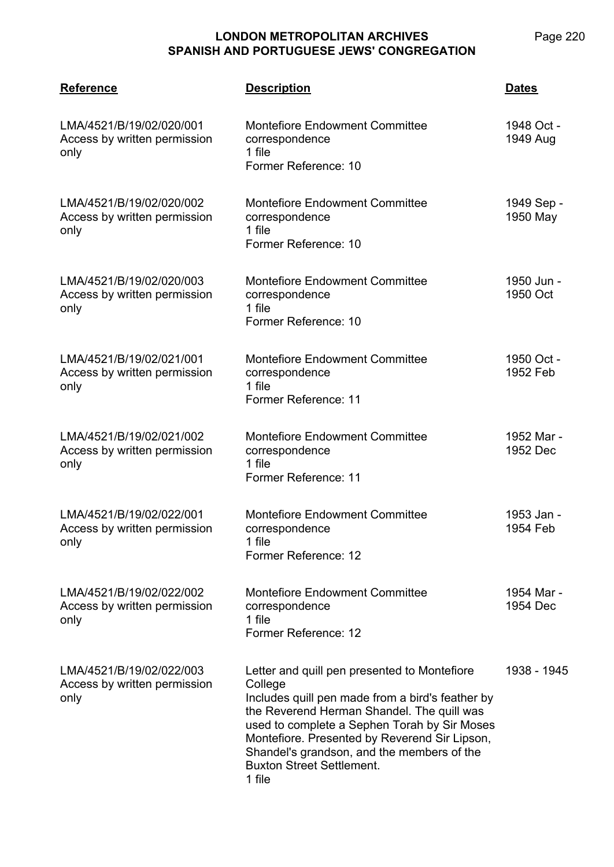| <b>Reference</b>                                                 | <b>Description</b>                                                                                                                                                                                                                                                                                                                                     | <b>Dates</b>           |
|------------------------------------------------------------------|--------------------------------------------------------------------------------------------------------------------------------------------------------------------------------------------------------------------------------------------------------------------------------------------------------------------------------------------------------|------------------------|
| LMA/4521/B/19/02/020/001<br>Access by written permission<br>only | <b>Montefiore Endowment Committee</b><br>correspondence<br>1 file<br>Former Reference: 10                                                                                                                                                                                                                                                              | 1948 Oct -<br>1949 Aug |
| LMA/4521/B/19/02/020/002<br>Access by written permission<br>only | <b>Montefiore Endowment Committee</b><br>correspondence<br>1 file<br>Former Reference: 10                                                                                                                                                                                                                                                              | 1949 Sep -<br>1950 May |
| LMA/4521/B/19/02/020/003<br>Access by written permission<br>only | <b>Montefiore Endowment Committee</b><br>correspondence<br>1 file<br>Former Reference: 10                                                                                                                                                                                                                                                              | 1950 Jun -<br>1950 Oct |
| LMA/4521/B/19/02/021/001<br>Access by written permission<br>only | <b>Montefiore Endowment Committee</b><br>correspondence<br>1 file<br>Former Reference: 11                                                                                                                                                                                                                                                              | 1950 Oct -<br>1952 Feb |
| LMA/4521/B/19/02/021/002<br>Access by written permission<br>only | <b>Montefiore Endowment Committee</b><br>correspondence<br>1 file<br>Former Reference: 11                                                                                                                                                                                                                                                              | 1952 Mar -<br>1952 Dec |
| LMA/4521/B/19/02/022/001<br>Access by written permission<br>only | <b>Montefiore Endowment Committee</b><br>correspondence<br>1 file<br>Former Reference: 12                                                                                                                                                                                                                                                              | 1953 Jan -<br>1954 Feb |
| LMA/4521/B/19/02/022/002<br>Access by written permission<br>only | <b>Montefiore Endowment Committee</b><br>correspondence<br>1 file<br>Former Reference: 12                                                                                                                                                                                                                                                              | 1954 Mar -<br>1954 Dec |
| LMA/4521/B/19/02/022/003<br>Access by written permission<br>only | Letter and quill pen presented to Montefiore<br>College<br>Includes quill pen made from a bird's feather by<br>the Reverend Herman Shandel. The quill was<br>used to complete a Sephen Torah by Sir Moses<br>Montefiore. Presented by Reverend Sir Lipson,<br>Shandel's grandson, and the members of the<br><b>Buxton Street Settlement.</b><br>1 file | 1938 - 1945            |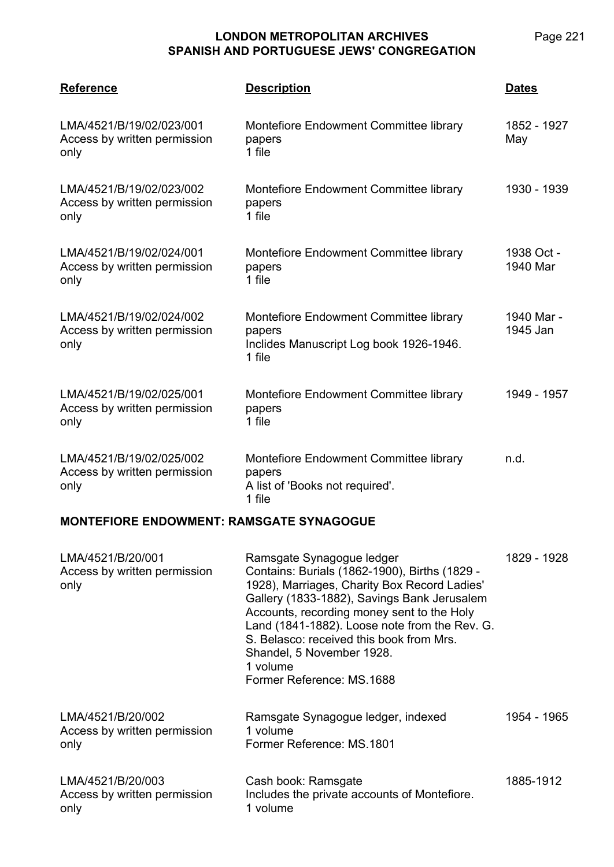Page 221

| <b>Reference</b>                                                 | <b>Description</b>                                                                                    | <b>Dates</b>           |
|------------------------------------------------------------------|-------------------------------------------------------------------------------------------------------|------------------------|
| LMA/4521/B/19/02/023/001<br>Access by written permission<br>only | Montefiore Endowment Committee library<br>papers<br>1 file                                            | 1852 - 1927<br>May     |
| LMA/4521/B/19/02/023/002<br>Access by written permission<br>only | Montefiore Endowment Committee library<br>papers<br>1 file                                            | 1930 - 1939            |
| LMA/4521/B/19/02/024/001<br>Access by written permission<br>only | Montefiore Endowment Committee library<br>papers<br>1 file                                            | 1938 Oct -<br>1940 Mar |
| LMA/4521/B/19/02/024/002<br>Access by written permission<br>only | Montefiore Endowment Committee library<br>papers<br>Inclides Manuscript Log book 1926-1946.<br>1 file | 1940 Mar -<br>1945 Jan |
| LMA/4521/B/19/02/025/001<br>Access by written permission<br>only | Montefiore Endowment Committee library<br>papers<br>1 file                                            | 1949 - 1957            |
| LMA/4521/B/19/02/025/002<br>Access by written permission<br>only | Montefiore Endowment Committee library<br>papers<br>A list of 'Books not required'.<br>1 file         | n.d.                   |

#### **MONTEFIORE ENDOWMENT: RAMSGATE SYNAGOGUE**

| LMA/4521/B/20/001<br>Access by written permission<br>only | Ramsgate Synagogue ledger<br>Contains: Burials (1862-1900), Births (1829 -<br>1928), Marriages, Charity Box Record Ladies'<br>Gallery (1833-1882), Savings Bank Jerusalem<br>Accounts, recording money sent to the Holy<br>Land (1841-1882). Loose note from the Rev. G.<br>S. Belasco: received this book from Mrs.<br>Shandel, 5 November 1928.<br>1 volume<br>Former Reference: MS.1688 | 1829 - 1928 |
|-----------------------------------------------------------|--------------------------------------------------------------------------------------------------------------------------------------------------------------------------------------------------------------------------------------------------------------------------------------------------------------------------------------------------------------------------------------------|-------------|
| LMA/4521/B/20/002<br>Access by written permission<br>only | Ramsgate Synagogue ledger, indexed<br>1 volume<br>Former Reference: MS.1801                                                                                                                                                                                                                                                                                                                | 1954 - 1965 |
| LMA/4521/B/20/003<br>Access by written permission<br>only | Cash book: Ramsgate<br>Includes the private accounts of Montefiore.<br>1 volume                                                                                                                                                                                                                                                                                                            | 1885-1912   |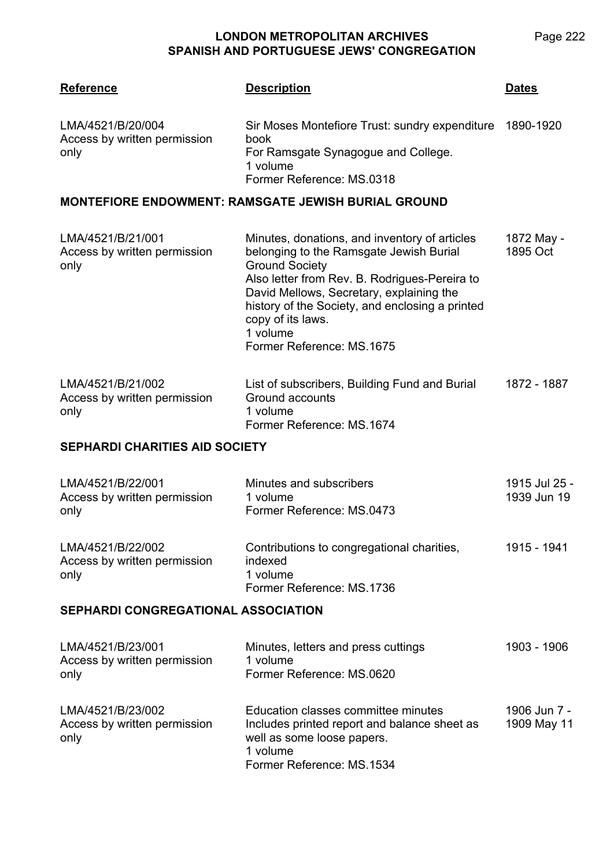| <b>Reference</b>                                          | <b>Description</b>                                                                                                                                                                                                                                                                                                              | <b>Dates</b>                 |  |
|-----------------------------------------------------------|---------------------------------------------------------------------------------------------------------------------------------------------------------------------------------------------------------------------------------------------------------------------------------------------------------------------------------|------------------------------|--|
| LMA/4521/B/20/004<br>Access by written permission<br>only | Sir Moses Montefiore Trust: sundry expenditure<br>book<br>For Ramsgate Synagogue and College.<br>1 volume<br>Former Reference: MS.0318                                                                                                                                                                                          | 1890-1920                    |  |
|                                                           | <b>MONTEFIORE ENDOWMENT: RAMSGATE JEWISH BURIAL GROUND</b>                                                                                                                                                                                                                                                                      |                              |  |
| LMA/4521/B/21/001<br>Access by written permission<br>only | Minutes, donations, and inventory of articles<br>belonging to the Ramsgate Jewish Burial<br><b>Ground Society</b><br>Also letter from Rev. B. Rodrigues-Pereira to<br>David Mellows, Secretary, explaining the<br>history of the Society, and enclosing a printed<br>copy of its laws.<br>1 volume<br>Former Reference: MS.1675 | 1872 May -<br>1895 Oct       |  |
| LMA/4521/B/21/002<br>Access by written permission<br>only | List of subscribers, Building Fund and Burial<br>Ground accounts<br>1 volume<br>Former Reference: MS.1674                                                                                                                                                                                                                       | 1872 - 1887                  |  |
| <b>SEPHARDI CHARITIES AID SOCIETY</b>                     |                                                                                                                                                                                                                                                                                                                                 |                              |  |
| LMA/4521/B/22/001<br>Access by written permission<br>only | Minutes and subscribers<br>1 volume<br>Former Reference: MS.0473                                                                                                                                                                                                                                                                | 1915 Jul 25 -<br>1939 Jun 19 |  |
| LMA/4521/B/22/002<br>Access by written permission<br>only | Contributions to congregational charities,<br>indexed<br>1 volume<br>Former Reference: MS.1736                                                                                                                                                                                                                                  | 1915 - 1941                  |  |
| <b>SEPHARDI CONGREGATIONAL ASSOCIATION</b>                |                                                                                                                                                                                                                                                                                                                                 |                              |  |
| LMA/4521/B/23/001<br>Access by written permission<br>only | Minutes, letters and press cuttings<br>1 volume<br>Former Reference: MS.0620                                                                                                                                                                                                                                                    | 1903 - 1906                  |  |
| LMA/4521/B/23/002<br>Access by written permission<br>only | Education classes committee minutes<br>Includes printed report and balance sheet as<br>well as some loose papers.<br>1 volume<br>Former Reference: MS.1534                                                                                                                                                                      | 1906 Jun 7 -<br>1909 May 11  |  |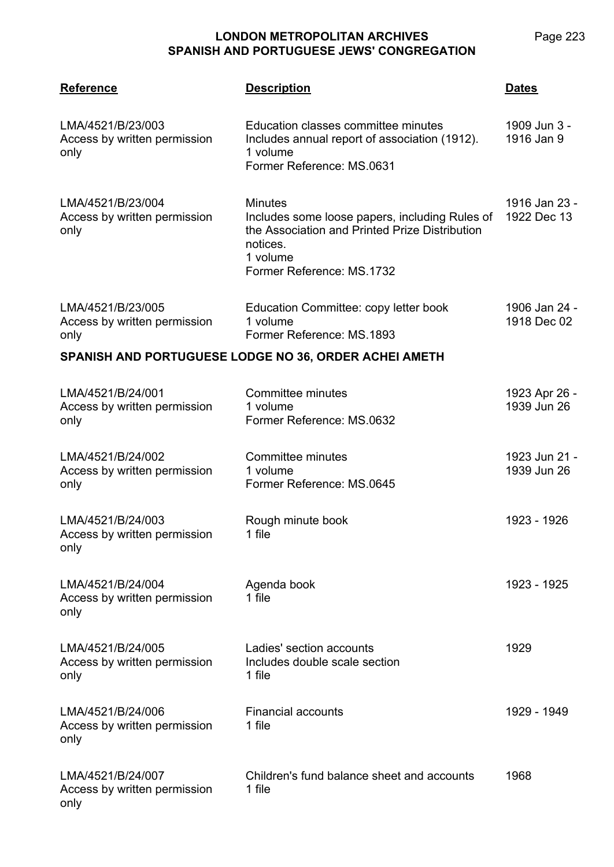| <b>Reference</b>                                          | <b>Description</b>                                                                                                                                                      | <b>Dates</b>                 |
|-----------------------------------------------------------|-------------------------------------------------------------------------------------------------------------------------------------------------------------------------|------------------------------|
| LMA/4521/B/23/003<br>Access by written permission<br>only | Education classes committee minutes<br>Includes annual report of association (1912).<br>1 volume<br>Former Reference: MS.0631                                           | 1909 Jun 3 -<br>1916 Jan 9   |
| LMA/4521/B/23/004<br>Access by written permission<br>only | <b>Minutes</b><br>Includes some loose papers, including Rules of<br>the Association and Printed Prize Distribution<br>notices.<br>1 volume<br>Former Reference: MS.1732 | 1916 Jan 23 -<br>1922 Dec 13 |
| LMA/4521/B/23/005<br>Access by written permission<br>only | Education Committee: copy letter book<br>1 volume<br>Former Reference: MS.1893                                                                                          | 1906 Jan 24 -<br>1918 Dec 02 |
|                                                           | SPANISH AND PORTUGUESE LODGE NO 36, ORDER ACHEI AMETH                                                                                                                   |                              |
| LMA/4521/B/24/001<br>Access by written permission<br>only | Committee minutes<br>1 volume<br>Former Reference: MS.0632                                                                                                              | 1923 Apr 26 -<br>1939 Jun 26 |
| LMA/4521/B/24/002<br>Access by written permission<br>only | Committee minutes<br>1 volume<br>Former Reference: MS.0645                                                                                                              | 1923 Jun 21 -<br>1939 Jun 26 |
| LMA/4521/B/24/003<br>Access by written permission<br>only | Rough minute book<br>1 file                                                                                                                                             | 1923 - 1926                  |
| LMA/4521/B/24/004<br>Access by written permission<br>only | Agenda book<br>1 file                                                                                                                                                   | 1923 - 1925                  |
| LMA/4521/B/24/005<br>Access by written permission<br>only | Ladies' section accounts<br>Includes double scale section<br>1 file                                                                                                     | 1929                         |
| LMA/4521/B/24/006<br>Access by written permission<br>only | <b>Financial accounts</b><br>1 file                                                                                                                                     | 1929 - 1949                  |
| LMA/4521/B/24/007<br>Access by written permission<br>only | Children's fund balance sheet and accounts<br>1 file                                                                                                                    | 1968                         |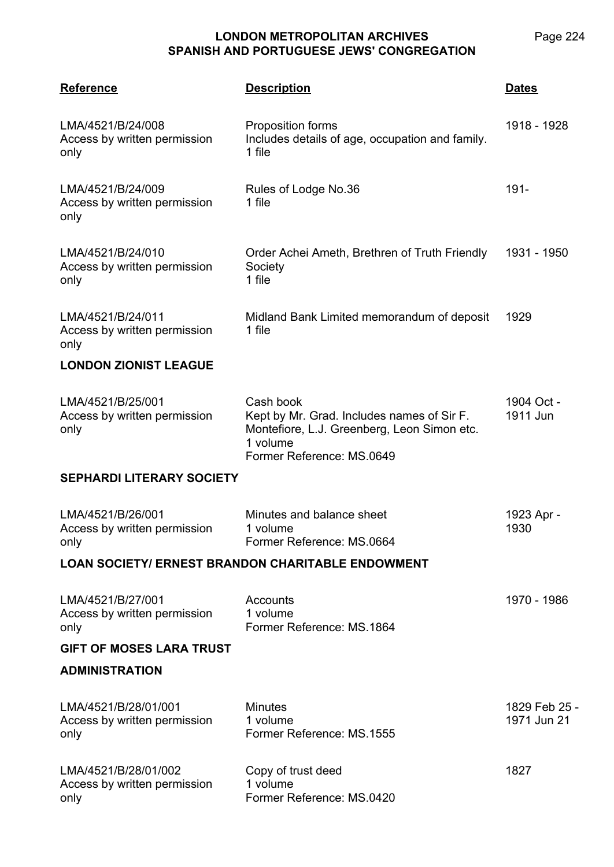| <b>Reference</b>                                             | <b>Description</b>                                                                                                                              | Dates                        |
|--------------------------------------------------------------|-------------------------------------------------------------------------------------------------------------------------------------------------|------------------------------|
| LMA/4521/B/24/008<br>Access by written permission<br>only    | Proposition forms<br>Includes details of age, occupation and family.<br>1 file                                                                  | 1918 - 1928                  |
| LMA/4521/B/24/009<br>Access by written permission<br>only    | Rules of Lodge No.36<br>1 file                                                                                                                  | $191 -$                      |
| LMA/4521/B/24/010<br>Access by written permission<br>only    | Order Achei Ameth, Brethren of Truth Friendly<br>Society<br>1 file                                                                              | 1931 - 1950                  |
| LMA/4521/B/24/011<br>Access by written permission<br>only    | Midland Bank Limited memorandum of deposit<br>1 file                                                                                            | 1929                         |
| <b>LONDON ZIONIST LEAGUE</b>                                 |                                                                                                                                                 |                              |
| LMA/4521/B/25/001<br>Access by written permission<br>only    | Cash book<br>Kept by Mr. Grad. Includes names of Sir F.<br>Montefiore, L.J. Greenberg, Leon Simon etc.<br>1 volume<br>Former Reference: MS.0649 | 1904 Oct -<br>1911 Jun       |
| <b>SEPHARDI LITERARY SOCIETY</b>                             |                                                                                                                                                 |                              |
| LMA/4521/B/26/001<br>Access by written permission<br>only    | Minutes and balance sheet<br>1 volume<br>Former Reference: MS.0664                                                                              | 1923 Apr -<br>1930           |
|                                                              | <b>LOAN SOCIETY/ ERNEST BRANDON CHARITABLE ENDOWMENT</b>                                                                                        |                              |
| LMA/4521/B/27/001<br>Access by written permission<br>only    | Accounts<br>1 volume<br>Former Reference: MS.1864                                                                                               | 1970 - 1986                  |
| <b>GIFT OF MOSES LARA TRUST</b>                              |                                                                                                                                                 |                              |
| <b>ADMINISTRATION</b>                                        |                                                                                                                                                 |                              |
| LMA/4521/B/28/01/001<br>Access by written permission<br>only | <b>Minutes</b><br>1 volume<br>Former Reference: MS.1555                                                                                         | 1829 Feb 25 -<br>1971 Jun 21 |
| LMA/4521/B/28/01/002<br>Access by written permission<br>only | Copy of trust deed<br>1 volume<br>Former Reference: MS.0420                                                                                     | 1827                         |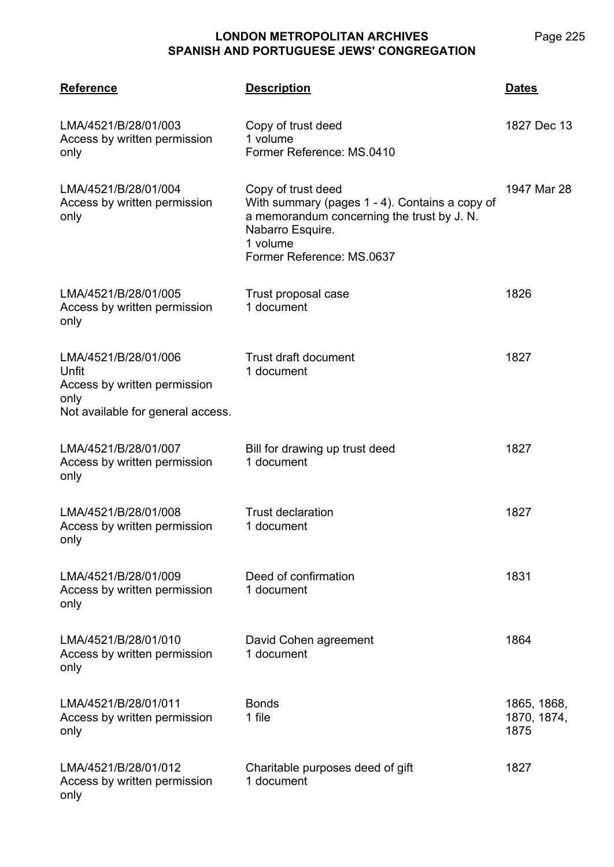| <b>Reference</b>                                                                                           | <b>Description</b>                                                                                                                                                              | <b>Dates</b>                       |
|------------------------------------------------------------------------------------------------------------|---------------------------------------------------------------------------------------------------------------------------------------------------------------------------------|------------------------------------|
| LMA/4521/B/28/01/003<br>Access by written permission<br>only                                               | Copy of trust deed<br>1 volume<br>Former Reference: MS.0410                                                                                                                     | 1827 Dec 13                        |
| LMA/4521/B/28/01/004<br>Access by written permission<br>only                                               | Copy of trust deed<br>With summary (pages 1 - 4). Contains a copy of<br>a memorandum concerning the trust by J. N.<br>Nabarro Esquire.<br>1 volume<br>Former Reference: MS.0637 | 1947 Mar 28                        |
| LMA/4521/B/28/01/005<br>Access by written permission<br>only                                               | Trust proposal case<br>1 document                                                                                                                                               | 1826                               |
| LMA/4521/B/28/01/006<br>Unfit<br>Access by written permission<br>only<br>Not available for general access. | <b>Trust draft document</b><br>1 document                                                                                                                                       | 1827                               |
| LMA/4521/B/28/01/007<br>Access by written permission<br>only                                               | Bill for drawing up trust deed<br>1 document                                                                                                                                    | 1827                               |
| LMA/4521/B/28/01/008<br>Access by written permission<br>only                                               | <b>Trust declaration</b><br>1 document                                                                                                                                          | 1827                               |
| LMA/4521/B/28/01/009<br>Access by written permission<br>only                                               | Deed of confirmation<br>1 document                                                                                                                                              | 1831                               |
| LMA/4521/B/28/01/010<br>Access by written permission<br>only                                               | David Cohen agreement<br>1 document                                                                                                                                             | 1864                               |
| LMA/4521/B/28/01/011<br>Access by written permission<br>only                                               | <b>Bonds</b><br>1 file                                                                                                                                                          | 1865, 1868,<br>1870, 1874,<br>1875 |
| LMA/4521/B/28/01/012<br>Access by written permission<br>only                                               | Charitable purposes deed of gift<br>1 document                                                                                                                                  | 1827                               |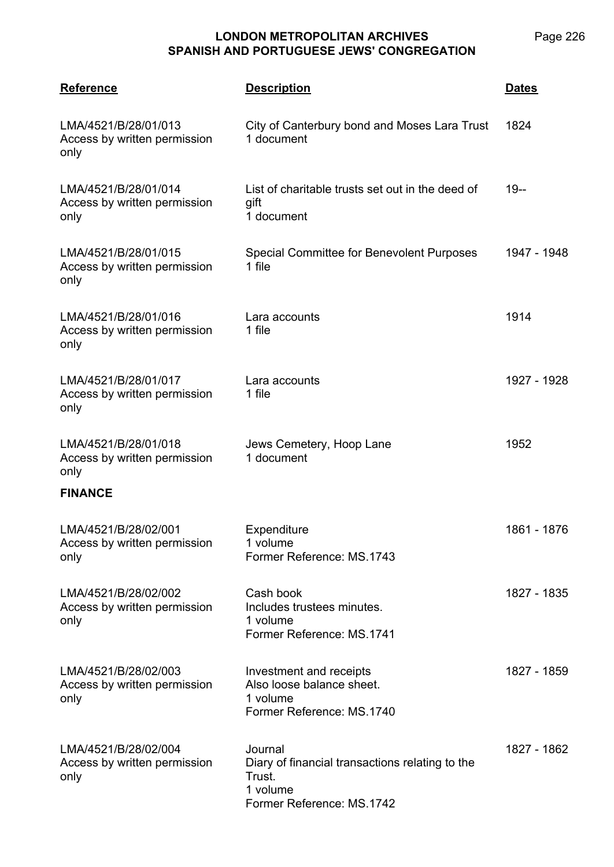| <b>Reference</b>                                             | <b>Description</b>                                                                                            | <u>Dates</u> |
|--------------------------------------------------------------|---------------------------------------------------------------------------------------------------------------|--------------|
| LMA/4521/B/28/01/013<br>Access by written permission<br>only | City of Canterbury bond and Moses Lara Trust<br>1 document                                                    | 1824         |
| LMA/4521/B/28/01/014<br>Access by written permission<br>only | List of charitable trusts set out in the deed of<br>gift<br>1 document                                        | $19 -$       |
| LMA/4521/B/28/01/015<br>Access by written permission<br>only | Special Committee for Benevolent Purposes<br>1 file                                                           | 1947 - 1948  |
| LMA/4521/B/28/01/016<br>Access by written permission<br>only | Lara accounts<br>1 file                                                                                       | 1914         |
| LMA/4521/B/28/01/017<br>Access by written permission<br>only | Lara accounts<br>1 file                                                                                       | 1927 - 1928  |
| LMA/4521/B/28/01/018<br>Access by written permission<br>only | Jews Cemetery, Hoop Lane<br>1 document                                                                        | 1952         |
| <b>FINANCE</b>                                               |                                                                                                               |              |
| LMA/4521/B/28/02/001<br>Access by written permission<br>only | Expenditure<br>1 volume<br>Former Reference: MS.1743                                                          | 1861 - 1876  |
| LMA/4521/B/28/02/002<br>Access by written permission<br>only | Cash book<br>Includes trustees minutes.<br>1 volume<br>Former Reference: MS.1741                              | 1827 - 1835  |
| LMA/4521/B/28/02/003<br>Access by written permission<br>only | Investment and receipts<br>Also loose balance sheet.<br>1 volume<br>Former Reference: MS.1740                 | 1827 - 1859  |
| LMA/4521/B/28/02/004<br>Access by written permission<br>only | Journal<br>Diary of financial transactions relating to the<br>Trust.<br>1 volume<br>Former Reference: MS.1742 | 1827 - 1862  |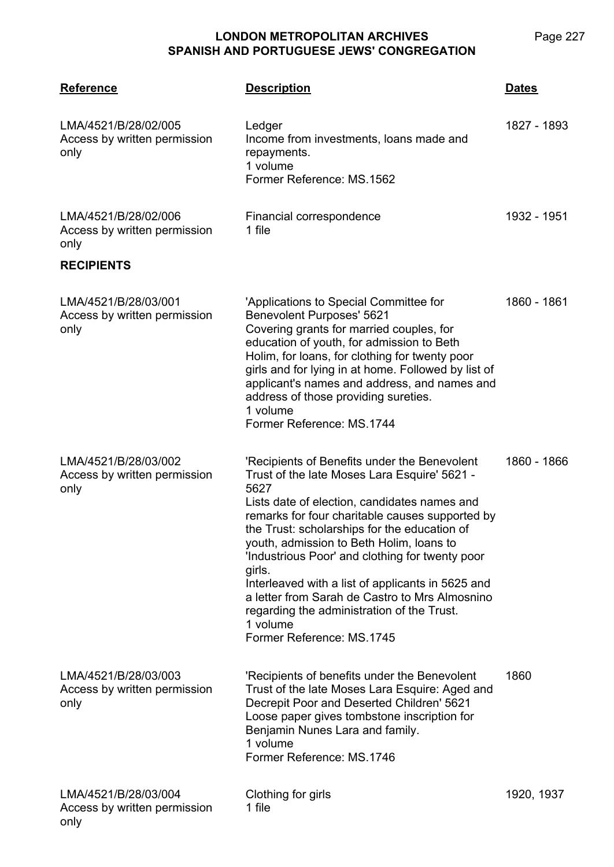| <b>Reference</b>                                             | <b>Description</b>                                                                                                                                                                                                                                                                                                                                                                                                                                                                                                                                             | <b>Dates</b> |
|--------------------------------------------------------------|----------------------------------------------------------------------------------------------------------------------------------------------------------------------------------------------------------------------------------------------------------------------------------------------------------------------------------------------------------------------------------------------------------------------------------------------------------------------------------------------------------------------------------------------------------------|--------------|
| LMA/4521/B/28/02/005<br>Access by written permission<br>only | Ledger<br>Income from investments, loans made and<br>repayments.<br>1 volume<br>Former Reference: MS.1562                                                                                                                                                                                                                                                                                                                                                                                                                                                      | 1827 - 1893  |
| LMA/4521/B/28/02/006<br>Access by written permission<br>only | Financial correspondence<br>1 file                                                                                                                                                                                                                                                                                                                                                                                                                                                                                                                             | 1932 - 1951  |
| <b>RECIPIENTS</b>                                            |                                                                                                                                                                                                                                                                                                                                                                                                                                                                                                                                                                |              |
| LMA/4521/B/28/03/001<br>Access by written permission<br>only | 'Applications to Special Committee for<br>Benevolent Purposes' 5621<br>Covering grants for married couples, for<br>education of youth, for admission to Beth<br>Holim, for loans, for clothing for twenty poor<br>girls and for lying in at home. Followed by list of<br>applicant's names and address, and names and<br>address of those providing sureties.<br>1 volume<br>Former Reference: MS.1744                                                                                                                                                         | 1860 - 1861  |
| LMA/4521/B/28/03/002<br>Access by written permission<br>only | 'Recipients of Benefits under the Benevolent<br>Trust of the late Moses Lara Esquire' 5621 -<br>5627<br>Lists date of election, candidates names and<br>remarks for four charitable causes supported by<br>the Trust: scholarships for the education of<br>youth, admission to Beth Holim, loans to<br>'Industrious Poor' and clothing for twenty poor<br>girls.<br>Interleaved with a list of applicants in 5625 and<br>a letter from Sarah de Castro to Mrs Almosnino<br>regarding the administration of the Trust.<br>1 volume<br>Former Reference: MS.1745 | 1860 - 1866  |
| LMA/4521/B/28/03/003<br>Access by written permission<br>only | 'Recipients of benefits under the Benevolent<br>Trust of the late Moses Lara Esquire: Aged and<br>Decrepit Poor and Deserted Children' 5621<br>Loose paper gives tombstone inscription for<br>Benjamin Nunes Lara and family.<br>1 volume<br>Former Reference: MS.1746                                                                                                                                                                                                                                                                                         | 1860         |
| LMA/4521/B/28/03/004<br>Access by written permission<br>only | Clothing for girls<br>1 file                                                                                                                                                                                                                                                                                                                                                                                                                                                                                                                                   | 1920, 1937   |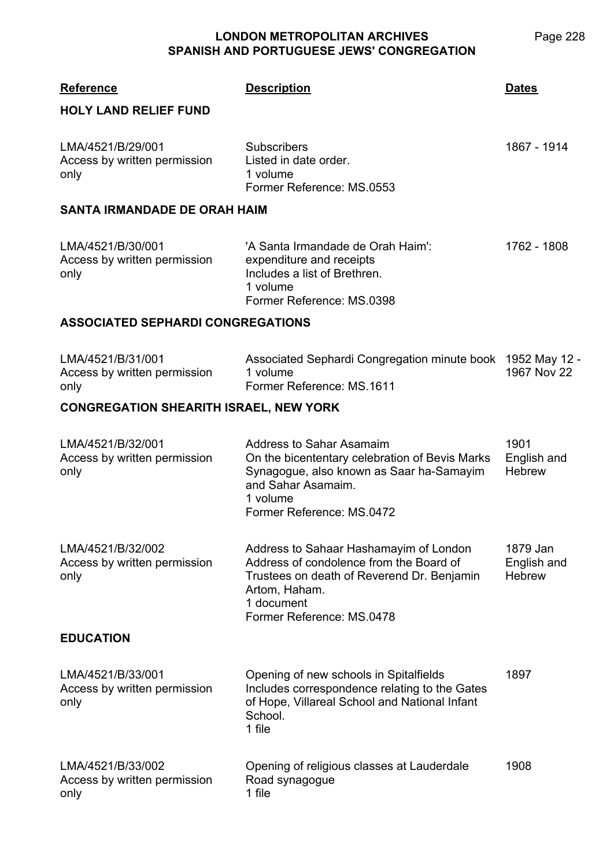| <b>Reference</b><br><b>HOLY LAND RELIEF FUND</b>          | <b>Description</b>                                                                                                                                                                          | <b>Dates</b>                             |
|-----------------------------------------------------------|---------------------------------------------------------------------------------------------------------------------------------------------------------------------------------------------|------------------------------------------|
| LMA/4521/B/29/001<br>Access by written permission<br>only | <b>Subscribers</b><br>Listed in date order.<br>1 volume<br>Former Reference: MS.0553                                                                                                        | 1867 - 1914                              |
| <b>SANTA IRMANDADE DE ORAH HAIM</b>                       |                                                                                                                                                                                             |                                          |
| LMA/4521/B/30/001<br>Access by written permission<br>only | 'A Santa Irmandade de Orah Haim':<br>expenditure and receipts<br>Includes a list of Brethren.<br>1 volume<br>Former Reference: MS.0398                                                      | 1762 - 1808                              |
| <b>ASSOCIATED SEPHARDI CONGREGATIONS</b>                  |                                                                                                                                                                                             |                                          |
| LMA/4521/B/31/001<br>Access by written permission<br>only | Associated Sephardi Congregation minute book 1952 May 12 -<br>1 volume<br>Former Reference: MS.1611                                                                                         | 1967 Nov 22                              |
| <b>CONGREGATION SHEARITH ISRAEL, NEW YORK</b>             |                                                                                                                                                                                             |                                          |
| LMA/4521/B/32/001<br>Access by written permission<br>only | Address to Sahar Asamaim<br>On the bicententary celebration of Bevis Marks<br>Synagogue, also known as Saar ha-Samayim<br>and Sahar Asamaim.<br>1 volume<br>Former Reference: MS.0472       | 1901<br>English and<br><b>Hebrew</b>     |
| LMA/4521/B/32/002<br>Access by written permission<br>only | Address to Sahaar Hashamayim of London<br>Address of condolence from the Board of<br>Trustees on death of Reverend Dr. Benjamin<br>Artom, Haham.<br>1 document<br>Former Reference: MS.0478 | 1879 Jan<br>English and<br><b>Hebrew</b> |
| <b>EDUCATION</b>                                          |                                                                                                                                                                                             |                                          |
| LMA/4521/B/33/001<br>Access by written permission<br>only | Opening of new schools in Spitalfields<br>Includes correspondence relating to the Gates<br>of Hope, Villareal School and National Infant<br>School.<br>1 file                               | 1897                                     |
| LMA/4521/B/33/002<br>Access by written permission<br>only | Opening of religious classes at Lauderdale<br>Road synagogue<br>1 file                                                                                                                      | 1908                                     |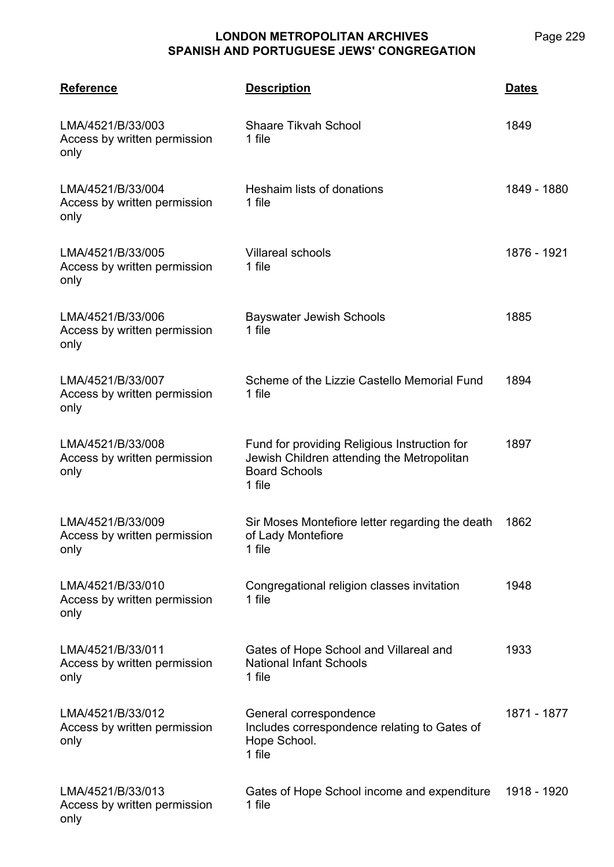| <b>Reference</b>                                          | <b>Description</b>                                                                                                           | <b>Dates</b> |
|-----------------------------------------------------------|------------------------------------------------------------------------------------------------------------------------------|--------------|
| LMA/4521/B/33/003<br>Access by written permission<br>only | <b>Shaare Tikvah School</b><br>1 file                                                                                        | 1849         |
| LMA/4521/B/33/004<br>Access by written permission<br>only | Heshaim lists of donations<br>1 file                                                                                         | 1849 - 1880  |
| LMA/4521/B/33/005<br>Access by written permission<br>only | <b>Villareal schools</b><br>1 file                                                                                           | 1876 - 1921  |
| LMA/4521/B/33/006<br>Access by written permission<br>only | <b>Bayswater Jewish Schools</b><br>1 file                                                                                    | 1885         |
| LMA/4521/B/33/007<br>Access by written permission<br>only | Scheme of the Lizzie Castello Memorial Fund<br>1 file                                                                        | 1894         |
| LMA/4521/B/33/008<br>Access by written permission<br>only | Fund for providing Religious Instruction for<br>Jewish Children attending the Metropolitan<br><b>Board Schools</b><br>1 file | 1897         |
| LMA/4521/B/33/009<br>Access by written permission<br>only | Sir Moses Montefiore letter regarding the death<br>of Lady Montefiore<br>1 file                                              | 1862         |
| LMA/4521/B/33/010<br>Access by written permission<br>only | Congregational religion classes invitation<br>1 file                                                                         | 1948         |
| LMA/4521/B/33/011<br>Access by written permission<br>only | Gates of Hope School and Villareal and<br><b>National Infant Schools</b><br>1 file                                           | 1933         |
| LMA/4521/B/33/012<br>Access by written permission<br>only | General correspondence<br>Includes correspondence relating to Gates of<br>Hope School.<br>1 file                             | 1871 - 1877  |
| LMA/4521/B/33/013<br>Access by written permission<br>only | Gates of Hope School income and expenditure<br>1 file                                                                        | 1918 - 1920  |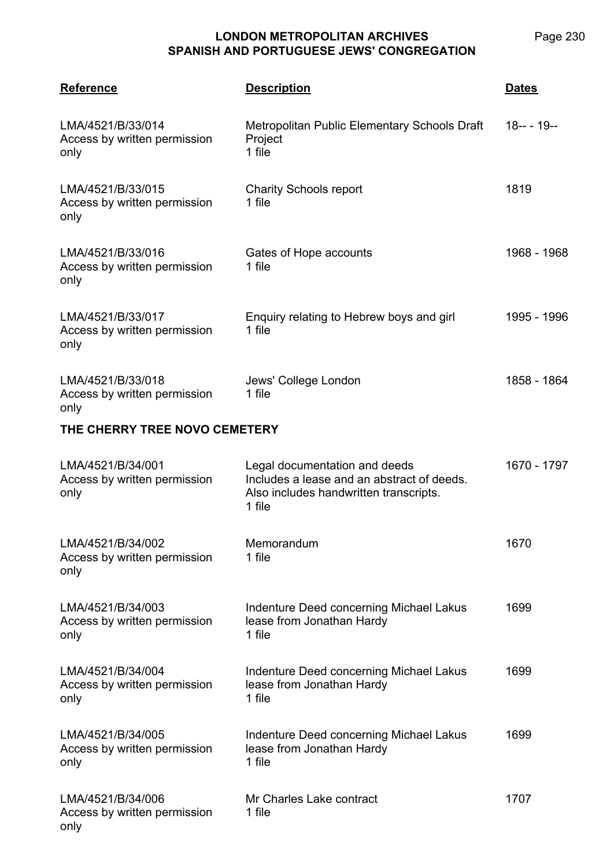| <b>Reference</b>                                          | <b>Description</b>                                                                                                              | <b>Dates</b> |  |  |
|-----------------------------------------------------------|---------------------------------------------------------------------------------------------------------------------------------|--------------|--|--|
| LMA/4521/B/33/014<br>Access by written permission<br>only | Metropolitan Public Elementary Schools Draft<br>Project<br>1 file                                                               | $18--19--$   |  |  |
| LMA/4521/B/33/015<br>Access by written permission<br>only | <b>Charity Schools report</b><br>1 file                                                                                         | 1819         |  |  |
| LMA/4521/B/33/016<br>Access by written permission<br>only | Gates of Hope accounts<br>1 file                                                                                                | 1968 - 1968  |  |  |
| LMA/4521/B/33/017<br>Access by written permission<br>only | Enquiry relating to Hebrew boys and girl<br>1 file                                                                              | 1995 - 1996  |  |  |
| LMA/4521/B/33/018<br>Access by written permission<br>only | Jews' College London<br>1 file                                                                                                  | 1858 - 1864  |  |  |
|                                                           | THE CHERRY TREE NOVO CEMETERY                                                                                                   |              |  |  |
| LMA/4521/B/34/001<br>Access by written permission<br>only | Legal documentation and deeds<br>Includes a lease and an abstract of deeds.<br>Also includes handwritten transcripts.<br>1 file | 1670 - 1797  |  |  |
| LMA/4521/B/34/002<br>Access by written permission<br>only | Memorandum<br>1 file                                                                                                            | 1670         |  |  |
| LMA/4521/B/34/003<br>Access by written permission<br>only | Indenture Deed concerning Michael Lakus<br>lease from Jonathan Hardy<br>1 file                                                  | 1699         |  |  |
| LMA/4521/B/34/004<br>Access by written permission<br>only | <b>Indenture Deed concerning Michael Lakus</b><br>lease from Jonathan Hardy<br>1 file                                           | 1699         |  |  |
| LMA/4521/B/34/005<br>Access by written permission<br>only | Indenture Deed concerning Michael Lakus<br>lease from Jonathan Hardy<br>1 file                                                  | 1699         |  |  |
| LMA/4521/B/34/006<br>Access by written permission<br>only | Mr Charles Lake contract<br>1 file                                                                                              | 1707         |  |  |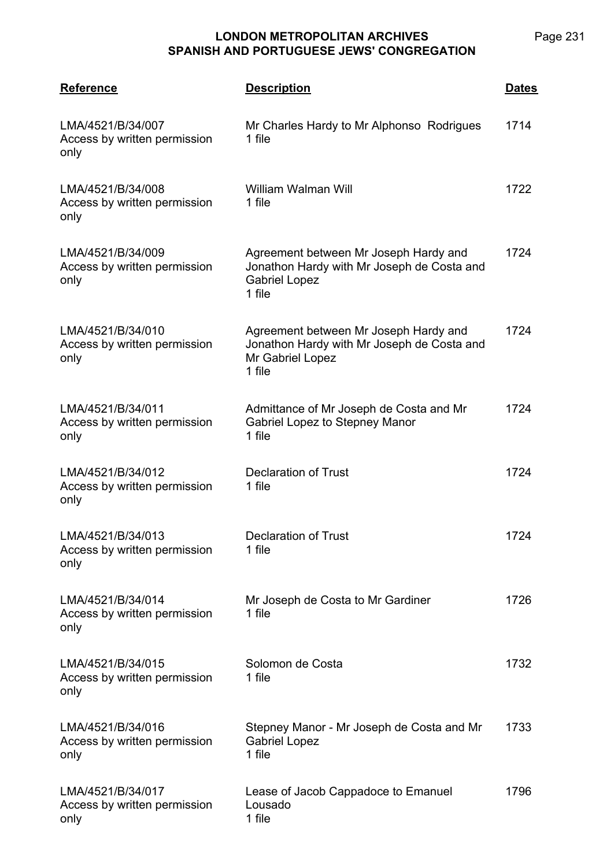| <b>Reference</b>                                          | <b>Description</b>                                                                                                    | <u>Dates</u> |
|-----------------------------------------------------------|-----------------------------------------------------------------------------------------------------------------------|--------------|
| LMA/4521/B/34/007<br>Access by written permission<br>only | Mr Charles Hardy to Mr Alphonso Rodrigues<br>1 file                                                                   | 1714         |
| LMA/4521/B/34/008<br>Access by written permission<br>only | William Walman Will<br>1 file                                                                                         | 1722         |
| LMA/4521/B/34/009<br>Access by written permission<br>only | Agreement between Mr Joseph Hardy and<br>Jonathon Hardy with Mr Joseph de Costa and<br><b>Gabriel Lopez</b><br>1 file | 1724         |
| LMA/4521/B/34/010<br>Access by written permission<br>only | Agreement between Mr Joseph Hardy and<br>Jonathon Hardy with Mr Joseph de Costa and<br>Mr Gabriel Lopez<br>1 file     | 1724         |
| LMA/4521/B/34/011<br>Access by written permission<br>only | Admittance of Mr Joseph de Costa and Mr<br>Gabriel Lopez to Stepney Manor<br>1 file                                   | 1724         |
| LMA/4521/B/34/012<br>Access by written permission<br>only | <b>Declaration of Trust</b><br>1 file                                                                                 | 1724         |
| LMA/4521/B/34/013<br>Access by written permission<br>only | Declaration of Trust<br>1 file                                                                                        | 1724         |
| LMA/4521/B/34/014<br>Access by written permission<br>only | Mr Joseph de Costa to Mr Gardiner<br>1 file                                                                           | 1726         |
| LMA/4521/B/34/015<br>Access by written permission<br>only | Solomon de Costa<br>1 file                                                                                            | 1732         |
| LMA/4521/B/34/016<br>Access by written permission<br>only | Stepney Manor - Mr Joseph de Costa and Mr<br><b>Gabriel Lopez</b><br>1 file                                           | 1733         |
| LMA/4521/B/34/017<br>Access by written permission<br>only | Lease of Jacob Cappadoce to Emanuel<br>Lousado<br>1 file                                                              | 1796         |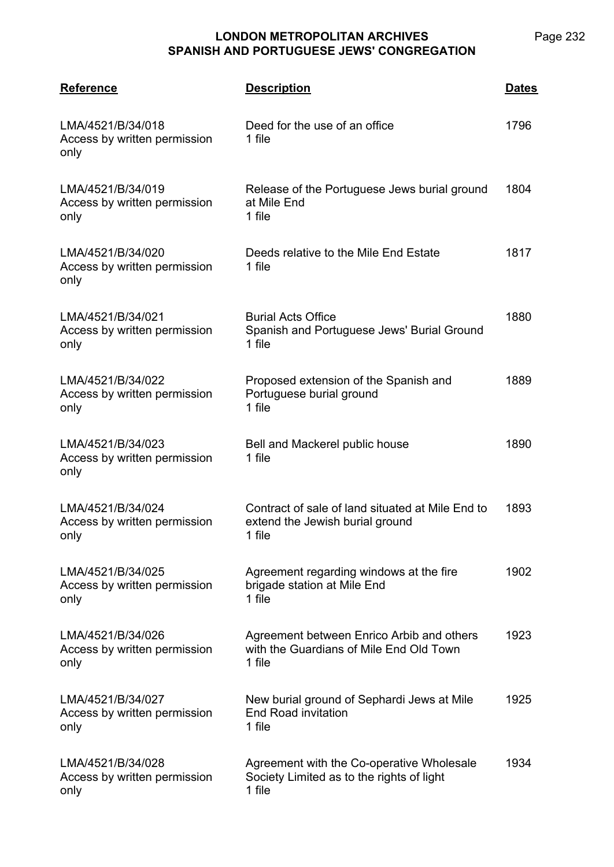| <b>Reference</b>                                          | <b>Description</b>                                                                               | <u>Dates</u> |
|-----------------------------------------------------------|--------------------------------------------------------------------------------------------------|--------------|
| LMA/4521/B/34/018<br>Access by written permission<br>only | Deed for the use of an office<br>1 file                                                          | 1796         |
| LMA/4521/B/34/019<br>Access by written permission<br>only | Release of the Portuguese Jews burial ground<br>at Mile End<br>1 file                            | 1804         |
| LMA/4521/B/34/020<br>Access by written permission<br>only | Deeds relative to the Mile End Estate<br>1 file                                                  | 1817         |
| LMA/4521/B/34/021<br>Access by written permission<br>only | <b>Burial Acts Office</b><br>Spanish and Portuguese Jews' Burial Ground<br>1 file                | 1880         |
| LMA/4521/B/34/022<br>Access by written permission<br>only | Proposed extension of the Spanish and<br>Portuguese burial ground<br>1 file                      | 1889         |
| LMA/4521/B/34/023<br>Access by written permission<br>only | Bell and Mackerel public house<br>1 file                                                         | 1890         |
| LMA/4521/B/34/024<br>Access by written permission<br>only | Contract of sale of land situated at Mile End to<br>extend the Jewish burial ground<br>1 file    | 1893         |
| LMA/4521/B/34/025<br>Access by written permission<br>only | Agreement regarding windows at the fire<br>brigade station at Mile End<br>1 file                 | 1902         |
| LMA/4521/B/34/026<br>Access by written permission<br>only | Agreement between Enrico Arbib and others<br>with the Guardians of Mile End Old Town<br>1 file   | 1923         |
| LMA/4521/B/34/027<br>Access by written permission<br>only | New burial ground of Sephardi Jews at Mile<br><b>End Road invitation</b><br>1 file               | 1925         |
| LMA/4521/B/34/028<br>Access by written permission<br>only | Agreement with the Co-operative Wholesale<br>Society Limited as to the rights of light<br>1 file | 1934         |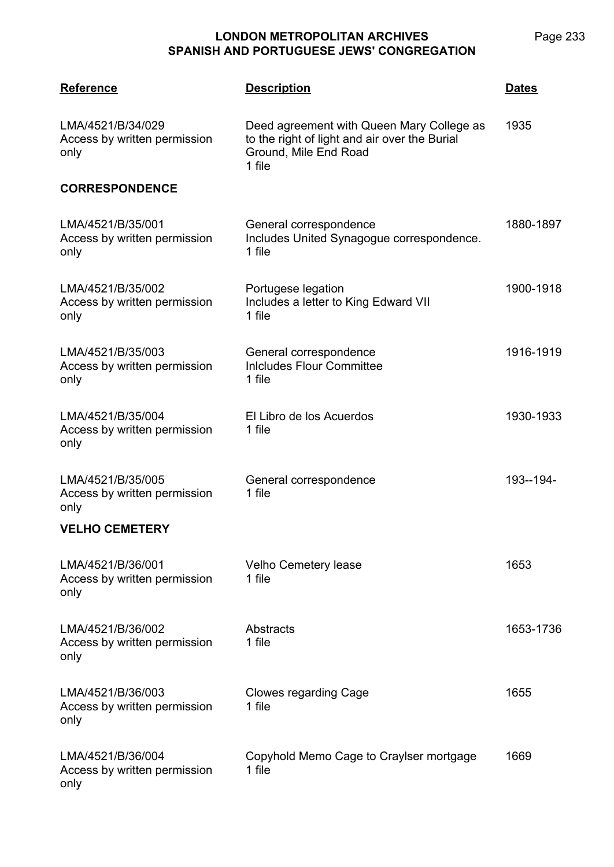Page 233

| <b>Reference</b>                                          | <u>Description</u>                                                                                                            | <u>Dates</u> |
|-----------------------------------------------------------|-------------------------------------------------------------------------------------------------------------------------------|--------------|
| LMA/4521/B/34/029<br>Access by written permission<br>only | Deed agreement with Queen Mary College as<br>to the right of light and air over the Burial<br>Ground, Mile End Road<br>1 file | 1935         |
| <b>CORRESPONDENCE</b>                                     |                                                                                                                               |              |
| LMA/4521/B/35/001<br>Access by written permission<br>only | General correspondence<br>Includes United Synagogue correspondence.<br>1 file                                                 | 1880-1897    |
| LMA/4521/B/35/002<br>Access by written permission<br>only | Portugese legation<br>Includes a letter to King Edward VII<br>1 file                                                          | 1900-1918    |
| LMA/4521/B/35/003<br>Access by written permission<br>only | General correspondence<br><b>Inicludes Flour Committee</b><br>1 file                                                          | 1916-1919    |
| LMA/4521/B/35/004<br>Access by written permission<br>only | El Libro de los Acuerdos<br>1 file                                                                                            | 1930-1933    |
| LMA/4521/B/35/005<br>Access by written permission<br>only | General correspondence<br>1 file                                                                                              | 193--194-    |
| <b>VELHO CEMETERY</b>                                     |                                                                                                                               |              |
| LMA/4521/B/36/001<br>Access by written permission<br>only | <b>Velho Cemetery lease</b><br>1 file                                                                                         | 1653         |
| LMA/4521/B/36/002<br>Access by written permission<br>only | <b>Abstracts</b><br>1 file                                                                                                    | 1653-1736    |
| LMA/4521/B/36/003<br>Access by written permission<br>only | <b>Clowes regarding Cage</b><br>1 file                                                                                        | 1655         |
| LMA/4521/B/36/004<br>Access by written permission         | Copyhold Memo Cage to Craylser mortgage<br>1 file                                                                             | 1669         |

only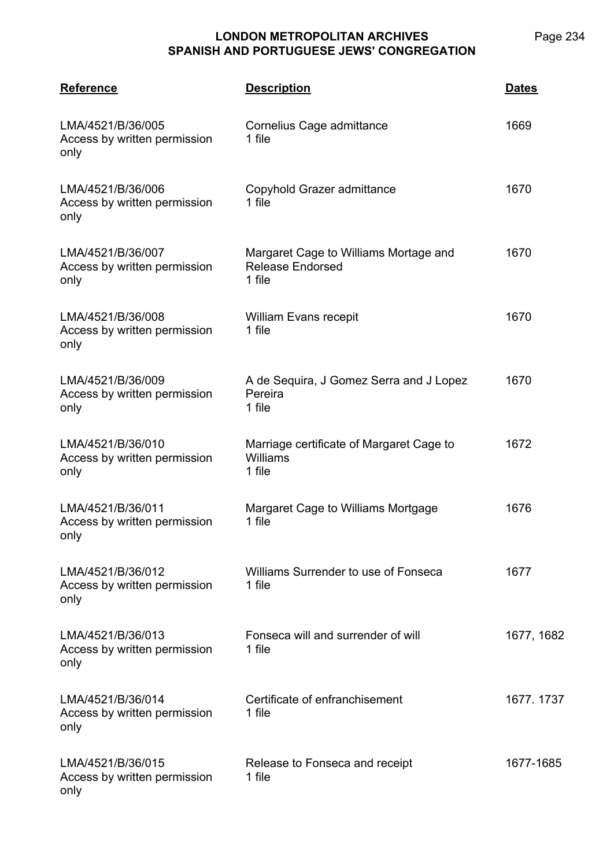| <b>Reference</b>                                          | <b>Description</b>                                                         | <b>Dates</b> |
|-----------------------------------------------------------|----------------------------------------------------------------------------|--------------|
| LMA/4521/B/36/005<br>Access by written permission<br>only | Cornelius Cage admittance<br>1 file                                        | 1669         |
| LMA/4521/B/36/006<br>Access by written permission<br>only | Copyhold Grazer admittance<br>1 file                                       | 1670         |
| LMA/4521/B/36/007<br>Access by written permission<br>only | Margaret Cage to Williams Mortage and<br><b>Release Endorsed</b><br>1 file | 1670         |
| LMA/4521/B/36/008<br>Access by written permission<br>only | <b>William Evans recepit</b><br>1 file                                     | 1670         |
| LMA/4521/B/36/009<br>Access by written permission<br>only | A de Sequira, J Gomez Serra and J Lopez<br>Pereira<br>1 file               | 1670         |
| LMA/4521/B/36/010<br>Access by written permission<br>only | Marriage certificate of Margaret Cage to<br>Williams<br>1 file             | 1672         |
| LMA/4521/B/36/011<br>Access by written permission<br>only | Margaret Cage to Williams Mortgage<br>1 file                               | 1676         |
| LMA/4521/B/36/012<br>Access by written permission<br>only | Williams Surrender to use of Fonseca<br>1 file                             | 1677         |
| LMA/4521/B/36/013<br>Access by written permission<br>only | Fonseca will and surrender of will<br>1 file                               | 1677, 1682   |
| LMA/4521/B/36/014<br>Access by written permission<br>only | Certificate of enfranchisement<br>1 file                                   | 1677.1737    |
| LMA/4521/B/36/015<br>Access by written permission<br>only | Release to Fonseca and receipt<br>1 file                                   | 1677-1685    |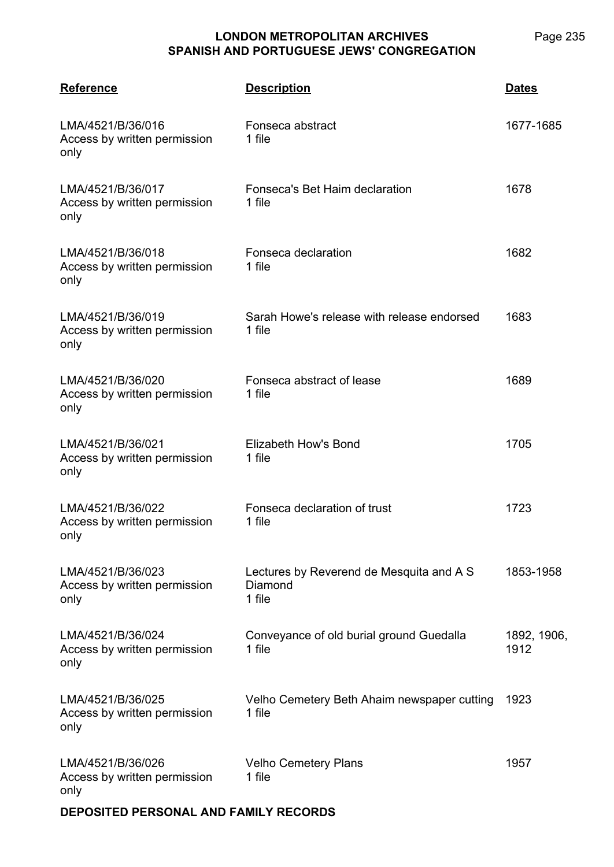Page 235

| <b>Reference</b>                                          | <b>Description</b>                                            | <b>Dates</b>        |
|-----------------------------------------------------------|---------------------------------------------------------------|---------------------|
| LMA/4521/B/36/016<br>Access by written permission<br>only | Fonseca abstract<br>1 file                                    | 1677-1685           |
| LMA/4521/B/36/017<br>Access by written permission<br>only | Fonseca's Bet Haim declaration<br>1 file                      | 1678                |
| LMA/4521/B/36/018<br>Access by written permission<br>only | Fonseca declaration<br>1 file                                 | 1682                |
| LMA/4521/B/36/019<br>Access by written permission<br>only | Sarah Howe's release with release endorsed<br>1 file          | 1683                |
| LMA/4521/B/36/020<br>Access by written permission<br>only | Fonseca abstract of lease<br>1 file                           | 1689                |
| LMA/4521/B/36/021<br>Access by written permission<br>only | Elizabeth How's Bond<br>1 file                                | 1705                |
| LMA/4521/B/36/022<br>Access by written permission<br>only | Fonseca declaration of trust<br>1 file                        | 1723                |
| LMA/4521/B/36/023<br>Access by written permission<br>only | Lectures by Reverend de Mesquita and A S<br>Diamond<br>1 file | 1853-1958           |
| LMA/4521/B/36/024<br>Access by written permission<br>only | Conveyance of old burial ground Guedalla<br>1 file            | 1892, 1906,<br>1912 |
| LMA/4521/B/36/025<br>Access by written permission<br>only | Velho Cemetery Beth Ahaim newspaper cutting<br>1 file         | 1923                |
| LMA/4521/B/36/026<br>Access by written permission<br>only | <b>Velho Cemetery Plans</b><br>1 file                         | 1957                |

**DEPOSITED PERSONAL AND FAMILY RECORDS**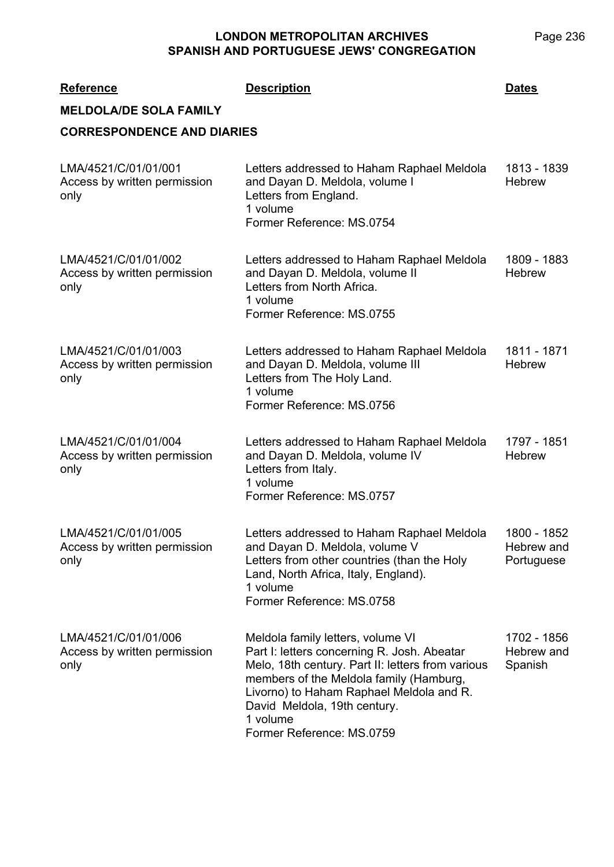| <b>Reference</b><br><b>MELDOLA/DE SOLA FAMILY</b>            | <b>Description</b>                                                                                                                                                                                                                                                                                    | <b>Dates</b>                            |
|--------------------------------------------------------------|-------------------------------------------------------------------------------------------------------------------------------------------------------------------------------------------------------------------------------------------------------------------------------------------------------|-----------------------------------------|
| <b>CORRESPONDENCE AND DIARIES</b>                            |                                                                                                                                                                                                                                                                                                       |                                         |
| LMA/4521/C/01/01/001<br>Access by written permission<br>only | Letters addressed to Haham Raphael Meldola<br>and Dayan D. Meldola, volume I<br>Letters from England.<br>1 volume<br>Former Reference: MS.0754                                                                                                                                                        | 1813 - 1839<br><b>Hebrew</b>            |
| LMA/4521/C/01/01/002<br>Access by written permission<br>only | Letters addressed to Haham Raphael Meldola<br>and Dayan D. Meldola, volume II<br>Letters from North Africa.<br>1 volume<br>Former Reference: MS.0755                                                                                                                                                  | 1809 - 1883<br><b>Hebrew</b>            |
| LMA/4521/C/01/01/003<br>Access by written permission<br>only | Letters addressed to Haham Raphael Meldola<br>and Dayan D. Meldola, volume III<br>Letters from The Holy Land.<br>1 volume<br>Former Reference: MS.0756                                                                                                                                                | 1811 - 1871<br><b>Hebrew</b>            |
| LMA/4521/C/01/01/004<br>Access by written permission<br>only | Letters addressed to Haham Raphael Meldola<br>and Dayan D. Meldola, volume IV<br>Letters from Italy.<br>1 volume<br>Former Reference: MS.0757                                                                                                                                                         | 1797 - 1851<br><b>Hebrew</b>            |
| LMA/4521/C/01/01/005<br>Access by written permission<br>only | Letters addressed to Haham Raphael Meldola<br>and Dayan D. Meldola, volume V<br>Letters from other countries (than the Holy<br>Land, North Africa, Italy, England).<br>1 volume<br>Former Reference: MS.0758                                                                                          | 1800 - 1852<br>Hebrew and<br>Portuguese |
| LMA/4521/C/01/01/006<br>Access by written permission<br>only | Meldola family letters, volume VI<br>Part I: letters concerning R. Josh. Abeatar<br>Melo, 18th century. Part II: letters from various<br>members of the Meldola family (Hamburg,<br>Livorno) to Haham Raphael Meldola and R.<br>David Meldola, 19th century.<br>1 volume<br>Former Reference: MS.0759 | 1702 - 1856<br>Hebrew and<br>Spanish    |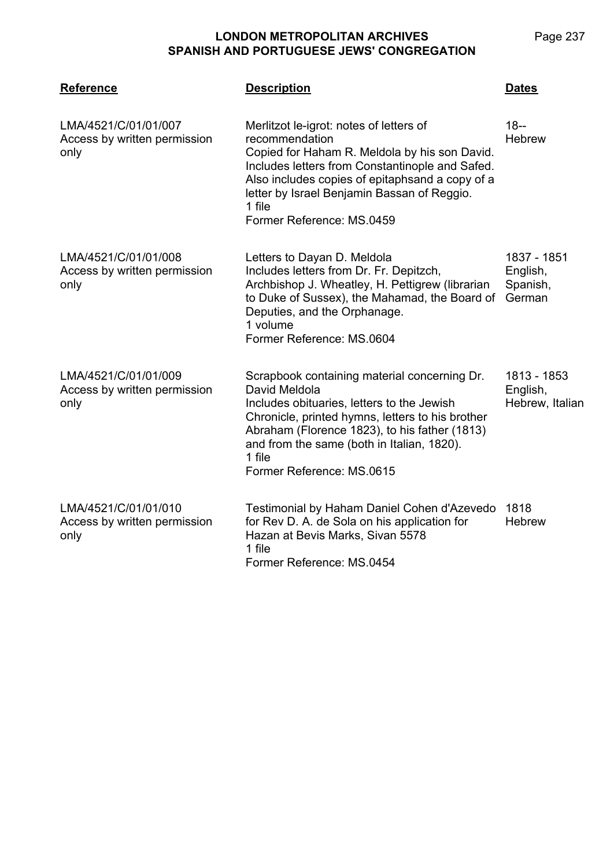| <b>Reference</b>                                             | <b>Description</b>                                                                                                                                                                                                                                                                                     | <b>Dates</b>                                  |
|--------------------------------------------------------------|--------------------------------------------------------------------------------------------------------------------------------------------------------------------------------------------------------------------------------------------------------------------------------------------------------|-----------------------------------------------|
| LMA/4521/C/01/01/007<br>Access by written permission<br>only | Merlitzot le-igrot: notes of letters of<br>recommendation<br>Copied for Haham R. Meldola by his son David.<br>Includes letters from Constantinople and Safed.<br>Also includes copies of epitaphsand a copy of a<br>letter by Israel Benjamin Bassan of Reggio.<br>1 file<br>Former Reference: MS.0459 | $18 -$<br><b>Hebrew</b>                       |
| LMA/4521/C/01/01/008<br>Access by written permission<br>only | Letters to Dayan D. Meldola<br>Includes letters from Dr. Fr. Depitzch,<br>Archbishop J. Wheatley, H. Pettigrew (librarian<br>to Duke of Sussex), the Mahamad, the Board of<br>Deputies, and the Orphanage.<br>1 volume<br>Former Reference: MS.0604                                                    | 1837 - 1851<br>English,<br>Spanish,<br>German |
| LMA/4521/C/01/01/009<br>Access by written permission<br>only | Scrapbook containing material concerning Dr.<br>David Meldola<br>Includes obituaries, letters to the Jewish<br>Chronicle, printed hymns, letters to his brother<br>Abraham (Florence 1823), to his father (1813)<br>and from the same (both in Italian, 1820).<br>1 file<br>Former Reference: MS.0615  | 1813 - 1853<br>English,<br>Hebrew, Italian    |
| LMA/4521/C/01/01/010<br>Access by written permission<br>only | Testimonial by Haham Daniel Cohen d'Azevedo<br>for Rev D. A. de Sola on his application for<br>Hazan at Bevis Marks, Sivan 5578<br>1 file<br>Former Reference: MS.0454                                                                                                                                 | 1818<br><b>Hebrew</b>                         |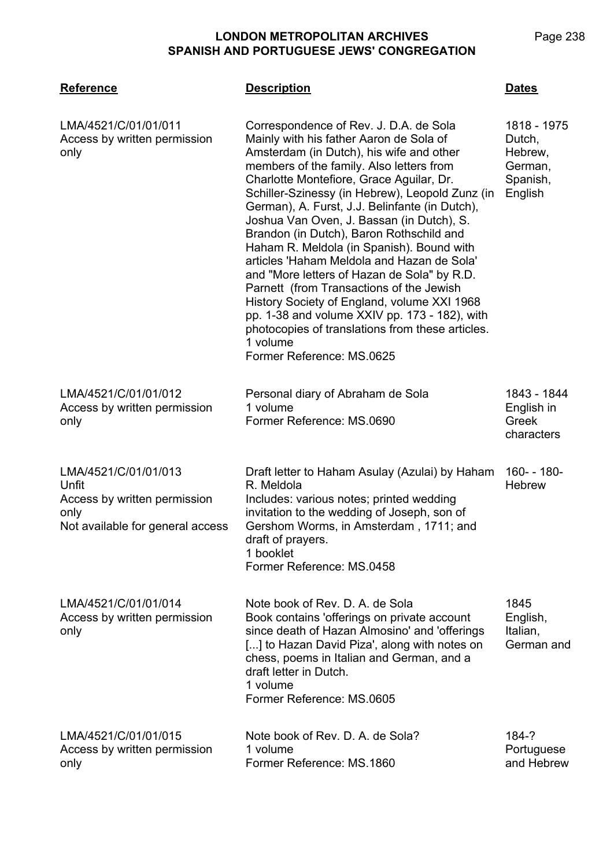**LMA/4521**

|     | Page 238 |
|-----|----------|
| ΊΟΝ |          |

| <b>Reference</b>                                                                                          | <b>Description</b>                                                                                                                                                                                                                                                                                                                                                                                                                                                                                                                                                                                                                                                                                                                                                                                     | <b>Dates</b>                                                       |
|-----------------------------------------------------------------------------------------------------------|--------------------------------------------------------------------------------------------------------------------------------------------------------------------------------------------------------------------------------------------------------------------------------------------------------------------------------------------------------------------------------------------------------------------------------------------------------------------------------------------------------------------------------------------------------------------------------------------------------------------------------------------------------------------------------------------------------------------------------------------------------------------------------------------------------|--------------------------------------------------------------------|
| LMA/4521/C/01/01/011<br>Access by written permission<br>only                                              | Correspondence of Rev. J. D.A. de Sola<br>Mainly with his father Aaron de Sola of<br>Amsterdam (in Dutch), his wife and other<br>members of the family. Also letters from<br>Charlotte Montefiore, Grace Aguilar, Dr.<br>Schiller-Szinessy (in Hebrew), Leopold Zunz (in<br>German), A. Furst, J.J. Belinfante (in Dutch),<br>Joshua Van Oven, J. Bassan (in Dutch), S.<br>Brandon (in Dutch), Baron Rothschild and<br>Haham R. Meldola (in Spanish). Bound with<br>articles 'Haham Meldola and Hazan de Sola'<br>and "More letters of Hazan de Sola" by R.D.<br>Parnett (from Transactions of the Jewish<br>History Society of England, volume XXI 1968<br>pp. 1-38 and volume XXIV pp. 173 - 182), with<br>photocopies of translations from these articles.<br>1 volume<br>Former Reference: MS.0625 | 1818 - 1975<br>Dutch,<br>Hebrew,<br>German,<br>Spanish,<br>English |
| LMA/4521/C/01/01/012<br>Access by written permission<br>only                                              | Personal diary of Abraham de Sola<br>1 volume<br>Former Reference: MS.0690                                                                                                                                                                                                                                                                                                                                                                                                                                                                                                                                                                                                                                                                                                                             | 1843 - 1844<br>English in<br>Greek<br>characters                   |
| LMA/4521/C/01/01/013<br>Unfit<br>Access by written permission<br>only<br>Not available for general access | Draft letter to Haham Asulay (Azulai) by Haham<br>R. Meldola<br>Includes: various notes; printed wedding<br>invitation to the wedding of Joseph, son of<br>Gershom Worms, in Amsterdam, 1711; and<br>draft of prayers.<br>1 booklet<br>Former Reference: MS.0458                                                                                                                                                                                                                                                                                                                                                                                                                                                                                                                                       | 160- - 180-<br><b>Hebrew</b>                                       |
| LMA/4521/C/01/01/014<br>Access by written permission<br>only                                              | Note book of Rev. D. A. de Sola<br>Book contains 'offerings on private account<br>since death of Hazan Almosino' and 'offerings<br>[] to Hazan David Piza', along with notes on<br>chess, poems in Italian and German, and a<br>draft letter in Dutch.<br>1 volume<br>Former Reference: MS.0605                                                                                                                                                                                                                                                                                                                                                                                                                                                                                                        | 1845<br>English,<br>Italian,<br>German and                         |
| LMA/4521/C/01/01/015<br>Access by written permission<br>only                                              | Note book of Rev. D. A. de Sola?<br>1 volume<br>Former Reference: MS.1860                                                                                                                                                                                                                                                                                                                                                                                                                                                                                                                                                                                                                                                                                                                              | 184-?<br>Portuguese<br>and Hebrew                                  |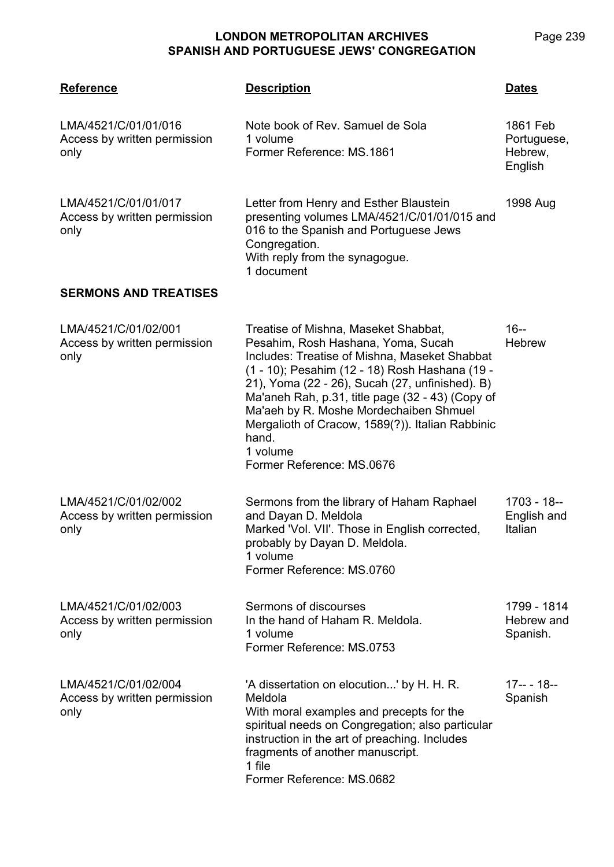| <b>Reference</b>                                             | <b>Description</b>                                                                                                                                                                                                                                                                                                                                                                                                                   | Dates                                         |
|--------------------------------------------------------------|--------------------------------------------------------------------------------------------------------------------------------------------------------------------------------------------------------------------------------------------------------------------------------------------------------------------------------------------------------------------------------------------------------------------------------------|-----------------------------------------------|
| LMA/4521/C/01/01/016<br>Access by written permission<br>only | Note book of Rev. Samuel de Sola<br>1 volume<br>Former Reference: MS.1861                                                                                                                                                                                                                                                                                                                                                            | 1861 Feb<br>Portuguese,<br>Hebrew,<br>English |
| LMA/4521/C/01/01/017<br>Access by written permission<br>only | Letter from Henry and Esther Blaustein<br>presenting volumes LMA/4521/C/01/01/015 and<br>016 to the Spanish and Portuguese Jews<br>Congregation.<br>With reply from the synagogue.<br>1 document                                                                                                                                                                                                                                     | 1998 Aug                                      |
| <b>SERMONS AND TREATISES</b>                                 |                                                                                                                                                                                                                                                                                                                                                                                                                                      |                                               |
| LMA/4521/C/01/02/001<br>Access by written permission<br>only | Treatise of Mishna, Maseket Shabbat,<br>Pesahim, Rosh Hashana, Yoma, Sucah<br>Includes: Treatise of Mishna, Maseket Shabbat<br>(1 - 10); Pesahim (12 - 18) Rosh Hashana (19 -<br>21), Yoma (22 - 26), Sucah (27, unfinished). B)<br>Ma'aneh Rah, p.31, title page (32 - 43) (Copy of<br>Ma'aeh by R. Moshe Mordechaiben Shmuel<br>Mergalioth of Cracow, 1589(?)). Italian Rabbinic<br>hand.<br>1 volume<br>Former Reference: MS.0676 | $16 -$<br>Hebrew                              |
| LMA/4521/C/01/02/002<br>Access by written permission<br>only | Sermons from the library of Haham Raphael<br>and Dayan D. Meldola<br>Marked 'Vol. VII'. Those in English corrected,<br>probably by Dayan D. Meldola.<br>1 volume<br>Former Reference: MS.0760                                                                                                                                                                                                                                        | $1703 - 18 -$<br>English and<br>Italian       |
| LMA/4521/C/01/02/003<br>Access by written permission<br>only | Sermons of discourses<br>In the hand of Haham R. Meldola.<br>1 volume<br>Former Reference: MS.0753                                                                                                                                                                                                                                                                                                                                   | 1799 - 1814<br>Hebrew and<br>Spanish.         |
| LMA/4521/C/01/02/004<br>Access by written permission<br>only | 'A dissertation on elocution' by H. H. R.<br>Meldola<br>With moral examples and precepts for the<br>spiritual needs on Congregation; also particular<br>instruction in the art of preaching. Includes<br>fragments of another manuscript.<br>1 file<br>Former Reference: MS.0682                                                                                                                                                     | 17-- - 18--<br>Spanish                        |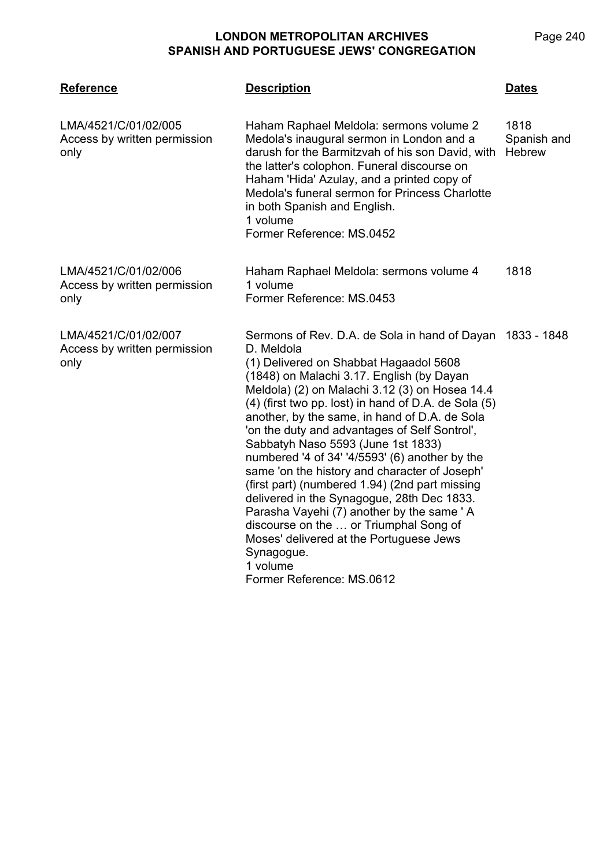| <b>Reference</b>                                             | <b>Description</b>                                                                                                                                                                                                                                                                                                                                                                                                                                                                                                                                                                                                                                                                                                                                                                                           | <b>Dates</b>                         |
|--------------------------------------------------------------|--------------------------------------------------------------------------------------------------------------------------------------------------------------------------------------------------------------------------------------------------------------------------------------------------------------------------------------------------------------------------------------------------------------------------------------------------------------------------------------------------------------------------------------------------------------------------------------------------------------------------------------------------------------------------------------------------------------------------------------------------------------------------------------------------------------|--------------------------------------|
| LMA/4521/C/01/02/005<br>Access by written permission<br>only | Haham Raphael Meldola: sermons volume 2<br>Medola's inaugural sermon in London and a<br>darush for the Barmitzvah of his son David, with<br>the latter's colophon. Funeral discourse on<br>Haham 'Hida' Azulay, and a printed copy of<br>Medola's funeral sermon for Princess Charlotte<br>in both Spanish and English.<br>1 volume<br>Former Reference: MS.0452                                                                                                                                                                                                                                                                                                                                                                                                                                             | 1818<br>Spanish and<br><b>Hebrew</b> |
| LMA/4521/C/01/02/006<br>Access by written permission<br>only | Haham Raphael Meldola: sermons volume 4<br>1 volume<br>Former Reference: MS.0453                                                                                                                                                                                                                                                                                                                                                                                                                                                                                                                                                                                                                                                                                                                             | 1818                                 |
| LMA/4521/C/01/02/007<br>Access by written permission<br>only | Sermons of Rev. D.A. de Sola in hand of Dayan 1833 - 1848<br>D. Meldola<br>(1) Delivered on Shabbat Hagaadol 5608<br>(1848) on Malachi 3.17. English (by Dayan<br>Meldola) (2) on Malachi 3.12 (3) on Hosea 14.4<br>(4) (first two pp. lost) in hand of D.A. de Sola (5)<br>another, by the same, in hand of D.A. de Sola<br>'on the duty and advantages of Self Sontrol',<br>Sabbatyh Naso 5593 (June 1st 1833)<br>numbered '4 of 34' '4/5593' (6) another by the<br>same 'on the history and character of Joseph'<br>(first part) (numbered 1.94) (2nd part missing<br>delivered in the Synagogue, 28th Dec 1833.<br>Parasha Vayehi (7) another by the same 'A<br>discourse on the  or Triumphal Song of<br>Moses' delivered at the Portuguese Jews<br>Synagogue.<br>1 volume<br>Former Reference: MS.0612 |                                      |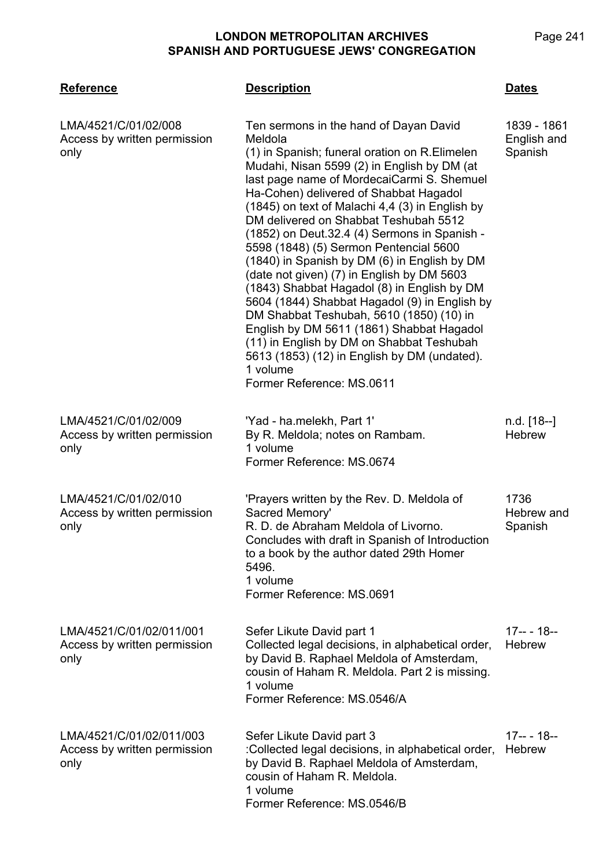| <b>Reference</b>                                                 | <b>Description</b>                                                                                                                                                                                                                                                                                                                                                                                                                                                                                                                                                                                                                                                                                                                                                                                                                                           | Dates                                 |
|------------------------------------------------------------------|--------------------------------------------------------------------------------------------------------------------------------------------------------------------------------------------------------------------------------------------------------------------------------------------------------------------------------------------------------------------------------------------------------------------------------------------------------------------------------------------------------------------------------------------------------------------------------------------------------------------------------------------------------------------------------------------------------------------------------------------------------------------------------------------------------------------------------------------------------------|---------------------------------------|
| LMA/4521/C/01/02/008<br>Access by written permission<br>only     | Ten sermons in the hand of Dayan David<br>Meldola<br>(1) in Spanish; funeral oration on R.Elimelen<br>Mudahi, Nisan 5599 (2) in English by DM (at<br>last page name of MordecaiCarmi S. Shemuel<br>Ha-Cohen) delivered of Shabbat Hagadol<br>(1845) on text of Malachi 4,4 (3) in English by<br>DM delivered on Shabbat Teshubah 5512<br>(1852) on Deut.32.4 (4) Sermons in Spanish -<br>5598 (1848) (5) Sermon Pentencial 5600<br>(1840) in Spanish by DM (6) in English by DM<br>(date not given) (7) in English by DM 5603<br>(1843) Shabbat Hagadol (8) in English by DM<br>5604 (1844) Shabbat Hagadol (9) in English by<br>DM Shabbat Teshubah, 5610 (1850) (10) in<br>English by DM 5611 (1861) Shabbat Hagadol<br>(11) in English by DM on Shabbat Teshubah<br>5613 (1853) (12) in English by DM (undated).<br>1 volume<br>Former Reference: MS.0611 | 1839 - 1861<br>English and<br>Spanish |
| LMA/4521/C/01/02/009<br>Access by written permission<br>only     | 'Yad - ha.melekh, Part 1'<br>By R. Meldola; notes on Rambam.<br>1 volume<br>Former Reference: MS.0674                                                                                                                                                                                                                                                                                                                                                                                                                                                                                                                                                                                                                                                                                                                                                        | n.d. [18--]<br><b>Hebrew</b>          |
| LMA/4521/C/01/02/010<br>Access by written permission<br>only     | 'Prayers written by the Rev. D. Meldola of<br>Sacred Memory'<br>R. D. de Abraham Meldola of Livorno.<br>Concludes with draft in Spanish of Introduction<br>to a book by the author dated 29th Homer<br>5496.<br>1 volume<br>Former Reference: MS.0691                                                                                                                                                                                                                                                                                                                                                                                                                                                                                                                                                                                                        | 1736<br>Hebrew and<br>Spanish         |
| LMA/4521/C/01/02/011/001<br>Access by written permission<br>only | Sefer Likute David part 1<br>Collected legal decisions, in alphabetical order,<br>by David B. Raphael Meldola of Amsterdam,<br>cousin of Haham R. Meldola. Part 2 is missing.<br>1 volume<br>Former Reference: MS.0546/A                                                                                                                                                                                                                                                                                                                                                                                                                                                                                                                                                                                                                                     | $17--18--$<br><b>Hebrew</b>           |
| LMA/4521/C/01/02/011/003<br>Access by written permission<br>only | Sefer Likute David part 3<br>:Collected legal decisions, in alphabetical order,<br>by David B. Raphael Meldola of Amsterdam,<br>cousin of Haham R. Meldola.<br>1 volume<br>Former Reference: MS.0546/B                                                                                                                                                                                                                                                                                                                                                                                                                                                                                                                                                                                                                                                       | $17--18--$<br><b>Hebrew</b>           |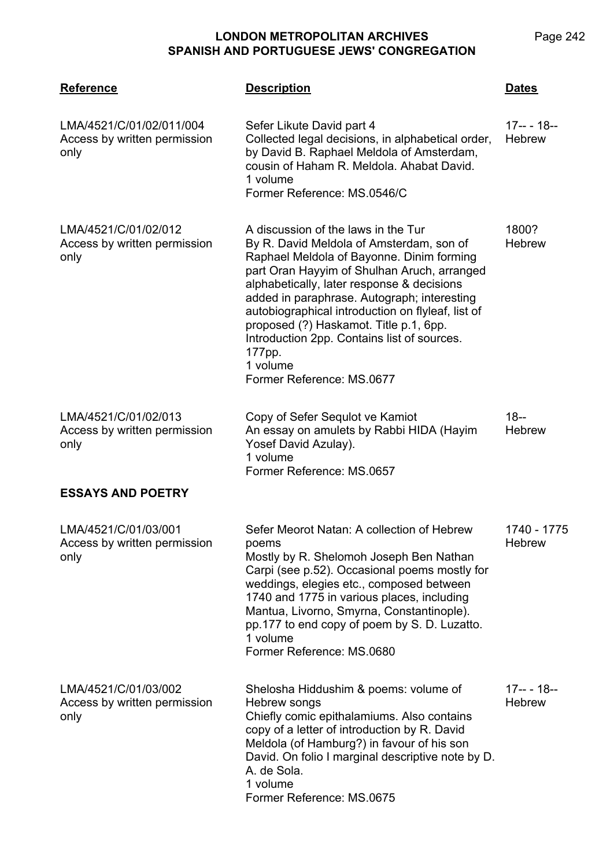**LMA/4521 Reference Description Dates** LMA/4521/C/01/02/011/004 Access by written permission only Sefer Likute David part 4 Collected legal decisions, in alphabetical order, by David B. Raphael Meldola of Amsterdam, cousin of Haham R. Meldola. Ahabat David. 1 volume Former Reference: MS.0546/C 17-- - 18-- **Hebrew** LMA/4521/C/01/02/012 Access by written permission only A discussion of the laws in the Tur By R. David Meldola of Amsterdam, son of Raphael Meldola of Bayonne. Dinim forming part Oran Hayyim of Shulhan Aruch, arranged alphabetically, later response & decisions added in paraphrase. Autograph; interesting autobiographical introduction on flyleaf, list of proposed (?) Haskamot. Title p.1, 6pp. Introduction 2pp. Contains list of sources. 177pp. 1 volume Former Reference: MS.0677 1800? **Hebrew** LMA/4521/C/01/02/013 Access by written permission only Copy of Sefer Sequlot ve Kamiot An essay on amulets by Rabbi HIDA (Hayim Yosef David Azulay). 1 volume Former Reference: MS.0657 18-- **Hebrew ESSAYS AND POETRY** LMA/4521/C/01/03/001 Access by written permission only Sefer Meorot Natan: A collection of Hebrew poems Mostly by R. Shelomoh Joseph Ben Nathan Carpi (see p.52). Occasional poems mostly for weddings, elegies etc., composed between 1740 and 1775 in various places, including Mantua, Livorno, Smyrna, Constantinople). pp.177 to end copy of poem by S. D. Luzatto. 1 volume Former Reference: MS.0680 1740 - 1775 **Hebrew** LMA/4521/C/01/03/002 Access by written permission only Shelosha Hiddushim & poems: volume of Hebrew songs Chiefly comic epithalamiums. Also contains copy of a letter of introduction by R. David Meldola (of Hamburg?) in favour of his son David. On folio I marginal descriptive note by D. A. de Sola. 1 volume Former Reference: MS.0675 17-- - 18-- **Hebrew**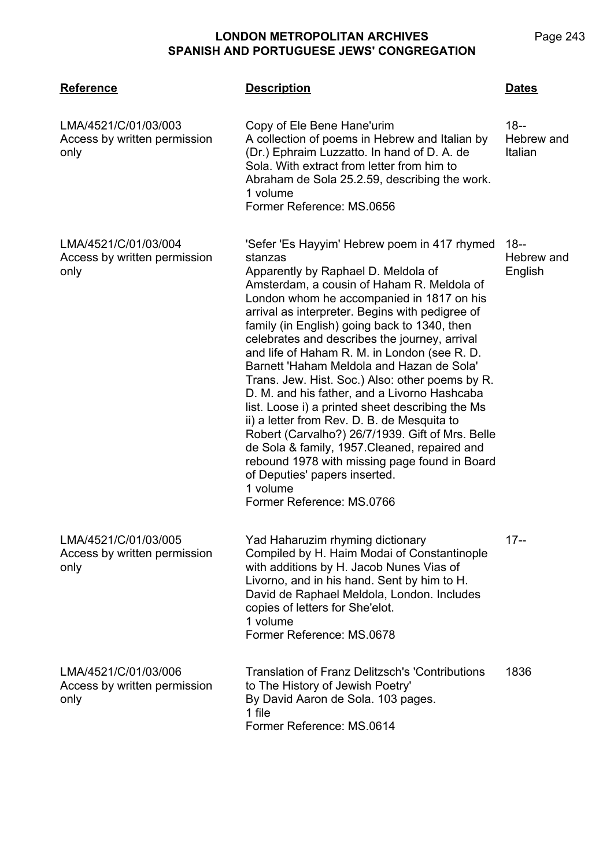**LMA/4521 Reference Description Dates** LMA/4521/C/01/03/003 Access by written permission only Copy of Ele Bene Hane'urim A collection of poems in Hebrew and Italian by (Dr.) Ephraim Luzzatto. In hand of D. A. de Sola. With extract from letter from him to Abraham de Sola 25.2.59, describing the work. 1 volume Former Reference: MS.0656 18-- Hebrew and Italian LMA/4521/C/01/03/004 Access by written permission only 'Sefer 'Es Hayyim' Hebrew poem in 417 rhymed 18- stanzas Apparently by Raphael D. Meldola of Amsterdam, a cousin of Haham R. Meldola of London whom he accompanied in 1817 on his arrival as interpreter. Begins with pedigree of family (in English) going back to 1340, then celebrates and describes the journey, arrival and life of Haham R. M. in London (see R. D. Barnett 'Haham Meldola and Hazan de Sola' Trans. Jew. Hist. Soc.) Also: other poems by R. D. M. and his father, and a Livorno Hashcaba list. Loose i) a printed sheet describing the Ms ii) a letter from Rev. D. B. de Mesquita to Robert (Carvalho?) 26/7/1939. Gift of Mrs. Belle de Sola & family, 1957.Cleaned, repaired and rebound 1978 with missing page found in Board of Deputies' papers inserted. 1 volume Former Reference: MS.0766 Hebrew and English LMA/4521/C/01/03/005 Access by written permission only Yad Haharuzim rhyming dictionary Compiled by H. Haim Modai of Constantinople with additions by H. Jacob Nunes Vias of Livorno, and in his hand. Sent by him to H. David de Raphael Meldola, London. Includes copies of letters for She'elot. 1 volume Former Reference: MS.0678 17-- LMA/4521/C/01/03/006 Access by written permission only Translation of Franz Delitzsch's 'Contributions to The History of Jewish Poetry' By David Aaron de Sola. 103 pages. 1 file Former Reference: MS.0614 1836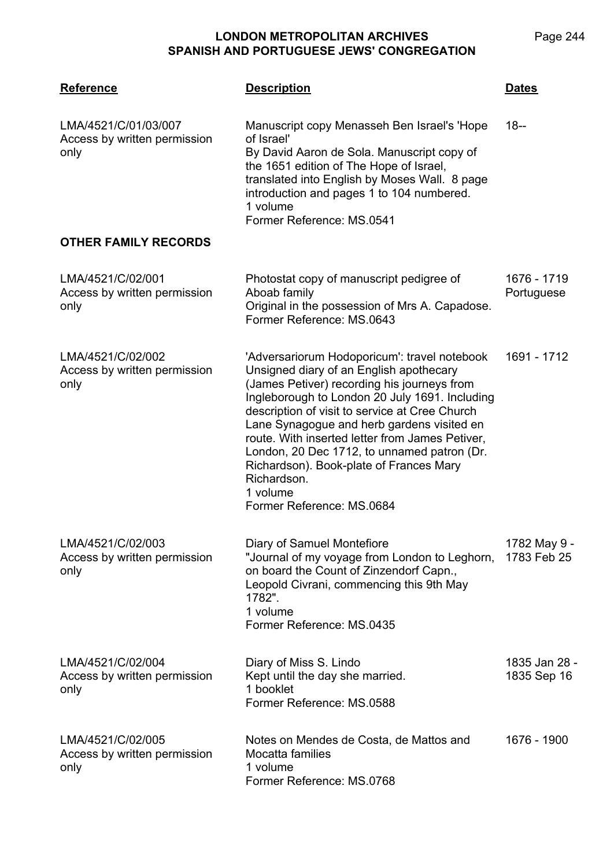| <b>Reference</b>                                             | <b>Description</b>                                                                                                                                                                                                                                                                                                                                                                                                                                                                            | <b>Dates</b>                 |
|--------------------------------------------------------------|-----------------------------------------------------------------------------------------------------------------------------------------------------------------------------------------------------------------------------------------------------------------------------------------------------------------------------------------------------------------------------------------------------------------------------------------------------------------------------------------------|------------------------------|
| LMA/4521/C/01/03/007<br>Access by written permission<br>only | Manuscript copy Menasseh Ben Israel's 'Hope<br>of Israel'<br>By David Aaron de Sola. Manuscript copy of<br>the 1651 edition of The Hope of Israel,<br>translated into English by Moses Wall. 8 page<br>introduction and pages 1 to 104 numbered.<br>1 volume<br>Former Reference: MS.0541                                                                                                                                                                                                     | $18 -$                       |
| <b>OTHER FAMILY RECORDS</b>                                  |                                                                                                                                                                                                                                                                                                                                                                                                                                                                                               |                              |
| LMA/4521/C/02/001<br>Access by written permission<br>only    | Photostat copy of manuscript pedigree of<br>Aboab family<br>Original in the possession of Mrs A. Capadose.<br>Former Reference: MS.0643                                                                                                                                                                                                                                                                                                                                                       | 1676 - 1719<br>Portuguese    |
| LMA/4521/C/02/002<br>Access by written permission<br>only    | 'Adversariorum Hodoporicum': travel notebook<br>Unsigned diary of an English apothecary<br>(James Petiver) recording his journeys from<br>Ingleborough to London 20 July 1691. Including<br>description of visit to service at Cree Church<br>Lane Synagogue and herb gardens visited en<br>route. With inserted letter from James Petiver,<br>London, 20 Dec 1712, to unnamed patron (Dr.<br>Richardson). Book-plate of Frances Mary<br>Richardson.<br>1 volume<br>Former Reference: MS.0684 | 1691 - 1712                  |
| LMA/4521/C/02/003<br>Access by written permission<br>only    | Diary of Samuel Montefiore<br>"Journal of my voyage from London to Leghorn,<br>on board the Count of Zinzendorf Capn.,<br>Leopold Civrani, commencing this 9th May<br>1782".<br>1 volume<br>Former Reference: MS.0435                                                                                                                                                                                                                                                                         | 1782 May 9 -<br>1783 Feb 25  |
| LMA/4521/C/02/004<br>Access by written permission<br>only    | Diary of Miss S. Lindo<br>Kept until the day she married.<br>1 booklet<br>Former Reference: MS.0588                                                                                                                                                                                                                                                                                                                                                                                           | 1835 Jan 28 -<br>1835 Sep 16 |
| LMA/4521/C/02/005<br>Access by written permission<br>only    | Notes on Mendes de Costa, de Mattos and<br>Mocatta families<br>1 volume<br>Former Reference: MS.0768                                                                                                                                                                                                                                                                                                                                                                                          | 1676 - 1900                  |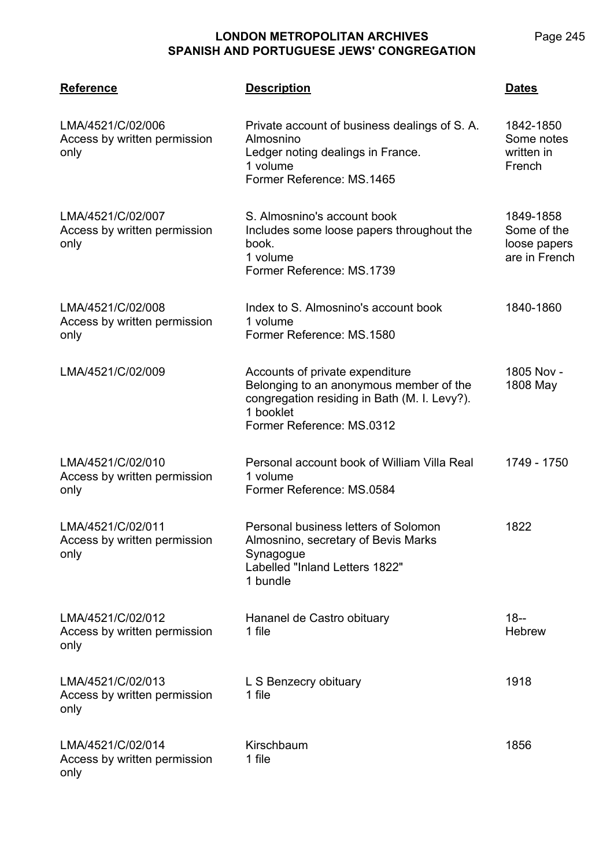**LMA/4521 Reference Description Dates** LMA/4521/C/02/006 Access by written permission only Private account of business dealings of S. A. Almosnino Ledger noting dealings in France. 1 volume Former Reference: MS.1465 1842-1850 Some notes written in French LMA/4521/C/02/007 Access by written permission only S. Almosnino's account book Includes some loose papers throughout the book. 1 volume Former Reference: MS.1739 1849-1858 Some of the loose papers are in French LMA/4521/C/02/008 Access by written permission only Index to S. Almosnino's account book 1 volume Former Reference: MS.1580 1840-1860 LMA/4521/C/02/009 Accounts of private expenditure Belonging to an anonymous member of the congregation residing in Bath (M. I. Levy?). 1 booklet Former Reference: MS.0312 1805 Nov - 1808 May LMA/4521/C/02/010 Access by written permission only Personal account book of William Villa Real 1 volume Former Reference: MS.0584 1749 - 1750 LMA/4521/C/02/011 Access by written permission only Personal business letters of Solomon Almosnino, secretary of Bevis Marks Synagogue Labelled "Inland Letters 1822" 1 bundle 1822 LMA/4521/C/02/012 Access by written permission only Hananel de Castro obituary 1 file 18-- **Hebrew** LMA/4521/C/02/013 Access by written permission only L S Benzecry obituary 1 file 1918 LMA/4521/C/02/014 Access by written permission only Kirschbaum 1 file 1856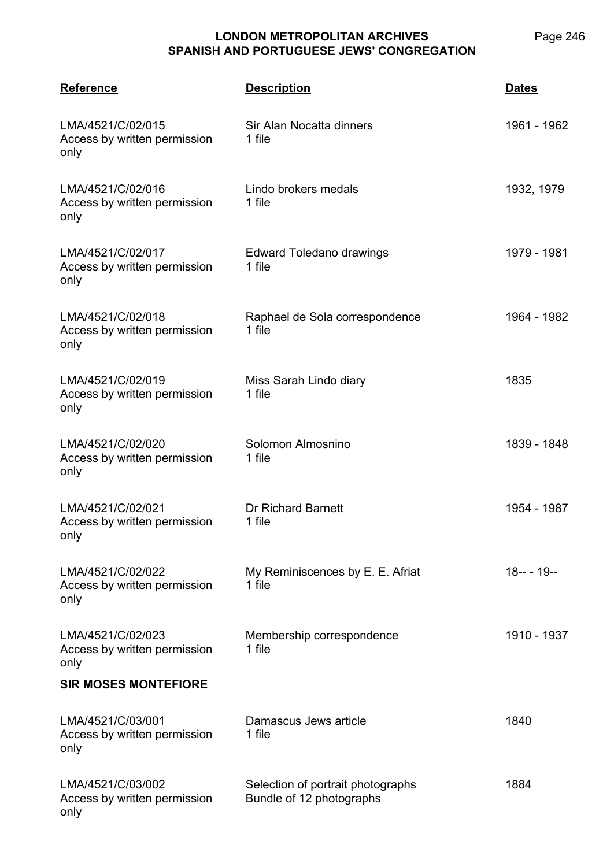| <b>Reference</b>                                          | <b>Description</b>                                            | <b>Dates</b> |
|-----------------------------------------------------------|---------------------------------------------------------------|--------------|
| LMA/4521/C/02/015<br>Access by written permission<br>only | Sir Alan Nocatta dinners<br>1 file                            | 1961 - 1962  |
| LMA/4521/C/02/016<br>Access by written permission<br>only | Lindo brokers medals<br>1 file                                | 1932, 1979   |
| LMA/4521/C/02/017<br>Access by written permission<br>only | Edward Toledano drawings<br>1 file                            | 1979 - 1981  |
| LMA/4521/C/02/018<br>Access by written permission<br>only | Raphael de Sola correspondence<br>1 file                      | 1964 - 1982  |
| LMA/4521/C/02/019<br>Access by written permission<br>only | Miss Sarah Lindo diary<br>1 file                              | 1835         |
| LMA/4521/C/02/020<br>Access by written permission<br>only | Solomon Almosnino<br>1 file                                   | 1839 - 1848  |
| LMA/4521/C/02/021<br>Access by written permission<br>only | <b>Dr Richard Barnett</b><br>1 file                           | 1954 - 1987  |
| LMA/4521/C/02/022<br>Access by written permission<br>only | My Reminiscences by E. E. Afriat<br>1 file                    | $18--19--$   |
| LMA/4521/C/02/023<br>Access by written permission<br>only | Membership correspondence<br>1 file                           | 1910 - 1937  |
| <b>SIR MOSES MONTEFIORE</b>                               |                                                               |              |
| LMA/4521/C/03/001<br>Access by written permission<br>only | Damascus Jews article<br>1 file                               | 1840         |
| LMA/4521/C/03/002<br>Access by written permission<br>only | Selection of portrait photographs<br>Bundle of 12 photographs | 1884         |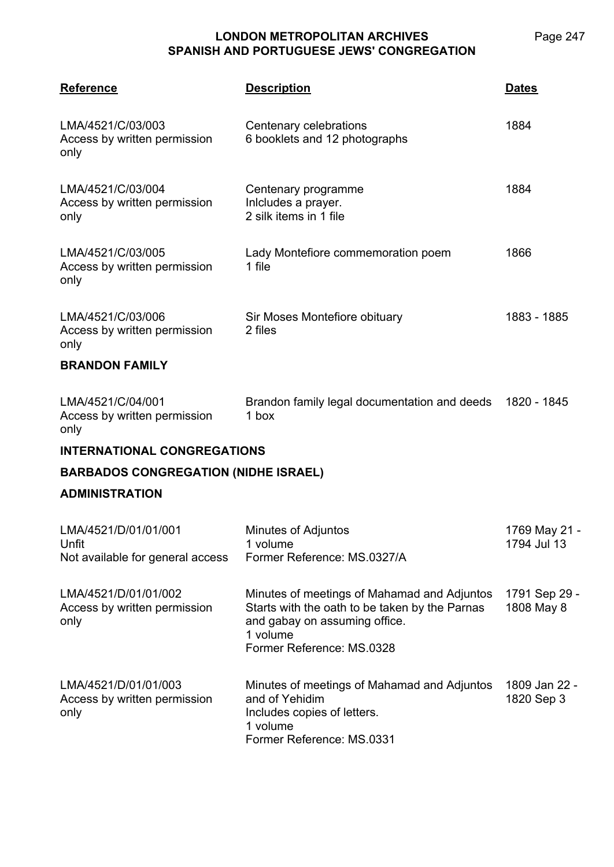| <b>Reference</b>                                                  | <b>Description</b>                                                                                                                                                      | Dates                        |
|-------------------------------------------------------------------|-------------------------------------------------------------------------------------------------------------------------------------------------------------------------|------------------------------|
| LMA/4521/C/03/003<br>Access by written permission<br>only         | Centenary celebrations<br>6 booklets and 12 photographs                                                                                                                 | 1884                         |
| LMA/4521/C/03/004<br>Access by written permission<br>only         | Centenary programme<br>Inlcludes a prayer.<br>2 silk items in 1 file                                                                                                    | 1884                         |
| LMA/4521/C/03/005<br>Access by written permission<br>only         | Lady Montefiore commemoration poem<br>1 file                                                                                                                            | 1866                         |
| LMA/4521/C/03/006<br>Access by written permission<br>only         | Sir Moses Montefiore obituary<br>2 files                                                                                                                                | 1883 - 1885                  |
| <b>BRANDON FAMILY</b>                                             |                                                                                                                                                                         |                              |
| LMA/4521/C/04/001<br>Access by written permission<br>only         | Brandon family legal documentation and deeds<br>1 box                                                                                                                   | 1820 - 1845                  |
| <b>INTERNATIONAL CONGREGATIONS</b>                                |                                                                                                                                                                         |                              |
| <b>BARBADOS CONGREGATION (NIDHE ISRAEL)</b>                       |                                                                                                                                                                         |                              |
| <b>ADMINISTRATION</b>                                             |                                                                                                                                                                         |                              |
| LMA/4521/D/01/01/001<br>Unfit<br>Not available for general access | Minutes of Adjuntos<br>1 volume<br>Former Reference: MS.0327/A                                                                                                          | 1769 May 21 -<br>1794 Jul 13 |
| LMA/4521/D/01/01/002<br>Access by written permission<br>only      | Minutes of meetings of Mahamad and Adjuntos<br>Starts with the oath to be taken by the Parnas<br>and gabay on assuming office.<br>1 volume<br>Former Reference: MS.0328 | 1791 Sep 29 -<br>1808 May 8  |
| LMA/4521/D/01/01/003<br>Access by written permission<br>only      | Minutes of meetings of Mahamad and Adjuntos<br>and of Yehidim<br>Includes copies of letters.<br>1 volume<br>Former Reference: MS.0331                                   | 1809 Jan 22 -<br>1820 Sep 3  |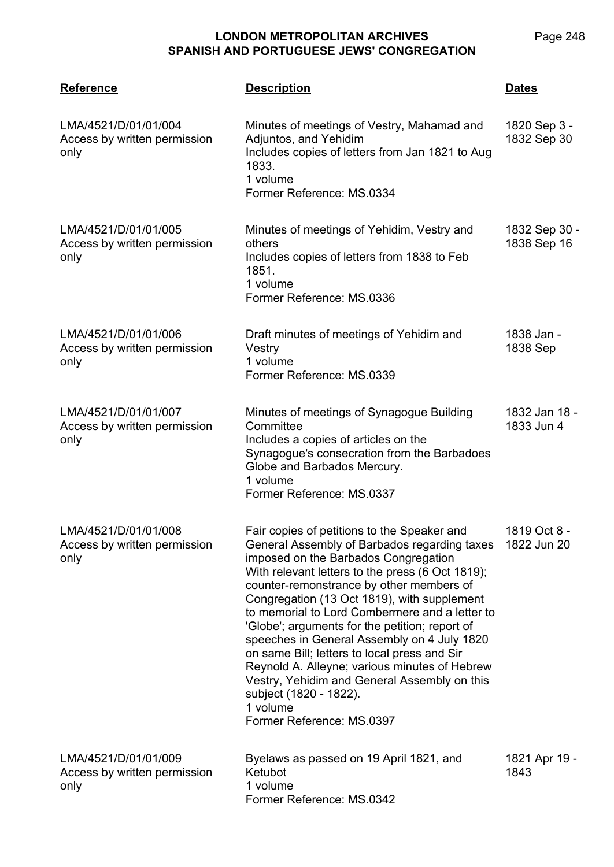1833. 1 volume

others

1851. 1 volume

LMA/4521/D/01/01/004

LMA/4521/D/01/01/005

LMA/4521/D/01/01/006

Access by written permission

only

only

Access by written permission

**LMA/4521 Reference Description Dates** Minutes of meetings of Vestry, Mahamad and Adjuntos, and Yehidim Includes copies of letters from Jan 1821 to Aug Former Reference: MS.0334 1820 Sep 3 - 1832 Sep 30 Minutes of meetings of Yehidim, Vestry and 1832 Sep 30 - 1838 Sep 16

| Access by written permission<br>only                         | Vestry<br>1 volume<br>Former Reference: MS.0339                                                                                                                                                                       | 1838 Sep                    |
|--------------------------------------------------------------|-----------------------------------------------------------------------------------------------------------------------------------------------------------------------------------------------------------------------|-----------------------------|
| LMA/4521/D/01/01/007<br>Access by written permission<br>only | Minutes of meetings of Synagogue Building<br>Committee<br>Includes a copies of articles on the<br>Synagogue's consecration from the Barbadoes<br>Globe and Barbados Mercury.<br>1 volume<br>Former Reference: MS.0337 | 1832 Jan 18 -<br>1833 Jun 4 |

Former Reference: MS.0336

Includes copies of letters from 1838 to Feb

Draft minutes of meetings of Yehidim and

| Congregation (13 Oct 1819), with supplement<br>to memorial to Lord Combermere and a letter to<br>'Globe'; arguments for the petition; report of<br>speeches in General Assembly on 4 July 1820<br>on same Bill; letters to local press and Sir<br>Reynold A. Alleyne; various minutes of Hebrew<br>Vestry, Yehidim and General Assembly on this<br>subject (1820 - 1822).<br>1 volume<br>Former Reference: MS.0397 | LMA/4521/D/01/01/008<br>Access by written permission<br>only | Fair copies of petitions to the Speaker and<br>General Assembly of Barbados regarding taxes<br>imposed on the Barbados Congregation<br>With relevant letters to the press (6 Oct 1819);<br>counter-remonstrance by other members of | 1819 Oct 8 -<br>1822 Jun 20 |
|--------------------------------------------------------------------------------------------------------------------------------------------------------------------------------------------------------------------------------------------------------------------------------------------------------------------------------------------------------------------------------------------------------------------|--------------------------------------------------------------|-------------------------------------------------------------------------------------------------------------------------------------------------------------------------------------------------------------------------------------|-----------------------------|
|--------------------------------------------------------------------------------------------------------------------------------------------------------------------------------------------------------------------------------------------------------------------------------------------------------------------------------------------------------------------------------------------------------------------|--------------------------------------------------------------|-------------------------------------------------------------------------------------------------------------------------------------------------------------------------------------------------------------------------------------|-----------------------------|

| LMA/4521/D/01/01/009         | Byelaws as passed on 19 April 1821, and | 1821 Apr 19 - |
|------------------------------|-----------------------------------------|---------------|
| Access by written permission | Ketubot                                 | 1843          |
| only                         | 1 volume                                |               |
|                              | Former Reference: MS.0342               |               |

1838 Jan -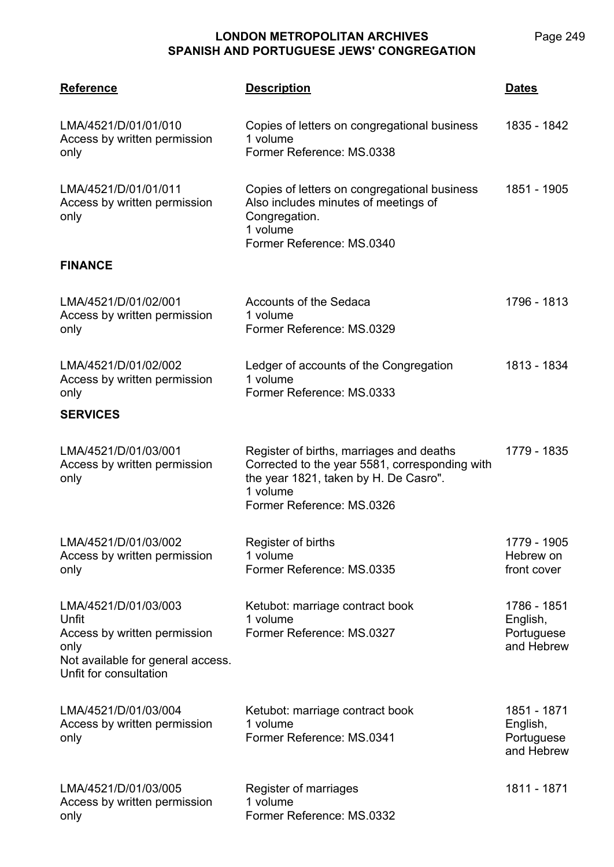| <b>Reference</b>                                                                                                                     | <b>Description</b>                                                                                                                                                           | <b>Dates</b>                                        |
|--------------------------------------------------------------------------------------------------------------------------------------|------------------------------------------------------------------------------------------------------------------------------------------------------------------------------|-----------------------------------------------------|
| LMA/4521/D/01/01/010<br>Access by written permission<br>only                                                                         | Copies of letters on congregational business<br>1 volume<br>Former Reference: MS.0338                                                                                        | 1835 - 1842                                         |
| LMA/4521/D/01/01/011<br>Access by written permission<br>only                                                                         | Copies of letters on congregational business<br>Also includes minutes of meetings of<br>Congregation.<br>1 volume<br>Former Reference: MS.0340                               | 1851 - 1905                                         |
| <b>FINANCE</b>                                                                                                                       |                                                                                                                                                                              |                                                     |
| LMA/4521/D/01/02/001<br>Access by written permission<br>only                                                                         | <b>Accounts of the Sedaca</b><br>1 volume<br>Former Reference: MS.0329                                                                                                       | 1796 - 1813                                         |
| LMA/4521/D/01/02/002<br>Access by written permission<br>only                                                                         | Ledger of accounts of the Congregation<br>1 volume<br>Former Reference: MS.0333                                                                                              | 1813 - 1834                                         |
| <b>SERVICES</b>                                                                                                                      |                                                                                                                                                                              |                                                     |
| LMA/4521/D/01/03/001<br>Access by written permission<br>only                                                                         | Register of births, marriages and deaths<br>Corrected to the year 5581, corresponding with<br>the year 1821, taken by H. De Casro".<br>1 volume<br>Former Reference: MS.0326 | 1779 - 1835                                         |
| LMA/4521/D/01/03/002<br>Access by written permission<br>only                                                                         | Register of births<br>1 volume<br>Former Reference: MS.0335                                                                                                                  | 1779 - 1905<br>Hebrew on<br>front cover             |
| LMA/4521/D/01/03/003<br>Unfit<br>Access by written permission<br>only<br>Not available for general access.<br>Unfit for consultation | Ketubot: marriage contract book<br>1 volume<br>Former Reference: MS.0327                                                                                                     | 1786 - 1851<br>English,<br>Portuguese<br>and Hebrew |
| LMA/4521/D/01/03/004<br>Access by written permission<br>only                                                                         | Ketubot: marriage contract book<br>1 volume<br>Former Reference: MS.0341                                                                                                     | 1851 - 1871<br>English,<br>Portuguese<br>and Hebrew |
| LMA/4521/D/01/03/005<br>Access by written permission<br>only                                                                         | Register of marriages<br>1 volume<br>Former Reference: MS.0332                                                                                                               | 1811 - 1871                                         |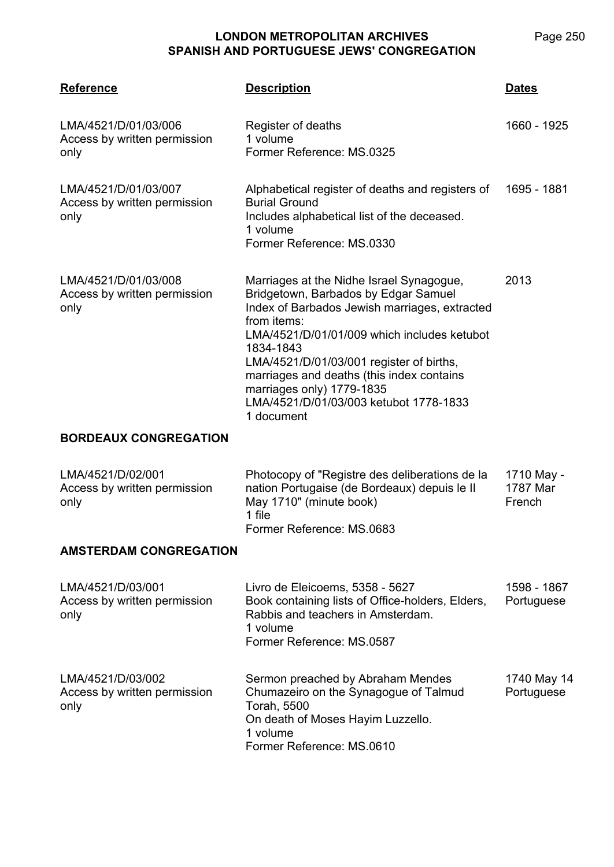| <b>Reference</b>                                             | <b>Description</b>                                                                                                                                                                                                                                                                                                                                                                         | <u>Dates</u>                     |
|--------------------------------------------------------------|--------------------------------------------------------------------------------------------------------------------------------------------------------------------------------------------------------------------------------------------------------------------------------------------------------------------------------------------------------------------------------------------|----------------------------------|
| LMA/4521/D/01/03/006<br>Access by written permission<br>only | Register of deaths<br>1 volume<br>Former Reference: MS.0325                                                                                                                                                                                                                                                                                                                                | 1660 - 1925                      |
| LMA/4521/D/01/03/007<br>Access by written permission<br>only | Alphabetical register of deaths and registers of<br><b>Burial Ground</b><br>Includes alphabetical list of the deceased.<br>1 volume<br>Former Reference: MS.0330                                                                                                                                                                                                                           | 1695 - 1881                      |
| LMA/4521/D/01/03/008<br>Access by written permission<br>only | Marriages at the Nidhe Israel Synagogue,<br>Bridgetown, Barbados by Edgar Samuel<br>Index of Barbados Jewish marriages, extracted<br>from items:<br>LMA/4521/D/01/01/009 which includes ketubot<br>1834-1843<br>LMA/4521/D/01/03/001 register of births,<br>marriages and deaths (this index contains<br>marriages only) 1779-1835<br>LMA/4521/D/01/03/003 ketubot 1778-1833<br>1 document | 2013                             |
| <b>BORDEAUX CONGREGATION</b>                                 |                                                                                                                                                                                                                                                                                                                                                                                            |                                  |
| LMA/4521/D/02/001<br>Access by written permission<br>only    | Photocopy of "Registre des deliberations de la<br>nation Portugaise (de Bordeaux) depuis le II<br>May 1710" (minute book)<br>1 file<br>Former Reference: MS.0683                                                                                                                                                                                                                           | 1710 May -<br>1787 Mar<br>French |
| <b>AMSTERDAM CONGREGATION</b>                                |                                                                                                                                                                                                                                                                                                                                                                                            |                                  |
| LMA/4521/D/03/001<br>Access by written permission<br>only    | Livro de Eleicoems, 5358 - 5627<br>Book containing lists of Office-holders, Elders,<br>Rabbis and teachers in Amsterdam.<br>1 volume<br>Former Reference: MS.0587                                                                                                                                                                                                                          | 1598 - 1867<br>Portuguese        |
| LMA/4521/D/03/002<br>Access by written permission<br>only    | Sermon preached by Abraham Mendes<br>Chumazeiro on the Synagogue of Talmud<br>Torah, 5500<br>On death of Moses Hayim Luzzello.<br>1 volume<br>Former Reference: MS.0610                                                                                                                                                                                                                    | 1740 May 14<br>Portuguese        |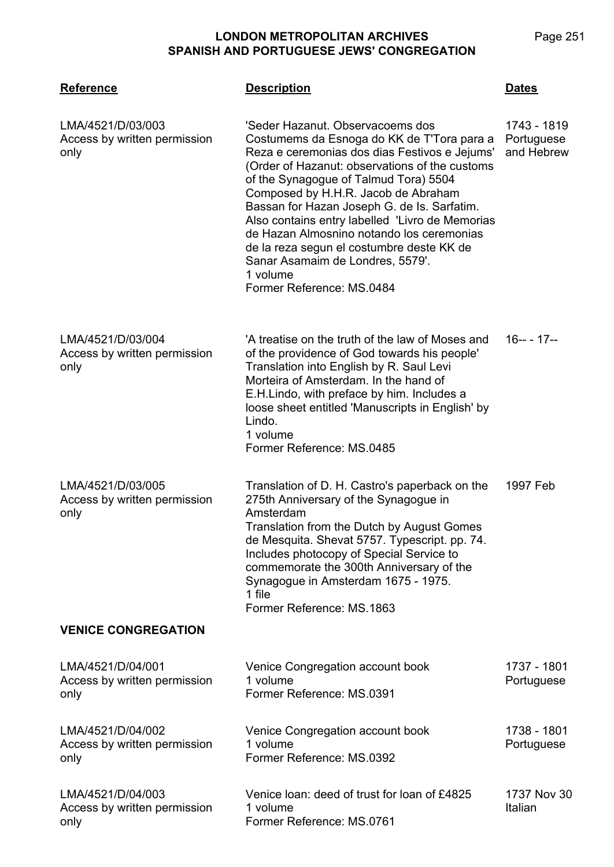**LMA/4521 Reference Description Dates** LMA/4521/D/03/003 Access by written permission only 'Seder Hazanut. Observacoems dos Costumems da Esnoga do KK de T'Tora para a Reza e ceremonias dos dias Festivos e Jejums' (Order of Hazanut: observations of the customs of the Synagogue of Talmud Tora) 5504 Composed by H.H.R. Jacob de Abraham Bassan for Hazan Joseph G. de Is. Sarfatim. Also contains entry labelled 'Livro de Memorias de Hazan Almosnino notando los ceremonias de la reza segun el costumbre deste KK de Sanar Asamaim de Londres, 5579'. 1 volume Former Reference: MS.0484 1743 - 1819 **Portuguese** and Hebrew LMA/4521/D/03/004 Access by written permission only 'A treatise on the truth of the law of Moses and of the providence of God towards his people' Translation into English by R. Saul Levi Morteira of Amsterdam. In the hand of E.H.Lindo, with preface by him. Includes a loose sheet entitled 'Manuscripts in English' by Lindo. 1 volume Former Reference: MS.0485 16-- - 17-- LMA/4521/D/03/005 Access by written permission only Translation of D. H. Castro's paperback on the 275th Anniversary of the Synagogue in Amsterdam Translation from the Dutch by August Gomes de Mesquita. Shevat 5757. Typescript. pp. 74. Includes photocopy of Special Service to commemorate the 300th Anniversary of the Synagogue in Amsterdam 1675 - 1975. 1 file Former Reference: MS.1863 1997 Feb **VENICE CONGREGATION** LMA/4521/D/04/001 Access by written permission only Venice Congregation account book 1 volume Former Reference: MS.0391 1737 - 1801 Portuguese LMA/4521/D/04/002 Access by written permission only Venice Congregation account book 1 volume Former Reference: MS.0392 1738 - 1801 Portuguese LMA/4521/D/04/003 Access by written permission only Venice loan: deed of trust for loan of £4825 1 volume Former Reference: MS.0761 1737 Nov 30 Italian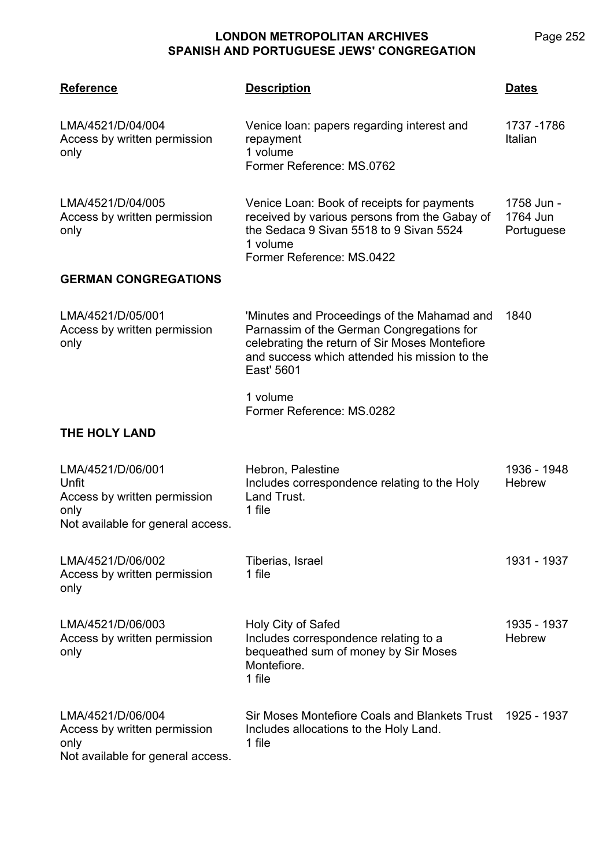| <b>Reference</b>                                                                                        | <b>Description</b>                                                                                                                                                                                        | <b>Dates</b>                         |
|---------------------------------------------------------------------------------------------------------|-----------------------------------------------------------------------------------------------------------------------------------------------------------------------------------------------------------|--------------------------------------|
| LMA/4521/D/04/004<br>Access by written permission<br>only                                               | Venice loan: papers regarding interest and<br>repayment<br>1 volume<br>Former Reference: MS.0762                                                                                                          | 1737 - 1786<br>Italian               |
| LMA/4521/D/04/005<br>Access by written permission<br>only                                               | Venice Loan: Book of receipts for payments<br>received by various persons from the Gabay of<br>the Sedaca 9 Sivan 5518 to 9 Sivan 5524<br>1 volume<br>Former Reference: MS.0422                           | 1758 Jun -<br>1764 Jun<br>Portuguese |
| <b>GERMAN CONGREGATIONS</b>                                                                             |                                                                                                                                                                                                           |                                      |
| LMA/4521/D/05/001<br>Access by written permission<br>only                                               | 'Minutes and Proceedings of the Mahamad and<br>Parnassim of the German Congregations for<br>celebrating the return of Sir Moses Montefiore<br>and success which attended his mission to the<br>East' 5601 | 1840                                 |
|                                                                                                         | 1 volume<br>Former Reference: MS.0282                                                                                                                                                                     |                                      |
| THE HOLY LAND                                                                                           |                                                                                                                                                                                                           |                                      |
| LMA/4521/D/06/001<br>Unfit<br>Access by written permission<br>only<br>Not available for general access. | Hebron, Palestine<br>Includes correspondence relating to the Holy<br>Land Trust.<br>1 file                                                                                                                | 1936 - 1948<br><b>Hebrew</b>         |
| LMA/4521/D/06/002<br>Access by written permission<br>only                                               | Tiberias, Israel<br>1 file                                                                                                                                                                                | 1931 - 1937                          |
| LMA/4521/D/06/003<br>Access by written permission<br>only                                               | Holy City of Safed<br>Includes correspondence relating to a<br>bequeathed sum of money by Sir Moses<br>Montefiore.<br>1 file                                                                              | 1935 - 1937<br><b>Hebrew</b>         |
| LMA/4521/D/06/004<br>Access by written permission<br>only<br>Not available for general access.          | Sir Moses Montefiore Coals and Blankets Trust<br>Includes allocations to the Holy Land.<br>1 file                                                                                                         | 1925 - 1937                          |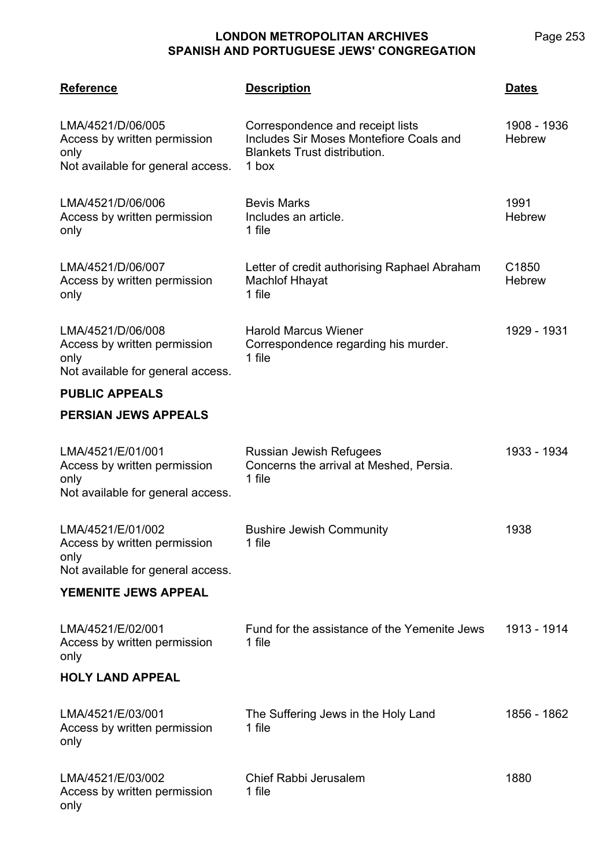Page 253

| <b>Reference</b>                                                                               | <b>Description</b>                                                                                                          | Dates                        |
|------------------------------------------------------------------------------------------------|-----------------------------------------------------------------------------------------------------------------------------|------------------------------|
| LMA/4521/D/06/005<br>Access by written permission<br>only<br>Not available for general access. | Correspondence and receipt lists<br>Includes Sir Moses Montefiore Coals and<br><b>Blankets Trust distribution.</b><br>1 box | 1908 - 1936<br><b>Hebrew</b> |
| LMA/4521/D/06/006<br>Access by written permission<br>only                                      | <b>Bevis Marks</b><br>Includes an article.<br>1 file                                                                        | 1991<br><b>Hebrew</b>        |
| LMA/4521/D/06/007<br>Access by written permission<br>only                                      | Letter of credit authorising Raphael Abraham<br><b>Machlof Hhayat</b><br>1 file                                             | C1850<br><b>Hebrew</b>       |
| LMA/4521/D/06/008<br>Access by written permission<br>only<br>Not available for general access. | <b>Harold Marcus Wiener</b><br>Correspondence regarding his murder.<br>1 file                                               | 1929 - 1931                  |
| <b>PUBLIC APPEALS</b>                                                                          |                                                                                                                             |                              |
| <b>PERSIAN JEWS APPEALS</b>                                                                    |                                                                                                                             |                              |
| LMA/4521/E/01/001<br>Access by written permission<br>only<br>Not available for general access. | Russian Jewish Refugees<br>Concerns the arrival at Meshed, Persia.<br>1 file                                                | 1933 - 1934                  |
| LMA/4521/E/01/002<br>Access by written permission<br>only<br>Not available for general access. | <b>Bushire Jewish Community</b><br>1 file                                                                                   | 1938                         |
| YEMENITE JEWS APPEAL                                                                           |                                                                                                                             |                              |
| LMA/4521/E/02/001<br>Access by written permission<br>only                                      | Fund for the assistance of the Yemenite Jews<br>1 file                                                                      | 1913 - 1914                  |
| <b>HOLY LAND APPEAL</b>                                                                        |                                                                                                                             |                              |
| LMA/4521/E/03/001<br>Access by written permission<br>only                                      | The Suffering Jews in the Holy Land<br>1 file                                                                               | 1856 - 1862                  |
| LMA/4521/E/03/002<br>Access by written permission<br>only                                      | Chief Rabbi Jerusalem<br>1 file                                                                                             | 1880                         |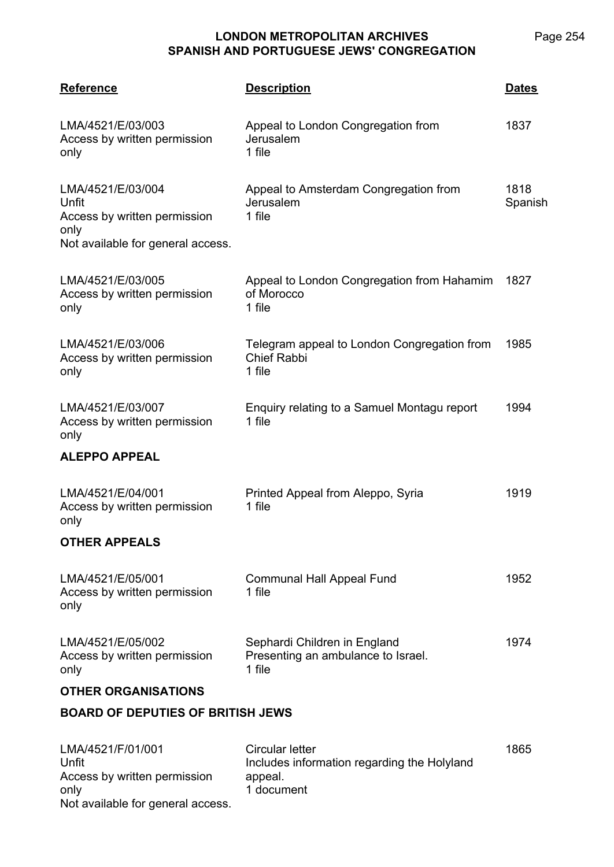Page 254

| <b>Reference</b>                                                                                        | <b>Description</b>                                                                      | <b>Dates</b>    |
|---------------------------------------------------------------------------------------------------------|-----------------------------------------------------------------------------------------|-----------------|
| LMA/4521/E/03/003<br>Access by written permission<br>only                                               | Appeal to London Congregation from<br>Jerusalem<br>1 file                               | 1837            |
| LMA/4521/E/03/004<br>Unfit<br>Access by written permission<br>only<br>Not available for general access. | Appeal to Amsterdam Congregation from<br>Jerusalem<br>1 file                            | 1818<br>Spanish |
| LMA/4521/E/03/005<br>Access by written permission<br>only                                               | Appeal to London Congregation from Hahamim<br>of Morocco<br>1 file                      | 1827            |
| LMA/4521/E/03/006<br>Access by written permission<br>only                                               | Telegram appeal to London Congregation from<br><b>Chief Rabbi</b><br>1 file             | 1985            |
| LMA/4521/E/03/007<br>Access by written permission<br>only                                               | Enquiry relating to a Samuel Montagu report<br>1 file                                   | 1994            |
| <b>ALEPPO APPEAL</b>                                                                                    |                                                                                         |                 |
| LMA/4521/E/04/001<br>Access by written permission<br>only                                               | Printed Appeal from Aleppo, Syria<br>1 file                                             | 1919            |
| <b>OTHER APPEALS</b>                                                                                    |                                                                                         |                 |
| LMA/4521/E/05/001<br>Access by written permission<br>only                                               | <b>Communal Hall Appeal Fund</b><br>1 file                                              | 1952            |
| LMA/4521/E/05/002<br>Access by written permission<br>only                                               | Sephardi Children in England<br>Presenting an ambulance to Israel.<br>1 file            | 1974            |
| <b>OTHER ORGANISATIONS</b>                                                                              |                                                                                         |                 |
| <b>BOARD OF DEPUTIES OF BRITISH JEWS</b>                                                                |                                                                                         |                 |
| LMA/4521/F/01/001<br>Unfit<br>Access by written permission<br>only                                      | Circular letter<br>Includes information regarding the Holyland<br>appeal.<br>1 document | 1865            |

Not available for general access.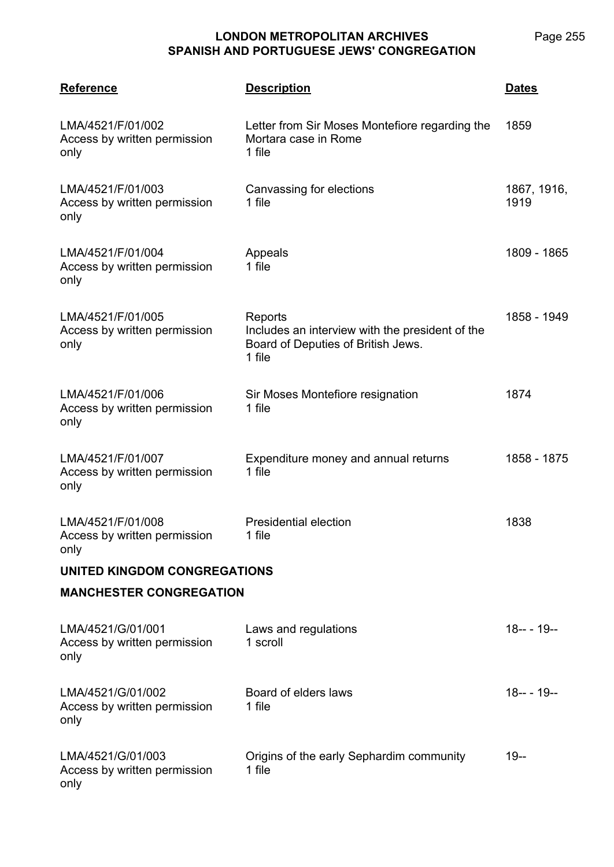Page 255

| <b>Reference</b>                                          | <b>Description</b>                                                                                         | <b>Dates</b>        |  |  |
|-----------------------------------------------------------|------------------------------------------------------------------------------------------------------------|---------------------|--|--|
| LMA/4521/F/01/002<br>Access by written permission<br>only | Letter from Sir Moses Montefiore regarding the<br>Mortara case in Rome<br>1 file                           | 1859                |  |  |
| LMA/4521/F/01/003<br>Access by written permission<br>only | Canvassing for elections<br>1 file                                                                         | 1867, 1916,<br>1919 |  |  |
| LMA/4521/F/01/004<br>Access by written permission<br>only | Appeals<br>1 file                                                                                          | 1809 - 1865         |  |  |
| LMA/4521/F/01/005<br>Access by written permission<br>only | Reports<br>Includes an interview with the president of the<br>Board of Deputies of British Jews.<br>1 file | 1858 - 1949         |  |  |
| LMA/4521/F/01/006<br>Access by written permission<br>only | Sir Moses Montefiore resignation<br>1 file                                                                 | 1874                |  |  |
| LMA/4521/F/01/007<br>Access by written permission<br>only | Expenditure money and annual returns<br>1 file                                                             | 1858 - 1875         |  |  |
| LMA/4521/F/01/008<br>Access by written permission<br>only | <b>Presidential election</b><br>1 file                                                                     | 1838                |  |  |
| UNITED KINGDOM CONGREGATIONS                              |                                                                                                            |                     |  |  |
| <b>MANCHESTER CONGREGATION</b>                            |                                                                                                            |                     |  |  |
| LMA/4521/G/01/001<br>Access by written permission<br>only | Laws and regulations<br>1 scroll                                                                           | $18--19--$          |  |  |
| LMA/4521/G/01/002<br>Access by written permission<br>only | Board of elders laws<br>1 file                                                                             | 18---19--           |  |  |
| LMA/4521/G/01/003<br>Access by written permission<br>only | Origins of the early Sephardim community<br>1 file                                                         | $19 -$              |  |  |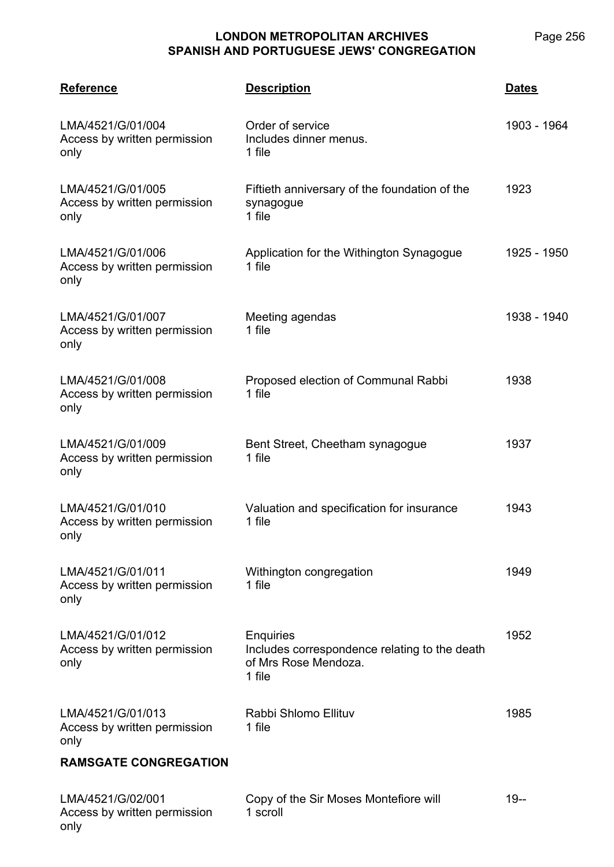Page 256

| <b>Reference</b>                                          | <b>Description</b>                                                                           | <b>Dates</b> |
|-----------------------------------------------------------|----------------------------------------------------------------------------------------------|--------------|
| LMA/4521/G/01/004<br>Access by written permission<br>only | Order of service<br>Includes dinner menus.<br>1 file                                         | 1903 - 1964  |
| LMA/4521/G/01/005<br>Access by written permission<br>only | Fiftieth anniversary of the foundation of the<br>synagogue<br>1 file                         | 1923         |
| LMA/4521/G/01/006<br>Access by written permission<br>only | Application for the Withington Synagogue<br>1 file                                           | 1925 - 1950  |
| LMA/4521/G/01/007<br>Access by written permission<br>only | Meeting agendas<br>1 file                                                                    | 1938 - 1940  |
| LMA/4521/G/01/008<br>Access by written permission<br>only | Proposed election of Communal Rabbi<br>1 file                                                | 1938         |
| LMA/4521/G/01/009<br>Access by written permission<br>only | Bent Street, Cheetham synagogue<br>1 file                                                    | 1937         |
| LMA/4521/G/01/010<br>Access by written permission<br>only | Valuation and specification for insurance<br>1 file                                          | 1943         |
| LMA/4521/G/01/011<br>Access by written permission<br>only | Withington congregation<br>1 file                                                            | 1949         |
| LMA/4521/G/01/012<br>Access by written permission<br>only | Enquiries<br>Includes correspondence relating to the death<br>of Mrs Rose Mendoza.<br>1 file | 1952         |
| LMA/4521/G/01/013<br>Access by written permission<br>only | Rabbi Shlomo Ellituv<br>1 file                                                               | 1985         |
| <b>RAMSGATE CONGREGATION</b>                              |                                                                                              |              |
| LMA/4521/G/02/001<br>Access by written permission         | Copy of the Sir Moses Montefiore will<br>1 scroll                                            | $19 -$       |

only